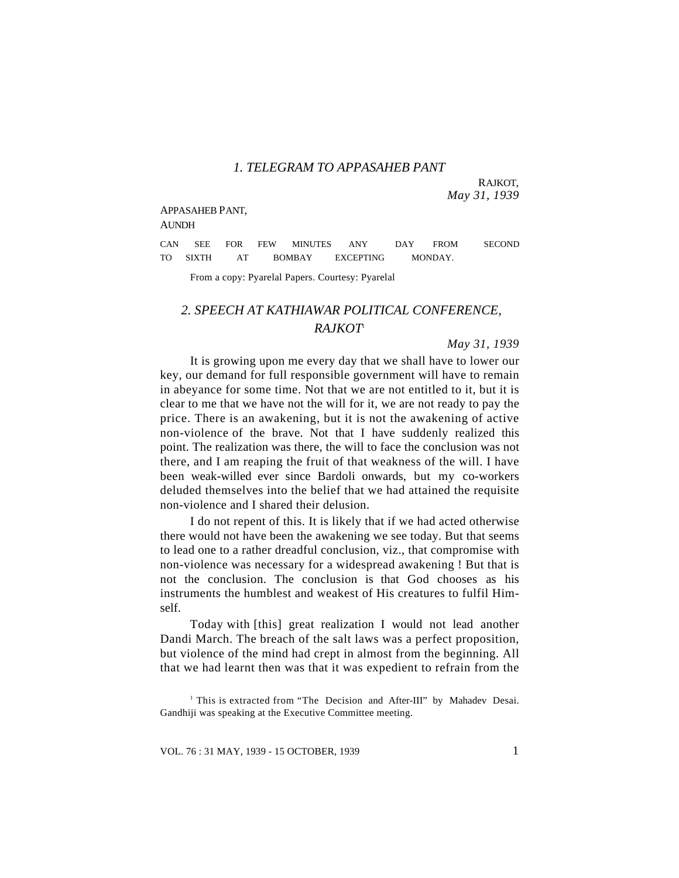### *1. TELEGRAM TO APPASAHEB PANT*

RAJKOT, *May 31, 1939*

APPASAHEB PANT,

#### **AUNDH**

CAN SEE FOR FEW MINUTES ANY DAY FROM SECOND TO SIXTH AT BOMBAY EXCEPTING MONDAY.

From a copy: Pyarelal Papers. Courtesy: Pyarelal

# *2. SPEECH AT KATHIAWAR POLITICAL CONFERENCE, RAJKOT*<sup>1</sup>

#### *May 31, 1939*

It is growing upon me every day that we shall have to lower our key, our demand for full responsible government will have to remain in abeyance for some time. Not that we are not entitled to it, but it is clear to me that we have not the will for it, we are not ready to pay the price. There is an awakening, but it is not the awakening of active non-violence of the brave. Not that I have suddenly realized this point. The realization was there, the will to face the conclusion was not there, and I am reaping the fruit of that weakness of the will. I have been weak-willed ever since Bardoli onwards, but my co-workers deluded themselves into the belief that we had attained the requisite non-violence and I shared their delusion.

I do not repent of this. It is likely that if we had acted otherwise there would not have been the awakening we see today. But that seems to lead one to a rather dreadful conclusion, viz., that compromise with non-violence was necessary for a widespread awakening ! But that is not the conclusion. The conclusion is that God chooses as his instruments the humblest and weakest of His creatures to fulfil Himself.

Today with [this] great realization I would not lead another Dandi March. The breach of the salt laws was a perfect proposition, but violence of the mind had crept in almost from the beginning. All that we had learnt then was that it was expedient to refrain from the

<sup>&</sup>lt;sup>1</sup> This is extracted from "The Decision and After-III" by Mahadev Desai. Gandhiji was speaking at the Executive Committee meeting.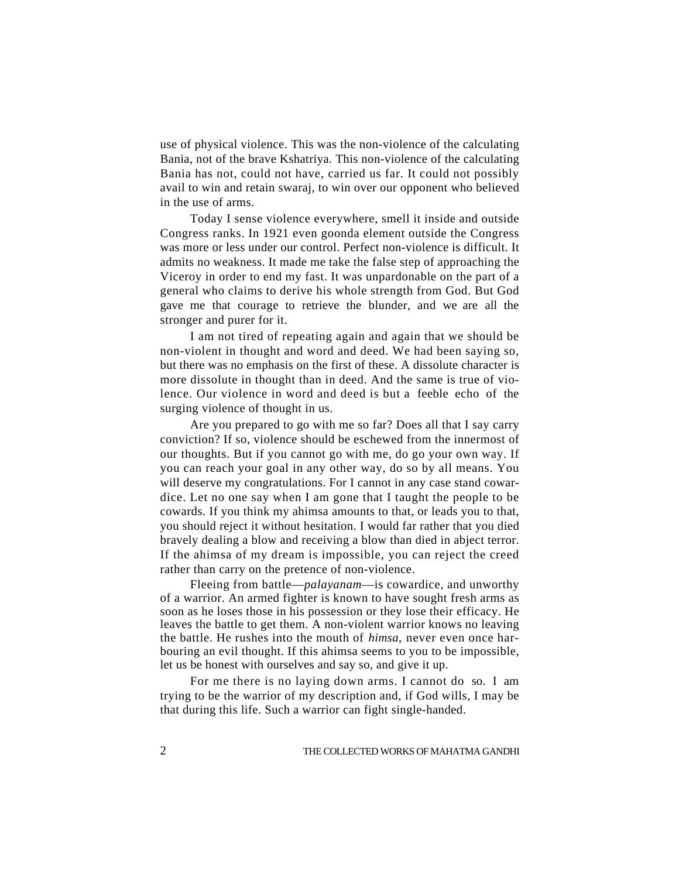use of physical violence. This was the non-violence of the calculating Bania, not of the brave Kshatriya. This non-violence of the calculating Bania has not, could not have, carried us far. It could not possibly avail to win and retain swaraj, to win over our opponent who believed in the use of arms.

Today I sense violence everywhere, smell it inside and outside Congress ranks. In 1921 even goonda element outside the Congress was more or less under our control. Perfect non-violence is difficult. It admits no weakness. It made me take the false step of approaching the Viceroy in order to end my fast. It was unpardonable on the part of a general who claims to derive his whole strength from God. But God gave me that courage to retrieve the blunder, and we are all the stronger and purer for it.

I am not tired of repeating again and again that we should be non-violent in thought and word and deed. We had been saying so, but there was no emphasis on the first of these. A dissolute character is more dissolute in thought than in deed. And the same is true of violence. Our violence in word and deed is but a feeble echo of the surging violence of thought in us.

Are you prepared to go with me so far? Does all that I say carry conviction? If so, violence should be eschewed from the innermost of our thoughts. But if you cannot go with me, do go your own way. If you can reach your goal in any other way, do so by all means. You will deserve my congratulations. For I cannot in any case stand cowardice. Let no one say when I am gone that I taught the people to be cowards. If you think my ahimsa amounts to that, or leads you to that, you should reject it without hesitation. I would far rather that you died bravely dealing a blow and receiving a blow than died in abject terror. If the ahimsa of my dream is impossible, you can reject the creed rather than carry on the pretence of non-violence.

Fleeing from battle—*palayanam*—is cowardice, and unworthy of a warrior. An armed fighter is known to have sought fresh arms as soon as he loses those in his possession or they lose their efficacy. He leaves the battle to get them. A non-violent warrior knows no leaving the battle. He rushes into the mouth of *himsa,* never even once harbouring an evil thought. If this ahimsa seems to you to be impossible, let us be honest with ourselves and say so, and give it up.

For me there is no laying down arms. I cannot do so. I am trying to be the warrior of my description and, if God wills, I may be that during this life. Such a warrior can fight single-handed.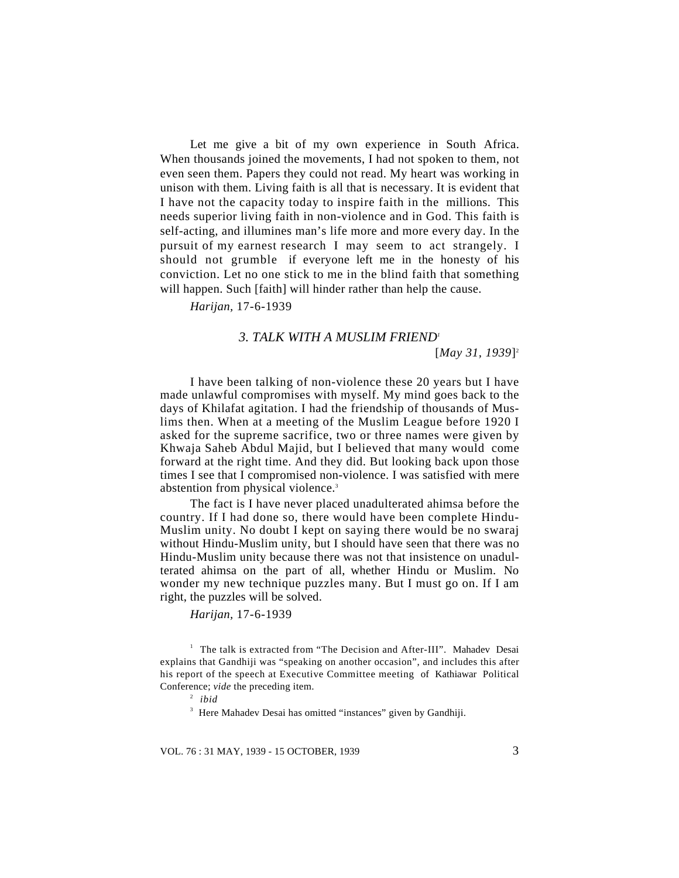Let me give a bit of my own experience in South Africa. When thousands joined the movements, I had not spoken to them, not even seen them. Papers they could not read. My heart was working in unison with them. Living faith is all that is necessary. It is evident that I have not the capacity today to inspire faith in the millions. This needs superior living faith in non-violence and in God. This faith is self-acting, and illumines man's life more and more every day. In the pursuit of my earnest research I may seem to act strangely. I should not grumble if everyone left me in the honesty of his conviction. Let no one stick to me in the blind faith that something will happen. Such [faith] will hinder rather than help the cause.

*Harijan,* 17-6-1939

# *3. TALK WITH A MUSLIM FRIEND<sup>1</sup>* [*May 31, 1939*] 2

I have been talking of non-violence these 20 years but I have made unlawful compromises with myself. My mind goes back to the days of Khilafat agitation. I had the friendship of thousands of Muslims then. When at a meeting of the Muslim League before 1920 I asked for the supreme sacrifice, two or three names were given by Khwaja Saheb Abdul Majid, but I believed that many would come forward at the right time. And they did. But looking back upon those times I see that I compromised non-violence. I was satisfied with mere abstention from physical violence.<sup>3</sup>

The fact is I have never placed unadulterated ahimsa before the country. If I had done so, there would have been complete Hindu-Muslim unity. No doubt I kept on saying there would be no swaraj without Hindu-Muslim unity, but I should have seen that there was no Hindu-Muslim unity because there was not that insistence on unadulterated ahimsa on the part of all, whether Hindu or Muslim. No wonder my new technique puzzles many. But I must go on. If I am right, the puzzles will be solved.

*Harijan,* 17-6-1939

<sup>1</sup> The talk is extracted from "The Decision and After-III". Mahadev Desai explains that Gandhiji was "speaking on another occasion", and includes this after his report of the speech at Executive Committee meeting of Kathiawar Political Conference; *vide* the preceding item.

2 *ibid*

<sup>3</sup> Here Mahadev Desai has omitted "instances" given by Gandhiji.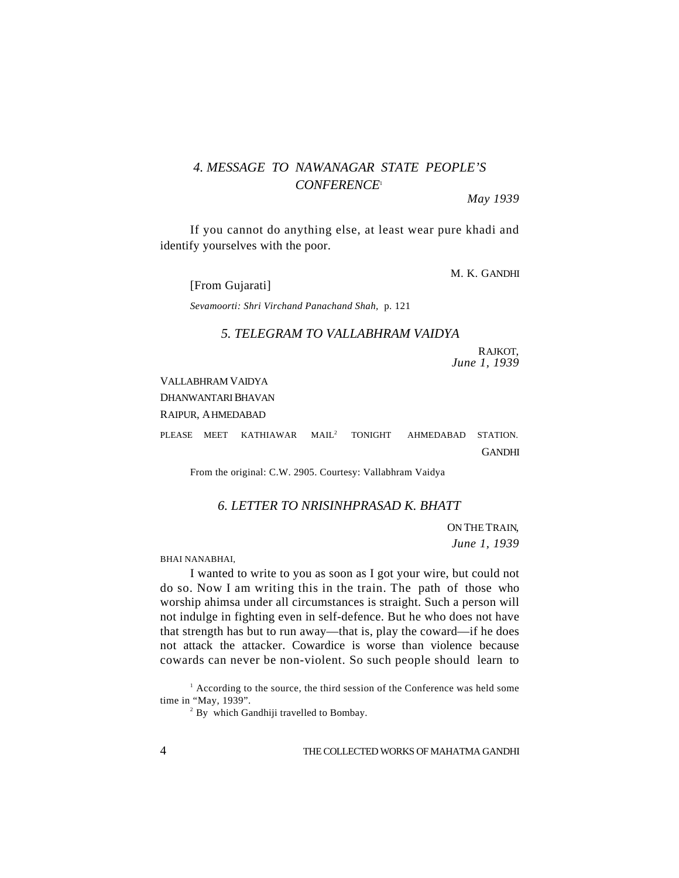# *4. MESSAGE TO NAWANAGAR STATE PEOPLE'S CONFERENCE*<sup>1</sup>

*May 1939*

If you cannot do anything else, at least wear pure khadi and identify yourselves with the poor.

M. K. GANDHI

[From Gujarati]

*Sevamoorti: Shri Virchand Panachand Shah,* p. 121

### *5. TELEGRAM TO VALLABHRAM VAIDYA*

RAJKOT, *June 1, 1939*

VALLABHRAM VAIDYA

DHANWANTARI BHAVAN

RAIPUR, AHMEDABAD

PLEASE MEET KATHIAWAR MAIL<sup>2</sup> TONIGHT AHMEDABAD STATION.

**GANDHI** 

From the original: C.W. 2905. Courtesy: Vallabhram Vaidya

#### *6. LETTER TO NRISINHPRASAD K. BHATT*

ON THE TRAIN, *June 1, 1939*

BHAI NANABHAI,

I wanted to write to you as soon as I got your wire, but could not do so. Now I am writing this in the train. The path of those who worship ahimsa under all circumstances is straight. Such a person will not indulge in fighting even in self-defence. But he who does not have that strength has but to run away—that is, play the coward—if he does not attack the attacker. Cowardice is worse than violence because cowards can never be non-violent. So such people should learn to

<sup>&</sup>lt;sup>1</sup> According to the source, the third session of the Conference was held some time in "May, 1939".

<sup>&</sup>lt;sup>2</sup> By which Gandhiji travelled to Bombay.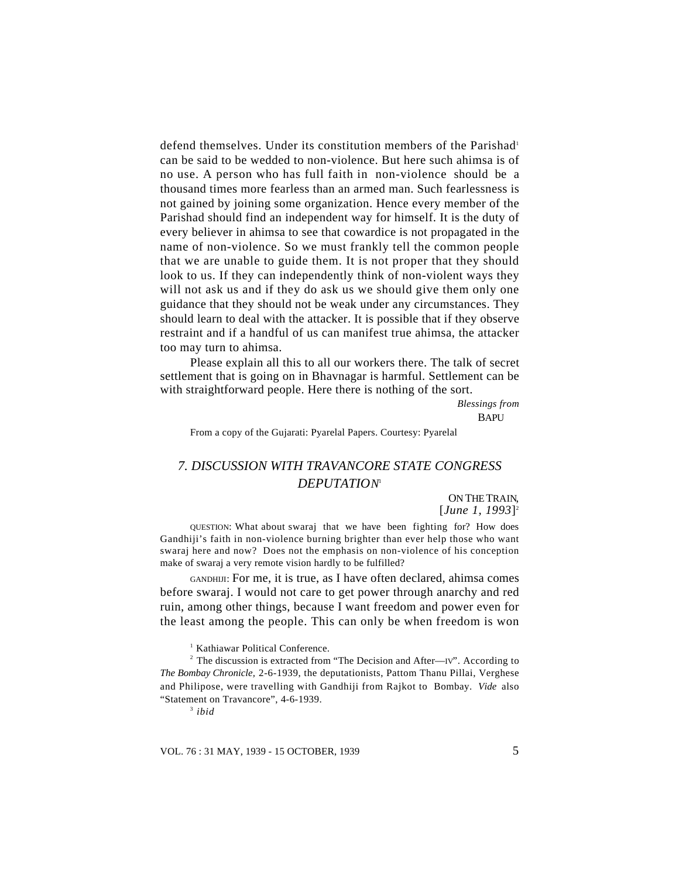defend themselves. Under its constitution members of the Parishad<sup>1</sup> can be said to be wedded to non-violence. But here such ahimsa is of no use. A person who has full faith in non-violence should be a thousand times more fearless than an armed man. Such fearlessness is not gained by joining some organization. Hence every member of the Parishad should find an independent way for himself. It is the duty of every believer in ahimsa to see that cowardice is not propagated in the name of non-violence. So we must frankly tell the common people that we are unable to guide them. It is not proper that they should look to us. If they can independently think of non-violent ways they will not ask us and if they do ask us we should give them only one guidance that they should not be weak under any circumstances. They should learn to deal with the attacker. It is possible that if they observe restraint and if a handful of us can manifest true ahimsa, the attacker too may turn to ahimsa.

Please explain all this to all our workers there. The talk of secret settlement that is going on in Bhavnagar is harmful. Settlement can be with straightforward people. Here there is nothing of the sort.

*Blessings from*

**BAPU** 

From a copy of the Gujarati: Pyarelal Papers. Courtesy: Pyarelal

# *7. DISCUSSION WITH TRAVANCORE STATE CONGRESS DEPUTATION* 1

ON THE TRAIN, [*June 1, 1993*] 2

QUESTION: What about swaraj that we have been fighting for? How does Gandhiji's faith in non-violence burning brighter than ever help those who want swaraj here and now? Does not the emphasis on non-violence of his conception make of swaraj a very remote vision hardly to be fulfilled?

GANDHIJI: For me, it is true, as I have often declared, ahimsa comes before swaraj. I would not care to get power through anarchy and red ruin, among other things, because I want freedom and power even for the least among the people. This can only be when freedom is won

<sup>1</sup> Kathiawar Political Conference.

<sup>2</sup> The discussion is extracted from "The Decision and After—IV". According to *The Bombay Chronicle,* 2-6-1939, the deputationists, Pattom Thanu Pillai, Verghese and Philipose, were travelling with Gandhiji from Rajkot to Bombay. *Vide* also "Statement on Travancore", 4-6-1939.

3 *ibid*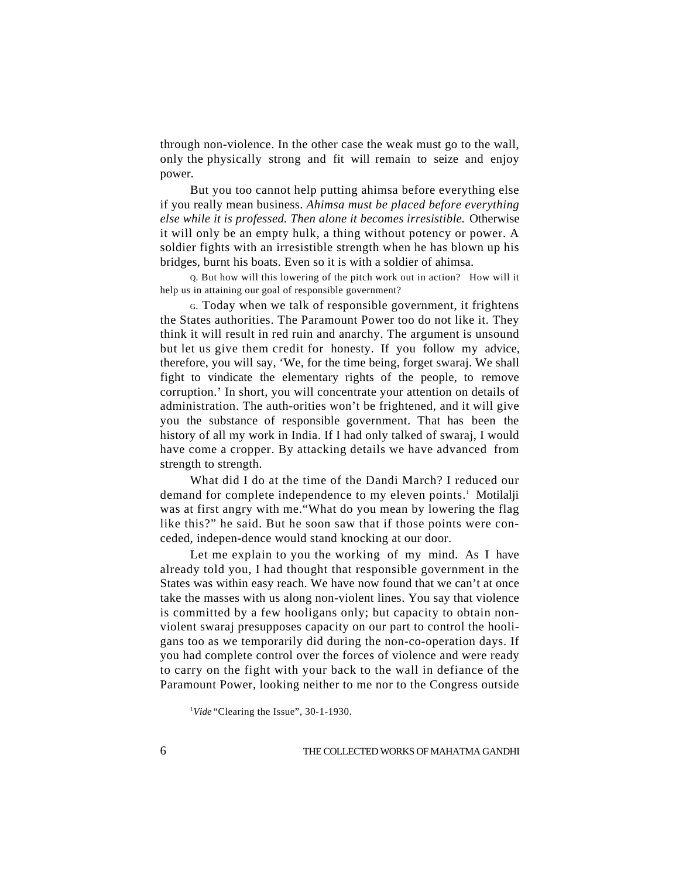through non-violence. In the other case the weak must go to the wall, only the physically strong and fit will remain to seize and enjoy power.

But you too cannot help putting ahimsa before everything else if you really mean business. *Ahimsa must be placed before everything else while it is professed. Then alone it becomes irresistible.* Otherwise it will only be an empty hulk, a thing without potency or power. A soldier fights with an irresistible strength when he has blown up his bridges, burnt his boats. Even so it is with a soldier of ahimsa.

Q. But how will this lowering of the pitch work out in action? How will it help us in attaining our goal of responsible government?

<sup>G</sup>. Today when we talk of responsible government, it frightens the States authorities. The Paramount Power too do not like it. They think it will result in red ruin and anarchy. The argument is unsound but let us give them credit for honesty. If you follow my advice, therefore, you will say, 'We, for the time being, forget swaraj. We shall fight to vindicate the elementary rights of the people, to remove corruption.' In short, you will concentrate your attention on details of administration. The auth-orities won't be frightened, and it will give you the substance of responsible government. That has been the history of all my work in India. If I had only talked of swaraj, I would have come a cropper. By attacking details we have advanced from strength to strength.

What did I do at the time of the Dandi March? I reduced our demand for complete independence to my eleven points.<sup>1</sup> Motilalji was at first angry with me."What do you mean by lowering the flag like this?" he said. But he soon saw that if those points were conceded, indepen-dence would stand knocking at our door.

Let me explain to you the working of my mind. As I have already told you, I had thought that responsible government in the States was within easy reach. We have now found that we can't at once take the masses with us along non-violent lines. You say that violence is committed by a few hooligans only; but capacity to obtain nonviolent swaraj presupposes capacity on our part to control the hooligans too as we temporarily did during the non-co-operation days. If you had complete control over the forces of violence and were ready to carry on the fight with your back to the wall in defiance of the Paramount Power, looking neither to me nor to the Congress outside

<sup>1</sup>Vide "Clearing the Issue", 30-1-1930.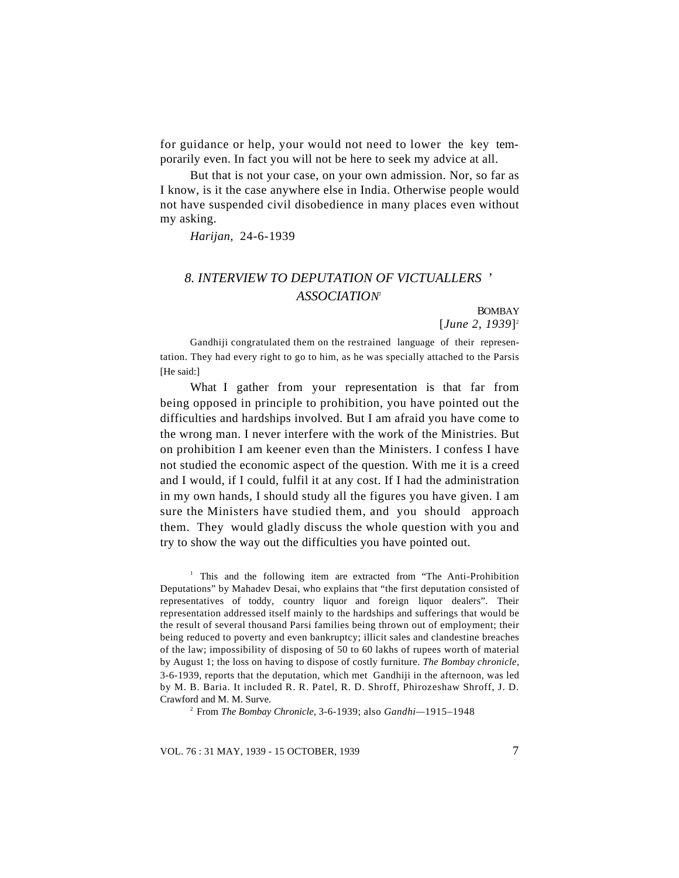for guidance or help, your would not need to lower the key temporarily even. In fact you will not be here to seek my advice at all.

But that is not your case, on your own admission. Nor, so far as I know, is it the case anywhere else in India. Otherwise people would not have suspended civil disobedience in many places even without my asking.

*Harijan,* 24-6-1939

# *8. INTERVIEW TO DEPUTATION OF VICTUALLERS* ' *ASSOCIATION 1*

BOMBAY [*June 2, 1939*] 2

Gandhiji congratulated them on the restrained language of their representation. They had every right to go to him, as he was specially attached to the Parsis [He said:]

What I gather from your representation is that far from being opposed in principle to prohibition, you have pointed out the difficulties and hardships involved. But I am afraid you have come to the wrong man. I never interfere with the work of the Ministries. But on prohibition I am keener even than the Ministers. I confess I have not studied the economic aspect of the question. With me it is a creed and I would, if I could, fulfil it at any cost. If I had the administration in my own hands, I should study all the figures you have given. I am sure the Ministers have studied them, and you should approach them. They would gladly discuss the whole question with you and try to show the way out the difficulties you have pointed out.

<sup>1</sup> This and the following item are extracted from "The Anti-Prohibition" Deputations" by Mahadev Desai, who explains that "the first deputation consisted of representatives of toddy, country liquor and foreign liquor dealers". Their representation addressed itself mainly to the hardships and sufferings that would be the result of several thousand Parsi families being thrown out of employment; their being reduced to poverty and even bankruptcy; illicit sales and clandestine breaches of the law; impossibility of disposing of 50 to 60 lakhs of rupees worth of material by August 1; the loss on having to dispose of costly furniture. *The Bombay chronicle,* 3-6-1939, reports that the deputation, which met Gandhiji in the afternoon, was led by M. B. Baria. It included R. R. Patel, R. D. Shroff, Phirozeshaw Shroff, J. D. Crawford and M. M. Surve.

2 From *The Bombay Chronicle,* 3-6-1939; also *Gandhi—*1915–1948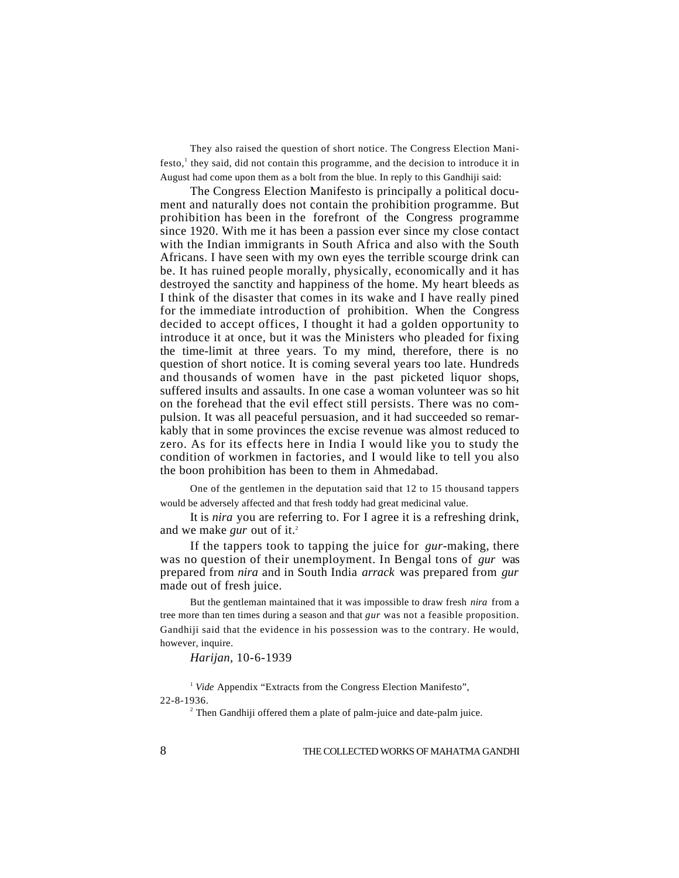They also raised the question of short notice. The Congress Election Manifesto,<sup>1</sup> they said, did not contain this programme, and the decision to introduce it in August had come upon them as a bolt from the blue. In reply to this Gandhiji said:

The Congress Election Manifesto is principally a political document and naturally does not contain the prohibition programme. But prohibition has been in the forefront of the Congress programme since 1920. With me it has been a passion ever since my close contact with the Indian immigrants in South Africa and also with the South Africans. I have seen with my own eyes the terrible scourge drink can be. It has ruined people morally, physically, economically and it has destroyed the sanctity and happiness of the home. My heart bleeds as I think of the disaster that comes in its wake and I have really pined for the immediate introduction of prohibition. When the Congress decided to accept offices, I thought it had a golden opportunity to introduce it at once, but it was the Ministers who pleaded for fixing the time-limit at three years. To my mind, therefore, there is no question of short notice. It is coming several years too late. Hundreds and thousands of women have in the past picketed liquor shops, suffered insults and assaults. In one case a woman volunteer was so hit on the forehead that the evil effect still persists. There was no compulsion. It was all peaceful persuasion, and it had succeeded so remarkably that in some provinces the excise revenue was almost reduced to zero. As for its effects here in India I would like you to study the condition of workmen in factories, and I would like to tell you also the boon prohibition has been to them in Ahmedabad.

One of the gentlemen in the deputation said that 12 to 15 thousand tappers would be adversely affected and that fresh toddy had great medicinal value.

It is *nira* you are referring to. For I agree it is a refreshing drink, and we make *gur* out of it.<sup>2</sup>

If the tappers took to tapping the juice for *gur-*making, there was no question of their unemployment. In Bengal tons of *gur* was prepared from *nira* and in South India *arrack* was prepared from *gur* made out of fresh juice.

But the gentleman maintained that it was impossible to draw fresh *nira* from a tree more than ten times during a season and that *gur* was not a feasible proposition. Gandhiji said that the evidence in his possession was to the contrary. He would, however, inquire.

*Harijan,* 10-6-1939

<sup>1</sup> *Vide* Appendix "Extracts from the Congress Election Manifesto", 22-8-1936.

 $2$  Then Gandhiji offered them a plate of palm-juice and date-palm juice.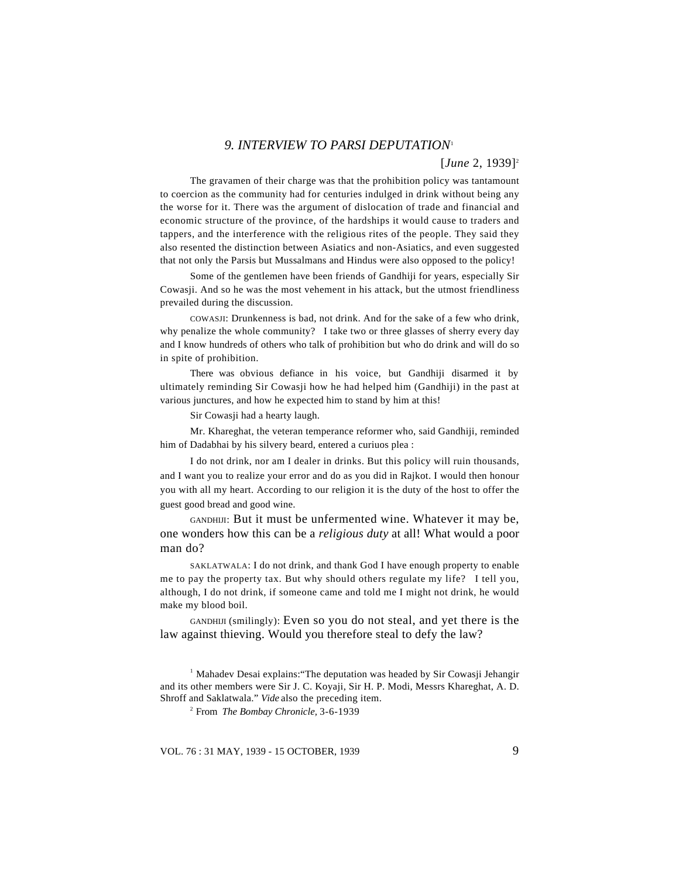## *9. INTERVIEW TO PARSI DEPUTATION*<sup>1</sup>

#### [*June* 2, 1939]<sup>2</sup>

The gravamen of their charge was that the prohibition policy was tantamount to coercion as the community had for centuries indulged in drink without being any the worse for it. There was the argument of dislocation of trade and financial and economic structure of the province, of the hardships it would cause to traders and tappers, and the interference with the religious rites of the people. They said they also resented the distinction between Asiatics and non-Asiatics, and even suggested that not only the Parsis but Mussalmans and Hindus were also opposed to the policy!

Some of the gentlemen have been friends of Gandhiji for years, especially Sir Cowasji. And so he was the most vehement in his attack, but the utmost friendliness prevailed during the discussion.

COWASJI: Drunkenness is bad, not drink. And for the sake of a few who drink, why penalize the whole community? I take two or three glasses of sherry every day and I know hundreds of others who talk of prohibition but who do drink and will do so in spite of prohibition.

There was obvious defiance in his voice, but Gandhiji disarmed it by ultimately reminding Sir Cowasji how he had helped him (Gandhiji) in the past at various junctures, and how he expected him to stand by him at this!

Sir Cowasji had a hearty laugh.

Mr. Khareghat, the veteran temperance reformer who, said Gandhiji, reminded him of Dadabhai by his silvery beard, entered a curiuos plea :

I do not drink, nor am I dealer in drinks. But this policy will ruin thousands, and I want you to realize your error and do as you did in Rajkot. I would then honour you with all my heart. According to our religion it is the duty of the host to offer the guest good bread and good wine.

GANDHIJI: But it must be unfermented wine. Whatever it may be, one wonders how this can be a *religious duty* at all! What would a poor man do?

SAKLATWALA: I do not drink, and thank God I have enough property to enable me to pay the property tax. But why should others regulate my life? I tell you, although, I do not drink, if someone came and told me I might not drink, he would make my blood boil.

GANDHIJI (smilingly): Even so you do not steal, and yet there is the law against thieving. Would you therefore steal to defy the law?

2 From *The Bombay Chronicle,* 3-6-1939

<sup>&</sup>lt;sup>1</sup> Mahadev Desai explains: "The deputation was headed by Sir Cowasji Jehangir and its other members were Sir J. C. Koyaji, Sir H. P. Modi, Messrs Khareghat, A. D. Shroff and Saklatwala." *Vide* also the preceding item.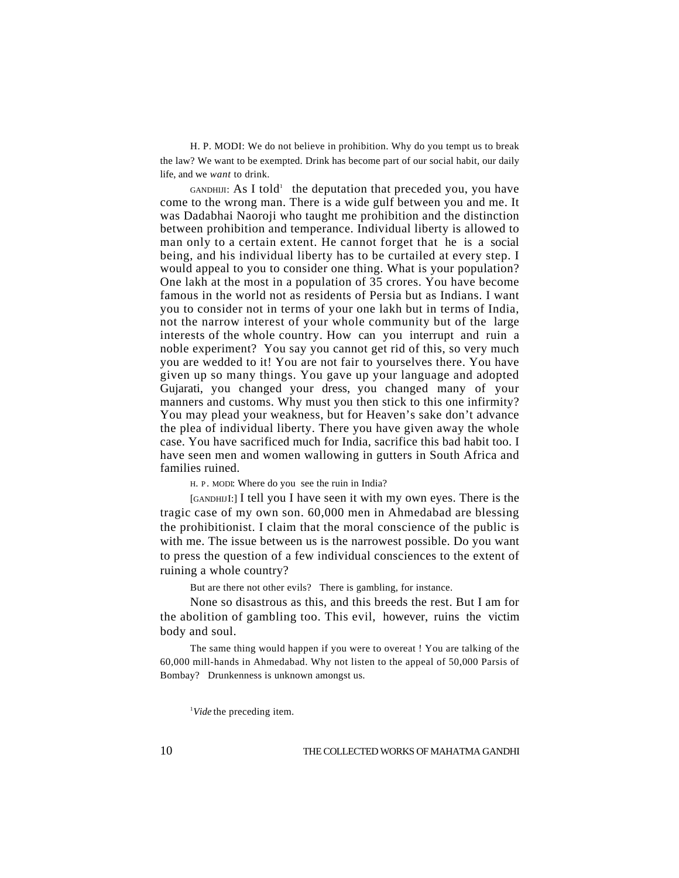H. P. MODI: We do not believe in prohibition. Why do you tempt us to break the law? We want to be exempted. Drink has become part of our social habit, our daily life, and we *want* to drink.

GANDHIJI: As I told<sup>1</sup> the deputation that preceded you, you have come to the wrong man. There is a wide gulf between you and me. It was Dadabhai Naoroji who taught me prohibition and the distinction between prohibition and temperance. Individual liberty is allowed to man only to a certain extent. He cannot forget that he is a social being, and his individual liberty has to be curtailed at every step. I would appeal to you to consider one thing. What is your population? One lakh at the most in a population of 35 crores. You have become famous in the world not as residents of Persia but as Indians. I want you to consider not in terms of your one lakh but in terms of India, not the narrow interest of your whole community but of the large interests of the whole country. How can you interrupt and ruin a noble experiment? You say you cannot get rid of this, so very much you are wedded to it! You are not fair to yourselves there. You have given up so many things. You gave up your language and adopted Gujarati, you changed your dress, you changed many of your manners and customs. Why must you then stick to this one infirmity? You may plead your weakness, but for Heaven's sake don't advance the plea of individual liberty. There you have given away the whole case. You have sacrificed much for India, sacrifice this bad habit too. I have seen men and women wallowing in gutters in South Africa and families ruined.

H. P. MODI: Where do you see the ruin in India?

[GANDHIJI:] I tell you I have seen it with my own eyes. There is the tragic case of my own son. 60,000 men in Ahmedabad are blessing the prohibitionist. I claim that the moral conscience of the public is with me. The issue between us is the narrowest possible. Do you want to press the question of a few individual consciences to the extent of ruining a whole country?

But are there not other evils? There is gambling, for instance.

None so disastrous as this, and this breeds the rest. But I am for the abolition of gambling too. This evil, however, ruins the victim body and soul.

The same thing would happen if you were to overeat ! You are talking of the 60,000 mill-hands in Ahmedabad. Why not listen to the appeal of 50,000 Parsis of Bombay? Drunkenness is unknown amongst us.

<sup>1</sup>*Vide* the preceding item.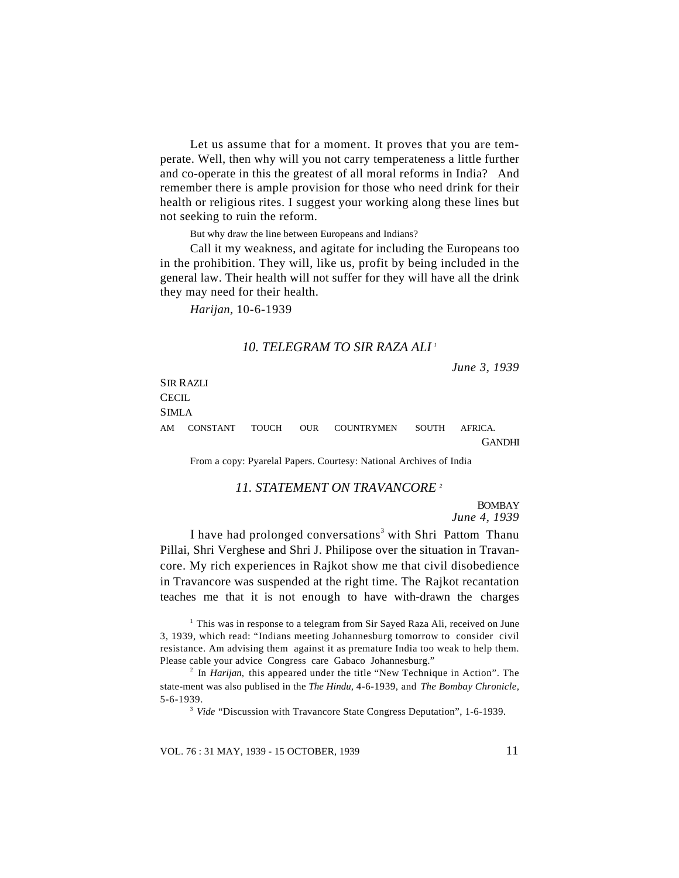Let us assume that for a moment. It proves that you are temperate. Well, then why will you not carry temperateness a little further and co-operate in this the greatest of all moral reforms in India? And remember there is ample provision for those who need drink for their health or religious rites. I suggest your working along these lines but not seeking to ruin the reform.

But why draw the line between Europeans and Indians?

Call it my weakness, and agitate for including the Europeans too in the prohibition. They will, like us, profit by being included in the general law. Their health will not suffer for they will have all the drink they may need for their health.

*Harijan,* 10-6-1939

#### *10. TELEGRAM TO SIR RAZA ALI <sup>1</sup>*

*June 3, 1939*

SIR RAZLI CECIL SIMLA AM CONSTANT TOUCH OUR COUNTRYMEN SOUTH AFRICA. **GANDHI** 

From a copy: Pyarelal Papers. Courtesy: National Archives of India

#### *11. STATEMENT ON TRAVANCORE <sup>2</sup>*

BOMBAY *June 4, 1939*

I have had prolonged conversations<sup>3</sup> with Shri Pattom Thanu Pillai, Shri Verghese and Shri J. Philipose over the situation in Travancore. My rich experiences in Rajkot show me that civil disobedience in Travancore was suspended at the right time. The Rajkot recantation teaches me that it is not enough to have with-drawn the charges

<sup>&</sup>lt;sup>1</sup> This was in response to a telegram from Sir Sayed Raza Ali, received on June 3, 1939, which read: "Indians meeting Johannesburg tomorrow to consider civil resistance. Am advising them against it as premature India too weak to help them. Please cable your advice Congress care Gabaco Johannesburg."

<sup>&</sup>lt;sup>2</sup> In *Harijan*, this appeared under the title "New Technique in Action". The state-ment was also publised in the *The Hindu,* 4-6-1939, and *The Bombay Chronicle,* 5-6-1939.

<sup>&</sup>lt;sup>3</sup> *Vide* "Discussion with Travancore State Congress Deputation", 1-6-1939.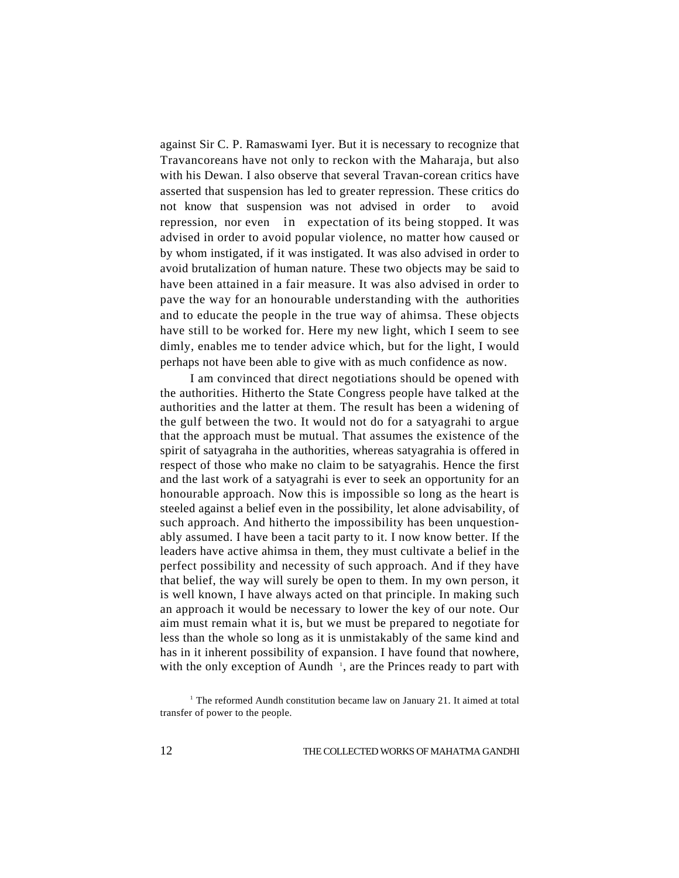against Sir C. P. Ramaswami Iyer. But it is necessary to recognize that Travancoreans have not only to reckon with the Maharaja, but also with his Dewan. I also observe that several Travan-corean critics have asserted that suspension has led to greater repression. These critics do not know that suspension was not advised in order to avoid repression, nor even in expectation of its being stopped. It was advised in order to avoid popular violence, no matter how caused or by whom instigated, if it was instigated. It was also advised in order to avoid brutalization of human nature. These two objects may be said to have been attained in a fair measure. It was also advised in order to pave the way for an honourable understanding with the authorities and to educate the people in the true way of ahimsa. These objects have still to be worked for. Here my new light, which I seem to see dimly, enables me to tender advice which, but for the light, I would perhaps not have been able to give with as much confidence as now.

I am convinced that direct negotiations should be opened with the authorities. Hitherto the State Congress people have talked at the authorities and the latter at them. The result has been a widening of the gulf between the two. It would not do for a satyagrahi to argue that the approach must be mutual. That assumes the existence of the spirit of satyagraha in the authorities, whereas satyagrahia is offered in respect of those who make no claim to be satyagrahis. Hence the first and the last work of a satyagrahi is ever to seek an opportunity for an honourable approach. Now this is impossible so long as the heart is steeled against a belief even in the possibility, let alone advisability, of such approach. And hitherto the impossibility has been unquestionably assumed. I have been a tacit party to it. I now know better. If the leaders have active ahimsa in them, they must cultivate a belief in the perfect possibility and necessity of such approach. And if they have that belief, the way will surely be open to them. In my own person, it is well known, I have always acted on that principle. In making such an approach it would be necessary to lower the key of our note. Our aim must remain what it is, but we must be prepared to negotiate for less than the whole so long as it is unmistakably of the same kind and has in it inherent possibility of expansion. I have found that nowhere, with the only exception of Aundh  $\,$ , are the Princes ready to part with

<sup>&</sup>lt;sup>1</sup> The reformed Aundh constitution became law on January 21. It aimed at total transfer of power to the people.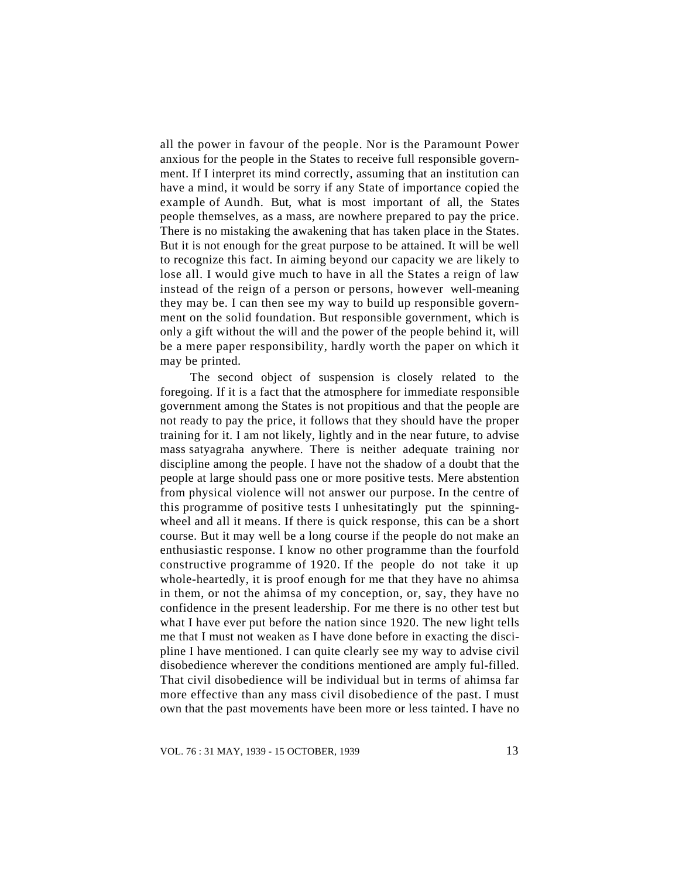all the power in favour of the people. Nor is the Paramount Power anxious for the people in the States to receive full responsible government. If I interpret its mind correctly, assuming that an institution can have a mind, it would be sorry if any State of importance copied the example of Aundh. But, what is most important of all, the States people themselves, as a mass, are nowhere prepared to pay the price. There is no mistaking the awakening that has taken place in the States. But it is not enough for the great purpose to be attained. It will be well to recognize this fact. In aiming beyond our capacity we are likely to lose all. I would give much to have in all the States a reign of law instead of the reign of a person or persons, however well-meaning they may be. I can then see my way to build up responsible government on the solid foundation. But responsible government, which is only a gift without the will and the power of the people behind it, will be a mere paper responsibility, hardly worth the paper on which it may be printed.

The second object of suspension is closely related to the foregoing. If it is a fact that the atmosphere for immediate responsible government among the States is not propitious and that the people are not ready to pay the price, it follows that they should have the proper training for it. I am not likely, lightly and in the near future, to advise mass satyagraha anywhere. There is neither adequate training nor discipline among the people. I have not the shadow of a doubt that the people at large should pass one or more positive tests. Mere abstention from physical violence will not answer our purpose. In the centre of this programme of positive tests I unhesitatingly put the spinningwheel and all it means. If there is quick response, this can be a short course. But it may well be a long course if the people do not make an enthusiastic response. I know no other programme than the fourfold constructive programme of 1920. If the people do not take it up whole-heartedly, it is proof enough for me that they have no ahimsa in them, or not the ahimsa of my conception, or, say, they have no confidence in the present leadership. For me there is no other test but what I have ever put before the nation since 1920. The new light tells me that I must not weaken as I have done before in exacting the discipline I have mentioned. I can quite clearly see my way to advise civil disobedience wherever the conditions mentioned are amply ful-filled. That civil disobedience will be individual but in terms of ahimsa far more effective than any mass civil disobedience of the past. I must own that the past movements have been more or less tainted. I have no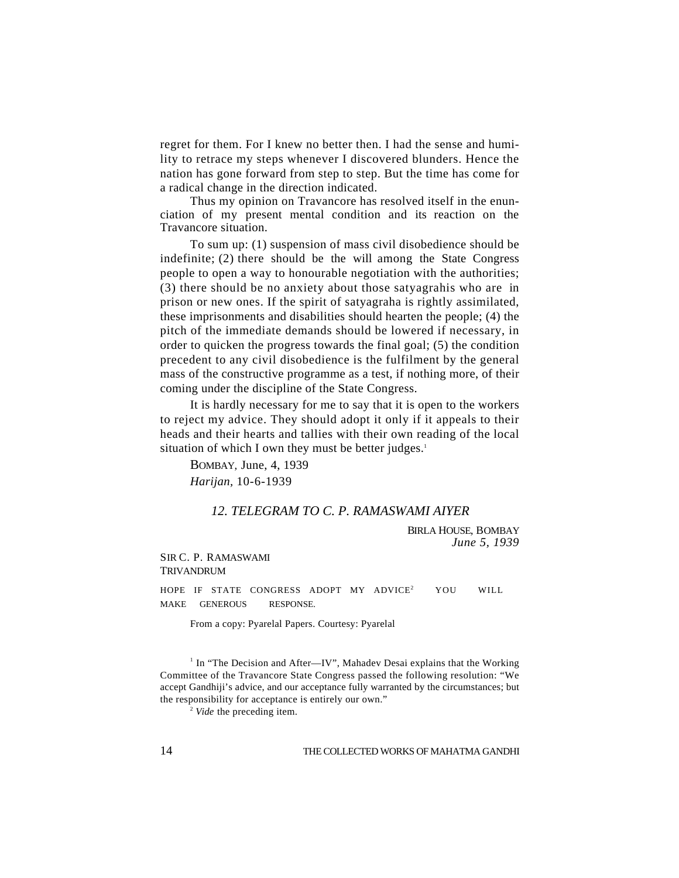regret for them. For I knew no better then. I had the sense and humility to retrace my steps whenever I discovered blunders. Hence the nation has gone forward from step to step. But the time has come for a radical change in the direction indicated.

Thus my opinion on Travancore has resolved itself in the enunciation of my present mental condition and its reaction on the Travancore situation.

To sum up: (1) suspension of mass civil disobedience should be indefinite; (2) there should be the will among the State Congress people to open a way to honourable negotiation with the authorities; (3) there should be no anxiety about those satyagrahis who are in prison or new ones. If the spirit of satyagraha is rightly assimilated, these imprisonments and disabilities should hearten the people; (4) the pitch of the immediate demands should be lowered if necessary, in order to quicken the progress towards the final goal; (5) the condition precedent to any civil disobedience is the fulfilment by the general mass of the constructive programme as a test, if nothing more, of their coming under the discipline of the State Congress.

It is hardly necessary for me to say that it is open to the workers to reject my advice. They should adopt it only if it appeals to their heads and their hearts and tallies with their own reading of the local situation of which I own they must be better judges. $<sup>1</sup>$ </sup>

BOMBAY, June, 4, 1939 *Harijan,* 10-6-1939

# *12. TELEGRAM TO C. P. RAMASWAMI AIYER*

BIRLA HOUSE, BOMBAY *June 5, 1939*

SIR C. P. RAMASWAMI TRIVANDRUM

HOPE IF STATE CONGRESS ADOPT MY ADVICE<sup>2</sup> YOU WILL MAKE GENEROUS RESPONSE.

From a copy: Pyarelal Papers. Courtesy: Pyarelal

<sup>1</sup> In "The Decision and After—IV", Mahadev Desai explains that the Working Committee of the Travancore State Congress passed the following resolution: "We accept Gandhiji's advice, and our acceptance fully warranted by the circumstances; but the responsibility for acceptance is entirely our own."

<sup>2</sup> *Vide* the preceding item.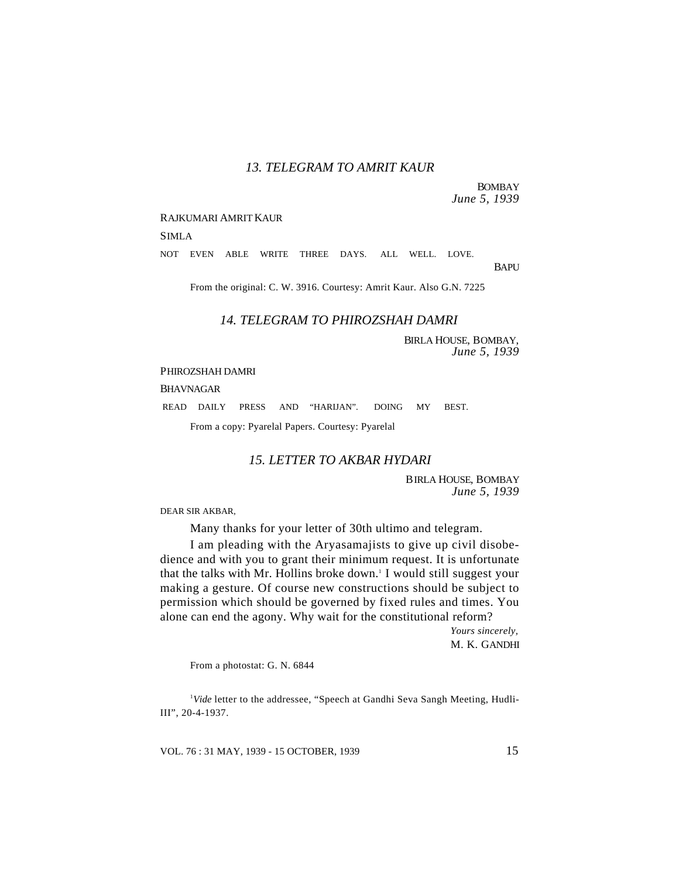#### *13. TELEGRAM TO AMRIT KAUR*

BOMBAY *June 5, 1939*

#### RAJKUMARI AMRIT KAUR

SIMLA

NOT EVEN ABLE WRITE THREE DAYS. ALL WELL. LOVE.

**BAPU** 

From the original: C. W. 3916. Courtesy: Amrit Kaur. Also G.N. 7225

#### *14. TELEGRAM TO PHIROZSHAH DAMRI*

BIRLA HOUSE, BOMBAY, *June 5, 1939*

#### PHIROZSHAH DAMRI

BHAVNAGAR

READ DAILY PRESS AND "HARIJAN". DOING MY BEST.

From a copy: Pyarelal Papers. Courtesy: Pyarelal

#### *15. LETTER TO AKBAR HYDARI*

 BIRLA HOUSE, BOMBAY *June 5, 1939*

DEAR SIR AKBAR,

Many thanks for your letter of 30th ultimo and telegram.

I am pleading with the Aryasamajists to give up civil disobedience and with you to grant their minimum request. It is unfortunate that the talks with Mr. Hollins broke down.<sup>1</sup> I would still suggest your making a gesture. Of course new constructions should be subject to permission which should be governed by fixed rules and times. You alone can end the agony. Why wait for the constitutional reform?

> *Yours sincerely,* M. K. GANDHI

From a photostat: G. N. 6844

<sup>1</sup>Vide letter to the addressee, "Speech at Gandhi Seva Sangh Meeting, Hudli-III", 20-4-1937.

VOL. 76 : 31 MAY, 1939 - 15 OCTOBER, 1939 15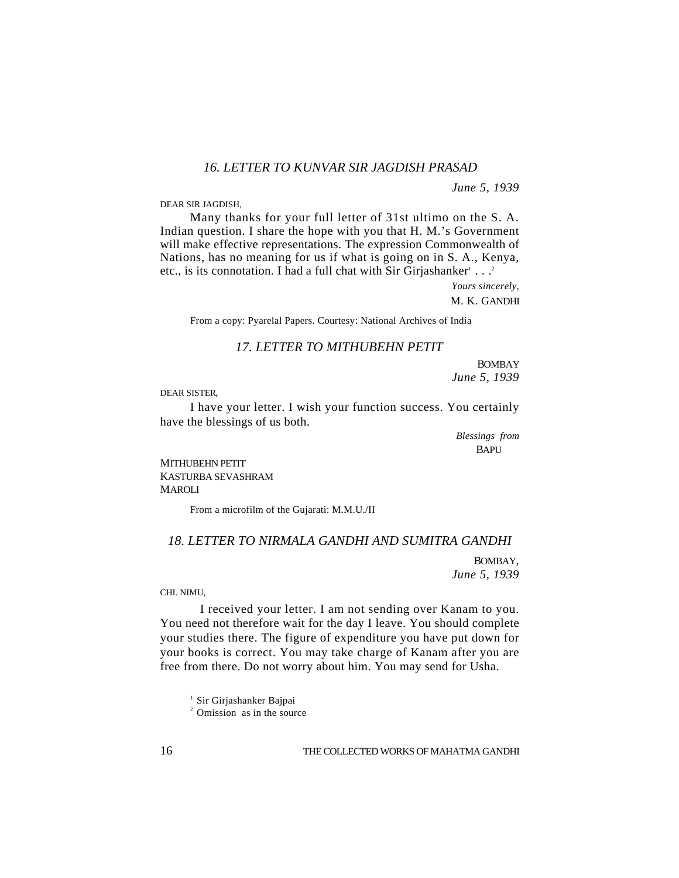## *16. LETTER TO KUNVAR SIR JAGDISH PRASAD*

*June 5, 1939*

DEAR SIR JAGDISH,

Many thanks for your full letter of 31st ultimo on the S. A. Indian question. I share the hope with you that H. M.'s Government will make effective representations. The expression Commonwealth of Nations, has no meaning for us if what is going on in S. A., Kenya, etc., is its connotation. I had a full chat with Sir Girjashanker<sup>1</sup> . . .<sup>2</sup>

*Yours sincerely,*

M. K. GANDHI

From a copy: Pyarelal Papers. Courtesy: National Archives of India

## *17. LETTER TO MITHUBEHN PETIT*

BOMBAY *June 5, 1939*

DEAR SISTER,

I have your letter. I wish your function success. You certainly have the blessings of us both.

> *Blessings from* **BAPU**

MITHUBEHN PETIT KASTURBA SEVASHRAM MAROLI

From a microfilm of the Gujarati: M.M.U./II

## *18. LETTER TO NIRMALA GANDHI AND SUMITRA GANDHI*

BOMBAY, *June 5, 1939*

CHI. NIMU,

I received your letter. I am not sending over Kanam to you. You need not therefore wait for the day I leave. You should complete your studies there. The figure of expenditure you have put down for your books is correct. You may take charge of Kanam after you are free from there. Do not worry about him. You may send for Usha.

1 Sir Girjashanker Bajpai

<sup>2</sup> Omission as in the source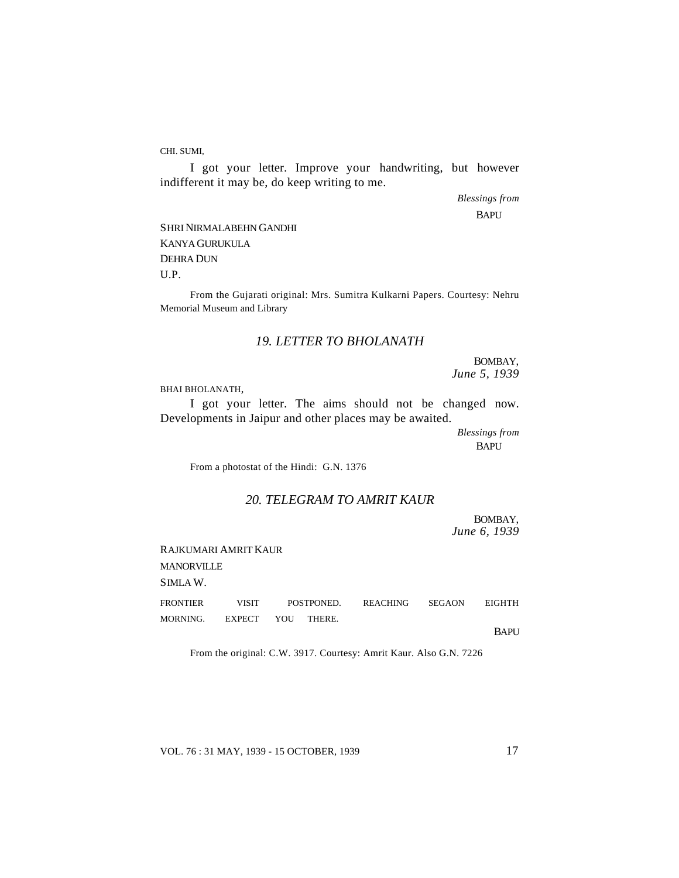CHI. SUMI,

I got your letter. Improve your handwriting, but however indifferent it may be, do keep writing to me.

> *Blessings from* BAPU

SHRI NIRMALABEHN GANDHI KANYA GURUKULA DEHRA DUN U.P.

From the Gujarati original: Mrs. Sumitra Kulkarni Papers. Courtesy: Nehru Memorial Museum and Library

#### *19. LETTER TO BHOLANATH*

BOMBAY, *June 5, 1939*

BHAI BHOLANATH,

I got your letter. The aims should not be changed now. Developments in Jaipur and other places may be awaited.

> *Blessings from* **BAPU**

From a photostat of the Hindi: G.N. 1376

## *20. TELEGRAM TO AMRIT KAUR*

BOMBAY, *June 6, 1939*

RAJKUMARI AMRIT KAUR

**MANORVILLE** 

SIMLA W.

| FRONTIER | VISIT  | POSTPONED. |        | REACHING | <b>SEGAON</b> | EIGHTH      |
|----------|--------|------------|--------|----------|---------------|-------------|
| MORNING. | EXPECT | YOU        | THERE. |          |               |             |
|          |        |            |        |          |               | <b>BAPU</b> |

From the original: C.W. 3917. Courtesy: Amrit Kaur. Also G.N. 7226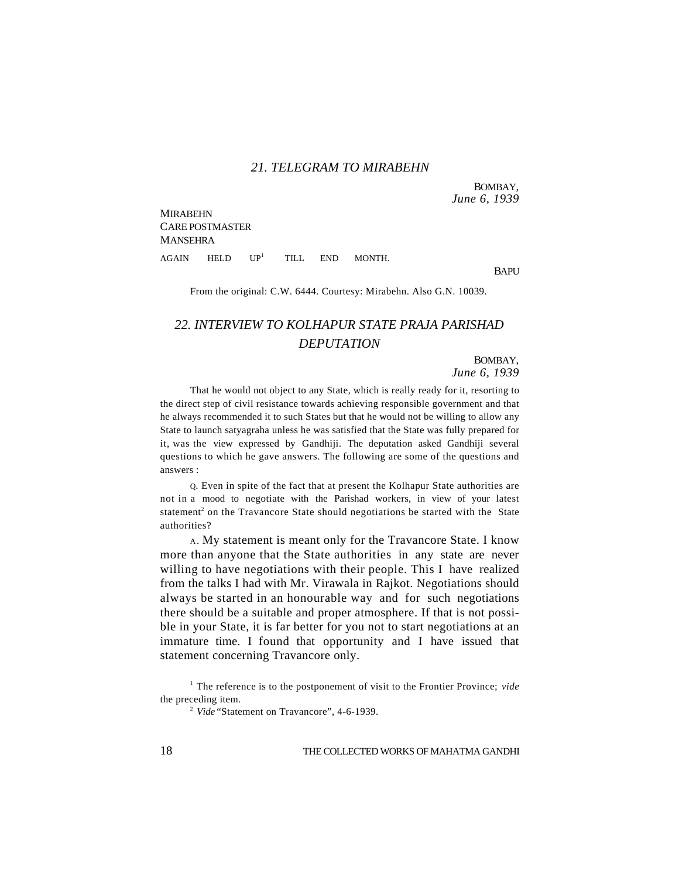#### *21. TELEGRAM TO MIRABEHN*

BOMBAY, *June 6, 1939*

**MIRABEHN** CARE POSTMASTER MANSEHRA

 $AGAIN$  HELD  $UP<sup>1</sup>$ TILL END MONTH.

**BAPU** 

From the original: C.W. 6444. Courtesy: Mirabehn. Also G.N. 10039.

# *22. INTERVIEW TO KOLHAPUR STATE PRAJA PARISHAD DEPUTATION*

BOMBAY, *June 6, 1939*

That he would not object to any State, which is really ready for it, resorting to the direct step of civil resistance towards achieving responsible government and that he always recommended it to such States but that he would not be willing to allow any State to launch satyagraha unless he was satisfied that the State was fully prepared for it, was the view expressed by Gandhiji. The deputation asked Gandhiji several questions to which he gave answers. The following are some of the questions and answers :

Q. Even in spite of the fact that at present the Kolhapur State authorities are not in a mood to negotiate with the Parishad workers, in view of your latest statement<sup>2</sup> on the Travancore State should negotiations be started with the State authorities?

<sup>A</sup>. My statement is meant only for the Travancore State. I know more than anyone that the State authorities in any state are never willing to have negotiations with their people. This I have realized from the talks I had with Mr. Virawala in Rajkot. Negotiations should always be started in an honourable way and for such negotiations there should be a suitable and proper atmosphere. If that is not possible in your State, it is far better for you not to start negotiations at an immature time. I found that opportunity and I have issued that statement concerning Travancore only.

<sup>&</sup>lt;sup>1</sup> The reference is to the postponement of visit to the Frontier Province; *vide* the preceding item.

<sup>2</sup> *Vide* "Statement on Travancore", 4-6-1939.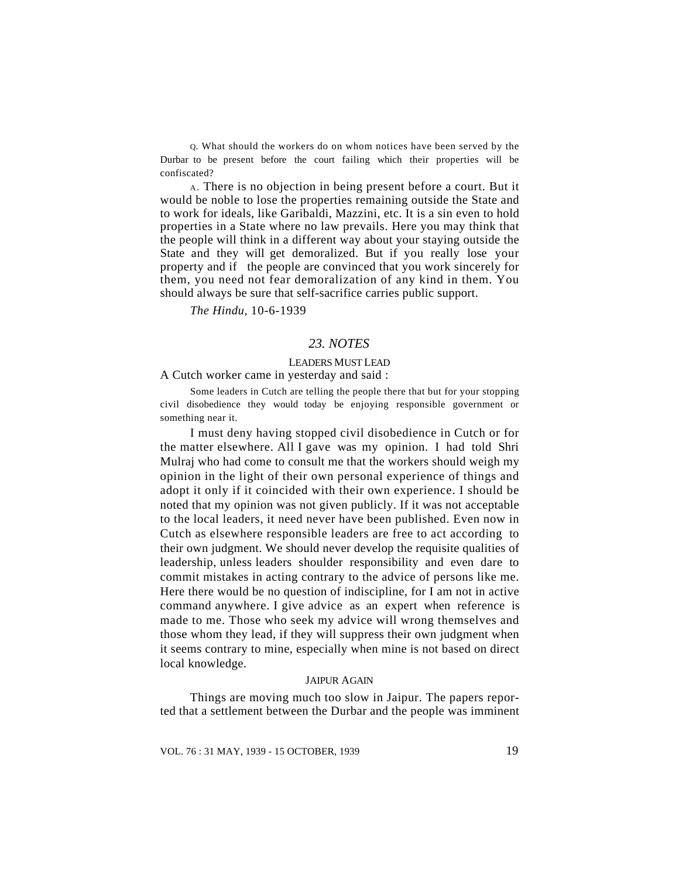Q. What should the workers do on whom notices have been served by the Durbar to be present before the court failing which their properties will be confiscated?

<sup>A</sup>. There is no objection in being present before a court. But it would be noble to lose the properties remaining outside the State and to work for ideals, like Garibaldi, Mazzini, etc. It is a sin even to hold properties in a State where no law prevails. Here you may think that the people will think in a different way about your staying outside the State and they will get demoralized. But if you really lose your property and if the people are convinced that you work sincerely for them, you need not fear demoralization of any kind in them. You should always be sure that self-sacrifice carries public support.

*The Hindu,* 10-6-1939

#### *23. NOTES*

#### LEADERS MUST LEAD

A Cutch worker came in yesterday and said :

Some leaders in Cutch are telling the people there that but for your stopping civil disobedience they would today be enjoying responsible government or something near it.

I must deny having stopped civil disobedience in Cutch or for the matter elsewhere. All I gave was my opinion. I had told Shri Mulraj who had come to consult me that the workers should weigh my opinion in the light of their own personal experience of things and adopt it only if it coincided with their own experience. I should be noted that my opinion was not given publicly. If it was not acceptable to the local leaders, it need never have been published. Even now in Cutch as elsewhere responsible leaders are free to act according to their own judgment. We should never develop the requisite qualities of leadership, unless leaders shoulder responsibility and even dare to commit mistakes in acting contrary to the advice of persons like me. Here there would be no question of indiscipline, for I am not in active command anywhere. I give advice as an expert when reference is made to me. Those who seek my advice will wrong themselves and those whom they lead, if they will suppress their own judgment when it seems contrary to mine, especially when mine is not based on direct local knowledge.

#### JAIPUR AGAIN

Things are moving much too slow in Jaipur. The papers reported that a settlement between the Durbar and the people was imminent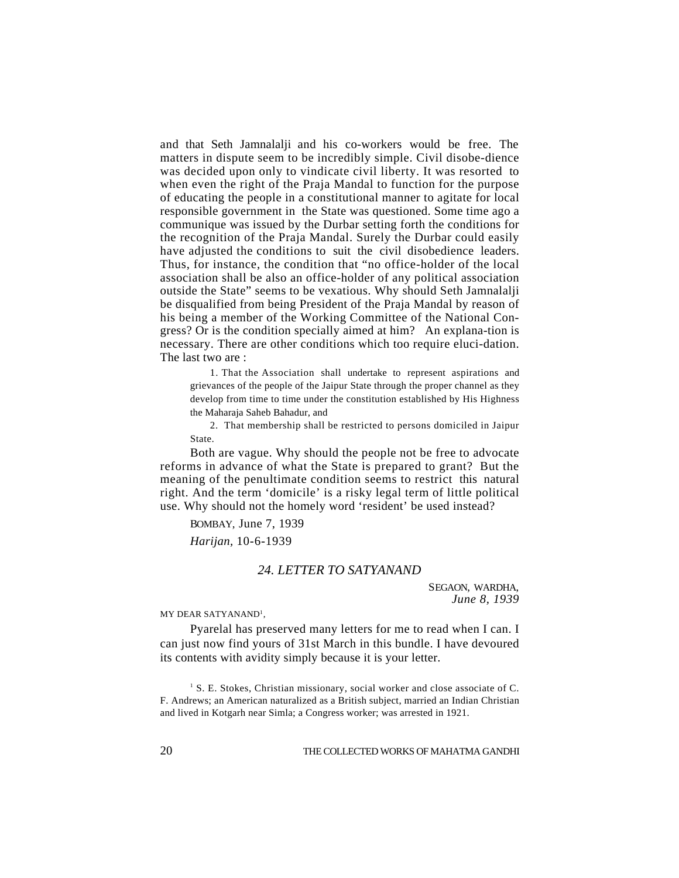and that Seth Jamnalalji and his co-workers would be free. The matters in dispute seem to be incredibly simple. Civil disobe-dience was decided upon only to vindicate civil liberty. It was resorted to when even the right of the Praja Mandal to function for the purpose of educating the people in a constitutional manner to agitate for local responsible government in the State was questioned. Some time ago a communique was issued by the Durbar setting forth the conditions for the recognition of the Praja Mandal. Surely the Durbar could easily have adjusted the conditions to suit the civil disobedience leaders. Thus, for instance, the condition that "no office-holder of the local association shall be also an office-holder of any political association outside the State" seems to be vexatious. Why should Seth Jamnalalji be disqualified from being President of the Praja Mandal by reason of his being a member of the Working Committee of the National Congress? Or is the condition specially aimed at him? An explana-tion is necessary. There are other conditions which too require eluci-dation. The last two are :

1. That the Association shall undertake to represent aspirations and grievances of the people of the Jaipur State through the proper channel as they develop from time to time under the constitution established by His Highness the Maharaja Saheb Bahadur, and

2. That membership shall be restricted to persons domiciled in Jaipur State.

Both are vague. Why should the people not be free to advocate reforms in advance of what the State is prepared to grant? But the meaning of the penultimate condition seems to restrict this natural right. And the term 'domicile' is a risky legal term of little political use. Why should not the homely word 'resident' be used instead?

BOMBAY, June 7, 1939 *Harijan,* 10-6-1939

## *24. LETTER TO SATYANAND*

SEGAON, WARDHA, *June 8, 1939*

MY DEAR SATYANAND<sup>1</sup>,

Pyarelal has preserved many letters for me to read when I can. I can just now find yours of 31st March in this bundle. I have devoured its contents with avidity simply because it is your letter.

<sup>1</sup> S. E. Stokes, Christian missionary, social worker and close associate of C. F. Andrews; an American naturalized as a British subject, married an Indian Christian and lived in Kotgarh near Simla; a Congress worker; was arrested in 1921.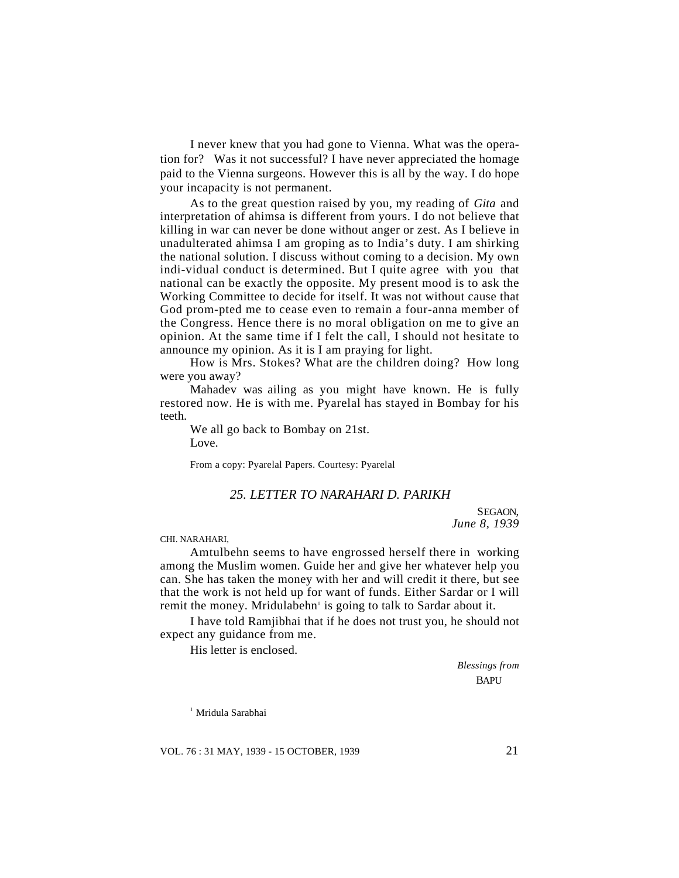I never knew that you had gone to Vienna. What was the operation for? Was it not successful? I have never appreciated the homage paid to the Vienna surgeons. However this is all by the way. I do hope your incapacity is not permanent.

As to the great question raised by you, my reading of *Gita* and interpretation of ahimsa is different from yours. I do not believe that killing in war can never be done without anger or zest. As I believe in unadulterated ahimsa I am groping as to India's duty. I am shirking the national solution. I discuss without coming to a decision. My own indi-vidual conduct is determined. But I quite agree with you that national can be exactly the opposite. My present mood is to ask the Working Committee to decide for itself. It was not without cause that God prom-pted me to cease even to remain a four-anna member of the Congress. Hence there is no moral obligation on me to give an opinion. At the same time if I felt the call, I should not hesitate to announce my opinion. As it is I am praying for light.

How is Mrs. Stokes? What are the children doing? How long were you away?

Mahadev was ailing as you might have known. He is fully restored now. He is with me. Pyarelal has stayed in Bombay for his teeth.

We all go back to Bombay on 21st.  $\overline{L}$  ove.

From a copy: Pyarelal Papers. Courtesy: Pyarelal

#### *25. LETTER TO NARAHARI D. PARIKH*

SEGAON, *June 8, 1939*

CHI. NARAHARI,

Amtulbehn seems to have engrossed herself there in working among the Muslim women. Guide her and give her whatever help you can. She has taken the money with her and will credit it there, but see that the work is not held up for want of funds. Either Sardar or I will remit the money. Mridulabehn<sup>1</sup> is going to talk to Sardar about it.

I have told Ramjibhai that if he does not trust you, he should not expect any guidance from me.

His letter is enclosed.

*Blessings from* **BAPU** 

<sup>1</sup> Mridula Sarabhai

VOL. 76 : 31 MAY, 1939 - 15 OCTOBER, 1939 21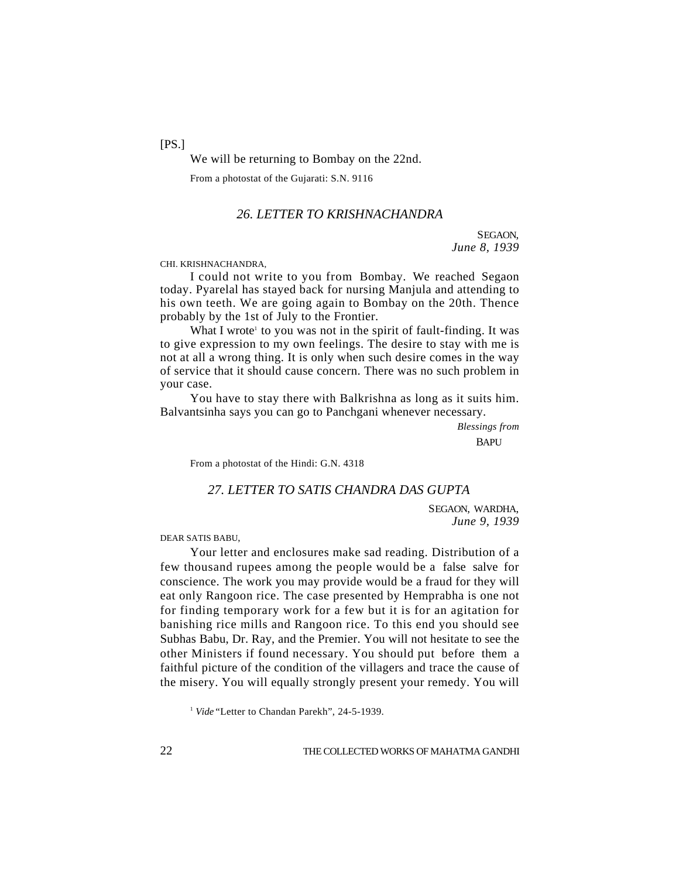$[PS.]$ 

We will be returning to Bombay on the 22nd.

From a photostat of the Gujarati: S.N. 9116

### *26. LETTER TO KRISHNACHANDRA*

SEGAON, *June 8, 1939*

CHI. KRISHNACHANDRA,

I could not write to you from Bombay. We reached Segaon today. Pyarelal has stayed back for nursing Manjula and attending to his own teeth. We are going again to Bombay on the 20th. Thence probably by the 1st of July to the Frontier.

What I wrote<sup>1</sup> to you was not in the spirit of fault-finding. It was to give expression to my own feelings. The desire to stay with me is not at all a wrong thing. It is only when such desire comes in the way of service that it should cause concern. There was no such problem in your case.

You have to stay there with Balkrishna as long as it suits him. Balvantsinha says you can go to Panchgani whenever necessary.

> *Blessings from* **BAPU**

From a photostat of the Hindi: G.N. 4318

#### *27. LETTER TO SATIS CHANDRA DAS GUPTA*

SEGAON, WARDHA, *June 9, 1939*

DEAR SATIS BABU,

Your letter and enclosures make sad reading. Distribution of a few thousand rupees among the people would be a false salve for conscience. The work you may provide would be a fraud for they will eat only Rangoon rice. The case presented by Hemprabha is one not for finding temporary work for a few but it is for an agitation for banishing rice mills and Rangoon rice. To this end you should see Subhas Babu, Dr. Ray, and the Premier. You will not hesitate to see the other Ministers if found necessary. You should put before them a faithful picture of the condition of the villagers and trace the cause of the misery. You will equally strongly present your remedy. You will

<sup>1</sup> *Vide* "Letter to Chandan Parekh", 24-5-1939.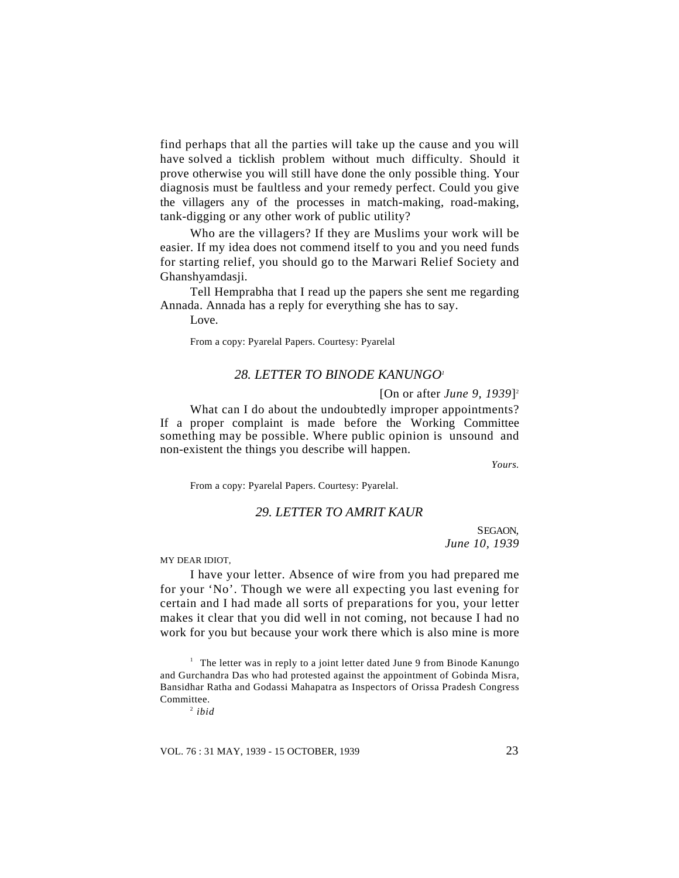find perhaps that all the parties will take up the cause and you will have solved a ticklish problem without much difficulty. Should it prove otherwise you will still have done the only possible thing. Your diagnosis must be faultless and your remedy perfect. Could you give the villagers any of the processes in match-making, road-making, tank-digging or any other work of public utility?

Who are the villagers? If they are Muslims your work will be easier. If my idea does not commend itself to you and you need funds for starting relief, you should go to the Marwari Relief Society and Ghanshyamdasji.

Tell Hemprabha that I read up the papers she sent me regarding Annada. Annada has a reply for everything she has to say.

Love.

From a copy: Pyarelal Papers. Courtesy: Pyarelal

# *28. LETTER TO BINODE KANUNGO<sup>1</sup>*

[On or after *June 9, 1939*] 2

What can I do about the undoubtedly improper appointments? If a proper complaint is made before the Working Committee something may be possible. Where public opinion is unsound and non-existent the things you describe will happen.

*Yours.*

From a copy: Pyarelal Papers. Courtesy: Pyarelal.

## *29. LETTER TO AMRIT KAUR*

SEGAON, *June 10, 1939*

MY DEAR IDIOT,

I have your letter. Absence of wire from you had prepared me for your 'No'. Though we were all expecting you last evening for certain and I had made all sorts of preparations for you, your letter makes it clear that you did well in not coming, not because I had no work for you but because your work there which is also mine is more

<sup>1</sup> The letter was in reply to a joint letter dated June 9 from Binode Kanungo and Gurchandra Das who had protested against the appointment of Gobinda Misra, Bansidhar Ratha and Godassi Mahapatra as Inspectors of Orissa Pradesh Congress Committee.

2 *ibid*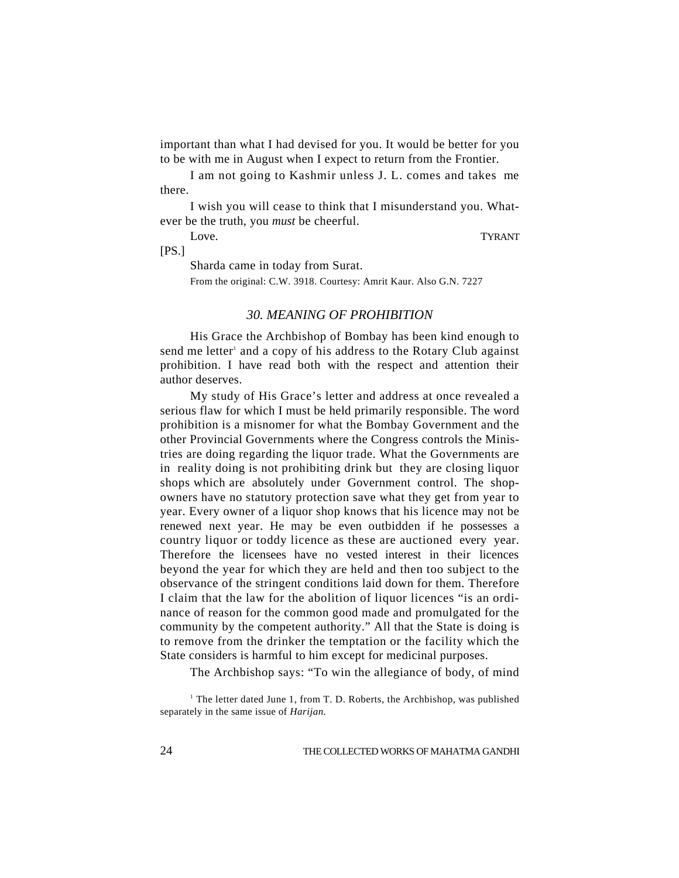important than what I had devised for you. It would be better for you to be with me in August when I expect to return from the Frontier.

I am not going to Kashmir unless J. L. comes and takes me there.

I wish you will cease to think that I misunderstand you. Whatever be the truth, you *must* be cheerful.

Love. TYRANT

[PS.]

Sharda came in today from Surat.

From the original: C.W. 3918. Courtesy: Amrit Kaur. Also G.N. 7227

# *30. MEANING OF PROHIBITION*

His Grace the Archbishop of Bombay has been kind enough to send me letter<sup>1</sup> and a copy of his address to the Rotary Club against prohibition. I have read both with the respect and attention their author deserves.

My study of His Grace's letter and address at once revealed a serious flaw for which I must be held primarily responsible. The word prohibition is a misnomer for what the Bombay Government and the other Provincial Governments where the Congress controls the Ministries are doing regarding the liquor trade. What the Governments are in reality doing is not prohibiting drink but they are closing liquor shops which are absolutely under Government control. The shopowners have no statutory protection save what they get from year to year. Every owner of a liquor shop knows that his licence may not be renewed next year. He may be even outbidden if he possesses a country liquor or toddy licence as these are auctioned every year. Therefore the licensees have no vested interest in their licences beyond the year for which they are held and then too subject to the observance of the stringent conditions laid down for them. Therefore I claim that the law for the abolition of liquor licences "is an ordinance of reason for the common good made and promulgated for the community by the competent authority." All that the State is doing is to remove from the drinker the temptation or the facility which the State considers is harmful to him except for medicinal purposes.

The Archbishop says: "To win the allegiance of body, of mind

<sup>&</sup>lt;sup>1</sup> The letter dated June 1, from T. D. Roberts, the Archbishop, was published separately in the same issue of *Harijan.*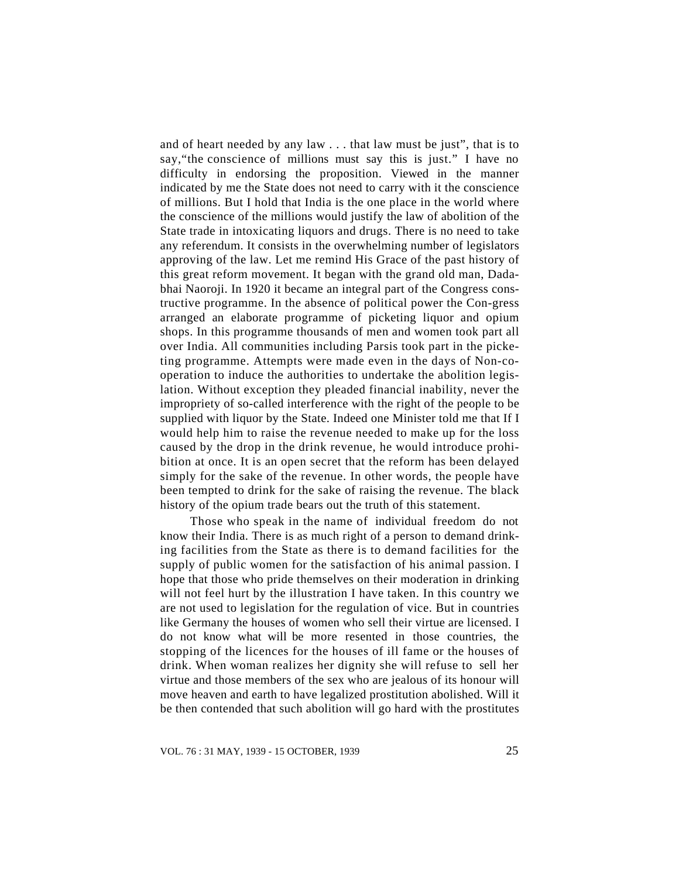and of heart needed by any law . . . that law must be just", that is to say,"the conscience of millions must say this is just." I have no difficulty in endorsing the proposition. Viewed in the manner indicated by me the State does not need to carry with it the conscience of millions. But I hold that India is the one place in the world where the conscience of the millions would justify the law of abolition of the State trade in intoxicating liquors and drugs. There is no need to take any referendum. It consists in the overwhelming number of legislators approving of the law. Let me remind His Grace of the past history of this great reform movement. It began with the grand old man, Dadabhai Naoroji. In 1920 it became an integral part of the Congress constructive programme. In the absence of political power the Con-gress arranged an elaborate programme of picketing liquor and opium shops. In this programme thousands of men and women took part all over India. All communities including Parsis took part in the picketing programme. Attempts were made even in the days of Non-cooperation to induce the authorities to undertake the abolition legislation. Without exception they pleaded financial inability, never the impropriety of so-called interference with the right of the people to be supplied with liquor by the State. Indeed one Minister told me that If I would help him to raise the revenue needed to make up for the loss caused by the drop in the drink revenue, he would introduce prohibition at once. It is an open secret that the reform has been delayed simply for the sake of the revenue. In other words, the people have been tempted to drink for the sake of raising the revenue. The black history of the opium trade bears out the truth of this statement.

Those who speak in the name of individual freedom do not know their India. There is as much right of a person to demand drinking facilities from the State as there is to demand facilities for the supply of public women for the satisfaction of his animal passion. I hope that those who pride themselves on their moderation in drinking will not feel hurt by the illustration I have taken. In this country we are not used to legislation for the regulation of vice. But in countries like Germany the houses of women who sell their virtue are licensed. I do not know what will be more resented in those countries, the stopping of the licences for the houses of ill fame or the houses of drink. When woman realizes her dignity she will refuse to sell her virtue and those members of the sex who are jealous of its honour will move heaven and earth to have legalized prostitution abolished. Will it be then contended that such abolition will go hard with the prostitutes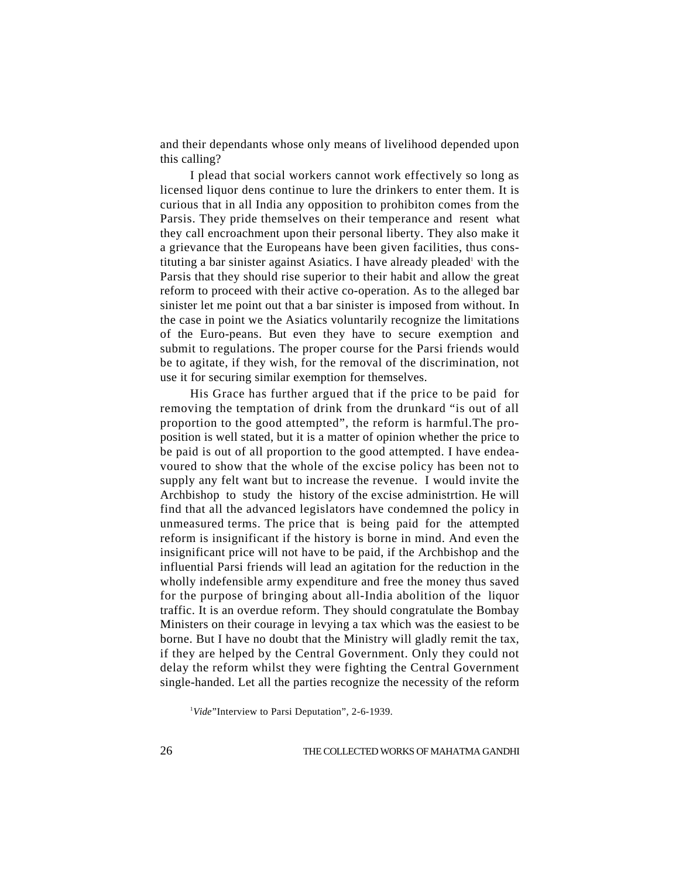and their dependants whose only means of livelihood depended upon this calling?

I plead that social workers cannot work effectively so long as licensed liquor dens continue to lure the drinkers to enter them. It is curious that in all India any opposition to prohibiton comes from the Parsis. They pride themselves on their temperance and resent what they call encroachment upon their personal liberty. They also make it a grievance that the Europeans have been given facilities, thus constituting a bar sinister against Asiatics. I have already pleaded<sup>1</sup> with the Parsis that they should rise superior to their habit and allow the great reform to proceed with their active co-operation. As to the alleged bar sinister let me point out that a bar sinister is imposed from without. In the case in point we the Asiatics voluntarily recognize the limitations of the Euro-peans. But even they have to secure exemption and submit to regulations. The proper course for the Parsi friends would be to agitate, if they wish, for the removal of the discrimination, not use it for securing similar exemption for themselves.

His Grace has further argued that if the price to be paid for removing the temptation of drink from the drunkard "is out of all proportion to the good attempted", the reform is harmful.The proposition is well stated, but it is a matter of opinion whether the price to be paid is out of all proportion to the good attempted. I have endeavoured to show that the whole of the excise policy has been not to supply any felt want but to increase the revenue. I would invite the Archbishop to study the history of the excise administrtion. He will find that all the advanced legislators have condemned the policy in unmeasured terms. The price that is being paid for the attempted reform is insignificant if the history is borne in mind. And even the insignificant price will not have to be paid, if the Archbishop and the influential Parsi friends will lead an agitation for the reduction in the wholly indefensible army expenditure and free the money thus saved for the purpose of bringing about all-India abolition of the liquor traffic. It is an overdue reform. They should congratulate the Bombay Ministers on their courage in levying a tax which was the easiest to be borne. But I have no doubt that the Ministry will gladly remit the tax, if they are helped by the Central Government. Only they could not delay the reform whilst they were fighting the Central Government single-handed. Let all the parties recognize the necessity of the reform

<sup>&</sup>lt;sup>1</sup>Vide"Interview to Parsi Deputation", 2-6-1939.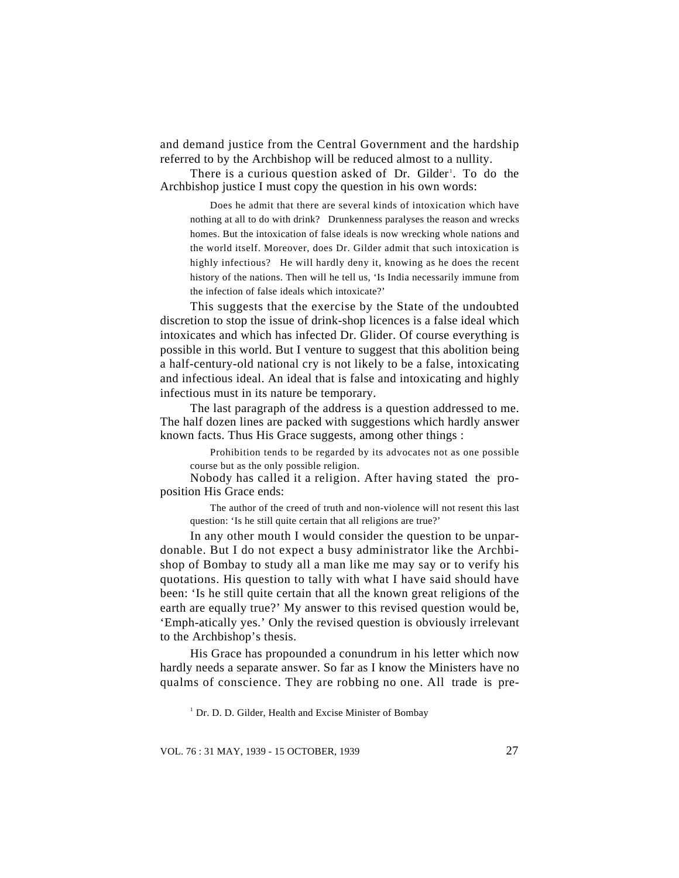and demand justice from the Central Government and the hardship referred to by the Archbishop will be reduced almost to a nullity.

There is a curious question asked of Dr. Gilder<sup>1</sup>. To do the Archbishop justice I must copy the question in his own words:

Does he admit that there are several kinds of intoxication which have nothing at all to do with drink? Drunkenness paralyses the reason and wrecks homes. But the intoxication of false ideals is now wrecking whole nations and the world itself. Moreover, does Dr. Gilder admit that such intoxication is highly infectious? He will hardly deny it, knowing as he does the recent history of the nations. Then will he tell us, 'Is India necessarily immune from the infection of false ideals which intoxicate?'

This suggests that the exercise by the State of the undoubted discretion to stop the issue of drink-shop licences is a false ideal which intoxicates and which has infected Dr. Glider. Of course everything is possible in this world. But I venture to suggest that this abolition being a half-century-old national cry is not likely to be a false, intoxicating and infectious ideal. An ideal that is false and intoxicating and highly infectious must in its nature be temporary.

The last paragraph of the address is a question addressed to me. The half dozen lines are packed with suggestions which hardly answer known facts. Thus His Grace suggests, among other things :

Prohibition tends to be regarded by its advocates not as one possible course but as the only possible religion.

Nobody has called it a religion. After having stated the proposition His Grace ends:

The author of the creed of truth and non-violence will not resent this last question: 'Is he still quite certain that all religions are true?'

In any other mouth I would consider the question to be unpardonable. But I do not expect a busy administrator like the Archbishop of Bombay to study all a man like me may say or to verify his quotations. His question to tally with what I have said should have been: 'Is he still quite certain that all the known great religions of the earth are equally true?' My answer to this revised question would be, 'Emph-atically yes.' Only the revised question is obviously irrelevant to the Archbishop's thesis.

His Grace has propounded a conundrum in his letter which now hardly needs a separate answer. So far as I know the Ministers have no qualms of conscience. They are robbing no one. All trade is pre-

<sup>1</sup> Dr. D. D. Gilder, Health and Excise Minister of Bombay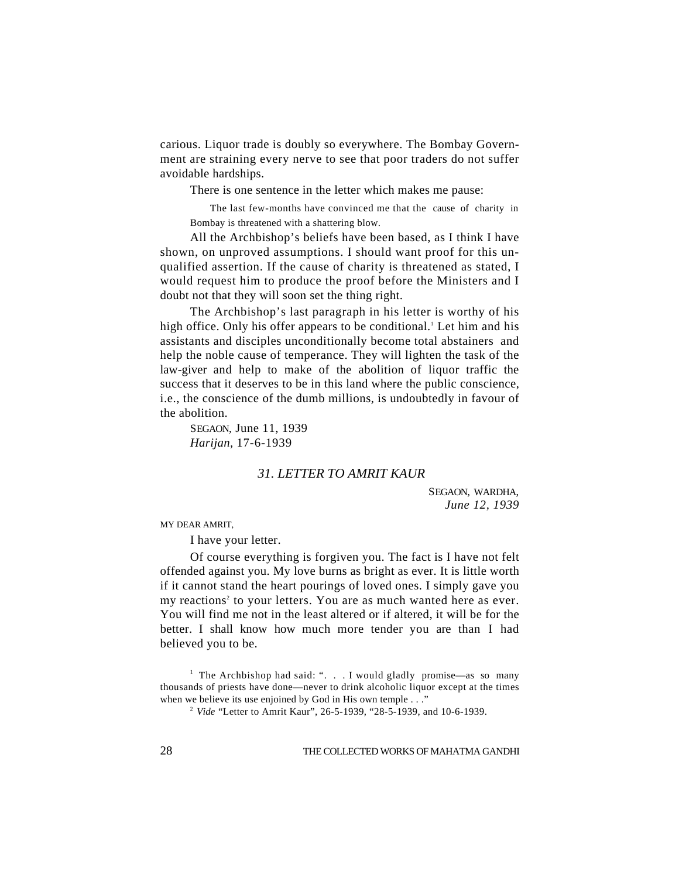carious. Liquor trade is doubly so everywhere. The Bombay Government are straining every nerve to see that poor traders do not suffer avoidable hardships.

There is one sentence in the letter which makes me pause:

The last few-months have convinced me that the cause of charity in Bombay is threatened with a shattering blow.

All the Archbishop's beliefs have been based, as I think I have shown, on unproved assumptions. I should want proof for this unqualified assertion. If the cause of charity is threatened as stated, I would request him to produce the proof before the Ministers and I doubt not that they will soon set the thing right.

The Archbishop's last paragraph in his letter is worthy of his high office. Only his offer appears to be conditional.<sup>1</sup> Let him and his assistants and disciples unconditionally become total abstainers and help the noble cause of temperance. They will lighten the task of the law-giver and help to make of the abolition of liquor traffic the success that it deserves to be in this land where the public conscience, i.e., the conscience of the dumb millions, is undoubtedly in favour of the abolition.

SEGAON, June 11, 1939 *Harijan,* 17-6-1939

#### *31. LETTER TO AMRIT KAUR*

SEGAON, WARDHA, *June 12, 1939*

MY DEAR AMRIT,

I have your letter.

Of course everything is forgiven you. The fact is I have not felt offended against you. My love burns as bright as ever. It is little worth if it cannot stand the heart pourings of loved ones. I simply gave you my reactions<sup>2</sup> to your letters. You are as much wanted here as ever. You will find me not in the least altered or if altered, it will be for the better. I shall know how much more tender you are than I had believed you to be.

<sup>1</sup> The Archbishop had said: " $\ldots$  I would gladly promise—as so many thousands of priests have done—never to drink alcoholic liquor except at the times when we believe its use enjoined by God in His own temple . . ."

<sup>2</sup> *Vide* "Letter to Amrit Kaur", 26-5-1939, "28-5-1939, and 10-6-1939.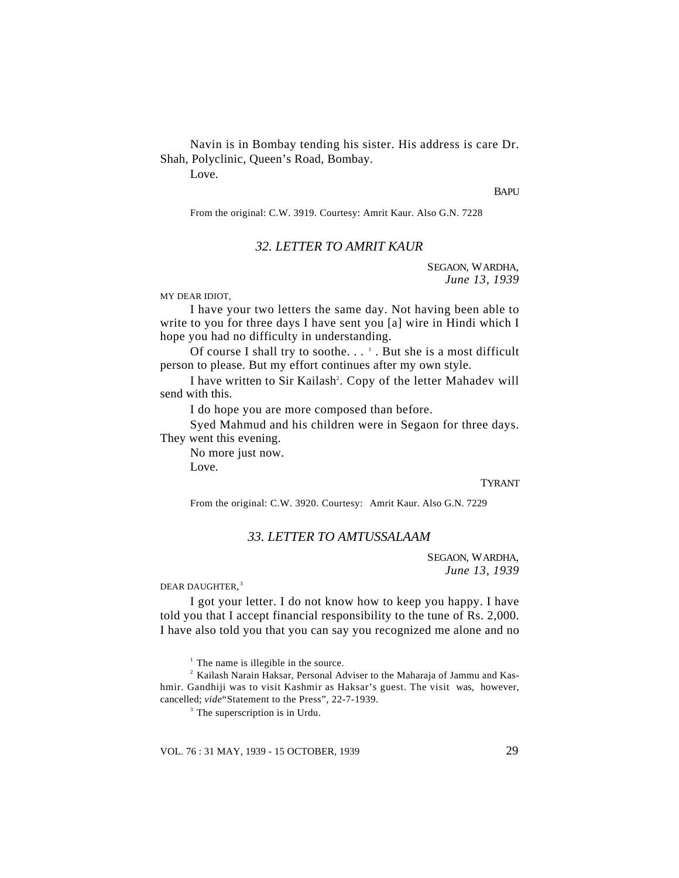Navin is in Bombay tending his sister. His address is care Dr. Shah, Polyclinic, Queen's Road, Bombay.

Love.

**BAPU** 

From the original: C.W. 3919. Courtesy: Amrit Kaur. Also G.N. 7228

#### *32. LETTER TO AMRIT KAUR*

SEGAON, WARDHA, *June 13, 1939*

MY DEAR IDIOT,

I have your two letters the same day. Not having been able to write to you for three days I have sent you [a] wire in Hindi which I hope you had no difficulty in understanding.

Of course I shall try to soothe...<sup>1</sup>. But she is a most difficult person to please. But my effort continues after my own style.

I have written to Sir Kailash<sup>2</sup>. Copy of the letter Mahadev will send with this.

I do hope you are more composed than before.

Syed Mahmud and his children were in Segaon for three days. They went this evening.

No more just now. Love.

#### TYRANT

From the original: C.W. 3920. Courtesy: Amrit Kaur. Also G.N. 7229

## *33. LETTER TO AMTUSSALAAM*

SEGAON, WARDHA, *June 13, 1939*

DEAR DAUGHTER,<sup>3</sup>

I got your letter. I do not know how to keep you happy. I have told you that I accept financial responsibility to the tune of Rs. 2,000. I have also told you that you can say you recognized me alone and no

 $<sup>1</sup>$  The name is illegible in the source.</sup>

<sup>2</sup> Kailash Narain Haksar, Personal Adviser to the Maharaja of Jammu and Kashmir. Gandhiji was to visit Kashmir as Haksar's guest. The visit was, however, cancelled; *vide*"Statement to the Press", 22-7-1939.

 $3$  The superscription is in Urdu.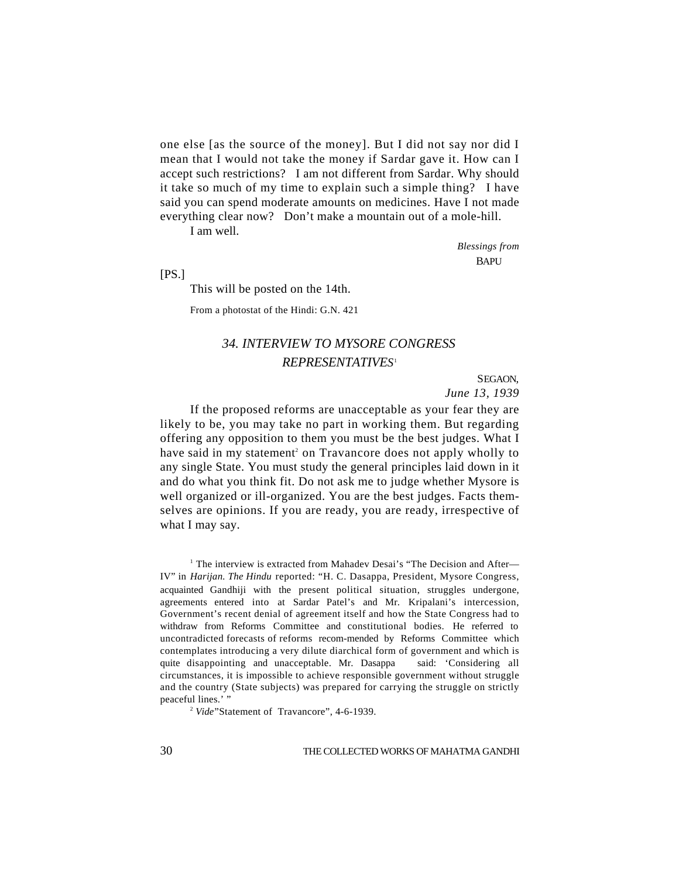one else [as the source of the money]. But I did not say nor did I mean that I would not take the money if Sardar gave it. How can I accept such restrictions? I am not different from Sardar. Why should it take so much of my time to explain such a simple thing? I have said you can spend moderate amounts on medicines. Have I not made everything clear now? Don't make a mountain out of a mole-hill.

I am well.

*Blessings from* BAPU

[PS.]

This will be posted on the 14th.

From a photostat of the Hindi: G.N. 421

# *34. INTERVIEW TO MYSORE CONGRESS REPRESENTATIVES* 1

SEGAON, *June 13, 1939*

If the proposed reforms are unacceptable as your fear they are likely to be, you may take no part in working them. But regarding offering any opposition to them you must be the best judges. What I have said in my statement<sup>2</sup> on Travancore does not apply wholly to any single State. You must study the general principles laid down in it and do what you think fit. Do not ask me to judge whether Mysore is well organized or ill-organized. You are the best judges. Facts themselves are opinions. If you are ready, you are ready, irrespective of what I may say.

<sup>1</sup> The interview is extracted from Mahadev Desai's "The Decision and After-IV" in *Harijan. The Hindu* reported: "H. C. Dasappa, President, Mysore Congress, acquainted Gandhiji with the present political situation, struggles undergone, agreements entered into at Sardar Patel's and Mr. Kripalani's intercession, Government's recent denial of agreement itself and how the State Congress had to withdraw from Reforms Committee and constitutional bodies. He referred to uncontradicted forecasts of reforms recom-mended by Reforms Committee which contemplates introducing a very dilute diarchical form of government and which is quite disappointing and unacceptable. Mr. Dasappa said: 'Considering all circumstances, it is impossible to achieve responsible government without struggle and the country (State subjects) was prepared for carrying the struggle on strictly peaceful lines.' "

<sup>2</sup> *Vide*"Statement of Travancore", 4-6-1939.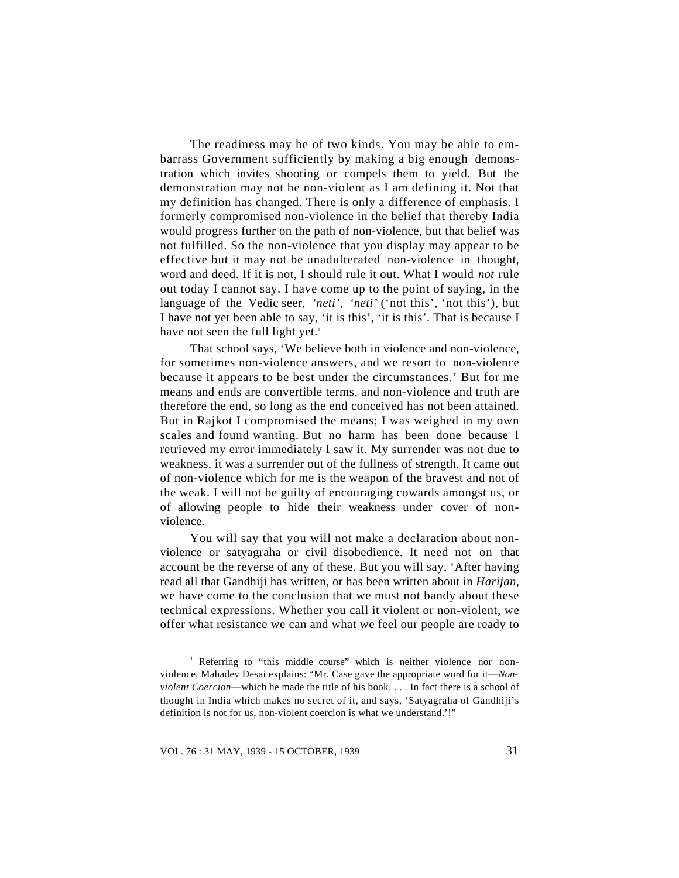The readiness may be of two kinds. You may be able to embarrass Government sufficiently by making a big enough demonstration which invites shooting or compels them to yield. But the demonstration may not be non-violent as I am defining it. Not that my definition has changed. There is only a difference of emphasis. I formerly compromised non-violence in the belief that thereby India would progress further on the path of non-violence, but that belief was not fulfilled. So the non-violence that you display may appear to be effective but it may not be unadulterated non-violence in thought, word and deed. If it is not, I should rule it out. What I would *not* rule out today I cannot say. I have come up to the point of saying, in the language of the Vedic seer, *'neti', 'neti'* ('not this', 'not this'), but I have not yet been able to say, 'it is this', 'it is this'. That is because I have not seen the full light yet.<sup>1</sup>

That school says, 'We believe both in violence and non-violence, for sometimes non-violence answers, and we resort to non-violence because it appears to be best under the circumstances.' But for me means and ends are convertible terms, and non-violence and truth are therefore the end, so long as the end conceived has not been attained. But in Rajkot I compromised the means; I was weighed in my own scales and found wanting. But no harm has been done because I retrieved my error immediately I saw it. My surrender was not due to weakness, it was a surrender out of the fullness of strength. It came out of non-violence which for me is the weapon of the bravest and not of the weak. I will not be guilty of encouraging cowards amongst us, or of allowing people to hide their weakness under cover of nonviolence.

You will say that you will not make a declaration about nonviolence or satyagraha or civil disobedience. It need not on that account be the reverse of any of these. But you will say, 'After having read all that Gandhiji has written, or has been written about in *Harijan,* we have come to the conclusion that we must not bandy about these technical expressions. Whether you call it violent or non-violent, we offer what resistance we can and what we feel our people are ready to

<sup>1</sup> Referring to "this middle course" which is neither violence nor nonviolence, Mahadev Desai explains: "Mr. Case gave the appropriate word for it—*Nonviolent Coercion*—which he made the title of his book. . . . In fact there is a school of thought in India which makes no secret of it, and says, 'Satyagraha of Gandhiji's definition is not for us, non-violent coercion is what we understand.'!"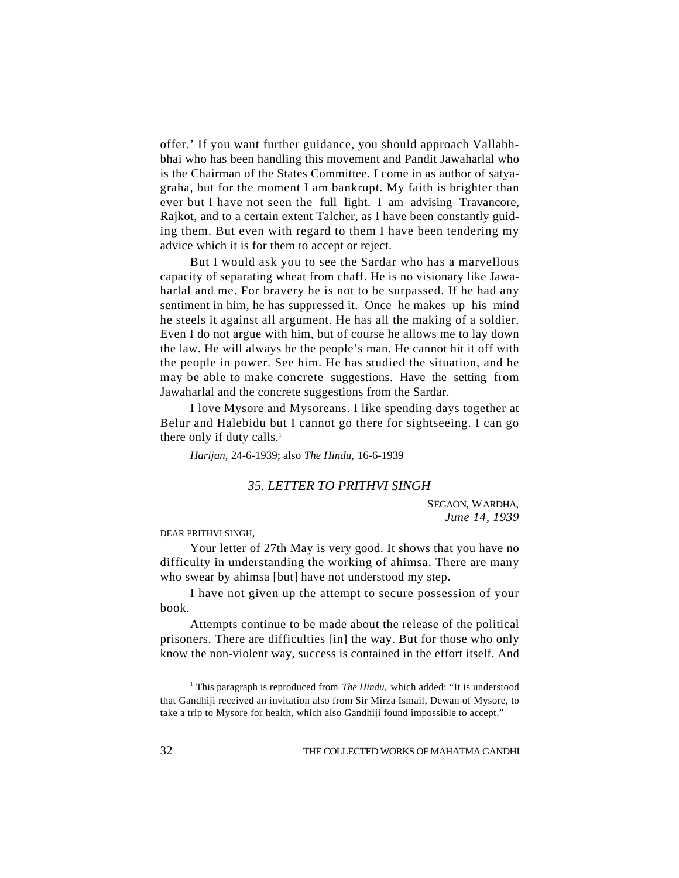offer.' If you want further guidance, you should approach Vallabhbhai who has been handling this movement and Pandit Jawaharlal who is the Chairman of the States Committee. I come in as author of satyagraha, but for the moment I am bankrupt. My faith is brighter than ever but I have not seen the full light. I am advising Travancore, Rajkot, and to a certain extent Talcher, as I have been constantly guiding them. But even with regard to them I have been tendering my advice which it is for them to accept or reject.

But I would ask you to see the Sardar who has a marvellous capacity of separating wheat from chaff. He is no visionary like Jawaharlal and me. For bravery he is not to be surpassed. If he had any sentiment in him, he has suppressed it. Once he makes up his mind he steels it against all argument. He has all the making of a soldier. Even I do not argue with him, but of course he allows me to lay down the law. He will always be the people's man. He cannot hit it off with the people in power. See him. He has studied the situation, and he may be able to make concrete suggestions. Have the setting from Jawaharlal and the concrete suggestions from the Sardar.

I love Mysore and Mysoreans. I like spending days together at Belur and Halebidu but I cannot go there for sightseeing. I can go there only if duty calls. $<sup>1</sup>$ </sup>

*Harijan,* 24-6-1939; also *The Hindu,* 16-6-1939

## *35. LETTER TO PRITHVI SINGH*

SEGAON, WARDHA, *June 14, 1939*

DEAR PRITHVI SINGH,

Your letter of 27th May is very good. It shows that you have no difficulty in understanding the working of ahimsa. There are many who swear by ahimsa [but] have not understood my step.

I have not given up the attempt to secure possession of your book.

Attempts continue to be made about the release of the political prisoners. There are difficulties [in] the way. But for those who only know the non-violent way, success is contained in the effort itself. And

<sup>1</sup> This paragraph is reproduced from *The Hindu*, which added: "It is understood that Gandhiji received an invitation also from Sir Mirza Ismail, Dewan of Mysore, to take a trip to Mysore for health, which also Gandhiji found impossible to accept."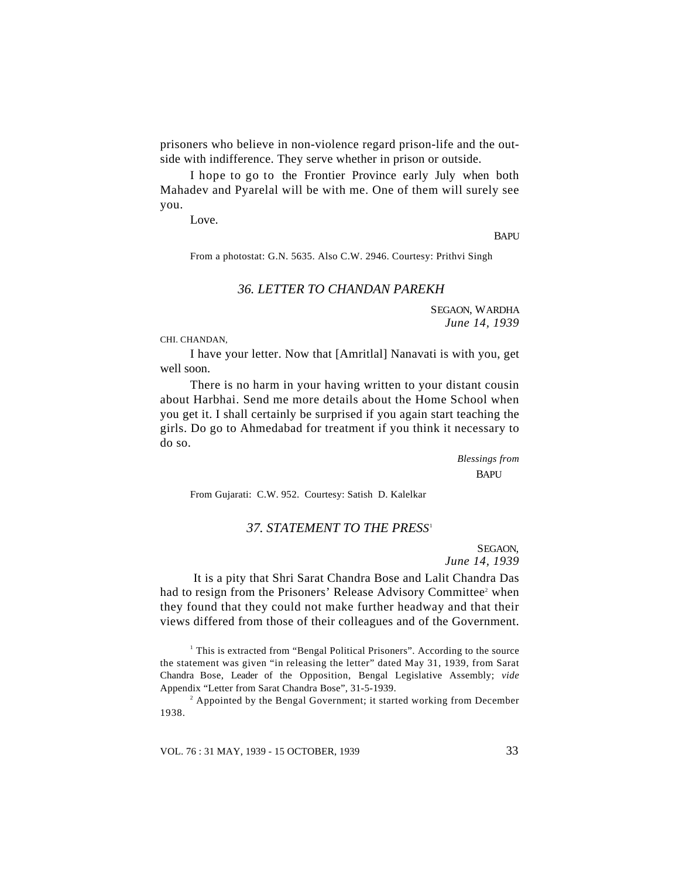prisoners who believe in non-violence regard prison-life and the outside with indifference. They serve whether in prison or outside.

I hope to go to the Frontier Province early July when both Mahadev and Pyarelal will be with me. One of them will surely see you.

Love.

**BAPU** 

From a photostat: G.N. 5635. Also C.W. 2946. Courtesy: Prithvi Singh

#### *36. LETTER TO CHANDAN PAREKH*

SEGAON, WARDHA *June 14, 1939*

#### CHI. CHANDAN,

I have your letter. Now that [Amritlal] Nanavati is with you, get well soon.

There is no harm in your having written to your distant cousin about Harbhai. Send me more details about the Home School when you get it. I shall certainly be surprised if you again start teaching the girls. Do go to Ahmedabad for treatment if you think it necessary to do so.

> *Blessings from* **BAPU**

From Gujarati: C.W. 952. Courtesy: Satish D. Kalelkar

### *37. STATEMENT TO THE PRESS* 1

SEGAON, *June 14, 1939*

 It is a pity that Shri Sarat Chandra Bose and Lalit Chandra Das had to resign from the Prisoners' Release Advisory Committee<sup>2</sup> when they found that they could not make further headway and that their views differed from those of their colleagues and of the Government.

<sup>1</sup> This is extracted from "Bengal Political Prisoners". According to the source the statement was given "in releasing the letter" dated May 31, 1939, from Sarat Chandra Bose, Leader of the Opposition, Bengal Legislative Assembly; *vide* Appendix "Letter from Sarat Chandra Bose", 31-5-1939.

<sup>2</sup> Appointed by the Bengal Government; it started working from December 1938.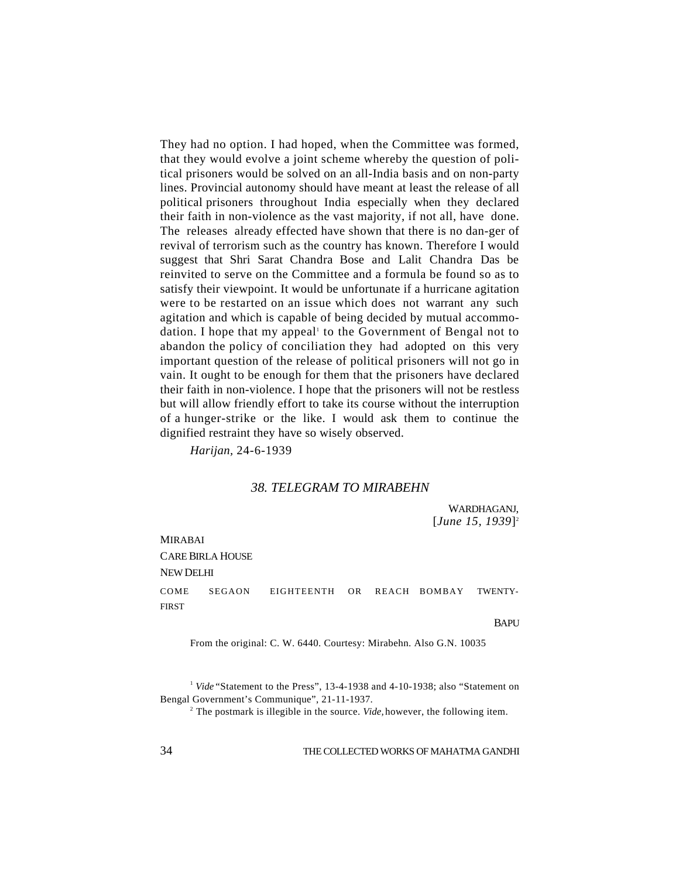They had no option. I had hoped, when the Committee was formed, that they would evolve a joint scheme whereby the question of political prisoners would be solved on an all-India basis and on non-party lines. Provincial autonomy should have meant at least the release of all political prisoners throughout India especially when they declared their faith in non-violence as the vast majority, if not all, have done. The releases already effected have shown that there is no dan-ger of revival of terrorism such as the country has known. Therefore I would suggest that Shri Sarat Chandra Bose and Lalit Chandra Das be reinvited to serve on the Committee and a formula be found so as to satisfy their viewpoint. It would be unfortunate if a hurricane agitation were to be restarted on an issue which does not warrant any such agitation and which is capable of being decided by mutual accommodation. I hope that my appeal<sup>1</sup> to the Government of Bengal not to abandon the policy of conciliation they had adopted on this very important question of the release of political prisoners will not go in vain. It ought to be enough for them that the prisoners have declared their faith in non-violence. I hope that the prisoners will not be restless but will allow friendly effort to take its course without the interruption of a hunger-strike or the like. I would ask them to continue the dignified restraint they have so wisely observed.

*Harijan,* 24-6-1939

#### *38. TELEGRAM TO MIRABEHN*

WARDHAGANJ, [*June 15, 1939*] 2

MIRABAI CARE BIRLA HOUSE NEW DELHI COME SEGAON EIGHTEENTH OR REACH BOMBAY TWENTY-**FIRST** 

**BAPU** 

From the original: C. W. 6440. Courtesy: Mirabehn. Also G.N. 10035

<sup>1</sup> *Vide* "Statement to the Press", 13-4-1938 and 4-10-1938; also "Statement on Bengal Government's Communique", 21-11-1937.

<sup>2</sup> The postmark is illegible in the source. *Vide*, however, the following item.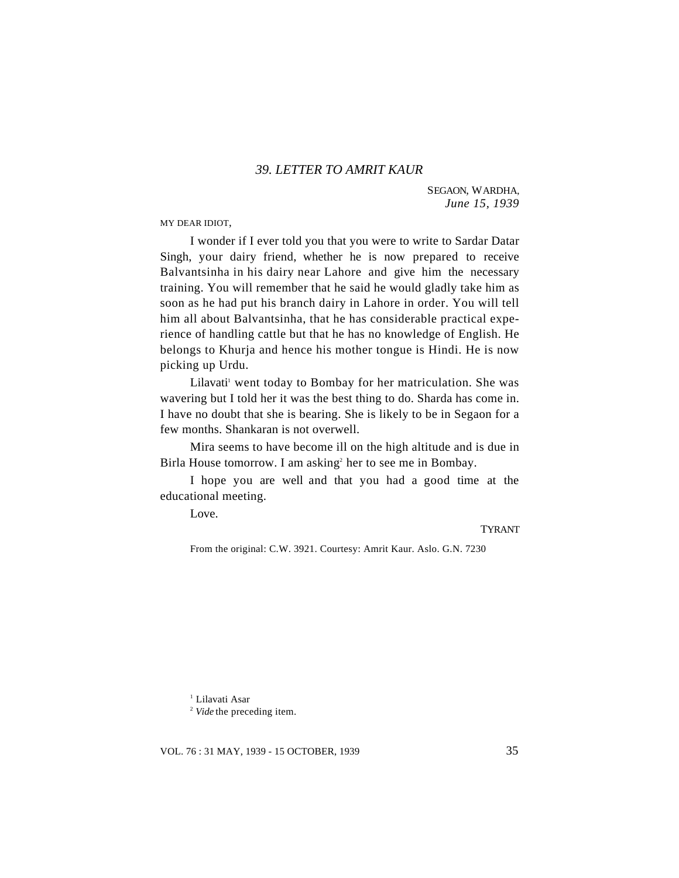#### *39. LETTER TO AMRIT KAUR*

SEGAON, WARDHA, *June 15, 1939*

MY DEAR IDIOT,

I wonder if I ever told you that you were to write to Sardar Datar Singh, your dairy friend, whether he is now prepared to receive Balvantsinha in his dairy near Lahore and give him the necessary training. You will remember that he said he would gladly take him as soon as he had put his branch dairy in Lahore in order. You will tell him all about Balvantsinha, that he has considerable practical experience of handling cattle but that he has no knowledge of English. He belongs to Khurja and hence his mother tongue is Hindi. He is now picking up Urdu.

Lilavati' went today to Bombay for her matriculation. She was wavering but I told her it was the best thing to do. Sharda has come in. I have no doubt that she is bearing. She is likely to be in Segaon for a few months. Shankaran is not overwell.

Mira seems to have become ill on the high altitude and is due in Birla House tomorrow. I am asking<sup>2</sup> her to see me in Bombay.

I hope you are well and that you had a good time at the educational meeting.

Love.

TYRANT

From the original: C.W. 3921. Courtesy: Amrit Kaur. Aslo. G.N. 7230

1 Lilavati Asar

<sup>2</sup> *Vide* the preceding item.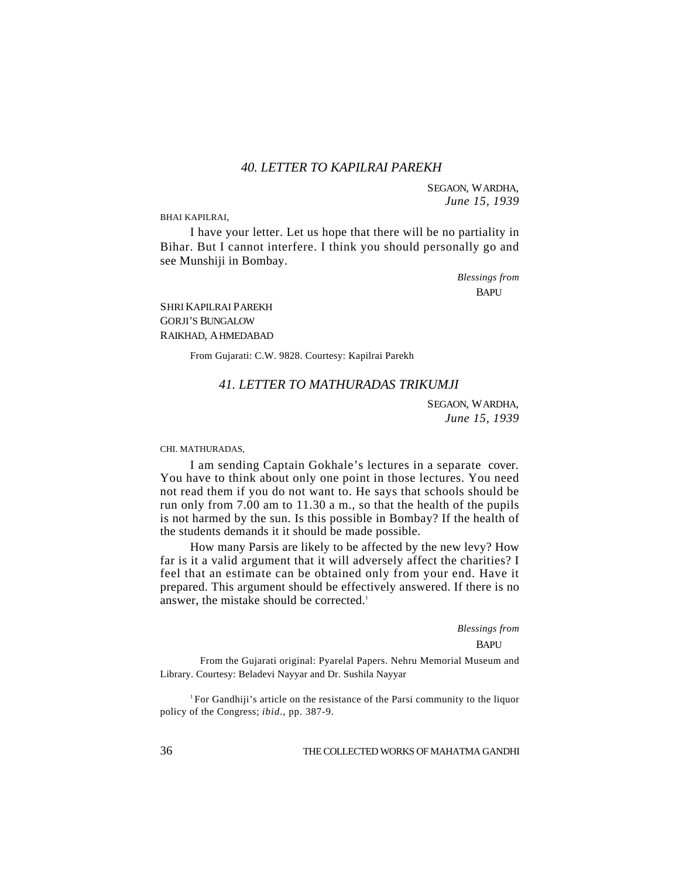## *40. LETTER TO KAPILRAI PAREKH*

SEGAON, WARDHA, *June 15, 1939*

BHAI KAPILRAI,

I have your letter. Let us hope that there will be no partiality in Bihar. But I cannot interfere. I think you should personally go and see Munshiji in Bombay.

> *Blessings from* **BAPU**

#### SHRI KAPILRAI PAREKH GORJI'S BUNGALOW RAIKHAD, AHMEDABAD

From Gujarati: C.W. 9828. Courtesy: Kapilrai Parekh

## *41. LETTER TO MATHURADAS TRIKUMJI*

SEGAON, WARDHA, *June 15, 1939*

CHI. MATHURADAS,

I am sending Captain Gokhale's lectures in a separate cover. You have to think about only one point in those lectures. You need not read them if you do not want to. He says that schools should be run only from 7.00 am to 11.30 a m., so that the health of the pupils is not harmed by the sun. Is this possible in Bombay? If the health of the students demands it it should be made possible.

How many Parsis are likely to be affected by the new levy? How far is it a valid argument that it will adversely affect the charities? I feel that an estimate can be obtained only from your end. Have it prepared. This argument should be effectively answered. If there is no answer, the mistake should be corrected.<sup>1</sup>

*Blessings from*

BAPU

From the Gujarati original: Pyarelal Papers. Nehru Memorial Museum and Library. Courtesy: Beladevi Nayyar and Dr. Sushila Nayyar

<sup>1</sup>For Gandhiji's article on the resistance of the Parsi community to the liquor policy of the Congress; *ibid*., pp. 387-9.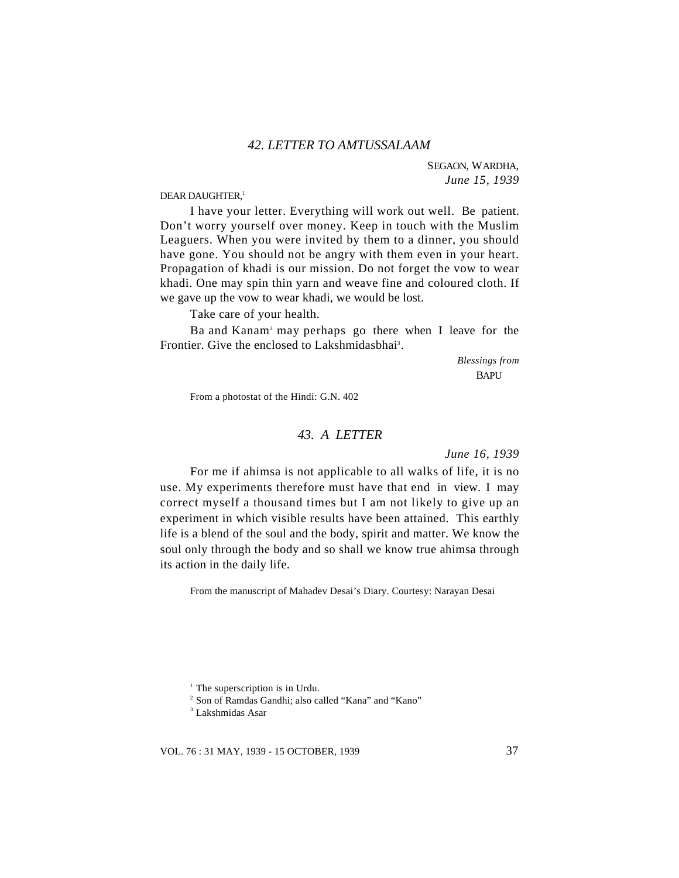# *42. LETTER TO AMTUSSALAAM*

SEGAON, WARDHA, *June 15, 1939*

DEAR DAUGHTER,<sup>1</sup>

I have your letter. Everything will work out well. Be patient. Don't worry yourself over money. Keep in touch with the Muslim Leaguers. When you were invited by them to a dinner, you should have gone. You should not be angry with them even in your heart. Propagation of khadi is our mission. Do not forget the vow to wear khadi. One may spin thin yarn and weave fine and coloured cloth. If we gave up the vow to wear khadi, we would be lost.

Take care of your health.

Ba and Kanam<sup>2</sup> may perhaps go there when I leave for the Frontier. Give the enclosed to Lakshmidasbhai<sup>3</sup>.

> *Blessings from* BAPU

From a photostat of the Hindi: G.N. 402

# *43. A LETTER*

*June 16, 1939*

For me if ahimsa is not applicable to all walks of life, it is no use. My experiments therefore must have that end in view. I may correct myself a thousand times but I am not likely to give up an experiment in which visible results have been attained. This earthly life is a blend of the soul and the body, spirit and matter. We know the soul only through the body and so shall we know true ahimsa through its action in the daily life.

From the manuscript of Mahadev Desai's Diary. Courtesy: Narayan Desai

<sup>&</sup>lt;sup>1</sup> The superscription is in Urdu.

<sup>&</sup>lt;sup>2</sup> Son of Ramdas Gandhi; also called "Kana" and "Kano"

<sup>3</sup> Lakshmidas Asar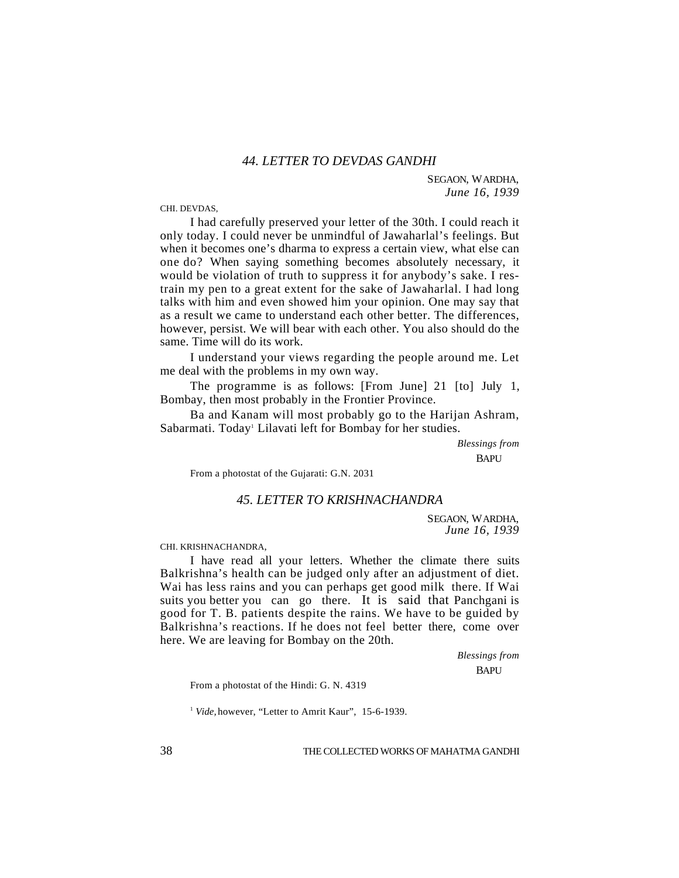# *44. LETTER TO DEVDAS GANDHI*

SEGAON, WARDHA, *June 16, 1939*

CHI. DEVDAS,

I had carefully preserved your letter of the 30th. I could reach it only today. I could never be unmindful of Jawaharlal's feelings. But when it becomes one's dharma to express a certain view, what else can one do? When saying something becomes absolutely necessary, it would be violation of truth to suppress it for anybody's sake. I restrain my pen to a great extent for the sake of Jawaharlal. I had long talks with him and even showed him your opinion. One may say that as a result we came to understand each other better. The differences, however, persist. We will bear with each other. You also should do the same. Time will do its work.

I understand your views regarding the people around me. Let me deal with the problems in my own way.

The programme is as follows: [From June] 21 [to] July 1, Bombay, then most probably in the Frontier Province.

Ba and Kanam will most probably go to the Harijan Ashram, Sabarmati. Today<sup>1</sup> Lilavati left for Bombay for her studies.

> *Blessings from* **BAPU**

From a photostat of the Gujarati: G.N. 2031

## *45. LETTER TO KRISHNACHANDRA*

SEGAON, WARDHA, *June 16, 1939*

CHI. KRISHNACHANDRA,

I have read all your letters. Whether the climate there suits Balkrishna's health can be judged only after an adjustment of diet. Wai has less rains and you can perhaps get good milk there. If Wai suits you better you can go there. It is said that Panchgani is good for T. B. patients despite the rains. We have to be guided by Balkrishna's reactions. If he does not feel better there, come over here. We are leaving for Bombay on the 20th.

> *Blessings from* **BAPU**

From a photostat of the Hindi: G. N. 4319

<sup>1</sup> *Vide*, however, "Letter to Amrit Kaur", 15-6-1939.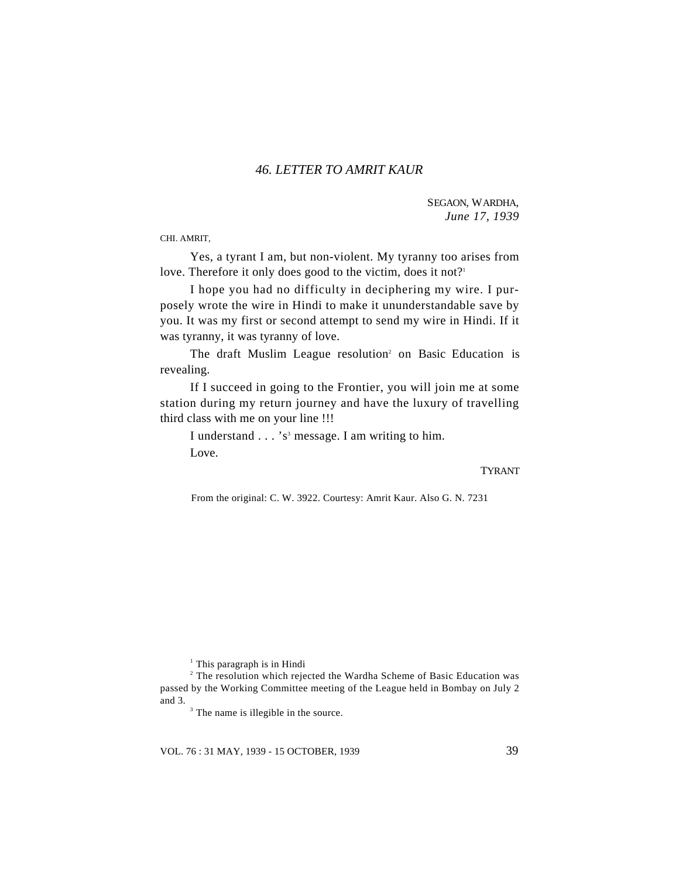# *46. LETTER TO AMRIT KAUR*

SEGAON, WARDHA, *June 17, 1939*

CHI. AMRIT,

Yes, a tyrant I am, but non-violent. My tyranny too arises from love. Therefore it only does good to the victim, does it not?<sup>1</sup>

I hope you had no difficulty in deciphering my wire. I purposely wrote the wire in Hindi to make it ununderstandable save by you. It was my first or second attempt to send my wire in Hindi. If it was tyranny, it was tyranny of love.

The draft Muslim League resolution<sup>2</sup> on Basic Education is revealing.

If I succeed in going to the Frontier, you will join me at some station during my return journey and have the luxury of travelling third class with me on your line !!!

I understand . . . 's<sup>3</sup> message. I am writing to him. Love.

TYRANT

From the original: C. W. 3922. Courtesy: Amrit Kaur. Also G. N. 7231

<sup>1</sup> This paragraph is in Hindi

<sup>3</sup> The name is illegible in the source.

 $2$  The resolution which rejected the Wardha Scheme of Basic Education was passed by the Working Committee meeting of the League held in Bombay on July 2 and 3.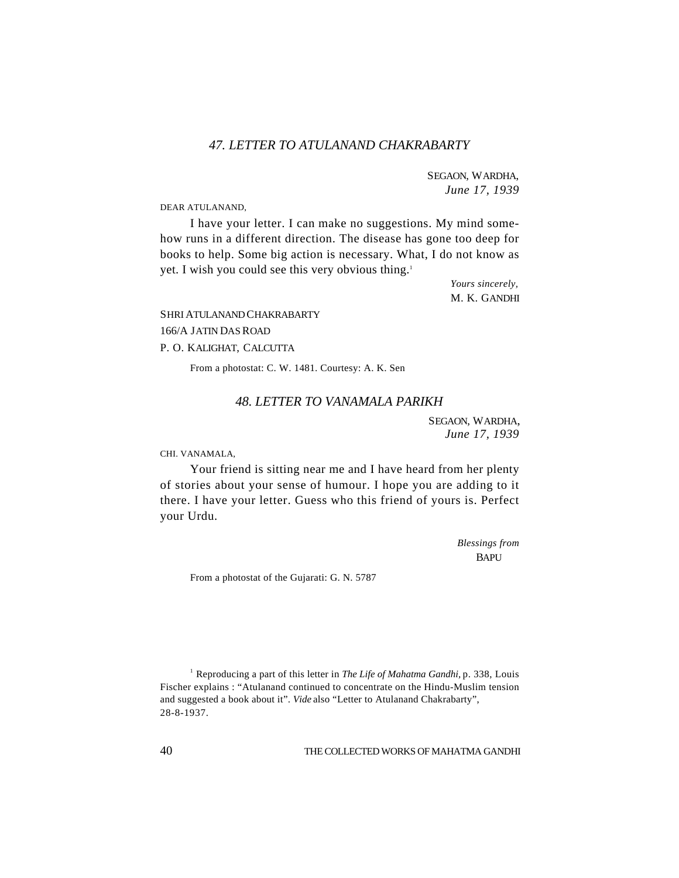# *47. LETTER TO ATULANAND CHAKRABARTY*

SEGAON, WARDHA, *June 17, 1939*

DEAR ATULANAND,

I have your letter. I can make no suggestions. My mind somehow runs in a different direction. The disease has gone too deep for books to help. Some big action is necessary. What, I do not know as yet. I wish you could see this very obvious thing.<sup>1</sup>

> *Yours sincerely,* M. K. GANDHI

SHRI ATULANAND CHAKRABARTY 166/A JATIN DAS ROAD P. O. KALIGHAT, CALCUTTA

From a photostat: C. W. 1481. Courtesy: A. K. Sen

# *48. LETTER TO VANAMALA PARIKH*

SEGAON, WARDHA, *June 17, 1939*

CHI. VANAMALA,

Your friend is sitting near me and I have heard from her plenty of stories about your sense of humour. I hope you are adding to it there. I have your letter. Guess who this friend of yours is. Perfect your Urdu.

> *Blessings from* **BAPU**

From a photostat of the Gujarati: G. N. 5787

<sup>1</sup> Reproducing a part of this letter in *The Life of Mahatma Gandhi*, p. 338, Louis Fischer explains : "Atulanand continued to concentrate on the Hindu-Muslim tension and suggested a book about it". *Vide* also "Letter to Atulanand Chakrabarty", 28-8-1937.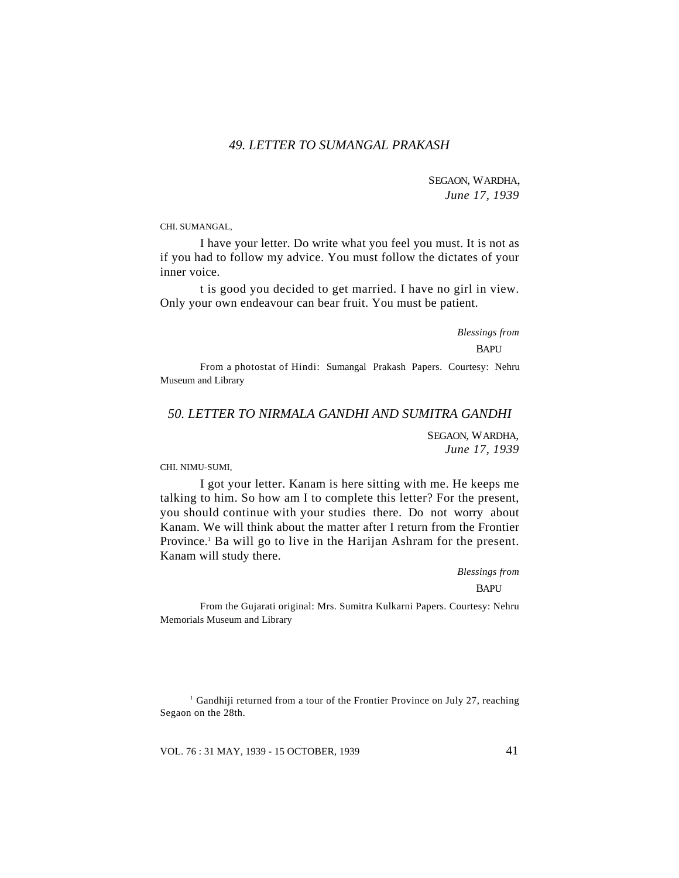# *49. LETTER TO SUMANGAL PRAKASH*

SEGAON, WARDHA, *June 17, 1939*

CHI. SUMANGAL,

I have your letter. Do write what you feel you must. It is not as if you had to follow my advice. You must follow the dictates of your inner voice.

t is good you decided to get married. I have no girl in view. Only your own endeavour can bear fruit. You must be patient.

> *Blessings from* **BAPU**

From a photostat of Hindi: Sumangal Prakash Papers. Courtesy: Nehru Museum and Library

### *50. LETTER TO NIRMALA GANDHI AND SUMITRA GANDHI*

SEGAON, WARDHA, *June 17, 1939*

CHI. NIMU-SUMI,

I got your letter. Kanam is here sitting with me. He keeps me talking to him. So how am I to complete this letter? For the present, you should continue with your studies there. Do not worry about Kanam. We will think about the matter after I return from the Frontier Province.<sup>1</sup> Ba will go to live in the Harijan Ashram for the present. Kanam will study there.

> *Blessings from* **BAPU**

From the Gujarati original: Mrs. Sumitra Kulkarni Papers. Courtesy: Nehru Memorials Museum and Library

<sup>1</sup> Gandhiji returned from a tour of the Frontier Province on July 27, reaching Segaon on the 28th.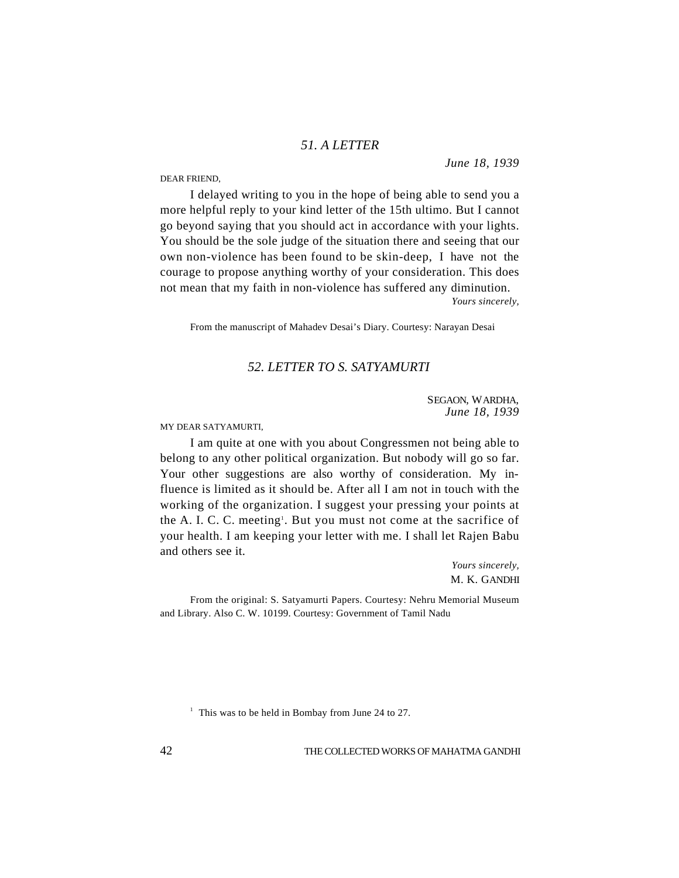*June 18, 1939*

DEAR FRIEND,

I delayed writing to you in the hope of being able to send you a more helpful reply to your kind letter of the 15th ultimo. But I cannot go beyond saying that you should act in accordance with your lights. You should be the sole judge of the situation there and seeing that our own non-violence has been found to be skin-deep, I have not the courage to propose anything worthy of your consideration. This does not mean that my faith in non-violence has suffered any diminution. *Yours sincerely,*

From the manuscript of Mahadev Desai's Diary. Courtesy: Narayan Desai

# *52. LETTER TO S. SATYAMURTI*

SEGAON, WARDHA, *June 18, 1939*

#### MY DEAR SATYAMURTI,

I am quite at one with you about Congressmen not being able to belong to any other political organization. But nobody will go so far. Your other suggestions are also worthy of consideration. My influence is limited as it should be. After all I am not in touch with the working of the organization. I suggest your pressing your points at the A. I. C. C. meeting<sup>1</sup>. But you must not come at the sacrifice of your health. I am keeping your letter with me. I shall let Rajen Babu and others see it.

> *Yours sincerely,* M. K. GANDHI

From the original: S. Satyamurti Papers. Courtesy: Nehru Memorial Museum and Library. Also C. W. 10199. Courtesy: Government of Tamil Nadu

<sup>1</sup> This was to be held in Bombay from June 24 to 27.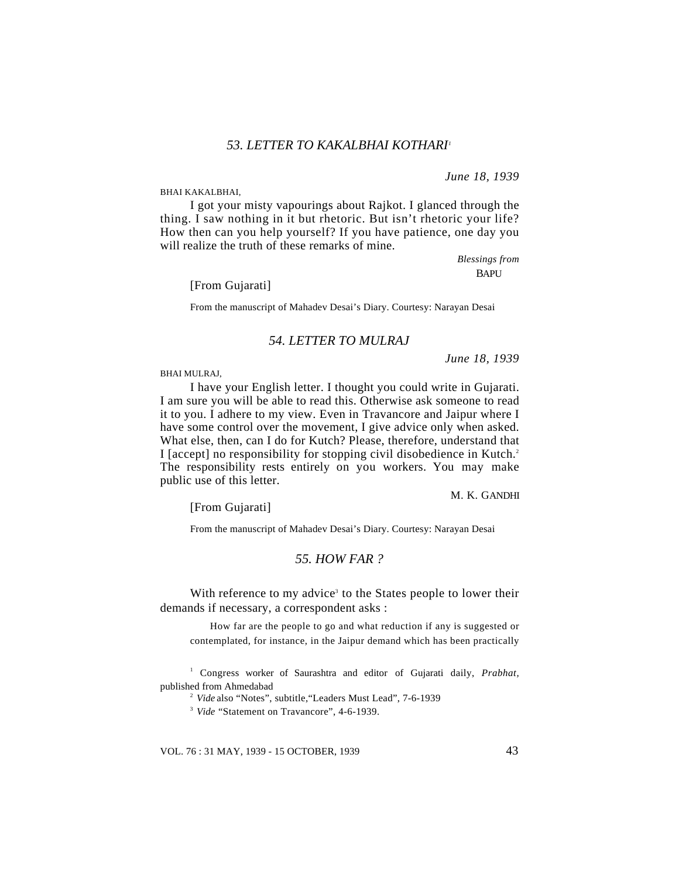*June 18, 1939*

#### BHAI KAKALBHAI,

I got your misty vapourings about Rajkot. I glanced through the thing. I saw nothing in it but rhetoric. But isn't rhetoric your life? How then can you help yourself? If you have patience, one day you will realize the truth of these remarks of mine.

> *Blessings from* **BAPU**

[From Gujarati]

From the manuscript of Mahadev Desai's Diary. Courtesy: Narayan Desai

## *54. LETTER TO MULRAJ*

*June 18, 1939*

BHAI MULRAJ,

I have your English letter. I thought you could write in Gujarati. I am sure you will be able to read this. Otherwise ask someone to read it to you. I adhere to my view. Even in Travancore and Jaipur where I have some control over the movement, I give advice only when asked. What else, then, can I do for Kutch? Please, therefore, understand that I [accept] no responsibility for stopping civil disobedience in Kutch.<sup>2</sup> The responsibility rests entirely on you workers. You may make public use of this letter.

M. K. GANDHI

[From Gujarati]

From the manuscript of Mahadev Desai's Diary. Courtesy: Narayan Desai

#### *55. HOW FAR ?*

With reference to my advice<sup>3</sup> to the States people to lower their demands if necessary, a correspondent asks :

How far are the people to go and what reduction if any is suggested or contemplated, for instance, in the Jaipur demand which has been practically

<sup>1</sup> Congress worker of Saurashtra and editor of Gujarati daily, *Prabhat,* published from Ahmedabad

<sup>2</sup> *Vide* also "Notes", subtitle,"Leaders Must Lead", 7-6-1939

<sup>3</sup> *Vide* "Statement on Travancore", 4-6-1939.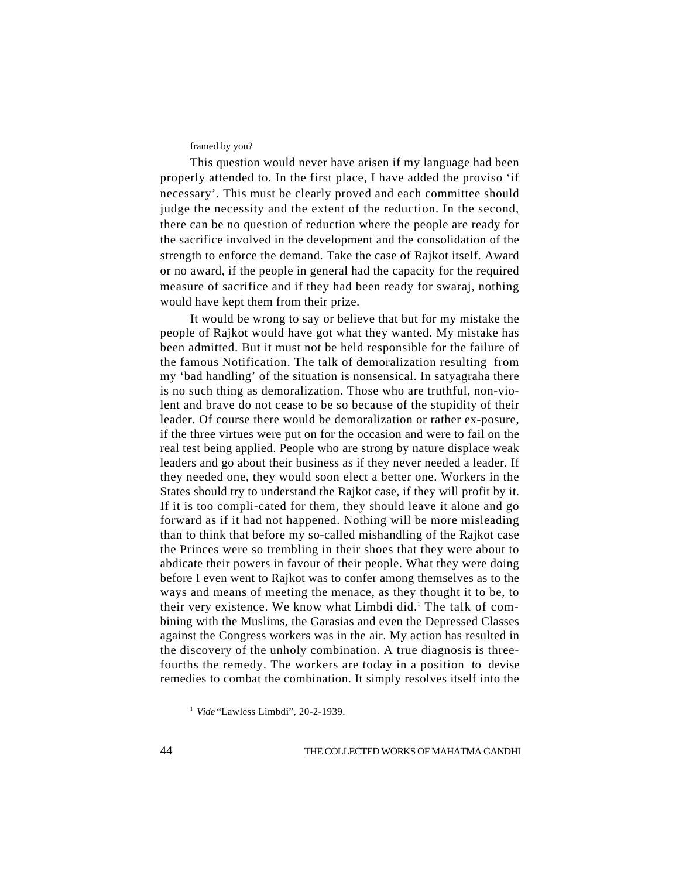framed by you?

This question would never have arisen if my language had been properly attended to. In the first place, I have added the proviso 'if necessary'. This must be clearly proved and each committee should judge the necessity and the extent of the reduction. In the second, there can be no question of reduction where the people are ready for the sacrifice involved in the development and the consolidation of the strength to enforce the demand. Take the case of Rajkot itself. Award or no award, if the people in general had the capacity for the required measure of sacrifice and if they had been ready for swaraj, nothing would have kept them from their prize.

It would be wrong to say or believe that but for my mistake the people of Rajkot would have got what they wanted. My mistake has been admitted. But it must not be held responsible for the failure of the famous Notification. The talk of demoralization resulting from my 'bad handling' of the situation is nonsensical. In satyagraha there is no such thing as demoralization. Those who are truthful, non-violent and brave do not cease to be so because of the stupidity of their leader. Of course there would be demoralization or rather ex-posure, if the three virtues were put on for the occasion and were to fail on the real test being applied. People who are strong by nature displace weak leaders and go about their business as if they never needed a leader. If they needed one, they would soon elect a better one. Workers in the States should try to understand the Rajkot case, if they will profit by it. If it is too compli-cated for them, they should leave it alone and go forward as if it had not happened. Nothing will be more misleading than to think that before my so-called mishandling of the Rajkot case the Princes were so trembling in their shoes that they were about to abdicate their powers in favour of their people. What they were doing before I even went to Rajkot was to confer among themselves as to the ways and means of meeting the menace, as they thought it to be, to their very existence. We know what Limbdi did.<sup>1</sup> The talk of combining with the Muslims, the Garasias and even the Depressed Classes against the Congress workers was in the air. My action has resulted in the discovery of the unholy combination. A true diagnosis is threefourths the remedy. The workers are today in a position to devise remedies to combat the combination. It simply resolves itself into the

<sup>1</sup> *Vide* "Lawless Limbdi", 20-2-1939.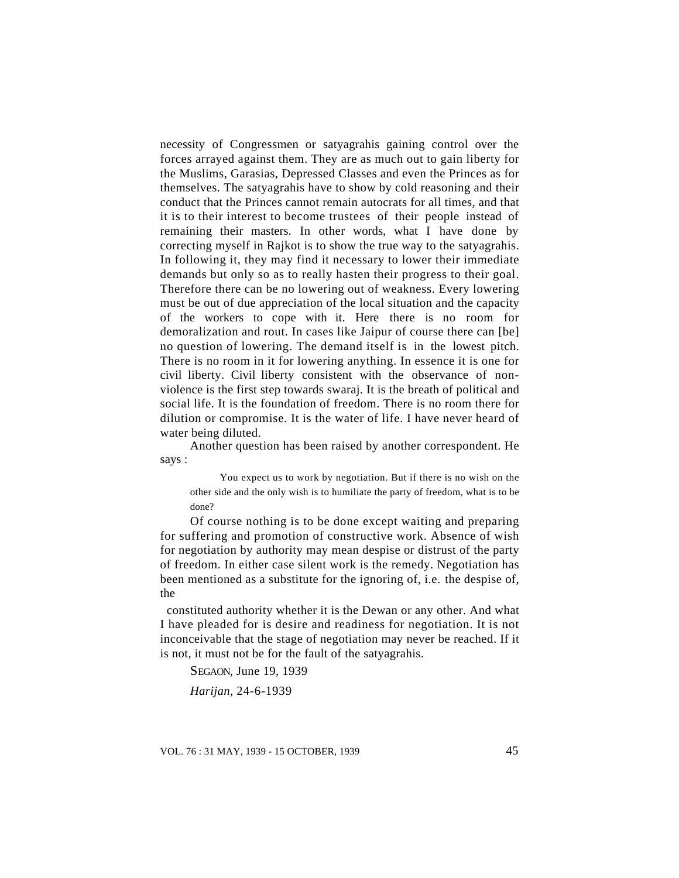necessity of Congressmen or satyagrahis gaining control over the forces arrayed against them. They are as much out to gain liberty for the Muslims, Garasias, Depressed Classes and even the Princes as for themselves. The satyagrahis have to show by cold reasoning and their conduct that the Princes cannot remain autocrats for all times, and that it is to their interest to become trustees of their people instead of remaining their masters. In other words, what I have done by correcting myself in Rajkot is to show the true way to the satyagrahis. In following it, they may find it necessary to lower their immediate demands but only so as to really hasten their progress to their goal. Therefore there can be no lowering out of weakness. Every lowering must be out of due appreciation of the local situation and the capacity of the workers to cope with it. Here there is no room for demoralization and rout. In cases like Jaipur of course there can [be] no question of lowering. The demand itself is in the lowest pitch. There is no room in it for lowering anything. In essence it is one for civil liberty. Civil liberty consistent with the observance of nonviolence is the first step towards swaraj. It is the breath of political and social life. It is the foundation of freedom. There is no room there for dilution or compromise. It is the water of life. I have never heard of water being diluted.

Another question has been raised by another correspondent. He says :

You expect us to work by negotiation. But if there is no wish on the other side and the only wish is to humiliate the party of freedom, what is to be done?

Of course nothing is to be done except waiting and preparing for suffering and promotion of constructive work. Absence of wish for negotiation by authority may mean despise or distrust of the party of freedom. In either case silent work is the remedy. Negotiation has been mentioned as a substitute for the ignoring of, i.e. the despise of, the

 constituted authority whether it is the Dewan or any other. And what I have pleaded for is desire and readiness for negotiation. It is not inconceivable that the stage of negotiation may never be reached. If it is not, it must not be for the fault of the satyagrahis.

SEGAON, June 19, 1939 *Harijan,* 24-6-1939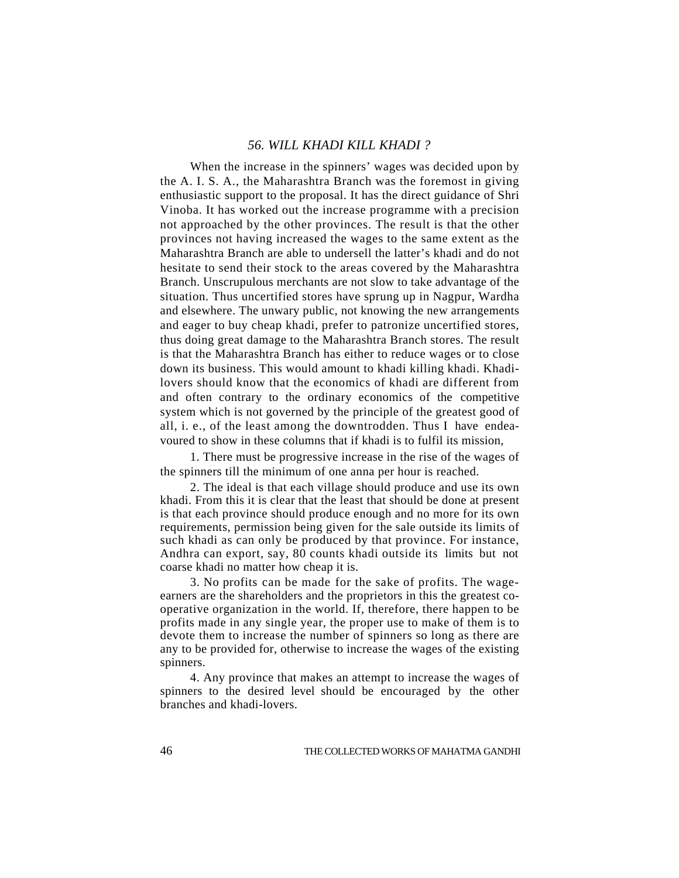# *56. WILL KHADI KILL KHADI ?*

When the increase in the spinners' wages was decided upon by the A. I. S. A., the Maharashtra Branch was the foremost in giving enthusiastic support to the proposal. It has the direct guidance of Shri Vinoba. It has worked out the increase programme with a precision not approached by the other provinces. The result is that the other provinces not having increased the wages to the same extent as the Maharashtra Branch are able to undersell the latter's khadi and do not hesitate to send their stock to the areas covered by the Maharashtra Branch. Unscrupulous merchants are not slow to take advantage of the situation. Thus uncertified stores have sprung up in Nagpur, Wardha and elsewhere. The unwary public, not knowing the new arrangements and eager to buy cheap khadi, prefer to patronize uncertified stores, thus doing great damage to the Maharashtra Branch stores. The result is that the Maharashtra Branch has either to reduce wages or to close down its business. This would amount to khadi killing khadi. Khadilovers should know that the economics of khadi are different from and often contrary to the ordinary economics of the competitive system which is not governed by the principle of the greatest good of all, i. e., of the least among the downtrodden. Thus I have endeavoured to show in these columns that if khadi is to fulfil its mission,

1. There must be progressive increase in the rise of the wages of the spinners till the minimum of one anna per hour is reached.

2. The ideal is that each village should produce and use its own khadi. From this it is clear that the least that should be done at present is that each province should produce enough and no more for its own requirements, permission being given for the sale outside its limits of such khadi as can only be produced by that province. For instance, Andhra can export, say, 80 counts khadi outside its limits but not coarse khadi no matter how cheap it is.

3. No profits can be made for the sake of profits. The wageearners are the shareholders and the proprietors in this the greatest cooperative organization in the world. If, therefore, there happen to be profits made in any single year, the proper use to make of them is to devote them to increase the number of spinners so long as there are any to be provided for, otherwise to increase the wages of the existing spinners.

4. Any province that makes an attempt to increase the wages of spinners to the desired level should be encouraged by the other branches and khadi-lovers.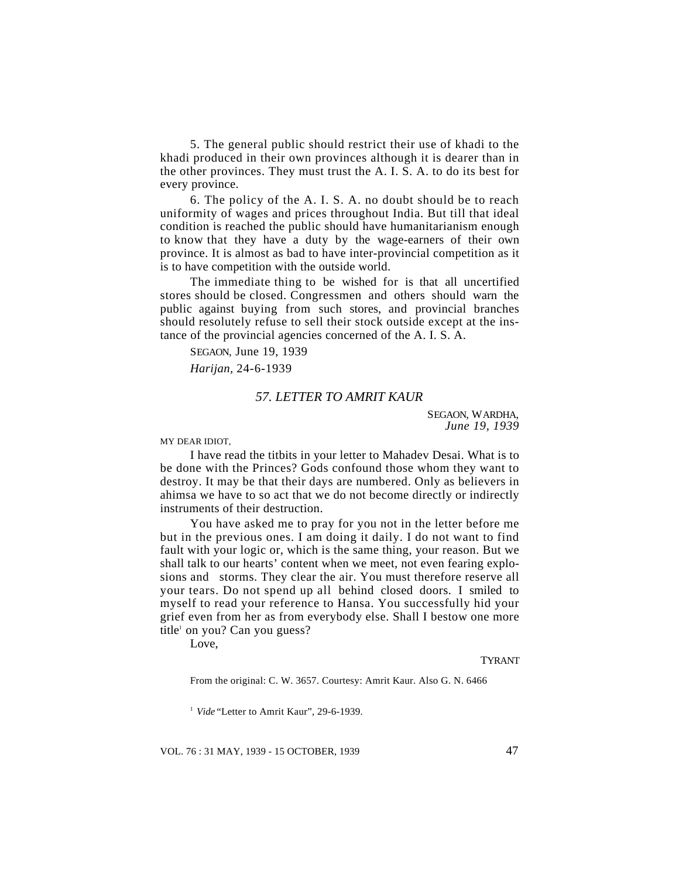5. The general public should restrict their use of khadi to the khadi produced in their own provinces although it is dearer than in the other provinces. They must trust the A. I. S. A. to do its best for every province.

6. The policy of the A. I. S. A. no doubt should be to reach uniformity of wages and prices throughout India. But till that ideal condition is reached the public should have humanitarianism enough to know that they have a duty by the wage-earners of their own province. It is almost as bad to have inter-provincial competition as it is to have competition with the outside world.

The immediate thing to be wished for is that all uncertified stores should be closed. Congressmen and others should warn the public against buying from such stores, and provincial branches should resolutely refuse to sell their stock outside except at the instance of the provincial agencies concerned of the A. I. S. A.

SEGAON, June 19, 1939 *Harijan,* 24-6-1939

## *57. LETTER TO AMRIT KAUR*

SEGAON, WARDHA, *June 19, 1939*

MY DEAR IDIOT,

I have read the titbits in your letter to Mahadev Desai. What is to be done with the Princes? Gods confound those whom they want to destroy. It may be that their days are numbered. Only as believers in ahimsa we have to so act that we do not become directly or indirectly instruments of their destruction.

You have asked me to pray for you not in the letter before me but in the previous ones. I am doing it daily. I do not want to find fault with your logic or, which is the same thing, your reason. But we shall talk to our hearts' content when we meet, not even fearing explosions and storms. They clear the air. You must therefore reserve all your tears. Do not spend up all behind closed doors. I smiled to myself to read your reference to Hansa. You successfully hid your grief even from her as from everybody else. Shall I bestow one more title<sup>1</sup> on you? Can you guess?

Love,

TYRANT

From the original: C. W. 3657. Courtesy: Amrit Kaur. Also G. N. 6466

<sup>1</sup> *Vide* "Letter to Amrit Kaur", 29-6-1939.

VOL. 76 : 31 MAY, 1939 - 15 OCTOBER, 1939 47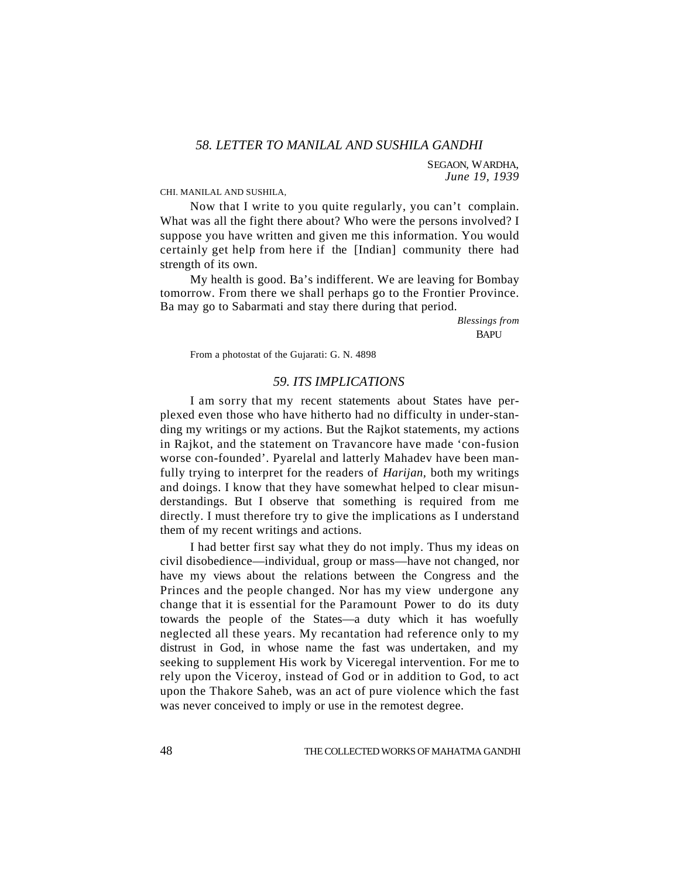# *58. LETTER TO MANILAL AND SUSHILA GANDHI*

SEGAON, WARDHA, *June 19, 1939*

#### CHI. MANILAL AND SUSHILA,

Now that I write to you quite regularly, you can't complain. What was all the fight there about? Who were the persons involved? I suppose you have written and given me this information. You would certainly get help from here if the [Indian] community there had strength of its own.

My health is good. Ba's indifferent. We are leaving for Bombay tomorrow. From there we shall perhaps go to the Frontier Province. Ba may go to Sabarmati and stay there during that period.

> *Blessings from* **BAPU**

From a photostat of the Gujarati: G. N. 4898

#### *59. ITS IMPLICATIONS*

I am sorry that my recent statements about States have perplexed even those who have hitherto had no difficulty in under-standing my writings or my actions. But the Rajkot statements, my actions in Rajkot, and the statement on Travancore have made 'con-fusion worse con-founded'. Pyarelal and latterly Mahadev have been manfully trying to interpret for the readers of *Harijan,* both my writings and doings. I know that they have somewhat helped to clear misunderstandings. But I observe that something is required from me directly. I must therefore try to give the implications as I understand them of my recent writings and actions.

I had better first say what they do not imply. Thus my ideas on civil disobedience—individual, group or mass—have not changed, nor have my views about the relations between the Congress and the Princes and the people changed. Nor has my view undergone any change that it is essential for the Paramount Power to do its duty towards the people of the States—a duty which it has woefully neglected all these years. My recantation had reference only to my distrust in God, in whose name the fast was undertaken, and my seeking to supplement His work by Viceregal intervention. For me to rely upon the Viceroy, instead of God or in addition to God, to act upon the Thakore Saheb, was an act of pure violence which the fast was never conceived to imply or use in the remotest degree.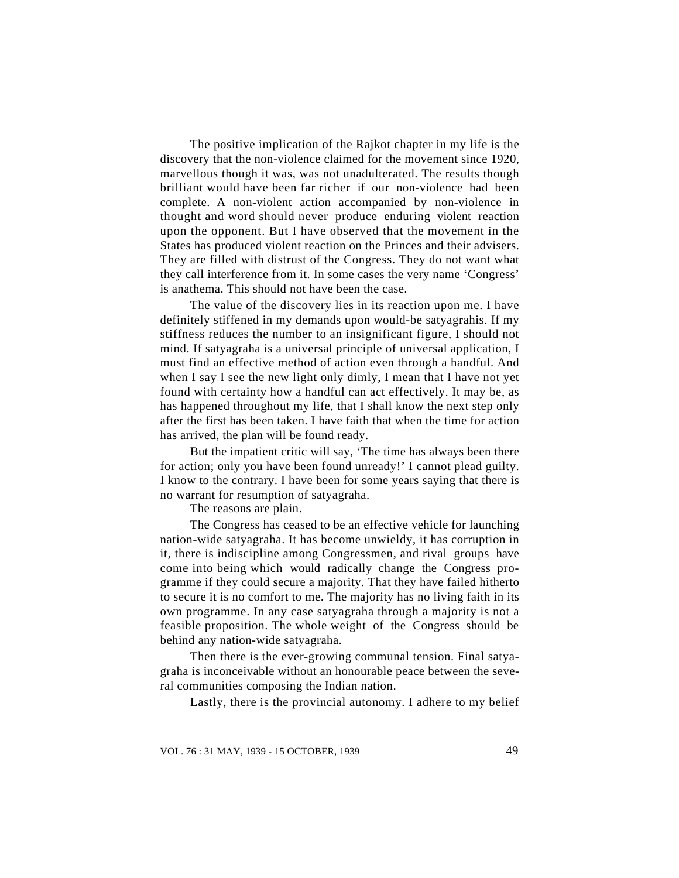The positive implication of the Rajkot chapter in my life is the discovery that the non-violence claimed for the movement since 1920, marvellous though it was, was not unadulterated. The results though brilliant would have been far richer if our non-violence had been complete. A non-violent action accompanied by non-violence in thought and word should never produce enduring violent reaction upon the opponent. But I have observed that the movement in the States has produced violent reaction on the Princes and their advisers. They are filled with distrust of the Congress. They do not want what they call interference from it. In some cases the very name 'Congress' is anathema. This should not have been the case.

The value of the discovery lies in its reaction upon me. I have definitely stiffened in my demands upon would-be satyagrahis. If my stiffness reduces the number to an insignificant figure, I should not mind. If satyagraha is a universal principle of universal application, I must find an effective method of action even through a handful. And when I say I see the new light only dimly, I mean that I have not yet found with certainty how a handful can act effectively. It may be, as has happened throughout my life, that I shall know the next step only after the first has been taken. I have faith that when the time for action has arrived, the plan will be found ready.

But the impatient critic will say, 'The time has always been there for action; only you have been found unready!' I cannot plead guilty. I know to the contrary. I have been for some years saying that there is no warrant for resumption of satyagraha.

The reasons are plain.

The Congress has ceased to be an effective vehicle for launching nation-wide satyagraha. It has become unwieldy, it has corruption in it, there is indiscipline among Congressmen, and rival groups have come into being which would radically change the Congress programme if they could secure a majority. That they have failed hitherto to secure it is no comfort to me. The majority has no living faith in its own programme. In any case satyagraha through a majority is not a feasible proposition. The whole weight of the Congress should be behind any nation-wide satyagraha.

Then there is the ever-growing communal tension. Final satyagraha is inconceivable without an honourable peace between the several communities composing the Indian nation.

Lastly, there is the provincial autonomy. I adhere to my belief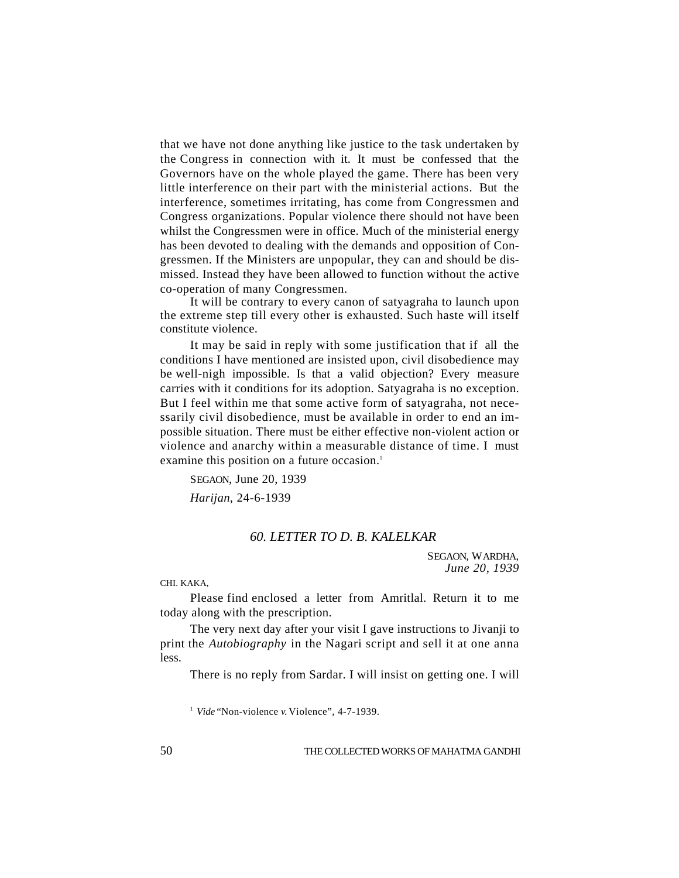that we have not done anything like justice to the task undertaken by the Congress in connection with it. It must be confessed that the Governors have on the whole played the game. There has been very little interference on their part with the ministerial actions. But the interference, sometimes irritating, has come from Congressmen and Congress organizations. Popular violence there should not have been whilst the Congressmen were in office. Much of the ministerial energy has been devoted to dealing with the demands and opposition of Congressmen. If the Ministers are unpopular, they can and should be dismissed. Instead they have been allowed to function without the active co-operation of many Congressmen.

It will be contrary to every canon of satyagraha to launch upon the extreme step till every other is exhausted. Such haste will itself constitute violence.

It may be said in reply with some justification that if all the conditions I have mentioned are insisted upon, civil disobedience may be well-nigh impossible. Is that a valid objection? Every measure carries with it conditions for its adoption. Satyagraha is no exception. But I feel within me that some active form of satyagraha, not necessarily civil disobedience, must be available in order to end an impossible situation. There must be either effective non-violent action or violence and anarchy within a measurable distance of time. I must examine this position on a future occasion.<sup>1</sup>

SEGAON, June 20, 1939

*Harijan*, 24-6-1939

# *60. LETTER TO D. B. KALELKAR*

SEGAON, WARDHA, *June 20, 1939*

CHI. KAKA,

Please find enclosed a letter from Amritlal. Return it to me today along with the prescription.

The very next day after your visit I gave instructions to Jivanji to print the *Autobiography* in the Nagari script and sell it at one anna less.

There is no reply from Sardar. I will insist on getting one. I will

<sup>1</sup> *Vide* "Non-violence *v.* Violence", 4-7-1939.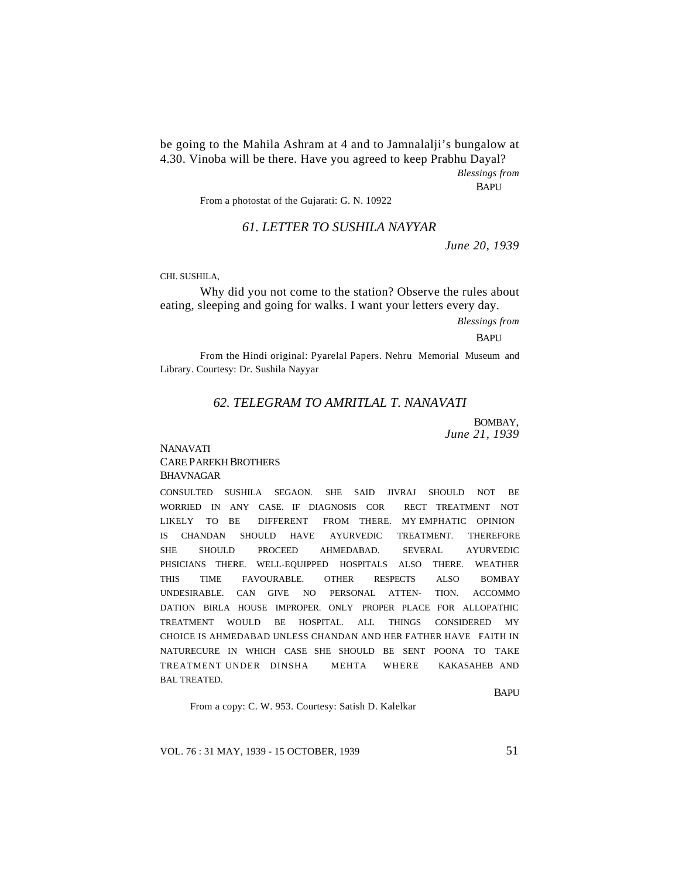be going to the Mahila Ashram at 4 and to Jamnalalji's bungalow at 4.30. Vinoba will be there. Have you agreed to keep Prabhu Dayal? *Blessings from*

**BAPU** 

From a photostat of the Gujarati: G. N. 10922

#### *61. LETTER TO SUSHILA NAYYAR*

*June 20, 1939*

CHI. SUSHILA,

Why did you not come to the station? Observe the rules about eating, sleeping and going for walks. I want your letters every day.

*Blessings from*

BAPU

From the Hindi original: Pyarelal Papers. Nehru Memorial Museum and Library. Courtesy: Dr. Sushila Nayyar

#### *62. TELEGRAM TO AMRITLAL T. NANAVATI*

BOMBAY, *June 21, 1939*

#### NANAVATI CARE PAREKH BROTHERS BHAVNAGAR

CONSULTED SUSHILA SEGAON. SHE SAID JIVRAJ SHOULD NOT BE WORRIED IN ANY CASE. IF DIAGNOSIS COR RECT TREATMENT NOT LIKELY TO BE DIFFERENT FROM THERE. MY EMPHATIC OPINION IS CHANDAN SHOULD HAVE AYURVEDIC TREATMENT. THEREFORE SHE SHOULD PROCEED AHMEDABAD. SEVERAL AYURVEDIC PHSICIANS THERE. WELL-EQUIPPED HOSPITALS ALSO THERE. WEATHER THIS TIME FAVOURABLE. OTHER RESPECTS ALSO BOMBAY UNDESIRABLE. CAN GIVE NO PERSONAL ATTEN- TION. ACCOMMO DATION BIRLA HOUSE IMPROPER. ONLY PROPER PLACE FOR ALLOPATHIC TREATMENT WOULD BE HOSPITAL. ALL THINGS CONSIDERED MY CHOICE IS AHMEDABAD UNLESS CHANDAN AND HER FATHER HAVE FAITH IN NATURECURE IN WHICH CASE SHE SHOULD BE SENT POONA TO TAKE TREATMENT UNDER DINSHA MEHTA WHERE KAKASAHEB AND BAL TREATED.

**BAPU** 

From a copy: C. W. 953. Courtesy: Satish D. Kalelkar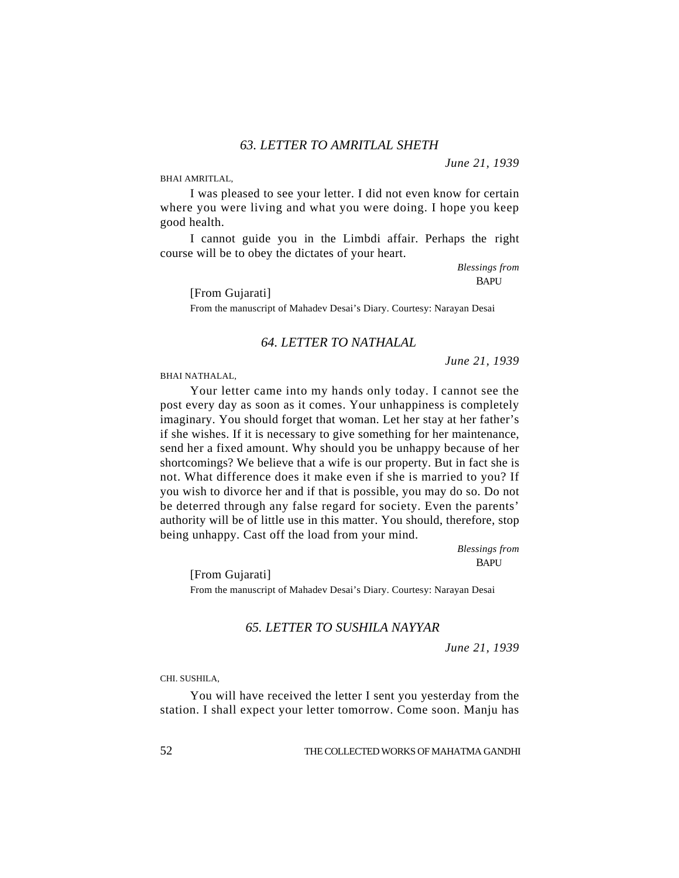*June 21, 1939*

BHAI AMRITLAL,

I was pleased to see your letter. I did not even know for certain where you were living and what you were doing. I hope you keep good health.

I cannot guide you in the Limbdi affair. Perhaps the right course will be to obey the dictates of your heart.

> *Blessings from* **BAPU**

[From Gujarati]

From the manuscript of Mahadev Desai's Diary. Courtesy: Narayan Desai

## *64. LETTER TO NATHALAL*

*June 21, 1939*

BHAI NATHALAL,

Your letter came into my hands only today. I cannot see the post every day as soon as it comes. Your unhappiness is completely imaginary. You should forget that woman. Let her stay at her father's if she wishes. If it is necessary to give something for her maintenance, send her a fixed amount. Why should you be unhappy because of her shortcomings? We believe that a wife is our property. But in fact she is not. What difference does it make even if she is married to you? If you wish to divorce her and if that is possible, you may do so. Do not be deterred through any false regard for society. Even the parents' authority will be of little use in this matter. You should, therefore, stop being unhappy. Cast off the load from your mind.

> *Blessings from* **BAPU**

[From Gujarati]

From the manuscript of Mahadev Desai's Diary. Courtesy: Narayan Desai

#### *65. LETTER TO SUSHILA NAYYAR*

*June 21, 1939*

CHI. SUSHILA,

You will have received the letter I sent you yesterday from the station. I shall expect your letter tomorrow. Come soon. Manju has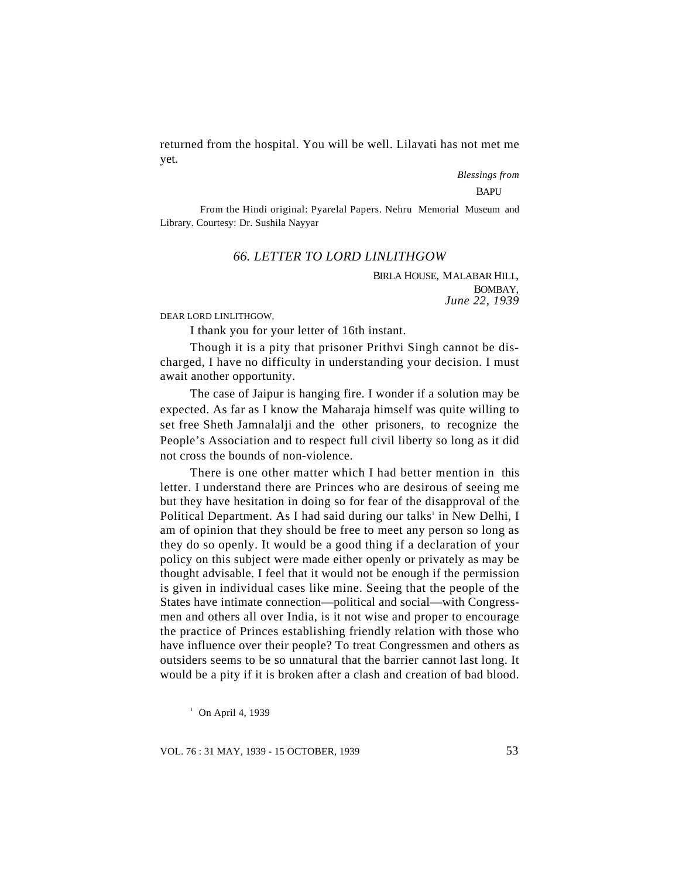returned from the hospital. You will be well. Lilavati has not met me yet.

*Blessings from*

**BAPU** 

From the Hindi original: Pyarelal Papers. Nehru Memorial Museum and Library. Courtesy: Dr. Sushila Nayyar

## *66. LETTER TO LORD LINLITHGOW*

BIRLA HOUSE, MALABAR HILL, BOMBAY, *June 22, 1939*

DEAR LORD LINLITHGOW,

I thank you for your letter of 16th instant.

Though it is a pity that prisoner Prithvi Singh cannot be discharged, I have no difficulty in understanding your decision. I must await another opportunity.

The case of Jaipur is hanging fire. I wonder if a solution may be expected. As far as I know the Maharaja himself was quite willing to set free Sheth Jamnalalji and the other prisoners, to recognize the People's Association and to respect full civil liberty so long as it did not cross the bounds of non-violence.

There is one other matter which I had better mention in this letter. I understand there are Princes who are desirous of seeing me but they have hesitation in doing so for fear of the disapproval of the Political Department. As I had said during our talks<sup>1</sup> in New Delhi, I am of opinion that they should be free to meet any person so long as they do so openly. It would be a good thing if a declaration of your policy on this subject were made either openly or privately as may be thought advisable. I feel that it would not be enough if the permission is given in individual cases like mine. Seeing that the people of the States have intimate connection—political and social—with Congressmen and others all over India, is it not wise and proper to encourage the practice of Princes establishing friendly relation with those who have influence over their people? To treat Congressmen and others as outsiders seems to be so unnatural that the barrier cannot last long. It would be a pity if it is broken after a clash and creation of bad blood.

 $<sup>1</sup>$  On April 4, 1939</sup>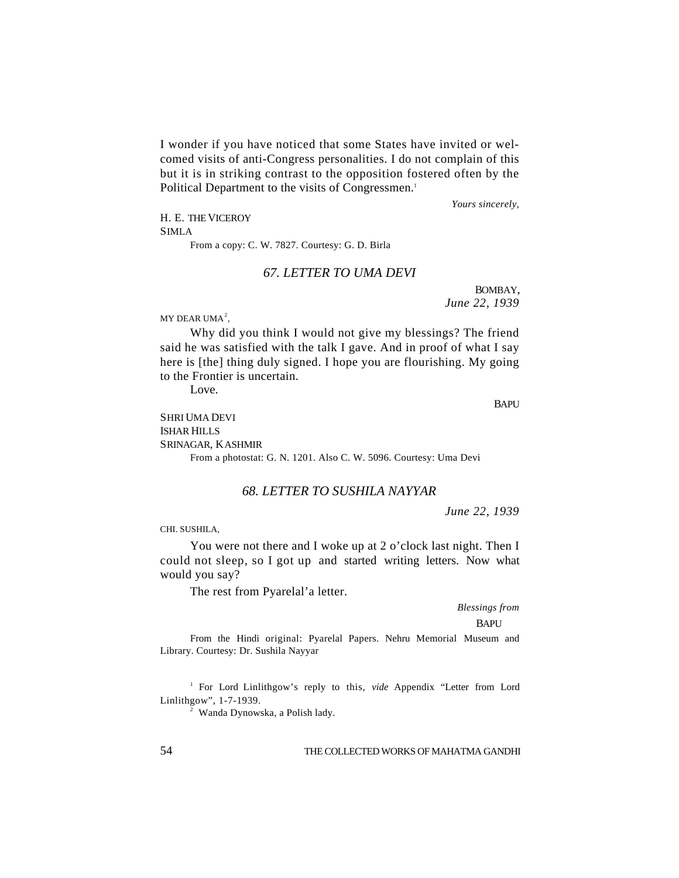I wonder if you have noticed that some States have invited or welcomed visits of anti-Congress personalities. I do not complain of this but it is in striking contrast to the opposition fostered often by the Political Department to the visits of Congressmen.<sup>1</sup>

*Yours sincerely,*

H. E. THE VICEROY SIMLA

From a copy: C. W. 7827. Courtesy: G. D. Birla

# *67. LETTER TO UMA DEVI*

BOMBAY, *June 22, 1939*

BAPU

 $MY$  DEAR UMA<sup>2</sup>,

Why did you think I would not give my blessings? The friend said he was satisfied with the talk I gave. And in proof of what I say here is [the] thing duly signed. I hope you are flourishing. My going to the Frontier is uncertain.

 $\overline{L}$  ove.

SHRI UMA DEVI ISHAR HILLS SRINAGAR, KASHMIR From a photostat: G. N. 1201. Also C. W. 5096. Courtesy: Uma Devi

## *68. LETTER TO SUSHILA NAYYAR*

*June 22, 1939*

CHI. SUSHILA,

You were not there and I woke up at 2 o'clock last night. Then I could not sleep, so I got up and started writing letters. Now what would you say?

The rest from Pyarelal'a letter.

*Blessings from*

**BAPU** 

From the Hindi original: Pyarelal Papers. Nehru Memorial Museum and Library. Courtesy: Dr. Sushila Nayyar

<sup>1</sup> For Lord Linlithgow's reply to this, vide Appendix "Letter from Lord Linlithgow", 1-7-1939.

<sup>2</sup> Wanda Dynowska, a Polish lady.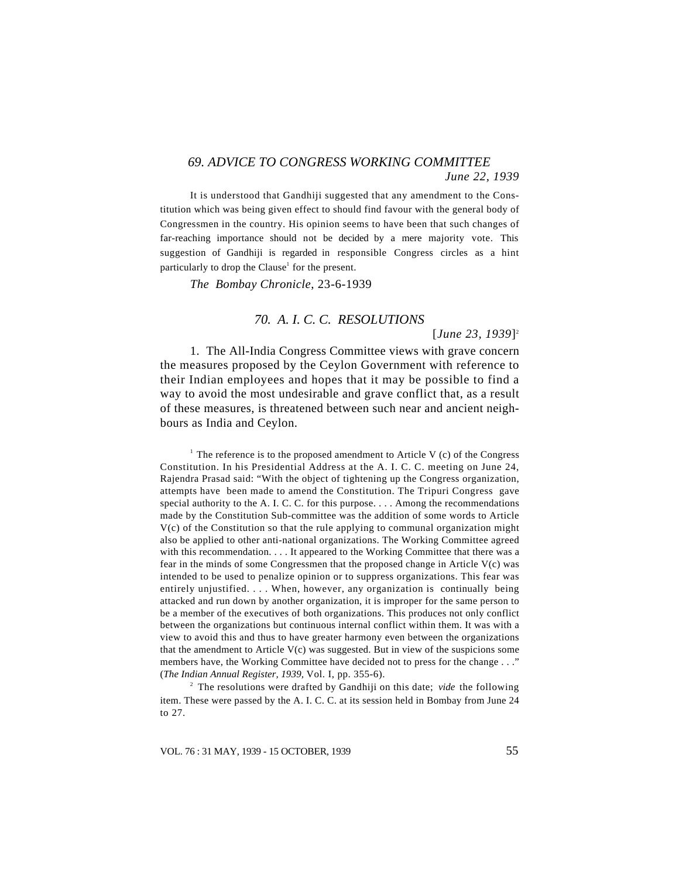# *69. ADVICE TO CONGRESS WORKING COMMITTEE June 22, 1939*

It is understood that Gandhiji suggested that any amendment to the Constitution which was being given effect to should find favour with the general body of Congressmen in the country. His opinion seems to have been that such changes of far-reaching importance should not be decided by a mere majority vote. This suggestion of Gandhiji is regarded in responsible Congress circles as a hint particularly to drop the Clause<sup>1</sup> for the present.

*The Bombay Chronicle*, 23-6-1939

### *70. A. I. C. C. RESOLUTIONS*

[*June 23, 1939*] 2

1. The All-India Congress Committee views with grave concern the measures proposed by the Ceylon Government with reference to their Indian employees and hopes that it may be possible to find a way to avoid the most undesirable and grave conflict that, as a result of these measures, is threatened between such near and ancient neighbours as India and Ceylon.

<sup>1</sup> The reference is to the proposed amendment to Article V (c) of the Congress Constitution. In his Presidential Address at the A. I. C. C. meeting on June 24, Rajendra Prasad said: "With the object of tightening up the Congress organization, attempts have been made to amend the Constitution. The Tripuri Congress gave special authority to the A. I. C. C. for this purpose.... Among the recommendations made by the Constitution Sub-committee was the addition of some words to Article V(c) of the Constitution so that the rule applying to communal organization might also be applied to other anti-national organizations. The Working Committee agreed with this recommendation. . . . It appeared to the Working Committee that there was a fear in the minds of some Congressmen that the proposed change in Article V(c) was intended to be used to penalize opinion or to suppress organizations. This fear was entirely unjustified. . . . When, however, any organization is continually being attacked and run down by another organization, it is improper for the same person to be a member of the executives of both organizations. This produces not only conflict between the organizations but continuous internal conflict within them. It was with a view to avoid this and thus to have greater harmony even between the organizations that the amendment to Article V(c) was suggested. But in view of the suspicions some members have, the Working Committee have decided not to press for the change . . ." (*The Indian Annual Register, 1939,* Vol. I, pp. 355-6).

<sup>2</sup> The resolutions were drafted by Gandhiji on this date; *vide* the following item. These were passed by the A. I. C. C. at its session held in Bombay from June 24 to 27.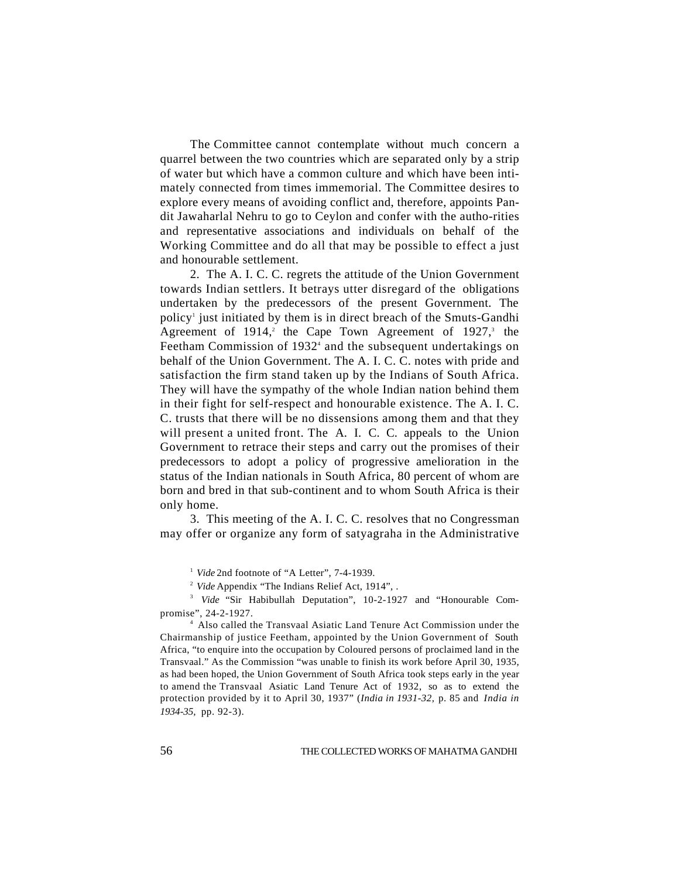The Committee cannot contemplate without much concern a quarrel between the two countries which are separated only by a strip of water but which have a common culture and which have been intimately connected from times immemorial. The Committee desires to explore every means of avoiding conflict and, therefore, appoints Pandit Jawaharlal Nehru to go to Ceylon and confer with the autho-rities and representative associations and individuals on behalf of the Working Committee and do all that may be possible to effect a just and honourable settlement.

2. The A. I. C. C. regrets the attitude of the Union Government towards Indian settlers. It betrays utter disregard of the obligations undertaken by the predecessors of the present Government. The policy<sup>1</sup> just initiated by them is in direct breach of the Smuts-Gandhi Agreement of  $1914$ , the Cape Town Agreement of  $1927$ , the Feetham Commission of 1932<sup>4</sup> and the subsequent undertakings on behalf of the Union Government. The A. I. C. C. notes with pride and satisfaction the firm stand taken up by the Indians of South Africa. They will have the sympathy of the whole Indian nation behind them in their fight for self-respect and honourable existence. The A. I. C. C. trusts that there will be no dissensions among them and that they will present a united front. The A. I. C. C. appeals to the Union Government to retrace their steps and carry out the promises of their predecessors to adopt a policy of progressive amelioration in the status of the Indian nationals in South Africa, 80 percent of whom are born and bred in that sub-continent and to whom South Africa is their only home.

3. This meeting of the A. I. C. C. resolves that no Congressman may offer or organize any form of satyagraha in the Administrative

<sup>1</sup> *Vide* 2nd footnote of "A Letter", 7-4-1939.

<sup>2</sup> *Vide* Appendix "The Indians Relief Act, 1914", .

<sup>3</sup> *Vide* "Sir Habibullah Deputation", 10-2-1927 and "Honourable Compromise", 24-2-1927.

<sup>4</sup> Also called the Transvaal Asiatic Land Tenure Act Commission under the Chairmanship of justice Feetham, appointed by the Union Government of South Africa, "to enquire into the occupation by Coloured persons of proclaimed land in the Transvaal." As the Commission "was unable to finish its work before April 30, 1935, as had been hoped, the Union Government of South Africa took steps early in the year to amend the Transvaal Asiatic Land Tenure Act of 1932, so as to extend the protection provided by it to April 30, 1937" (*India in 1931-32,* p. 85 and *India in 1934-35,* pp. 92-3).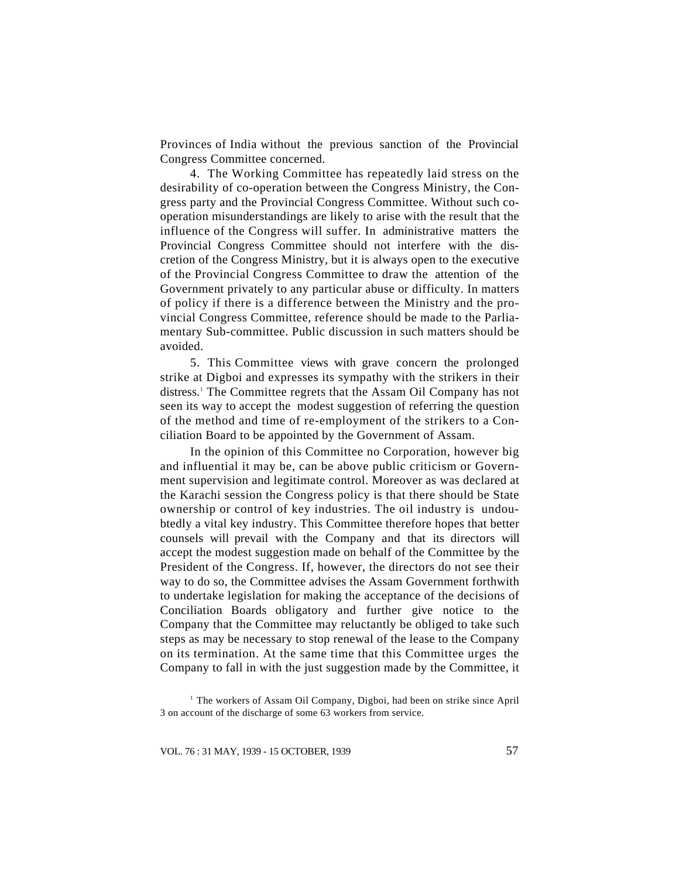Provinces of India without the previous sanction of the Provincial Congress Committee concerned.

4. The Working Committee has repeatedly laid stress on the desirability of co-operation between the Congress Ministry, the Congress party and the Provincial Congress Committee. Without such cooperation misunderstandings are likely to arise with the result that the influence of the Congress will suffer. In administrative matters the Provincial Congress Committee should not interfere with the discretion of the Congress Ministry, but it is always open to the executive of the Provincial Congress Committee to draw the attention of the Government privately to any particular abuse or difficulty. In matters of policy if there is a difference between the Ministry and the provincial Congress Committee, reference should be made to the Parliamentary Sub-committee. Public discussion in such matters should be avoided.

5. This Committee views with grave concern the prolonged strike at Digboi and expresses its sympathy with the strikers in their distress.<sup>1</sup> The Committee regrets that the Assam Oil Company has not seen its way to accept the modest suggestion of referring the question of the method and time of re-employment of the strikers to a Conciliation Board to be appointed by the Government of Assam.

In the opinion of this Committee no Corporation, however big and influential it may be, can be above public criticism or Government supervision and legitimate control. Moreover as was declared at the Karachi session the Congress policy is that there should be State ownership or control of key industries. The oil industry is undoubtedly a vital key industry. This Committee therefore hopes that better counsels will prevail with the Company and that its directors will accept the modest suggestion made on behalf of the Committee by the President of the Congress. If, however, the directors do not see their way to do so, the Committee advises the Assam Government forthwith to undertake legislation for making the acceptance of the decisions of Conciliation Boards obligatory and further give notice to the Company that the Committee may reluctantly be obliged to take such steps as may be necessary to stop renewal of the lease to the Company on its termination. At the same time that this Committee urges the Company to fall in with the just suggestion made by the Committee, it

<sup>&</sup>lt;sup>1</sup> The workers of Assam Oil Company, Digboi, had been on strike since April 3 on account of the discharge of some 63 workers from service.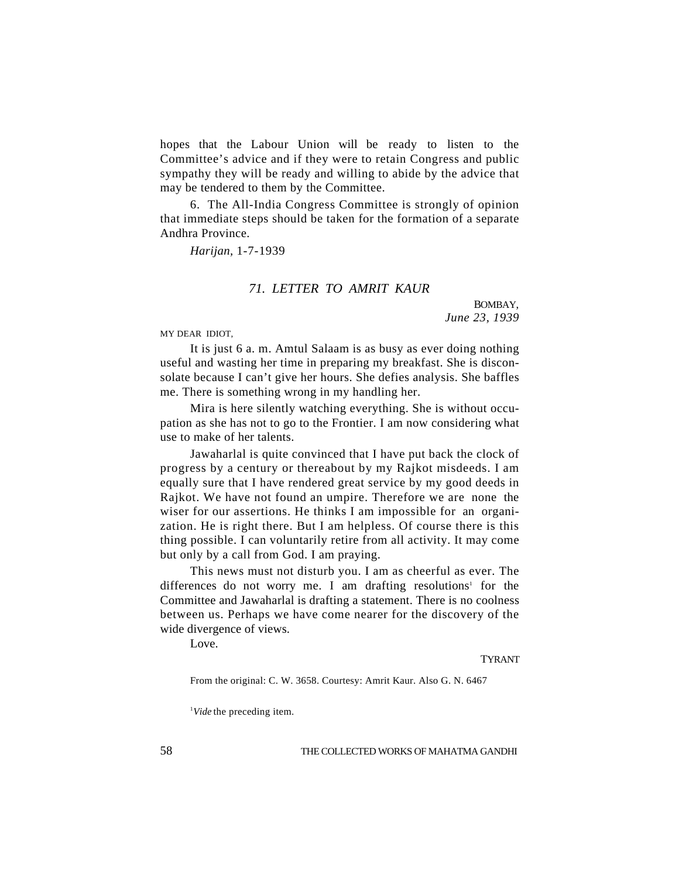hopes that the Labour Union will be ready to listen to the Committee's advice and if they were to retain Congress and public sympathy they will be ready and willing to abide by the advice that may be tendered to them by the Committee.

6. The All-India Congress Committee is strongly of opinion that immediate steps should be taken for the formation of a separate Andhra Province.

*Harijan,* 1-7-1939

# *71. LETTER TO AMRIT KAUR*

BOMBAY, *June 23, 1939*

MY DEAR IDIOT,

It is just 6 a. m. Amtul Salaam is as busy as ever doing nothing useful and wasting her time in preparing my breakfast. She is disconsolate because I can't give her hours. She defies analysis. She baffles me. There is something wrong in my handling her.

Mira is here silently watching everything. She is without occupation as she has not to go to the Frontier. I am now considering what use to make of her talents.

Jawaharlal is quite convinced that I have put back the clock of progress by a century or thereabout by my Rajkot misdeeds. I am equally sure that I have rendered great service by my good deeds in Rajkot. We have not found an umpire. Therefore we are none the wiser for our assertions. He thinks I am impossible for an organization. He is right there. But I am helpless. Of course there is this thing possible. I can voluntarily retire from all activity. It may come but only by a call from God. I am praying.

This news must not disturb you. I am as cheerful as ever. The differences do not worry me. I am drafting resolutions<sup>1</sup> for the Committee and Jawaharlal is drafting a statement. There is no coolness between us. Perhaps we have come nearer for the discovery of the wide divergence of views.

Love.

TYRANT

From the original: C. W. 3658. Courtesy: Amrit Kaur. Also G. N. 6467

<sup>1</sup>*Vide* the preceding item.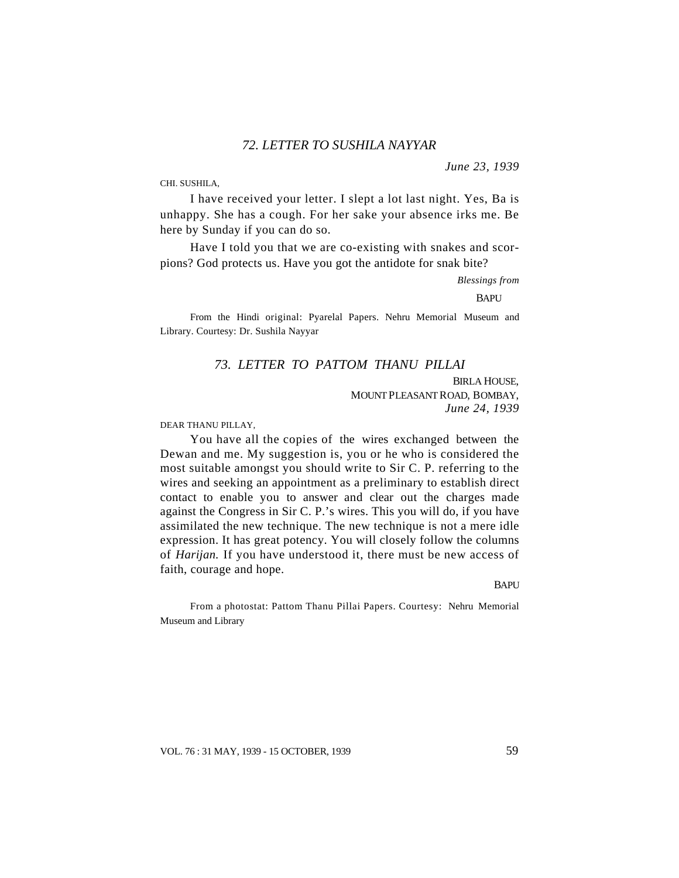*June 23, 1939*

CHI. SUSHILA,

I have received your letter. I slept a lot last night. Yes, Ba is unhappy. She has a cough. For her sake your absence irks me. Be here by Sunday if you can do so.

Have I told you that we are co-existing with snakes and scorpions? God protects us. Have you got the antidote for snak bite?

*Blessings from*

**BAPU** 

From the Hindi original: Pyarelal Papers. Nehru Memorial Museum and Library. Courtesy: Dr. Sushila Nayyar

## *73. LETTER TO PATTOM THANU PILLAI*

BIRLA HOUSE, MOUNT PLEASANT ROAD, BOMBAY, *June 24, 1939*

DEAR THANU PILLAY,

You have all the copies of the wires exchanged between the Dewan and me. My suggestion is, you or he who is considered the most suitable amongst you should write to Sir C. P. referring to the wires and seeking an appointment as a preliminary to establish direct contact to enable you to answer and clear out the charges made against the Congress in Sir C. P.'s wires. This you will do, if you have assimilated the new technique. The new technique is not a mere idle expression. It has great potency. You will closely follow the columns of *Harijan.* If you have understood it, there must be new access of faith, courage and hope.

BAPU

From a photostat: Pattom Thanu Pillai Papers. Courtesy: Nehru Memorial Museum and Library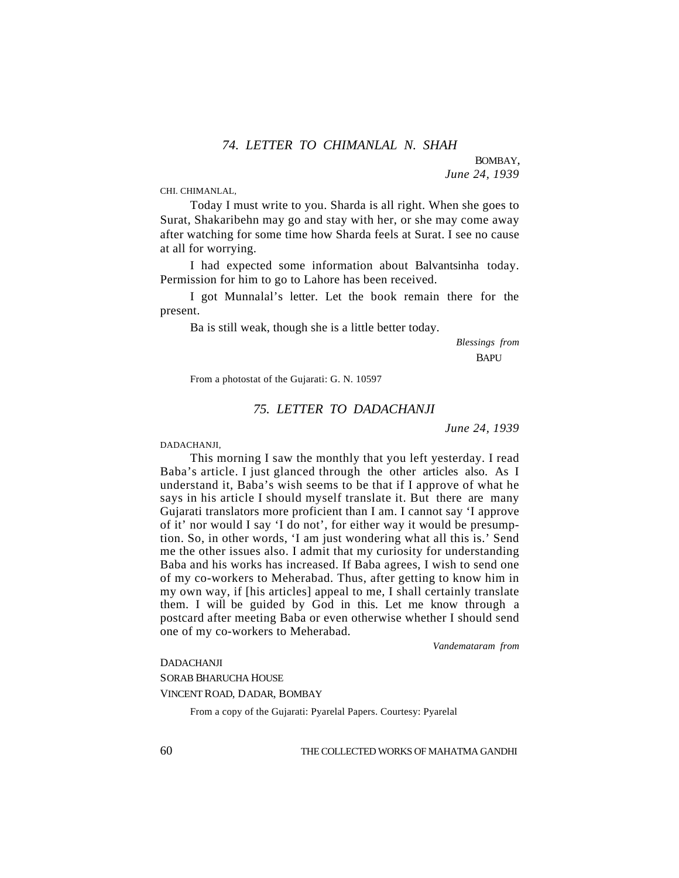BOMBAY, *June 24, 1939*

CHI. CHIMANLAL,

Today I must write to you. Sharda is all right. When she goes to Surat, Shakaribehn may go and stay with her, or she may come away after watching for some time how Sharda feels at Surat. I see no cause at all for worrying.

I had expected some information about Balvantsinha today. Permission for him to go to Lahore has been received.

I got Munnalal's letter. Let the book remain there for the present.

Ba is still weak, though she is a little better today.

*Blessings from* **BAPU** 

From a photostat of the Gujarati: G. N. 10597

# *75. LETTER TO DADACHANJI*

*June 24, 1939*

DADACHANJI,

This morning I saw the monthly that you left yesterday. I read Baba's article. I just glanced through the other articles also. As I understand it, Baba's wish seems to be that if I approve of what he says in his article I should myself translate it. But there are many Gujarati translators more proficient than I am. I cannot say 'I approve of it' nor would I say 'I do not', for either way it would be presumption. So, in other words, 'I am just wondering what all this is.' Send me the other issues also. I admit that my curiosity for understanding Baba and his works has increased. If Baba agrees, I wish to send one of my co-workers to Meherabad. Thus, after getting to know him in my own way, if [his articles] appeal to me, I shall certainly translate them. I will be guided by God in this. Let me know through a postcard after meeting Baba or even otherwise whether I should send one of my co-workers to Meherabad.

*Vandemataram from*

**DADACHANII** SORAB BHARUCHA HOUSE VINCENT ROAD, DADAR, BOMBAY

From a copy of the Gujarati: Pyarelal Papers. Courtesy: Pyarelal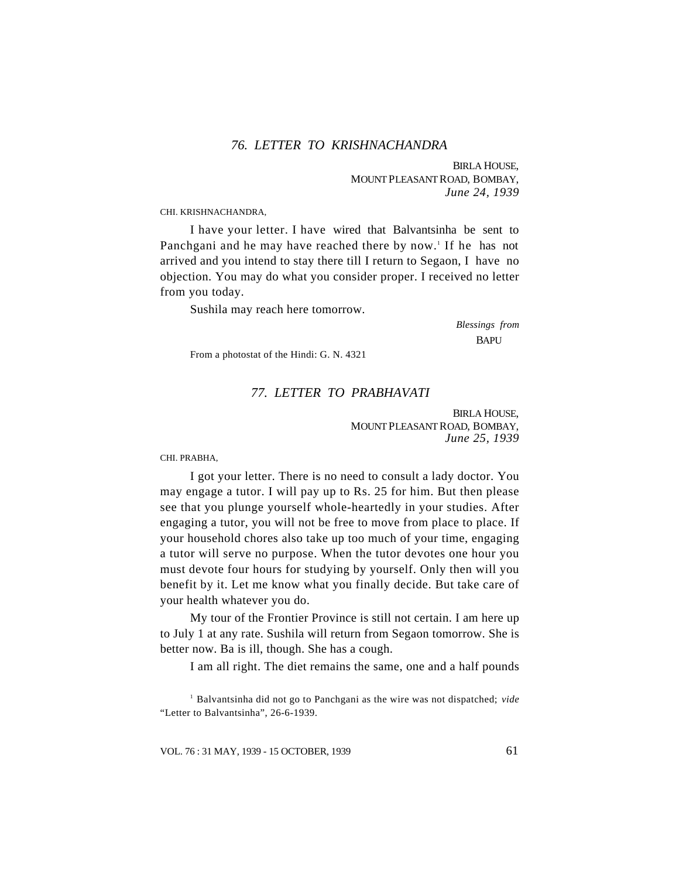# *76. LETTER TO KRISHNACHANDRA*

BIRLA HOUSE, MOUNT PLEASANT ROAD, BOMBAY, *June 24, 1939*

CHI. KRISHNACHANDRA,

I have your letter. I have wired that Balvantsinha be sent to Panchgani and he may have reached there by now.<sup>1</sup> If he has not arrived and you intend to stay there till I return to Segaon, I have no objection. You may do what you consider proper. I received no letter from you today.

Sushila may reach here tomorrow.

*Blessings from* **BAPU** 

From a photostat of the Hindi: G. N. 4321

# *77. LETTER TO PRABHAVATI*

BIRLA HOUSE, MOUNT PLEASANT ROAD, BOMBAY, *June 25, 1939*

CHI. PRABHA,

I got your letter. There is no need to consult a lady doctor. You may engage a tutor. I will pay up to Rs. 25 for him. But then please see that you plunge yourself whole-heartedly in your studies. After engaging a tutor, you will not be free to move from place to place. If your household chores also take up too much of your time, engaging a tutor will serve no purpose. When the tutor devotes one hour you must devote four hours for studying by yourself. Only then will you benefit by it. Let me know what you finally decide. But take care of your health whatever you do.

My tour of the Frontier Province is still not certain. I am here up to July 1 at any rate. Sushila will return from Segaon tomorrow. She is better now. Ba is ill, though. She has a cough.

I am all right. The diet remains the same, one and a half pounds

<sup>1</sup> Balvantsinha did not go to Panchgani as the wire was not dispatched; *vide* "Letter to Balvantsinha", 26-6-1939.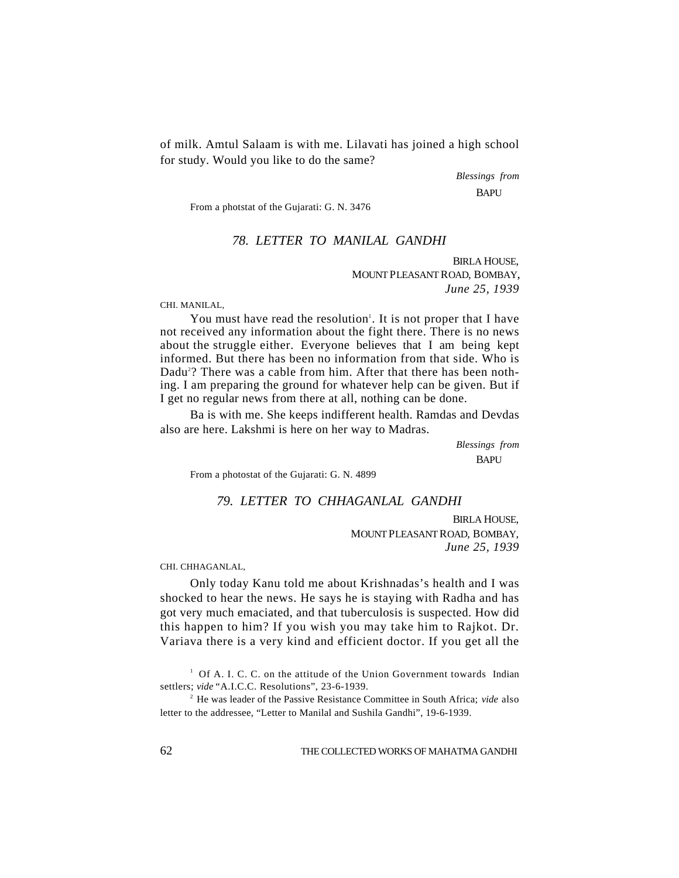of milk. Amtul Salaam is with me. Lilavati has joined a high school for study. Would you like to do the same?

> *Blessings from* **BAPU**

From a photstat of the Gujarati: G. N. 3476

## *78. LETTER TO MANILAL GANDHI*

BIRLA HOUSE, MOUNT PLEASANT ROAD, BOMBAY, *June 25, 1939*

CHI. MANILAL,

You must have read the resolution<sup>1</sup>. It is not proper that I have not received any information about the fight there. There is no news about the struggle either. Everyone believes that I am being kept informed. But there has been no information from that side. Who is Dadu<sup>2</sup>? There was a cable from him. After that there has been nothing. I am preparing the ground for whatever help can be given. But if I get no regular news from there at all, nothing can be done.

Ba is with me. She keeps indifferent health. Ramdas and Devdas also are here. Lakshmi is here on her way to Madras.

> *Blessings from* **BAPU**

From a photostat of the Gujarati: G. N. 4899

## *79. LETTER TO CHHAGANLAL GANDHI*

BIRLA HOUSE, MOUNT PLEASANT ROAD, BOMBAY, *June 25, 1939*

CHI. CHHAGANLAL,

Only today Kanu told me about Krishnadas's health and I was shocked to hear the news. He says he is staying with Radha and has got very much emaciated, and that tuberculosis is suspected. How did this happen to him? If you wish you may take him to Rajkot. Dr. Variava there is a very kind and efficient doctor. If you get all the

<sup>&</sup>lt;sup>1</sup> Of A. I. C. C. on the attitude of the Union Government towards Indian settlers; *vide* "A.I.C.C. Resolutions", 23-6-1939.

<sup>2</sup> He was leader of the Passive Resistance Committee in South Africa; *vide* also letter to the addressee, "Letter to Manilal and Sushila Gandhi", 19-6-1939.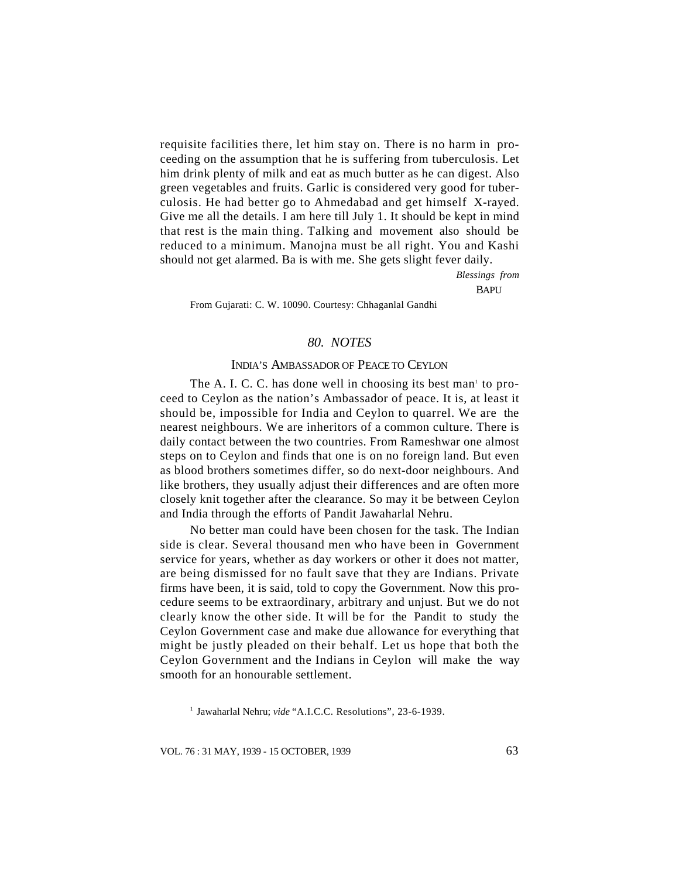requisite facilities there, let him stay on. There is no harm in proceeding on the assumption that he is suffering from tuberculosis. Let him drink plenty of milk and eat as much butter as he can digest. Also green vegetables and fruits. Garlic is considered very good for tuberculosis. He had better go to Ahmedabad and get himself X-rayed. Give me all the details. I am here till July 1. It should be kept in mind that rest is the main thing. Talking and movement also should be reduced to a minimum. Manojna must be all right. You and Kashi should not get alarmed. Ba is with me. She gets slight fever daily.

> *Blessings from* **BAPU**

From Gujarati: C. W. 10090. Courtesy: Chhaganlal Gandhi

## *80. NOTES*

## INDIA'S AMBASSADOR OF PEACE TO CEYLON

The A. I. C. C. has done well in choosing its best man $<sup>1</sup>$  to pro-</sup> ceed to Ceylon as the nation's Ambassador of peace. It is, at least it should be, impossible for India and Ceylon to quarrel. We are the nearest neighbours. We are inheritors of a common culture. There is daily contact between the two countries. From Rameshwar one almost steps on to Ceylon and finds that one is on no foreign land. But even as blood brothers sometimes differ, so do next-door neighbours. And like brothers, they usually adjust their differences and are often more closely knit together after the clearance. So may it be between Ceylon and India through the efforts of Pandit Jawaharlal Nehru.

No better man could have been chosen for the task. The Indian side is clear. Several thousand men who have been in Government service for years, whether as day workers or other it does not matter, are being dismissed for no fault save that they are Indians. Private firms have been, it is said, told to copy the Government. Now this procedure seems to be extraordinary, arbitrary and unjust. But we do not clearly know the other side. It will be for the Pandit to study the Ceylon Government case and make due allowance for everything that might be justly pleaded on their behalf. Let us hope that both the Ceylon Government and the Indians in Ceylon will make the way smooth for an honourable settlement.

<sup>&</sup>lt;sup>1</sup> Jawaharlal Nehru; vide "A.I.C.C. Resolutions", 23-6-1939.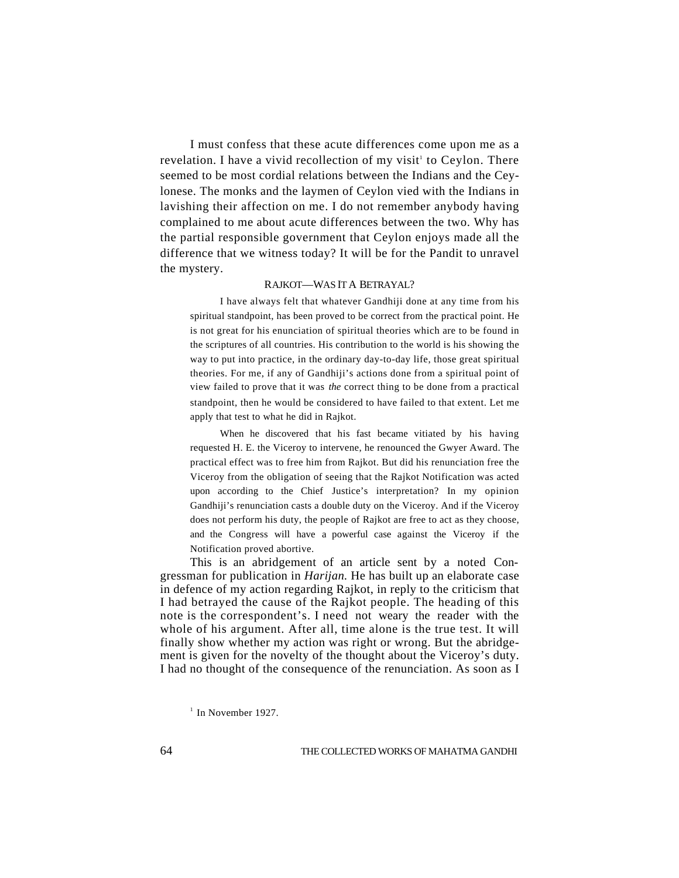I must confess that these acute differences come upon me as a revelation. I have a vivid recollection of my visit<sup>1</sup> to Ceylon. There seemed to be most cordial relations between the Indians and the Ceylonese. The monks and the laymen of Ceylon vied with the Indians in lavishing their affection on me. I do not remember anybody having complained to me about acute differences between the two. Why has the partial responsible government that Ceylon enjoys made all the difference that we witness today? It will be for the Pandit to unravel the mystery.

#### RAJKOT—WAS IT A BETRAYAL?

I have always felt that whatever Gandhiji done at any time from his spiritual standpoint, has been proved to be correct from the practical point. He is not great for his enunciation of spiritual theories which are to be found in the scriptures of all countries. His contribution to the world is his showing the way to put into practice, in the ordinary day-to-day life, those great spiritual theories. For me, if any of Gandhiji's actions done from a spiritual point of view failed to prove that it was *the* correct thing to be done from a practical standpoint, then he would be considered to have failed to that extent. Let me apply that test to what he did in Rajkot.

When he discovered that his fast became vitiated by his having requested H. E. the Viceroy to intervene, he renounced the Gwyer Award. The practical effect was to free him from Rajkot. But did his renunciation free the Viceroy from the obligation of seeing that the Rajkot Notification was acted upon according to the Chief Justice's interpretation? In my opinion Gandhiji's renunciation casts a double duty on the Viceroy. And if the Viceroy does not perform his duty, the people of Rajkot are free to act as they choose, and the Congress will have a powerful case against the Viceroy if the Notification proved abortive.

This is an abridgement of an article sent by a noted Congressman for publication in *Harijan.* He has built up an elaborate case in defence of my action regarding Rajkot, in reply to the criticism that I had betrayed the cause of the Rajkot people. The heading of this note is the correspondent's. I need not weary the reader with the whole of his argument. After all, time alone is the true test. It will finally show whether my action was right or wrong. But the abridgement is given for the novelty of the thought about the Viceroy's duty. I had no thought of the consequence of the renunciation. As soon as I

<sup>&</sup>lt;sup>1</sup> In November 1927.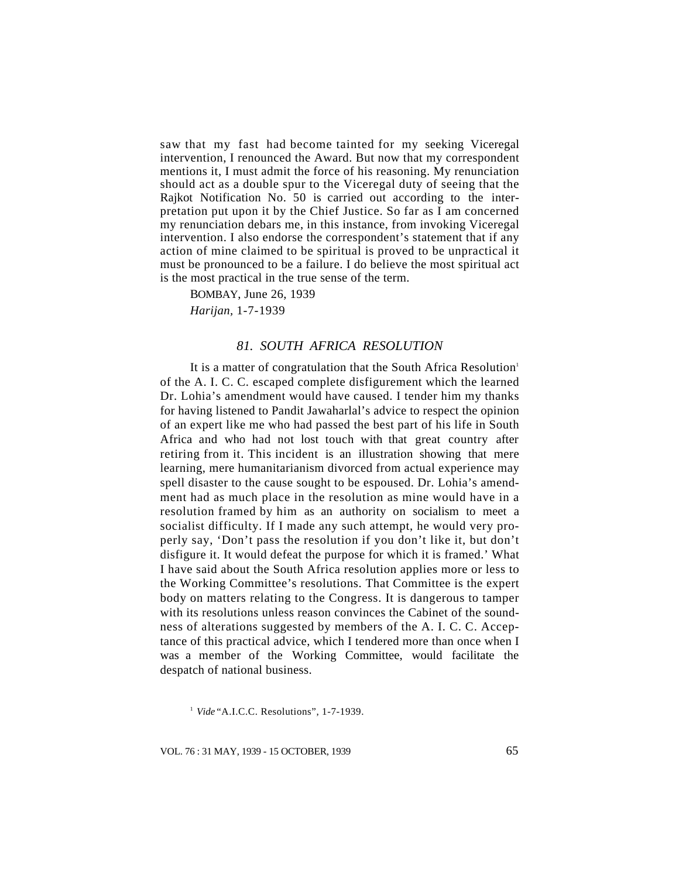saw that my fast had become tainted for my seeking Viceregal intervention, I renounced the Award. But now that my correspondent mentions it, I must admit the force of his reasoning. My renunciation should act as a double spur to the Viceregal duty of seeing that the Rajkot Notification No. 50 is carried out according to the interpretation put upon it by the Chief Justice. So far as I am concerned my renunciation debars me, in this instance, from invoking Viceregal intervention. I also endorse the correspondent's statement that if any action of mine claimed to be spiritual is proved to be unpractical it must be pronounced to be a failure. I do believe the most spiritual act is the most practical in the true sense of the term.

BOMBAY, June 26, 1939 *Harijan,* 1-7-1939

## *81. SOUTH AFRICA RESOLUTION*

It is a matter of congratulation that the South Africa Resolution<sup>1</sup> of the A. I. C. C. escaped complete disfigurement which the learned Dr. Lohia's amendment would have caused. I tender him my thanks for having listened to Pandit Jawaharlal's advice to respect the opinion of an expert like me who had passed the best part of his life in South Africa and who had not lost touch with that great country after retiring from it. This incident is an illustration showing that mere learning, mere humanitarianism divorced from actual experience may spell disaster to the cause sought to be espoused. Dr. Lohia's amendment had as much place in the resolution as mine would have in a resolution framed by him as an authority on socialism to meet a socialist difficulty. If I made any such attempt, he would very properly say, 'Don't pass the resolution if you don't like it, but don't disfigure it. It would defeat the purpose for which it is framed.' What I have said about the South Africa resolution applies more or less to the Working Committee's resolutions. That Committee is the expert body on matters relating to the Congress. It is dangerous to tamper with its resolutions unless reason convinces the Cabinet of the soundness of alterations suggested by members of the A. I. C. C. Acceptance of this practical advice, which I tendered more than once when I was a member of the Working Committee, would facilitate the despatch of national business.

<sup>1</sup> *Vide* "A.I.C.C. Resolutions", 1-7-1939.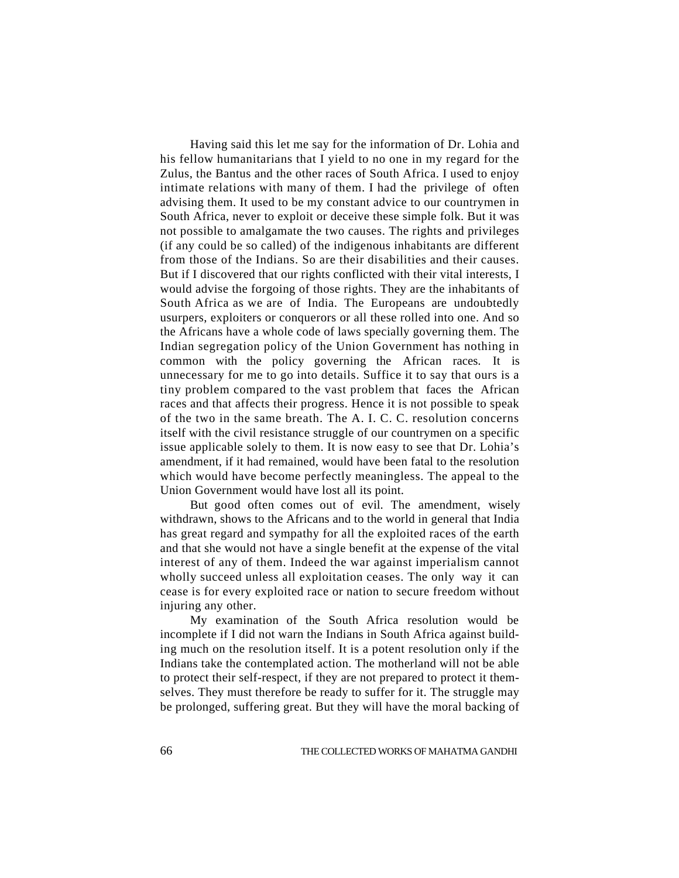Having said this let me say for the information of Dr. Lohia and his fellow humanitarians that I yield to no one in my regard for the Zulus, the Bantus and the other races of South Africa. I used to enjoy intimate relations with many of them. I had the privilege of often advising them. It used to be my constant advice to our countrymen in South Africa, never to exploit or deceive these simple folk. But it was not possible to amalgamate the two causes. The rights and privileges (if any could be so called) of the indigenous inhabitants are different from those of the Indians. So are their disabilities and their causes. But if I discovered that our rights conflicted with their vital interests, I would advise the forgoing of those rights. They are the inhabitants of South Africa as we are of India. The Europeans are undoubtedly usurpers, exploiters or conquerors or all these rolled into one. And so the Africans have a whole code of laws specially governing them. The Indian segregation policy of the Union Government has nothing in common with the policy governing the African races. It is unnecessary for me to go into details. Suffice it to say that ours is a tiny problem compared to the vast problem that faces the African races and that affects their progress. Hence it is not possible to speak of the two in the same breath. The A. I. C. C. resolution concerns itself with the civil resistance struggle of our countrymen on a specific issue applicable solely to them. It is now easy to see that Dr. Lohia's amendment, if it had remained, would have been fatal to the resolution which would have become perfectly meaningless. The appeal to the Union Government would have lost all its point.

But good often comes out of evil. The amendment, wisely withdrawn, shows to the Africans and to the world in general that India has great regard and sympathy for all the exploited races of the earth and that she would not have a single benefit at the expense of the vital interest of any of them. Indeed the war against imperialism cannot wholly succeed unless all exploitation ceases. The only way it can cease is for every exploited race or nation to secure freedom without injuring any other.

My examination of the South Africa resolution would be incomplete if I did not warn the Indians in South Africa against building much on the resolution itself. It is a potent resolution only if the Indians take the contemplated action. The motherland will not be able to protect their self-respect, if they are not prepared to protect it themselves. They must therefore be ready to suffer for it. The struggle may be prolonged, suffering great. But they will have the moral backing of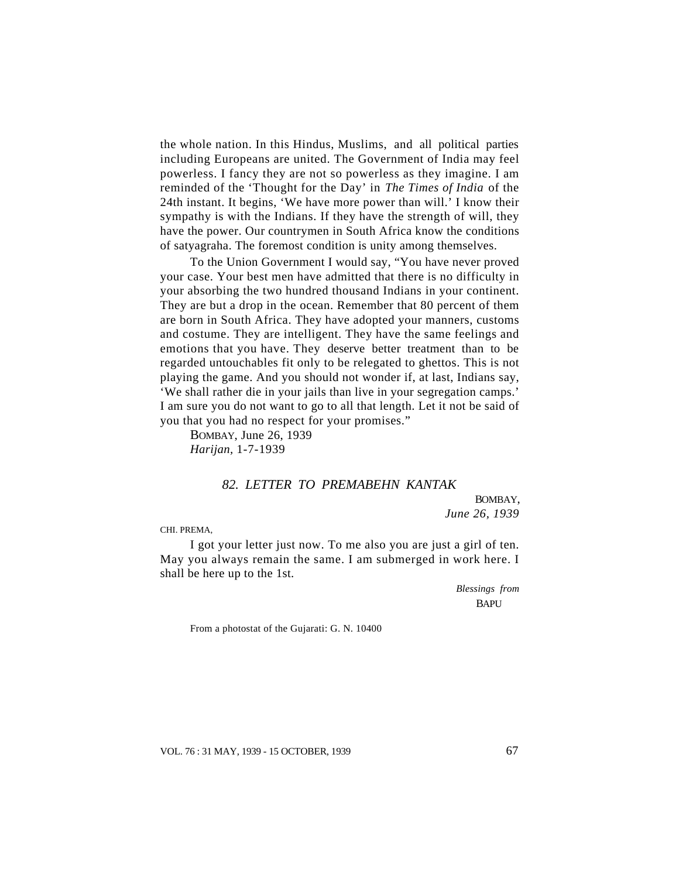the whole nation. In this Hindus, Muslims, and all political parties including Europeans are united. The Government of India may feel powerless. I fancy they are not so powerless as they imagine. I am reminded of the 'Thought for the Day' in *The Times of India* of the 24th instant. It begins, 'We have more power than will.' I know their sympathy is with the Indians. If they have the strength of will, they have the power. Our countrymen in South Africa know the conditions of satyagraha. The foremost condition is unity among themselves.

To the Union Government I would say, "You have never proved your case. Your best men have admitted that there is no difficulty in your absorbing the two hundred thousand Indians in your continent. They are but a drop in the ocean. Remember that 80 percent of them are born in South Africa. They have adopted your manners, customs and costume. They are intelligent. They have the same feelings and emotions that you have. They deserve better treatment than to be regarded untouchables fit only to be relegated to ghettos. This is not playing the game. And you should not wonder if, at last, Indians say, 'We shall rather die in your jails than live in your segregation camps.' I am sure you do not want to go to all that length. Let it not be said of you that you had no respect for your promises."

BOMBAY, June 26, 1939 *Harijan,* 1-7-1939

# *82. LETTER TO PREMABEHN KANTAK*

BOMBAY, *June 26, 1939*

CHI. PREMA,

I got your letter just now. To me also you are just a girl of ten. May you always remain the same. I am submerged in work here. I shall be here up to the 1st.

> *Blessings from* BAPU

From a photostat of the Gujarati: G. N. 10400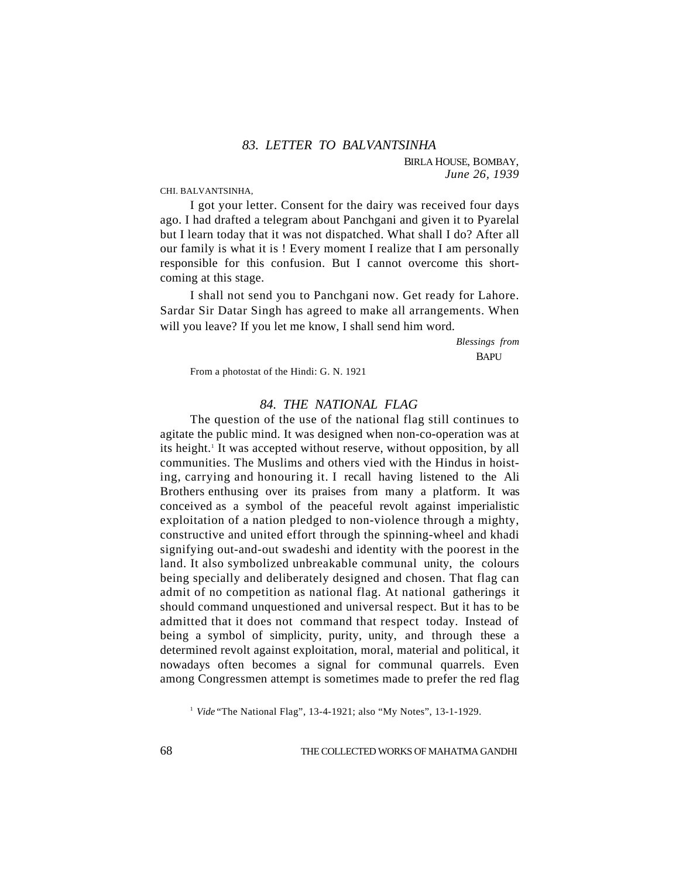# *83. LETTER TO BALVANTSINHA*

BIRLA HOUSE, BOMBAY, *June 26, 1939*

#### CHI. BALVANTSINHA,

I got your letter. Consent for the dairy was received four days ago. I had drafted a telegram about Panchgani and given it to Pyarelal but I learn today that it was not dispatched. What shall I do? After all our family is what it is ! Every moment I realize that I am personally responsible for this confusion. But I cannot overcome this shortcoming at this stage.

I shall not send you to Panchgani now. Get ready for Lahore. Sardar Sir Datar Singh has agreed to make all arrangements. When will you leave? If you let me know, I shall send him word.

> *Blessings from* **BAPU**

From a photostat of the Hindi: G. N. 1921

## *84. THE NATIONAL FLAG*

The question of the use of the national flag still continues to agitate the public mind. It was designed when non-co-operation was at its height.<sup>1</sup> It was accepted without reserve, without opposition, by all communities. The Muslims and others vied with the Hindus in hoisting, carrying and honouring it. I recall having listened to the Ali Brothers enthusing over its praises from many a platform. It was conceived as a symbol of the peaceful revolt against imperialistic exploitation of a nation pledged to non-violence through a mighty, constructive and united effort through the spinning-wheel and khadi signifying out-and-out swadeshi and identity with the poorest in the land. It also symbolized unbreakable communal unity, the colours being specially and deliberately designed and chosen. That flag can admit of no competition as national flag. At national gatherings it should command unquestioned and universal respect. But it has to be admitted that it does not command that respect today. Instead of being a symbol of simplicity, purity, unity, and through these a determined revolt against exploitation, moral, material and political, it nowadays often becomes a signal for communal quarrels. Even among Congressmen attempt is sometimes made to prefer the red flag

<sup>&</sup>lt;sup>1</sup> *Vide* "The National Flag", 13-4-1921; also "My Notes", 13-1-1929.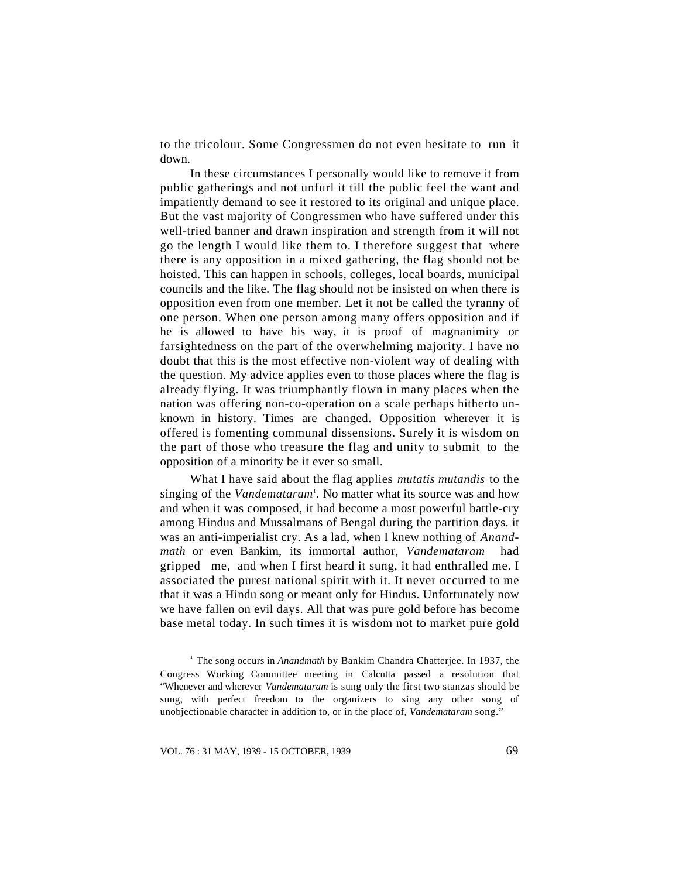to the tricolour. Some Congressmen do not even hesitate to run it down.

In these circumstances I personally would like to remove it from public gatherings and not unfurl it till the public feel the want and impatiently demand to see it restored to its original and unique place. But the vast majority of Congressmen who have suffered under this well-tried banner and drawn inspiration and strength from it will not go the length I would like them to. I therefore suggest that where there is any opposition in a mixed gathering, the flag should not be hoisted. This can happen in schools, colleges, local boards, municipal councils and the like. The flag should not be insisted on when there is opposition even from one member. Let it not be called the tyranny of one person. When one person among many offers opposition and if he is allowed to have his way, it is proof of magnanimity or farsightedness on the part of the overwhelming majority. I have no doubt that this is the most effective non-violent way of dealing with the question. My advice applies even to those places where the flag is already flying. It was triumphantly flown in many places when the nation was offering non-co-operation on a scale perhaps hitherto unknown in history. Times are changed. Opposition wherever it is offered is fomenting communal dissensions. Surely it is wisdom on the part of those who treasure the flag and unity to submit to the opposition of a minority be it ever so small.

What I have said about the flag applies *mutatis mutandis* to the singing of the *Vandemataram*<sup>1</sup> *.* No matter what its source was and how and when it was composed, it had become a most powerful battle-cry among Hindus and Mussalmans of Bengal during the partition days. it was an anti-imperialist cry. As a lad, when I knew nothing of *Anandmath* or even Bankim, its immortal author, *Vandemataram* had gripped me, and when I first heard it sung, it had enthralled me. I associated the purest national spirit with it. It never occurred to me that it was a Hindu song or meant only for Hindus. Unfortunately now we have fallen on evil days. All that was pure gold before has become base metal today. In such times it is wisdom not to market pure gold

<sup>1</sup> The song occurs in *Anandmath* by Bankim Chandra Chatterjee. In 1937, the Congress Working Committee meeting in Calcutta passed a resolution that "Whenever and wherever *Vandemataram* is sung only the first two stanzas should be sung, with perfect freedom to the organizers to sing any other song of unobjectionable character in addition to, or in the place of, *Vandemataram* song."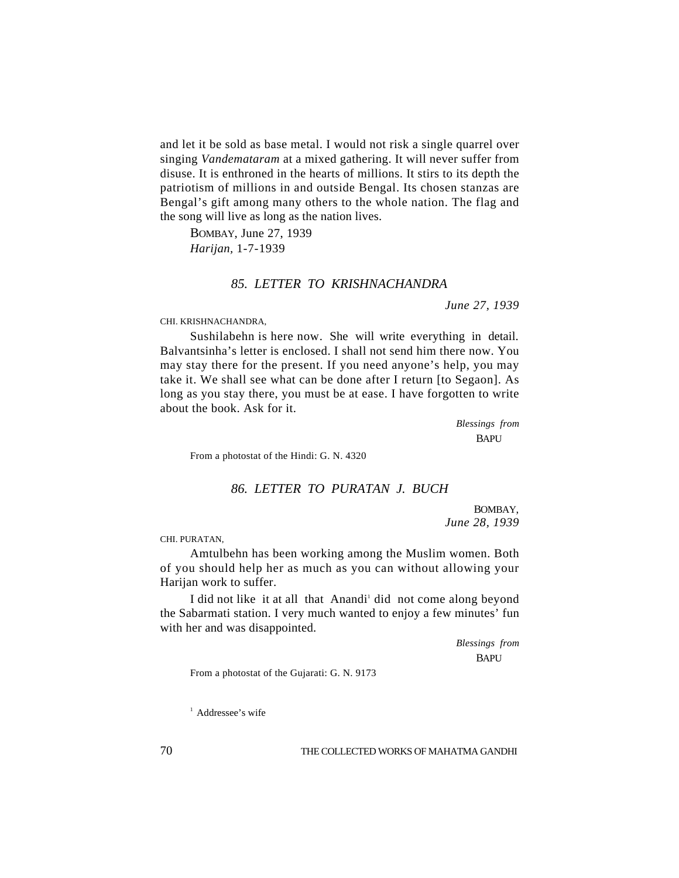and let it be sold as base metal. I would not risk a single quarrel over singing *Vandemataram* at a mixed gathering. It will never suffer from disuse. It is enthroned in the hearts of millions. It stirs to its depth the patriotism of millions in and outside Bengal. Its chosen stanzas are Bengal's gift among many others to the whole nation. The flag and the song will live as long as the nation lives.

BOMBAY, June 27, 1939 *Harijan,* 1-7-1939

# *85. LETTER TO KRISHNACHANDRA*

*June 27, 1939*

CHI. KRISHNACHANDRA,

Sushilabehn is here now. She will write everything in detail. Balvantsinha's letter is enclosed. I shall not send him there now. You may stay there for the present. If you need anyone's help, you may take it. We shall see what can be done after I return [to Segaon]. As long as you stay there, you must be at ease. I have forgotten to write about the book. Ask for it.

> *Blessings from* BAPU

From a photostat of the Hindi: G. N. 4320

### *86. LETTER TO PURATAN J. BUCH*

BOMBAY, *June 28, 1939*

CHI. PURATAN,

Amtulbehn has been working among the Muslim women. Both of you should help her as much as you can without allowing your Harijan work to suffer.

I did not like it at all that Anandi<sup>1</sup> did not come along beyond the Sabarmati station. I very much wanted to enjoy a few minutes' fun with her and was disappointed.

> *Blessings from* **BAPU**

From a photostat of the Gujarati: G. N. 9173

 $<sup>1</sup>$  Addressee's wife</sup>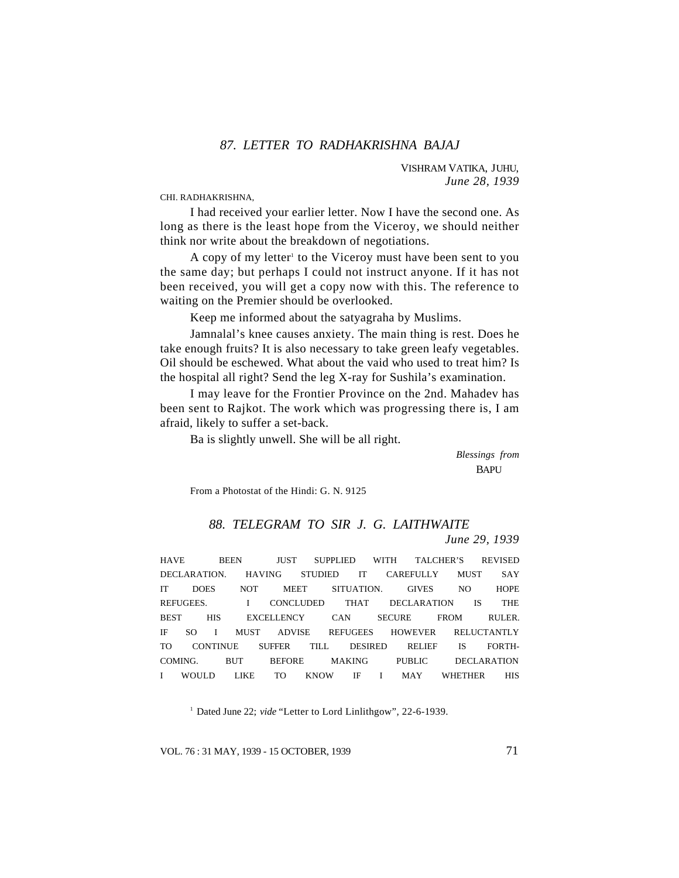# *87. LETTER TO RADHAKRISHNA BAJAJ*

VISHRAM VATIKA, JUHU, *June 28, 1939*

#### CHI. RADHAKRISHNA,

I had received your earlier letter. Now I have the second one. As long as there is the least hope from the Viceroy, we should neither think nor write about the breakdown of negotiations.

A copy of my letter<sup>1</sup> to the Viceroy must have been sent to you the same day; but perhaps I could not instruct anyone. If it has not been received, you will get a copy now with this. The reference to waiting on the Premier should be overlooked.

Keep me informed about the satyagraha by Muslims.

Jamnalal's knee causes anxiety. The main thing is rest. Does he take enough fruits? It is also necessary to take green leafy vegetables. Oil should be eschewed. What about the vaid who used to treat him? Is the hospital all right? Send the leg X-ray for Sushila's examination.

I may leave for the Frontier Province on the 2nd. Mahadev has been sent to Rajkot. The work which was progressing there is, I am afraid, likely to suffer a set-back.

Ba is slightly unwell. She will be all right.

*Blessings from* **BAPU** 

From a Photostat of the Hindi: G. N. 9125

## *88. TELEGRAM TO SIR J. G. LAITHWAITE June 29, 1939*

HAVE BEEN JUST SUPPLIED WITH TALCHER'S REVISED DECLARATION. HAVING STUDIED IT CAREFULLY MUST SAY IT DOES NOT MEET SITUATION. GIVES NO HOPE REFUGEES. I CONCLUDED THAT DECLARATION IS THE BEST HIS EXCELLENCY CAN SECURE FROM RULER. IF SO I MUST ADVISE REFUGEES HOWEVER RELUCTANTLY TO CONTINUE SUFFER TILL DESIRED RELIEF IS FORTH-COMING. BUT BEFORE MAKING PUBLIC DECLARATION I WOULD LIKE TO KNOW IF I MAY WHETHER HIS

<sup>&</sup>lt;sup>1</sup> Dated June 22; *vide* "Letter to Lord Linlithgow", 22-6-1939.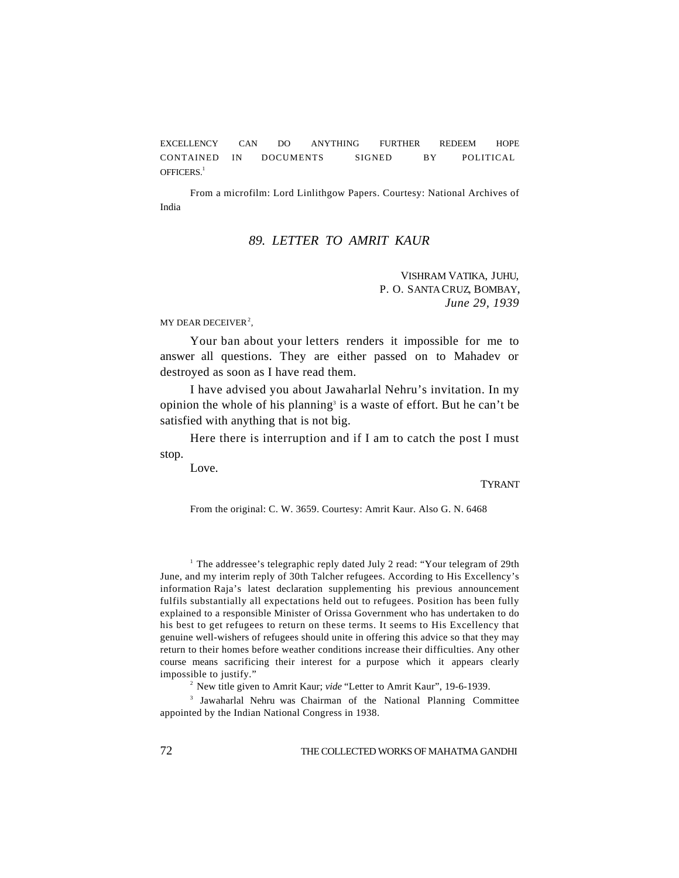EXCELLENCY CAN DO ANYTHING FURTHER REDEEM HOPE CONTAINED IN DOCUMENTS SIGNED BY POLITICAL OFFICERS<sup>1</sup>

From a microfilm: Lord Linlithgow Papers. Courtesy: National Archives of India

# *89. LETTER TO AMRIT KAUR*

VISHRAM VATIKA, JUHU, P. O. SANTA CRUZ, BOMBAY, *June 29, 1939*

MY DEAR DECEIVER<sup>2</sup>,

Your ban about your letters renders it impossible for me to answer all questions. They are either passed on to Mahadev or destroyed as soon as I have read them.

I have advised you about Jawaharlal Nehru's invitation. In my opinion the whole of his planning<sup>3</sup> is a waste of effort. But he can't be satisfied with anything that is not big.

Here there is interruption and if I am to catch the post I must stop.

Love.

TYRANT

From the original: C. W. 3659. Courtesy: Amrit Kaur. Also G. N. 6468

<sup>1</sup> The addressee's telegraphic reply dated July 2 read: "Your telegram of 29th June, and my interim reply of 30th Talcher refugees. According to His Excellency's information Raja's latest declaration supplementing his previous announcement fulfils substantially all expectations held out to refugees. Position has been fully explained to a responsible Minister of Orissa Government who has undertaken to do his best to get refugees to return on these terms. It seems to His Excellency that genuine well-wishers of refugees should unite in offering this advice so that they may return to their homes before weather conditions increase their difficulties. Any other course means sacrificing their interest for a purpose which it appears clearly impossible to justify."

<sup>2</sup> New title given to Amrit Kaur; *vide* "Letter to Amrit Kaur", 19-6-1939.

3 Jawaharlal Nehru was Chairman of the National Planning Committee appointed by the Indian National Congress in 1938.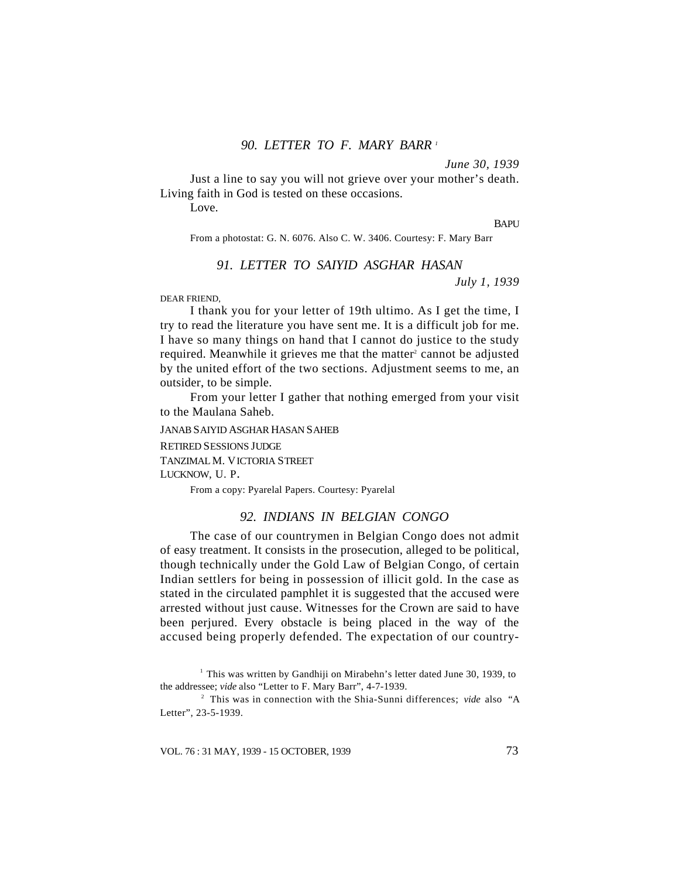## *90. LETTER TO F. MARY BARR <sup>1</sup>*

*June 30, 1939*

Just a line to say you will not grieve over your mother's death. Living faith in God is tested on these occasions.

Love.

**BAPU** 

From a photostat: G. N. 6076. Also C. W. 3406. Courtesy: F. Mary Barr

# *91. LETTER TO SAIYID ASGHAR HASAN*

*July 1, 1939*

DEAR FRIEND,

I thank you for your letter of 19th ultimo. As I get the time, I try to read the literature you have sent me. It is a difficult job for me. I have so many things on hand that I cannot do justice to the study required. Meanwhile it grieves me that the matter<sup>2</sup> cannot be adjusted by the united effort of the two sections. Adjustment seems to me, an outsider, to be simple.

From your letter I gather that nothing emerged from your visit to the Maulana Saheb.

JANAB SAIYID ASGHAR HASAN SAHEB

RETIRED SESSIONS JUDGE

TANZIMAL M. VICTORIA STREET

LUCKNOW, U. P.

From a copy: Pyarelal Papers. Courtesy: Pyarelal

#### *92. INDIANS IN BELGIAN CONGO*

The case of our countrymen in Belgian Congo does not admit of easy treatment. It consists in the prosecution, alleged to be political, though technically under the Gold Law of Belgian Congo, of certain Indian settlers for being in possession of illicit gold. In the case as stated in the circulated pamphlet it is suggested that the accused were arrested without just cause. Witnesses for the Crown are said to have been perjured. Every obstacle is being placed in the way of the accused being properly defended. The expectation of our country-

<sup>&</sup>lt;sup>1</sup> This was written by Gandhiji on Mirabehn's letter dated June 30, 1939, to the addressee; *vide* also "Letter to F. Mary Barr", 4-7-1939.

<sup>2</sup> This was in connection with the Shia-Sunni differences; *vide* also "A Letter", 23-5-1939.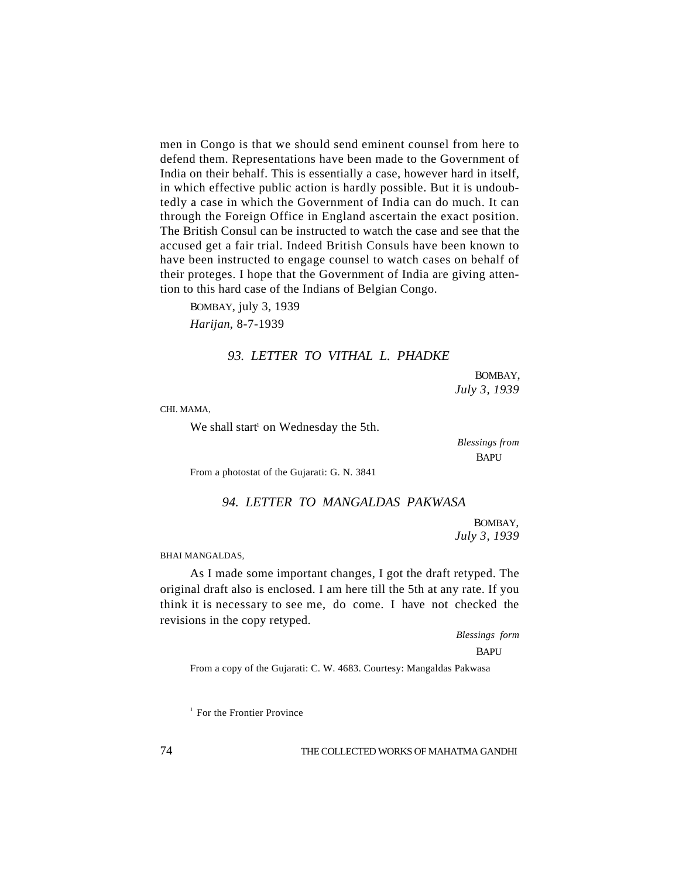men in Congo is that we should send eminent counsel from here to defend them. Representations have been made to the Government of India on their behalf. This is essentially a case, however hard in itself, in which effective public action is hardly possible. But it is undoubtedly a case in which the Government of India can do much. It can through the Foreign Office in England ascertain the exact position. The British Consul can be instructed to watch the case and see that the accused get a fair trial. Indeed British Consuls have been known to have been instructed to engage counsel to watch cases on behalf of their proteges. I hope that the Government of India are giving attention to this hard case of the Indians of Belgian Congo.

BOMBAY, july 3, 1939 *Harijan*, 8-7-1939

#### *93. LETTER TO VITHAL L. PHADKE*

BOMBAY, *July 3, 1939*

CHI. MAMA,

We shall start<sup>1</sup> on Wednesday the 5th.

*Blessings from* **BAPU** 

From a photostat of the Gujarati: G. N. 3841

#### *94. LETTER TO MANGALDAS PAKWASA*

BOMBAY, *July 3, 1939*

BHAI MANGALDAS,

As I made some important changes, I got the draft retyped. The original draft also is enclosed. I am here till the 5th at any rate. If you think it is necessary to see me, do come. I have not checked the revisions in the copy retyped.

*Blessings form*

**BAPU** 

From a copy of the Gujarati: C. W. 4683. Courtesy: Mangaldas Pakwasa

<sup>1</sup> For the Frontier Province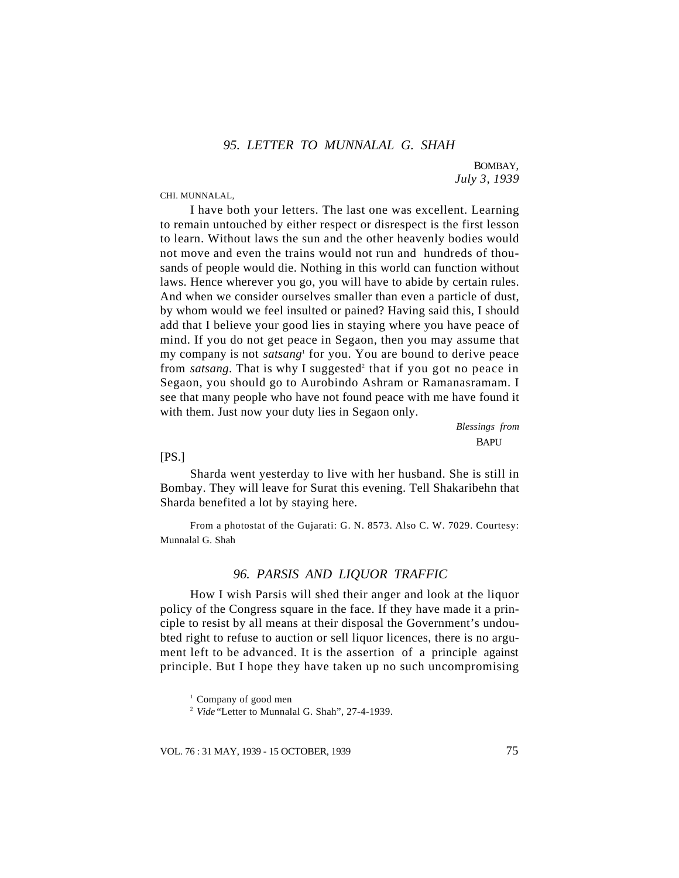## *95. LETTER TO MUNNALAL G. SHAH*

BOMBAY, *July 3, 1939*

#### CHI. MUNNALAL,

I have both your letters. The last one was excellent. Learning to remain untouched by either respect or disrespect is the first lesson to learn. Without laws the sun and the other heavenly bodies would not move and even the trains would not run and hundreds of thousands of people would die. Nothing in this world can function without laws. Hence wherever you go, you will have to abide by certain rules. And when we consider ourselves smaller than even a particle of dust, by whom would we feel insulted or pained? Having said this, I should add that I believe your good lies in staying where you have peace of mind. If you do not get peace in Segaon, then you may assume that my company is not *satsang* for you. You are bound to derive peace from *satsang*. That is why I suggested<sup>2</sup> that if you got no peace in Segaon, you should go to Aurobindo Ashram or Ramanasramam. I see that many people who have not found peace with me have found it with them. Just now your duty lies in Segaon only.

> *Blessings from* **BAPU**

#### [PS.]

Sharda went yesterday to live with her husband. She is still in Bombay. They will leave for Surat this evening. Tell Shakaribehn that Sharda benefited a lot by staying here.

From a photostat of the Gujarati: G. N. 8573. Also C. W. 7029. Courtesy: Munnalal G. Shah

#### *96. PARSIS AND LIQUOR TRAFFIC*

How I wish Parsis will shed their anger and look at the liquor policy of the Congress square in the face. If they have made it a principle to resist by all means at their disposal the Government's undoubted right to refuse to auction or sell liquor licences, there is no argument left to be advanced. It is the assertion of a principle against principle. But I hope they have taken up no such uncompromising

 $1$  Company of good men

<sup>2</sup> *Vide* "Letter to Munnalal G. Shah", 27-4-1939.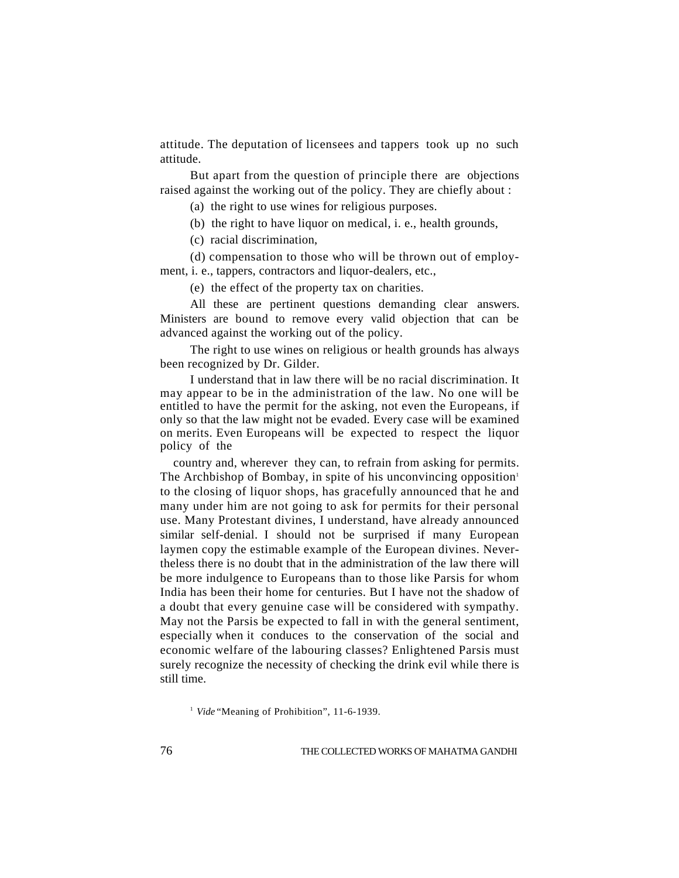attitude. The deputation of licensees and tappers took up no such attitude.

But apart from the question of principle there are objections raised against the working out of the policy. They are chiefly about :

(a) the right to use wines for religious purposes.

(b) the right to have liquor on medical, i. e., health grounds,

(c) racial discrimination,

(d) compensation to those who will be thrown out of employment, i. e., tappers, contractors and liquor-dealers, etc.,

(e) the effect of the property tax on charities.

All these are pertinent questions demanding clear answers. Ministers are bound to remove every valid objection that can be advanced against the working out of the policy.

The right to use wines on religious or health grounds has always been recognized by Dr. Gilder.

I understand that in law there will be no racial discrimination. It may appear to be in the administration of the law. No one will be entitled to have the permit for the asking, not even the Europeans, if only so that the law might not be evaded. Every case will be examined on merits. Even Europeans will be expected to respect the liquor policy of the

 country and, wherever they can, to refrain from asking for permits. The Archbishop of Bombay, in spite of his unconvincing opposition<sup>1</sup> to the closing of liquor shops, has gracefully announced that he and many under him are not going to ask for permits for their personal use. Many Protestant divines, I understand, have already announced similar self-denial. I should not be surprised if many European laymen copy the estimable example of the European divines. Nevertheless there is no doubt that in the administration of the law there will be more indulgence to Europeans than to those like Parsis for whom India has been their home for centuries. But I have not the shadow of a doubt that every genuine case will be considered with sympathy. May not the Parsis be expected to fall in with the general sentiment, especially when it conduces to the conservation of the social and economic welfare of the labouring classes? Enlightened Parsis must surely recognize the necessity of checking the drink evil while there is still time.

<sup>1</sup> *Vide* "Meaning of Prohibition", 11-6-1939.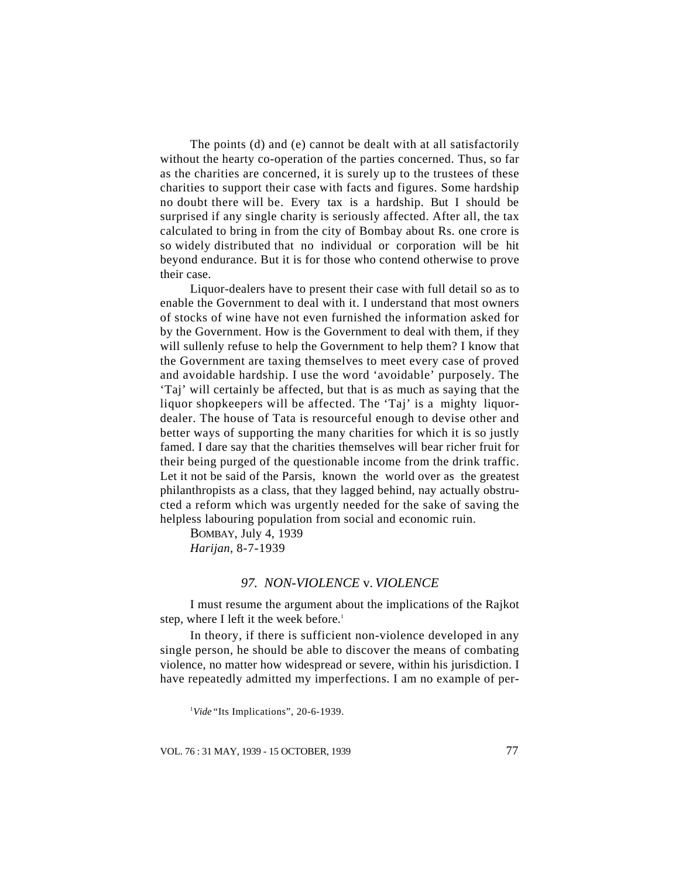The points (d) and (e) cannot be dealt with at all satisfactorily without the hearty co-operation of the parties concerned. Thus, so far as the charities are concerned, it is surely up to the trustees of these charities to support their case with facts and figures. Some hardship no doubt there will be. Every tax is a hardship. But I should be surprised if any single charity is seriously affected. After all, the tax calculated to bring in from the city of Bombay about Rs. one crore is so widely distributed that no individual or corporation will be hit beyond endurance. But it is for those who contend otherwise to prove their case.

Liquor-dealers have to present their case with full detail so as to enable the Government to deal with it. I understand that most owners of stocks of wine have not even furnished the information asked for by the Government. How is the Government to deal with them, if they will sullenly refuse to help the Government to help them? I know that the Government are taxing themselves to meet every case of proved and avoidable hardship. I use the word 'avoidable' purposely. The 'Taj' will certainly be affected, but that is as much as saying that the liquor shopkeepers will be affected. The 'Taj' is a mighty liquordealer. The house of Tata is resourceful enough to devise other and better ways of supporting the many charities for which it is so justly famed. I dare say that the charities themselves will bear richer fruit for their being purged of the questionable income from the drink traffic. Let it not be said of the Parsis, known the world over as the greatest philanthropists as a class, that they lagged behind, nay actually obstructed a reform which was urgently needed for the sake of saving the helpless labouring population from social and economic ruin.

BOMBAY, July 4, 1939 *Harijan,* 8-7-1939

#### *97. NON-VIOLENCE* v. *VIOLENCE*

I must resume the argument about the implications of the Rajkot step, where I left it the week before.<sup>1</sup>

In theory, if there is sufficient non-violence developed in any single person, he should be able to discover the means of combating violence, no matter how widespread or severe, within his jurisdiction. I have repeatedly admitted my imperfections. I am no example of per-

<sup>&</sup>lt;sup>1</sup>*Vide* "Its Implications", 20-6-1939.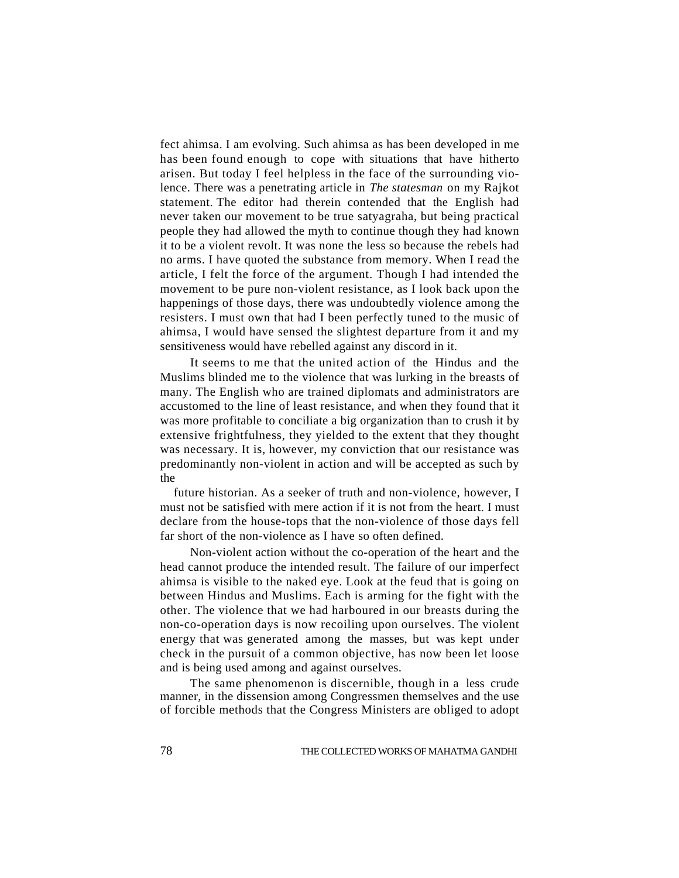fect ahimsa. I am evolving. Such ahimsa as has been developed in me has been found enough to cope with situations that have hitherto arisen. But today I feel helpless in the face of the surrounding violence. There was a penetrating article in *The statesman* on my Rajkot statement. The editor had therein contended that the English had never taken our movement to be true satyagraha, but being practical people they had allowed the myth to continue though they had known it to be a violent revolt. It was none the less so because the rebels had no arms. I have quoted the substance from memory. When I read the article, I felt the force of the argument. Though I had intended the movement to be pure non-violent resistance, as I look back upon the happenings of those days, there was undoubtedly violence among the resisters. I must own that had I been perfectly tuned to the music of ahimsa, I would have sensed the slightest departure from it and my sensitiveness would have rebelled against any discord in it.

It seems to me that the united action of the Hindus and the Muslims blinded me to the violence that was lurking in the breasts of many. The English who are trained diplomats and administrators are accustomed to the line of least resistance, and when they found that it was more profitable to conciliate a big organization than to crush it by extensive frightfulness, they yielded to the extent that they thought was necessary. It is, however, my conviction that our resistance was predominantly non-violent in action and will be accepted as such by the

 future historian. As a seeker of truth and non-violence, however, I must not be satisfied with mere action if it is not from the heart. I must declare from the house-tops that the non-violence of those days fell far short of the non-violence as I have so often defined.

Non-violent action without the co-operation of the heart and the head cannot produce the intended result. The failure of our imperfect ahimsa is visible to the naked eye. Look at the feud that is going on between Hindus and Muslims. Each is arming for the fight with the other. The violence that we had harboured in our breasts during the non-co-operation days is now recoiling upon ourselves. The violent energy that was generated among the masses, but was kept under check in the pursuit of a common objective, has now been let loose and is being used among and against ourselves.

The same phenomenon is discernible, though in a less crude manner, in the dissension among Congressmen themselves and the use of forcible methods that the Congress Ministers are obliged to adopt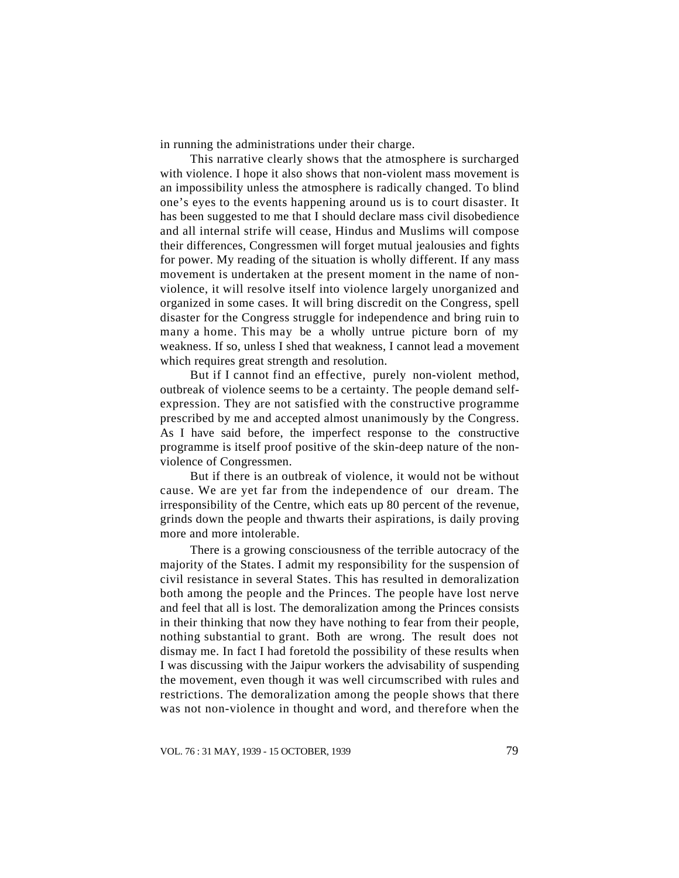in running the administrations under their charge.

This narrative clearly shows that the atmosphere is surcharged with violence. I hope it also shows that non-violent mass movement is an impossibility unless the atmosphere is radically changed. To blind one's eyes to the events happening around us is to court disaster. It has been suggested to me that I should declare mass civil disobedience and all internal strife will cease, Hindus and Muslims will compose their differences, Congressmen will forget mutual jealousies and fights for power. My reading of the situation is wholly different. If any mass movement is undertaken at the present moment in the name of nonviolence, it will resolve itself into violence largely unorganized and organized in some cases. It will bring discredit on the Congress, spell disaster for the Congress struggle for independence and bring ruin to many a home. This may be a wholly untrue picture born of my weakness. If so, unless I shed that weakness, I cannot lead a movement which requires great strength and resolution.

But if I cannot find an effective, purely non-violent method, outbreak of violence seems to be a certainty. The people demand selfexpression. They are not satisfied with the constructive programme prescribed by me and accepted almost unanimously by the Congress. As I have said before, the imperfect response to the constructive programme is itself proof positive of the skin-deep nature of the nonviolence of Congressmen.

But if there is an outbreak of violence, it would not be without cause. We are yet far from the independence of our dream. The irresponsibility of the Centre, which eats up 80 percent of the revenue, grinds down the people and thwarts their aspirations, is daily proving more and more intolerable.

There is a growing consciousness of the terrible autocracy of the majority of the States. I admit my responsibility for the suspension of civil resistance in several States. This has resulted in demoralization both among the people and the Princes. The people have lost nerve and feel that all is lost. The demoralization among the Princes consists in their thinking that now they have nothing to fear from their people, nothing substantial to grant. Both are wrong. The result does not dismay me. In fact I had foretold the possibility of these results when I was discussing with the Jaipur workers the advisability of suspending the movement, even though it was well circumscribed with rules and restrictions. The demoralization among the people shows that there was not non-violence in thought and word, and therefore when the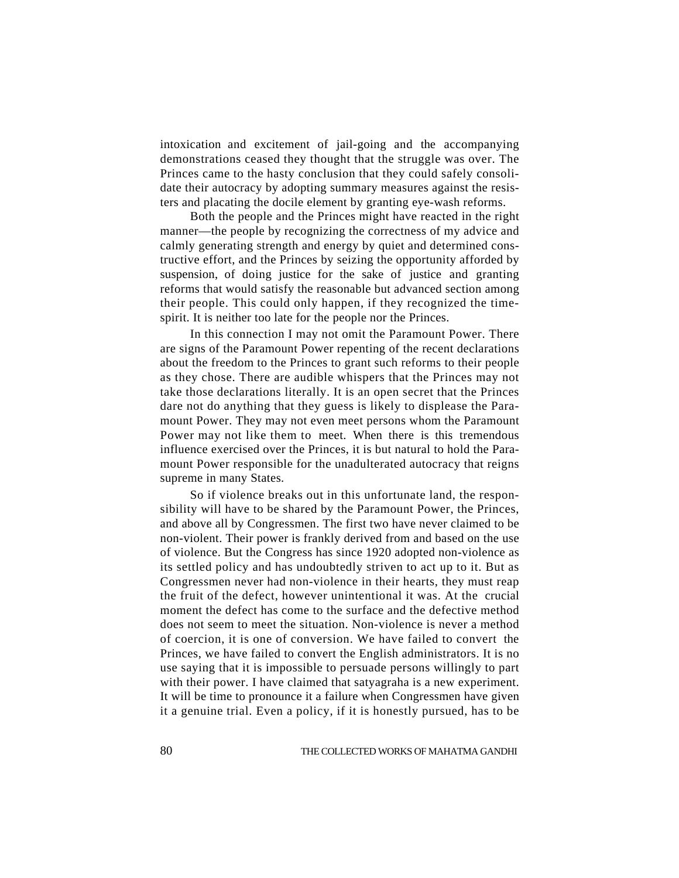intoxication and excitement of jail-going and the accompanying demonstrations ceased they thought that the struggle was over. The Princes came to the hasty conclusion that they could safely consolidate their autocracy by adopting summary measures against the resisters and placating the docile element by granting eye-wash reforms.

Both the people and the Princes might have reacted in the right manner—the people by recognizing the correctness of my advice and calmly generating strength and energy by quiet and determined constructive effort, and the Princes by seizing the opportunity afforded by suspension, of doing justice for the sake of justice and granting reforms that would satisfy the reasonable but advanced section among their people. This could only happen, if they recognized the timespirit. It is neither too late for the people nor the Princes.

In this connection I may not omit the Paramount Power. There are signs of the Paramount Power repenting of the recent declarations about the freedom to the Princes to grant such reforms to their people as they chose. There are audible whispers that the Princes may not take those declarations literally. It is an open secret that the Princes dare not do anything that they guess is likely to displease the Paramount Power. They may not even meet persons whom the Paramount Power may not like them to meet. When there is this tremendous influence exercised over the Princes, it is but natural to hold the Paramount Power responsible for the unadulterated autocracy that reigns supreme in many States.

 So if violence breaks out in this unfortunate land, the responsibility will have to be shared by the Paramount Power, the Princes, and above all by Congressmen. The first two have never claimed to be non-violent. Their power is frankly derived from and based on the use of violence. But the Congress has since 1920 adopted non-violence as its settled policy and has undoubtedly striven to act up to it. But as Congressmen never had non-violence in their hearts, they must reap the fruit of the defect, however unintentional it was. At the crucial moment the defect has come to the surface and the defective method does not seem to meet the situation. Non-violence is never a method of coercion, it is one of conversion. We have failed to convert the Princes, we have failed to convert the English administrators. It is no use saying that it is impossible to persuade persons willingly to part with their power. I have claimed that satyagraha is a new experiment. It will be time to pronounce it a failure when Congressmen have given it a genuine trial. Even a policy, if it is honestly pursued, has to be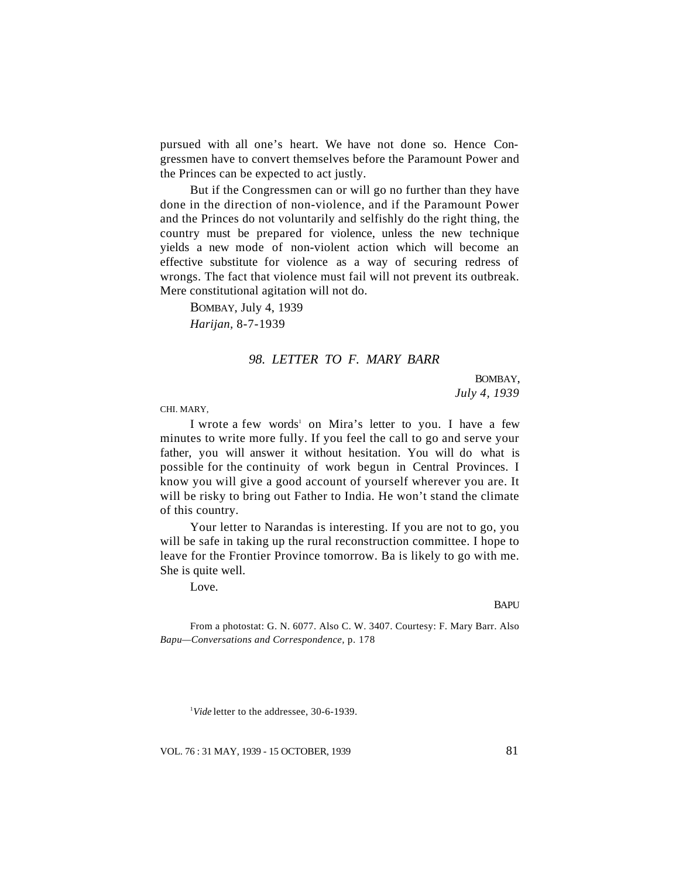pursued with all one's heart. We have not done so. Hence Congressmen have to convert themselves before the Paramount Power and the Princes can be expected to act justly.

But if the Congressmen can or will go no further than they have done in the direction of non-violence, and if the Paramount Power and the Princes do not voluntarily and selfishly do the right thing, the country must be prepared for violence, unless the new technique yields a new mode of non-violent action which will become an effective substitute for violence as a way of securing redress of wrongs. The fact that violence must fail will not prevent its outbreak. Mere constitutional agitation will not do.

BOMBAY, July 4, 1939 *Harijan,* 8-7-1939

#### *98. LETTER TO F. MARY BARR*

BOMBAY, *July 4, 1939*

CHI. MARY,

I wrote a few words<sup>1</sup> on Mira's letter to you. I have a few minutes to write more fully. If you feel the call to go and serve your father, you will answer it without hesitation. You will do what is possible for the continuity of work begun in Central Provinces. I know you will give a good account of yourself wherever you are. It will be risky to bring out Father to India. He won't stand the climate of this country.

Your letter to Narandas is interesting. If you are not to go, you will be safe in taking up the rural reconstruction committee. I hope to leave for the Frontier Province tomorrow. Ba is likely to go with me. She is quite well.

Love.

**BAPU** 

From a photostat: G. N. 6077. Also C. W. 3407. Courtesy: F. Mary Barr. Also *Bapu—Conversations and Correspondence,* p. 178

<sup>1</sup>*Vide* letter to the addressee, 30-6-1939.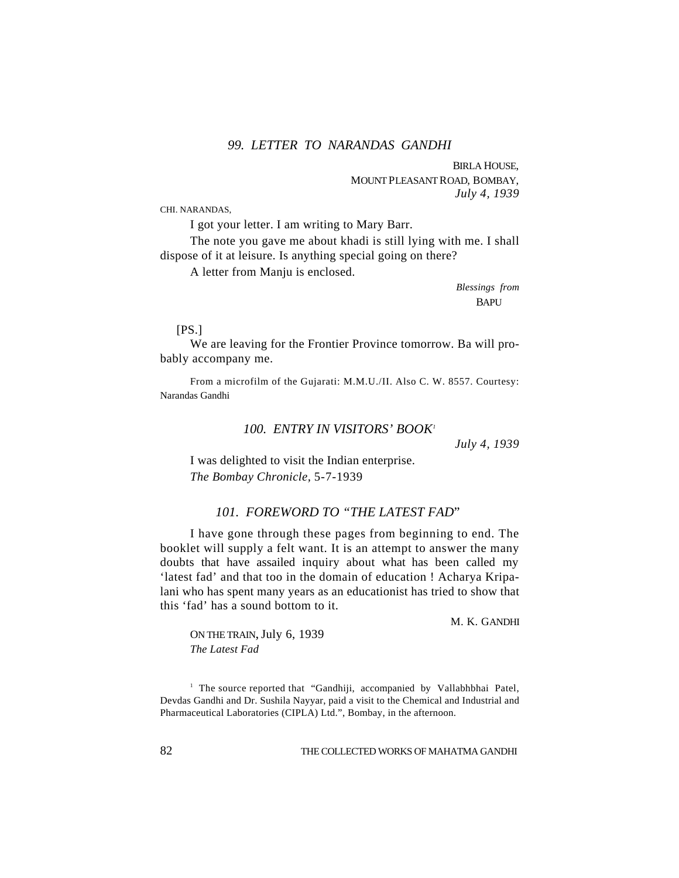## *99. LETTER TO NARANDAS GANDHI*

BIRLA HOUSE, MOUNT PLEASANT ROAD, BOMBAY, *July 4, 1939*

CHI. NARANDAS,

I got your letter. I am writing to Mary Barr.

The note you gave me about khadi is still lying with me. I shall dispose of it at leisure. Is anything special going on there?

A letter from Manju is enclosed.

*Blessings from* BAPU

#### $[PS.]$

We are leaving for the Frontier Province tomorrow. Ba will probably accompany me.

From a microfilm of the Gujarati: M.M.U./II. Also C. W. 8557. Courtesy: Narandas Gandhi

#### *100. ENTRY IN VISITORS' BOOK<sup>1</sup>*

*July 4, 1939*

I was delighted to visit the Indian enterprise. *The Bombay Chronicle,* 5-7-1939

## *101. FOREWORD TO "THE LATEST FAD*"

I have gone through these pages from beginning to end. The booklet will supply a felt want. It is an attempt to answer the many doubts that have assailed inquiry about what has been called my 'latest fad' and that too in the domain of education ! Acharya Kripalani who has spent many years as an educationist has tried to show that this 'fad' has a sound bottom to it.

M. K. GANDHI

ON THE TRAIN, July 6, 1939 *The Latest Fad*

<sup>1</sup> The source reported that "Gandhiji, accompanied by Vallabhbhai Patel, Devdas Gandhi and Dr. Sushila Nayyar, paid a visit to the Chemical and Industrial and Pharmaceutical Laboratories (CIPLA) Ltd.", Bombay, in the afternoon.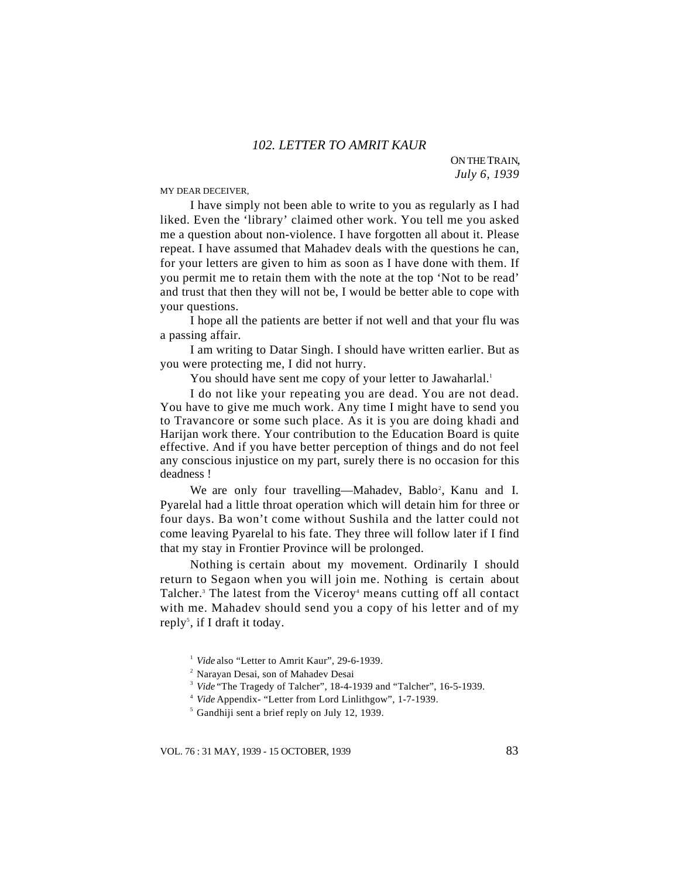## *102. LETTER TO AMRIT KAUR*

ON THE TRAIN, *July 6, 1939*

#### MY DEAR DECEIVER

I have simply not been able to write to you as regularly as I had liked. Even the 'library' claimed other work. You tell me you asked me a question about non-violence. I have forgotten all about it. Please repeat. I have assumed that Mahadev deals with the questions he can, for your letters are given to him as soon as I have done with them. If you permit me to retain them with the note at the top 'Not to be read' and trust that then they will not be, I would be better able to cope with your questions.

I hope all the patients are better if not well and that your flu was a passing affair.

I am writing to Datar Singh. I should have written earlier. But as you were protecting me, I did not hurry.

You should have sent me copy of your letter to Jawaharlal.<sup>1</sup>

I do not like your repeating you are dead. You are not dead. You have to give me much work. Any time I might have to send you to Travancore or some such place. As it is you are doing khadi and Harijan work there. Your contribution to the Education Board is quite effective. And if you have better perception of things and do not feel any conscious injustice on my part, surely there is no occasion for this deadness !

We are only four travelling—Mahadev, Bablo<sup>2</sup>, Kanu and I. Pyarelal had a little throat operation which will detain him for three or four days. Ba won't come without Sushila and the latter could not come leaving Pyarelal to his fate. They three will follow later if I find that my stay in Frontier Province will be prolonged.

Nothing is certain about my movement. Ordinarily I should return to Segaon when you will join me. Nothing is certain about Talcher.<sup>3</sup> The latest from the Viceroy<sup>4</sup> means cutting off all contact with me. Mahadev should send you a copy of his letter and of my reply<sup>5</sup>, if I draft it today.

<sup>1</sup> *Vide* also "Letter to Amrit Kaur", 29-6-1939.

<sup>2</sup> Narayan Desai, son of Mahadev Desai

<sup>3</sup> *Vide* "The Tragedy of Talcher", 18-4-1939 and "Talcher", 16-5-1939.

<sup>4</sup> *Vide* Appendix- "Letter from Lord Linlithgow", 1-7-1939.

 $<sup>5</sup>$  Gandhiji sent a brief reply on July 12, 1939.</sup>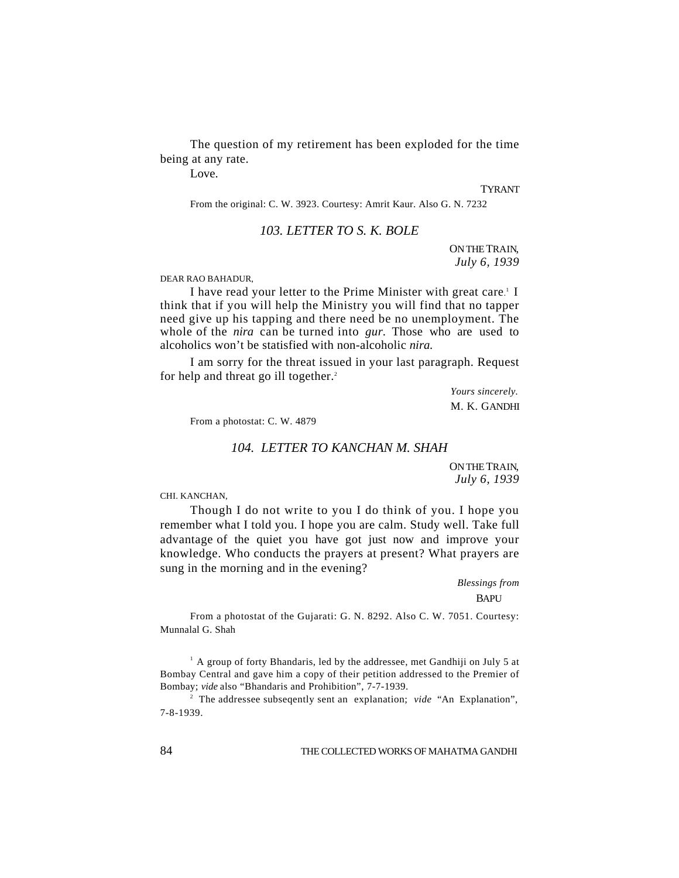The question of my retirement has been exploded for the time being at any rate.

Love.

TYRANT

From the original: C. W. 3923. Courtesy: Amrit Kaur. Also G. N. 7232

#### *103. LETTER TO S. K. BOLE*

ON THE TRAIN, *July 6, 1939*

DEAR RAO BAHADUR,

I have read your letter to the Prime Minister with great care.<sup>1</sup> I think that if you will help the Ministry you will find that no tapper need give up his tapping and there need be no unemployment. The whole of the *nira* can be turned into *gur.* Those who are used to alcoholics won't be statisfied with non-alcoholic *nira.*

I am sorry for the threat issued in your last paragraph. Request for help and threat go ill together. $2$ 

> *Yours sincerely.* M. K. GANDHI

From a photostat: C. W. 4879

#### *104. LETTER TO KANCHAN M. SHAH*

ON THE TRAIN, *July 6, 1939*

CHI. KANCHAN,

Though I do not write to you I do think of you. I hope you remember what I told you. I hope you are calm. Study well. Take full advantage of the quiet you have got just now and improve your knowledge. Who conducts the prayers at present? What prayers are sung in the morning and in the evening?

*Blessings from*

BAPU

From a photostat of the Gujarati: G. N. 8292. Also C. W. 7051. Courtesy: Munnalal G. Shah

 $<sup>1</sup>$  A group of forty Bhandaris, led by the addressee, met Gandhiji on July 5 at</sup> Bombay Central and gave him a copy of their petition addressed to the Premier of Bombay; *vide* also "Bhandaris and Prohibition", 7-7-1939.

<sup>2</sup> The addressee subseqently sent an explanation; *vide* "An Explanation", 7-8-1939.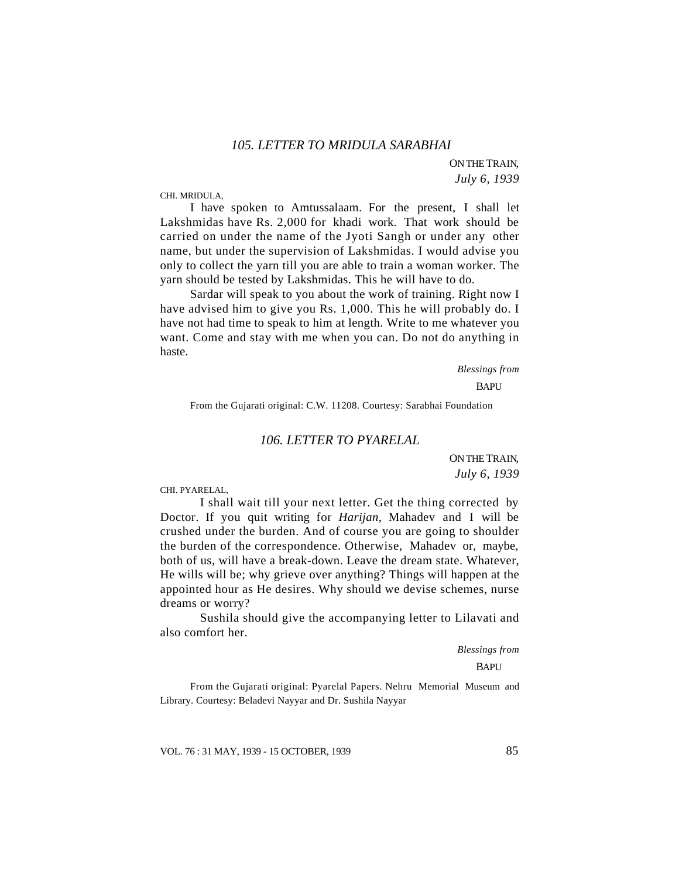## *105. LETTER TO MRIDULA SARABHAI*

ON THE TRAIN, *July 6, 1939*

CHI. MRIDULA,

I have spoken to Amtussalaam. For the present, I shall let Lakshmidas have Rs. 2,000 for khadi work. That work should be carried on under the name of the Jyoti Sangh or under any other name, but under the supervision of Lakshmidas. I would advise you only to collect the yarn till you are able to train a woman worker. The yarn should be tested by Lakshmidas. This he will have to do.

Sardar will speak to you about the work of training. Right now I have advised him to give you Rs. 1,000. This he will probably do. I have not had time to speak to him at length. Write to me whatever you want. Come and stay with me when you can. Do not do anything in haste.

*Blessings from*

**BAPU** 

From the Gujarati original: C.W. 11208. Courtesy: Sarabhai Foundation

#### *106. LETTER TO PYARELAL*

ON THE TRAIN, *July 6, 1939*

CHI. PYARELAL,

I shall wait till your next letter. Get the thing corrected by Doctor. If you quit writing for *Harijan*, Mahadev and I will be crushed under the burden. And of course you are going to shoulder the burden of the correspondence. Otherwise, Mahadev or, maybe, both of us, will have a break-down. Leave the dream state. Whatever, He wills will be; why grieve over anything? Things will happen at the appointed hour as He desires. Why should we devise schemes, nurse dreams or worry?

Sushila should give the accompanying letter to Lilavati and also comfort her.

*Blessings from*

**BAPU** 

From the Gujarati original: Pyarelal Papers. Nehru Memorial Museum and Library. Courtesy: Beladevi Nayyar and Dr. Sushila Nayyar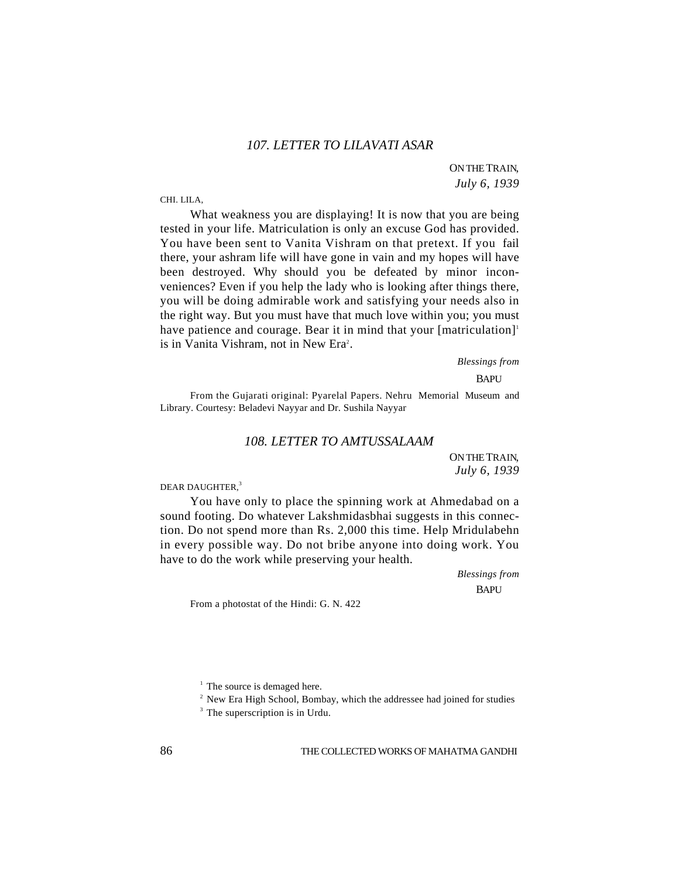## *107. LETTER TO LILAVATI ASAR*

ON THE TRAIN, *July 6, 1939*

CHI. LILA,

What weakness you are displaying! It is now that you are being tested in your life. Matriculation is only an excuse God has provided. You have been sent to Vanita Vishram on that pretext. If you fail there, your ashram life will have gone in vain and my hopes will have been destroyed. Why should you be defeated by minor inconveniences? Even if you help the lady who is looking after things there, you will be doing admirable work and satisfying your needs also in the right way. But you must have that much love within you; you must have patience and courage. Bear it in mind that your  $[matriculation]$ <sup>1</sup> is in Vanita Vishram, not in New Era<sup>2</sup>.

*Blessings from*

BAPU

From the Gujarati original: Pyarelal Papers. Nehru Memorial Museum and Library. Courtesy: Beladevi Nayyar and Dr. Sushila Nayyar

#### *108. LETTER TO AMTUSSALAAM*

ON THE TRAIN, *July 6, 1939*

DEAR DAUGHTER.<sup>3</sup>

You have only to place the spinning work at Ahmedabad on a sound footing. Do whatever Lakshmidasbhai suggests in this connection. Do not spend more than Rs. 2,000 this time. Help Mridulabehn in every possible way. Do not bribe anyone into doing work. You have to do the work while preserving your health.

> *Blessings from* **BAPU**

From a photostat of the Hindi: G. N. 422

 $<sup>1</sup>$  The source is demaged here.</sup>

<sup>&</sup>lt;sup>2</sup> New Era High School, Bombay, which the addressee had joined for studies

 $3$  The superscription is in Urdu.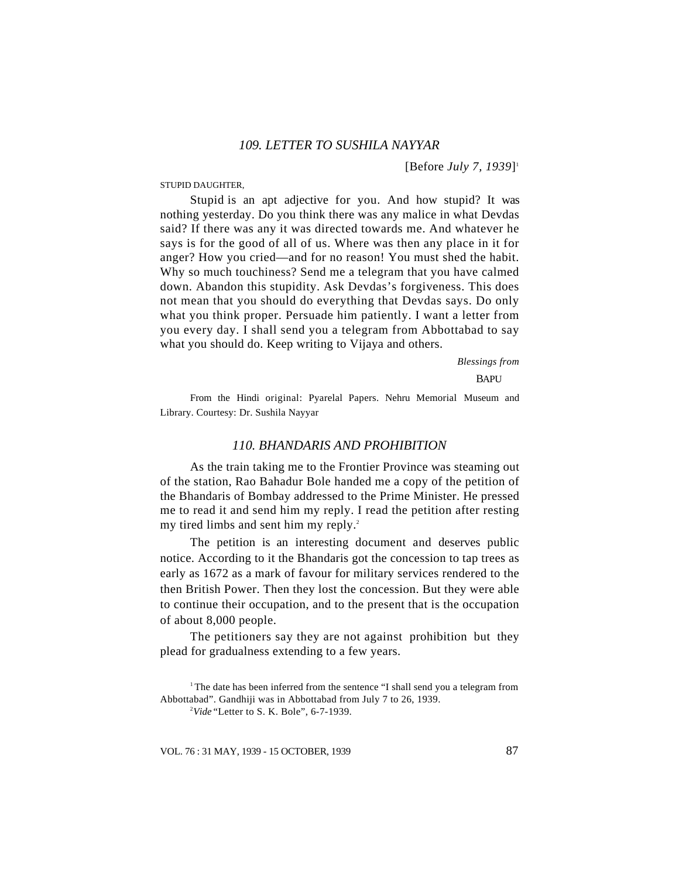[Before *July 7, 1939*] 1

#### STUPID DAUGHTER,

Stupid is an apt adjective for you. And how stupid? It was nothing yesterday. Do you think there was any malice in what Devdas said? If there was any it was directed towards me. And whatever he says is for the good of all of us. Where was then any place in it for anger? How you cried—and for no reason! You must shed the habit. Why so much touchiness? Send me a telegram that you have calmed down. Abandon this stupidity. Ask Devdas's forgiveness. This does not mean that you should do everything that Devdas says. Do only what you think proper. Persuade him patiently. I want a letter from you every day. I shall send you a telegram from Abbottabad to say what you should do. Keep writing to Vijaya and others.

*Blessings from*

BAPU

From the Hindi original: Pyarelal Papers. Nehru Memorial Museum and Library. Courtesy: Dr. Sushila Nayyar

#### *110. BHANDARIS AND PROHIBITION*

As the train taking me to the Frontier Province was steaming out of the station, Rao Bahadur Bole handed me a copy of the petition of the Bhandaris of Bombay addressed to the Prime Minister. He pressed me to read it and send him my reply. I read the petition after resting my tired limbs and sent him my reply.<sup>2</sup>

The petition is an interesting document and deserves public notice. According to it the Bhandaris got the concession to tap trees as early as 1672 as a mark of favour for military services rendered to the then British Power. Then they lost the concession. But they were able to continue their occupation, and to the present that is the occupation of about 8,000 people.

The petitioners say they are not against prohibition but they plead for gradualness extending to a few years.

<sup>&</sup>lt;sup>1</sup>The date has been inferred from the sentence "I shall send you a telegram from Abbottabad". Gandhiji was in Abbottabad from July 7 to 26, 1939.

<sup>2</sup>*Vide* "Letter to S. K. Bole", 6-7-1939.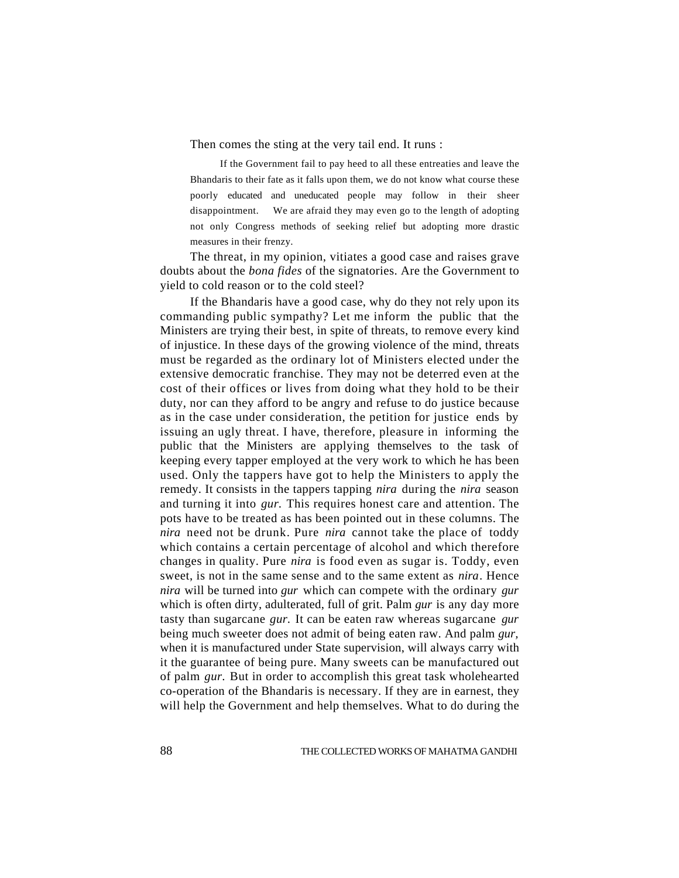Then comes the sting at the very tail end. It runs :

If the Government fail to pay heed to all these entreaties and leave the Bhandaris to their fate as it falls upon them, we do not know what course these poorly educated and uneducated people may follow in their sheer disappointment. We are afraid they may even go to the length of adopting not only Congress methods of seeking relief but adopting more drastic measures in their frenzy.

The threat, in my opinion, vitiates a good case and raises grave doubts about the *bona fides* of the signatories. Are the Government to yield to cold reason or to the cold steel?

If the Bhandaris have a good case, why do they not rely upon its commanding public sympathy? Let me inform the public that the Ministers are trying their best, in spite of threats, to remove every kind of injustice. In these days of the growing violence of the mind, threats must be regarded as the ordinary lot of Ministers elected under the extensive democratic franchise. They may not be deterred even at the cost of their offices or lives from doing what they hold to be their duty, nor can they afford to be angry and refuse to do justice because as in the case under consideration, the petition for justice ends by issuing an ugly threat. I have, therefore, pleasure in informing the public that the Ministers are applying themselves to the task of keeping every tapper employed at the very work to which he has been used. Only the tappers have got to help the Ministers to apply the remedy. It consists in the tappers tapping *nira* during the *nira* season and turning it into *gur.* This requires honest care and attention. The pots have to be treated as has been pointed out in these columns. The *nira* need not be drunk. Pure *nira* cannot take the place of toddy which contains a certain percentage of alcohol and which therefore changes in quality. Pure *nira* is food even as sugar is. Toddy, even sweet, is not in the same sense and to the same extent as *nira*. Hence *nira* will be turned into *gur* which can compete with the ordinary *gur* which is often dirty, adulterated, full of grit. Palm *gur* is any day more tasty than sugarcane *gur.* It can be eaten raw whereas sugarcane *gur* being much sweeter does not admit of being eaten raw. And palm *gur,* when it is manufactured under State supervision, will always carry with it the guarantee of being pure. Many sweets can be manufactured out of palm *gur.* But in order to accomplish this great task wholehearted co-operation of the Bhandaris is necessary. If they are in earnest, they will help the Government and help themselves. What to do during the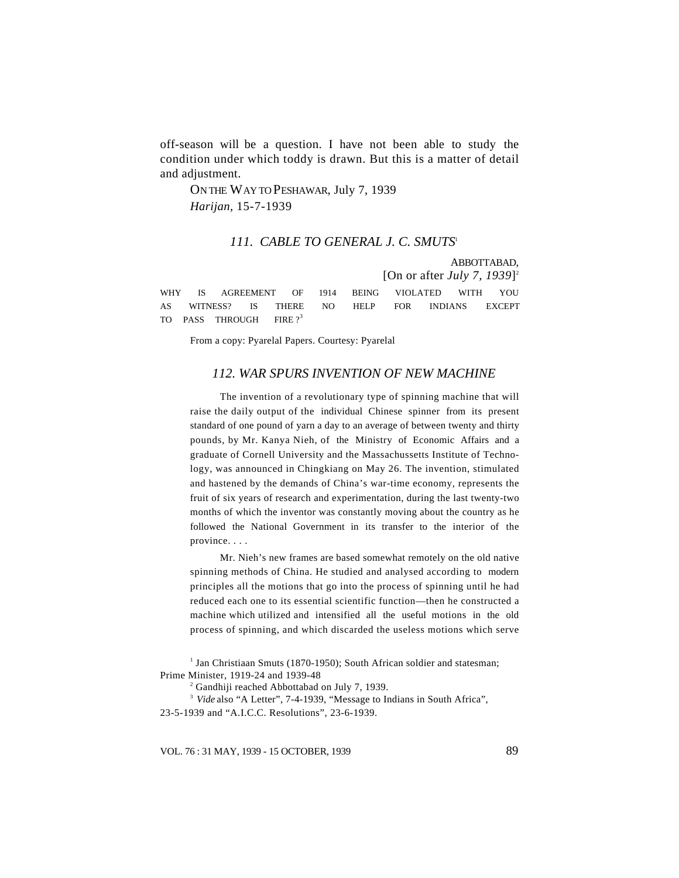off-season will be a question. I have not been able to study the condition under which toddy is drawn. But this is a matter of detail and adjustment.

ON THE WAY TO PESHAWAR, July 7, 1939 *Harijan,* 15-7-1939

#### *111. CABLE TO GENERAL J. C. SMUTS*<sup>1</sup>

ABBOTTABAD, [On or after *July 7, 1939*] 2 WHY IS AGREEMENT OF 1914 BEING VIOLATED WITH YOU AS WITNESS? IS THERE NO HELP FOR INDIANS EXCEPT TO PASS THROUGH FIRE  $?$ <sup>3</sup>

From a copy: Pyarelal Papers. Courtesy: Pyarelal

#### *112. WAR SPURS INVENTION OF NEW MACHINE*

The invention of a revolutionary type of spinning machine that will raise the daily output of the individual Chinese spinner from its present standard of one pound of yarn a day to an average of between twenty and thirty pounds, by Mr. Kanya Nieh, of the Ministry of Economic Affairs and a graduate of Cornell University and the Massachussetts Institute of Technology, was announced in Chingkiang on May 26. The invention, stimulated and hastened by the demands of China's war-time economy, represents the fruit of six years of research and experimentation, during the last twenty-two months of which the inventor was constantly moving about the country as he followed the National Government in its transfer to the interior of the province. . . .

Mr. Nieh's new frames are based somewhat remotely on the old native spinning methods of China. He studied and analysed according to modern principles all the motions that go into the process of spinning until he had reduced each one to its essential scientific function—then he constructed a machine which utilized and intensified all the useful motions in the old process of spinning, and which discarded the useless motions which serve

<sup>1</sup> Jan Christiaan Smuts (1870-1950); South African soldier and statesman; Prime Minister, 1919-24 and 1939-48

 $2$  Gandhiji reached Abbottabad on July 7, 1939.

<sup>3</sup> *Vide* also "A Letter", 7-4-1939, "Message to Indians in South Africa", 23-5-1939 and "A.I.C.C. Resolutions", 23-6-1939.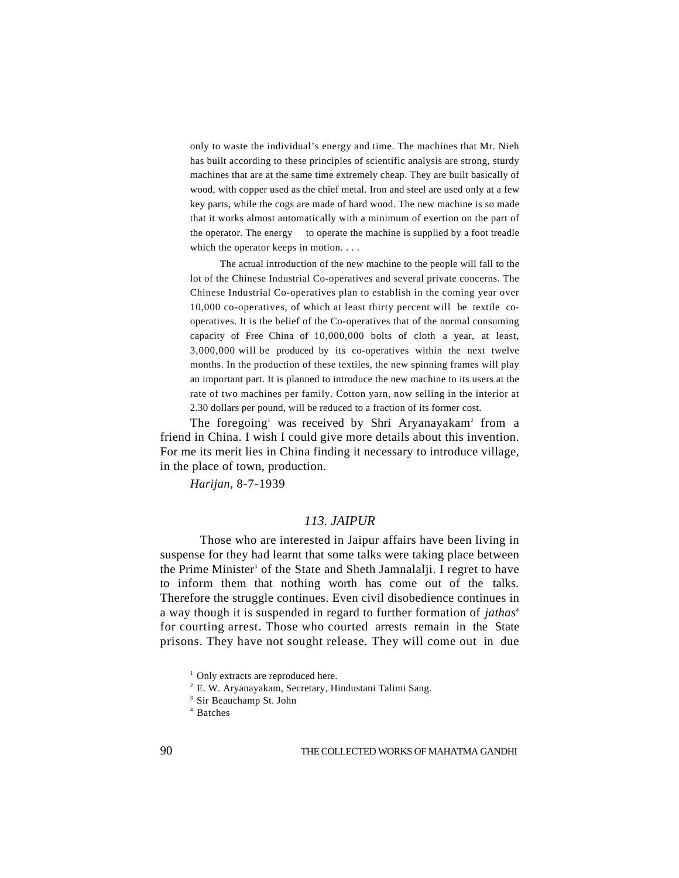only to waste the individual's energy and time. The machines that Mr. Nieh has built according to these principles of scientific analysis are strong, sturdy machines that are at the same time extremely cheap. They are built basically of wood, with copper used as the chief metal. Iron and steel are used only at a few key parts, while the cogs are made of hard wood. The new machine is so made that it works almost automatically with a minimum of exertion on the part of the operator. The energy to operate the machine is supplied by a foot treadle which the operator keeps in motion. . . .

The actual introduction of the new machine to the people will fall to the lot of the Chinese Industrial Co-operatives and several private concerns. The Chinese Industrial Co-operatives plan to establish in the coming year over 10,000 co-operatives, of which at least thirty percent will be textile cooperatives. It is the belief of the Co-operatives that of the normal consuming capacity of Free China of 10,000,000 bolts of cloth a year, at least, 3,000,000 will be produced by its co-operatives within the next twelve months. In the production of these textiles, the new spinning frames will play an important part. It is planned to introduce the new machine to its users at the rate of two machines per family. Cotton yarn, now selling in the interior at 2.30 dollars per pound, will be reduced to a fraction of its former cost.

The foregoing<sup>1</sup> was received by Shri Aryanayakam<sup>2</sup> from a friend in China. I wish I could give more details about this invention. For me its merit lies in China finding it necessary to introduce village, in the place of town, production.

*Harijan,* 8-7-1939

#### *113. JAIPUR*

Those who are interested in Jaipur affairs have been living in suspense for they had learnt that some talks were taking place between the Prime Minister<sup>3</sup> of the State and Sheth Jamnalalji. I regret to have to inform them that nothing worth has come out of the talks. Therefore the struggle continues. Even civil disobedience continues in a way though it is suspended in regard to further formation of *jathas*<sup>4</sup> for courting arrest. Those who courted arrests remain in the State prisons. They have not sought release. They will come out in due

<sup>&</sup>lt;sup>1</sup> Only extracts are reproduced here.

 $2$  E. W. Aryanayakam, Secretary, Hindustani Talimi Sang.

<sup>&</sup>lt;sup>3</sup> Sir Beauchamp St. John

<sup>4</sup> Batches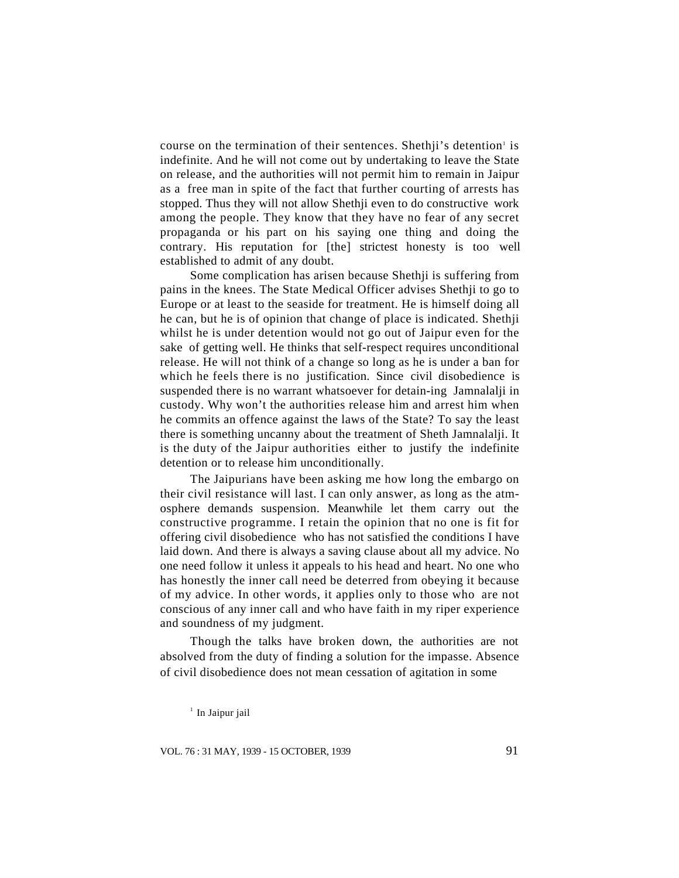course on the termination of their sentences. Shethji's detention<sup>1</sup> is indefinite. And he will not come out by undertaking to leave the State on release, and the authorities will not permit him to remain in Jaipur as a free man in spite of the fact that further courting of arrests has stopped. Thus they will not allow Shethji even to do constructive work among the people. They know that they have no fear of any secret propaganda or his part on his saying one thing and doing the contrary. His reputation for [the] strictest honesty is too well established to admit of any doubt.

Some complication has arisen because Shethji is suffering from pains in the knees. The State Medical Officer advises Shethji to go to Europe or at least to the seaside for treatment. He is himself doing all he can, but he is of opinion that change of place is indicated. Shethji whilst he is under detention would not go out of Jaipur even for the sake of getting well. He thinks that self-respect requires unconditional release. He will not think of a change so long as he is under a ban for which he feels there is no justification. Since civil disobedience is suspended there is no warrant whatsoever for detain-ing Jamnalalji in custody. Why won't the authorities release him and arrest him when he commits an offence against the laws of the State? To say the least there is something uncanny about the treatment of Sheth Jamnalalji. It is the duty of the Jaipur authorities either to justify the indefinite detention or to release him unconditionally.

The Jaipurians have been asking me how long the embargo on their civil resistance will last. I can only answer, as long as the atmosphere demands suspension. Meanwhile let them carry out the constructive programme. I retain the opinion that no one is fit for offering civil disobedience who has not satisfied the conditions I have laid down. And there is always a saving clause about all my advice. No one need follow it unless it appeals to his head and heart. No one who has honestly the inner call need be deterred from obeying it because of my advice. In other words, it applies only to those who are not conscious of any inner call and who have faith in my riper experience and soundness of my judgment.

Though the talks have broken down, the authorities are not absolved from the duty of finding a solution for the impasse. Absence of civil disobedience does not mean cessation of agitation in some

<sup>&</sup>lt;sup>1</sup> In Jaipur jail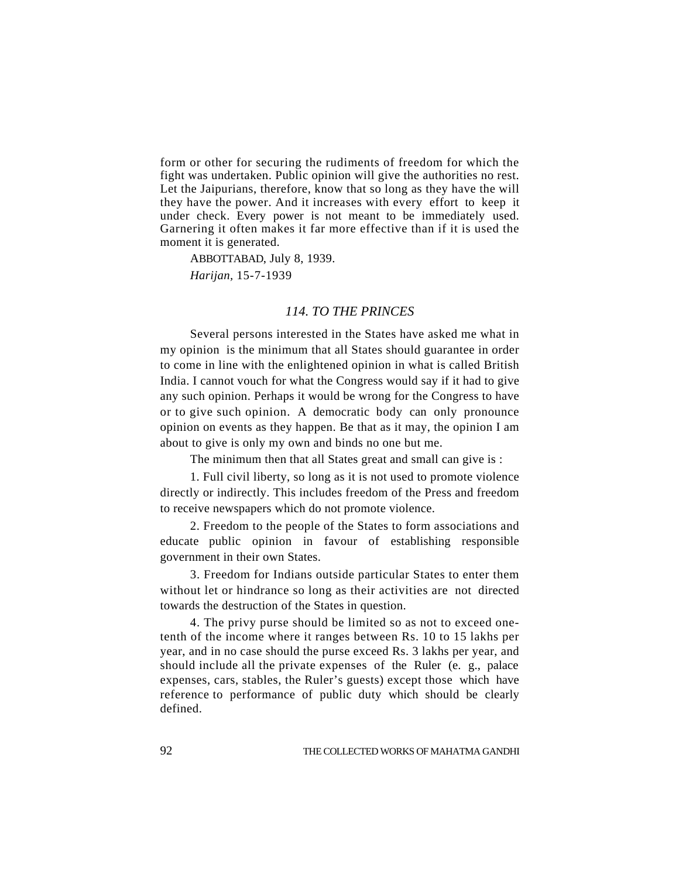form or other for securing the rudiments of freedom for which the fight was undertaken. Public opinion will give the authorities no rest. Let the Jaipurians, therefore, know that so long as they have the will they have the power. And it increases with every effort to keep it under check. Every power is not meant to be immediately used. Garnering it often makes it far more effective than if it is used the moment it is generated.

ABBOTTABAD, July 8, 1939. *Harijan,* 15-7-1939

#### *114. TO THE PRINCES*

Several persons interested in the States have asked me what in my opinion is the minimum that all States should guarantee in order to come in line with the enlightened opinion in what is called British India. I cannot vouch for what the Congress would say if it had to give any such opinion. Perhaps it would be wrong for the Congress to have or to give such opinion. A democratic body can only pronounce opinion on events as they happen. Be that as it may, the opinion I am about to give is only my own and binds no one but me.

The minimum then that all States great and small can give is :

1. Full civil liberty, so long as it is not used to promote violence directly or indirectly. This includes freedom of the Press and freedom to receive newspapers which do not promote violence.

2. Freedom to the people of the States to form associations and educate public opinion in favour of establishing responsible government in their own States.

3. Freedom for Indians outside particular States to enter them without let or hindrance so long as their activities are not directed towards the destruction of the States in question.

4. The privy purse should be limited so as not to exceed onetenth of the income where it ranges between Rs. 10 to 15 lakhs per year, and in no case should the purse exceed Rs. 3 lakhs per year, and should include all the private expenses of the Ruler (e. g., palace expenses, cars, stables, the Ruler's guests) except those which have reference to performance of public duty which should be clearly defined.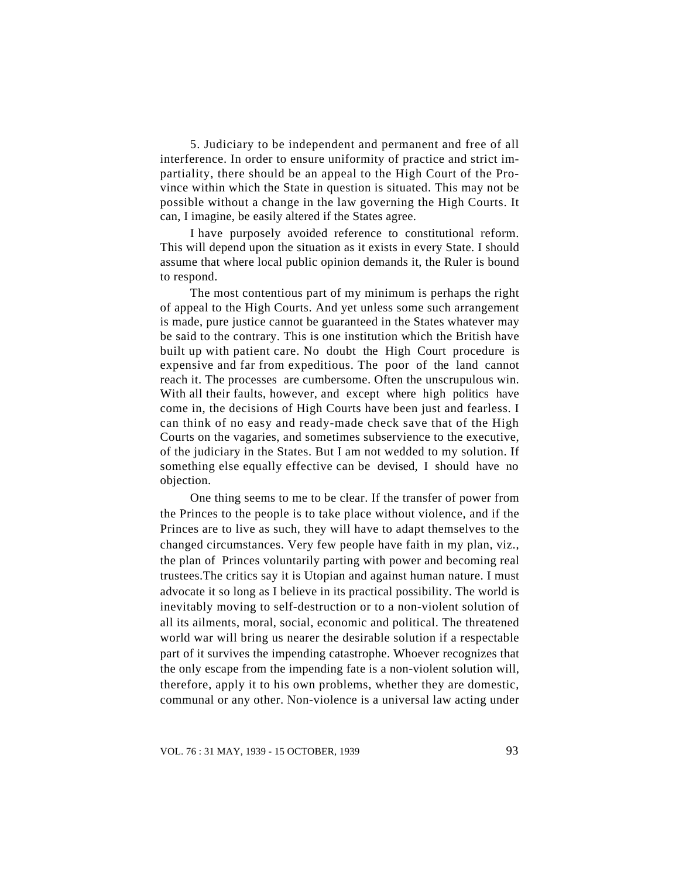5. Judiciary to be independent and permanent and free of all interference. In order to ensure uniformity of practice and strict impartiality, there should be an appeal to the High Court of the Province within which the State in question is situated. This may not be possible without a change in the law governing the High Courts. It can, I imagine, be easily altered if the States agree.

I have purposely avoided reference to constitutional reform. This will depend upon the situation as it exists in every State. I should assume that where local public opinion demands it, the Ruler is bound to respond.

The most contentious part of my minimum is perhaps the right of appeal to the High Courts. And yet unless some such arrangement is made, pure justice cannot be guaranteed in the States whatever may be said to the contrary. This is one institution which the British have built up with patient care. No doubt the High Court procedure is expensive and far from expeditious. The poor of the land cannot reach it. The processes are cumbersome. Often the unscrupulous win. With all their faults, however, and except where high politics have come in, the decisions of High Courts have been just and fearless. I can think of no easy and ready-made check save that of the High Courts on the vagaries, and sometimes subservience to the executive, of the judiciary in the States. But I am not wedded to my solution. If something else equally effective can be devised, I should have no objection.

One thing seems to me to be clear. If the transfer of power from the Princes to the people is to take place without violence, and if the Princes are to live as such, they will have to adapt themselves to the changed circumstances. Very few people have faith in my plan, viz., the plan of Princes voluntarily parting with power and becoming real trustees.The critics say it is Utopian and against human nature. I must advocate it so long as I believe in its practical possibility. The world is inevitably moving to self-destruction or to a non-violent solution of all its ailments, moral, social, economic and political. The threatened world war will bring us nearer the desirable solution if a respectable part of it survives the impending catastrophe. Whoever recognizes that the only escape from the impending fate is a non-violent solution will, therefore, apply it to his own problems, whether they are domestic, communal or any other. Non-violence is a universal law acting under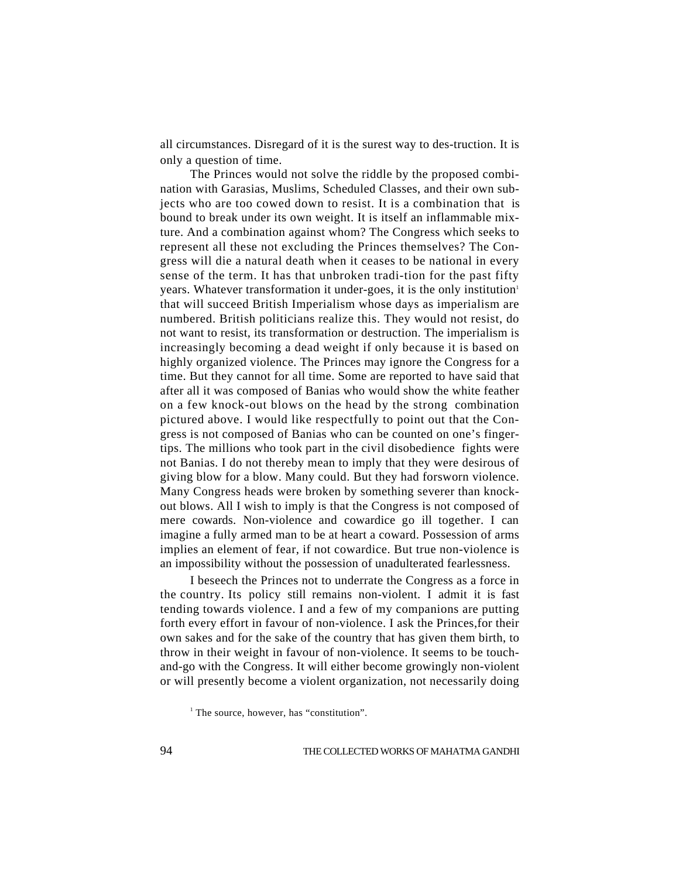all circumstances. Disregard of it is the surest way to des-truction. It is only a question of time.

The Princes would not solve the riddle by the proposed combination with Garasias, Muslims, Scheduled Classes, and their own subjects who are too cowed down to resist. It is a combination that is bound to break under its own weight. It is itself an inflammable mixture. And a combination against whom? The Congress which seeks to represent all these not excluding the Princes themselves? The Congress will die a natural death when it ceases to be national in every sense of the term. It has that unbroken tradi-tion for the past fifty years. Whatever transformation it under-goes, it is the only institution<sup>1</sup> that will succeed British Imperialism whose days as imperialism are numbered. British politicians realize this. They would not resist, do not want to resist, its transformation or destruction. The imperialism is increasingly becoming a dead weight if only because it is based on highly organized violence. The Princes may ignore the Congress for a time. But they cannot for all time. Some are reported to have said that after all it was composed of Banias who would show the white feather on a few knock-out blows on the head by the strong combination pictured above. I would like respectfully to point out that the Congress is not composed of Banias who can be counted on one's fingertips. The millions who took part in the civil disobedience fights were not Banias. I do not thereby mean to imply that they were desirous of giving blow for a blow. Many could. But they had forsworn violence. Many Congress heads were broken by something severer than knockout blows. All I wish to imply is that the Congress is not composed of mere cowards. Non-violence and cowardice go ill together. I can imagine a fully armed man to be at heart a coward. Possession of arms implies an element of fear, if not cowardice. But true non-violence is an impossibility without the possession of unadulterated fearlessness.

I beseech the Princes not to underrate the Congress as a force in the country. Its policy still remains non-violent. I admit it is fast tending towards violence. I and a few of my companions are putting forth every effort in favour of non-violence. I ask the Princes,for their own sakes and for the sake of the country that has given them birth, to throw in their weight in favour of non-violence. It seems to be touchand-go with the Congress. It will either become growingly non-violent or will presently become a violent organization, not necessarily doing

 $<sup>1</sup>$  The source, however, has "constitution".</sup>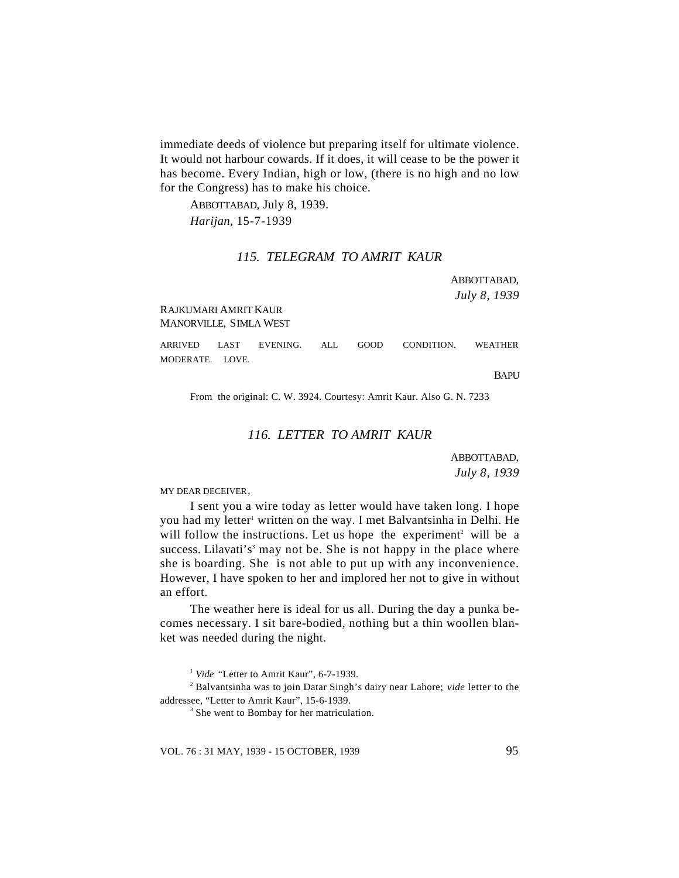immediate deeds of violence but preparing itself for ultimate violence. It would not harbour cowards. If it does, it will cease to be the power it has become. Every Indian, high or low, (there is no high and no low for the Congress) has to make his choice.

ABBOTTABAD, July 8, 1939. *Harijan,* 15-7-1939

#### *115. TELEGRAM TO AMRIT KAUR*

ABBOTTABAD, *July 8, 1939*

#### RAJKUMARI AMRIT KAUR MANORVILLE, SIMLA WEST

ARRIVED LAST EVENING. ALL GOOD CONDITION. WEATHER MODERATE. LOVE.

BAPU

From the original: C. W. 3924. Courtesy: Amrit Kaur. Also G. N. 7233

#### *116. LETTER TO AMRIT KAUR*

ABBOTTABAD, *July 8, 1939*

MY DEAR DECEIVER,

I sent you a wire today as letter would have taken long. I hope you had my letter<sup>1</sup> written on the way. I met Balvantsinha in Delhi. He will follow the instructions. Let us hope the experiment<sup>2</sup> will be a success. Lilavati's<sup>3</sup> may not be. She is not happy in the place where she is boarding. She is not able to put up with any inconvenience. However, I have spoken to her and implored her not to give in without an effort.

The weather here is ideal for us all. During the day a punka becomes necessary. I sit bare-bodied, nothing but a thin woollen blanket was needed during the night.

<sup>1</sup> *Vide* "Letter to Amrit Kaur", 6-7-1939.

<sup>2</sup> Balvantsinha was to join Datar Singh's dairy near Lahore; *vide* letter to the addressee, "Letter to Amrit Kaur", 15-6-1939.

<sup>3</sup> She went to Bombay for her matriculation.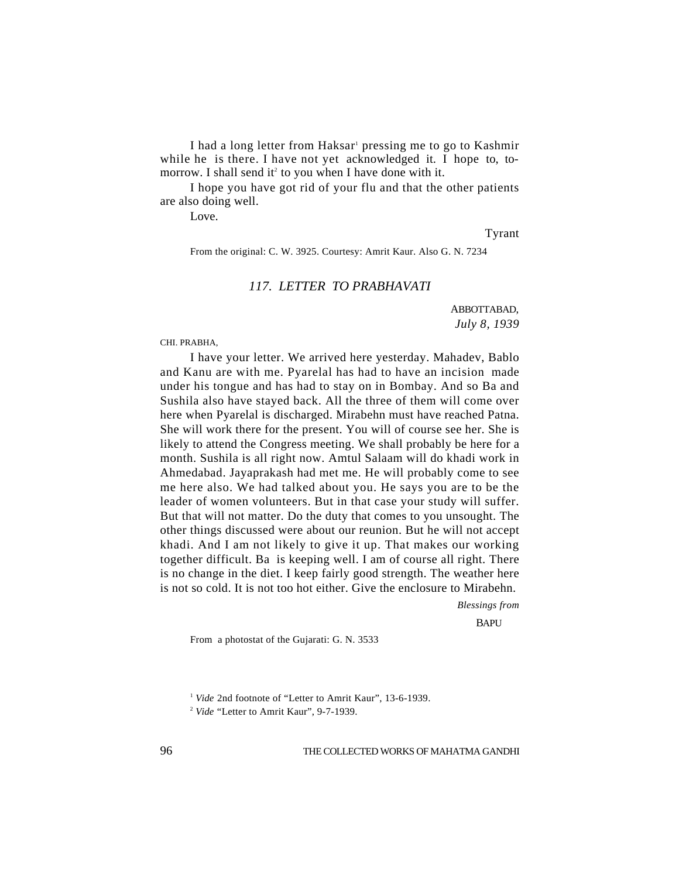I had a long letter from Haksar<sup>1</sup> pressing me to go to Kashmir while he is there. I have not yet acknowledged it. I hope to, tomorrow. I shall send it<sup>2</sup> to you when I have done with it.

 I hope you have got rid of your flu and that the other patients are also doing well.

Love.

Tyrant

From the original: C. W. 3925. Courtesy: Amrit Kaur. Also G. N. 7234

#### *117. LETTER TO PRABHAVATI*

ABBOTTABAD, *July 8, 1939*

CHI. PRABHA,

I have your letter. We arrived here yesterday. Mahadev, Bablo and Kanu are with me. Pyarelal has had to have an incision made under his tongue and has had to stay on in Bombay. And so Ba and Sushila also have stayed back. All the three of them will come over here when Pyarelal is discharged. Mirabehn must have reached Patna. She will work there for the present. You will of course see her. She is likely to attend the Congress meeting. We shall probably be here for a month. Sushila is all right now. Amtul Salaam will do khadi work in Ahmedabad. Jayaprakash had met me. He will probably come to see me here also. We had talked about you. He says you are to be the leader of women volunteers. But in that case your study will suffer. But that will not matter. Do the duty that comes to you unsought. The other things discussed were about our reunion. But he will not accept khadi. And I am not likely to give it up. That makes our working together difficult. Ba is keeping well. I am of course all right. There is no change in the diet. I keep fairly good strength. The weather here is not so cold. It is not too hot either. Give the enclosure to Mirabehn.

*Blessings from*

**BAPU** 

From a photostat of the Gujarati: G. N. 3533

<sup>1</sup> *Vide* 2nd footnote of "Letter to Amrit Kaur", 13-6-1939.

<sup>2</sup> *Vide* "Letter to Amrit Kaur", 9-7-1939.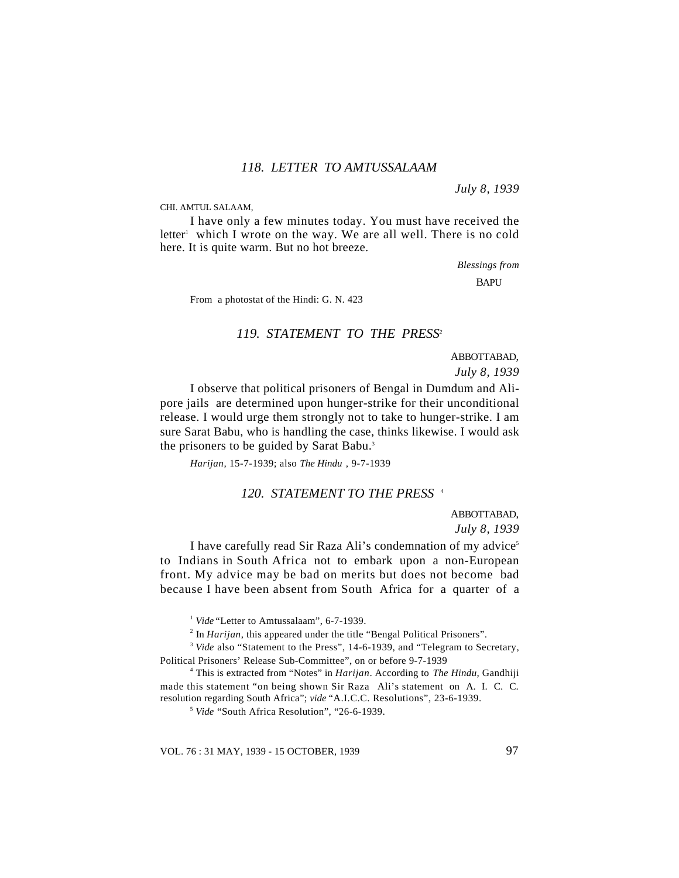*July 8, 1939*

CHI. AMTUL SALAAM,

I have only a few minutes today. You must have received the letter<sup>1</sup> which I wrote on the way. We are all well. There is no cold here. It is quite warm. But no hot breeze.

*Blessings from*

BAPU

From a photostat of the Hindi: G. N. 423

## *119. STATEMENT TO THE PRESS<sup>2</sup>*

ABBOTTABAD, *July 8, 1939*

I observe that political prisoners of Bengal in Dumdum and Alipore jails are determined upon hunger-strike for their unconditional release. I would urge them strongly not to take to hunger-strike. I am sure Sarat Babu, who is handling the case, thinks likewise. I would ask the prisoners to be guided by Sarat Babu.<sup>3</sup>

*Harijan,* 15-7-1939; also *The Hindu* , 9-7-1939

#### *120. STATEMENT TO THE PRESS <sup>4</sup>*

ABBOTTABAD, *July 8, 1939*

I have carefully read Sir Raza Ali's condemnation of my advice<sup>5</sup> to Indians in South Africa not to embark upon a non-European front. My advice may be bad on merits but does not become bad because I have been absent from South Africa for a quarter of a

<sup>1</sup> *Vide* "Letter to Amtussalaam", 6-7-1939.

<sup>2</sup> In *Harijan*, this appeared under the title "Bengal Political Prisoners".

<sup>3</sup> Vide also "Statement to the Press", 14-6-1939, and "Telegram to Secretary, Political Prisoners' Release Sub-Committee", on or before 9-7-1939

4 This is extracted from "Notes" in *Harijan*. According to *The Hindu,* Gandhiji made this statement "on being shown Sir Raza Ali's statement on A. I. C. C. resolution regarding South Africa"; *vide* "A.I.C.C. Resolutions", 23-6-1939.

<sup>5</sup> *Vide* "South Africa Resolution", "26-6-1939.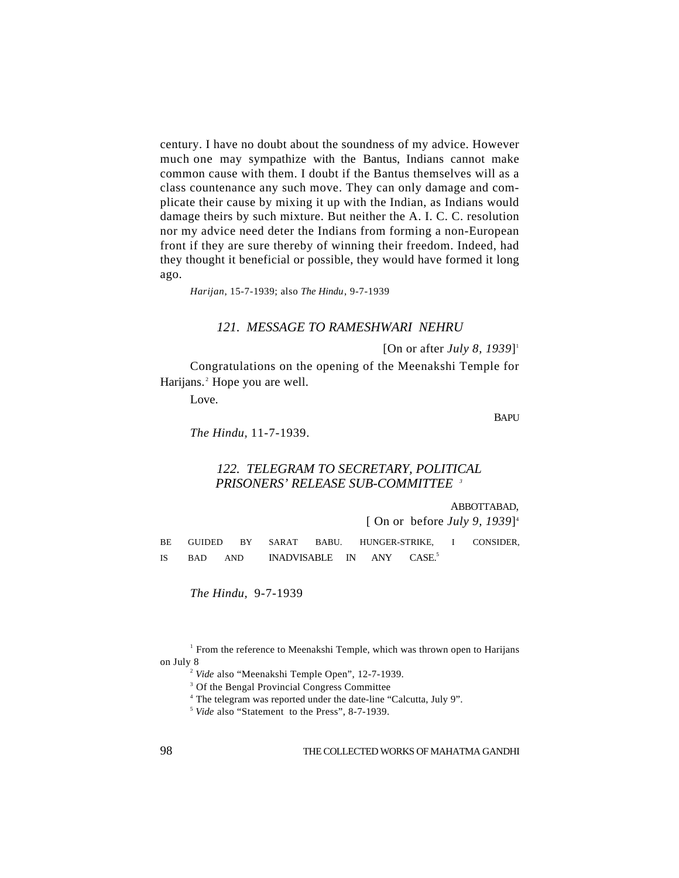century. I have no doubt about the soundness of my advice. However much one may sympathize with the Bantus, Indians cannot make common cause with them. I doubt if the Bantus themselves will as a class countenance any such move. They can only damage and complicate their cause by mixing it up with the Indian, as Indians would damage theirs by such mixture. But neither the A. I. C. C. resolution nor my advice need deter the Indians from forming a non-European front if they are sure thereby of winning their freedom. Indeed, had they thought it beneficial or possible, they would have formed it long ago.

*Harijan*, 15-7-1939; also *The Hindu*, 9-7-1939

#### *121. MESSAGE TO RAMESHWARI NEHRU*

[On or after *July 8, 1939*] 1

Congratulations on the opening of the Meenakshi Temple for Harijans.<sup>2</sup> Hope you are well.

Love.

**BAPU** 

*The Hindu,* 11-7-1939.

## *122. TELEGRAM TO SECRETARY, POLITICAL PRISONERS' RELEASE SUB-COMMITTEE <sup>3</sup>*

ABBOTTABAD,

[ On or before *July 9, 1939*] 4

BE GUIDED BY SARAT BABU. HUNGER-STRIKE, I CONSIDER, IS BAD AND INADVISABLE IN ANY CASE.<sup>5</sup>

*The Hindu,* 9-7-1939

<sup>1</sup> From the reference to Meenakshi Temple, which was thrown open to Harijans on July 8

- <sup>2</sup> *Vide* also "Meenakshi Temple Open", 12-7-1939.
- <sup>3</sup> Of the Bengal Provincial Congress Committee
- <sup>4</sup> The telegram was reported under the date-line "Calcutta, July 9".
- <sup>5</sup> *Vide* also "Statement to the Press", 8-7-1939.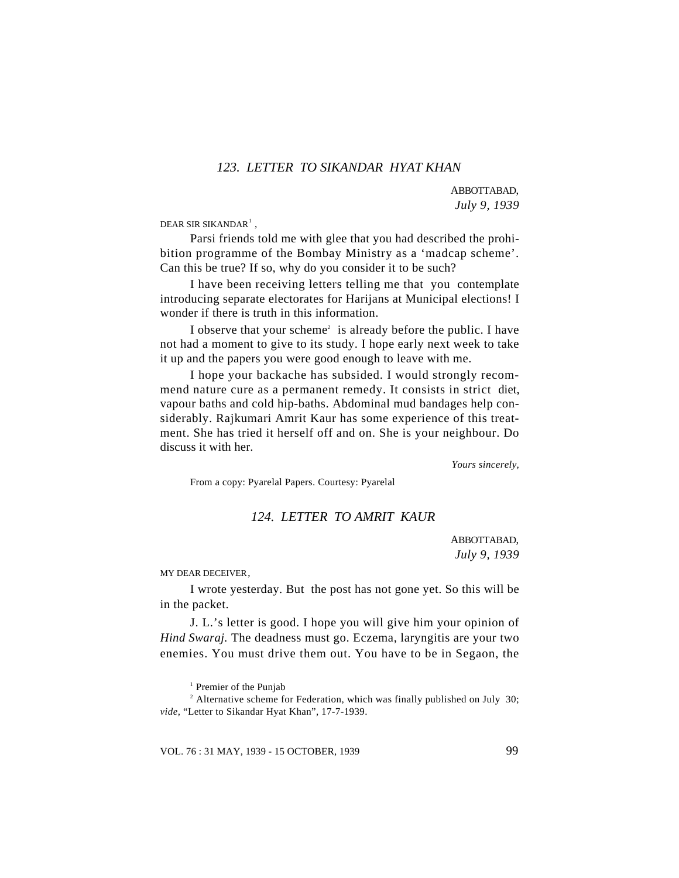## *123. LETTER TO SIKANDAR HYAT KHAN*

ABBOTTABAD, *July 9, 1939*

DEAR SIR SIKANDAR $^{\rm 1}$  ,

Parsi friends told me with glee that you had described the prohibition programme of the Bombay Ministry as a 'madcap scheme'. Can this be true? If so, why do you consider it to be such?

I have been receiving letters telling me that you contemplate introducing separate electorates for Harijans at Municipal elections! I wonder if there is truth in this information.

I observe that your scheme<sup>2</sup> is already before the public. I have not had a moment to give to its study. I hope early next week to take it up and the papers you were good enough to leave with me.

I hope your backache has subsided. I would strongly recommend nature cure as a permanent remedy. It consists in strict diet, vapour baths and cold hip-baths. Abdominal mud bandages help considerably. Rajkumari Amrit Kaur has some experience of this treatment. She has tried it herself off and on. She is your neighbour. Do discuss it with her.

*Yours sincerely,*

From a copy: Pyarelal Papers. Courtesy: Pyarelal

#### *124. LETTER TO AMRIT KAUR*

ABBOTTABAD, *July 9, 1939*

MY DEAR DECEIVER,

I wrote yesterday. But the post has not gone yet. So this will be in the packet.

J. L.'s letter is good. I hope you will give him your opinion of *Hind Swaraj.* The deadness must go. Eczema, laryngitis are your two enemies. You must drive them out. You have to be in Segaon, the

<sup>1</sup> Premier of the Punjab

<sup>2</sup> Alternative scheme for Federation, which was finally published on July 30; *vide*, "Letter to Sikandar Hyat Khan", 17-7-1939.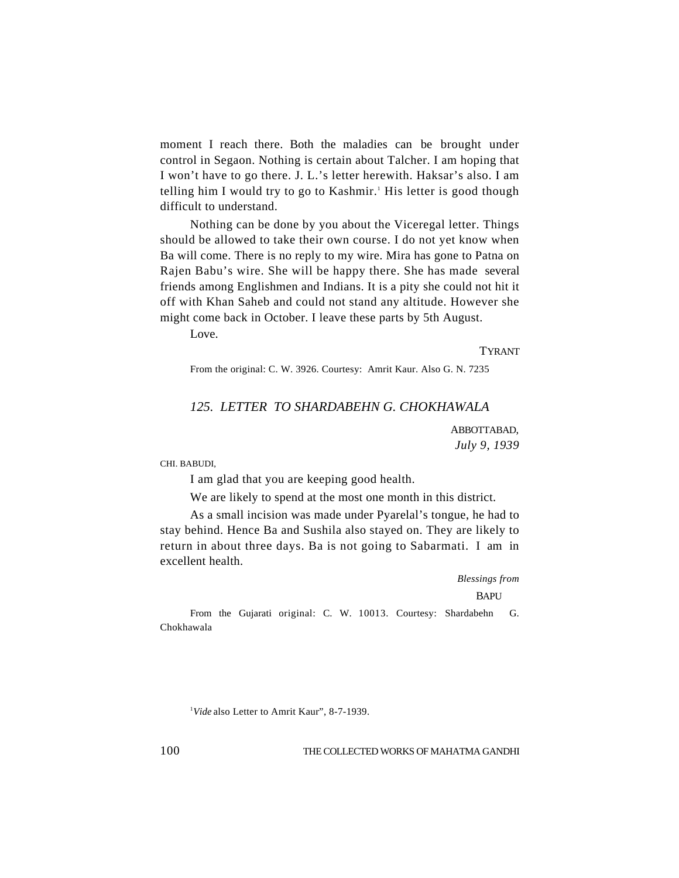moment I reach there. Both the maladies can be brought under control in Segaon. Nothing is certain about Talcher. I am hoping that I won't have to go there. J. L.'s letter herewith. Haksar's also. I am telling him I would try to go to Kashmir.<sup>1</sup> His letter is good though difficult to understand.

Nothing can be done by you about the Viceregal letter. Things should be allowed to take their own course. I do not yet know when Ba will come. There is no reply to my wire. Mira has gone to Patna on Rajen Babu's wire. She will be happy there. She has made several friends among Englishmen and Indians. It is a pity she could not hit it off with Khan Saheb and could not stand any altitude. However she might come back in October. I leave these parts by 5th August.

Love.

TYRANT

From the original: C. W. 3926. Courtesy: Amrit Kaur. Also G. N. 7235

## *125. LETTER TO SHARDABEHN G. CHOKHAWALA*

ABBOTTABAD, *July 9, 1939*

CHI. BABUDI,

I am glad that you are keeping good health.

We are likely to spend at the most one month in this district.

As a small incision was made under Pyarelal's tongue, he had to stay behind. Hence Ba and Sushila also stayed on. They are likely to return in about three days. Ba is not going to Sabarmati. I am in excellent health.

*Blessings from*

**BAPU** 

From the Gujarati original: C. W. 10013. Courtesy: Shardabehn G. Chokhawala

<sup>1</sup>Vide also Letter to Amrit Kaur", 8-7-1939.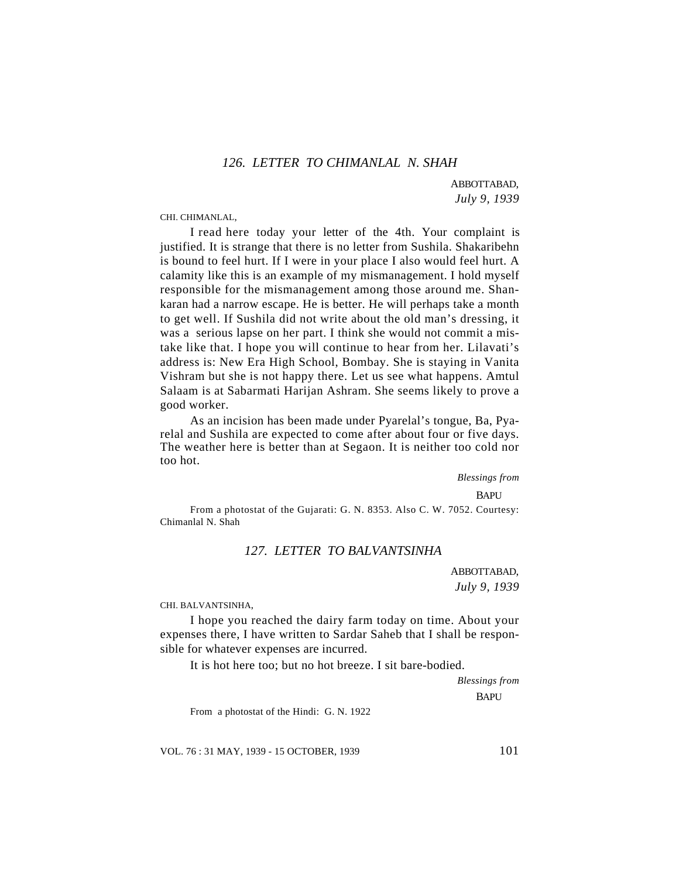## *126. LETTER TO CHIMANLAL N. SHAH*

ABBOTTABAD, *July 9, 1939*

CHI. CHIMANLAL,

I read here today your letter of the 4th. Your complaint is justified. It is strange that there is no letter from Sushila. Shakaribehn is bound to feel hurt. If I were in your place I also would feel hurt. A calamity like this is an example of my mismanagement. I hold myself responsible for the mismanagement among those around me. Shankaran had a narrow escape. He is better. He will perhaps take a month to get well. If Sushila did not write about the old man's dressing, it was a serious lapse on her part. I think she would not commit a mistake like that. I hope you will continue to hear from her. Lilavati's address is: New Era High School, Bombay. She is staying in Vanita Vishram but she is not happy there. Let us see what happens. Amtul Salaam is at Sabarmati Harijan Ashram. She seems likely to prove a good worker.

As an incision has been made under Pyarelal's tongue, Ba, Pyarelal and Sushila are expected to come after about four or five days. The weather here is better than at Segaon. It is neither too cold nor too hot.

*Blessings from*

BAPU

From a photostat of the Gujarati: G. N. 8353. Also C. W. 7052. Courtesy: Chimanlal N. Shah

#### *127. LETTER TO BALVANTSINHA*

ABBOTTABAD, *July 9, 1939*

CHI. BALVANTSINHA,

I hope you reached the dairy farm today on time. About your expenses there, I have written to Sardar Saheb that I shall be responsible for whatever expenses are incurred.

It is hot here too; but no hot breeze. I sit bare-bodied.

*Blessings from*

BAPU

From a photostat of the Hindi: G. N. 1922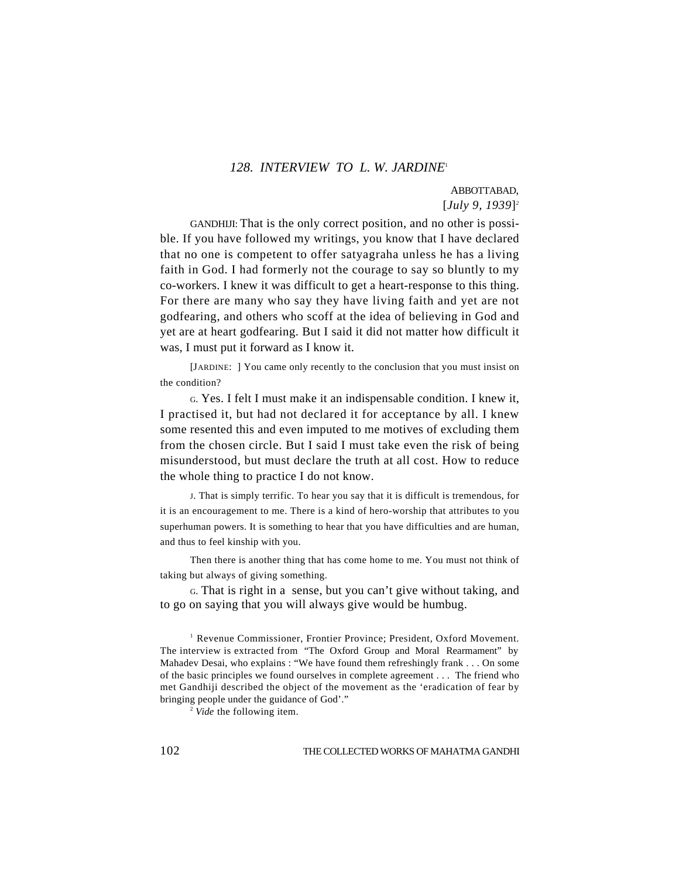## *128. INTERVIEW TO L. W. JARDINE*<sup>1</sup>

ABBOTTABAD, [*July 9, 1939*] *2*

GANDHIJI: That is the only correct position, and no other is possible. If you have followed my writings, you know that I have declared that no one is competent to offer satyagraha unless he has a living faith in God. I had formerly not the courage to say so bluntly to my co-workers. I knew it was difficult to get a heart-response to this thing. For there are many who say they have living faith and yet are not godfearing, and others who scoff at the idea of believing in God and yet are at heart godfearing. But I said it did not matter how difficult it was, I must put it forward as I know it.

[JARDINE: ] You came only recently to the conclusion that you must insist on the condition?

 <sup>G</sup>. Yes. I felt I must make it an indispensable condition. I knew it, I practised it, but had not declared it for acceptance by all. I knew some resented this and even imputed to me motives of excluding them from the chosen circle. But I said I must take even the risk of being misunderstood, but must declare the truth at all cost. How to reduce the whole thing to practice I do not know.

J. That is simply terrific. To hear you say that it is difficult is tremendous, for it is an encouragement to me. There is a kind of hero-worship that attributes to you superhuman powers. It is something to hear that you have difficulties and are human, and thus to feel kinship with you.

Then there is another thing that has come home to me. You must not think of taking but always of giving something.

<sup>G</sup>. That is right in a sense, but you can't give without taking, and to go on saying that you will always give would be humbug.

<sup>1</sup> Revenue Commissioner, Frontier Province; President, Oxford Movement. The interview is extracted from "The Oxford Group and Moral Rearmament" by Mahadev Desai, who explains : "We have found them refreshingly frank . . . On some of the basic principles we found ourselves in complete agreement . . . The friend who met Gandhiji described the object of the movement as the 'eradication of fear by bringing people under the guidance of God'."

<sup>2</sup> *Vide* the following item.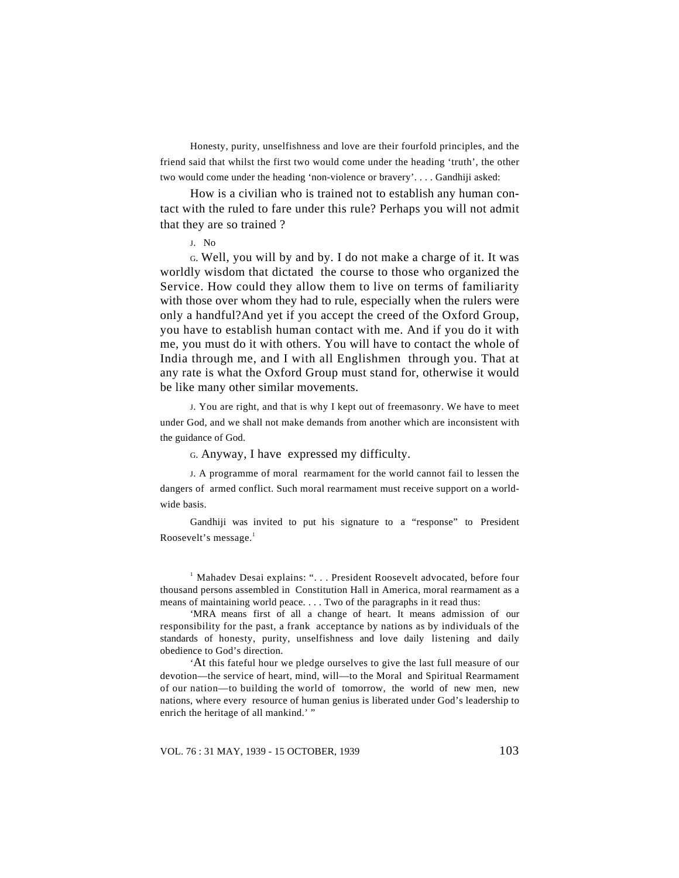Honesty, purity, unselfishness and love are their fourfold principles, and the friend said that whilst the first two would come under the heading 'truth', the other two would come under the heading 'non-violence or bravery'. . . . Gandhiji asked:

How is a civilian who is trained not to establish any human contact with the ruled to fare under this rule? Perhaps you will not admit that they are so trained ?

J. No

<sup>G</sup>. Well, you will by and by. I do not make a charge of it. It was worldly wisdom that dictated the course to those who organized the Service. How could they allow them to live on terms of familiarity with those over whom they had to rule, especially when the rulers were only a handful?And yet if you accept the creed of the Oxford Group, you have to establish human contact with me. And if you do it with me, you must do it with others. You will have to contact the whole of India through me, and I with all Englishmen through you. That at any rate is what the Oxford Group must stand for, otherwise it would be like many other similar movements.

J. You are right, and that is why I kept out of freemasonry. We have to meet under God, and we shall not make demands from another which are inconsistent with the guidance of God.

<sup>G</sup>. Anyway, I have expressed my difficulty.

 <sup>J</sup>. A programme of moral rearmament for the world cannot fail to lessen the dangers of armed conflict. Such moral rearmament must receive support on a worldwide basis.

Gandhiji was invited to put his signature to a "response" to President Roosevelt's message.<sup>1</sup>

<sup>1</sup> Mahadev Desai explains: ". . . President Roosevelt advocated, before four thousand persons assembled in Constitution Hall in America, moral rearmament as a means of maintaining world peace. . . . Two of the paragraphs in it read thus:

'MRA means first of all a change of heart. It means admission of our responsibility for the past, a frank acceptance by nations as by individuals of the standards of honesty, purity, unselfishness and love daily listening and daily obedience to God's direction.

'At this fateful hour we pledge ourselves to give the last full measure of our devotion—the service of heart, mind, will—to the Moral and Spiritual Rearmament of our nation—to building the world of tomorrow, the world of new men, new nations, where every resource of human genius is liberated under God's leadership to enrich the heritage of all mankind.' "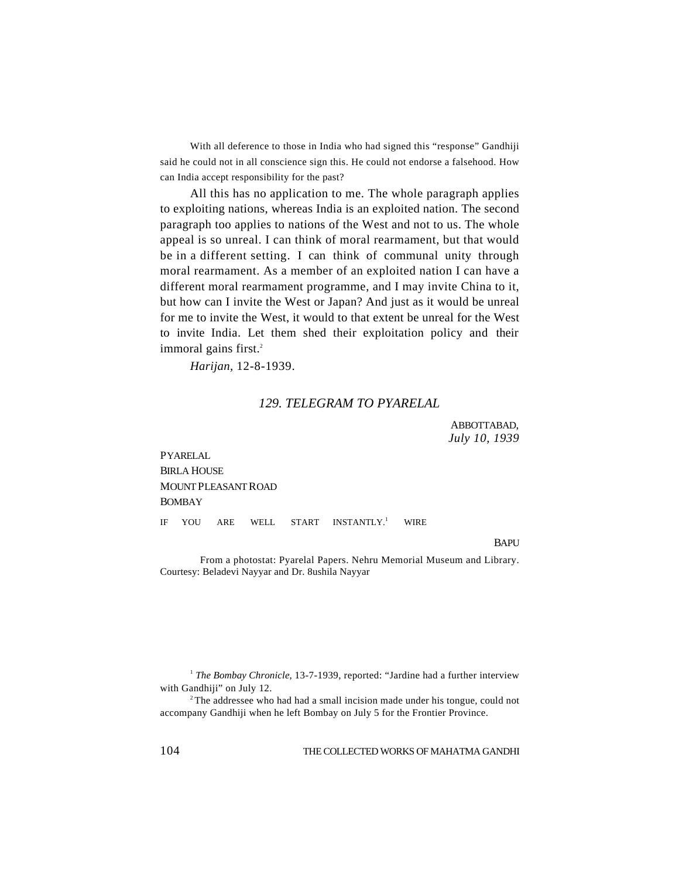With all deference to those in India who had signed this "response" Gandhiji said he could not in all conscience sign this. He could not endorse a falsehood. How can India accept responsibility for the past?

All this has no application to me. The whole paragraph applies to exploiting nations, whereas India is an exploited nation. The second paragraph too applies to nations of the West and not to us. The whole appeal is so unreal. I can think of moral rearmament, but that would be in a different setting. I can think of communal unity through moral rearmament. As a member of an exploited nation I can have a different moral rearmament programme, and I may invite China to it, but how can I invite the West or Japan? And just as it would be unreal for me to invite the West, it would to that extent be unreal for the West to invite India. Let them shed their exploitation policy and their immoral gains first.<sup>2</sup>

*Harijan,* 12-8-1939.

#### *129. TELEGRAM TO PYARELAL*

ABBOTTABAD, *July 10, 1939*

PYARELAL BIRLA HOUSE MOUNT PLEASANT ROAD BOMBAY

IF YOU ARE WELL START INSTANTLY.<sup>1</sup> WIRE

**BAPU** 

From a photostat: Pyarelal Papers. Nehru Memorial Museum and Library. Courtesy: Beladevi Nayyar and Dr. 8ushila Nayyar

<sup>1</sup> The Bombay Chronicle, 13-7-1939, reported: "Jardine had a further interview with Gandhiji" on July 12.

<sup>2</sup>The addressee who had had a small incision made under his tongue, could not accompany Gandhiji when he left Bombay on July 5 for the Frontier Province.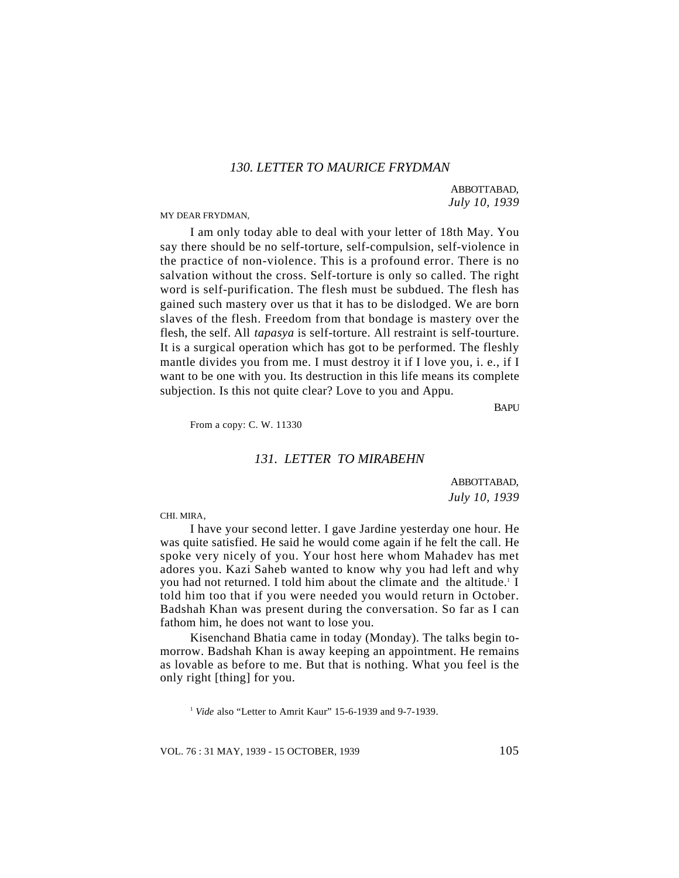#### *130. LETTER TO MAURICE FRYDMAN*

ABBOTTABAD, *July 10, 1939*

#### MY DEAR FRYDMAN,

I am only today able to deal with your letter of 18th May. You say there should be no self-torture, self-compulsion, self-violence in the practice of non-violence. This is a profound error. There is no salvation without the cross. Self-torture is only so called. The right word is self-purification. The flesh must be subdued. The flesh has gained such mastery over us that it has to be dislodged. We are born slaves of the flesh. Freedom from that bondage is mastery over the flesh, the self. All *tapasya* is self-torture. All restraint is self-tourture. It is a surgical operation which has got to be performed. The fleshly mantle divides you from me. I must destroy it if I love you, i. e., if I want to be one with you. Its destruction in this life means its complete subjection. Is this not quite clear? Love to you and Appu.

**BAPU** 

From a copy: C. W. 11330

#### *131. LETTER TO MIRABEHN*

ABBOTTABAD, *July 10, 1939*

CHI. MIRA,

I have your second letter. I gave Jardine yesterday one hour. He was quite satisfied. He said he would come again if he felt the call. He spoke very nicely of you. Your host here whom Mahadev has met adores you. Kazi Saheb wanted to know why you had left and why you had not returned. I told him about the climate and the altitude.<sup>1</sup> I told him too that if you were needed you would return in October. Badshah Khan was present during the conversation. So far as I can fathom him, he does not want to lose you.

Kisenchand Bhatia came in today (Monday). The talks begin tomorrow. Badshah Khan is away keeping an appointment. He remains as lovable as before to me. But that is nothing. What you feel is the only right [thing] for you.

<sup>1</sup> *Vide* also "Letter to Amrit Kaur" 15-6-1939 and 9-7-1939.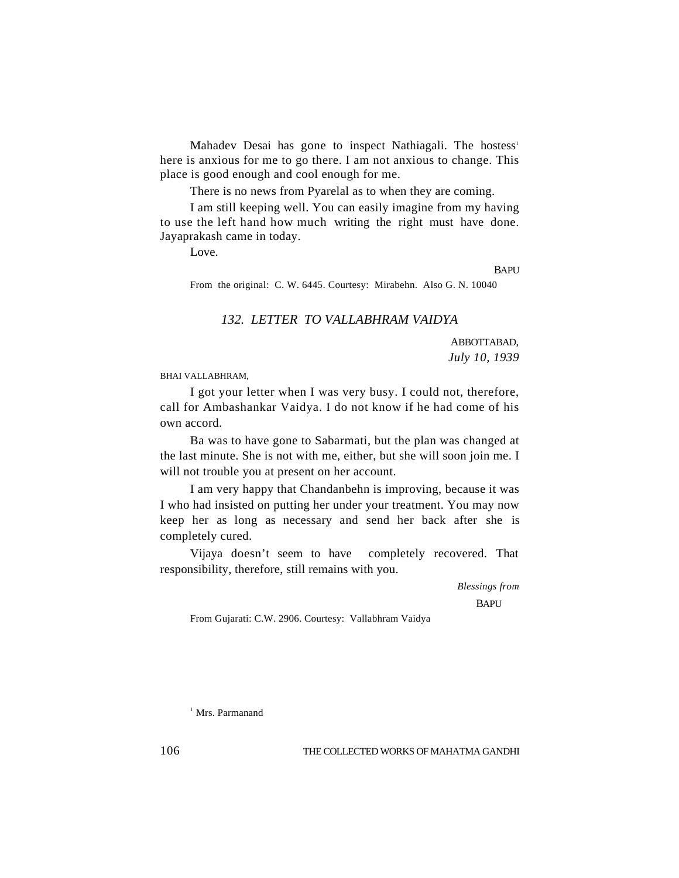Mahadev Desai has gone to inspect Nathiagali. The hostess<sup>1</sup> here is anxious for me to go there. I am not anxious to change. This place is good enough and cool enough for me.

There is no news from Pyarelal as to when they are coming.

I am still keeping well. You can easily imagine from my having to use the left hand how much writing the right must have done. Jayaprakash came in today.

Love.

**BAPU** 

From the original: C. W. 6445. Courtesy: Mirabehn. Also G. N. 10040

## *132. LETTER TO VALLABHRAM VAIDYA*

ABBOTTABAD, *July 10, 1939*

BHAI VALLABHRAM,

I got your letter when I was very busy. I could not, therefore, call for Ambashankar Vaidya. I do not know if he had come of his own accord.

 Ba was to have gone to Sabarmati, but the plan was changed at the last minute. She is not with me, either, but she will soon join me. I will not trouble you at present on her account.

I am very happy that Chandanbehn is improving, because it was I who had insisted on putting her under your treatment. You may now keep her as long as necessary and send her back after she is completely cured.

Vijaya doesn't seem to have completely recovered. That responsibility, therefore, still remains with you.

*Blessings from*

**BAPU** 

From Gujarati: C.W. 2906. Courtesy: Vallabhram Vaidya

<sup>1</sup> Mrs. Parmanand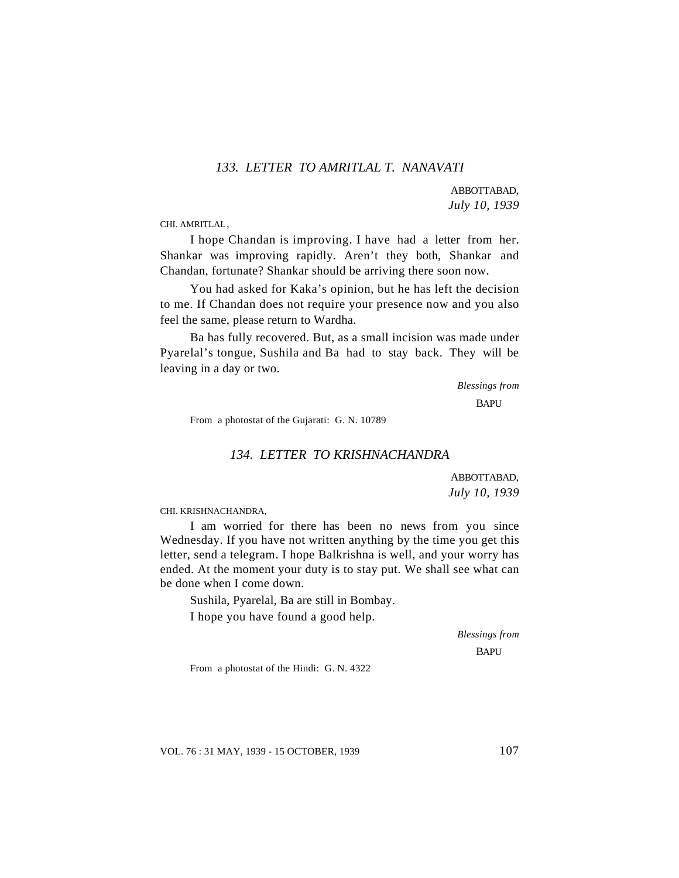## *133. LETTER TO AMRITLAL T. NANAVATI*

ABBOTTABAD, *July 10, 1939*

CHI. AMRITLAL,

I hope Chandan is improving. I have had a letter from her. Shankar was improving rapidly. Aren't they both, Shankar and Chandan, fortunate? Shankar should be arriving there soon now.

You had asked for Kaka's opinion, but he has left the decision to me. If Chandan does not require your presence now and you also feel the same, please return to Wardha.

Ba has fully recovered. But, as a small incision was made under Pyarelal's tongue, Sushila and Ba had to stay back. They will be leaving in a day or two.

*Blessings from*

**BAPU** 

From a photostat of the Gujarati: G. N. 10789

#### *134. LETTER TO KRISHNACHANDRA*

ABBOTTABAD, *July 10, 1939*

CHI. KRISHNACHANDRA,

I am worried for there has been no news from you since Wednesday. If you have not written anything by the time you get this letter, send a telegram. I hope Balkrishna is well, and your worry has ended. At the moment your duty is to stay put. We shall see what can be done when I come down.

Sushila, Pyarelal, Ba are still in Bombay.

I hope you have found a good help.

*Blessings from*

**BAPU** 

From a photostat of the Hindi: G. N. 4322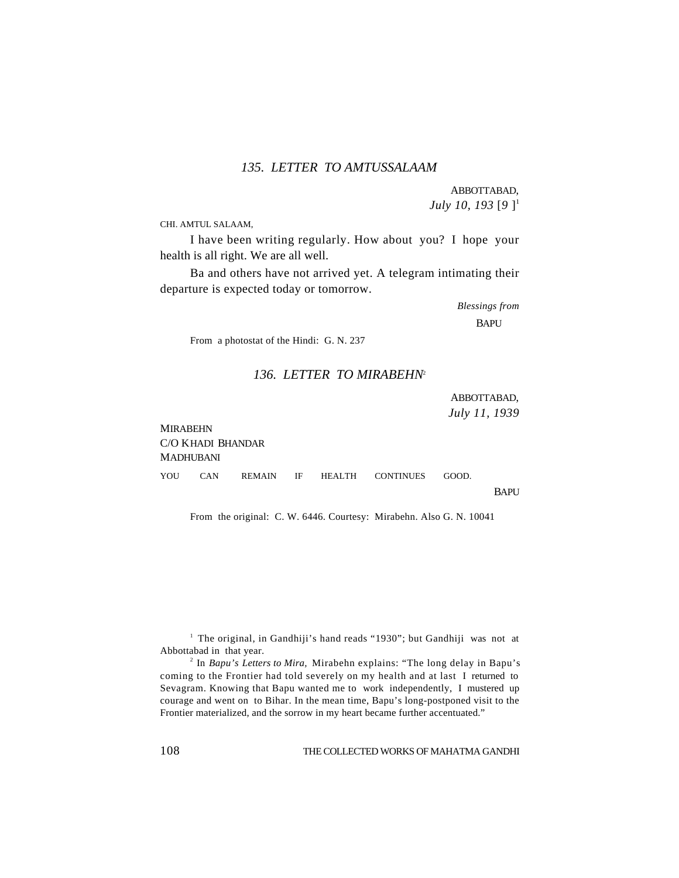#### *135. LETTER TO AMTUSSALAAM*

ABBOTTABAD, *July 10, 193* [*9* ] 1

#### CHI. AMTUL SALAAM,

I have been writing regularly. How about you? I hope your health is all right. We are all well.

Ba and others have not arrived yet. A telegram intimating their departure is expected today or tomorrow.

*Blessings from*

**BAPU** 

From a photostat of the Hindi: G. N. 237

#### *136. LETTER TO MIRABEHN*<sup>2</sup>

ABBOTTABAD, *July 11, 1939*

MIRABEHN C/O KHADI BHANDAR MADHUBANI YOU CAN REMAIN IF HEALTH CONTINUES GOOD. **BAPU** 

From the original: C. W. 6446. Courtesy: Mirabehn. Also G. N. 10041

<sup>1</sup> The original, in Gandhiji's hand reads "1930"; but Gandhiji was not at Abbottabad in that year.

2 In *Bapu's Letters to Mira,* Mirabehn explains: "The long delay in Bapu's coming to the Frontier had told severely on my health and at last I returned to Sevagram. Knowing that Bapu wanted me to work independently, I mustered up courage and went on to Bihar. In the mean time, Bapu's long-postponed visit to the Frontier materialized, and the sorrow in my heart became further accentuated."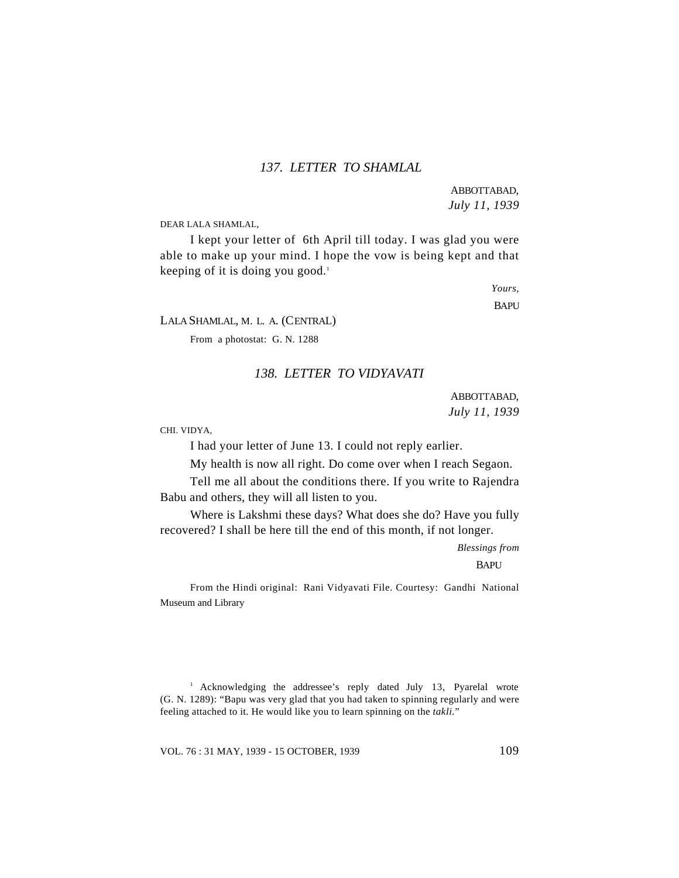### *137. LETTER TO SHAMLAL*

ABBOTTABAD, *July 11, 1939*

DEAR LALA SHAMLAL,

I kept your letter of 6th April till today. I was glad you were able to make up your mind. I hope the vow is being kept and that keeping of it is doing you good.<sup>1</sup>

> *Yours,* **BAPU**

LALA SHAMLAL, M. L. A. (CENTRAL)

From a photostat: G. N. 1288

### *138. LETTER TO VIDYAVATI*

ABBOTTABAD, *July 11, 1939*

CHI. VIDYA,

I had your letter of June 13. I could not reply earlier.

My health is now all right. Do come over when I reach Segaon.

Tell me all about the conditions there. If you write to Rajendra Babu and others, they will all listen to you.

Where is Lakshmi these days? What does she do? Have you fully recovered? I shall be here till the end of this month, if not longer.

> *Blessings from* BAPU

From the Hindi original: Rani Vidyavati File. Courtesy: Gandhi National Museum and Library

<sup>1</sup> Acknowledging the addressee's reply dated July 13, Pyarelal wrote (G. N. 1289): "Bapu was very glad that you had taken to spinning regularly and were feeling attached to it. He would like you to learn spinning on the *takli.*"

VOL. 76 : 31 MAY, 1939 - 15 OCTOBER, 1939 109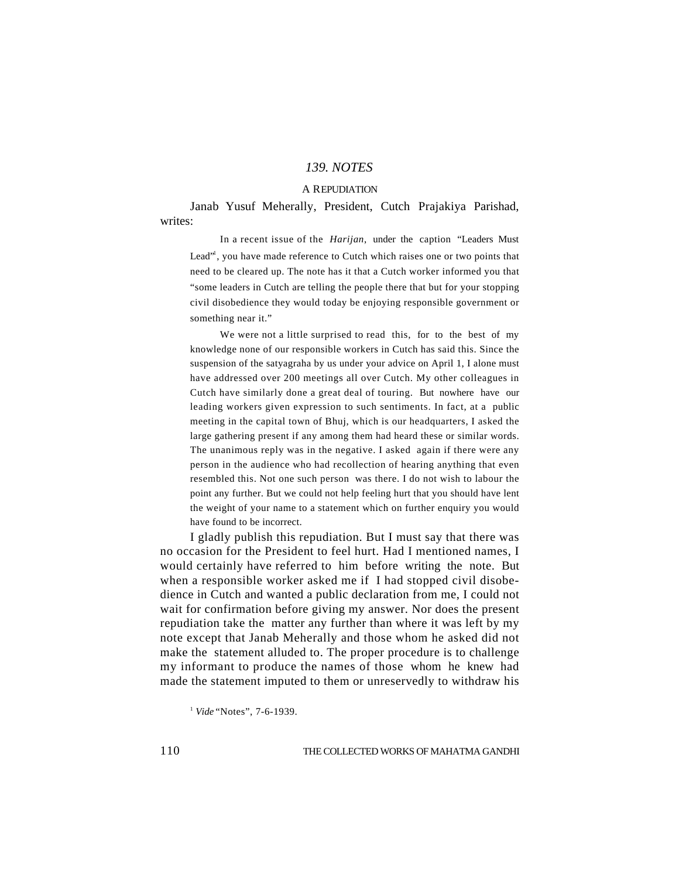### *139. NOTES*

#### A REPUDIATION

Janab Yusuf Meherally, President, Cutch Prajakiya Parishad, writes:

In a recent issue of the *Harijan*, under the caption "Leaders Must Lead"<sup>1</sup>, you have made reference to Cutch which raises one or two points that need to be cleared up. The note has it that a Cutch worker informed you that "some leaders in Cutch are telling the people there that but for your stopping civil disobedience they would today be enjoying responsible government or something near it."

We were not a little surprised to read this, for to the best of my knowledge none of our responsible workers in Cutch has said this. Since the suspension of the satyagraha by us under your advice on April 1, I alone must have addressed over 200 meetings all over Cutch. My other colleagues in Cutch have similarly done a great deal of touring. But nowhere have our leading workers given expression to such sentiments. In fact, at a public meeting in the capital town of Bhuj, which is our headquarters, I asked the large gathering present if any among them had heard these or similar words. The unanimous reply was in the negative. I asked again if there were any person in the audience who had recollection of hearing anything that even resembled this. Not one such person was there. I do not wish to labour the point any further. But we could not help feeling hurt that you should have lent the weight of your name to a statement which on further enquiry you would have found to be incorrect.

I gladly publish this repudiation. But I must say that there was no occasion for the President to feel hurt. Had I mentioned names, I would certainly have referred to him before writing the note. But when a responsible worker asked me if I had stopped civil disobedience in Cutch and wanted a public declaration from me, I could not wait for confirmation before giving my answer. Nor does the present repudiation take the matter any further than where it was left by my note except that Janab Meherally and those whom he asked did not make the statement alluded to. The proper procedure is to challenge my informant to produce the names of those whom he knew had made the statement imputed to them or unreservedly to withdraw his

<sup>1</sup> *Vide* "Notes", 7-6-1939.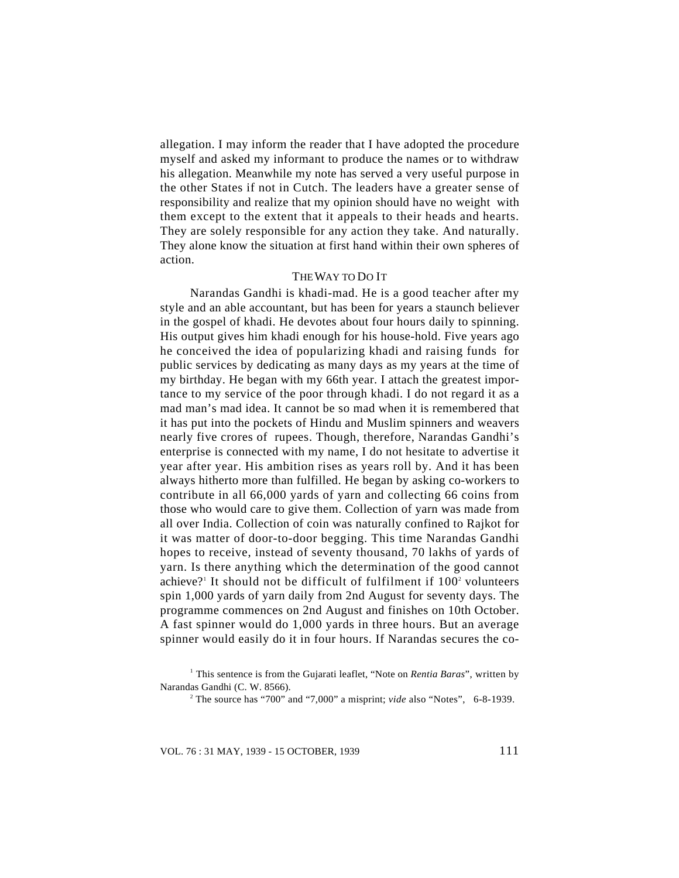allegation. I may inform the reader that I have adopted the procedure myself and asked my informant to produce the names or to withdraw his allegation. Meanwhile my note has served a very useful purpose in the other States if not in Cutch. The leaders have a greater sense of responsibility and realize that my opinion should have no weight with them except to the extent that it appeals to their heads and hearts. They are solely responsible for any action they take. And naturally. They alone know the situation at first hand within their own spheres of action.

## THE WAY TO DO IT

Narandas Gandhi is khadi-mad. He is a good teacher after my style and an able accountant, but has been for years a staunch believer in the gospel of khadi. He devotes about four hours daily to spinning. His output gives him khadi enough for his house-hold. Five years ago he conceived the idea of popularizing khadi and raising funds for public services by dedicating as many days as my years at the time of my birthday. He began with my 66th year. I attach the greatest importance to my service of the poor through khadi. I do not regard it as a mad man's mad idea. It cannot be so mad when it is remembered that it has put into the pockets of Hindu and Muslim spinners and weavers nearly five crores of rupees. Though, therefore, Narandas Gandhi's enterprise is connected with my name, I do not hesitate to advertise it year after year. His ambition rises as years roll by. And it has been always hitherto more than fulfilled. He began by asking co-workers to contribute in all 66,000 yards of yarn and collecting 66 coins from those who would care to give them. Collection of yarn was made from all over India. Collection of coin was naturally confined to Rajkot for it was matter of door-to-door begging. This time Narandas Gandhi hopes to receive, instead of seventy thousand, 70 lakhs of yards of yarn. Is there anything which the determination of the good cannot achieve?<sup>1</sup> It should not be difficult of fulfilment if 100<sup>2</sup> volunteers spin 1,000 yards of yarn daily from 2nd August for seventy days. The programme commences on 2nd August and finishes on 10th October. A fast spinner would do 1,000 yards in three hours. But an average spinner would easily do it in four hours. If Narandas secures the co-

<sup>&</sup>lt;sup>1</sup> This sentence is from the Gujarati leaflet, "Note on *Rentia Baras*", written by Narandas Gandhi (C. W. 8566).

<sup>2</sup> The source has "700" and "7,000" a misprint; *vide* also "Notes", 6-8-1939.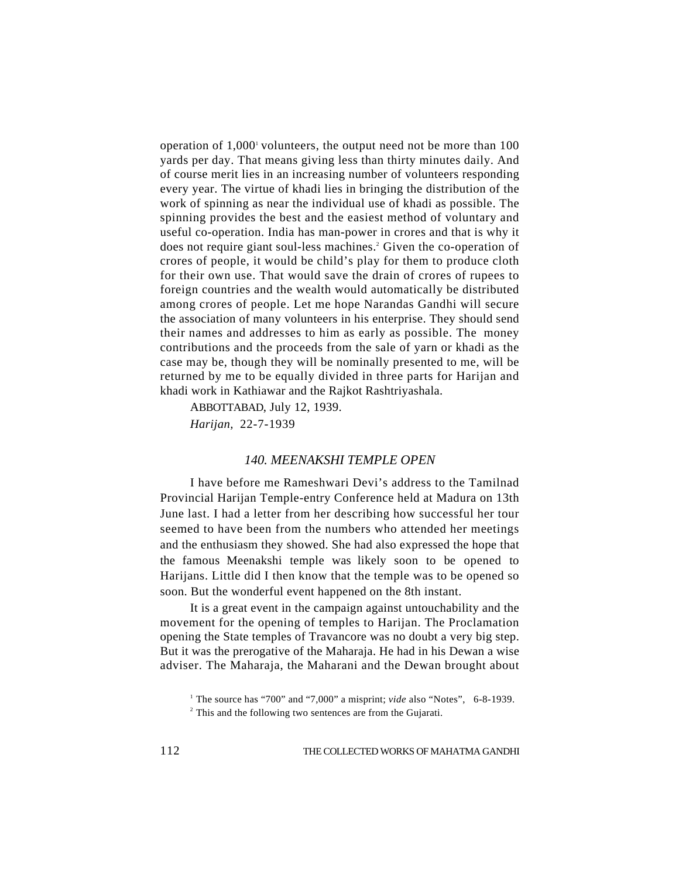operation of  $1,000<sup>1</sup>$  volunteers, the output need not be more than  $100$ yards per day. That means giving less than thirty minutes daily. And of course merit lies in an increasing number of volunteers responding every year. The virtue of khadi lies in bringing the distribution of the work of spinning as near the individual use of khadi as possible. The spinning provides the best and the easiest method of voluntary and useful co-operation. India has man-power in crores and that is why it does not require giant soul-less machines.<sup>2</sup> Given the co-operation of crores of people, it would be child's play for them to produce cloth for their own use. That would save the drain of crores of rupees to foreign countries and the wealth would automatically be distributed among crores of people. Let me hope Narandas Gandhi will secure the association of many volunteers in his enterprise. They should send their names and addresses to him as early as possible. The money contributions and the proceeds from the sale of yarn or khadi as the case may be, though they will be nominally presented to me, will be returned by me to be equally divided in three parts for Harijan and khadi work in Kathiawar and the Rajkot Rashtriyashala.

ABBOTTABAD, July 12, 1939. *Harijan,* 22-7-1939

### *140. MEENAKSHI TEMPLE OPEN*

I have before me Rameshwari Devi's address to the Tamilnad Provincial Harijan Temple-entry Conference held at Madura on 13th June last. I had a letter from her describing how successful her tour seemed to have been from the numbers who attended her meetings and the enthusiasm they showed. She had also expressed the hope that the famous Meenakshi temple was likely soon to be opened to Harijans. Little did I then know that the temple was to be opened so soon. But the wonderful event happened on the 8th instant.

It is a great event in the campaign against untouchability and the movement for the opening of temples to Harijan. The Proclamation opening the State temples of Travancore was no doubt a very big step. But it was the prerogative of the Maharaja. He had in his Dewan a wise adviser. The Maharaja, the Maharani and the Dewan brought about

<sup>&</sup>lt;sup>1</sup> The source has "700" and "7,000" a misprint; *vide* also "Notes", 6-8-1939.

<sup>&</sup>lt;sup>2</sup> This and the following two sentences are from the Gujarati.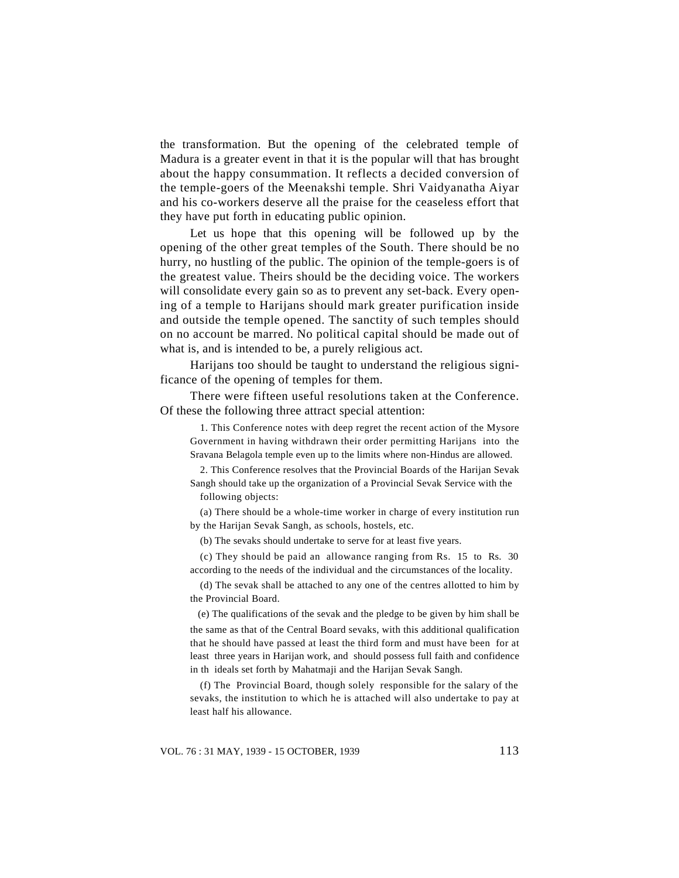the transformation. But the opening of the celebrated temple of Madura is a greater event in that it is the popular will that has brought about the happy consummation. It reflects a decided conversion of the temple-goers of the Meenakshi temple. Shri Vaidyanatha Aiyar and his co-workers deserve all the praise for the ceaseless effort that they have put forth in educating public opinion.

Let us hope that this opening will be followed up by the opening of the other great temples of the South. There should be no hurry, no hustling of the public. The opinion of the temple-goers is of the greatest value. Theirs should be the deciding voice. The workers will consolidate every gain so as to prevent any set-back. Every opening of a temple to Harijans should mark greater purification inside and outside the temple opened. The sanctity of such temples should on no account be marred. No political capital should be made out of what is, and is intended to be, a purely religious act.

Harijans too should be taught to understand the religious significance of the opening of temples for them.

There were fifteen useful resolutions taken at the Conference. Of these the following three attract special attention:

1. This Conference notes with deep regret the recent action of the Mysore Government in having withdrawn their order permitting Harijans into the Sravana Belagola temple even up to the limits where non-Hindus are allowed.

2. This Conference resolves that the Provincial Boards of the Harijan Sevak Sangh should take up the organization of a Provincial Sevak Service with the following objects:

(a) There should be a whole-time worker in charge of every institution run by the Harijan Sevak Sangh, as schools, hostels, etc.

(b) The sevaks should undertake to serve for at least five years.

(c) They should be paid an allowance ranging from Rs. 15 to Rs. 30 according to the needs of the individual and the circumstances of the locality.

(d) The sevak shall be attached to any one of the centres allotted to him by the Provincial Board.

(e) The qualifications of the sevak and the pledge to be given by him shall be the same as that of the Central Board sevaks, with this additional qualification that he should have passed at least the third form and must have been for at least three years in Harijan work, and should possess full faith and confidence in th ideals set forth by Mahatmaji and the Harijan Sevak Sangh.

(f) The Provincial Board, though solely responsible for the salary of the sevaks, the institution to which he is attached will also undertake to pay at least half his allowance.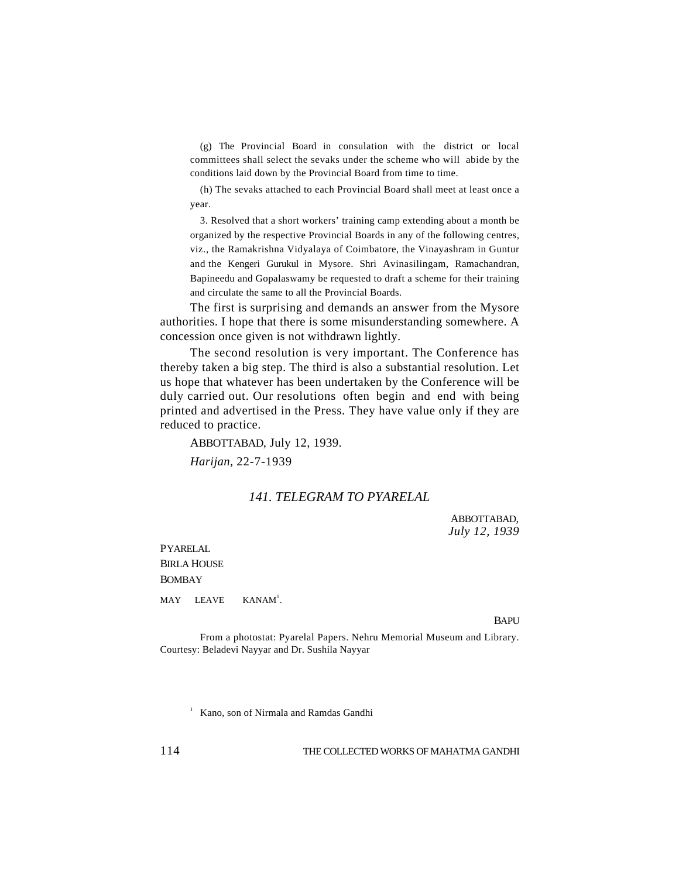(g) The Provincial Board in consulation with the district or local committees shall select the sevaks under the scheme who will abide by the conditions laid down by the Provincial Board from time to time.

(h) The sevaks attached to each Provincial Board shall meet at least once a year.

3. Resolved that a short workers' training camp extending about a month be organized by the respective Provincial Boards in any of the following centres, viz., the Ramakrishna Vidyalaya of Coimbatore, the Vinayashram in Guntur and the Kengeri Gurukul in Mysore. Shri Avinasilingam, Ramachandran, Bapineedu and Gopalaswamy be requested to draft a scheme for their training and circulate the same to all the Provincial Boards.

The first is surprising and demands an answer from the Mysore authorities. I hope that there is some misunderstanding somewhere. A concession once given is not withdrawn lightly.

The second resolution is very important. The Conference has thereby taken a big step. The third is also a substantial resolution. Let us hope that whatever has been undertaken by the Conference will be duly carried out. Our resolutions often begin and end with being printed and advertised in the Press. They have value only if they are reduced to practice.

ABBOTTABAD, July 12, 1939. *Harijan,* 22-7-1939

# *141. TELEGRAM TO PYARELAL*

ABBOTTABAD, *July 12, 1939*

PYARELAL BIRLA HOUSE **BOMBAY** 

 $MAY$  LEAVE KANAM<sup>1</sup>.

**BAPU** 

From a photostat: Pyarelal Papers. Nehru Memorial Museum and Library. Courtesy: Beladevi Nayyar and Dr. Sushila Nayyar

<sup>1</sup> Kano, son of Nirmala and Ramdas Gandhi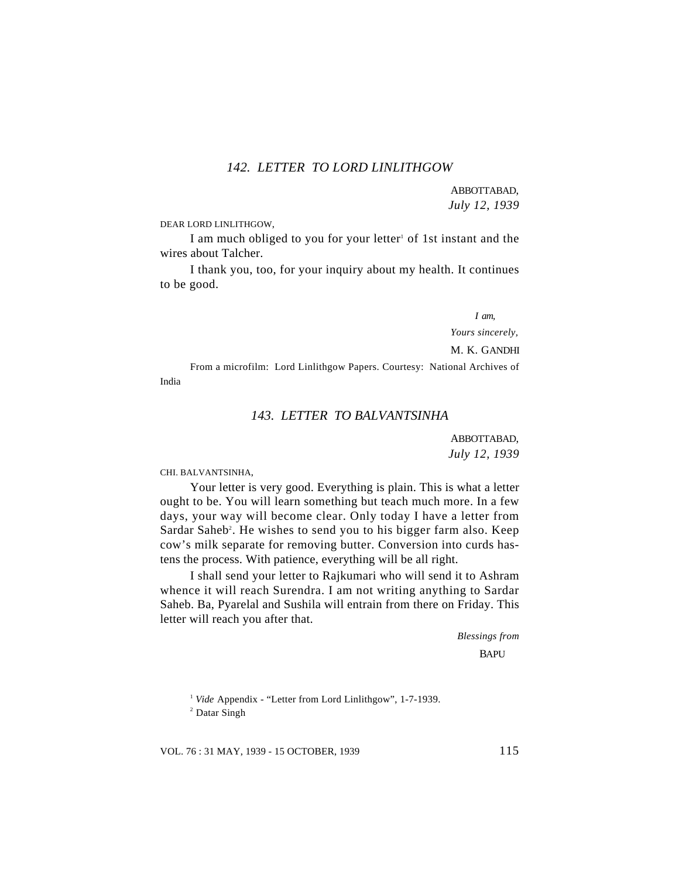## *142. LETTER TO LORD LINLITHGOW*

ABBOTTABAD, *July 12, 1939*

#### DEAR LORD LINLITHGOW,

I am much obliged to you for your letter<sup>1</sup> of 1st instant and the wires about Talcher.

I thank you, too, for your inquiry about my health. It continues to be good.

*I am,*

*Yours sincerely,*

M. K. GANDHI

From a microfilm: Lord Linlithgow Papers. Courtesy: National Archives of India

### *143. LETTER TO BALVANTSINHA*

ABBOTTABAD, *July 12, 1939*

CHI. BALVANTSINHA,

Your letter is very good. Everything is plain. This is what a letter ought to be. You will learn something but teach much more. In a few days, your way will become clear. Only today I have a letter from Sardar Saheb<sup>2</sup>. He wishes to send you to his bigger farm also. Keep cow's milk separate for removing butter. Conversion into curds hastens the process. With patience, everything will be all right.

I shall send your letter to Rajkumari who will send it to Ashram whence it will reach Surendra. I am not writing anything to Sardar Saheb. Ba, Pyarelal and Sushila will entrain from there on Friday. This letter will reach you after that.

*Blessings from*

**BAPU** 

<sup>1</sup> *Vide* Appendix - "Letter from Lord Linlithgow", 1-7-1939.

<sup>2</sup> Datar Singh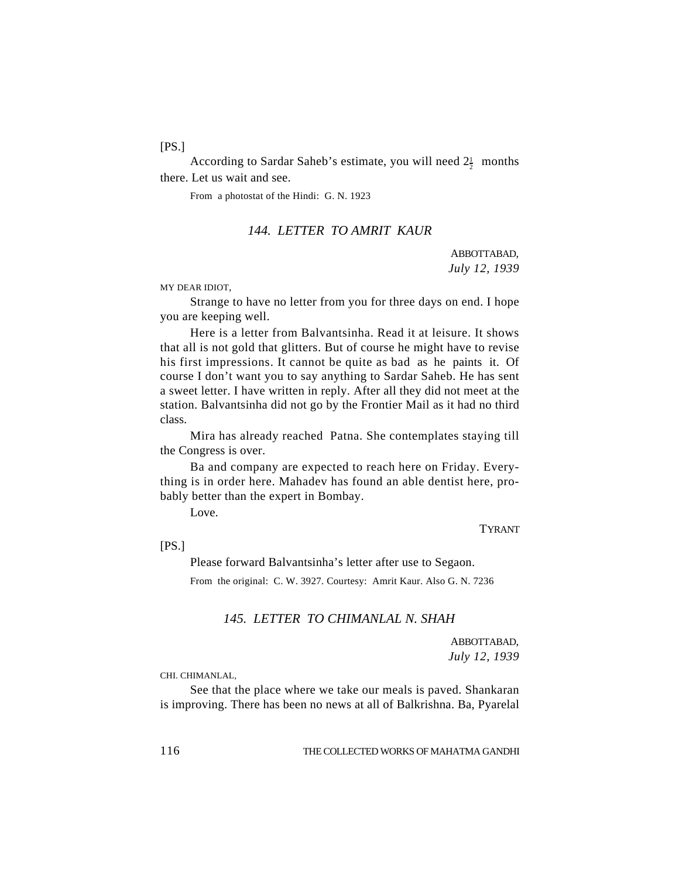[PS.]

According to Sardar Saheb's estimate, you will need  $2\frac{1}{2}$  months there. Let us wait and see.

From a photostat of the Hindi: G. N. 1923

## *144. LETTER TO AMRIT KAUR*

ABBOTTABAD, *July 12, 1939*

MY DEAR IDIOT,

Strange to have no letter from you for three days on end. I hope you are keeping well.

Here is a letter from Balvantsinha. Read it at leisure. It shows that all is not gold that glitters. But of course he might have to revise his first impressions. It cannot be quite as bad as he paints it. Of course I don't want you to say anything to Sardar Saheb. He has sent a sweet letter. I have written in reply. After all they did not meet at the station. Balvantsinha did not go by the Frontier Mail as it had no third class.

Mira has already reached Patna. She contemplates staying till the Congress is over.

Ba and company are expected to reach here on Friday. Everything is in order here. Mahadev has found an able dentist here, probably better than the expert in Bombay.

Love.

TYRANT

[PS.]

Please forward Balvantsinha's letter after use to Segaon.

From the original: C. W. 3927. Courtesy: Amrit Kaur. Also G. N. 7236

### *145. LETTER TO CHIMANLAL N. SHAH*

ABBOTTABAD, *July 12, 1939*

CHI. CHIMANLAL,

See that the place where we take our meals is paved. Shankaran is improving. There has been no news at all of Balkrishna. Ba, Pyarelal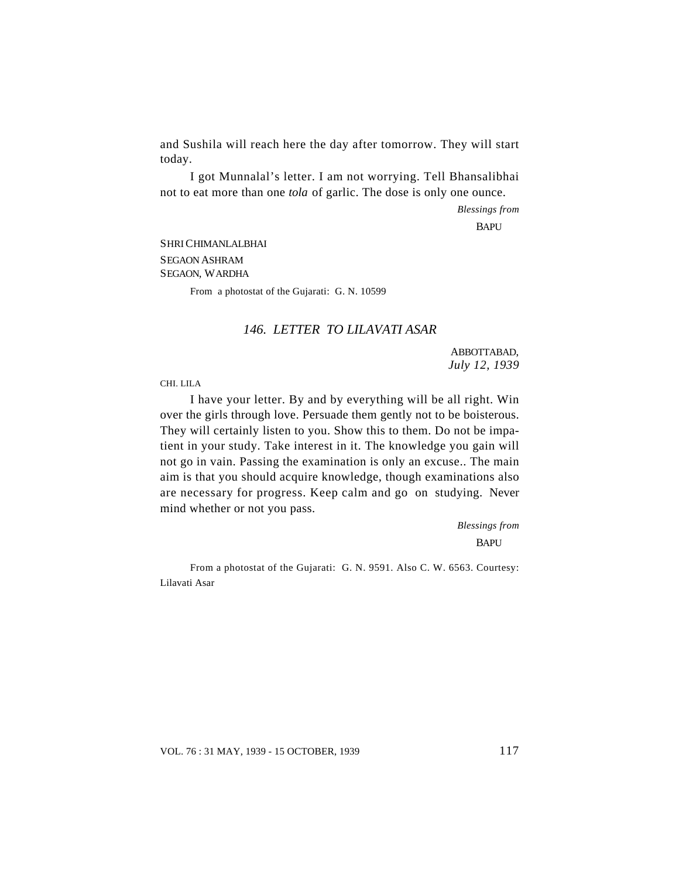and Sushila will reach here the day after tomorrow. They will start today.

I got Munnalal's letter. I am not worrying. Tell Bhansalibhai not to eat more than one *tola* of garlic. The dose is only one ounce.

*Blessings from*

**BAPU** 

SHRI CHIMANLAL BHAI SEGAON ASHRAM SEGAON, WARDHA

From a photostat of the Gujarati: G. N. 10599

### *146. LETTER TO LILAVATI ASAR*

ABBOTTABAD, *July 12, 1939*

CHI. LILA

I have your letter. By and by everything will be all right. Win over the girls through love. Persuade them gently not to be boisterous. They will certainly listen to you. Show this to them. Do not be impatient in your study. Take interest in it. The knowledge you gain will not go in vain. Passing the examination is only an excuse.. The main aim is that you should acquire knowledge, though examinations also are necessary for progress. Keep calm and go on studying. Never mind whether or not you pass.

*Blessings from*

**BAPU** 

From a photostat of the Gujarati: G. N. 9591. Also C. W. 6563. Courtesy: Lilavati Asar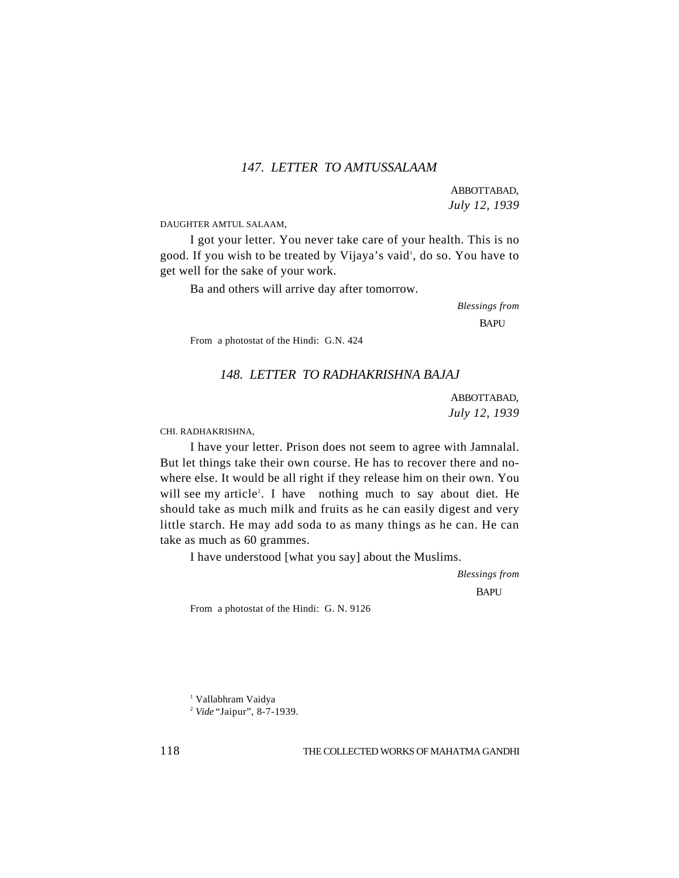### *147. LETTER TO AMTUSSALAAM*

ABBOTTABAD, *July 12, 1939*

#### DAUGHTER AMTUL SALAAM,

I got your letter. You never take care of your health. This is no good. If you wish to be treated by Vijaya's vaid<sup>1</sup>, do so. You have to get well for the sake of your work.

Ba and others will arrive day after tomorrow.

*Blessings from*

**BAPU** 

From a photostat of the Hindi: G.N. 424

### *148. LETTER TO RADHAKRISHNA BAJAJ*

ABBOTTABAD, *July 12, 1939*

#### CHI. RADHAKRISHNA,

I have your letter. Prison does not seem to agree with Jamnalal. But let things take their own course. He has to recover there and nowhere else. It would be all right if they release him on their own. You will see my article<sup>2</sup>. I have nothing much to say about diet. He should take as much milk and fruits as he can easily digest and very little starch. He may add soda to as many things as he can. He can take as much as 60 grammes.

I have understood [what you say] about the Muslims.

*Blessings from*

**BAPU** 

From a photostat of the Hindi: G. N. 9126

<sup>1</sup> Vallabhram Vaidya

<sup>2</sup> *Vide* "Jaipur", 8-7-1939.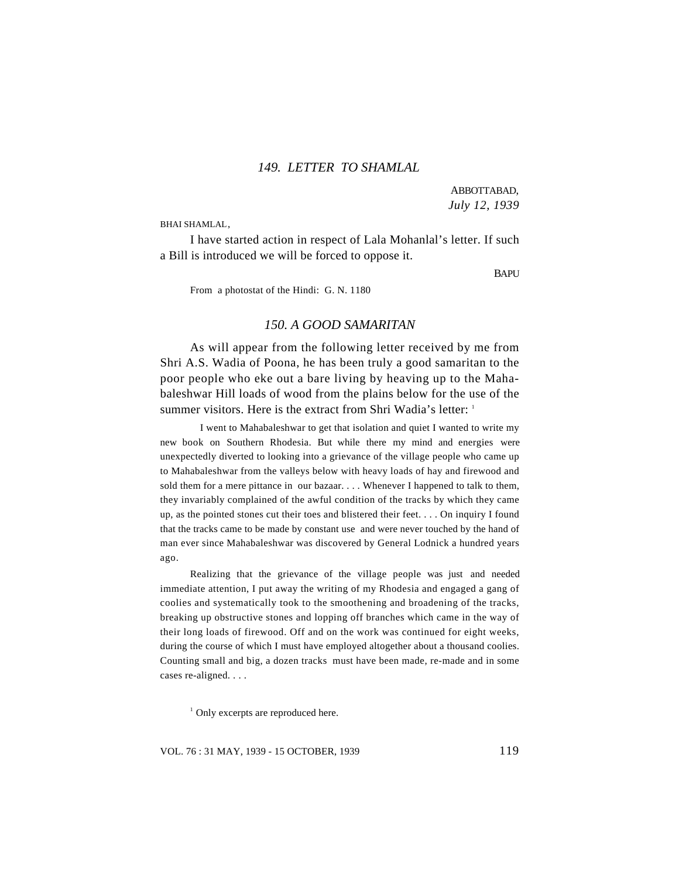### *149. LETTER TO SHAMLAL*

ABBOTTABAD, *July 12, 1939*

#### BHAI SHAMLAL,

I have started action in respect of Lala Mohanlal's letter. If such a Bill is introduced we will be forced to oppose it.

**BAPU** 

From a photostat of the Hindi: G. N. 1180

### *150. A GOOD SAMARITAN*

As will appear from the following letter received by me from Shri A.S. Wadia of Poona, he has been truly a good samaritan to the poor people who eke out a bare living by heaving up to the Mahabaleshwar Hill loads of wood from the plains below for the use of the summer visitors. Here is the extract from Shri Wadia's letter:  $\frac{1}{1}$ 

I went to Mahabaleshwar to get that isolation and quiet I wanted to write my new book on Southern Rhodesia. But while there my mind and energies were unexpectedly diverted to looking into a grievance of the village people who came up to Mahabaleshwar from the valleys below with heavy loads of hay and firewood and sold them for a mere pittance in our bazaar. . . . Whenever I happened to talk to them, they invariably complained of the awful condition of the tracks by which they came up, as the pointed stones cut their toes and blistered their feet. . . . On inquiry I found that the tracks came to be made by constant use and were never touched by the hand of man ever since Mahabaleshwar was discovered by General Lodnick a hundred years ago.

 Realizing that the grievance of the village people was just and needed immediate attention, I put away the writing of my Rhodesia and engaged a gang of coolies and systematically took to the smoothening and broadening of the tracks, breaking up obstructive stones and lopping off branches which came in the way of their long loads of firewood. Off and on the work was continued for eight weeks, during the course of which I must have employed altogether about a thousand coolies. Counting small and big, a dozen tracks must have been made, re-made and in some cases re-aligned. . . .

<sup>1</sup> Only excerpts are reproduced here.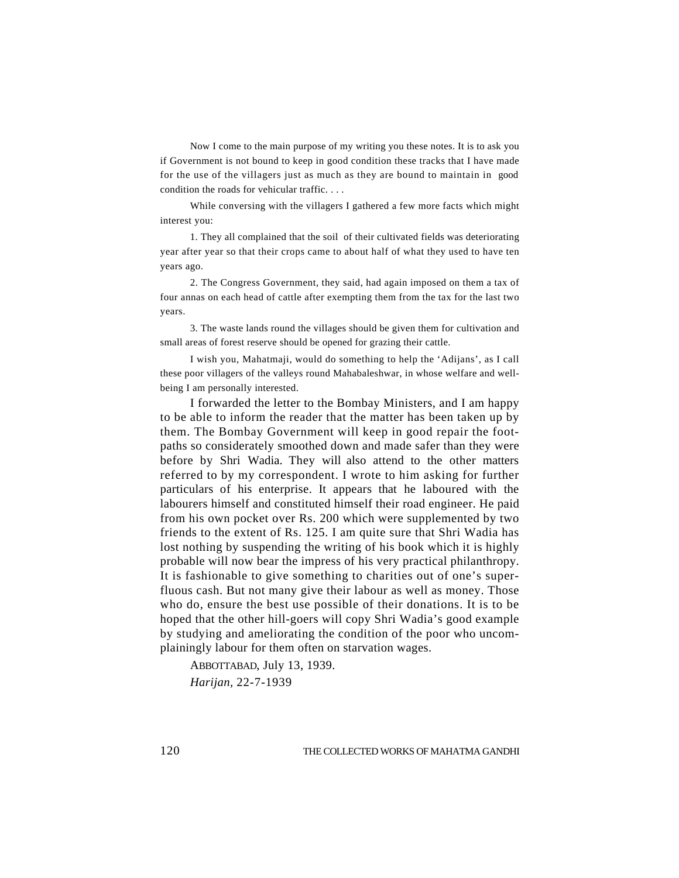Now I come to the main purpose of my writing you these notes. It is to ask you if Government is not bound to keep in good condition these tracks that I have made for the use of the villagers just as much as they are bound to maintain in good condition the roads for vehicular traffic. . . .

While conversing with the villagers I gathered a few more facts which might interest you:

1. They all complained that the soil of their cultivated fields was deteriorating year after year so that their crops came to about half of what they used to have ten years ago.

2. The Congress Government, they said, had again imposed on them a tax of four annas on each head of cattle after exempting them from the tax for the last two years.

3. The waste lands round the villages should be given them for cultivation and small areas of forest reserve should be opened for grazing their cattle.

I wish you, Mahatmaji, would do something to help the 'Adijans', as I call these poor villagers of the valleys round Mahabaleshwar, in whose welfare and wellbeing I am personally interested.

I forwarded the letter to the Bombay Ministers, and I am happy to be able to inform the reader that the matter has been taken up by them. The Bombay Government will keep in good repair the footpaths so considerately smoothed down and made safer than they were before by Shri Wadia. They will also attend to the other matters referred to by my correspondent. I wrote to him asking for further particulars of his enterprise. It appears that he laboured with the labourers himself and constituted himself their road engineer. He paid from his own pocket over Rs. 200 which were supplemented by two friends to the extent of Rs. 125. I am quite sure that Shri Wadia has lost nothing by suspending the writing of his book which it is highly probable will now bear the impress of his very practical philanthropy. It is fashionable to give something to charities out of one's superfluous cash. But not many give their labour as well as money. Those who do, ensure the best use possible of their donations. It is to be hoped that the other hill-goers will copy Shri Wadia's good example by studying and ameliorating the condition of the poor who uncomplainingly labour for them often on starvation wages.

ABBOTTABAD, July 13, 1939. *Harijan,* 22-7-1939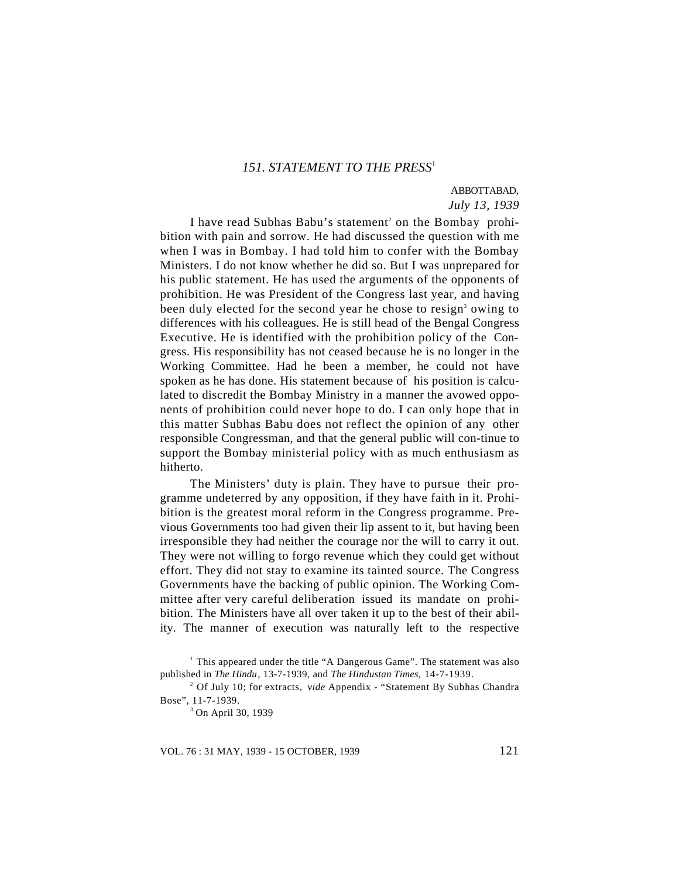### *151. STATEMENT TO THE PRESS*<sup>1</sup>

ABBOTTABAD, *July 13, 1939*

I have read Subhas Babu's statement<sup>2</sup> on the Bombay prohibition with pain and sorrow. He had discussed the question with me when I was in Bombay. I had told him to confer with the Bombay Ministers. I do not know whether he did so. But I was unprepared for his public statement. He has used the arguments of the opponents of prohibition. He was President of the Congress last year, and having been duly elected for the second year he chose to resign<sup>3</sup> owing to differences with his colleagues. He is still head of the Bengal Congress Executive. He is identified with the prohibition policy of the Congress. His responsibility has not ceased because he is no longer in the Working Committee. Had he been a member, he could not have spoken as he has done. His statement because of his position is calculated to discredit the Bombay Ministry in a manner the avowed opponents of prohibition could never hope to do. I can only hope that in this matter Subhas Babu does not reflect the opinion of any other responsible Congressman, and that the general public will con-tinue to support the Bombay ministerial policy with as much enthusiasm as hitherto.

The Ministers' duty is plain. They have to pursue their programme undeterred by any opposition, if they have faith in it. Prohibition is the greatest moral reform in the Congress programme. Previous Governments too had given their lip assent to it, but having been irresponsible they had neither the courage nor the will to carry it out. They were not willing to forgo revenue which they could get without effort. They did not stay to examine its tainted source. The Congress Governments have the backing of public opinion. The Working Committee after very careful deliberation issued its mandate on prohibition. The Ministers have all over taken it up to the best of their ability. The manner of execution was naturally left to the respective

 $<sup>1</sup>$  This appeared under the title "A Dangerous Game". The statement was also</sup> published in *The Hindu*, 13-7-1939, and *The Hindustan Times*, 14-7-1939.

<sup>&</sup>lt;sup>2</sup> Of July 10; for extracts, *vide* Appendix - "Statement By Subhas Chandra Bose", 11-7-1939.

<sup>&</sup>lt;sup>3</sup> On April 30, 1939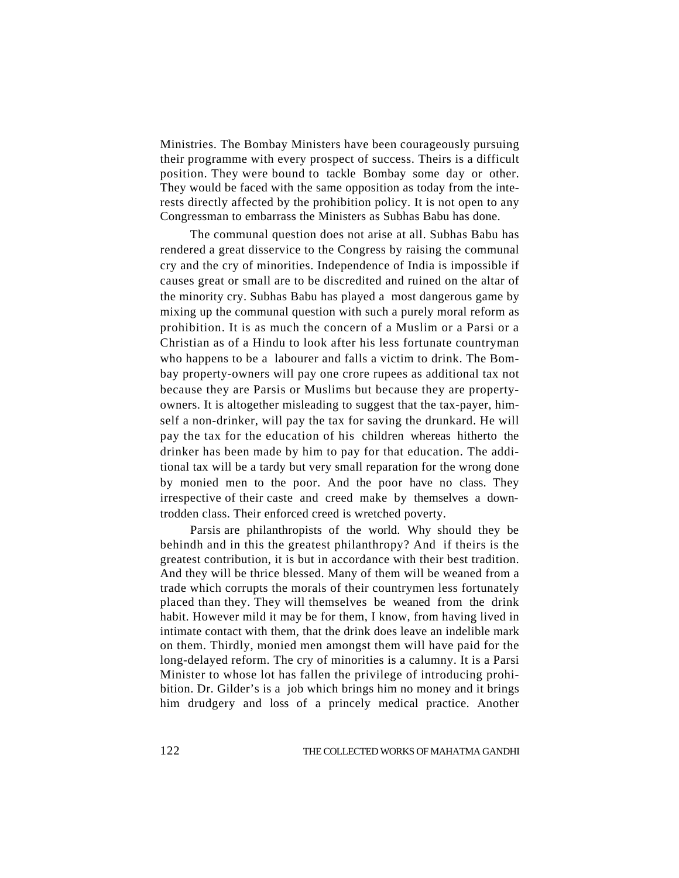Ministries. The Bombay Ministers have been courageously pursuing their programme with every prospect of success. Theirs is a difficult position. They were bound to tackle Bombay some day or other. They would be faced with the same opposition as today from the interests directly affected by the prohibition policy. It is not open to any Congressman to embarrass the Ministers as Subhas Babu has done.

The communal question does not arise at all. Subhas Babu has rendered a great disservice to the Congress by raising the communal cry and the cry of minorities. Independence of India is impossible if causes great or small are to be discredited and ruined on the altar of the minority cry. Subhas Babu has played a most dangerous game by mixing up the communal question with such a purely moral reform as prohibition. It is as much the concern of a Muslim or a Parsi or a Christian as of a Hindu to look after his less fortunate countryman who happens to be a labourer and falls a victim to drink. The Bombay property-owners will pay one crore rupees as additional tax not because they are Parsis or Muslims but because they are propertyowners. It is altogether misleading to suggest that the tax-payer, himself a non-drinker, will pay the tax for saving the drunkard. He will pay the tax for the education of his children whereas hitherto the drinker has been made by him to pay for that education. The additional tax will be a tardy but very small reparation for the wrong done by monied men to the poor. And the poor have no class. They irrespective of their caste and creed make by themselves a downtrodden class. Their enforced creed is wretched poverty.

Parsis are philanthropists of the world. Why should they be behindh and in this the greatest philanthropy? And if theirs is the greatest contribution, it is but in accordance with their best tradition. And they will be thrice blessed. Many of them will be weaned from a trade which corrupts the morals of their countrymen less fortunately placed than they. They will themselves be weaned from the drink habit. However mild it may be for them, I know, from having lived in intimate contact with them, that the drink does leave an indelible mark on them. Thirdly, monied men amongst them will have paid for the long-delayed reform. The cry of minorities is a calumny. It is a Parsi Minister to whose lot has fallen the privilege of introducing prohibition. Dr. Gilder's is a job which brings him no money and it brings him drudgery and loss of a princely medical practice. Another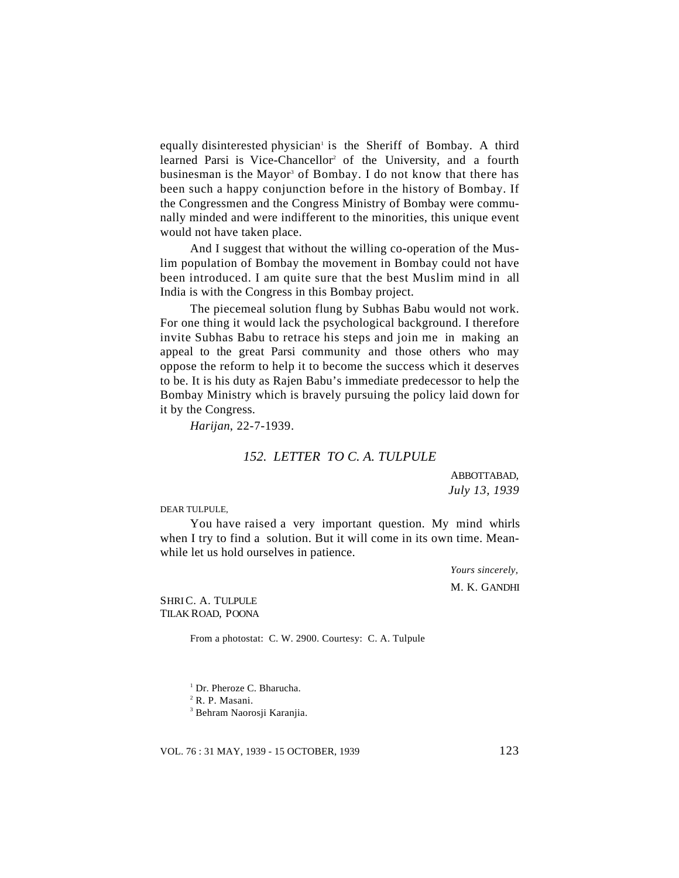equally disinterested physician<sup>1</sup> is the Sheriff of Bombay. A third learned Parsi is Vice-Chancellor<sup>2</sup> of the University, and a fourth businesman is the Mayor<sup>3</sup> of Bombay. I do not know that there has been such a happy conjunction before in the history of Bombay. If the Congressmen and the Congress Ministry of Bombay were communally minded and were indifferent to the minorities, this unique event would not have taken place.

And I suggest that without the willing co-operation of the Muslim population of Bombay the movement in Bombay could not have been introduced. I am quite sure that the best Muslim mind in all India is with the Congress in this Bombay project.

The piecemeal solution flung by Subhas Babu would not work. For one thing it would lack the psychological background. I therefore invite Subhas Babu to retrace his steps and join me in making an appeal to the great Parsi community and those others who may oppose the reform to help it to become the success which it deserves to be. It is his duty as Rajen Babu's immediate predecessor to help the Bombay Ministry which is bravely pursuing the policy laid down for it by the Congress.

*Harijan*, 22-7-1939.

### *152. LETTER TO C. A. TULPULE*

ABBOTTABAD, *July 13, 1939*

DEAR TULPULE,

You have raised a very important question. My mind whirls when I try to find a solution. But it will come in its own time. Meanwhile let us hold ourselves in patience.

> *Yours sincerely,* M. K. GANDHI

SHRI C. A. TULPULE TILAK ROAD, POONA

From a photostat: C. W. 2900. Courtesy: C. A. Tulpule

<sup>1</sup> Dr. Pheroze C. Bharucha.

 $2 R$ . P. Masani.

<sup>3</sup> Behram Naorosji Karanjia.

VOL. 76 : 31 MAY, 1939 - 15 OCTOBER, 1939 123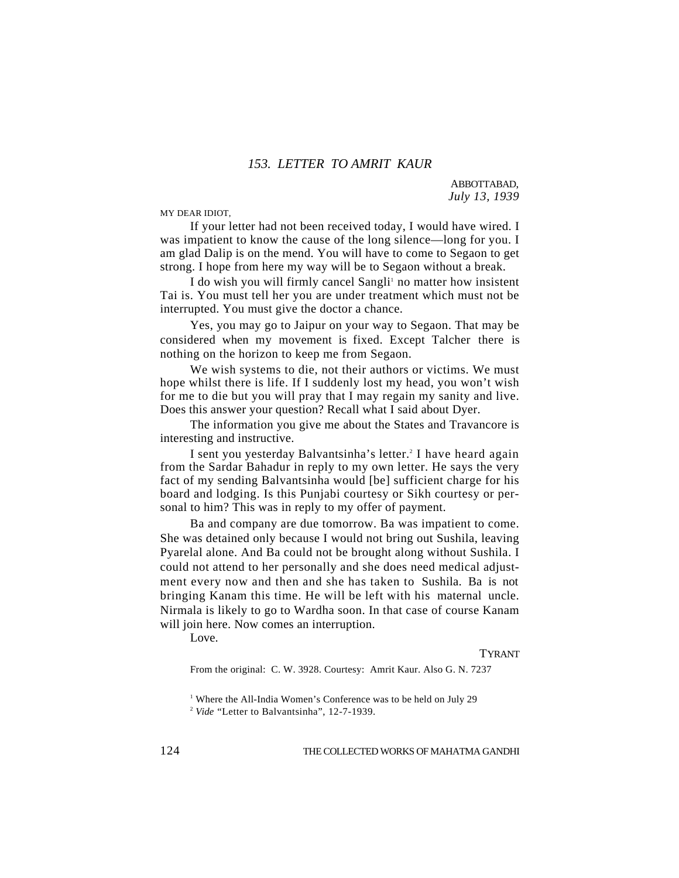## *153. LETTER TO AMRIT KAUR*

**ABBOTTABAD** *July 13, 1939*

MY DEAR IDIOT,

If your letter had not been received today, I would have wired. I was impatient to know the cause of the long silence—long for you. I am glad Dalip is on the mend. You will have to come to Segaon to get strong. I hope from here my way will be to Segaon without a break.

I do wish you will firmly cancel Sangli<sup>1</sup> no matter how insistent Tai is. You must tell her you are under treatment which must not be interrupted. You must give the doctor a chance.

Yes, you may go to Jaipur on your way to Segaon. That may be considered when my movement is fixed. Except Talcher there is nothing on the horizon to keep me from Segaon.

We wish systems to die, not their authors or victims. We must hope whilst there is life. If I suddenly lost my head, you won't wish for me to die but you will pray that I may regain my sanity and live. Does this answer your question? Recall what I said about Dyer.

The information you give me about the States and Travancore is interesting and instructive.

I sent you yesterday Balvantsinha's letter.<sup>2</sup> I have heard again from the Sardar Bahadur in reply to my own letter. He says the very fact of my sending Balvantsinha would [be] sufficient charge for his board and lodging. Is this Punjabi courtesy or Sikh courtesy or personal to him? This was in reply to my offer of payment.

Ba and company are due tomorrow. Ba was impatient to come. She was detained only because I would not bring out Sushila, leaving Pyarelal alone. And Ba could not be brought along without Sushila. I could not attend to her personally and she does need medical adjustment every now and then and she has taken to Sushila. Ba is not bringing Kanam this time. He will be left with his maternal uncle. Nirmala is likely to go to Wardha soon. In that case of course Kanam will join here. Now comes an interruption.

Love.

TYRANT

From the original: C. W. 3928. Courtesy: Amrit Kaur. Also G. N. 7237

<sup>1</sup> Where the All-India Women's Conference was to be held on July 29

<sup>2</sup> *Vide* "Letter to Balvantsinha", 12-7-1939.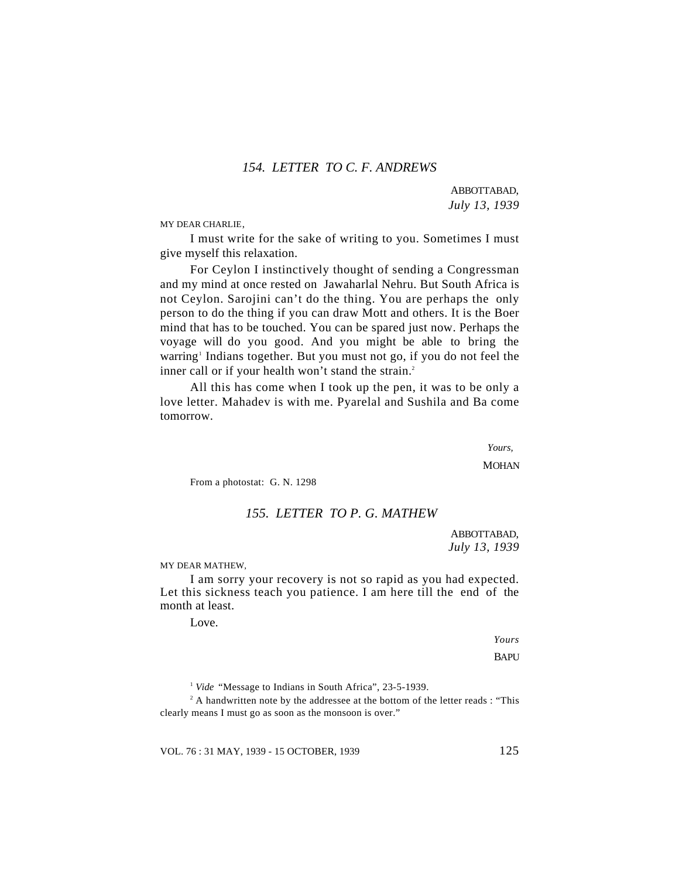### *154. LETTER TO C. F. ANDREWS*

ABBOTTABAD, *July 13, 1939*

MY DEAR CHARLIE,

I must write for the sake of writing to you. Sometimes I must give myself this relaxation.

For Ceylon I instinctively thought of sending a Congressman and my mind at once rested on Jawaharlal Nehru. But South Africa is not Ceylon. Sarojini can't do the thing. You are perhaps the only person to do the thing if you can draw Mott and others. It is the Boer mind that has to be touched. You can be spared just now. Perhaps the voyage will do you good. And you might be able to bring the warring<sup>1</sup> Indians together. But you must not go, if you do not feel the inner call or if your health won't stand the strain.<sup>2</sup>

All this has come when I took up the pen, it was to be only a love letter. Mahadev is with me. Pyarelal and Sushila and Ba come tomorrow.

 *Yours,*

**MOHAN** 

From a photostat: G. N. 1298

### *155. LETTER TO P. G. MATHEW*

ABBOTTABAD, *July 13, 1939*

MY DEAR MATHEW,

I am sorry your recovery is not so rapid as you had expected. Let this sickness teach you patience. I am here till the end of the month at least.

 $\overline{L}$  ove.

*Yours*

**BAPU** 

<sup>1</sup> *Vide* "Message to Indians in South Africa", 23-5-1939.

 $2$  A handwritten note by the addressee at the bottom of the letter reads : "This clearly means I must go as soon as the monsoon is over."

VOL. 76 : 31 MAY, 1939 - 15 OCTOBER, 1939 125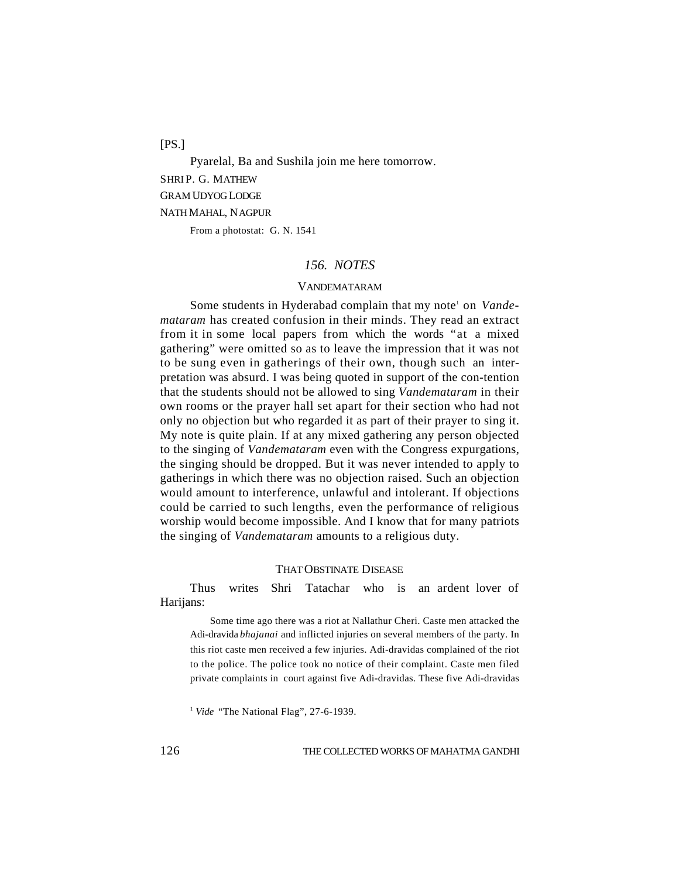[PS.]

Pyarelal, Ba and Sushila join me here tomorrow.

SHRIP. G. MATHEW

# GRAM UDYOG LODGE

# NATH MAHAL, NAGPUR

From a photostat: G. N. 1541

# *156. NOTES*

### VANDEMATARAM

Some students in Hyderabad complain that my note<sup>1</sup> on *Vandemataram* has created confusion in their minds. They read an extract from it in some local papers from which the words "at a mixed gathering" were omitted so as to leave the impression that it was not to be sung even in gatherings of their own, though such an interpretation was absurd. I was being quoted in support of the con-tention that the students should not be allowed to sing *Vandemataram* in their own rooms or the prayer hall set apart for their section who had not only no objection but who regarded it as part of their prayer to sing it. My note is quite plain. If at any mixed gathering any person objected to the singing of *Vandemataram* even with the Congress expurgations, the singing should be dropped. But it was never intended to apply to gatherings in which there was no objection raised. Such an objection would amount to interference, unlawful and intolerant. If objections could be carried to such lengths, even the performance of religious worship would become impossible. And I know that for many patriots the singing of *Vandemataram* amounts to a religious duty.

### THAT OBSTINATE DISEASE

Thus writes Shri Tatachar who is an ardent lover of Harijans:

Some time ago there was a riot at Nallathur Cheri. Caste men attacked the Adi-dravida *bhajanai* and inflicted injuries on several members of the party. In this riot caste men received a few injuries. Adi-dravidas complained of the riot to the police. The police took no notice of their complaint. Caste men filed private complaints in court against five Adi-dravidas. These five Adi-dravidas

<sup>1</sup> *Vide* "The National Flag", 27-6-1939.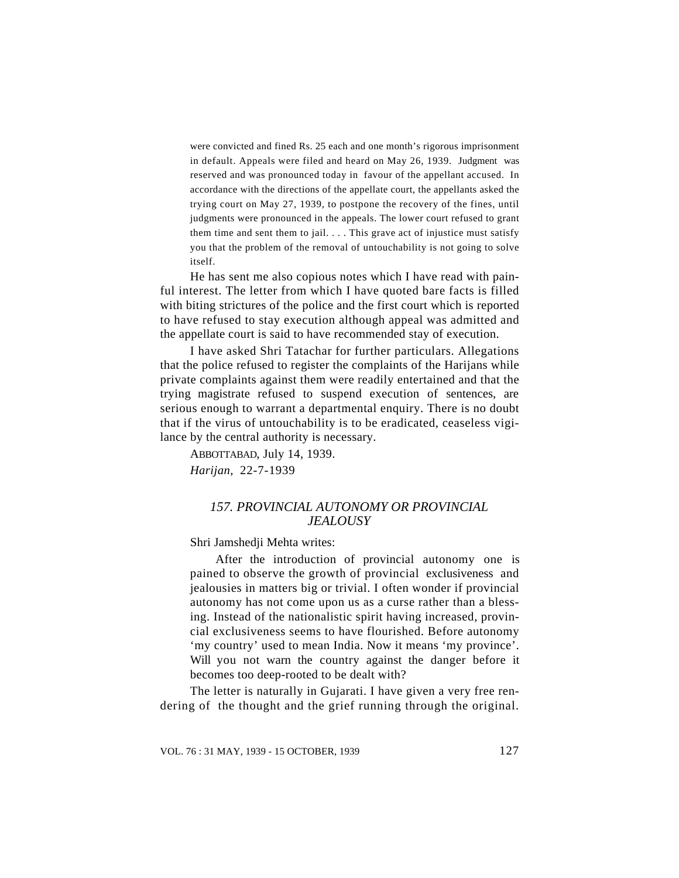were convicted and fined Rs. 25 each and one month's rigorous imprisonment in default. Appeals were filed and heard on May 26, 1939. Judgment was reserved and was pronounced today in favour of the appellant accused. In accordance with the directions of the appellate court, the appellants asked the trying court on May 27, 1939, to postpone the recovery of the fines, until judgments were pronounced in the appeals. The lower court refused to grant them time and sent them to jail. . . . This grave act of injustice must satisfy you that the problem of the removal of untouchability is not going to solve itself.

He has sent me also copious notes which I have read with painful interest. The letter from which I have quoted bare facts is filled with biting strictures of the police and the first court which is reported to have refused to stay execution although appeal was admitted and the appellate court is said to have recommended stay of execution.

I have asked Shri Tatachar for further particulars. Allegations that the police refused to register the complaints of the Harijans while private complaints against them were readily entertained and that the trying magistrate refused to suspend execution of sentences, are serious enough to warrant a departmental enquiry. There is no doubt that if the virus of untouchability is to be eradicated, ceaseless vigilance by the central authority is necessary.

ABBOTTABAD, July 14, 1939. *Harijan,* 22-7-1939

### *157. PROVINCIAL AUTONOMY OR PROVINCIAL JEALOUSY*

Shri Jamshedji Mehta writes:

After the introduction of provincial autonomy one is pained to observe the growth of provincial exclusiveness and jealousies in matters big or trivial. I often wonder if provincial autonomy has not come upon us as a curse rather than a blessing. Instead of the nationalistic spirit having increased, provincial exclusiveness seems to have flourished. Before autonomy 'my country' used to mean India. Now it means 'my province'. Will you not warn the country against the danger before it becomes too deep-rooted to be dealt with?

The letter is naturally in Gujarati. I have given a very free rendering of the thought and the grief running through the original.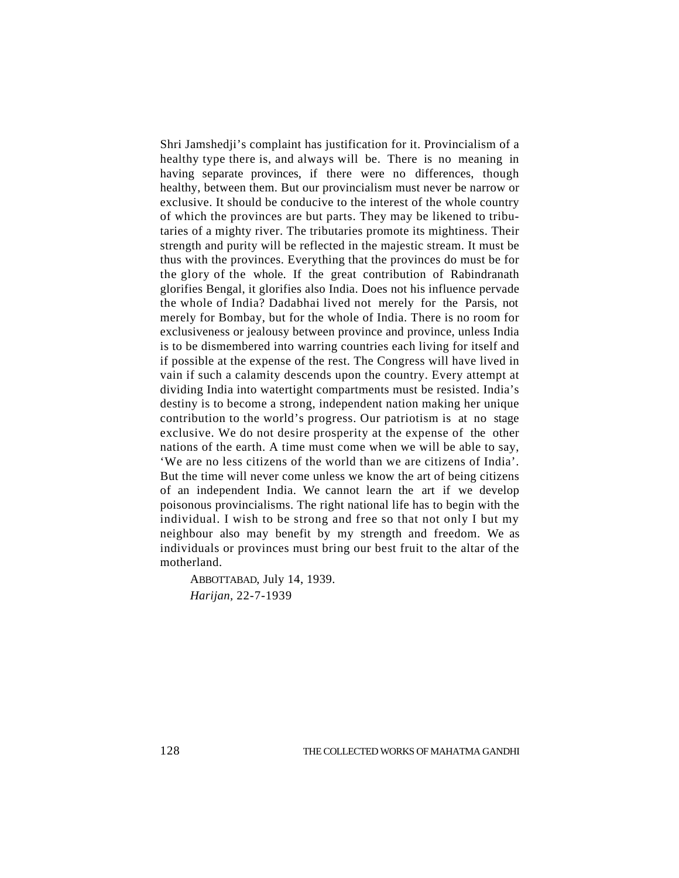Shri Jamshedji's complaint has justification for it. Provincialism of a healthy type there is, and always will be. There is no meaning in having separate provinces, if there were no differences, though healthy, between them. But our provincialism must never be narrow or exclusive. It should be conducive to the interest of the whole country of which the provinces are but parts. They may be likened to tributaries of a mighty river. The tributaries promote its mightiness. Their strength and purity will be reflected in the majestic stream. It must be thus with the provinces. Everything that the provinces do must be for the glory of the whole. If the great contribution of Rabindranath glorifies Bengal, it glorifies also India. Does not his influence pervade the whole of India? Dadabhai lived not merely for the Parsis, not merely for Bombay, but for the whole of India. There is no room for exclusiveness or jealousy between province and province, unless India is to be dismembered into warring countries each living for itself and if possible at the expense of the rest. The Congress will have lived in vain if such a calamity descends upon the country. Every attempt at dividing India into watertight compartments must be resisted. India's destiny is to become a strong, independent nation making her unique contribution to the world's progress. Our patriotism is at no stage exclusive. We do not desire prosperity at the expense of the other nations of the earth. A time must come when we will be able to say, 'We are no less citizens of the world than we are citizens of India'. But the time will never come unless we know the art of being citizens of an independent India. We cannot learn the art if we develop poisonous provincialisms. The right national life has to begin with the individual. I wish to be strong and free so that not only I but my neighbour also may benefit by my strength and freedom. We as individuals or provinces must bring our best fruit to the altar of the motherland.

ABBOTTABAD, July 14, 1939. *Harijan,* 22-7-1939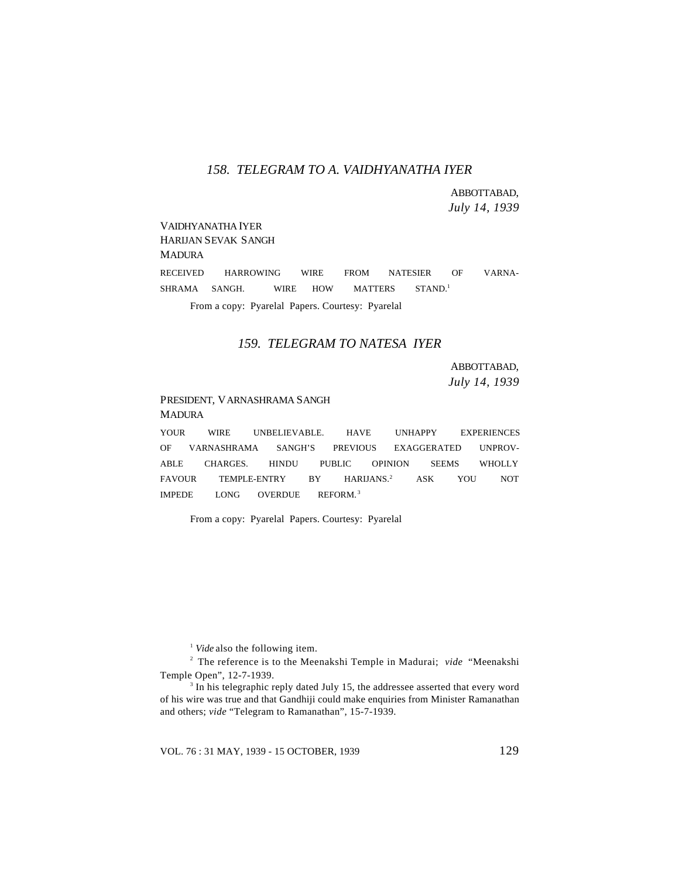### *158. TELEGRAM TO A. VAIDHYANATHA IYER*

ABBOTTABAD, *July 14, 1939*

# VAIDHYANATHA IYER HARIJAN SEVAK SANGH **MADURA** RECEIVED HARROWING WIRE FROM NATESIER OF VARNA-SHRAMA SANGH. WIRE HOW MATTERS STAND.<sup>1</sup> From a copy: Pyarelal Papers. Courtesy: Pyarelal

### *159. TELEGRAM TO NATESA IYER*

ABBOTTABAD, *July 14, 1939*

PRESIDENT, VARNASHRAMA SANGH MADURA

YOUR WIRE UNBELIEVABLE. HAVE UNHAPPY EXPERIENCES OF VARNASHRAMA SANGH'S PREVIOUS EXAGGERATED UNPROV-ABLE CHARGES. HINDU PUBLIC OPINION SEEMS WHOLLY FAVOUR TEMPLE-ENTRY BY HARIJANS.<sup>2</sup> ASK YOU NOT IMPEDE LONG OVERDUE REFORM. <sup>3</sup>

From a copy: Pyarelal Papers. Courtesy: Pyarelal

<sup>1</sup> *Vide* also the following item.

<sup>2</sup> The reference is to the Meenakshi Temple in Madurai; *vide* "Meenakshi Temple Open", 12-7-1939.

<sup>3</sup> In his telegraphic reply dated July 15, the addressee asserted that every word of his wire was true and that Gandhiji could make enquiries from Minister Ramanathan and others; *vide* "Telegram to Ramanathan", 15-7-1939.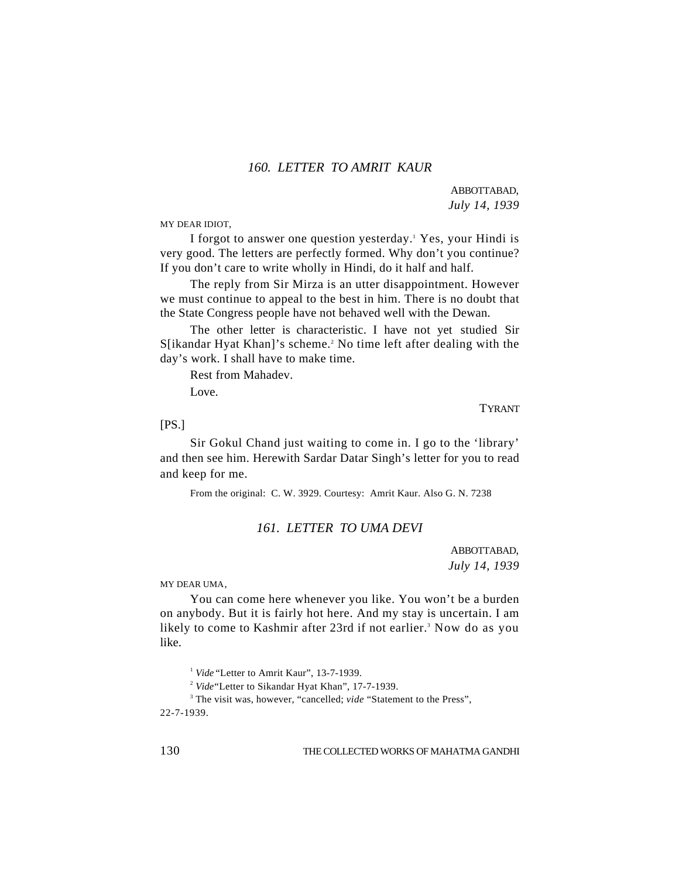## *160. LETTER TO AMRIT KAUR*

ABBOTTABAD, *July 14, 1939*

MY DEAR IDIOT,

I forgot to answer one question yesterday.<sup>1</sup> Yes, your Hindi is very good. The letters are perfectly formed. Why don't you continue? If you don't care to write wholly in Hindi, do it half and half.

The reply from Sir Mirza is an utter disappointment. However we must continue to appeal to the best in him. There is no doubt that the State Congress people have not behaved well with the Dewan.

The other letter is characteristic. I have not yet studied Sir S[ikandar Hyat Khan]'s scheme.<sup>2</sup> No time left after dealing with the day's work. I shall have to make time.

Rest from Mahadev.

Love.

TYRANT

 $[PS.]$ 

Sir Gokul Chand just waiting to come in. I go to the 'library' and then see him. Herewith Sardar Datar Singh's letter for you to read and keep for me.

From the original: C. W. 3929. Courtesy: Amrit Kaur. Also G. N. 7238

### *161. LETTER TO UMA DEVI*

ABBOTTABAD, *July 14, 1939*

MY DEAR UMA,

You can come here whenever you like. You won't be a burden on anybody. But it is fairly hot here. And my stay is uncertain. I am likely to come to Kashmir after 23rd if not earlier.<sup>3</sup> Now do as you like.

<sup>1</sup> *Vide* "Letter to Amrit Kaur", 13-7-1939.

<sup>2</sup> *Vide*"Letter to Sikandar Hyat Khan", 17-7-1939.

<sup>3</sup> The visit was, however, "cancelled; *vide* "Statement to the Press",

22-7-1939.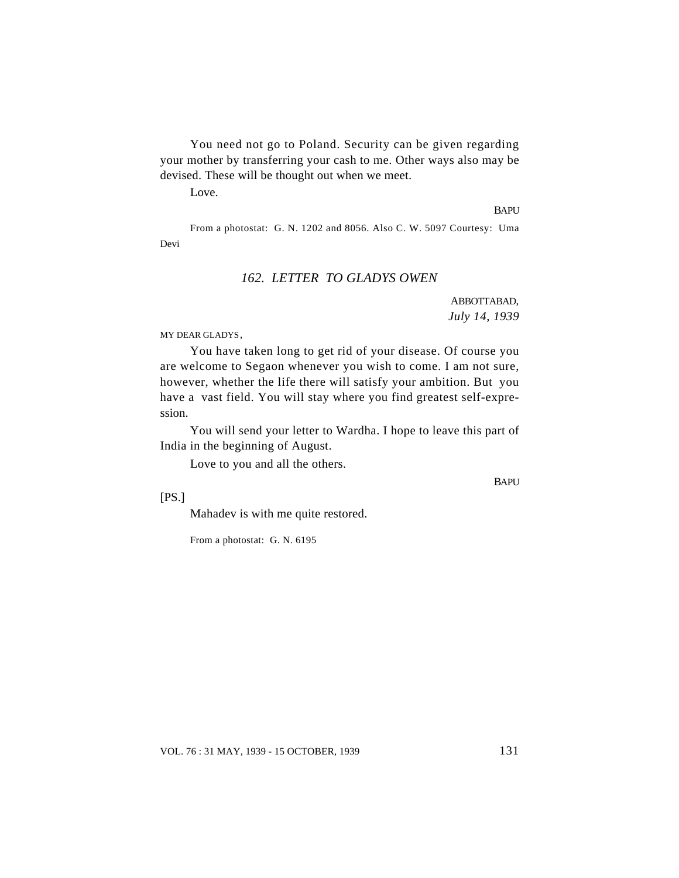You need not go to Poland. Security can be given regarding your mother by transferring your cash to me. Other ways also may be devised. These will be thought out when we meet.

Love.

**BAPU** 

From a photostat: G. N. 1202 and 8056. Also C. W. 5097 Courtesy: Uma Devi

# *162. LETTER TO GLADYS OWEN*

ABBOTTABAD, *July 14, 1939*

### MY DEAR GLADYS,

You have taken long to get rid of your disease. Of course you are welcome to Segaon whenever you wish to come. I am not sure, however, whether the life there will satisfy your ambition. But you have a vast field. You will stay where you find greatest self-expression.

You will send your letter to Wardha. I hope to leave this part of India in the beginning of August.

Love to you and all the others.

[PS.]

Mahadev is with me quite restored.

From a photostat: G. N. 6195

BAPU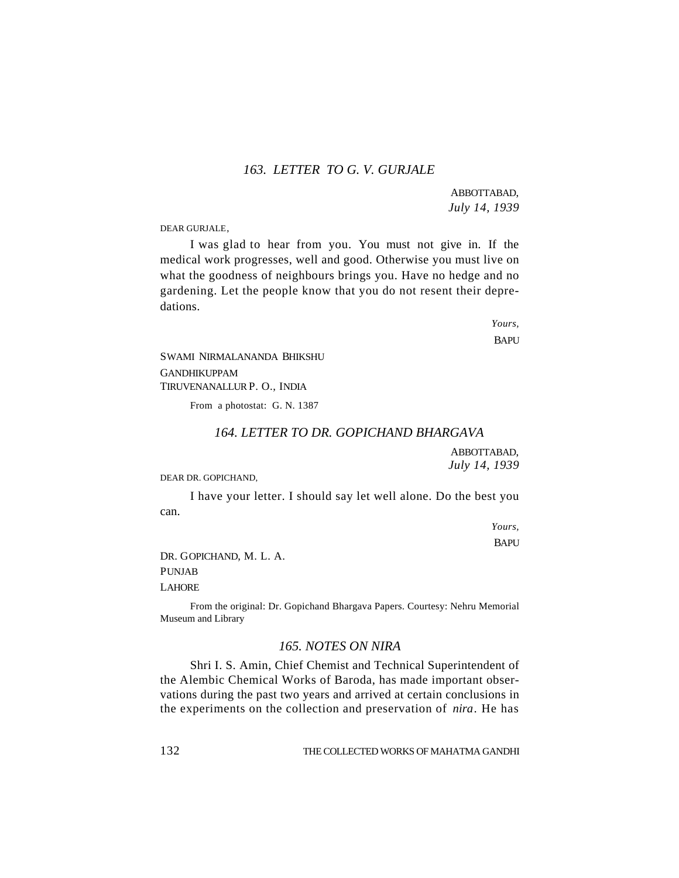### 132 THE COLLECTED WORKS OF MAHATMA GANDHI

## *163. LETTER TO G. V. GURJALE*

ABBOTTABAD, *July 14, 1939*

DEAR GURJALE,

I was glad to hear from you. You must not give in. If the medical work progresses, well and good. Otherwise you must live on what the goodness of neighbours brings you. Have no hedge and no gardening. Let the people know that you do not resent their depredations.

> *Yours,* **BAPU**

SWAMI NIRMALANANDA BHIKSHU GANDHIKUPPAM TIRUVENANALLUR P. O., INDIA

From a photostat: G. N. 1387

### *164. LETTER TO DR. GOPICHAND BHARGAVA*

ABBOTTABAD, *July 14, 1939*

DEAR DR. GOPICHAND,

I have your letter. I should say let well alone. Do the best you can.

> *Yours,* **BAPU**

DR. GOPICHAND, M. L. A. PUNJAB LAHORE

From the original: Dr. Gopichand Bhargava Papers. Courtesy: Nehru Memorial Museum and Library

### *165. NOTES ON NIRA*

Shri I. S. Amin, Chief Chemist and Technical Superintendent of the Alembic Chemical Works of Baroda, has made important observations during the past two years and arrived at certain conclusions in the experiments on the collection and preservation of *nira*. He has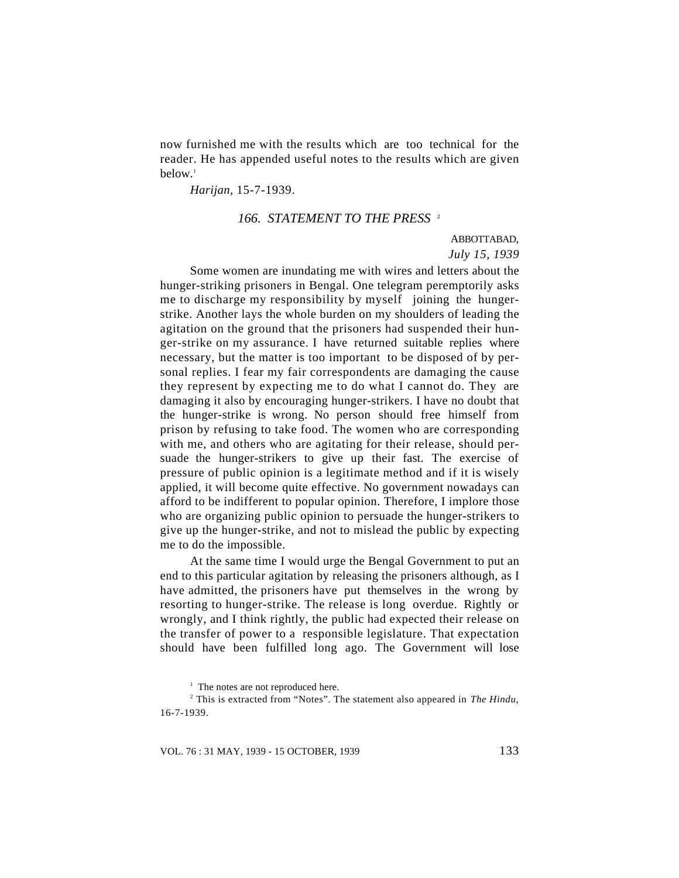now furnished me with the results which are too technical for the reader. He has appended useful notes to the results which are given  $helow<sup>1</sup>$ 

*Harijan,* 15-7-1939.

### *166. STATEMENT TO THE PRESS* <sup>2</sup>

ABBOTTABAD, *July 15, 1939*

Some women are inundating me with wires and letters about the hunger-striking prisoners in Bengal. One telegram peremptorily asks me to discharge my responsibility by myself joining the hungerstrike. Another lays the whole burden on my shoulders of leading the agitation on the ground that the prisoners had suspended their hunger-strike on my assurance. I have returned suitable replies where necessary, but the matter is too important to be disposed of by personal replies. I fear my fair correspondents are damaging the cause they represent by expecting me to do what I cannot do. They are damaging it also by encouraging hunger-strikers. I have no doubt that the hunger-strike is wrong. No person should free himself from prison by refusing to take food. The women who are corresponding with me, and others who are agitating for their release, should persuade the hunger-strikers to give up their fast. The exercise of pressure of public opinion is a legitimate method and if it is wisely applied, it will become quite effective. No government nowadays can afford to be indifferent to popular opinion. Therefore, I implore those who are organizing public opinion to persuade the hunger-strikers to give up the hunger-strike, and not to mislead the public by expecting me to do the impossible.

At the same time I would urge the Bengal Government to put an end to this particular agitation by releasing the prisoners although, as I have admitted, the prisoners have put themselves in the wrong by resorting to hunger-strike. The release is long overdue. Rightly or wrongly, and I think rightly, the public had expected their release on the transfer of power to a responsible legislature. That expectation should have been fulfilled long ago. The Government will lose

 $<sup>1</sup>$  The notes are not reproduced here.</sup>

<sup>&</sup>lt;sup>2</sup> This is extracted from "Notes". The statement also appeared in *The Hindu*, 16-7-1939.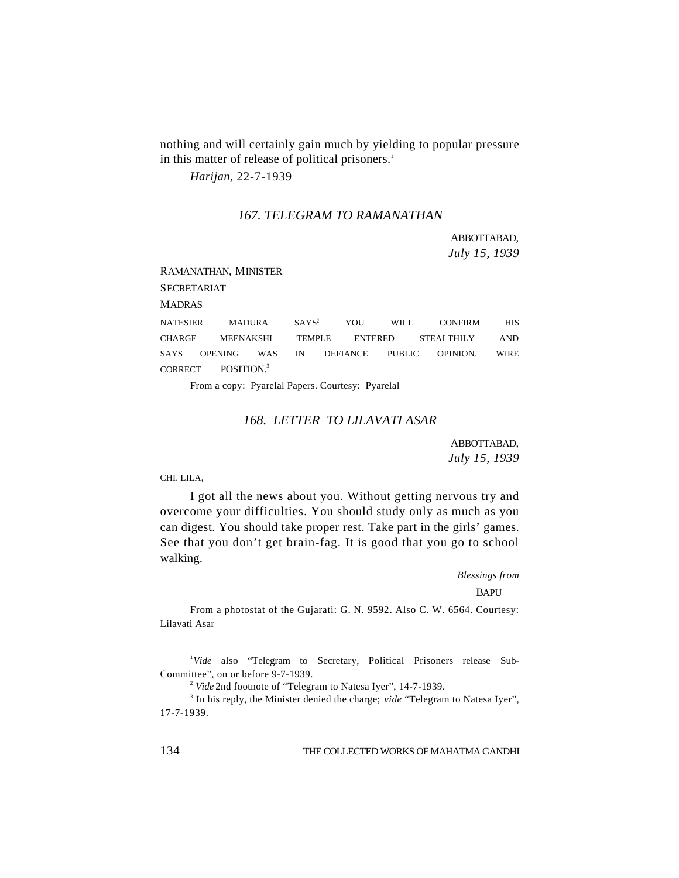nothing and will certainly gain much by yielding to popular pressure in this matter of release of political prisoners.<sup>1</sup>

*Harijan,* 22-7-1939

### *167. TELEGRAM TO RAMANATHAN*

ABBOTTABAD, *July 15, 1939*

#### RAMANATHAN, MINISTER

SECRETARIAT

MADRAS

 $NATESIER$   $MADURA$   $SAYS<sup>2</sup>$   $YOU$   $WILL$   $CONFIRM$   $HIS$ CHARGE MEENAKSHI TEMPLE ENTERED STEALTHILY AND SAYS OPENING WAS IN DEFIANCE PUBLIC OPINION. WIRE CORRECT POSITION.<sup>3</sup>

From a copy: Pyarelal Papers. Courtesy: Pyarelal

### *168. LETTER TO LILAVATI ASAR*

ABBOTTABAD, *July 15, 1939*

CHI. LILA,

I got all the news about you. Without getting nervous try and overcome your difficulties. You should study only as much as you can digest. You should take proper rest. Take part in the girls' games. See that you don't get brain-fag. It is good that you go to school walking.

*Blessings from*

**BAPU** 

From a photostat of the Gujarati: G. N. 9592. Also C. W. 6564. Courtesy: Lilavati Asar

<sup>1</sup>Vide also "Telegram to Secretary, Political Prisoners release Sub-Committee", on or before 9-7-1939.

<sup>2</sup> *Vide* 2nd footnote of "Telegram to Natesa Iyer", 14-7-1939.

<sup>3</sup> In his reply, the Minister denied the charge; *vide* "Telegram to Natesa Iyer", 17-7-1939.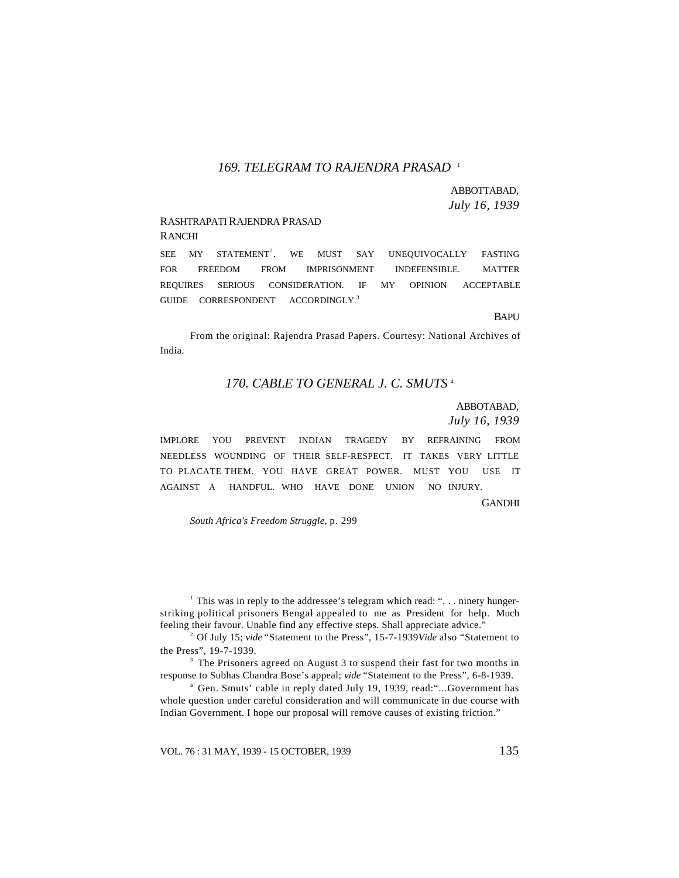### *169. TELEGRAM TO RAJENDRA PRASAD* <sup>1</sup>

ABBOTTABAD,  *July 16, 1939*

### RASHTRAPATI RAJENDRA PRASAD RANCHI

SEE MY STATEMENT<sup>2</sup>. WE MUST SAY UNEQUIVOCALLY FASTING FOR FREEDOM FROM IMPRISONMENT INDEFENSIBLE. MATTER REQUIRES SERIOUS CONSIDERATION. IF MY OPINION ACCEPTABLE GUIDE CORRESPONDENT ACCORDINGLY.<sup>3</sup>

**BAPU** 

From the original: Rajendra Prasad Papers. Courtesy: National Archives of India.

### *170. CABLE TO GENERAL J. C. SMUTS <sup>4</sup>*

ABBOTABAD, *July 16, 1939*

IMPLORE YOU PREVENT INDIAN TRAGEDY BY REFRAINING FROM NEEDLESS WOUNDING OF THEIR SELF-RESPECT. IT TAKES VERY LITTLE TO PLACATE THEM. YOU HAVE GREAT POWER. MUST YOU USE IT AGAINST A HANDFUL. WHO HAVE DONE UNION NO INJURY.

**GANDHI** 

*South Africa's Freedom Struggle,* p. 299

<sup>1</sup> This was in reply to the addressee's telegram which read: " $\dots$  ninety hungerstriking political prisoners Bengal appealed to me as President for help. Much feeling their favour. Unable find any effective steps. Shall appreciate advice."

<sup>2</sup> Of July 15; *vide* "Statement to the Press", 15-7-1939*Vide* also "Statement to the Press", 19-7-1939.

 $3$  The Prisoners agreed on August 3 to suspend their fast for two months in response to Subhas Chandra Bose's appeal; *vide* "Statement to the Press", 6-8-1939.

<sup>4</sup> Gen. Smuts' cable in reply dated July 19, 1939, read:"...Government has whole question under careful consideration and will communicate in due course with Indian Government. I hope our proposal will remove causes of existing friction."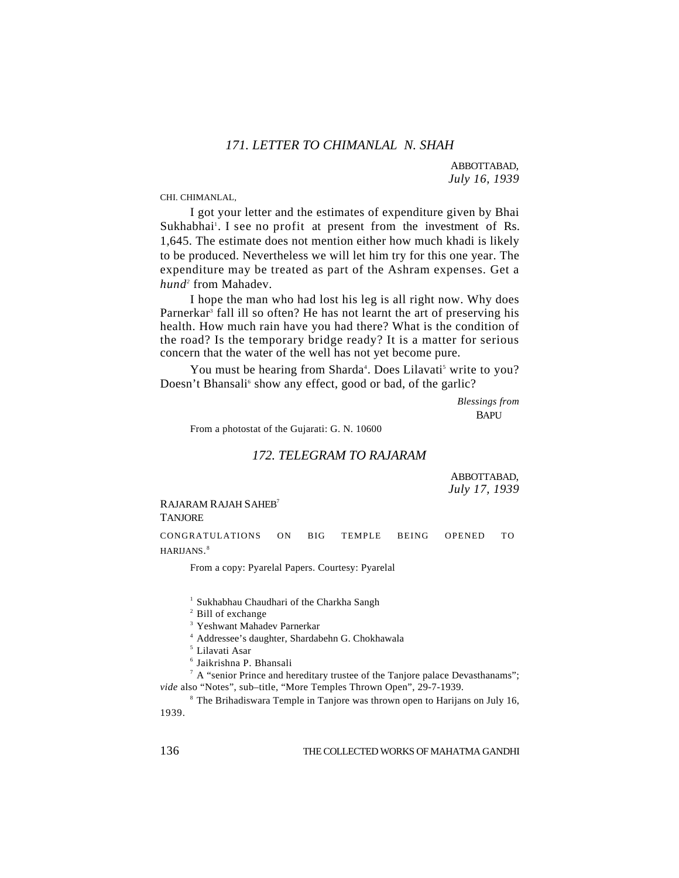## *171. LETTER TO CHIMANLAL N. SHAH*

ABBOTTABAD, *July 16, 1939*

CHI. CHIMANLAL,

I got your letter and the estimates of expenditure given by Bhai Sukhabhai<sup>1</sup>. I see no profit at present from the investment of Rs. 1,645. The estimate does not mention either how much khadi is likely to be produced. Nevertheless we will let him try for this one year. The expenditure may be treated as part of the Ashram expenses. Get a *hund<sup>2</sup>* from Mahadev.

I hope the man who had lost his leg is all right now. Why does Parnerkar<sup>3</sup> fall ill so often? He has not learnt the art of preserving his health. How much rain have you had there? What is the condition of the road? Is the temporary bridge ready? It is a matter for serious concern that the water of the well has not yet become pure.

You must be hearing from Sharda<sup>4</sup>. Does Lilavati<sup>5</sup> write to you? Doesn't Bhansali<sup>6</sup> show any effect, good or bad, of the garlic?

> *Blessings from* **BAPU**

From a photostat of the Gujarati: G. N. 10600

### *172. TELEGRAM TO RAJARAM*

ABBOTTABAD, *July 17, 1939*

### RAJARAM RAJAH SAHEB<sup>7</sup> TANJORE

CONGRATULATIONS ON BIG TEMPLE BEING OPENED TO HARIJANS. 8

From a copy: Pyarelal Papers. Courtesy: Pyarelal

<sup>1</sup> Sukhabhau Chaudhari of the Charkha Sangh

<sup>2</sup> Bill of exchange

<sup>3</sup> Yeshwant Mahadev Parnerkar

<sup>4</sup> Addressee's daughter, Shardabehn G. Chokhawala

<sup>5</sup> Lilavati Asar

6 Jaikrishna P. Bhansali

 $^7$  A "senior Prince and hereditary trustee of the Tanjore palace Devasthanams"; *vide* also "Notes", sub–title, "More Temples Thrown Open", 29-7-1939.

<sup>8</sup> The Brihadiswara Temple in Tanjore was thrown open to Harijans on July 16, 1939.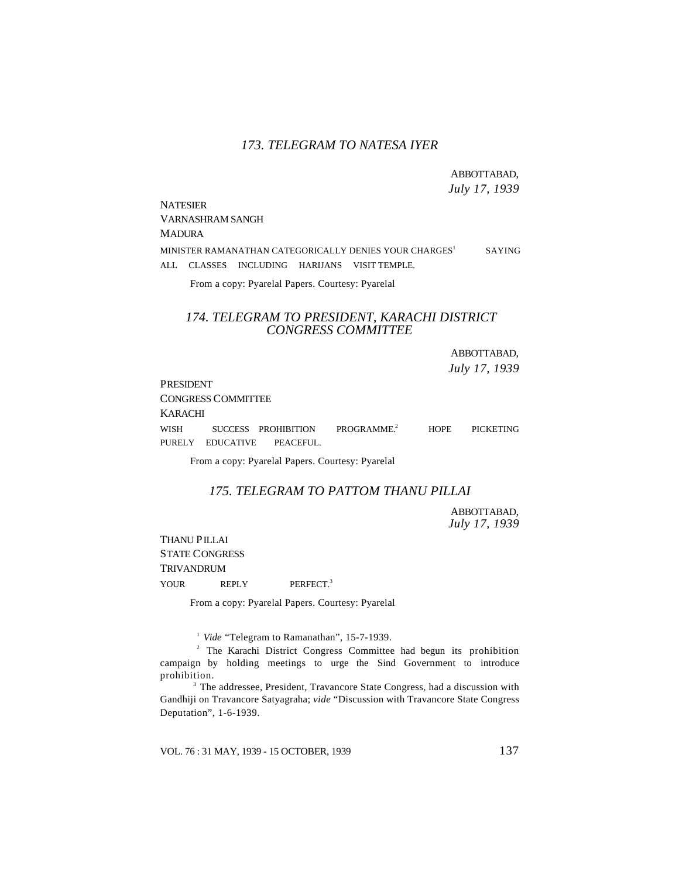### *173. TELEGRAM TO NATESA IYER*

ABBOTTABAD, *July 17, 1939*

**NATESIER** VARNASHRAM SANGH **MADURA** MINISTER RAMANATHAN CATEGORICALLY DENIES YOUR CHARGES<sup>1</sup> SAYING ALL CLASSES INCLUDING HARIJANS VISIT TEMPLE.

From a copy: Pyarelal Papers. Courtesy: Pyarelal

### *174. TELEGRAM TO PRESIDENT, KARACHI DISTRICT CONGRESS COMMITTEE*

ABBOTTABAD, *July 17, 1939*

PRESIDENT CONGRESS COMMITTEE KARACHI WISH SUCCESS PROHIBITION PROGRAMME.<sup>2</sup> HOPE PICKETING PURELY EDUCATIVE PEACEFUL.

From a copy: Pyarelal Papers. Courtesy: Pyarelal

### *175. TELEGRAM TO PATTOM THANU PILLAI*

ABBOTTABAD, *July 17, 1939*

THANU PILLAI STATE CONGRESS **TRIVANDRUM** YOUR REPLY PERFECT.<sup>3</sup>

From a copy: Pyarelal Papers. Courtesy: Pyarelal

<sup>1</sup> *Vide* "Telegram to Ramanathan", 15-7-1939.

<sup>2</sup> The Karachi District Congress Committee had begun its prohibition campaign by holding meetings to urge the Sind Government to introduce prohibition.

<sup>3</sup> The addressee, President, Travancore State Congress, had a discussion with Gandhiji on Travancore Satyagraha; *vide* "Discussion with Travancore State Congress Deputation", 1-6-1939.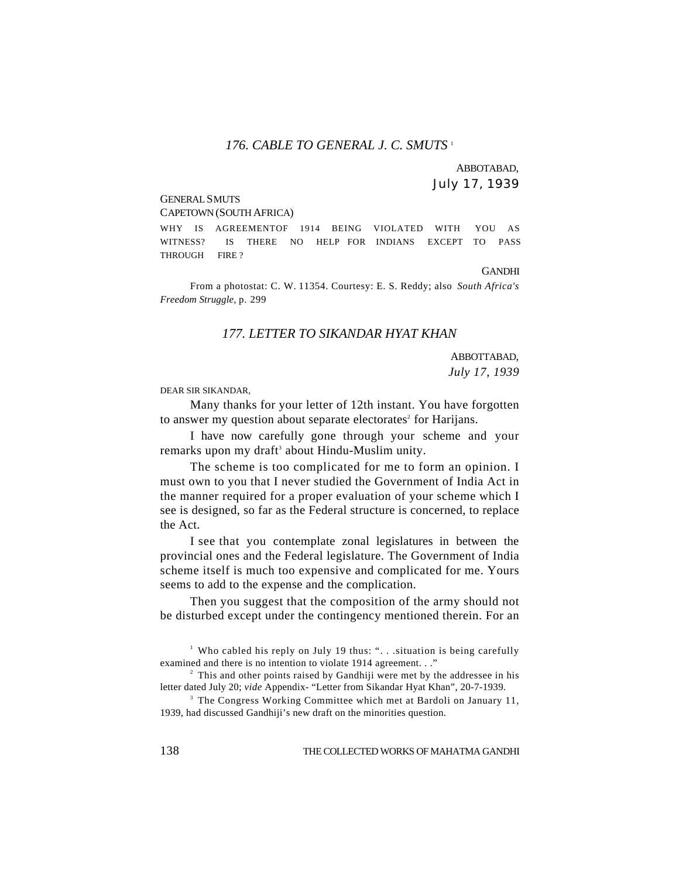### *176. CABLE TO GENERAL J. C. SMUTS* <sup>1</sup>

ABBOTABAD, July 17, 1939

### GENERAL SMUTS

CAPETOWN (SOUTH AFRICA)

WHY IS AGREEMENTOF 1914 BEING VIOLATED WITH YOU AS WITNESS? IS THERE NO HELP FOR INDIANS EXCEPT TO PASS THROUGH FIRE ?

**GANDHI** 

From a photostat: C. W. 11354. Courtesy: E. S. Reddy; also *South Africa's Freedom Struggle,* p. 299

### *177. LETTER TO SIKANDAR HYAT KHAN*

ABBOTTABAD, *July 17, 1939*

DEAR SIR SIKANDAR,

Many thanks for your letter of 12th instant. You have forgotten to answer my question about separate electorates<sup>2</sup> for Harijans.

I have now carefully gone through your scheme and your remarks upon my draft<sup>3</sup> about Hindu-Muslim unity.

The scheme is too complicated for me to form an opinion. I must own to you that I never studied the Government of India Act in the manner required for a proper evaluation of your scheme which I see is designed, so far as the Federal structure is concerned, to replace the Act.

I see that you contemplate zonal legislatures in between the provincial ones and the Federal legislature. The Government of India scheme itself is much too expensive and complicated for me. Yours seems to add to the expense and the complication.

Then you suggest that the composition of the army should not be disturbed except under the contingency mentioned therein. For an

<sup>&</sup>lt;sup>1</sup> Who cabled his reply on July 19 thus: "... situation is being carefully examined and there is no intention to violate 1914 agreement. . ."

 $2$  This and other points raised by Gandhiji were met by the addressee in his letter dated July 20; *vide* Appendix- "Letter from Sikandar Hyat Khan", 20-7-1939.

<sup>&</sup>lt;sup>3</sup> The Congress Working Committee which met at Bardoli on January 11, 1939, had discussed Gandhiji's new draft on the minorities question.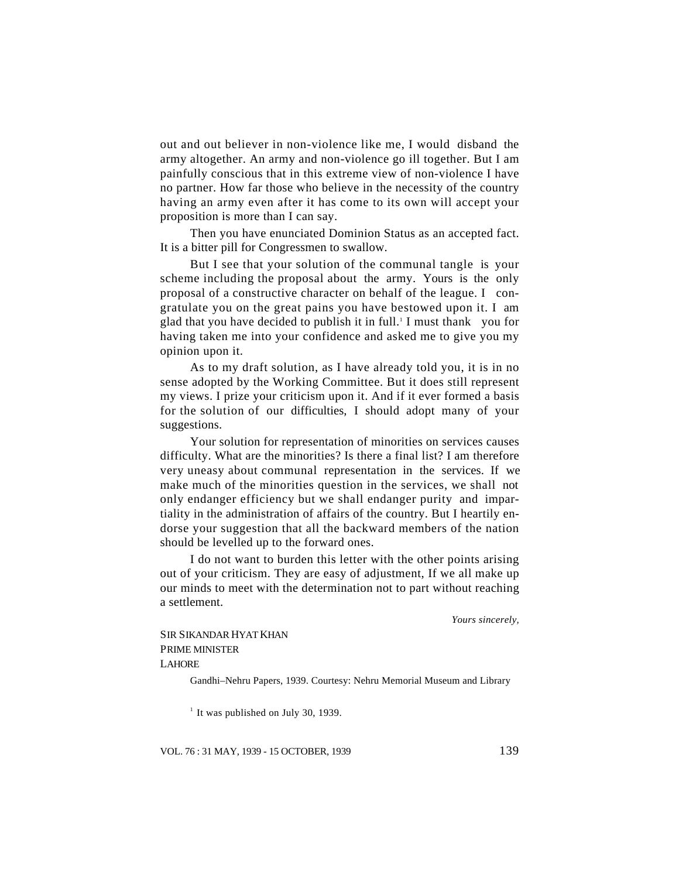out and out believer in non-violence like me, I would disband the army altogether. An army and non-violence go ill together. But I am painfully conscious that in this extreme view of non-violence I have no partner. How far those who believe in the necessity of the country having an army even after it has come to its own will accept your proposition is more than I can say.

Then you have enunciated Dominion Status as an accepted fact. It is a bitter pill for Congressmen to swallow.

But I see that your solution of the communal tangle is your scheme including the proposal about the army. Yours is the only proposal of a constructive character on behalf of the league. I congratulate you on the great pains you have bestowed upon it. I am glad that you have decided to publish it in full.<sup>1</sup> I must thank you for having taken me into your confidence and asked me to give you my opinion upon it.

As to my draft solution, as I have already told you, it is in no sense adopted by the Working Committee. But it does still represent my views. I prize your criticism upon it. And if it ever formed a basis for the solution of our difficulties, I should adopt many of your suggestions.

Your solution for representation of minorities on services causes difficulty. What are the minorities? Is there a final list? I am therefore very uneasy about communal representation in the services. If we make much of the minorities question in the services, we shall not only endanger efficiency but we shall endanger purity and impartiality in the administration of affairs of the country. But I heartily endorse your suggestion that all the backward members of the nation should be levelled up to the forward ones.

I do not want to burden this letter with the other points arising out of your criticism. They are easy of adjustment, If we all make up our minds to meet with the determination not to part without reaching a settlement.

*Yours sincerely,*

## SIR SIKANDAR HYAT KHAN PRIME MINISTER LAHORE

Gandhi–Nehru Papers, 1939. Courtesy: Nehru Memorial Museum and Library

 $<sup>1</sup>$  It was published on July 30, 1939.</sup>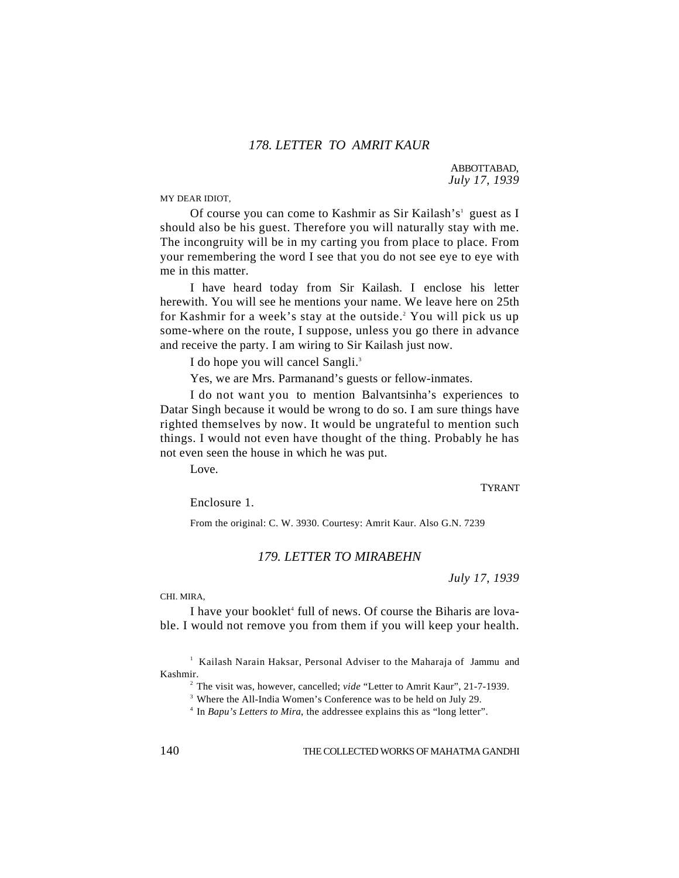## *178. LETTER TO AMRIT KAUR*

ABBOTTABAD, *July 17, 1939*

MY DEAR IDIOT,

Of course you can come to Kashmir as Sir Kailash's<sup>1</sup> guest as I should also be his guest. Therefore you will naturally stay with me. The incongruity will be in my carting you from place to place. From your remembering the word I see that you do not see eye to eye with me in this matter.

I have heard today from Sir Kailash. I enclose his letter herewith. You will see he mentions your name. We leave here on 25th for Kashmir for a week's stay at the outside.<sup>2</sup> You will pick us up some-where on the route, I suppose, unless you go there in advance and receive the party. I am wiring to Sir Kailash just now.

I do hope you will cancel Sangli.<sup>3</sup>

Yes, we are Mrs. Parmanand's guests or fellow-inmates.

I do not want you to mention Balvantsinha's experiences to Datar Singh because it would be wrong to do so. I am sure things have righted themselves by now. It would be ungrateful to mention such things. I would not even have thought of the thing. Probably he has not even seen the house in which he was put.

Love.

TYRANT

Enclosure 1.

From the original: C. W. 3930. Courtesy: Amrit Kaur. Also G.N. 7239

#### *179. LETTER TO MIRABEHN*

*July 17, 1939*

CHI. MIRA,

I have your booklet<sup>4</sup> full of news. Of course the Biharis are lovable. I would not remove you from them if you will keep your health.

<sup>4</sup> In *Bapu's Letters to Mira*, the addressee explains this as "long letter".

<sup>&</sup>lt;sup>1</sup> Kailash Narain Haksar, Personal Adviser to the Maharaja of Jammu and Kashmir.

<sup>2</sup> The visit was, however, cancelled; *vide* "Letter to Amrit Kaur", 21-7-1939.

<sup>&</sup>lt;sup>3</sup> Where the All-India Women's Conference was to be held on July 29.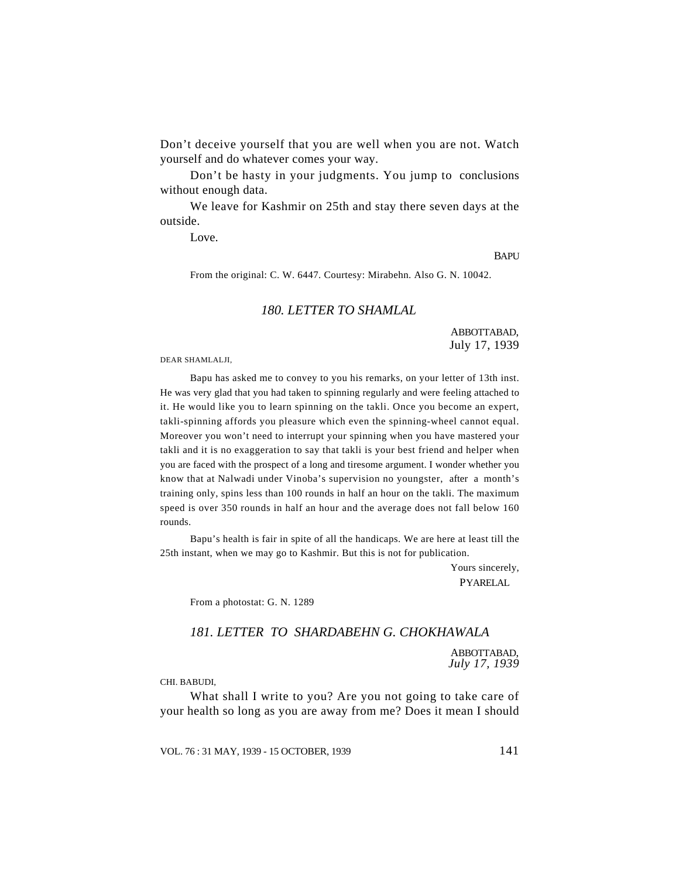Don't deceive yourself that you are well when you are not. Watch yourself and do whatever comes your way.

Don't be hasty in your judgments. You jump to conclusions without enough data.

We leave for Kashmir on 25th and stay there seven days at the outside.

Love.

**BAPU** 

From the original: C. W. 6447. Courtesy: Mirabehn. Also G. N. 10042.

## *180. LETTER TO SHAMLAL*

ABBOTTABAD, July 17, 1939

DEAR SHAMLALJI,

Bapu has asked me to convey to you his remarks, on your letter of 13th inst. He was very glad that you had taken to spinning regularly and were feeling attached to it. He would like you to learn spinning on the takli. Once you become an expert, takli-spinning affords you pleasure which even the spinning-wheel cannot equal. Moreover you won't need to interrupt your spinning when you have mastered your takli and it is no exaggeration to say that takli is your best friend and helper when you are faced with the prospect of a long and tiresome argument. I wonder whether you know that at Nalwadi under Vinoba's supervision no youngster, after a month's training only, spins less than 100 rounds in half an hour on the takli. The maximum speed is over 350 rounds in half an hour and the average does not fall below 160 rounds.

Bapu's health is fair in spite of all the handicaps. We are here at least till the 25th instant, when we may go to Kashmir. But this is not for publication.

> Yours sincerely, PYARELAL

From a photostat: G. N. 1289

### *181. LETTER TO SHARDABEHN G. CHOKHAWALA*

ABBOTTABAD, *July 17, 1939*

CHI. BABUDI,

What shall I write to you? Are you not going to take care of your health so long as you are away from me? Does it mean I should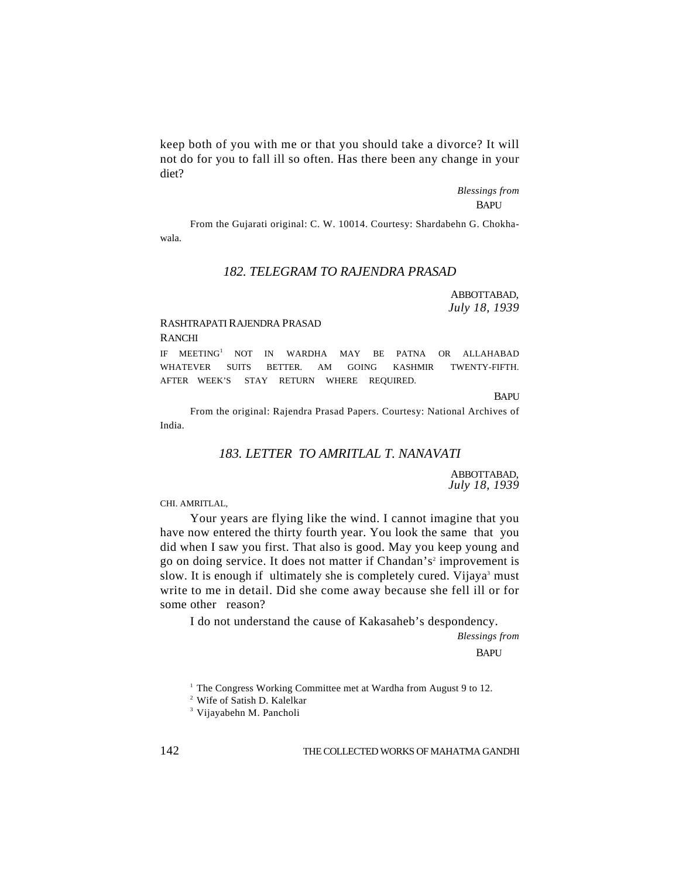keep both of you with me or that you should take a divorce? It will not do for you to fall ill so often. Has there been any change in your diet?

> *Blessings from* **BAPU**

From the Gujarati original: C. W. 10014. Courtesy: Shardabehn G. Chokhawala.

## *182. TELEGRAM TO RAJENDRA PRASAD*

ABBOTTABAD, *July 18, 1939*

#### RASHTRAPATI RAJENDRA PRASAD

RANCHI

IF MEETING<sup>1</sup> NOT IN WARDHA MAY BE PATNA OR ALLAHABAD WHATEVER SUITS BETTER. AM GOING KASHMIR TWENTY-FIFTH. AFTER WEEK'S STAY RETURN WHERE REQUIRED.

**BAPU** 

From the original: Rajendra Prasad Papers. Courtesy: National Archives of India.

# *183. LETTER TO AMRITLAL T. NANAVATI*

ABBOTTABAD, *July 18, 1939*

CHI. AMRITLAL,

Your years are flying like the wind. I cannot imagine that you have now entered the thirty fourth year. You look the same that you did when I saw you first. That also is good. May you keep young and go on doing service. It does not matter if Chandan's<sup>2</sup> improvement is slow. It is enough if ultimately she is completely cured. Vijaya<sup>3</sup> must write to me in detail. Did she come away because she fell ill or for some other reason?

I do not understand the cause of Kakasaheb's despondency.

*Blessings from*

**BAPU** 

 $1$  The Congress Working Committee met at Wardha from August 9 to 12.

<sup>2</sup> Wife of Satish D. Kalelkar

<sup>3</sup> Vijayabehn M. Pancholi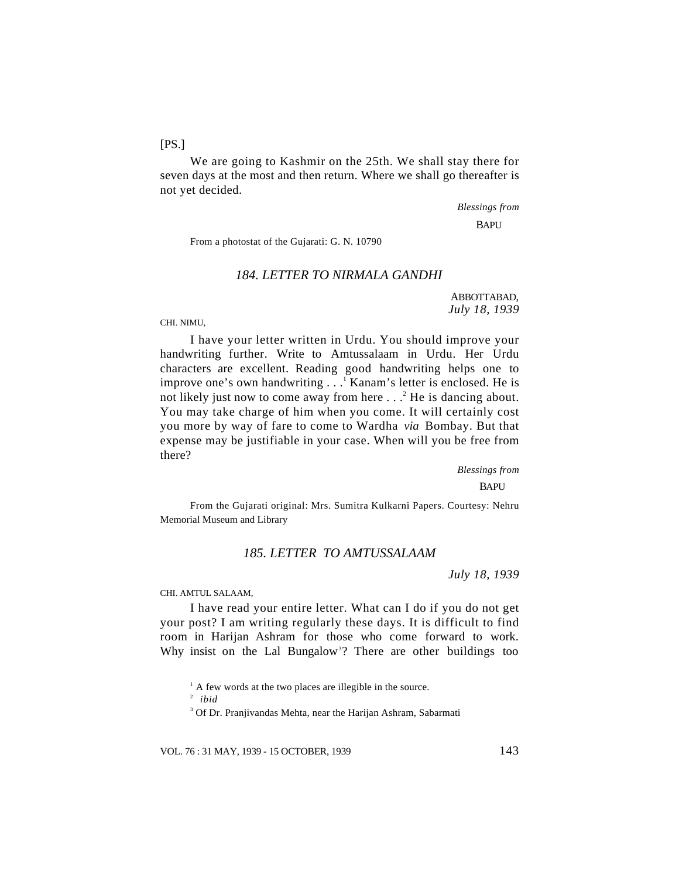$[PS.]$ 

We are going to Kashmir on the 25th. We shall stay there for seven days at the most and then return. Where we shall go thereafter is not yet decided.

*Blessings from*

BAPU

From a photostat of the Gujarati: G. N. 10790

### *184. LETTER TO NIRMALA GANDHI*

ABBOTTABAD, *July 18, 1939*

CHI. NIMU,

I have your letter written in Urdu. You should improve your handwriting further. Write to Amtussalaam in Urdu. Her Urdu characters are excellent. Reading good handwriting helps one to improve one's own handwriting . . .<sup>1</sup> Kanam's letter is enclosed. He is not likely just now to come away from here  $\dots$ <sup>2</sup> He is dancing about. You may take charge of him when you come. It will certainly cost you more by way of fare to come to Wardha *via* Bombay. But that expense may be justifiable in your case. When will you be free from there?

> *Blessings from* **BAPU**

From the Gujarati original: Mrs. Sumitra Kulkarni Papers. Courtesy: Nehru Memorial Museum and Library

### *185. LETTER TO AMTUSSALAAM*

*July 18, 1939*

CHI. AMTUL SALAAM,

I have read your entire letter. What can I do if you do not get your post? I am writing regularly these days. It is difficult to find room in Harijan Ashram for those who come forward to work. Why insist on the Lal Bungalow<sup>3</sup>? There are other buildings too

<sup>1</sup> A few words at the two places are illegible in the source.

2 *ibid*

<sup>3</sup> Of Dr. Pranjivandas Mehta, near the Harijan Ashram, Sabarmati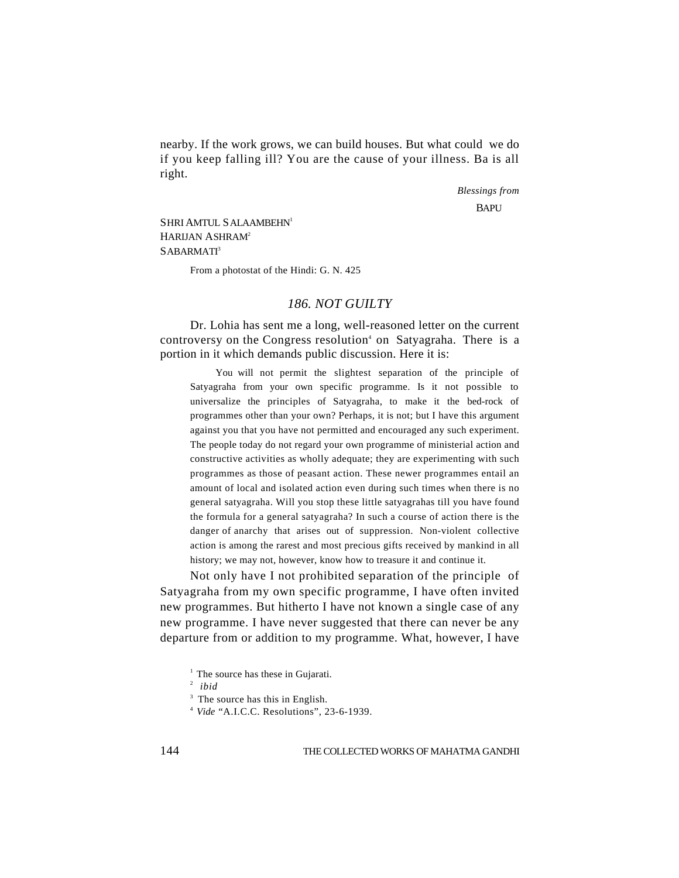nearby. If the work grows, we can build houses. But what could we do if you keep falling ill? You are the cause of your illness. Ba is all right.

*Blessings from*

BAPU

# SHRI AMTUL SALAAMBEHN<sup>1</sup> HARIJAN ASHRAM<sup>2</sup> SABARMATI<sup>3</sup>

From a photostat of the Hindi: G. N. 425

# *186. NOT GUILTY*

Dr. Lohia has sent me a long, well-reasoned letter on the current controversy on the Congress resolution<sup>4</sup> on Satyagraha. There is a portion in it which demands public discussion. Here it is:

You will not permit the slightest separation of the principle of Satyagraha from your own specific programme. Is it not possible to universalize the principles of Satyagraha, to make it the bed-rock of programmes other than your own? Perhaps, it is not; but I have this argument against you that you have not permitted and encouraged any such experiment. The people today do not regard your own programme of ministerial action and constructive activities as wholly adequate; they are experimenting with such programmes as those of peasant action. These newer programmes entail an amount of local and isolated action even during such times when there is no general satyagraha. Will you stop these little satyagrahas till you have found the formula for a general satyagraha? In such a course of action there is the danger of anarchy that arises out of suppression. Non-violent collective action is among the rarest and most precious gifts received by mankind in all history; we may not, however, know how to treasure it and continue it.

Not only have I not prohibited separation of the principle of Satyagraha from my own specific programme, I have often invited new programmes. But hitherto I have not known a single case of any new programme. I have never suggested that there can never be any departure from or addition to my programme. What, however, I have

 $<sup>1</sup>$  The source has these in Gujarati.</sup>

<sup>2</sup> *ibid*

<sup>&</sup>lt;sup>3</sup> The source has this in English.

<sup>4</sup> *Vide* "A.I.C.C. Resolutions", 23-6-1939.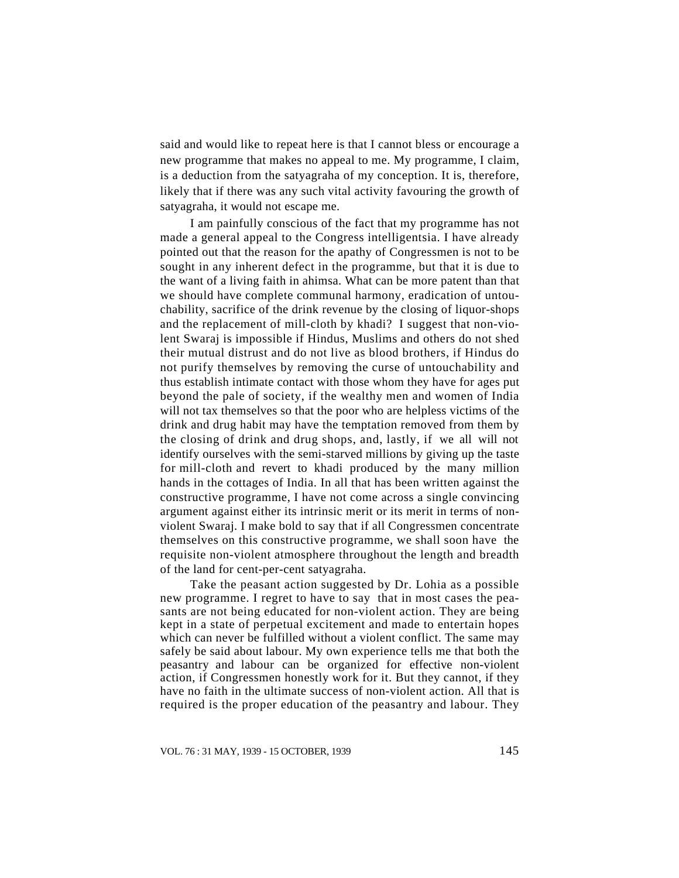said and would like to repeat here is that I cannot bless or encourage a new programme that makes no appeal to me. My programme, I claim, is a deduction from the satyagraha of my conception. It is, therefore, likely that if there was any such vital activity favouring the growth of satyagraha, it would not escape me.

I am painfully conscious of the fact that my programme has not made a general appeal to the Congress intelligentsia. I have already pointed out that the reason for the apathy of Congressmen is not to be sought in any inherent defect in the programme, but that it is due to the want of a living faith in ahimsa. What can be more patent than that we should have complete communal harmony, eradication of untouchability, sacrifice of the drink revenue by the closing of liquor-shops and the replacement of mill-cloth by khadi? I suggest that non-violent Swaraj is impossible if Hindus, Muslims and others do not shed their mutual distrust and do not live as blood brothers, if Hindus do not purify themselves by removing the curse of untouchability and thus establish intimate contact with those whom they have for ages put beyond the pale of society, if the wealthy men and women of India will not tax themselves so that the poor who are helpless victims of the drink and drug habit may have the temptation removed from them by the closing of drink and drug shops, and, lastly, if we all will not identify ourselves with the semi-starved millions by giving up the taste for mill-cloth and revert to khadi produced by the many million hands in the cottages of India. In all that has been written against the constructive programme, I have not come across a single convincing argument against either its intrinsic merit or its merit in terms of nonviolent Swaraj. I make bold to say that if all Congressmen concentrate themselves on this constructive programme, we shall soon have the requisite non-violent atmosphere throughout the length and breadth of the land for cent-per-cent satyagraha.

Take the peasant action suggested by Dr. Lohia as a possible new programme. I regret to have to say that in most cases the peasants are not being educated for non-violent action. They are being kept in a state of perpetual excitement and made to entertain hopes which can never be fulfilled without a violent conflict. The same may safely be said about labour. My own experience tells me that both the peasantry and labour can be organized for effective non-violent action, if Congressmen honestly work for it. But they cannot, if they have no faith in the ultimate success of non-violent action. All that is required is the proper education of the peasantry and labour. They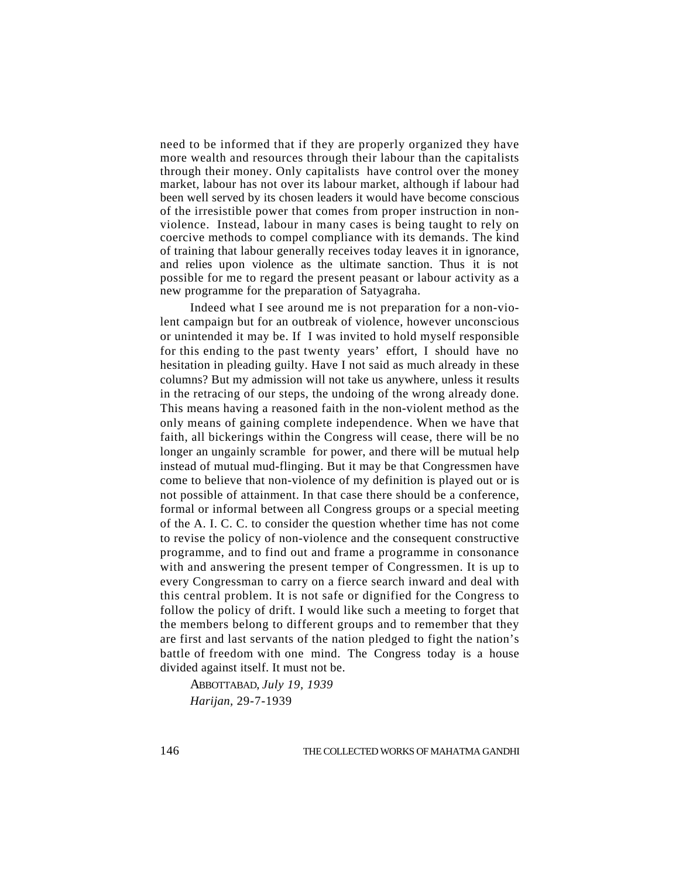need to be informed that if they are properly organized they have more wealth and resources through their labour than the capitalists through their money. Only capitalists have control over the money market, labour has not over its labour market, although if labour had been well served by its chosen leaders it would have become conscious of the irresistible power that comes from proper instruction in nonviolence. Instead, labour in many cases is being taught to rely on coercive methods to compel compliance with its demands. The kind of training that labour generally receives today leaves it in ignorance, and relies upon violence as the ultimate sanction. Thus it is not possible for me to regard the present peasant or labour activity as a new programme for the preparation of Satyagraha.

Indeed what I see around me is not preparation for a non-violent campaign but for an outbreak of violence, however unconscious or unintended it may be. If I was invited to hold myself responsible for this ending to the past twenty years' effort, I should have no hesitation in pleading guilty. Have I not said as much already in these columns? But my admission will not take us anywhere, unless it results in the retracing of our steps, the undoing of the wrong already done. This means having a reasoned faith in the non-violent method as the only means of gaining complete independence. When we have that faith, all bickerings within the Congress will cease, there will be no longer an ungainly scramble for power, and there will be mutual help instead of mutual mud-flinging. But it may be that Congressmen have come to believe that non-violence of my definition is played out or is not possible of attainment. In that case there should be a conference, formal or informal between all Congress groups or a special meeting of the A. I. C. C. to consider the question whether time has not come to revise the policy of non-violence and the consequent constructive programme, and to find out and frame a programme in consonance with and answering the present temper of Congressmen. It is up to every Congressman to carry on a fierce search inward and deal with this central problem. It is not safe or dignified for the Congress to follow the policy of drift. I would like such a meeting to forget that the members belong to different groups and to remember that they are first and last servants of the nation pledged to fight the nation's battle of freedom with one mind. The Congress today is a house divided against itself. It must not be.

ABBOTTABAD, *July 19, 1939 Harijan,* 29-7-1939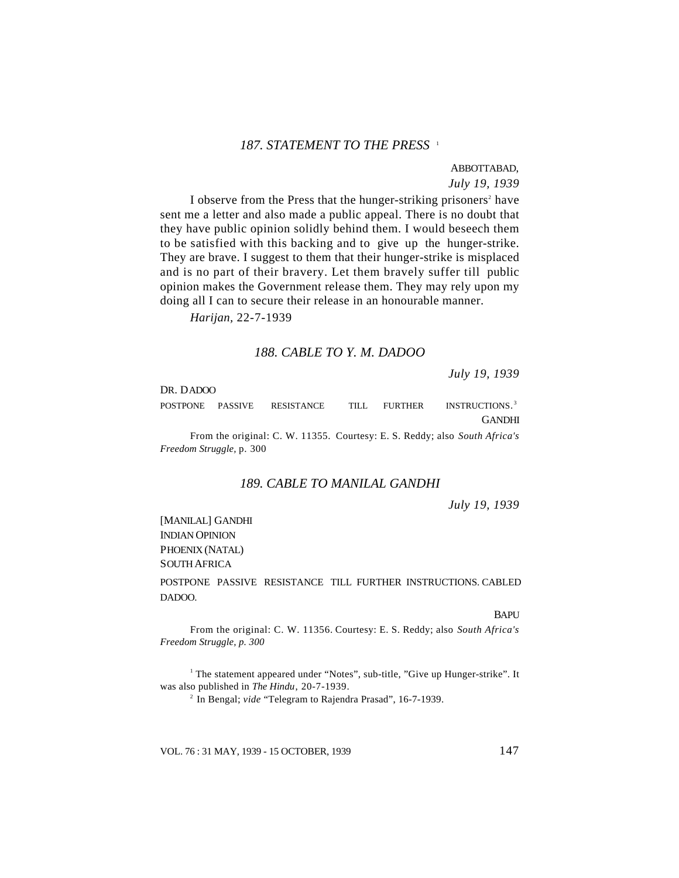## *187. STATEMENT TO THE PRESS* <sup>1</sup>

ABBOTTABAD, *July 19, 1939*

I observe from the Press that the hunger-striking prisoners<sup>2</sup> have sent me a letter and also made a public appeal. There is no doubt that they have public opinion solidly behind them. I would beseech them to be satisfied with this backing and to give up the hunger-strike. They are brave. I suggest to them that their hunger-strike is misplaced and is no part of their bravery. Let them bravely suffer till public opinion makes the Government release them. They may rely upon my doing all I can to secure their release in an honourable manner.

*Harijan,* 22-7-1939

### *188. CABLE TO Y. M. DADOO*

*July 19, 1939*

DR. DADOO

POSTPONE PASSIVE RESISTANCE TILL FURTHER **INSTRUCTIONS**.<sup>3</sup> **GANDHI** 

From the original: C. W. 11355. Courtesy: E. S. Reddy; also *South Africa's Freedom Struggle,* p. 300

### *189. CABLE TO MANILAL GANDHI*

*July 19, 1939*

[MANILAL] GANDHI INDIAN OPINION PHOENIX (NATAL) SOUTH AFRICA POSTPONE PASSIVE RESISTANCE TILL FURTHER INSTRUCTIONS. CABLED DADOO.

BAPU

From the original: C. W. 11356. Courtesy: E. S. Reddy; also *South Africa's Freedom Struggle, p. 300*

<sup>1</sup> The statement appeared under "Notes", sub-title, "Give up Hunger-strike". It was also published in *The Hindu*, 20-7-1939.

<sup>2</sup> In Bengal; *vide* "Telegram to Rajendra Prasad", 16-7-1939.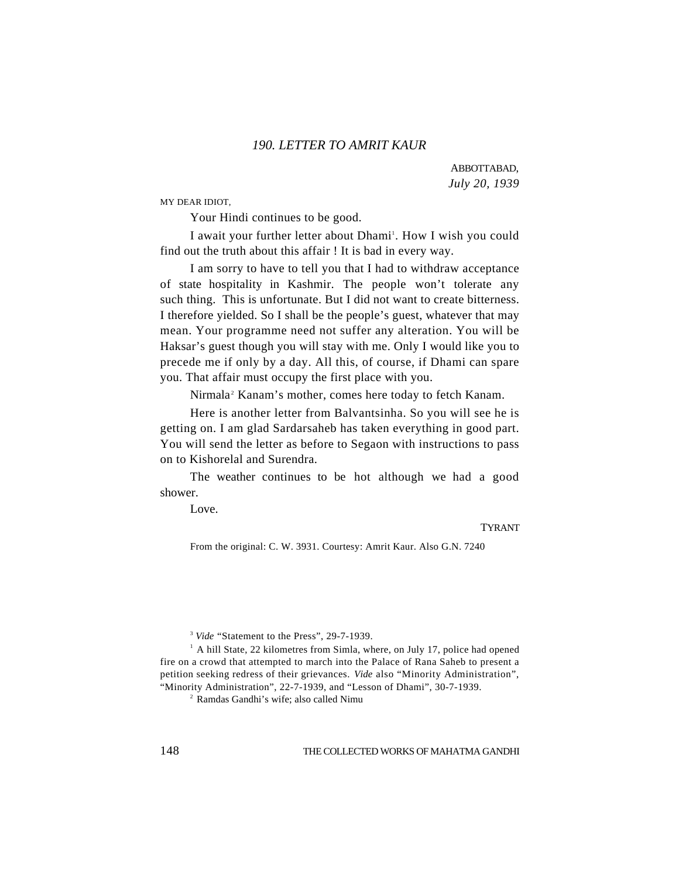# *190. LETTER TO AMRIT KAUR*

ABBOTTABAD, *July 20, 1939*

MY DEAR IDIOT,

Your Hindi continues to be good.

I await your further letter about Dhami'. How I wish you could find out the truth about this affair ! It is bad in every way.

I am sorry to have to tell you that I had to withdraw acceptance of state hospitality in Kashmir. The people won't tolerate any such thing. This is unfortunate. But I did not want to create bitterness. I therefore yielded. So I shall be the people's guest, whatever that may mean. Your programme need not suffer any alteration. You will be Haksar's guest though you will stay with me. Only I would like you to precede me if only by a day. All this, of course, if Dhami can spare you. That affair must occupy the first place with you.

Nirmala<sup>2</sup> Kanam's mother, comes here today to fetch Kanam.

Here is another letter from Balvantsinha. So you will see he is getting on. I am glad Sardarsaheb has taken everything in good part. You will send the letter as before to Segaon with instructions to pass on to Kishorelal and Surendra.

The weather continues to be hot although we had a good shower.

 $\overline{L}$  ove.

TYRANT

From the original: C. W. 3931. Courtesy: Amrit Kaur. Also G.N. 7240

<sup>3</sup> *Vide* "Statement to the Press", 29-7-1939.

 $<sup>1</sup>$  A hill State, 22 kilometres from Simla, where, on July 17, police had opened</sup> fire on a crowd that attempted to march into the Palace of Rana Saheb to present a petition seeking redress of their grievances. *Vide* also "Minority Administration", "Minority Administration", 22-7-1939, and "Lesson of Dhami", 30-7-1939.

<sup>2</sup> Ramdas Gandhi's wife; also called Nimu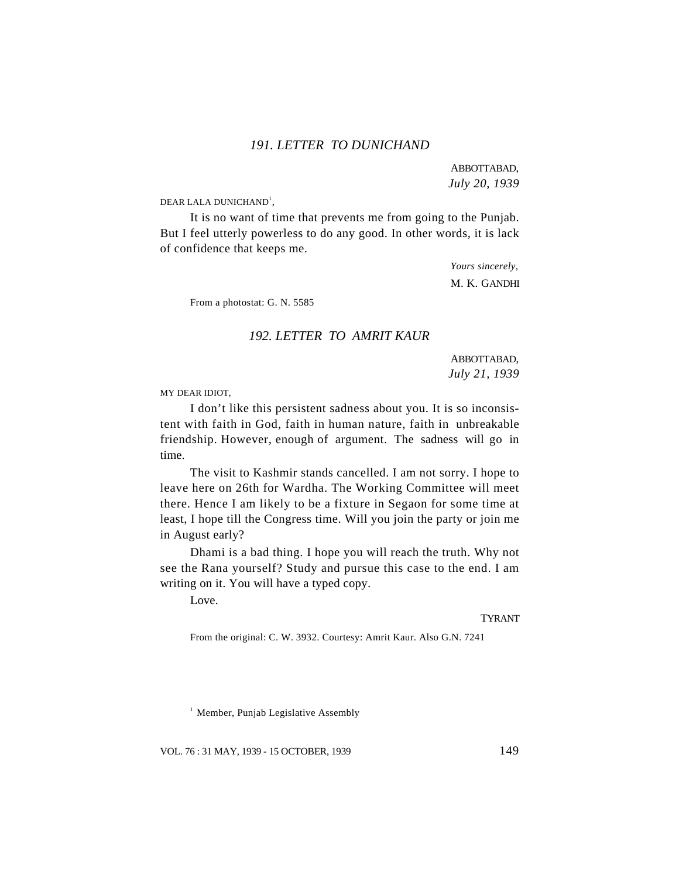## *191. LETTER TO DUNICHAND*

ABBOTTABAD, *July 20, 1939*

 $DEAR$  LALA DUNICHAND<sup>1</sup>,

It is no want of time that prevents me from going to the Punjab. But I feel utterly powerless to do any good. In other words, it is lack of confidence that keeps me.

> *Yours sincerely,* M. K. GANDHI

From a photostat: G. N. 5585

# *192. LETTER TO AMRIT KAUR*

ABBOTTABAD, *July 21, 1939*

MY DEAR IDIOT,

I don't like this persistent sadness about you. It is so inconsistent with faith in God, faith in human nature, faith in unbreakable friendship. However, enough of argument. The sadness will go in time.

 The visit to Kashmir stands cancelled. I am not sorry. I hope to leave here on 26th for Wardha. The Working Committee will meet there. Hence I am likely to be a fixture in Segaon for some time at least, I hope till the Congress time. Will you join the party or join me in August early?

Dhami is a bad thing. I hope you will reach the truth. Why not see the Rana yourself? Study and pursue this case to the end. I am writing on it. You will have a typed copy.

Love.

TYRANT

From the original: C. W. 3932. Courtesy: Amrit Kaur. Also G.N. 7241

 $<sup>1</sup>$  Member, Punjab Legislative Assembly</sup>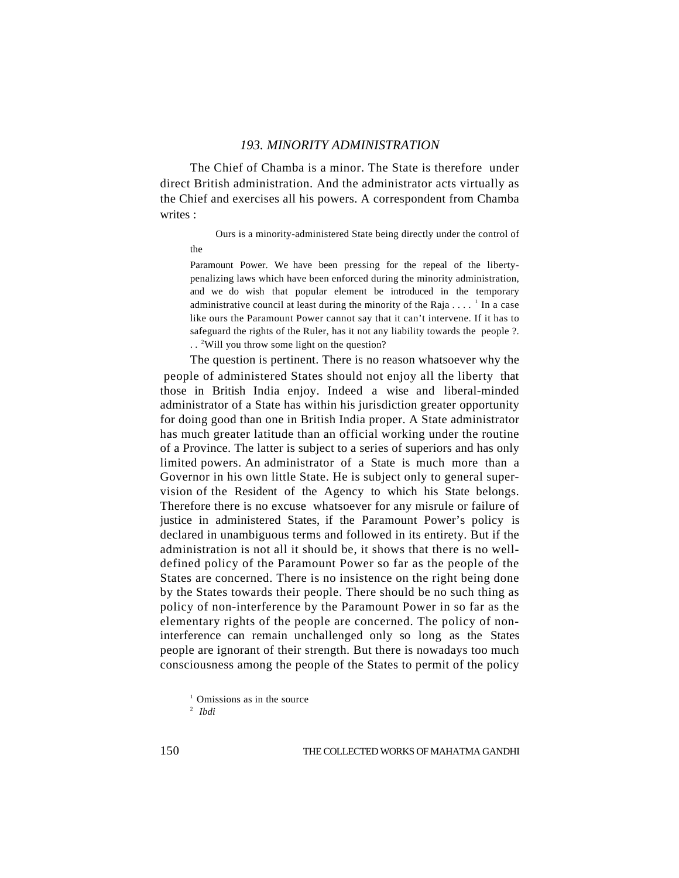# *193. MINORITY ADMINISTRATION*

The Chief of Chamba is a minor. The State is therefore under direct British administration. And the administrator acts virtually as the Chief and exercises all his powers. A correspondent from Chamba writes :

Ours is a minority-administered State being directly under the control of

Paramount Power. We have been pressing for the repeal of the libertypenalizing laws which have been enforced during the minority administration, and we do wish that popular element be introduced in the temporary administrative council at least during the minority of the Raja  $\dots$ . <sup>1</sup> In a case like ours the Paramount Power cannot say that it can't intervene. If it has to safeguard the rights of the Ruler, has it not any liability towards the people ?. . . <sup>2</sup>Will you throw some light on the question?

The question is pertinent. There is no reason whatsoever why the people of administered States should not enjoy all the liberty that those in British India enjoy. Indeed a wise and liberal-minded administrator of a State has within his jurisdiction greater opportunity for doing good than one in British India proper. A State administrator has much greater latitude than an official working under the routine of a Province. The latter is subject to a series of superiors and has only limited powers. An administrator of a State is much more than a Governor in his own little State. He is subject only to general supervision of the Resident of the Agency to which his State belongs. Therefore there is no excuse whatsoever for any misrule or failure of justice in administered States, if the Paramount Power's policy is declared in unambiguous terms and followed in its entirety. But if the administration is not all it should be, it shows that there is no welldefined policy of the Paramount Power so far as the people of the States are concerned. There is no insistence on the right being done by the States towards their people. There should be no such thing as policy of non-interference by the Paramount Power in so far as the elementary rights of the people are concerned. The policy of noninterference can remain unchallenged only so long as the States people are ignorant of their strength. But there is nowadays too much consciousness among the people of the States to permit of the policy

2  *Ibdi*

the

 $1$  Omissions as in the source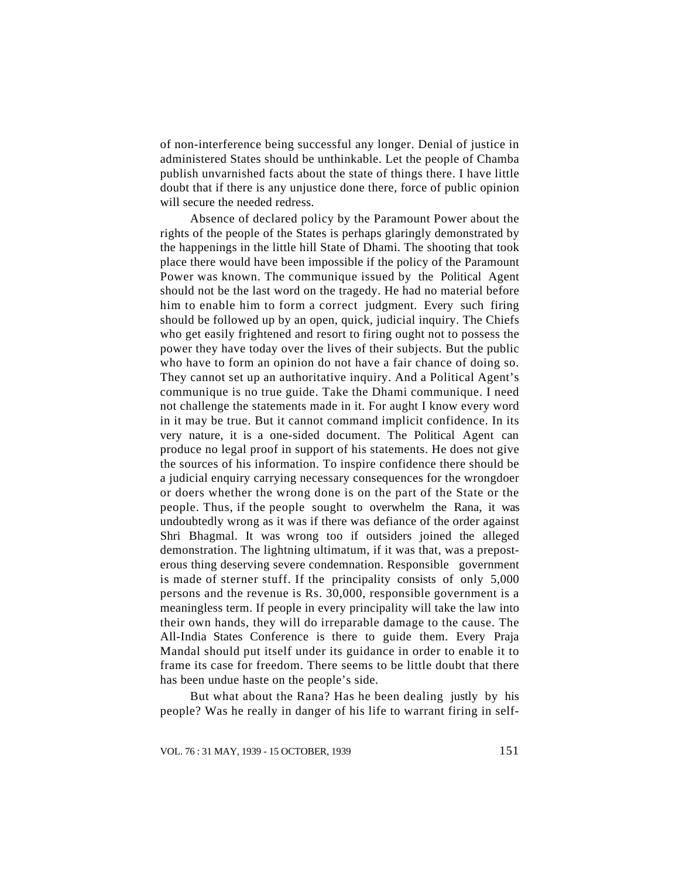of non-interference being successful any longer. Denial of justice in administered States should be unthinkable. Let the people of Chamba publish unvarnished facts about the state of things there. I have little doubt that if there is any unjustice done there, force of public opinion will secure the needed redress.

Absence of declared policy by the Paramount Power about the rights of the people of the States is perhaps glaringly demonstrated by the happenings in the little hill State of Dhami. The shooting that took place there would have been impossible if the policy of the Paramount Power was known. The communique issued by the Political Agent should not be the last word on the tragedy. He had no material before him to enable him to form a correct judgment. Every such firing should be followed up by an open, quick, judicial inquiry. The Chiefs who get easily frightened and resort to firing ought not to possess the power they have today over the lives of their subjects. But the public who have to form an opinion do not have a fair chance of doing so. They cannot set up an authoritative inquiry. And a Political Agent's communique is no true guide. Take the Dhami communique. I need not challenge the statements made in it. For aught I know every word in it may be true. But it cannot command implicit confidence. In its very nature, it is a one-sided document. The Political Agent can produce no legal proof in support of his statements. He does not give the sources of his information. To inspire confidence there should be a judicial enquiry carrying necessary consequences for the wrongdoer or doers whether the wrong done is on the part of the State or the people. Thus, if the people sought to overwhelm the Rana, it was undoubtedly wrong as it was if there was defiance of the order against Shri Bhagmal. It was wrong too if outsiders joined the alleged demonstration. The lightning ultimatum, if it was that, was a preposterous thing deserving severe condemnation. Responsible government is made of sterner stuff. If the principality consists of only 5,000 persons and the revenue is Rs. 30,000, responsible government is a meaningless term. If people in every principality will take the law into their own hands, they will do irreparable damage to the cause. The All-India States Conference is there to guide them. Every Praja Mandal should put itself under its guidance in order to enable it to frame its case for freedom. There seems to be little doubt that there has been undue haste on the people's side.

But what about the Rana? Has he been dealing justly by his people? Was he really in danger of his life to warrant firing in self-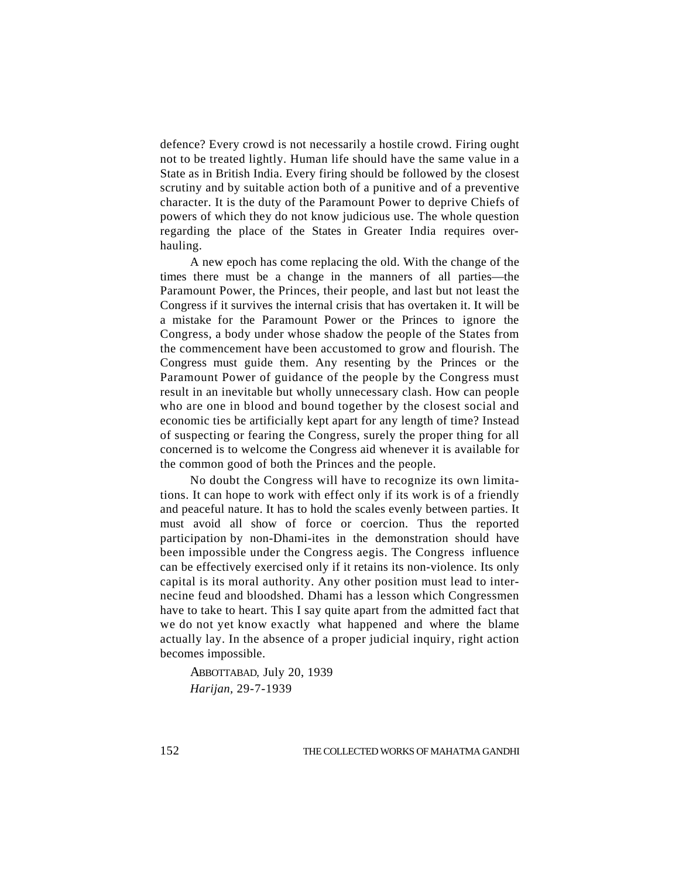defence? Every crowd is not necessarily a hostile crowd. Firing ought not to be treated lightly. Human life should have the same value in a State as in British India. Every firing should be followed by the closest scrutiny and by suitable action both of a punitive and of a preventive character. It is the duty of the Paramount Power to deprive Chiefs of powers of which they do not know judicious use. The whole question regarding the place of the States in Greater India requires overhauling.

A new epoch has come replacing the old. With the change of the times there must be a change in the manners of all parties—the Paramount Power, the Princes, their people, and last but not least the Congress if it survives the internal crisis that has overtaken it. It will be a mistake for the Paramount Power or the Princes to ignore the Congress, a body under whose shadow the people of the States from the commencement have been accustomed to grow and flourish. The Congress must guide them. Any resenting by the Princes or the Paramount Power of guidance of the people by the Congress must result in an inevitable but wholly unnecessary clash. How can people who are one in blood and bound together by the closest social and economic ties be artificially kept apart for any length of time? Instead of suspecting or fearing the Congress, surely the proper thing for all concerned is to welcome the Congress aid whenever it is available for the common good of both the Princes and the people.

No doubt the Congress will have to recognize its own limitations. It can hope to work with effect only if its work is of a friendly and peaceful nature. It has to hold the scales evenly between parties. It must avoid all show of force or coercion. Thus the reported participation by non-Dhami-ites in the demonstration should have been impossible under the Congress aegis. The Congress influence can be effectively exercised only if it retains its non-violence. Its only capital is its moral authority. Any other position must lead to internecine feud and bloodshed. Dhami has a lesson which Congressmen have to take to heart. This I say quite apart from the admitted fact that we do not yet know exactly what happened and where the blame actually lay. In the absence of a proper judicial inquiry, right action becomes impossible.

ABBOTTABAD, July 20, 1939 *Harijan,* 29-7-1939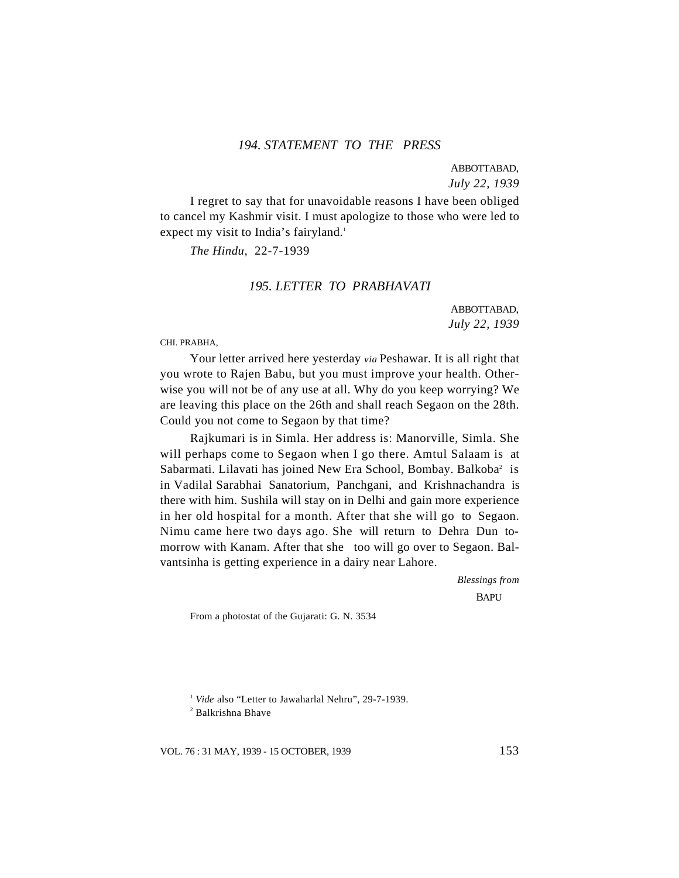### *194. STATEMENT TO THE PRESS*

ABBOTTABAD, *July 22, 1939*

I regret to say that for unavoidable reasons I have been obliged to cancel my Kashmir visit. I must apologize to those who were led to expect my visit to India's fairyland.<sup>1</sup>

*The Hindu,* 22-7-1939

## *195. LETTER TO PRABHAVATI*

ABBOTTABAD, *July 22, 1939*

#### CHI. PRABHA,

Your letter arrived here yesterday *via* Peshawar. It is all right that you wrote to Rajen Babu, but you must improve your health. Otherwise you will not be of any use at all. Why do you keep worrying? We are leaving this place on the 26th and shall reach Segaon on the 28th. Could you not come to Segaon by that time?

Rajkumari is in Simla. Her address is: Manorville, Simla. She will perhaps come to Segaon when I go there. Amtul Salaam is at Sabarmati. Lilavati has joined New Era School, Bombay. Balkoba<sup>2</sup> is in Vadilal Sarabhai Sanatorium, Panchgani, and Krishnachandra is there with him. Sushila will stay on in Delhi and gain more experience in her old hospital for a month. After that she will go to Segaon. Nimu came here two days ago. She will return to Dehra Dun tomorrow with Kanam. After that she too will go over to Segaon. Balvantsinha is getting experience in a dairy near Lahore.

*Blessings from*

**BAPU** 

From a photostat of the Gujarati: G. N. 3534

<sup>1</sup> Vide also "Letter to Jawaharlal Nehru", 29-7-1939.

<sup>2</sup> Balkrishna Bhave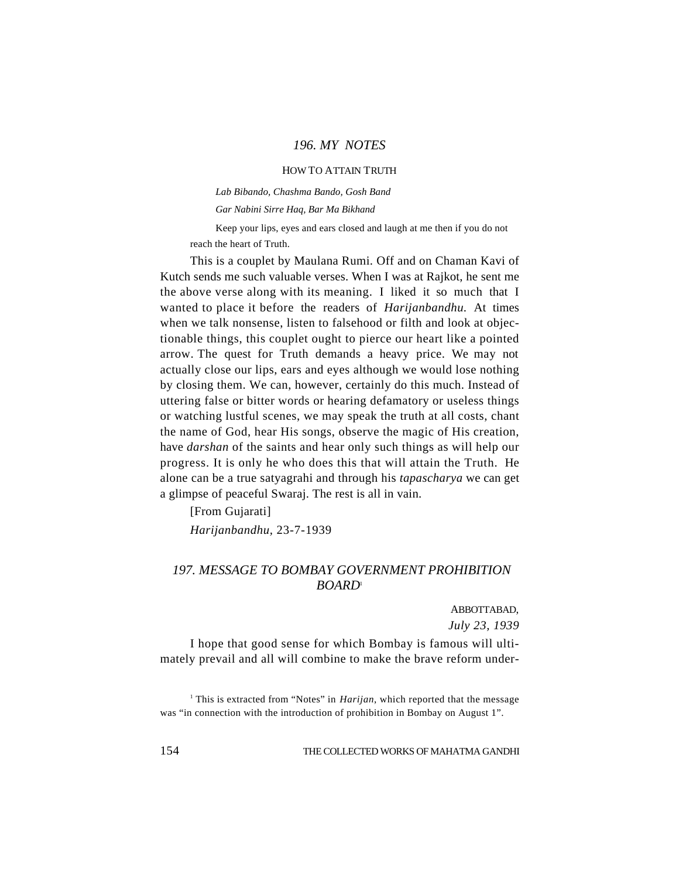# *196. MY NOTES*

#### HOW TO ATTAIN TRUTH

# *Lab Bibando, Chashma Bando, Gosh Band Gar Nabini Sirre Haq, Bar Ma Bikhand*

Keep your lips, eyes and ears closed and laugh at me then if you do not reach the heart of Truth.

This is a couplet by Maulana Rumi. Off and on Chaman Kavi of Kutch sends me such valuable verses. When I was at Rajkot, he sent me the above verse along with its meaning. I liked it so much that I wanted to place it before the readers of *Harijanbandhu.* At times when we talk nonsense, listen to falsehood or filth and look at objectionable things, this couplet ought to pierce our heart like a pointed arrow. The quest for Truth demands a heavy price. We may not actually close our lips, ears and eyes although we would lose nothing by closing them. We can, however, certainly do this much. Instead of uttering false or bitter words or hearing defamatory or useless things or watching lustful scenes, we may speak the truth at all costs, chant the name of God, hear His songs, observe the magic of His creation, have *darshan* of the saints and hear only such things as will help our progress. It is only he who does this that will attain the Truth. He alone can be a true satyagrahi and through his *tapascharya* we can get a glimpse of peaceful Swaraj. The rest is all in vain.

[From Gujarati] *Harijanbandhu,* 23-7-1939

# *197. MESSAGE TO BOMBAY GOVERNMENT PROHIBITION BOARD*<sup>1</sup>

ABBOTTABAD, *July 23, 1939*

I hope that good sense for which Bombay is famous will ultimately prevail and all will combine to make the brave reform under-

<sup>1</sup> This is extracted from "Notes" in *Harijan*, which reported that the message was "in connection with the introduction of prohibition in Bombay on August 1".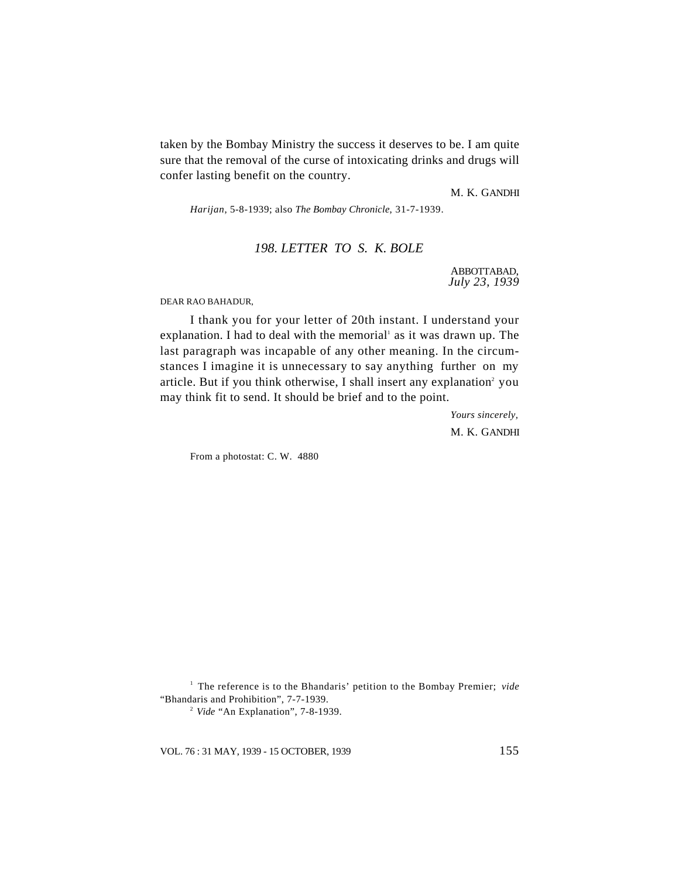taken by the Bombay Ministry the success it deserves to be. I am quite sure that the removal of the curse of intoxicating drinks and drugs will confer lasting benefit on the country.

M. K. GANDHI

*Harijan*, 5-8-1939; also *The Bombay Chronicle*, 31-7-1939.

# *198. LETTER TO S. K. BOLE*

ABBOTTABAD, *July 23, 1939*

#### DEAR RAO BAHADUR,

I thank you for your letter of 20th instant. I understand your explanation. I had to deal with the memorial<sup>1</sup> as it was drawn up. The last paragraph was incapable of any other meaning. In the circumstances I imagine it is unnecessary to say anything further on my article. But if you think otherwise, I shall insert any explanation<sup>2</sup> you may think fit to send. It should be brief and to the point.

> *Yours sincerely,* M. K. GANDHI

From a photostat: C. W. 4880

<sup>1</sup> The reference is to the Bhandaris' petition to the Bombay Premier; *vide* "Bhandaris and Prohibition", 7-7-1939.

<sup>2</sup> *Vide* "An Explanation", 7-8-1939.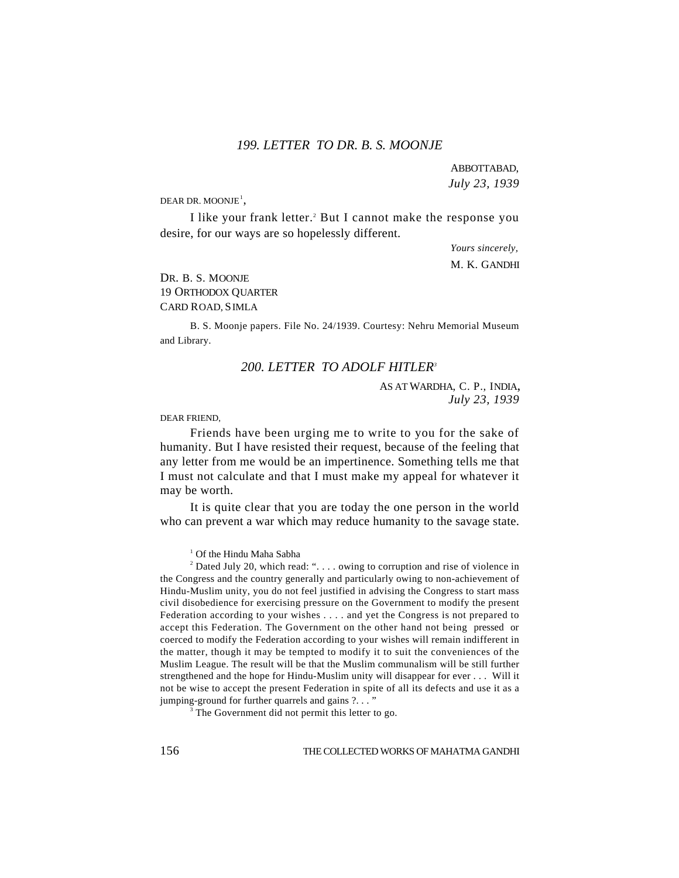ABBOTTABAD, *July 23, 1939*

DEAR DR. MOONJE $^1$ ,

I like your frank letter.<sup>2</sup> But I cannot make the response you desire, for our ways are so hopelessly different.

> *Yours sincerely,* M. K. GANDHI

### DR. B. S. MOONJE 19 ORTHODOX QUARTER CARD ROAD, SIMLA

B. S. Moonje papers. File No. 24/1939. Courtesy: Nehru Memorial Museum and Library.

### *200. LETTER TO ADOLF HITLER<sup>3</sup>*

AS AT WARDHA, C. P., INDIA, *July 23, 1939*

DEAR FRIEND,

Friends have been urging me to write to you for the sake of humanity. But I have resisted their request, because of the feeling that any letter from me would be an impertinence. Something tells me that I must not calculate and that I must make my appeal for whatever it may be worth.

It is quite clear that you are today the one person in the world who can prevent a war which may reduce humanity to the savage state.

<sup>1</sup> Of the Hindu Maha Sabha

<sup>2</sup> Dated July 20, which read: "... owing to corruption and rise of violence in the Congress and the country generally and particularly owing to non-achievement of Hindu-Muslim unity, you do not feel justified in advising the Congress to start mass civil disobedience for exercising pressure on the Government to modify the present Federation according to your wishes . . . . and yet the Congress is not prepared to accept this Federation. The Government on the other hand not being pressed or coerced to modify the Federation according to your wishes will remain indifferent in the matter, though it may be tempted to modify it to suit the conveniences of the Muslim League. The result will be that the Muslim communalism will be still further strengthened and the hope for Hindu-Muslim unity will disappear for ever . . . Will it not be wise to accept the present Federation in spite of all its defects and use it as a jumping-ground for further quarrels and gains ?. . . "

The Government did not permit this letter to go.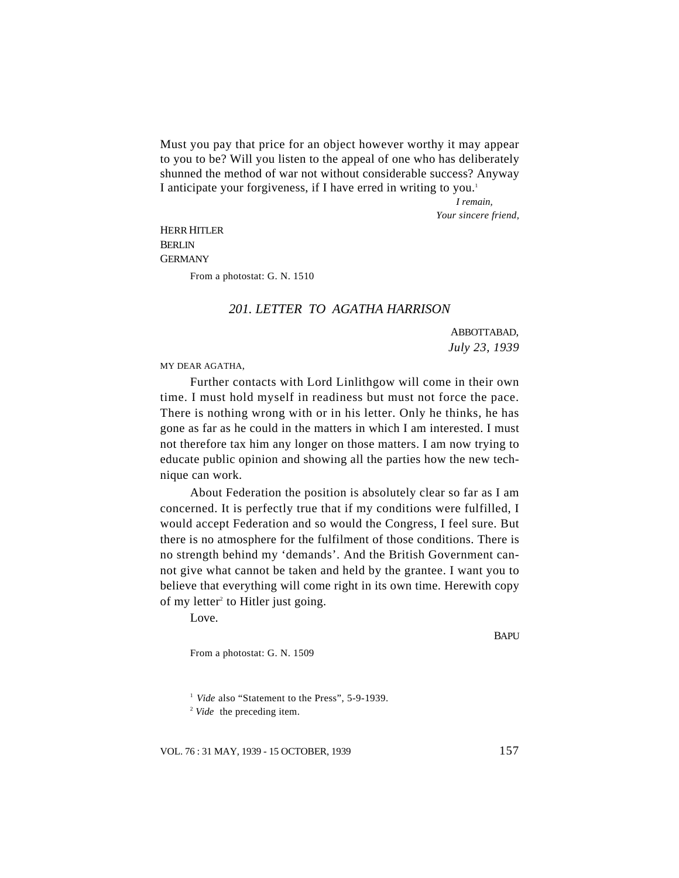Must you pay that price for an object however worthy it may appear to you to be? Will you listen to the appeal of one who has deliberately shunned the method of war not without considerable success? Anyway I anticipate your forgiveness, if I have erred in writing to you.<sup>1</sup>

> *I remain, Your sincere friend,*

HERR HITLER **BERLIN GERMANY** 

From a photostat: G. N. 1510

## *201. LETTER TO AGATHA HARRISON*

ABBOTTABAD, *July 23, 1939*

MY DEAR AGATHA,

Further contacts with Lord Linlithgow will come in their own time. I must hold myself in readiness but must not force the pace. There is nothing wrong with or in his letter. Only he thinks, he has gone as far as he could in the matters in which I am interested. I must not therefore tax him any longer on those matters. I am now trying to educate public opinion and showing all the parties how the new technique can work.

About Federation the position is absolutely clear so far as I am concerned. It is perfectly true that if my conditions were fulfilled, I would accept Federation and so would the Congress, I feel sure. But there is no atmosphere for the fulfilment of those conditions. There is no strength behind my 'demands'. And the British Government cannot give what cannot be taken and held by the grantee. I want you to believe that everything will come right in its own time. Herewith copy of my letter<sup>2</sup> to Hitler just going.

Love.

**BAPU** 

From a photostat: G. N. 1509

<sup>1</sup> *Vide* also "Statement to the Press", 5-9-1939.

<sup>2</sup> *Vide* the preceding item.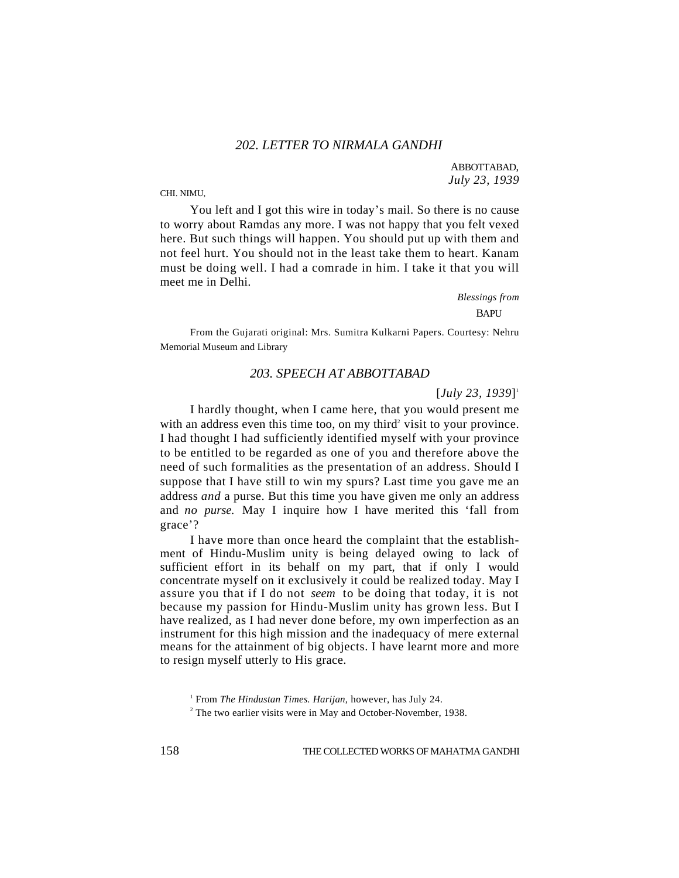# *202. LETTER TO NIRMALA GANDHI*

ABBOTTABAD, *July 23, 1939*

CHI. NIMU,

You left and I got this wire in today's mail. So there is no cause to worry about Ramdas any more. I was not happy that you felt vexed here. But such things will happen. You should put up with them and not feel hurt. You should not in the least take them to heart. Kanam must be doing well. I had a comrade in him. I take it that you will meet me in Delhi.

> *Blessings from* **BAPU**

From the Gujarati original: Mrs. Sumitra Kulkarni Papers. Courtesy: Nehru Memorial Museum and Library

### *203. SPEECH AT ABBOTTABAD*

[*July 23, 1939*] 1

I hardly thought, when I came here, that you would present me with an address even this time too, on my third<sup>2</sup> visit to your province. I had thought I had sufficiently identified myself with your province to be entitled to be regarded as one of you and therefore above the need of such formalities as the presentation of an address. Should I suppose that I have still to win my spurs? Last time you gave me an address *and* a purse. But this time you have given me only an address and *no purse.* May I inquire how I have merited this 'fall from grace'?

I have more than once heard the complaint that the establishment of Hindu-Muslim unity is being delayed owing to lack of sufficient effort in its behalf on my part, that if only I would concentrate myself on it exclusively it could be realized today. May I assure you that if I do not *seem* to be doing that today, it is not because my passion for Hindu-Muslim unity has grown less. But I have realized, as I had never done before, my own imperfection as an instrument for this high mission and the inadequacy of mere external means for the attainment of big objects. I have learnt more and more to resign myself utterly to His grace.

<sup>&</sup>lt;sup>1</sup> From *The Hindustan Times. Harijan*, however, has July 24.

 $2$ <sup>2</sup> The two earlier visits were in May and October-November, 1938.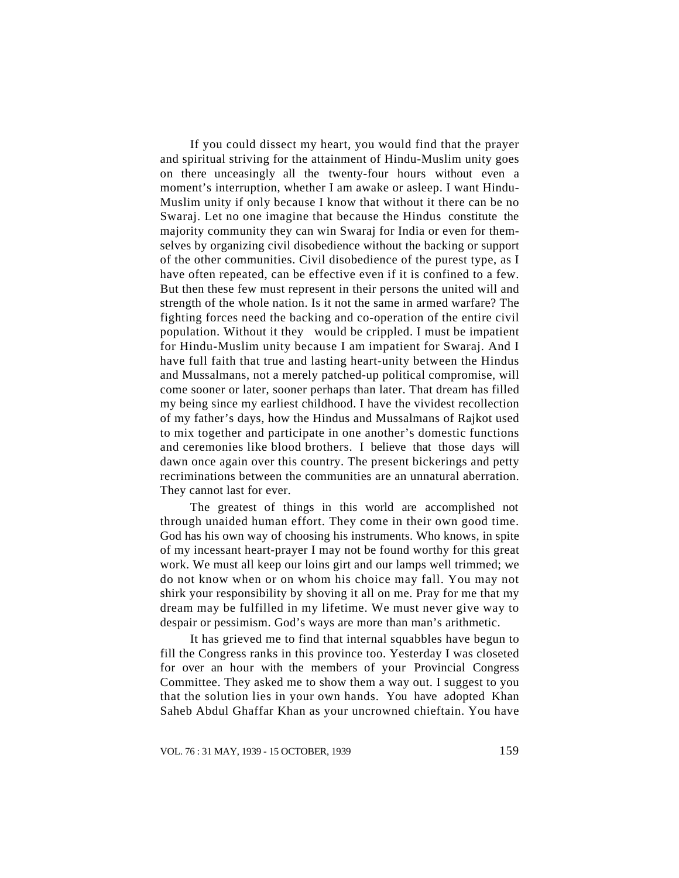If you could dissect my heart, you would find that the prayer and spiritual striving for the attainment of Hindu-Muslim unity goes on there unceasingly all the twenty-four hours without even a moment's interruption, whether I am awake or asleep. I want Hindu-Muslim unity if only because I know that without it there can be no Swaraj. Let no one imagine that because the Hindus constitute the majority community they can win Swaraj for India or even for themselves by organizing civil disobedience without the backing or support of the other communities. Civil disobedience of the purest type, as I have often repeated, can be effective even if it is confined to a few. But then these few must represent in their persons the united will and strength of the whole nation. Is it not the same in armed warfare? The fighting forces need the backing and co-operation of the entire civil population. Without it they would be crippled. I must be impatient for Hindu-Muslim unity because I am impatient for Swaraj. And I have full faith that true and lasting heart-unity between the Hindus and Mussalmans, not a merely patched-up political compromise, will come sooner or later, sooner perhaps than later. That dream has filled my being since my earliest childhood. I have the vividest recollection of my father's days, how the Hindus and Mussalmans of Rajkot used to mix together and participate in one another's domestic functions and ceremonies like blood brothers. I believe that those days will dawn once again over this country. The present bickerings and petty recriminations between the communities are an unnatural aberration. They cannot last for ever.

The greatest of things in this world are accomplished not through unaided human effort. They come in their own good time. God has his own way of choosing his instruments. Who knows, in spite of my incessant heart-prayer I may not be found worthy for this great work. We must all keep our loins girt and our lamps well trimmed; we do not know when or on whom his choice may fall. You may not shirk your responsibility by shoving it all on me. Pray for me that my dream may be fulfilled in my lifetime. We must never give way to despair or pessimism. God's ways are more than man's arithmetic.

It has grieved me to find that internal squabbles have begun to fill the Congress ranks in this province too. Yesterday I was closeted for over an hour with the members of your Provincial Congress Committee. They asked me to show them a way out. I suggest to you that the solution lies in your own hands. You have adopted Khan Saheb Abdul Ghaffar Khan as your uncrowned chieftain. You have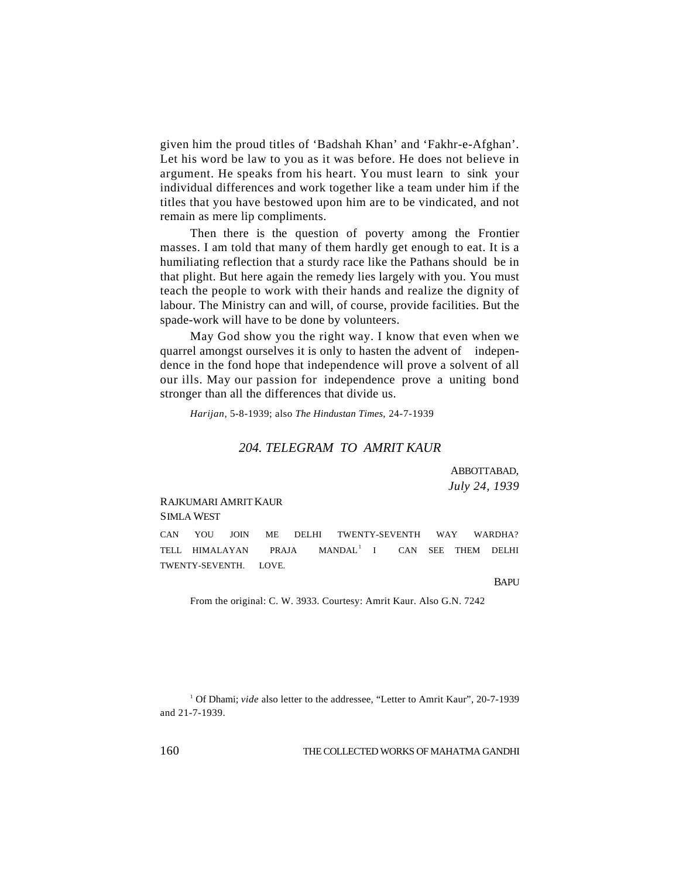given him the proud titles of 'Badshah Khan' and 'Fakhr-e-Afghan'. Let his word be law to you as it was before. He does not believe in argument. He speaks from his heart. You must learn to sink your individual differences and work together like a team under him if the titles that you have bestowed upon him are to be vindicated, and not remain as mere lip compliments.

Then there is the question of poverty among the Frontier masses. I am told that many of them hardly get enough to eat. It is a humiliating reflection that a sturdy race like the Pathans should be in that plight. But here again the remedy lies largely with you. You must teach the people to work with their hands and realize the dignity of labour. The Ministry can and will, of course, provide facilities. But the spade-work will have to be done by volunteers.

May God show you the right way. I know that even when we quarrel amongst ourselves it is only to hasten the advent of independence in the fond hope that independence will prove a solvent of all our ills. May our passion for independence prove a uniting bond stronger than all the differences that divide us.

*Harijan*, 5-8-1939; also *The Hindustan Times*, 24-7-1939

### *204. TELEGRAM TO AMRIT KAUR*

ABBOTTABAD, *July 24, 1939*

### RAJKUMARI AMRIT KAUR SIMLA WEST

CAN YOU JOIN ME DELHI TWENTY-SEVENTH WAY WARDHA? TELL HIMALAYAN PRAJA MANDAL<sup>1</sup> I CAN SEE THEM DELHI TWENTY-SEVENTH. LOVE.

**BAPU** 

From the original: C. W. 3933. Courtesy: Amrit Kaur. Also G.N. 7242

<sup>1</sup> Of Dhami; *vide* also letter to the addressee, "Letter to Amrit Kaur", 20-7-1939 and 21-7-1939.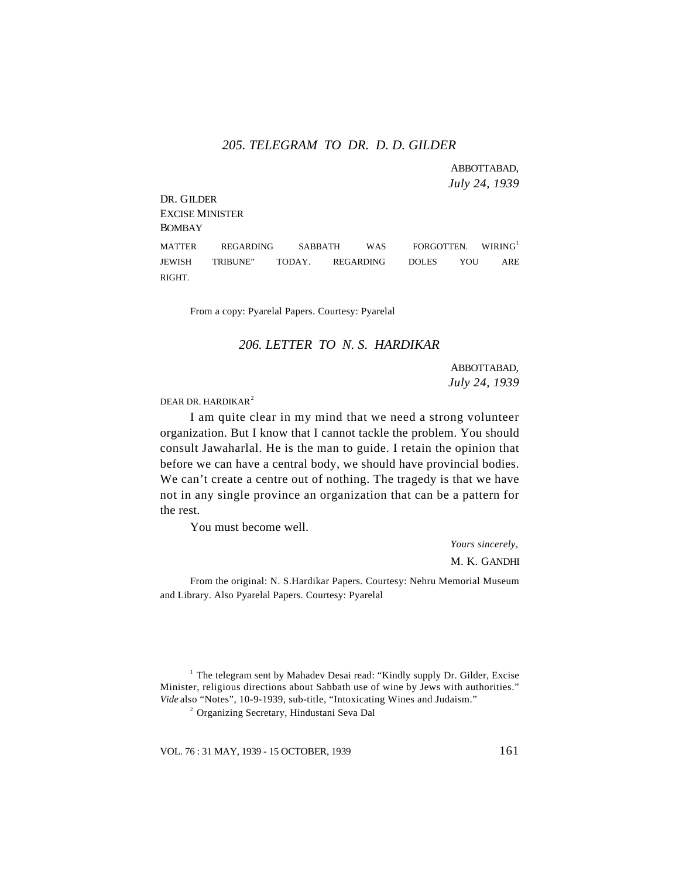## *205. TELEGRAM TO DR. D. D. GILDER*

ABBOTTABAD, *July 24, 1939*

DR. GILDER EXCISE MINISTER BOMBAY MATTER REGARDING SABBATH WAS FORGOTTEN. WIRING<sup>1</sup> JEWISH TRIBUNE" TODAY. REGARDING DOLES YOU ARE RIGHT.

From a copy: Pyarelal Papers. Courtesy: Pyarelal

### *206. LETTER TO N. S. HARDIKAR*

ABBOTTABAD, *July 24, 1939*

DEAR DR. HARDIKAR<sup>2</sup>

I am quite clear in my mind that we need a strong volunteer organization. But I know that I cannot tackle the problem. You should consult Jawaharlal. He is the man to guide. I retain the opinion that before we can have a central body, we should have provincial bodies. We can't create a centre out of nothing. The tragedy is that we have not in any single province an organization that can be a pattern for the rest.

You must become well.

*Yours sincerely,* M. K. GANDHI

From the original: N. S.Hardikar Papers. Courtesy: Nehru Memorial Museum and Library. Also Pyarelal Papers. Courtesy: Pyarelal

<sup>1</sup> The telegram sent by Mahadev Desai read: "Kindly supply Dr. Gilder, Excise Minister, religious directions about Sabbath use of wine by Jews with authorities." *Vide* also "Notes", 10-9-1939, sub-title, "Intoxicating Wines and Judaism."

<sup>2</sup> Organizing Secretary, Hindustani Seva Dal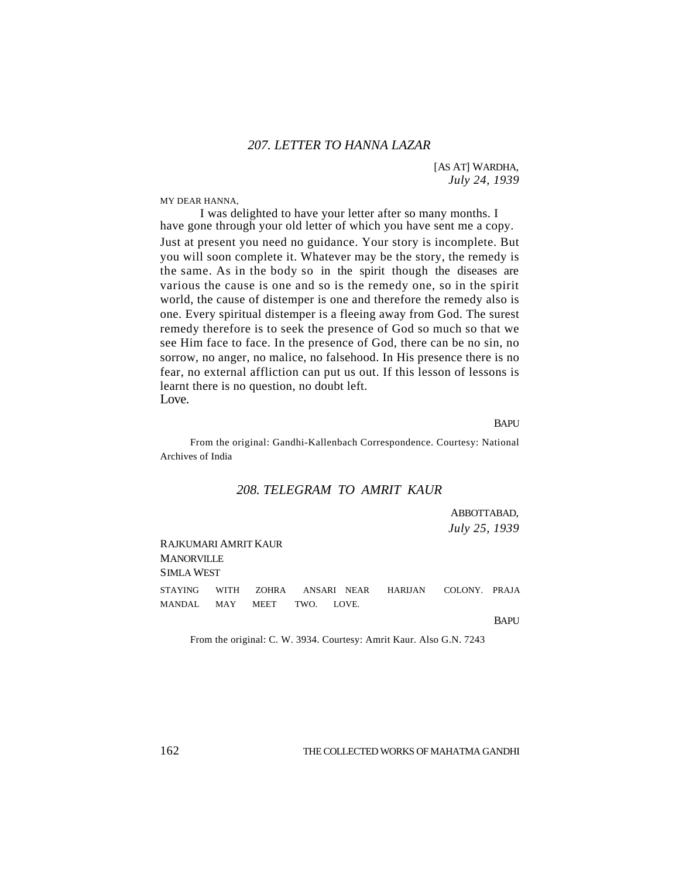# *207. LETTER TO HANNA LAZAR*

[AS AT] WARDHA, *July 24, 1939*

MY DEAR HANNA,

I was delighted to have your letter after so many months. I have gone through your old letter of which you have sent me a copy. Just at present you need no guidance. Your story is incomplete. But you will soon complete it. Whatever may be the story, the remedy is the same. As in the body so in the spirit though the diseases are various the cause is one and so is the remedy one, so in the spirit world, the cause of distemper is one and therefore the remedy also is one. Every spiritual distemper is a fleeing away from God. The surest remedy therefore is to seek the presence of God so much so that we see Him face to face. In the presence of God, there can be no sin, no sorrow, no anger, no malice, no falsehood. In His presence there is no fear, no external affliction can put us out. If this lesson of lessons is learnt there is no question, no doubt left. Love.

**BAPU** 

From the original: Gandhi-Kallenbach Correspondence. Courtesy: National Archives of India

### *208. TELEGRAM TO AMRIT KAUR*

ABBOTTABAD, *July 25, 1939*

RAJKUMARI AMRIT KAUR MANORVILLE SIMLA WEST STAYING WITH ZOHRA ANSARI NEAR HARIJAN COLONY. PRAJA MANDAL MAY MEET TWO. LOVE.

**BAPU** 

From the original: C. W. 3934. Courtesy: Amrit Kaur. Also G.N. 7243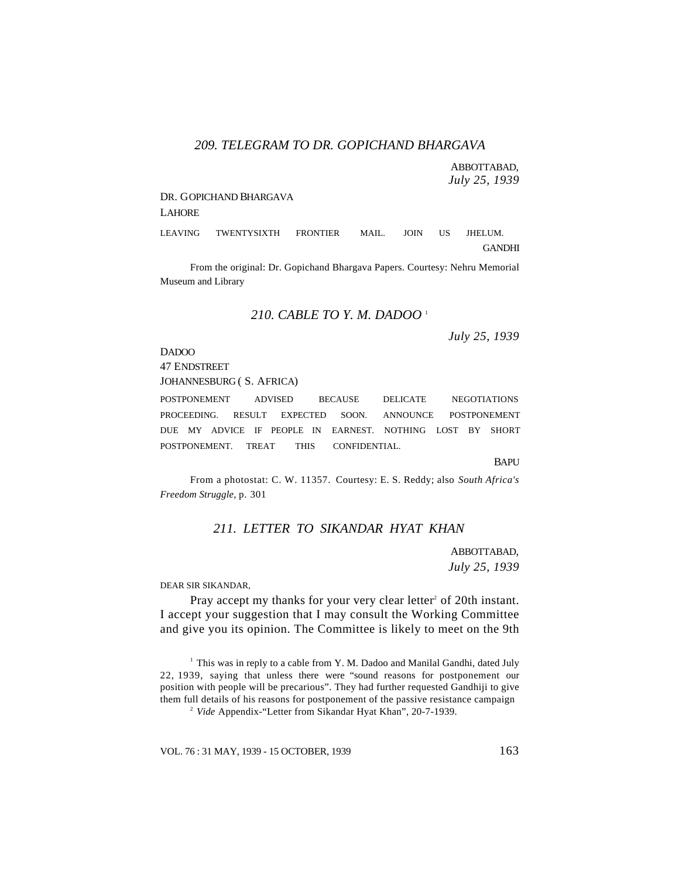### *209. TELEGRAM TO DR. GOPICHAND BHARGAVA*

ABBOTTABAD, *July 25, 1939*

### DR. GOPICHAND BHARGAVA LAHORE

LEAVING TWENTYSIXTH FRONTIER MAIL. JOIN US JHELUM.

GANDHI

From the original: Dr. Gopichand Bhargava Papers. Courtesy: Nehru Memorial Museum and Library

#### *210. CABLE TO Y. M. DADOO* <sup>1</sup>

*July 25, 1939*

DADOO 47 ENDSTREET

JOHANNESBURG ( S. AFRICA)

POSTPONEMENT ADVISED BECAUSE DELICATE NEGOTIATIONS PROCEEDING. RESULT EXPECTED SOON. ANNOUNCE POSTPONEMENT DUE MY ADVICE IF PEOPLE IN EARNEST. NOTHING LOST BY SHORT POSTPONEMENT. TREAT THIS CONFIDENTIAL.

BAPU

From a photostat: C. W. 11357. Courtesy: E. S. Reddy; also *South Africa's Freedom Struggle,* p. 301

## *211. LETTER TO SIKANDAR HYAT KHAN*

ABBOTTABAD, *July 25, 1939*

DEAR SIR SIKANDAR,

Pray accept my thanks for your very clear letter<sup>2</sup> of 20th instant. I accept your suggestion that I may consult the Working Committee and give you its opinion. The Committee is likely to meet on the 9th

 $1$  This was in reply to a cable from Y. M. Dadoo and Manilal Gandhi, dated July 22, 1939, saying that unless there were "sound reasons for postponement our position with people will be precarious". They had further requested Gandhiji to give them full details of his reasons for postponement of the passive resistance campaign

<sup>2</sup> *Vide* Appendix-"Letter from Sikandar Hyat Khan", 20-7-1939.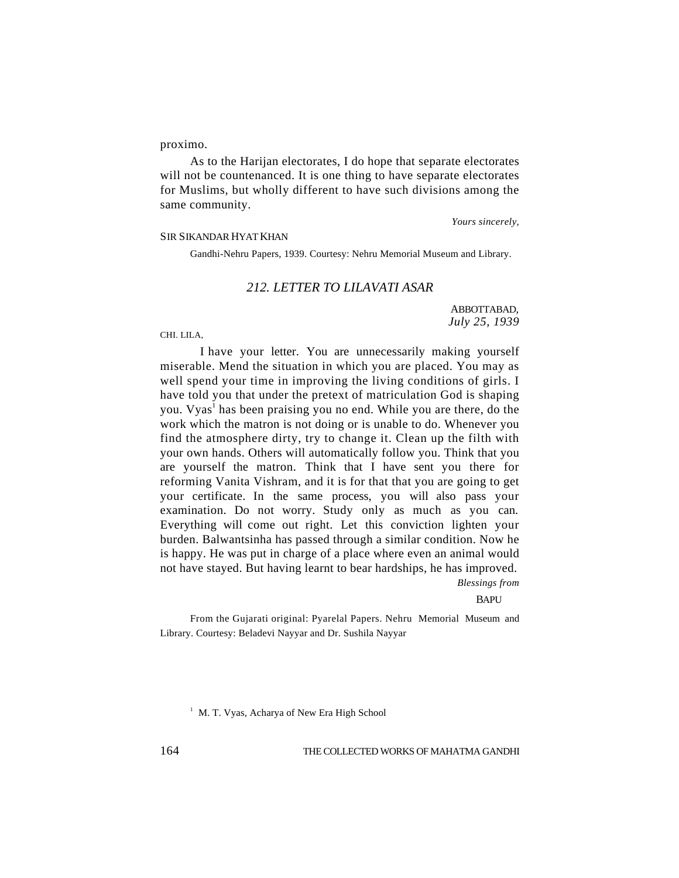proximo.

As to the Harijan electorates, I do hope that separate electorates will not be countenanced. It is one thing to have separate electorates for Muslims, but wholly different to have such divisions among the same community.

*Yours sincerely,*

#### SIR SIKANDAR HYAT KHAN

Gandhi-Nehru Papers, 1939. Courtesy: Nehru Memorial Museum and Library.

## *212. LETTER TO LILAVATI ASAR*

ABBOTTABAD, *July 25, 1939*

#### CHI. LILA,

I have your letter. You are unnecessarily making yourself miserable. Mend the situation in which you are placed. You may as well spend your time in improving the living conditions of girls. I have told you that under the pretext of matriculation God is shaping you. Vyas<sup>1</sup> has been praising you no end. While you are there, do the work which the matron is not doing or is unable to do. Whenever you find the atmosphere dirty, try to change it. Clean up the filth with your own hands. Others will automatically follow you. Think that you are yourself the matron. Think that I have sent you there for reforming Vanita Vishram, and it is for that that you are going to get your certificate. In the same process, you will also pass your examination. Do not worry. Study only as much as you can. Everything will come out right. Let this conviction lighten your burden. Balwantsinha has passed through a similar condition. Now he is happy. He was put in charge of a place where even an animal would not have stayed. But having learnt to bear hardships, he has improved.

*Blessings from*

**BAPU** 

From the Gujarati original: Pyarelal Papers. Nehru Memorial Museum and Library. Courtesy: Beladevi Nayyar and Dr. Sushila Nayyar

<sup>1</sup> M. T. Vyas, Acharya of New Era High School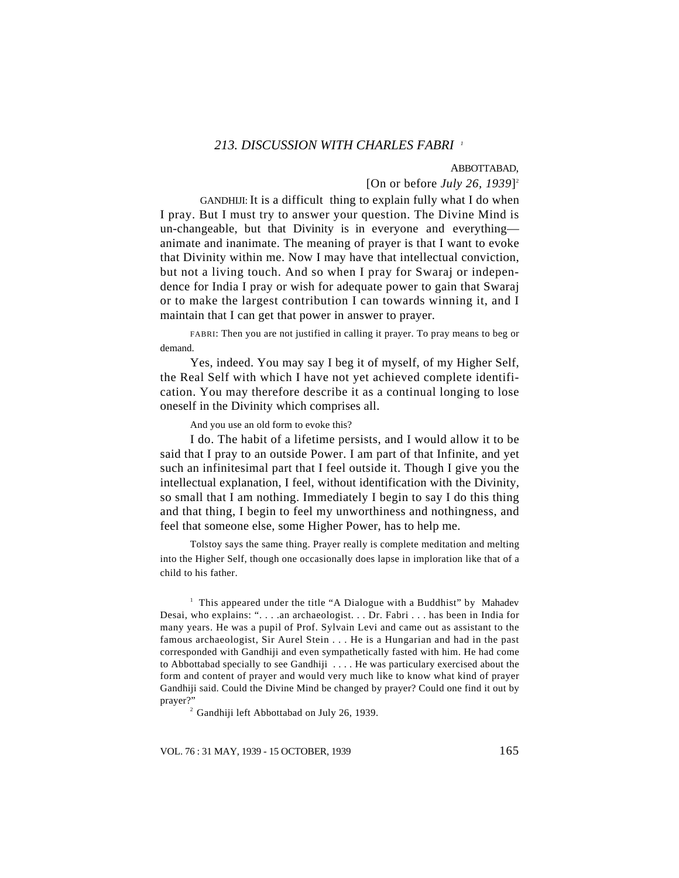# *213. DISCUSSION WITH CHARLES FABRI <sup>1</sup>*

ABBOTTABAD, [On or before *July 26, 1939*] 2

GANDHIJI: It is a difficult thing to explain fully what I do when I pray. But I must try to answer your question. The Divine Mind is un-changeable, but that Divinity is in everyone and everything animate and inanimate. The meaning of prayer is that I want to evoke that Divinity within me. Now I may have that intellectual conviction, but not a living touch. And so when I pray for Swaraj or independence for India I pray or wish for adequate power to gain that Swaraj or to make the largest contribution I can towards winning it, and I maintain that I can get that power in answer to prayer.

FABRI: Then you are not justified in calling it prayer. To pray means to beg or demand.

Yes, indeed. You may say I beg it of myself, of my Higher Self, the Real Self with which I have not yet achieved complete identification. You may therefore describe it as a continual longing to lose oneself in the Divinity which comprises all.

And you use an old form to evoke this?

I do. The habit of a lifetime persists, and I would allow it to be said that I pray to an outside Power. I am part of that Infinite, and yet such an infinitesimal part that I feel outside it. Though I give you the intellectual explanation, I feel, without identification with the Divinity, so small that I am nothing. Immediately I begin to say I do this thing and that thing, I begin to feel my unworthiness and nothingness, and feel that someone else, some Higher Power, has to help me.

Tolstoy says the same thing. Prayer really is complete meditation and melting into the Higher Self, though one occasionally does lapse in imploration like that of a child to his father.

<sup>1</sup> This appeared under the title "A Dialogue with a Buddhist" by Mahadev Desai, who explains: ". . . .an archaeologist. . . Dr. Fabri . . . has been in India for many years. He was a pupil of Prof. Sylvain Levi and came out as assistant to the famous archaeologist, Sir Aurel Stein . . . He is a Hungarian and had in the past corresponded with Gandhiji and even sympathetically fasted with him. He had come to Abbottabad specially to see Gandhiji . . . . He was particulary exercised about the form and content of prayer and would very much like to know what kind of prayer Gandhiji said. Could the Divine Mind be changed by prayer? Could one find it out by prayer?"

<sup>2</sup> Gandhiji left Abbottabad on July 26, 1939.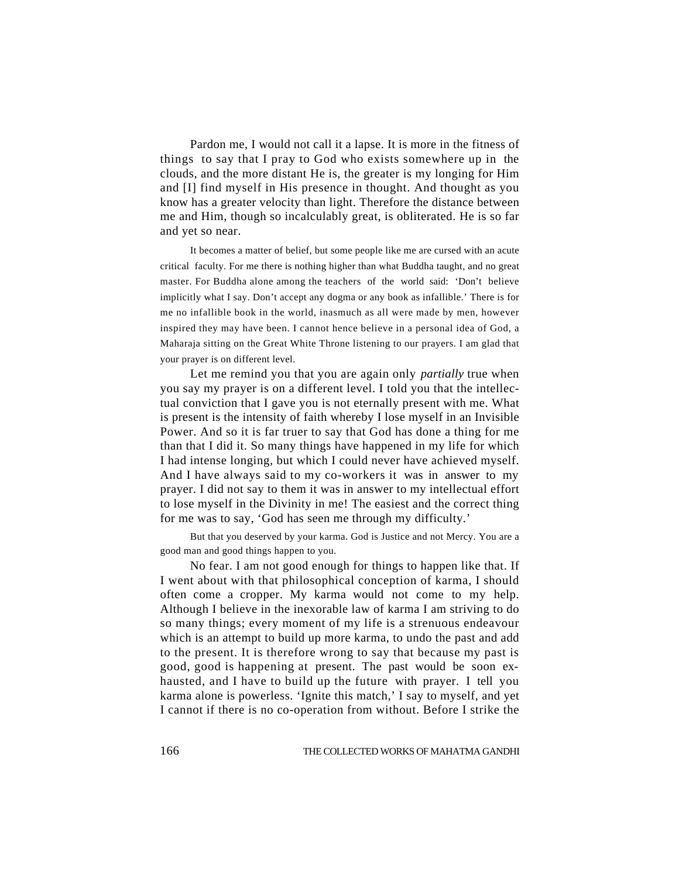Pardon me, I would not call it a lapse. It is more in the fitness of things to say that I pray to God who exists somewhere up in the clouds, and the more distant He is, the greater is my longing for Him and [I] find myself in His presence in thought. And thought as you know has a greater velocity than light. Therefore the distance between me and Him, though so incalculably great, is obliterated. He is so far and yet so near.

It becomes a matter of belief, but some people like me are cursed with an acute critical faculty. For me there is nothing higher than what Buddha taught, and no great master. For Buddha alone among the teachers of the world said: 'Don't believe implicitly what I say. Don't accept any dogma or any book as infallible.' There is for me no infallible book in the world, inasmuch as all were made by men, however inspired they may have been. I cannot hence believe in a personal idea of God, a Maharaja sitting on the Great White Throne listening to our prayers. I am glad that your prayer is on different level.

Let me remind you that you are again only *partially* true when you say my prayer is on a different level. I told you that the intellectual conviction that I gave you is not eternally present with me. What is present is the intensity of faith whereby I lose myself in an Invisible Power. And so it is far truer to say that God has done a thing for me than that I did it. So many things have happened in my life for which I had intense longing, but which I could never have achieved myself. And I have always said to my co-workers it was in answer to my prayer. I did not say to them it was in answer to my intellectual effort to lose myself in the Divinity in me! The easiest and the correct thing for me was to say, 'God has seen me through my difficulty.'

But that you deserved by your karma. God is Justice and not Mercy. You are a good man and good things happen to you.

No fear. I am not good enough for things to happen like that. If I went about with that philosophical conception of karma, I should often come a cropper. My karma would not come to my help. Although I believe in the inexorable law of karma I am striving to do so many things; every moment of my life is a strenuous endeavour which is an attempt to build up more karma, to undo the past and add to the present. It is therefore wrong to say that because my past is good, good is happening at present. The past would be soon exhausted, and I have to build up the future with prayer. I tell you karma alone is powerless. 'Ignite this match,' I say to myself, and yet I cannot if there is no co-operation from without. Before I strike the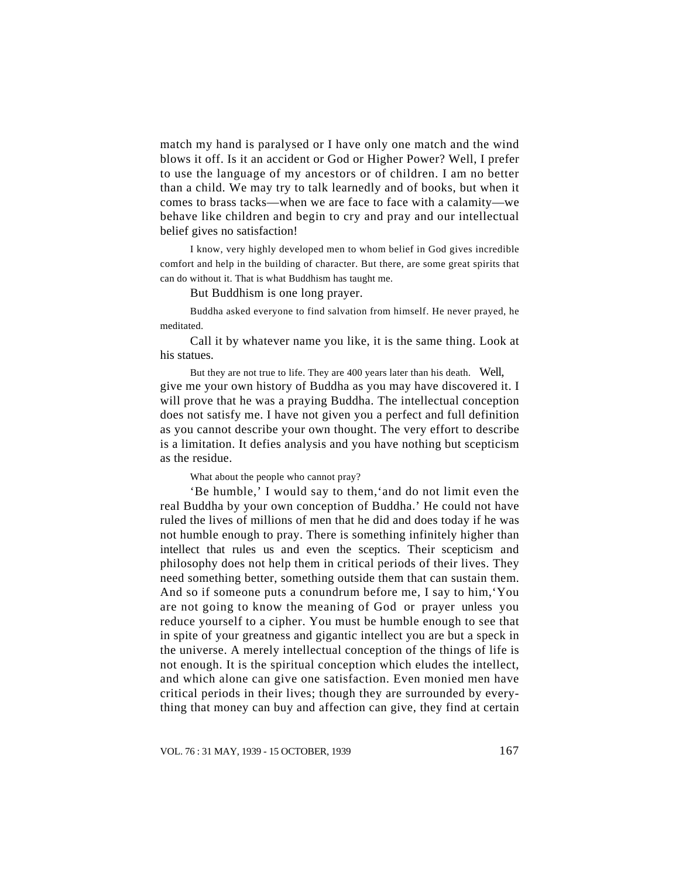match my hand is paralysed or I have only one match and the wind blows it off. Is it an accident or God or Higher Power? Well, I prefer to use the language of my ancestors or of children. I am no better than a child. We may try to talk learnedly and of books, but when it comes to brass tacks—when we are face to face with a calamity—we behave like children and begin to cry and pray and our intellectual belief gives no satisfaction!

I know, very highly developed men to whom belief in God gives incredible comfort and help in the building of character. But there, are some great spirits that can do without it. That is what Buddhism has taught me.

But Buddhism is one long prayer.

Buddha asked everyone to find salvation from himself. He never prayed, he meditated.

Call it by whatever name you like, it is the same thing. Look at his statues.

But they are not true to life. They are 400 years later than his death. Well, give me your own history of Buddha as you may have discovered it. I will prove that he was a praying Buddha. The intellectual conception does not satisfy me. I have not given you a perfect and full definition as you cannot describe your own thought. The very effort to describe is a limitation. It defies analysis and you have nothing but scepticism as the residue.

What about the people who cannot pray?

'Be humble,' I would say to them,'and do not limit even the real Buddha by your own conception of Buddha.' He could not have ruled the lives of millions of men that he did and does today if he was not humble enough to pray. There is something infinitely higher than intellect that rules us and even the sceptics. Their scepticism and philosophy does not help them in critical periods of their lives. They need something better, something outside them that can sustain them. And so if someone puts a conundrum before me, I say to him,'You are not going to know the meaning of God or prayer unless you reduce yourself to a cipher. You must be humble enough to see that in spite of your greatness and gigantic intellect you are but a speck in the universe. A merely intellectual conception of the things of life is not enough. It is the spiritual conception which eludes the intellect, and which alone can give one satisfaction. Even monied men have critical periods in their lives; though they are surrounded by everything that money can buy and affection can give, they find at certain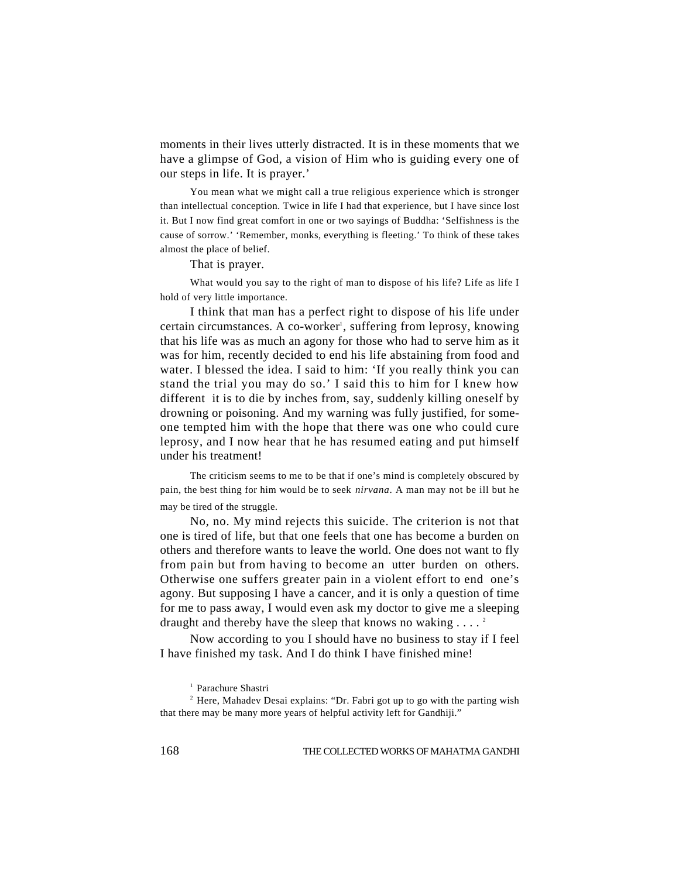moments in their lives utterly distracted. It is in these moments that we have a glimpse of God, a vision of Him who is guiding every one of our steps in life. It is prayer.'

You mean what we might call a true religious experience which is stronger than intellectual conception. Twice in life I had that experience, but I have since lost it. But I now find great comfort in one or two sayings of Buddha: 'Selfishness is the cause of sorrow.' 'Remember, monks, everything is fleeting.' To think of these takes almost the place of belief.

That is prayer.

What would you say to the right of man to dispose of his life? Life as life I hold of very little importance.

I think that man has a perfect right to dispose of his life under certain circumstances. A co-worker<sup>1</sup>, suffering from leprosy, knowing that his life was as much an agony for those who had to serve him as it was for him, recently decided to end his life abstaining from food and water. I blessed the idea. I said to him: 'If you really think you can stand the trial you may do so.' I said this to him for I knew how different it is to die by inches from, say, suddenly killing oneself by drowning or poisoning. And my warning was fully justified, for someone tempted him with the hope that there was one who could cure leprosy, and I now hear that he has resumed eating and put himself under his treatment!

The criticism seems to me to be that if one's mind is completely obscured by pain, the best thing for him would be to seek *nirvana*. A man may not be ill but he may be tired of the struggle.

No, no. My mind rejects this suicide. The criterion is not that one is tired of life, but that one feels that one has become a burden on others and therefore wants to leave the world. One does not want to fly from pain but from having to become an utter burden on others. Otherwise one suffers greater pain in a violent effort to end one's agony. But supposing I have a cancer, and it is only a question of time for me to pass away, I would even ask my doctor to give me a sleeping draught and thereby have the sleep that knows no waking  $\dots$ .

Now according to you I should have no business to stay if I feel I have finished my task. And I do think I have finished mine!

<sup>1</sup> Parachure Shastri

<sup>&</sup>lt;sup>2</sup> Here, Mahadev Desai explains: "Dr. Fabri got up to go with the parting wish that there may be many more years of helpful activity left for Gandhiji."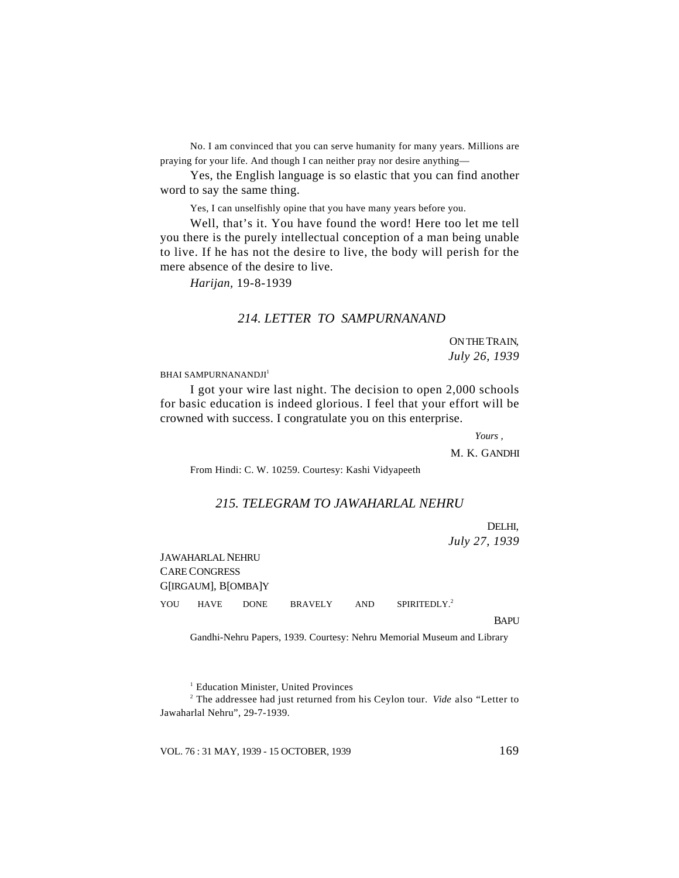No. I am convinced that you can serve humanity for many years. Millions are praying for your life. And though I can neither pray nor desire anything—

Yes, the English language is so elastic that you can find another word to say the same thing.

Yes, I can unselfishly opine that you have many years before you.

Well, that's it. You have found the word! Here too let me tell you there is the purely intellectual conception of a man being unable to live. If he has not the desire to live, the body will perish for the mere absence of the desire to live.

*Harijan,* 19-8-1939

## *214. LETTER TO SAMPURNANAND*

ON THE TRAIN, *July 26, 1939*

BHAI SAMPURNANANDJI<sup>1</sup>

I got your wire last night. The decision to open 2,000 schools for basic education is indeed glorious. I feel that your effort will be crowned with success. I congratulate you on this enterprise.

*Yours ,*

M. K. GANDHI

From Hindi: C. W. 10259. Courtesy: Kashi Vidyapeeth

# *215. TELEGRAM TO JAWAHARLAL NEHRU*

DELHI, *July 27, 1939*

JAWAHARLAL NEHRU CARE CONGRESS G[IRGAUM], B[OMBA]Y YOU HAVE DONE BRAVELY AND SPIRITEDLY.<sup>2</sup>

**BAPU** 

Gandhi-Nehru Papers, 1939. Courtesy: Nehru Memorial Museum and Library

<sup>1</sup> Education Minister, United Provinces

2 The addressee had just returned from his Ceylon tour. *Vide* also "Letter to Jawaharlal Nehru", 29-7-1939.

VOL. 76 : 31 MAY, 1939 - 15 OCTOBER, 1939 169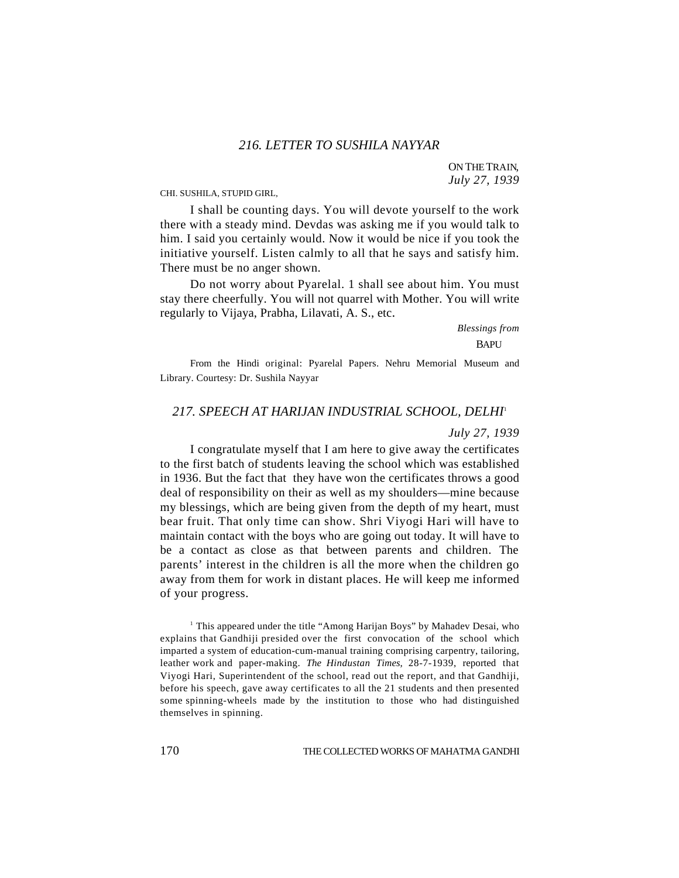# *216. LETTER TO SUSHILA NAYYAR*

ON THE TRAIN, *July 27, 1939*

#### CHI. SUSHILA, STUPID GIRL,

I shall be counting days. You will devote yourself to the work there with a steady mind. Devdas was asking me if you would talk to him. I said you certainly would. Now it would be nice if you took the initiative yourself. Listen calmly to all that he says and satisfy him. There must be no anger shown.

Do not worry about Pyarelal. 1 shall see about him. You must stay there cheerfully. You will not quarrel with Mother. You will write regularly to Vijaya, Prabha, Lilavati, A. S., etc.

*Blessings from*

BAPU

From the Hindi original: Pyarelal Papers. Nehru Memorial Museum and Library. Courtesy: Dr. Sushila Nayyar

#### *217. SPEECH AT HARIJAN INDUSTRIAL SCHOOL, DELHI*<sup>1</sup>

#### *July 27, 1939*

I congratulate myself that I am here to give away the certificates to the first batch of students leaving the school which was established in 1936. But the fact that they have won the certificates throws a good deal of responsibility on their as well as my shoulders—mine because my blessings, which are being given from the depth of my heart, must bear fruit. That only time can show. Shri Viyogi Hari will have to maintain contact with the boys who are going out today. It will have to be a contact as close as that between parents and children. The parents' interest in the children is all the more when the children go away from them for work in distant places. He will keep me informed of your progress.

<sup>1</sup> This appeared under the title "Among Harijan Boys" by Mahadev Desai, who explains that Gandhiji presided over the first convocation of the school which imparted a system of education-cum-manual training comprising carpentry, tailoring, leather work and paper-making. *The Hindustan Times,* 28-7-1939, reported that Viyogi Hari, Superintendent of the school, read out the report, and that Gandhiji, before his speech, gave away certificates to all the 21 students and then presented some spinning-wheels made by the institution to those who had distinguished themselves in spinning.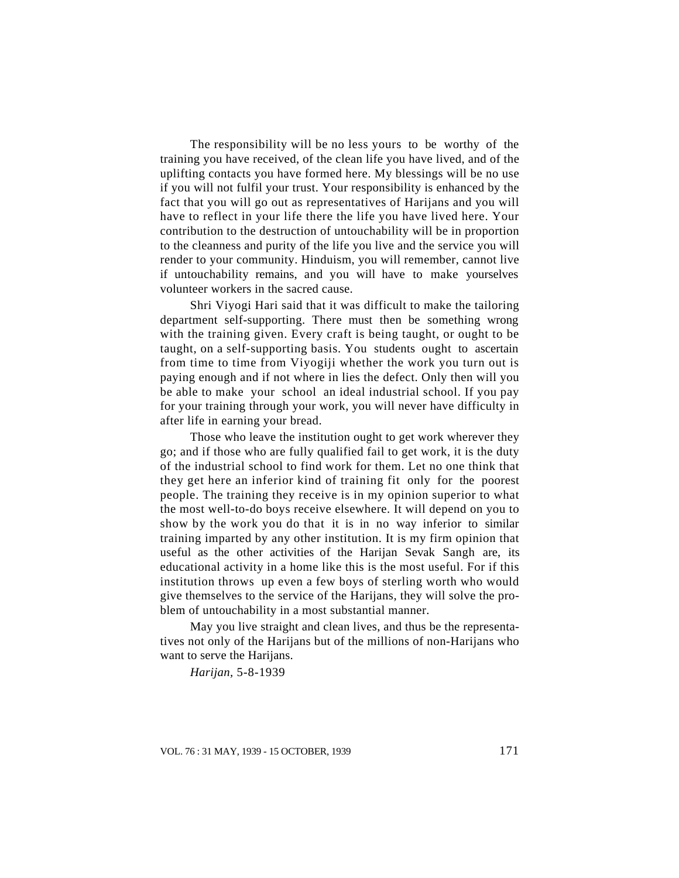The responsibility will be no less yours to be worthy of the training you have received, of the clean life you have lived, and of the uplifting contacts you have formed here. My blessings will be no use if you will not fulfil your trust. Your responsibility is enhanced by the fact that you will go out as representatives of Harijans and you will have to reflect in your life there the life you have lived here. Your contribution to the destruction of untouchability will be in proportion to the cleanness and purity of the life you live and the service you will render to your community. Hinduism, you will remember, cannot live if untouchability remains, and you will have to make yourselves volunteer workers in the sacred cause.

Shri Viyogi Hari said that it was difficult to make the tailoring department self-supporting. There must then be something wrong with the training given. Every craft is being taught, or ought to be taught, on a self-supporting basis. You students ought to ascertain from time to time from Viyogiji whether the work you turn out is paying enough and if not where in lies the defect. Only then will you be able to make your school an ideal industrial school. If you pay for your training through your work, you will never have difficulty in after life in earning your bread.

Those who leave the institution ought to get work wherever they go; and if those who are fully qualified fail to get work, it is the duty of the industrial school to find work for them. Let no one think that they get here an inferior kind of training fit only for the poorest people. The training they receive is in my opinion superior to what the most well-to-do boys receive elsewhere. It will depend on you to show by the work you do that it is in no way inferior to similar training imparted by any other institution. It is my firm opinion that useful as the other activities of the Harijan Sevak Sangh are, its educational activity in a home like this is the most useful. For if this institution throws up even a few boys of sterling worth who would give themselves to the service of the Harijans, they will solve the problem of untouchability in a most substantial manner.

May you live straight and clean lives, and thus be the representatives not only of the Harijans but of the millions of non-Harijans who want to serve the Harijans.

*Harijan,* 5-8-1939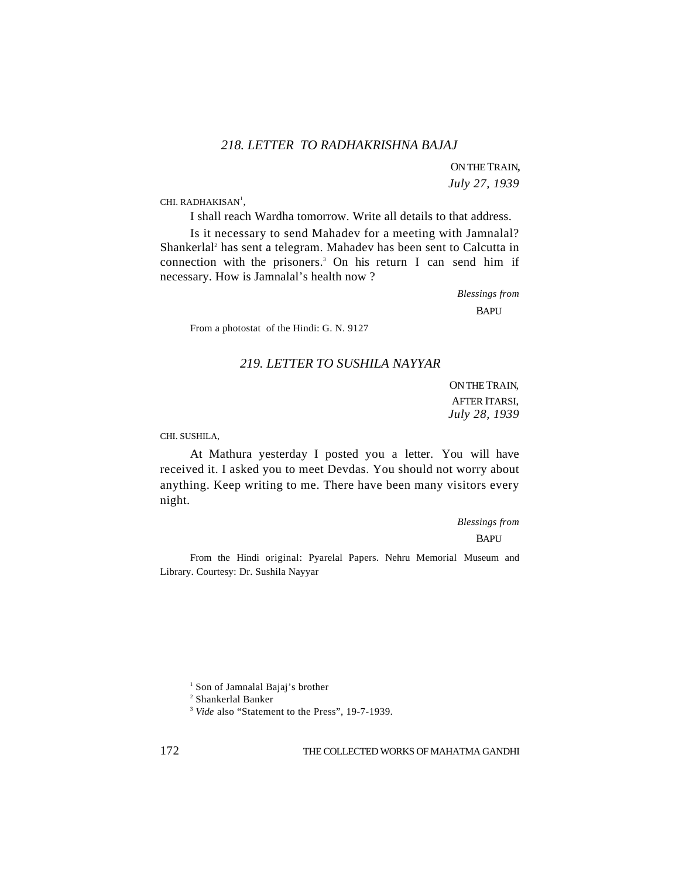# *218. LETTER TO RADHAKRISHNA BAJAJ*

ON THE TRAIN, *July 27, 1939*

CHI. RADHAKISAN<sup>1</sup>,

I shall reach Wardha tomorrow. Write all details to that address.

Is it necessary to send Mahadev for a meeting with Jamnalal? Shankerlal<sup>2</sup> has sent a telegram. Mahadev has been sent to Calcutta in connection with the prisoners.<sup>3</sup> On his return I can send him if necessary. How is Jamnalal's health now ?

*Blessings from*

**BAPU** 

From a photostat of the Hindi: G. N. 9127

## *219. LETTER TO SUSHILA NAYYAR*

ON THE TRAIN, AFTER ITARSI, *July 28, 1939*

CHI. SUSHILA,

At Mathura yesterday I posted you a letter. You will have received it. I asked you to meet Devdas. You should not worry about anything. Keep writing to me. There have been many visitors every night.

*Blessings from*

**BAPU** 

From the Hindi original: Pyarelal Papers. Nehru Memorial Museum and Library. Courtesy: Dr. Sushila Nayyar

1 Son of Jamnalal Bajaj's brother

2 Shankerlal Banker

<sup>3</sup> *Vide* also "Statement to the Press", 19-7-1939.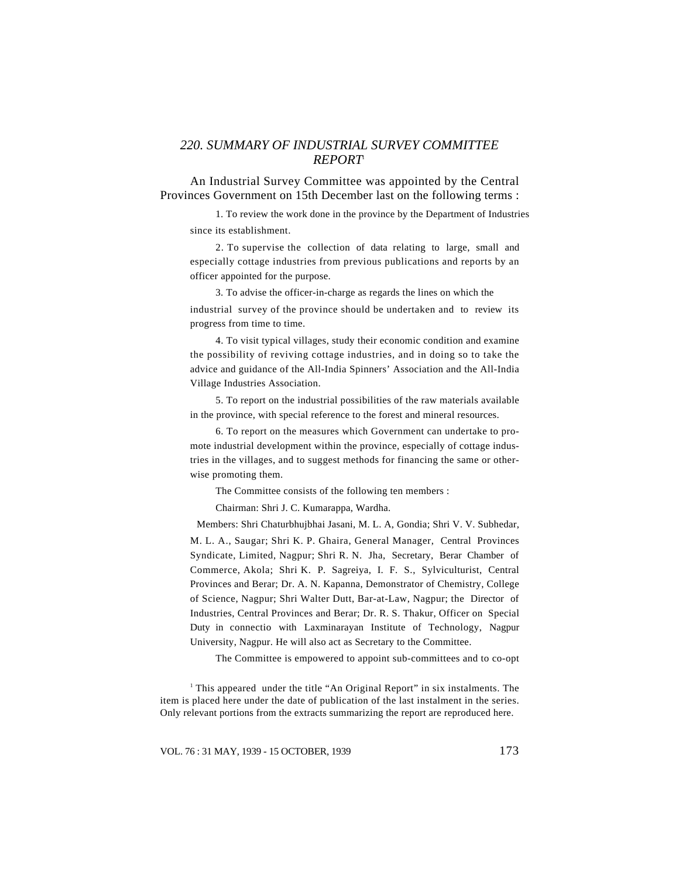## *220. SUMMARY OF INDUSTRIAL SURVEY COMMITTEE REPORT*<sup>1</sup>

An Industrial Survey Committee was appointed by the Central Provinces Government on 15th December last on the following terms :

1. To review the work done in the province by the Department of Industries since its establishment.

2. To supervise the collection of data relating to large, small and especially cottage industries from previous publications and reports by an officer appointed for the purpose.

3. To advise the officer-in-charge as regards the lines on which the industrial survey of the province should be undertaken and to review its progress from time to time.

4. To visit typical villages, study their economic condition and examine the possibility of reviving cottage industries, and in doing so to take the advice and guidance of the All-India Spinners' Association and the All-India Village Industries Association.

5. To report on the industrial possibilities of the raw materials available in the province, with special reference to the forest and mineral resources.

6. To report on the measures which Government can undertake to promote industrial development within the province, especially of cottage industries in the villages, and to suggest methods for financing the same or otherwise promoting them.

The Committee consists of the following ten members :

Chairman: Shri J. C. Kumarappa, Wardha.

Members: Shri Chaturbhujbhai Jasani, M. L. A, Gondia; Shri V. V. Subhedar, M. L. A., Saugar; Shri K. P. Ghaira, General Manager, Central Provinces Syndicate, Limited, Nagpur; Shri R. N. Jha, Secretary, Berar Chamber of Commerce, Akola; Shri K. P. Sagreiya, I. F. S., Sylviculturist, Central Provinces and Berar; Dr. A. N. Kapanna, Demonstrator of Chemistry, College of Science, Nagpur; Shri Walter Dutt, Bar-at-Law, Nagpur; the Director of Industries, Central Provinces and Berar; Dr. R. S. Thakur, Officer on Special Duty in connectio with Laxminarayan Institute of Technology, Nagpur University, Nagpur. He will also act as Secretary to the Committee.

The Committee is empowered to appoint sub-committees and to co-opt

<sup>1</sup> This appeared under the title "An Original Report" in six instalments. The item is placed here under the date of publication of the last instalment in the series. Only relevant portions from the extracts summarizing the report are reproduced here.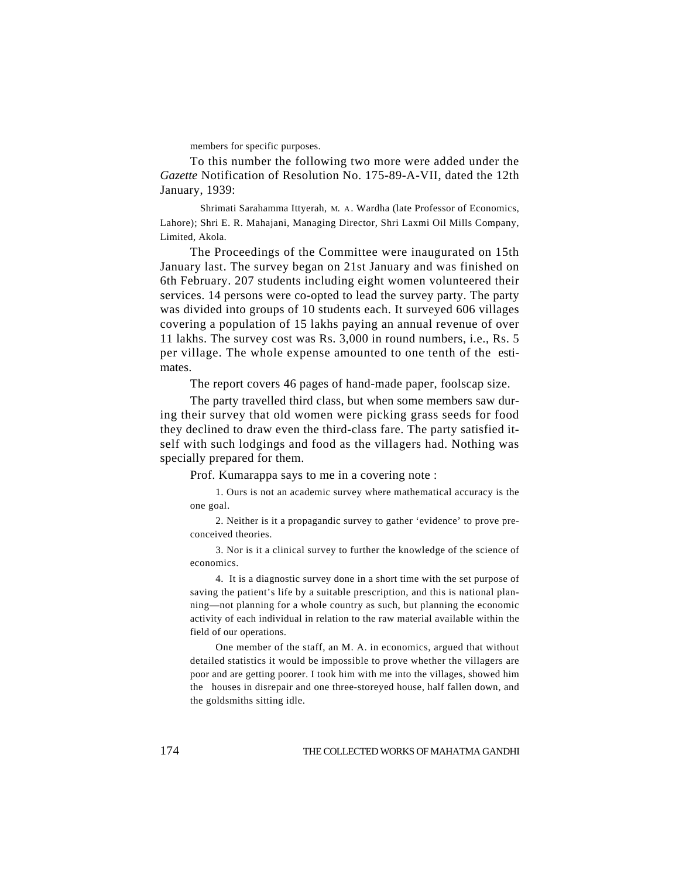members for specific purposes.

To this number the following two more were added under the *Gazette* Notification of Resolution No. 175-89-A-VII, dated the 12th January, 1939:

Shrimati Sarahamma Ittyerah, M. A. Wardha (late Professor of Economics, Lahore); Shri E. R. Mahajani, Managing Director, Shri Laxmi Oil Mills Company, Limited, Akola.

The Proceedings of the Committee were inaugurated on 15th January last. The survey began on 21st January and was finished on 6th February. 207 students including eight women volunteered their services. 14 persons were co-opted to lead the survey party. The party was divided into groups of 10 students each. It surveyed 606 villages covering a population of 15 lakhs paying an annual revenue of over 11 lakhs. The survey cost was Rs. 3,000 in round numbers, i.e., Rs. 5 per village. The whole expense amounted to one tenth of the estimates.

The report covers 46 pages of hand-made paper, foolscap size.

The party travelled third class, but when some members saw during their survey that old women were picking grass seeds for food they declined to draw even the third-class fare. The party satisfied itself with such lodgings and food as the villagers had. Nothing was specially prepared for them.

Prof. Kumarappa says to me in a covering note :

1. Ours is not an academic survey where mathematical accuracy is the one goal.

2. Neither is it a propagandic survey to gather 'evidence' to prove preconceived theories.

3. Nor is it a clinical survey to further the knowledge of the science of economics.

4. It is a diagnostic survey done in a short time with the set purpose of saving the patient's life by a suitable prescription, and this is national planning—not planning for a whole country as such, but planning the economic activity of each individual in relation to the raw material available within the field of our operations.

One member of the staff, an M. A. in economics, argued that without detailed statistics it would be impossible to prove whether the villagers are poor and are getting poorer. I took him with me into the villages, showed him the houses in disrepair and one three-storeyed house, half fallen down, and the goldsmiths sitting idle.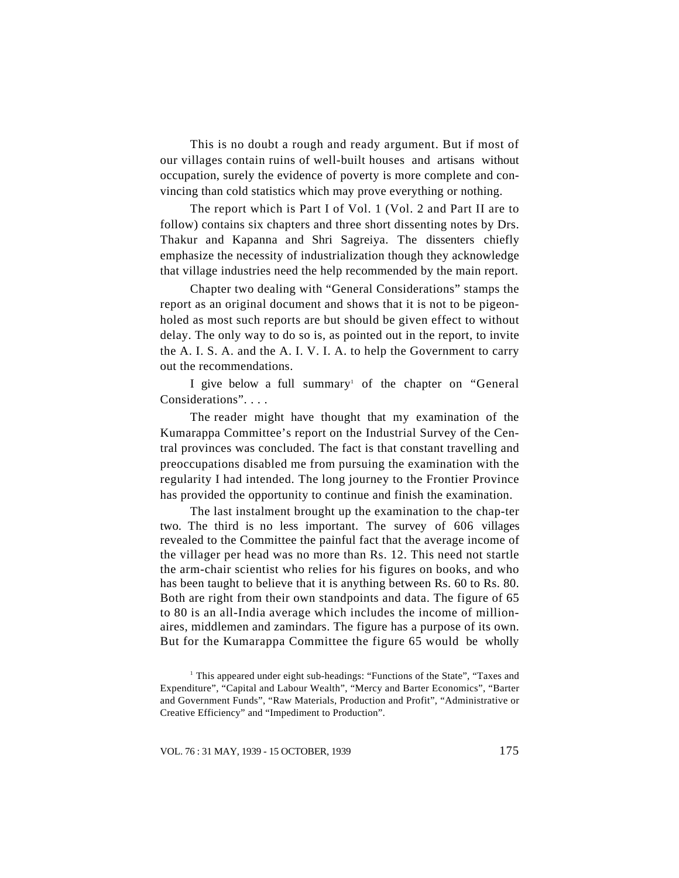This is no doubt a rough and ready argument. But if most of our villages contain ruins of well-built houses and artisans without occupation, surely the evidence of poverty is more complete and convincing than cold statistics which may prove everything or nothing.

The report which is Part I of Vol. 1 (Vol. 2 and Part II are to follow) contains six chapters and three short dissenting notes by Drs. Thakur and Kapanna and Shri Sagreiya. The dissenters chiefly emphasize the necessity of industrialization though they acknowledge that village industries need the help recommended by the main report.

Chapter two dealing with "General Considerations" stamps the report as an original document and shows that it is not to be pigeonholed as most such reports are but should be given effect to without delay. The only way to do so is, as pointed out in the report, to invite the A. I. S. A. and the A. I. V. I. A. to help the Government to carry out the recommendations.

I give below a full summary<sup>1</sup> of the chapter on "General Considerations". . . .

The reader might have thought that my examination of the Kumarappa Committee's report on the Industrial Survey of the Central provinces was concluded. The fact is that constant travelling and preoccupations disabled me from pursuing the examination with the regularity I had intended. The long journey to the Frontier Province has provided the opportunity to continue and finish the examination.

The last instalment brought up the examination to the chap-ter two. The third is no less important. The survey of 606 villages revealed to the Committee the painful fact that the average income of the villager per head was no more than Rs. 12. This need not startle the arm-chair scientist who relies for his figures on books, and who has been taught to believe that it is anything between Rs. 60 to Rs. 80. Both are right from their own standpoints and data. The figure of 65 to 80 is an all-India average which includes the income of millionaires, middlemen and zamindars. The figure has a purpose of its own. But for the Kumarappa Committee the figure 65 would be wholly

<sup>&</sup>lt;sup>1</sup> This appeared under eight sub-headings: "Functions of the State", "Taxes and Expenditure", "Capital and Labour Wealth", "Mercy and Barter Economics", "Barter and Government Funds", "Raw Materials, Production and Profit", "Administrative or Creative Efficiency" and "Impediment to Production".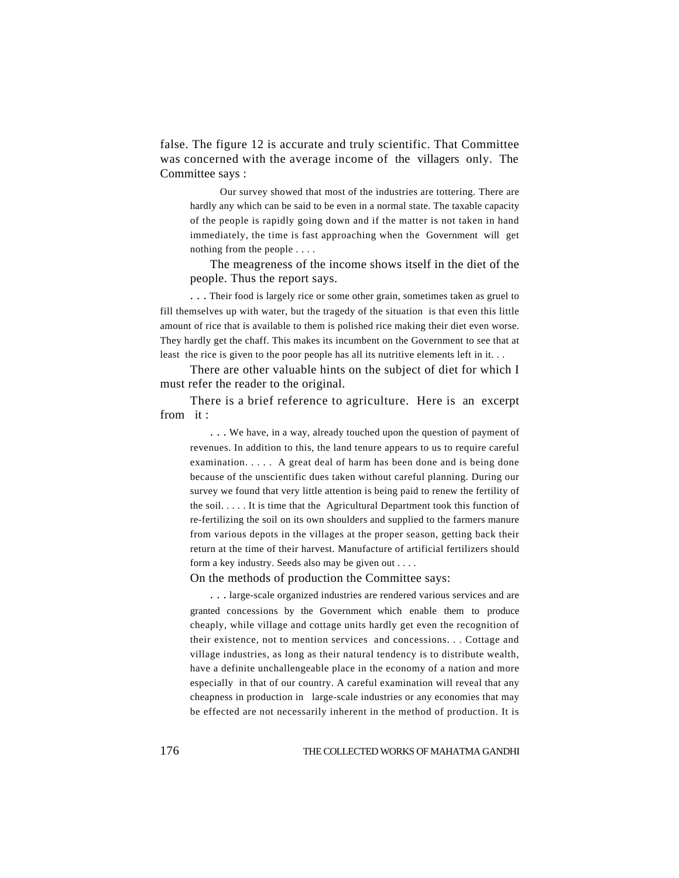false. The figure 12 is accurate and truly scientific. That Committee was concerned with the average income of the villagers only. The Committee says :

Our survey showed that most of the industries are tottering. There are hardly any which can be said to be even in a normal state. The taxable capacity of the people is rapidly going down and if the matter is not taken in hand immediately, the time is fast approaching when the Government will get nothing from the people . . . .

The meagreness of the income shows itself in the diet of the people. Thus the report says.

. . . Their food is largely rice or some other grain, sometimes taken as gruel to fill themselves up with water, but the tragedy of the situation is that even this little amount of rice that is available to them is polished rice making their diet even worse. They hardly get the chaff. This makes its incumbent on the Government to see that at least the rice is given to the poor people has all its nutritive elements left in it...

There are other valuable hints on the subject of diet for which I must refer the reader to the original.

There is a brief reference to agriculture. Here is an excerpt from it :

. . . We have, in a way, already touched upon the question of payment of revenues. In addition to this, the land tenure appears to us to require careful examination. . . . . A great deal of harm has been done and is being done because of the unscientific dues taken without careful planning. During our survey we found that very little attention is being paid to renew the fertility of the soil. . . . . It is time that the Agricultural Department took this function of re-fertilizing the soil on its own shoulders and supplied to the farmers manure from various depots in the villages at the proper season, getting back their return at the time of their harvest. Manufacture of artificial fertilizers should form a key industry. Seeds also may be given out . . . .

On the methods of production the Committee says:

. . . large-scale organized industries are rendered various services and are granted concessions by the Government which enable them to produce cheaply, while village and cottage units hardly get even the recognition of their existence, not to mention services and concessions. . . Cottage and village industries, as long as their natural tendency is to distribute wealth, have a definite unchallengeable place in the economy of a nation and more especially in that of our country. A careful examination will reveal that any cheapness in production in large-scale industries or any economies that may be effected are not necessarily inherent in the method of production. It is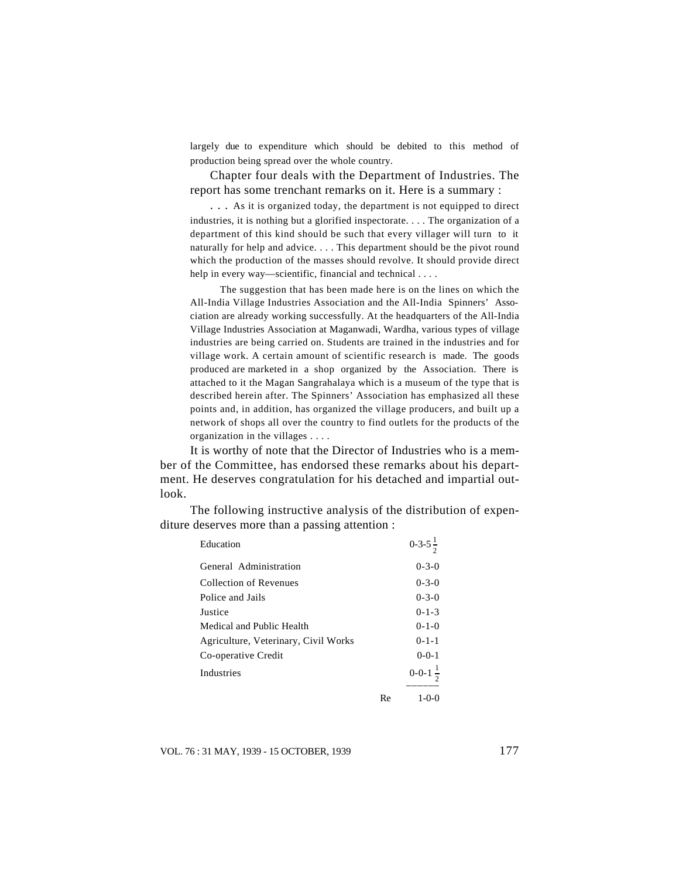largely due to expenditure which should be debited to this method of production being spread over the whole country.

Chapter four deals with the Department of Industries. The report has some trenchant remarks on it. Here is a summary :

... As it is organized today, the department is not equipped to direct industries, it is nothing but a glorified inspectorate. . . . The organization of a department of this kind should be such that every villager will turn to it naturally for help and advice. . . . This department should be the pivot round which the production of the masses should revolve. It should provide direct help in every way—scientific, financial and technical . . . .

The suggestion that has been made here is on the lines on which the All-India Village Industries Association and the All-India Spinners' Association are already working successfully. At the headquarters of the All-India Village Industries Association at Maganwadi, Wardha, various types of village industries are being carried on. Students are trained in the industries and for village work. A certain amount of scientific research is made. The goods produced are marketed in a shop organized by the Association. There is attached to it the Magan Sangrahalaya which is a museum of the type that is described herein after. The Spinners' Association has emphasized all these points and, in addition, has organized the village producers, and built up a network of shops all over the country to find outlets for the products of the organization in the villages . . . .

It is worthy of note that the Director of Industries who is a member of the Committee, has endorsed these remarks about his department. He deserves congratulation for his detached and impartial outlook.

The following instructive analysis of the distribution of expenditure deserves more than a passing attention :

| Education                            |    | $0 - 3 - 5 \frac{1}{2}$ |
|--------------------------------------|----|-------------------------|
| General Administration               |    | $0 - 3 - 0$             |
| Collection of Revenues               |    | $0 - 3 - 0$             |
| Police and Jails                     |    | $0 - 3 - 0$             |
| Justice                              |    | $0 - 1 - 3$             |
| Medical and Public Health            |    | $0 - 1 - 0$             |
| Agriculture, Veterinary, Civil Works |    | $0 - 1 - 1$             |
| Co-operative Credit                  |    | $0-0-1$                 |
| Industries                           |    | $0-0-1\frac{1}{2}$      |
|                                      | Re | $1-()-()$               |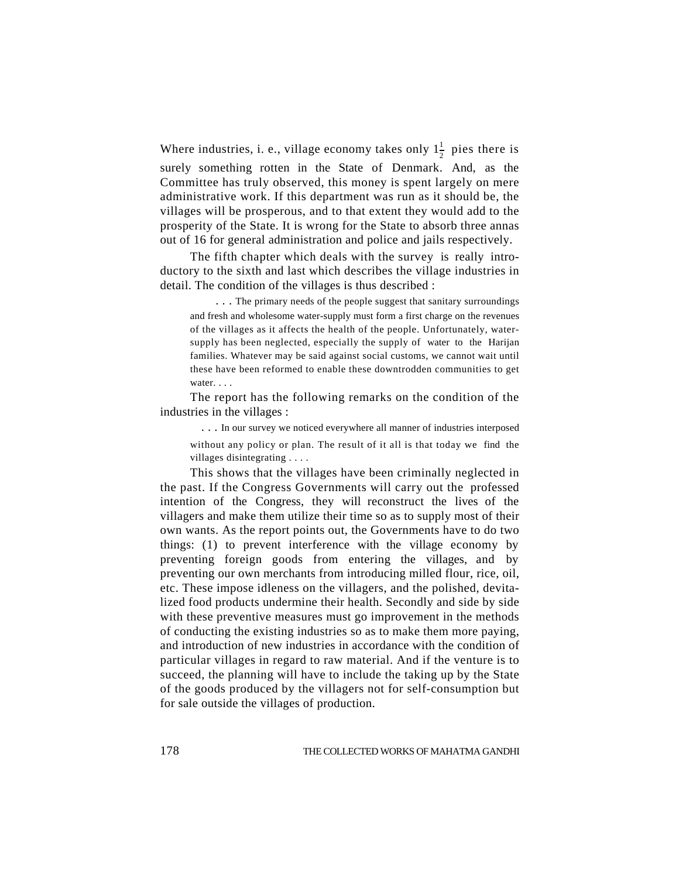Where industries, i. e., village economy takes only  $1\frac{1}{2}$  pies there is surely something rotten in the State of Denmark. And, as the Committee has truly observed, this money is spent largely on mere administrative work. If this department was run as it should be, the villages will be prosperous, and to that extent they would add to the prosperity of the State. It is wrong for the State to absorb three annas out of 16 for general administration and police and jails respectively.

The fifth chapter which deals with the survey is really introductory to the sixth and last which describes the village industries in detail. The condition of the villages is thus described :

. . . The primary needs of the people suggest that sanitary surroundings and fresh and wholesome water-supply must form a first charge on the revenues of the villages as it affects the health of the people. Unfortunately, watersupply has been neglected, especially the supply of water to the Harijan families. Whatever may be said against social customs, we cannot wait until these have been reformed to enable these downtrodden communities to get water. . . .

The report has the following remarks on the condition of the industries in the villages :

. . . In our survey we noticed everywhere all manner of industries interposed without any policy or plan. The result of it all is that today we find the villages disintegrating . . . .

This shows that the villages have been criminally neglected in the past. If the Congress Governments will carry out the professed intention of the Congress, they will reconstruct the lives of the villagers and make them utilize their time so as to supply most of their own wants. As the report points out, the Governments have to do two things: (1) to prevent interference with the village economy by preventing foreign goods from entering the villages, and by preventing our own merchants from introducing milled flour, rice, oil, etc. These impose idleness on the villagers, and the polished, devitalized food products undermine their health. Secondly and side by side with these preventive measures must go improvement in the methods of conducting the existing industries so as to make them more paying, and introduction of new industries in accordance with the condition of particular villages in regard to raw material. And if the venture is to succeed, the planning will have to include the taking up by the State of the goods produced by the villagers not for self-consumption but for sale outside the villages of production.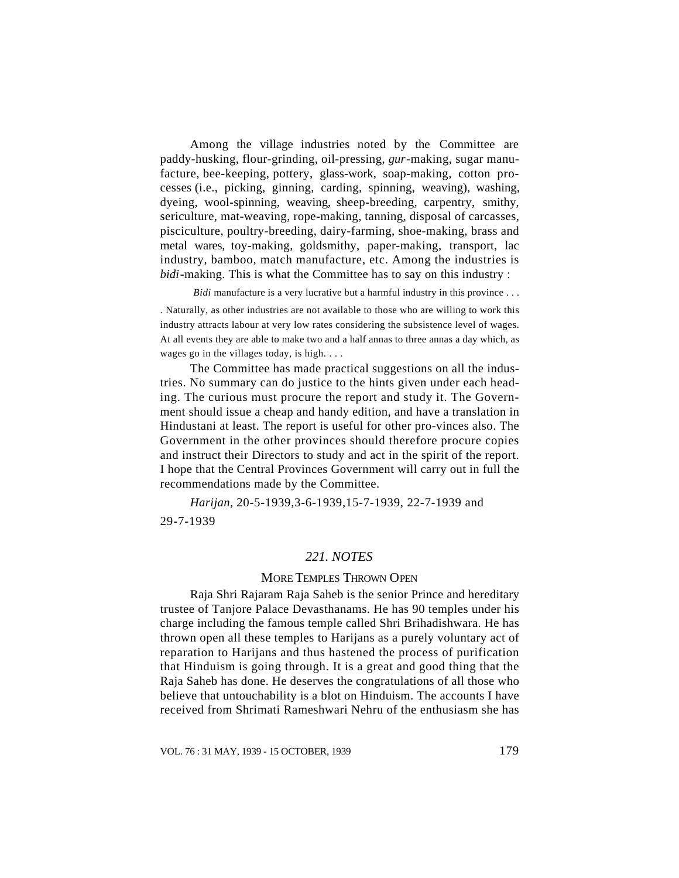Among the village industries noted by the Committee are paddy-husking, flour-grinding, oil-pressing, *gur*-making, sugar manufacture, bee-keeping, pottery, glass-work, soap-making, cotton processes (i.e., picking, ginning, carding, spinning, weaving), washing, dyeing, wool-spinning, weaving, sheep-breeding, carpentry, smithy, sericulture, mat-weaving, rope-making, tanning, disposal of carcasses, pisciculture, poultry-breeding, dairy-farming, shoe-making, brass and metal wares, toy-making, goldsmithy, paper-making, transport, lac industry, bamboo, match manufacture, etc. Among the industries is *bidi*-making. This is what the Committee has to say on this industry :

*Bidi* manufacture is a very lucrative but a harmful industry in this province . . .

. Naturally, as other industries are not available to those who are willing to work this industry attracts labour at very low rates considering the subsistence level of wages. At all events they are able to make two and a half annas to three annas a day which, as wages go in the villages today, is high. . . .

The Committee has made practical suggestions on all the industries. No summary can do justice to the hints given under each heading. The curious must procure the report and study it. The Government should issue a cheap and handy edition, and have a translation in Hindustani at least. The report is useful for other pro-vinces also. The Government in the other provinces should therefore procure copies and instruct their Directors to study and act in the spirit of the report. I hope that the Central Provinces Government will carry out in full the recommendations made by the Committee.

*Harijan,* 20-5-1939,3-6-1939,15-7-1939, 22-7-1939 and 29-7-1939

## *221. NOTES*

## MORE TEMPLES THROWN OPEN

Raja Shri Rajaram Raja Saheb is the senior Prince and hereditary trustee of Tanjore Palace Devasthanams. He has 90 temples under his charge including the famous temple called Shri Brihadishwara. He has thrown open all these temples to Harijans as a purely voluntary act of reparation to Harijans and thus hastened the process of purification that Hinduism is going through. It is a great and good thing that the Raja Saheb has done. He deserves the congratulations of all those who believe that untouchability is a blot on Hinduism. The accounts I have received from Shrimati Rameshwari Nehru of the enthusiasm she has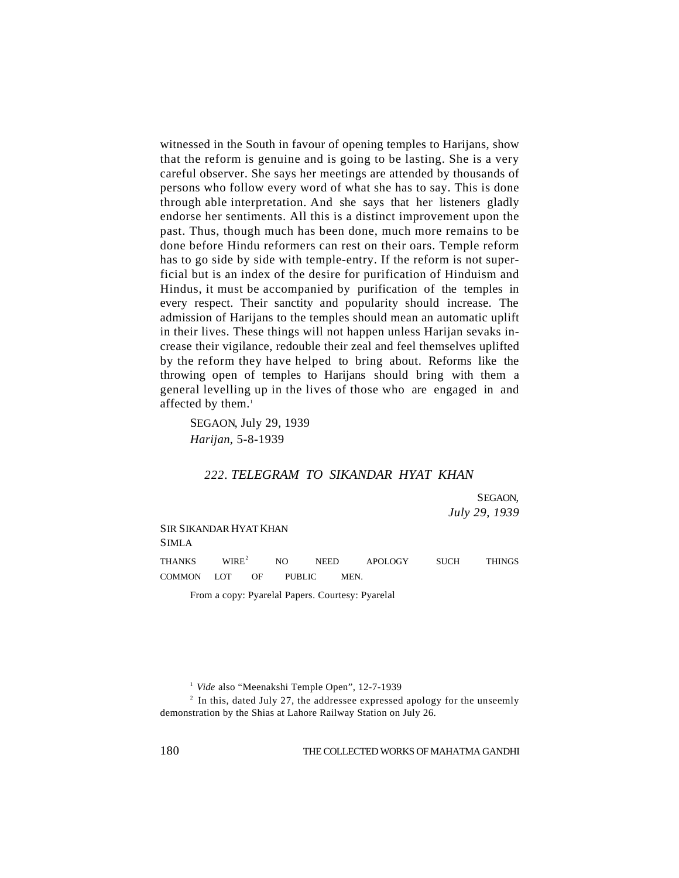witnessed in the South in favour of opening temples to Harijans, show that the reform is genuine and is going to be lasting. She is a very careful observer. She says her meetings are attended by thousands of persons who follow every word of what she has to say. This is done through able interpretation. And she says that her listeners gladly endorse her sentiments. All this is a distinct improvement upon the past. Thus, though much has been done, much more remains to be done before Hindu reformers can rest on their oars. Temple reform has to go side by side with temple-entry. If the reform is not superficial but is an index of the desire for purification of Hinduism and Hindus, it must be accompanied by purification of the temples in every respect. Their sanctity and popularity should increase. The admission of Harijans to the temples should mean an automatic uplift in their lives. These things will not happen unless Harijan sevaks increase their vigilance, redouble their zeal and feel themselves uplifted by the reform they have helped to bring about. Reforms like the throwing open of temples to Harijans should bring with them a general levelling up in the lives of those who are engaged in and affected by them.<sup>1</sup>

SEGAON, July 29, 1939 *Harijan*, 5-8-1939

# *222. TELEGRAM TO SIKANDAR HYAT KHAN*

SEGAON, *July 29, 1939*

#### SIR SIKANDAR HYAT KHAN SIMLA

THANKS WIRE<sup>2</sup> NO NEED APOLOGY SUCH THINGS COMMON LOT OF PUBLIC MEN.

From a copy: Pyarelal Papers. Courtesy: Pyarelal

<sup>1</sup> *Vide* also "Meenakshi Temple Open", 12-7-1939

 $2$  In this, dated July 27, the addressee expressed apology for the unseemly demonstration by the Shias at Lahore Railway Station on July 26.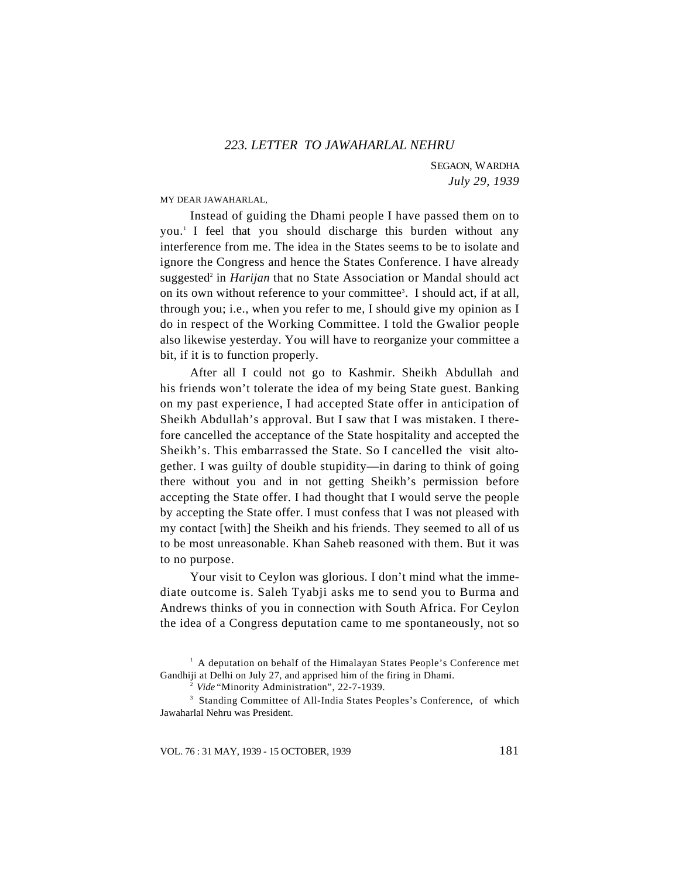## *223. LETTER TO JAWAHARLAL NEHRU*

SEGAON, WARDHA *July 29, 1939*

MY DEAR JAWAHARLAL,

Instead of guiding the Dhami people I have passed them on to you.<sup>1</sup> I feel that you should discharge this burden without any interference from me. The idea in the States seems to be to isolate and ignore the Congress and hence the States Conference. I have already suggested<sup>2</sup> in *Harijan* that no State Association or Mandal should act on its own without reference to your committee<sup>3</sup>. I should act, if at all, through you; i.e., when you refer to me, I should give my opinion as I do in respect of the Working Committee. I told the Gwalior people also likewise yesterday. You will have to reorganize your committee a bit, if it is to function properly.

After all I could not go to Kashmir. Sheikh Abdullah and his friends won't tolerate the idea of my being State guest. Banking on my past experience, I had accepted State offer in anticipation of Sheikh Abdullah's approval. But I saw that I was mistaken. I therefore cancelled the acceptance of the State hospitality and accepted the Sheikh's. This embarrassed the State. So I cancelled the visit altogether. I was guilty of double stupidity—in daring to think of going there without you and in not getting Sheikh's permission before accepting the State offer. I had thought that I would serve the people by accepting the State offer. I must confess that I was not pleased with my contact [with] the Sheikh and his friends. They seemed to all of us to be most unreasonable. Khan Saheb reasoned with them. But it was to no purpose.

Your visit to Ceylon was glorious. I don't mind what the immediate outcome is. Saleh Tyabji asks me to send you to Burma and Andrews thinks of you in connection with South Africa. For Ceylon the idea of a Congress deputation came to me spontaneously, not so

 $<sup>1</sup>$  A deputation on behalf of the Himalayan States People's Conference met</sup> Gandhiji at Delhi on July 27, and apprised him of the firing in Dhami.

<sup>2</sup> *Vide* "Minority Administration", 22-7-1939.

<sup>&</sup>lt;sup>3</sup> Standing Committee of All-India States Peoples's Conference, of which Jawaharlal Nehru was President.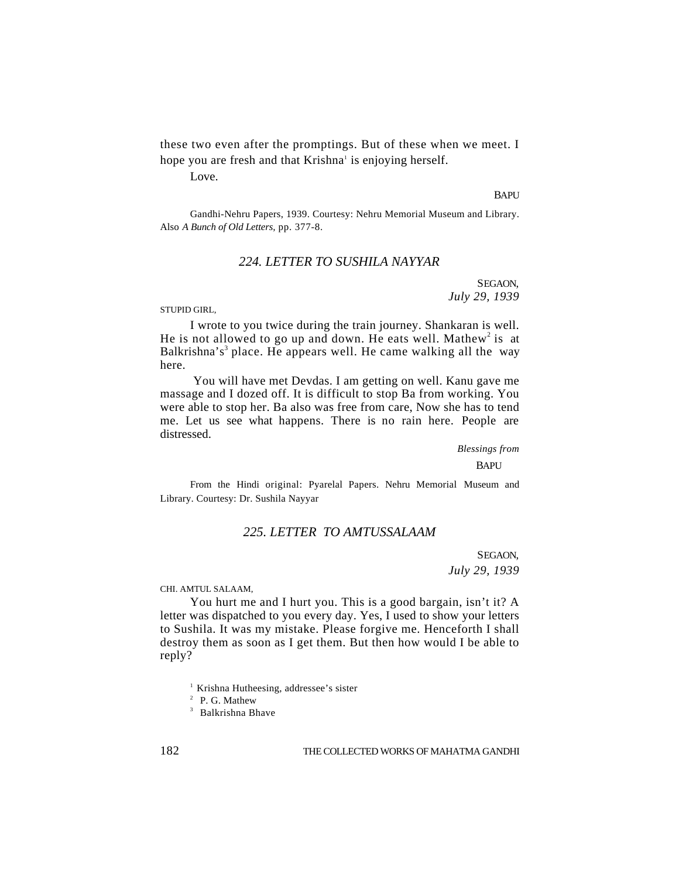these two even after the promptings. But of these when we meet. I hope you are fresh and that Krishna<sup>1</sup> is enjoying herself.

Love.

**BAPU** 

Gandhi-Nehru Papers, 1939. Courtesy: Nehru Memorial Museum and Library. Also *A Bunch of Old Letters,* pp. 377-8.

## *224. LETTER TO SUSHILA NAYYAR*

SEGAON, *July 29, 1939*

STUPID GIRL,

I wrote to you twice during the train journey. Shankaran is well. He is not allowed to go up and down. He eats well. Mathew<sup>2</sup> is at Balkrishna's<sup>3</sup> place. He appears well. He came walking all the way here.

 You will have met Devdas. I am getting on well. Kanu gave me massage and I dozed off. It is difficult to stop Ba from working. You were able to stop her. Ba also was free from care, Now she has to tend me. Let us see what happens. There is no rain here. People are distressed.

*Blessings from*

BAPU

From the Hindi original: Pyarelal Papers. Nehru Memorial Museum and Library. Courtesy: Dr. Sushila Nayyar

#### *225. LETTER TO AMTUSSALAAM*

SEGAON, *July 29, 1939*

CHI. AMTUL SALAAM,

You hurt me and I hurt you. This is a good bargain, isn't it? A letter was dispatched to you every day. Yes, I used to show your letters to Sushila. It was my mistake. Please forgive me. Henceforth I shall destroy them as soon as I get them. But then how would I be able to reply?

<sup>1</sup> Krishna Hutheesing, addressee's sister

2 P. G. Mathew

 $3$  Balkrishna Bhave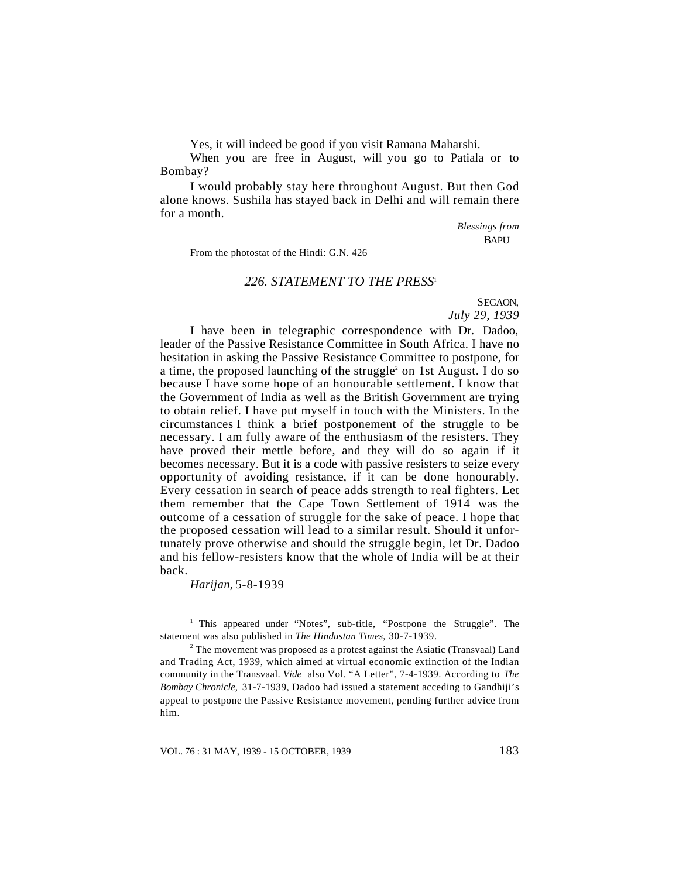Yes, it will indeed be good if you visit Ramana Maharshi.

When you are free in August, will you go to Patiala or to Bombay?

I would probably stay here throughout August. But then God alone knows. Sushila has stayed back in Delhi and will remain there for a month.

> *Blessings from* **BAPU**

From the photostat of the Hindi: G.N. 426

#### *226. STATEMENT TO THE PRESS*<sup>1</sup>

SEGAON, *July 29, 1939*

I have been in telegraphic correspondence with Dr. Dadoo, leader of the Passive Resistance Committee in South Africa. I have no hesitation in asking the Passive Resistance Committee to postpone, for a time, the proposed launching of the struggle<sup>2</sup> on 1st August. I do so because I have some hope of an honourable settlement. I know that the Government of India as well as the British Government are trying to obtain relief. I have put myself in touch with the Ministers. In the circumstances I think a brief postponement of the struggle to be necessary. I am fully aware of the enthusiasm of the resisters. They have proved their mettle before, and they will do so again if it becomes necessary. But it is a code with passive resisters to seize every opportunity of avoiding resistance, if it can be done honourably. Every cessation in search of peace adds strength to real fighters. Let them remember that the Cape Town Settlement of 1914 was the outcome of a cessation of struggle for the sake of peace. I hope that the proposed cessation will lead to a similar result. Should it unfortunately prove otherwise and should the struggle begin, let Dr. Dadoo and his fellow-resisters know that the whole of India will be at their back.

*Harijan*, 5-8-1939

<sup>1</sup> This appeared under "Notes", sub-title, "Postpone the Struggle". The statement was also published in *The Hindustan Times*, 30-7-1939.

 $2$ <sup>2</sup> The movement was proposed as a protest against the Asiatic (Transvaal) Land and Trading Act, 1939, which aimed at virtual economic extinction of the Indian community in the Transvaal. *Vide* also Vol. "A Letter", 7-4-1939. According to *The Bombay Chronicle,* 31-7-1939, Dadoo had issued a statement acceding to Gandhiji's appeal to postpone the Passive Resistance movement, pending further advice from him.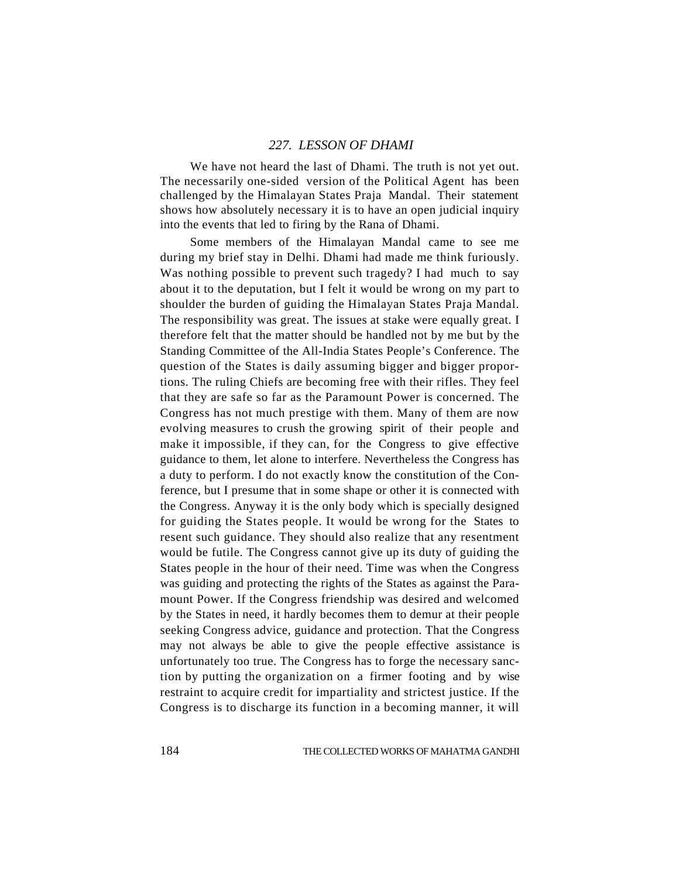## *227. LESSON OF DHAMI*

We have not heard the last of Dhami. The truth is not yet out. The necessarily one-sided version of the Political Agent has been challenged by the Himalayan States Praja Mandal. Their statement shows how absolutely necessary it is to have an open judicial inquiry into the events that led to firing by the Rana of Dhami.

Some members of the Himalayan Mandal came to see me during my brief stay in Delhi. Dhami had made me think furiously. Was nothing possible to prevent such tragedy? I had much to say about it to the deputation, but I felt it would be wrong on my part to shoulder the burden of guiding the Himalayan States Praja Mandal. The responsibility was great. The issues at stake were equally great. I therefore felt that the matter should be handled not by me but by the Standing Committee of the All-India States People's Conference. The question of the States is daily assuming bigger and bigger proportions. The ruling Chiefs are becoming free with their rifles. They feel that they are safe so far as the Paramount Power is concerned. The Congress has not much prestige with them. Many of them are now evolving measures to crush the growing spirit of their people and make it impossible, if they can, for the Congress to give effective guidance to them, let alone to interfere. Nevertheless the Congress has a duty to perform. I do not exactly know the constitution of the Conference, but I presume that in some shape or other it is connected with the Congress. Anyway it is the only body which is specially designed for guiding the States people. It would be wrong for the States to resent such guidance. They should also realize that any resentment would be futile. The Congress cannot give up its duty of guiding the States people in the hour of their need. Time was when the Congress was guiding and protecting the rights of the States as against the Paramount Power. If the Congress friendship was desired and welcomed by the States in need, it hardly becomes them to demur at their people seeking Congress advice, guidance and protection. That the Congress may not always be able to give the people effective assistance is unfortunately too true. The Congress has to forge the necessary sanction by putting the organization on a firmer footing and by wise restraint to acquire credit for impartiality and strictest justice. If the Congress is to discharge its function in a becoming manner, it will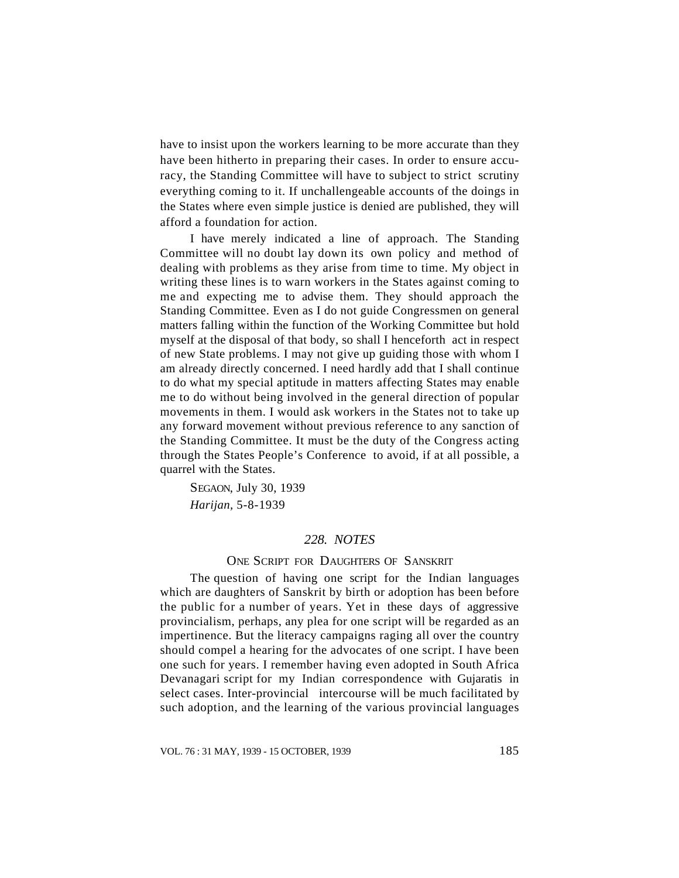have to insist upon the workers learning to be more accurate than they have been hitherto in preparing their cases. In order to ensure accuracy, the Standing Committee will have to subject to strict scrutiny everything coming to it. If unchallengeable accounts of the doings in the States where even simple justice is denied are published, they will afford a foundation for action.

I have merely indicated a line of approach. The Standing Committee will no doubt lay down its own policy and method of dealing with problems as they arise from time to time. My object in writing these lines is to warn workers in the States against coming to me and expecting me to advise them. They should approach the Standing Committee. Even as I do not guide Congressmen on general matters falling within the function of the Working Committee but hold myself at the disposal of that body, so shall I henceforth act in respect of new State problems. I may not give up guiding those with whom I am already directly concerned. I need hardly add that I shall continue to do what my special aptitude in matters affecting States may enable me to do without being involved in the general direction of popular movements in them. I would ask workers in the States not to take up any forward movement without previous reference to any sanction of the Standing Committee. It must be the duty of the Congress acting through the States People's Conference to avoid, if at all possible, a quarrel with the States.

SEGAON, July 30, 1939 *Harijan,* 5-8-1939

# *228. NOTES*

#### ONE SCRIPT FOR DAUGHTERS OF SANSKRIT

The question of having one script for the Indian languages which are daughters of Sanskrit by birth or adoption has been before the public for a number of years. Yet in these days of aggressive provincialism, perhaps, any plea for one script will be regarded as an impertinence. But the literacy campaigns raging all over the country should compel a hearing for the advocates of one script. I have been one such for years. I remember having even adopted in South Africa Devanagari script for my Indian correspondence with Gujaratis in select cases. Inter-provincial intercourse will be much facilitated by such adoption, and the learning of the various provincial languages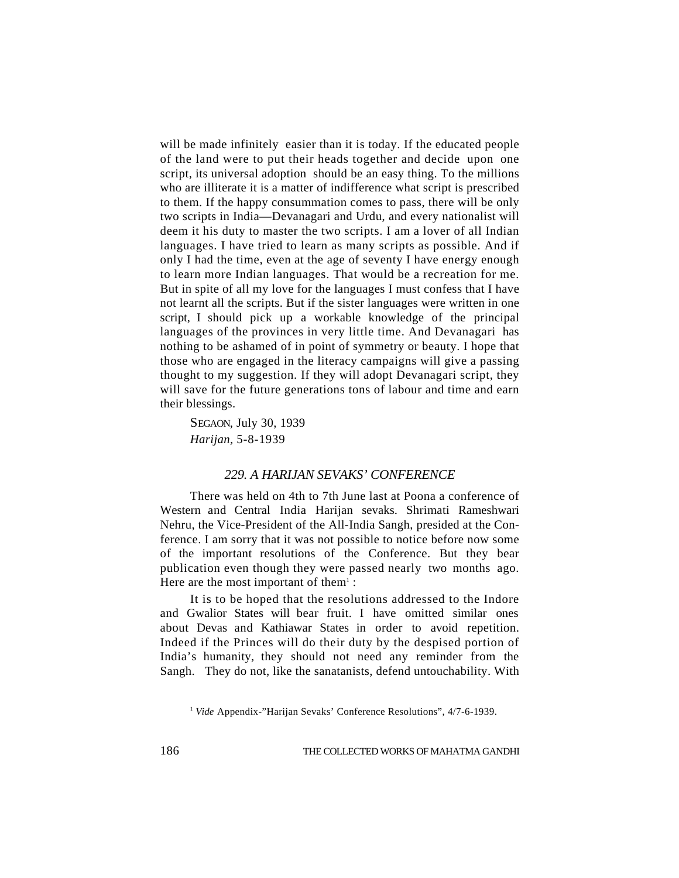will be made infinitely easier than it is today. If the educated people of the land were to put their heads together and decide upon one script, its universal adoption should be an easy thing. To the millions who are illiterate it is a matter of indifference what script is prescribed to them. If the happy consummation comes to pass, there will be only two scripts in India—Devanagari and Urdu, and every nationalist will deem it his duty to master the two scripts. I am a lover of all Indian languages. I have tried to learn as many scripts as possible. And if only I had the time, even at the age of seventy I have energy enough to learn more Indian languages. That would be a recreation for me. But in spite of all my love for the languages I must confess that I have not learnt all the scripts. But if the sister languages were written in one script, I should pick up a workable knowledge of the principal languages of the provinces in very little time. And Devanagari has nothing to be ashamed of in point of symmetry or beauty. I hope that those who are engaged in the literacy campaigns will give a passing thought to my suggestion. If they will adopt Devanagari script, they will save for the future generations tons of labour and time and earn their blessings.

SEGAON, July 30, 1939 *Harijan,* 5-8-1939

# *229. A HARIJAN SEVAKS' CONFERENCE*

There was held on 4th to 7th June last at Poona a conference of Western and Central India Harijan sevaks. Shrimati Rameshwari Nehru, the Vice-President of the All-India Sangh, presided at the Conference. I am sorry that it was not possible to notice before now some of the important resolutions of the Conference. But they bear publication even though they were passed nearly two months ago. Here are the most important of them $\cdot$ :

It is to be hoped that the resolutions addressed to the Indore and Gwalior States will bear fruit. I have omitted similar ones about Devas and Kathiawar States in order to avoid repetition. Indeed if the Princes will do their duty by the despised portion of India's humanity, they should not need any reminder from the Sangh. They do not, like the sanatanists, defend untouchability. With

<sup>&</sup>lt;sup>1</sup> Vide Appendix-"Harijan Sevaks' Conference Resolutions", 4/7-6-1939.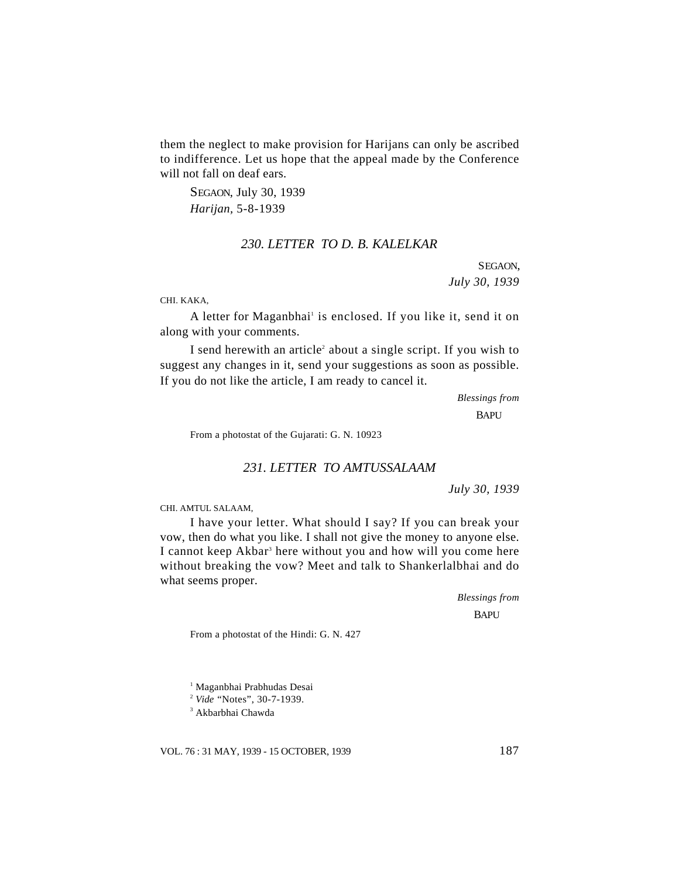them the neglect to make provision for Harijans can only be ascribed to indifference. Let us hope that the appeal made by the Conference will not fall on deaf ears.

SEGAON, July 30, 1939 *Harijan,* 5-8-1939

#### *230. LETTER TO D. B. KALELKAR*

SEGAON,  *July 30, 1939*

CHI. KAKA,

A letter for Maganbhai<sup>1</sup> is enclosed. If you like it, send it on along with your comments.

I send herewith an article<sup>2</sup> about a single script. If you wish to suggest any changes in it, send your suggestions as soon as possible. If you do not like the article, I am ready to cancel it.

*Blessings from*

**BAPU** 

From a photostat of the Gujarati: G. N. 10923

#### *231. LETTER TO AMTUSSALAAM*

*July 30, 1939*

CHI. AMTUL SALAAM,

I have your letter. What should I say? If you can break your vow, then do what you like. I shall not give the money to anyone else. I cannot keep Akbar<sup>3</sup> here without you and how will you come here without breaking the vow? Meet and talk to Shankerlalbhai and do what seems proper.

*Blessings from*

**BAPU** 

From a photostat of the Hindi: G. N. 427

<sup>1</sup> Maganbhai Prabhudas Desai

<sup>2</sup> *Vide* "Notes", 30-7-1939.

<sup>3</sup> Akbarbhai Chawda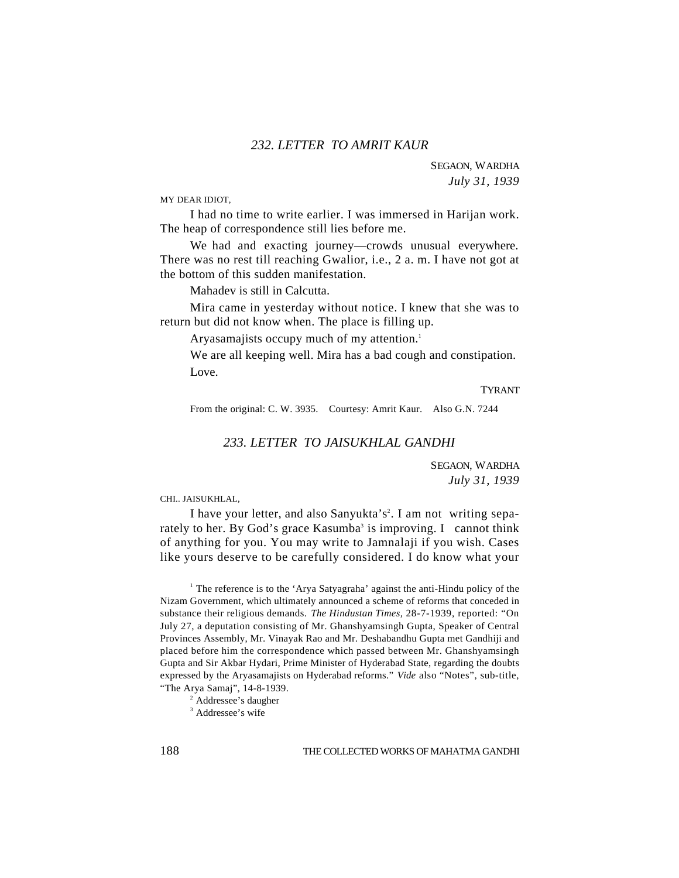SEGAON, WARDHA *July 31, 1939*

MY DEAR IDIOT,

I had no time to write earlier. I was immersed in Harijan work. The heap of correspondence still lies before me.

We had and exacting journey—crowds unusual everywhere. There was no rest till reaching Gwalior, i.e., 2 a. m. I have not got at the bottom of this sudden manifestation.

Mahadev is still in Calcutta.

Mira came in yesterday without notice. I knew that she was to return but did not know when. The place is filling up.

Aryasamajists occupy much of my attention.<sup>1</sup>

We are all keeping well. Mira has a bad cough and constipation. Love.

TYRANT

From the original: C. W. 3935. Courtesy: Amrit Kaur. Also G.N. 7244

#### *233. LETTER TO JAISUKHLAL GANDHI*

SEGAON, WARDHA *July 31, 1939*

CHI.. JAISUKHLAL,

I have your letter, and also Sanyukta's<sup>2</sup>. I am not writing separately to her. By God's grace Kasumba<sup>3</sup> is improving. I cannot think of anything for you. You may write to Jamnalaji if you wish. Cases like yours deserve to be carefully considered. I do know what your

<sup>1</sup> The reference is to the 'Arya Satyagraha' against the anti-Hindu policy of the Nizam Government, which ultimately announced a scheme of reforms that conceded in substance their religious demands. *The Hindustan Times,* 28-7-1939, reported: "On July 27, a deputation consisting of Mr. Ghanshyamsingh Gupta, Speaker of Central Provinces Assembly, Mr. Vinayak Rao and Mr. Deshabandhu Gupta met Gandhiji and placed before him the correspondence which passed between Mr. Ghanshyamsingh Gupta and Sir Akbar Hydari, Prime Minister of Hyderabad State, regarding the doubts expressed by the Aryasamajists on Hyderabad reforms." *Vide* also "Notes", sub-title, "The Arya Samaj", 14-8-1939.

2 Addressee's daugher <sup>3</sup> Addressee's wife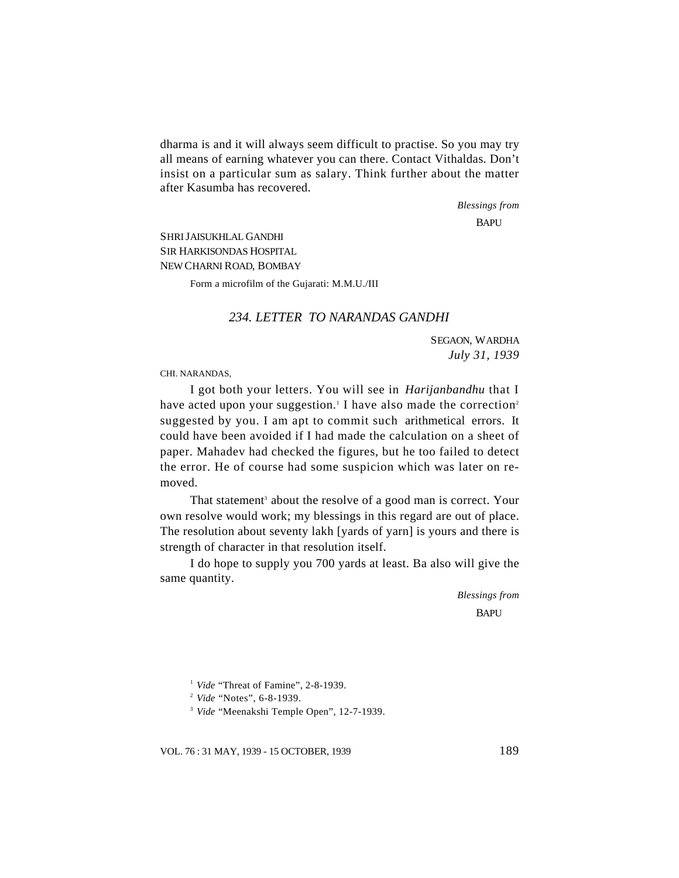dharma is and it will always seem difficult to practise. So you may try all means of earning whatever you can there. Contact Vithaldas. Don't insist on a particular sum as salary. Think further about the matter after Kasumba has recovered.

> *Blessings from* **BAPU**

# SHRI JAISUKHLAL GANDHI SIR HARKISONDAS HOSPITAL NEW CHARNI ROAD, BOMBAY

Form a microfilm of the Gujarati: M.M.U./III

#### *234. LETTER TO NARANDAS GANDHI*

SEGAON, WARDHA *July 31, 1939*

CHI. NARANDAS,

I got both your letters. You will see in *Harijanbandhu* that I have acted upon your suggestion.<sup>1</sup> I have also made the correction<sup>2</sup> suggested by you. I am apt to commit such arithmetical errors. It could have been avoided if I had made the calculation on a sheet of paper. Mahadev had checked the figures, but he too failed to detect the error. He of course had some suspicion which was later on removed.

That statement<sup>3</sup> about the resolve of a good man is correct. Your own resolve would work; my blessings in this regard are out of place. The resolution about seventy lakh [yards of yarn] is yours and there is strength of character in that resolution itself.

I do hope to supply you 700 yards at least. Ba also will give the same quantity.

> *Blessings from* **BAPU**

<sup>1</sup> *Vide* "Threat of Famine", 2-8-1939.

<sup>2</sup> *Vide* "Notes", 6-8-1939.

<sup>3</sup> *Vide* "Meenakshi Temple Open", 12-7-1939.

VOL. 76 : 31 MAY, 1939 - 15 OCTOBER, 1939 1899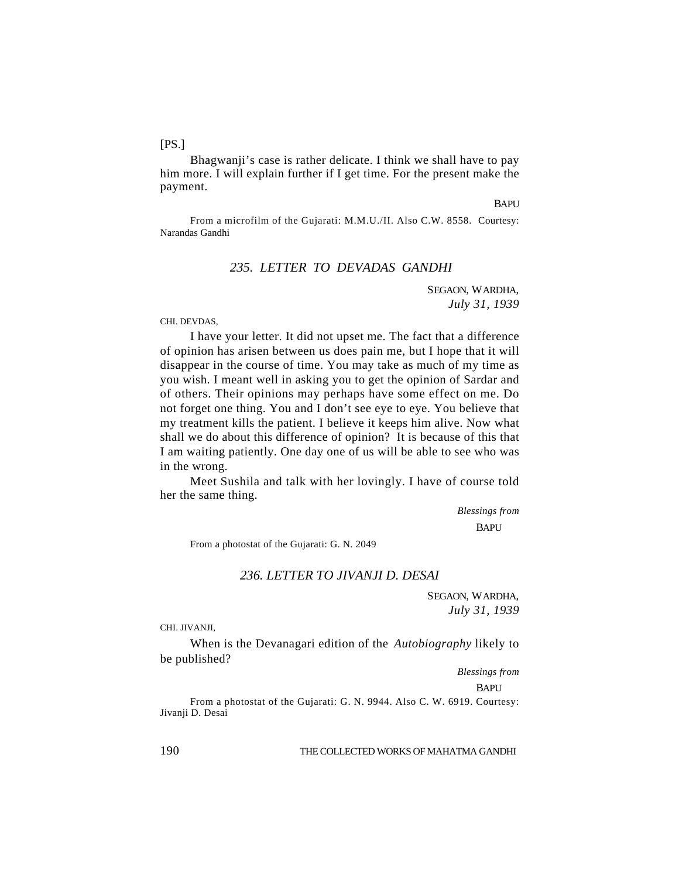$[PS.]$ 

Bhagwanji's case is rather delicate. I think we shall have to pay him more. I will explain further if I get time. For the present make the payment.

**BAPU** 

From a microfilm of the Gujarati: M.M.U./II. Also C.W. 8558. Courtesy: Narandas Gandhi

# *235. LETTER TO DEVADAS GANDHI*

SEGAON, WARDHA, *July 31, 1939*

CHI. DEVDAS,

I have your letter. It did not upset me. The fact that a difference of opinion has arisen between us does pain me, but I hope that it will disappear in the course of time. You may take as much of my time as you wish. I meant well in asking you to get the opinion of Sardar and of others. Their opinions may perhaps have some effect on me. Do not forget one thing. You and I don't see eye to eye. You believe that my treatment kills the patient. I believe it keeps him alive. Now what shall we do about this difference of opinion? It is because of this that I am waiting patiently. One day one of us will be able to see who was in the wrong.

Meet Sushila and talk with her lovingly. I have of course told her the same thing.

> *Blessings from* **BAPU**

From a photostat of the Gujarati: G. N. 2049

## *236. LETTER TO JIVANJI D. DESAI*

SEGAON, WARDHA, *July 31, 1939*

CHI. JIVANJI,

When is the Devanagari edition of the *Autobiography* likely to be published?

*Blessings from*

**BAPU** 

From a photostat of the Gujarati: G. N. 9944. Also C. W. 6919. Courtesy: Jivanji D. Desai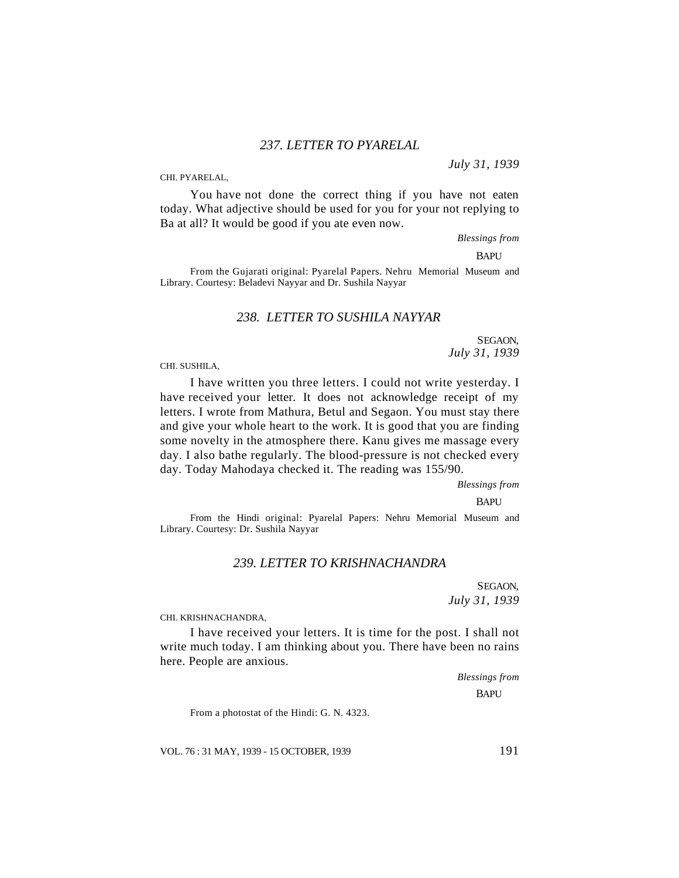*July 31, 1939*

CHI. PYARELAL,

You have not done the correct thing if you have not eaten today. What adjective should be used for you for your not replying to Ba at all? It would be good if you ate even now.

*Blessings from*

BAPU

From the Gujarati original: Pyarelal Papers. Nehru Memorial Museum and Library. Courtesy: Beladevi Nayyar and Dr. Sushila Nayyar

#### *238. LETTER TO SUSHILA NAYYAR*

SEGAON, *July 31, 1939*

CHI. SUSHILA,

I have written you three letters. I could not write yesterday. I have received your letter. It does not acknowledge receipt of my letters. I wrote from Mathura, Betul and Segaon. You must stay there and give your whole heart to the work. It is good that you are finding some novelty in the atmosphere there. Kanu gives me massage every day. I also bathe regularly. The blood-pressure is not checked every day. Today Mahodaya checked it. The reading was 155/90.

*Blessings from*

**BAPU** 

From the Hindi original: Pyarelal Papers: Nehru Memorial Museum and Library. Courtesy: Dr. Sushila Nayyar

#### *239. LETTER TO KRISHNACHANDRA*

SEGAON, *July 31, 1939*

CHI. KRISHNACHANDRA,

I have received your letters. It is time for the post. I shall not write much today. I am thinking about you. There have been no rains here. People are anxious.

> *Blessings from* **BAPU**

From a photostat of the Hindi: G. N. 4323.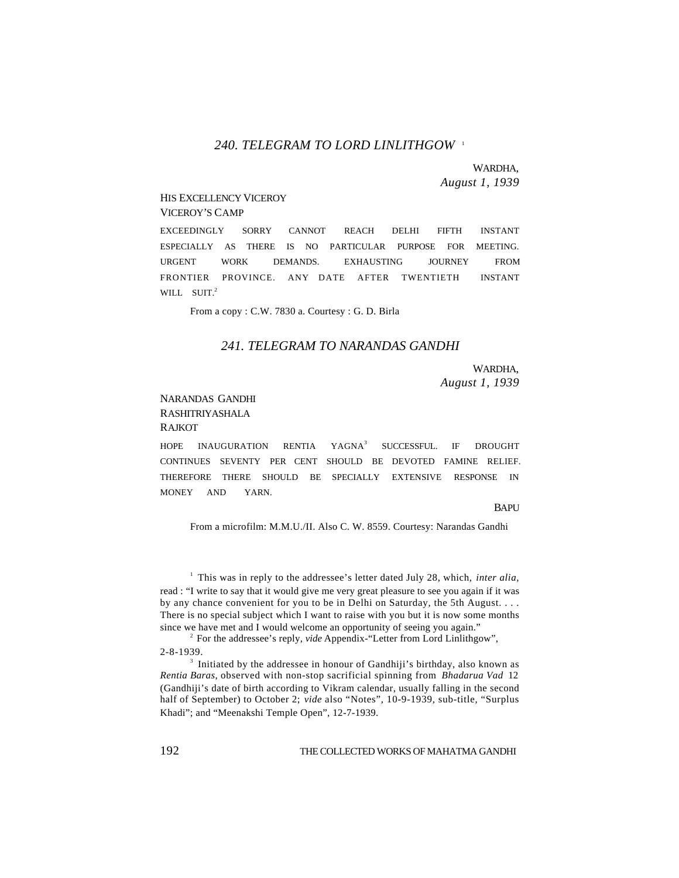## *240. TELEGRAM TO LORD LINLITHGOW*  1

WARDHA, *August 1, 1939*

# HIS EXCELLENCY VICEROY

VICEROY'S CAMP

EXCEEDINGLY SORRY CANNOT REACH DELHI FIFTH INSTANT ESPECIALLY AS THERE IS NO PARTICULAR PURPOSE FOR MEETING. URGENT WORK DEMANDS. EXHAUSTING JOURNEY FROM FRONTIER PROVINCE. ANY DATE AFTER TWENTIETH INSTANT WILL SUIT.<sup>2</sup>

From a copy : C.W. 7830 a. Courtesy : G. D. Birla

#### *241. TELEGRAM TO NARANDAS GANDHI*

WARDHA, *August 1, 1939*

# NARANDAS GANDHI

RASHITRIYASHALA

#### RAJKOT

HOPE INAUGURATION RENTIA YAGNA<sup>3</sup> SUCCESSFUL. IF DROUGHT CONTINUES SEVENTY PER CENT SHOULD BE DEVOTED FAMINE RELIEF. THEREFORE THERE SHOULD BE SPECIALLY EXTENSIVE RESPONSE IN MONEY AND YARN.

#### BAPU

From a microfilm: M.M.U./II. Also C. W. 8559. Courtesy: Narandas Gandhi

<sup>1</sup> This was in reply to the addressee's letter dated July 28, which, *inter alia*, read : "I write to say that it would give me very great pleasure to see you again if it was by any chance convenient for you to be in Delhi on Saturday, the 5th August. . . . There is no special subject which I want to raise with you but it is now some months since we have met and I would welcome an opportunity of seeing you again."

<sup>2</sup> For the addressee's reply, *vide* Appendix-"Letter from Lord Linlithgow", 2-8-1939.

<sup>3</sup> Initiated by the addressee in honour of Gandhiji's birthday, also known as *Rentia Baras,* observed with non-stop sacrificial spinning from *Bhadarua Vad* 12 (Gandhiji's date of birth according to Vikram calendar, usually falling in the second half of September) to October 2; *vide* also "Notes", 10-9-1939, sub-title, "Surplus Khadi"; and "Meenakshi Temple Open", 12-7-1939.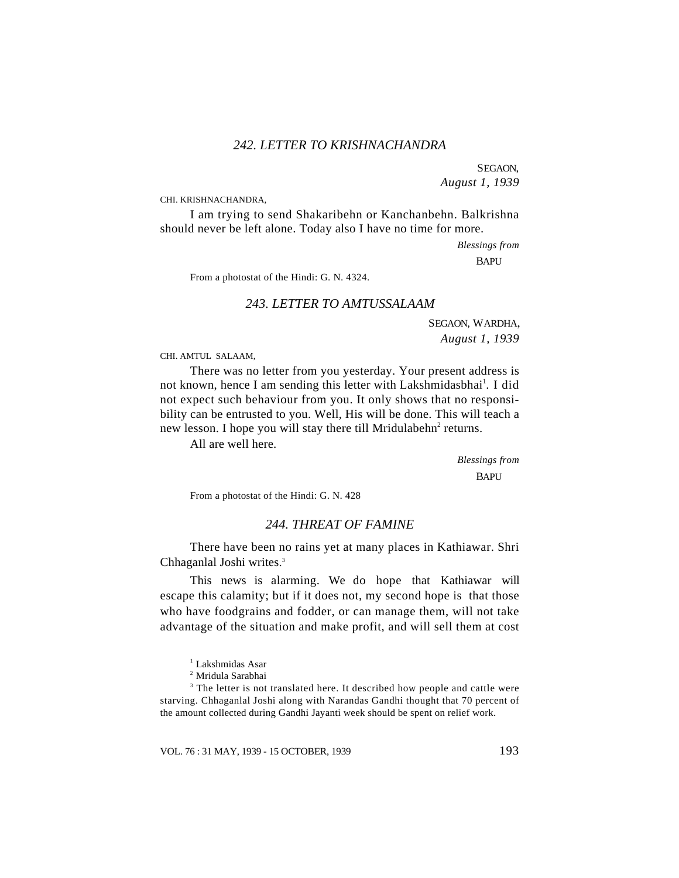#### *242. LETTER TO KRISHNACHANDRA*

SEGAON, *August 1, 1939*

CHI. KRISHNACHANDRA,

I am trying to send Shakaribehn or Kanchanbehn. Balkrishna should never be left alone. Today also I have no time for more.

> *Blessings from* BAPU

From a photostat of the Hindi: G. N. 4324.

#### *243. LETTER TO AMTUSSALAAM*

SEGAON, WARDHA, *August 1, 1939*

CHI. AMTUL SALAAM,

There was no letter from you yesterday. Your present address is not known, hence I am sending this letter with Lakshmidasbhai<sup>1</sup>. I did not expect such behaviour from you. It only shows that no responsibility can be entrusted to you. Well, His will be done. This will teach a new lesson. I hope you will stay there till Mridulabehn<sup>2</sup> returns.

All are well here.

*Blessings from* **BAPU** 

From a photostat of the Hindi: G. N. 428

#### *244. THREAT OF FAMINE*

There have been no rains yet at many places in Kathiawar. Shri Chhaganlal Joshi writes.<sup>3</sup>

This news is alarming. We do hope that Kathiawar will escape this calamity; but if it does not, my second hope is that those who have foodgrains and fodder, or can manage them, will not take advantage of the situation and make profit, and will sell them at cost

1 Lakshmidas Asar

2 Mridula Sarabhai

<sup>3</sup> The letter is not translated here. It described how people and cattle were starving. Chhaganlal Joshi along with Narandas Gandhi thought that 70 percent of the amount collected during Gandhi Jayanti week should be spent on relief work.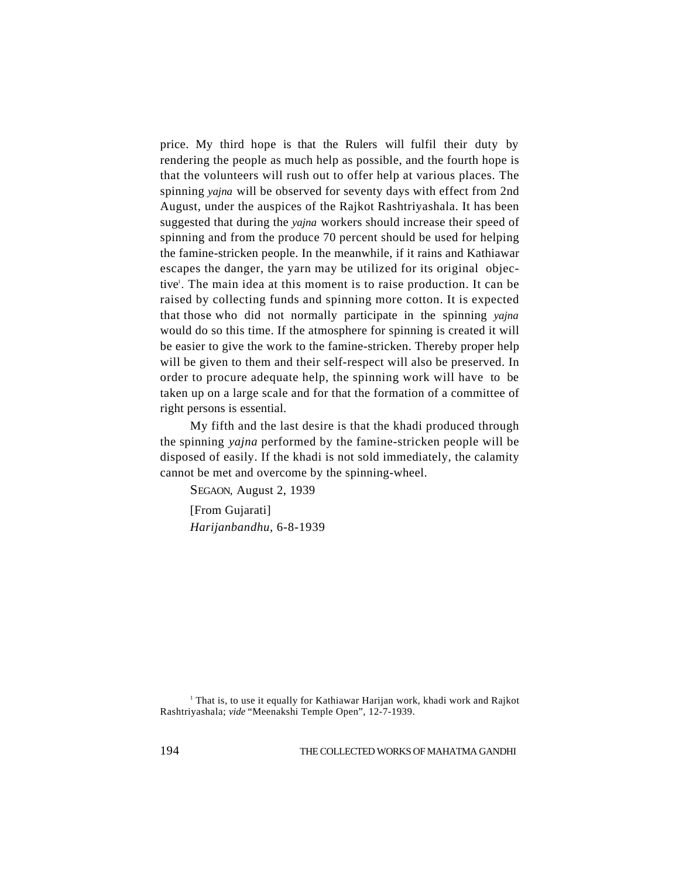price. My third hope is that the Rulers will fulfil their duty by rendering the people as much help as possible, and the fourth hope is that the volunteers will rush out to offer help at various places. The spinning *yajna* will be observed for seventy days with effect from 2nd August, under the auspices of the Rajkot Rashtriyashala. It has been suggested that during the *yajna* workers should increase their speed of spinning and from the produce 70 percent should be used for helping the famine-stricken people. In the meanwhile, if it rains and Kathiawar escapes the danger, the yarn may be utilized for its original objective<sup>1</sup>. The main idea at this moment is to raise production. It can be raised by collecting funds and spinning more cotton. It is expected that those who did not normally participate in the spinning *yajna* would do so this time. If the atmosphere for spinning is created it will be easier to give the work to the famine-stricken. Thereby proper help will be given to them and their self-respect will also be preserved. In order to procure adequate help, the spinning work will have to be taken up on a large scale and for that the formation of a committee of right persons is essential.

My fifth and the last desire is that the khadi produced through the spinning *yajna* performed by the famine-stricken people will be disposed of easily. If the khadi is not sold immediately, the calamity cannot be met and overcome by the spinning-wheel.

SEGAON, August 2, 1939

[From Gujarati] *Harijanbandhu,* 6-8-1939

<sup>&</sup>lt;sup>1</sup> That is, to use it equally for Kathiawar Harijan work, khadi work and Rajkot Rashtriyashala; *vide* "Meenakshi Temple Open", 12-7-1939.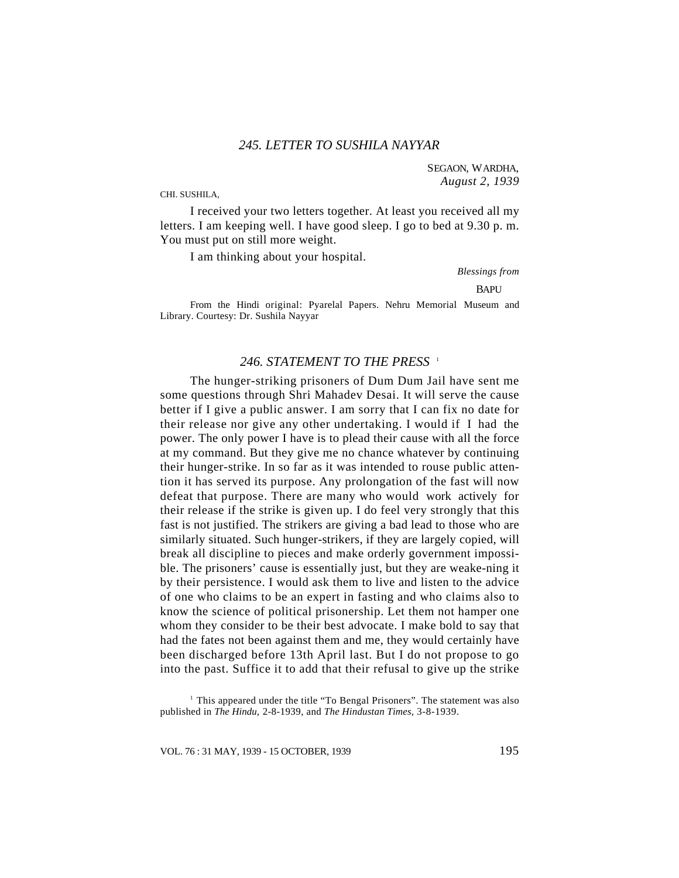SEGAON, WARDHA, *August 2, 1939*

CHI. SUSHILA,

I received your two letters together. At least you received all my letters. I am keeping well. I have good sleep. I go to bed at 9.30 p. m. You must put on still more weight.

I am thinking about your hospital.

*Blessings from*

**BAPU** 

From the Hindi original: Pyarelal Papers. Nehru Memorial Museum and Library. Courtesy: Dr. Sushila Nayyar

#### *246. STATEMENT TO THE PRESS* <sup>1</sup>

The hunger-striking prisoners of Dum Dum Jail have sent me some questions through Shri Mahadev Desai. It will serve the cause better if I give a public answer. I am sorry that I can fix no date for their release nor give any other undertaking. I would if I had the power. The only power I have is to plead their cause with all the force at my command. But they give me no chance whatever by continuing their hunger-strike. In so far as it was intended to rouse public attention it has served its purpose. Any prolongation of the fast will now defeat that purpose. There are many who would work actively for their release if the strike is given up. I do feel very strongly that this fast is not justified. The strikers are giving a bad lead to those who are similarly situated. Such hunger-strikers, if they are largely copied, will break all discipline to pieces and make orderly government impossible. The prisoners' cause is essentially just, but they are weake-ning it by their persistence. I would ask them to live and listen to the advice of one who claims to be an expert in fasting and who claims also to know the science of political prisonership. Let them not hamper one whom they consider to be their best advocate. I make bold to say that had the fates not been against them and me, they would certainly have been discharged before 13th April last. But I do not propose to go into the past. Suffice it to add that their refusal to give up the strike

<sup>&</sup>lt;sup>1</sup> This appeared under the title "To Bengal Prisoners". The statement was also published in *The Hindu,* 2-8-1939, and *The Hindustan Times,* 3-8-1939.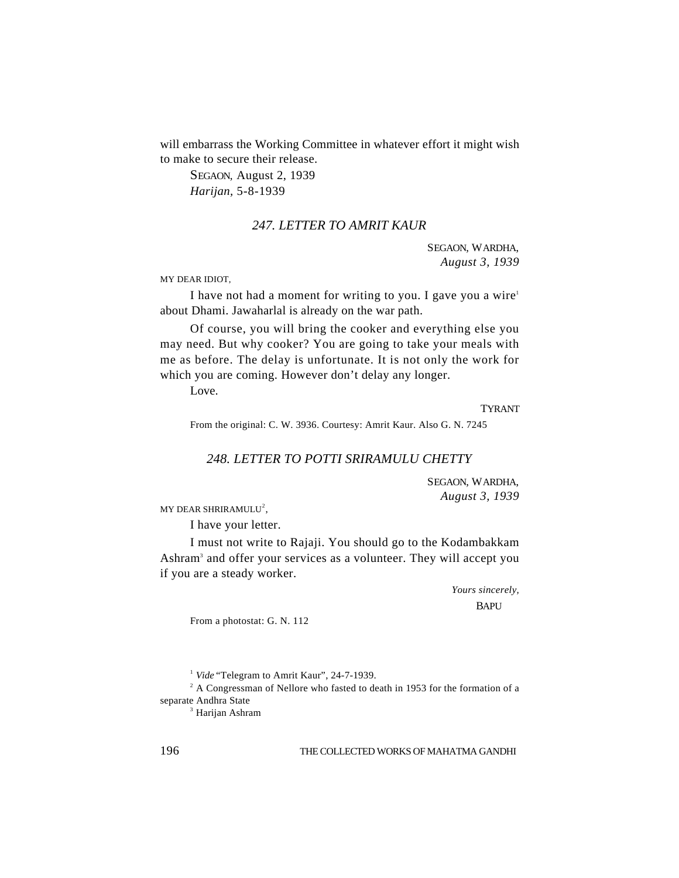will embarrass the Working Committee in whatever effort it might wish to make to secure their release.

SEGAON, August 2, 1939 *Harijan,* 5-8-1939

## *247. LETTER TO AMRIT KAUR*

SEGAON, WARDHA, *August 3, 1939*

MY DEAR IDIOT,

I have not had a moment for writing to you. I gave you a wire<sup>1</sup> about Dhami. Jawaharlal is already on the war path.

Of course, you will bring the cooker and everything else you may need. But why cooker? You are going to take your meals with me as before. The delay is unfortunate. It is not only the work for which you are coming. However don't delay any longer.

Love.

TYRANT

From the original: C. W. 3936. Courtesy: Amrit Kaur. Also G. N. 7245

## *248. LETTER TO POTTI SRIRAMULU CHETTY*

SEGAON, WARDHA, *August 3, 1939*

MY DEAR SHRIRAMULU $^2$ ,

I have your letter.

I must not write to Rajaji. You should go to the Kodambakkam Ashram<sup>3</sup> and offer your services as a volunteer. They will accept you if you are a steady worker.

> *Yours sincerely,* **BAPU**

From a photostat: G. N. 112

<sup>1</sup> Vide "Telegram to Amrit Kaur", 24-7-1939.

 $2^2$  A Congressman of Nellore who fasted to death in 1953 for the formation of a separate Andhra State

<sup>3</sup> Harijan Ashram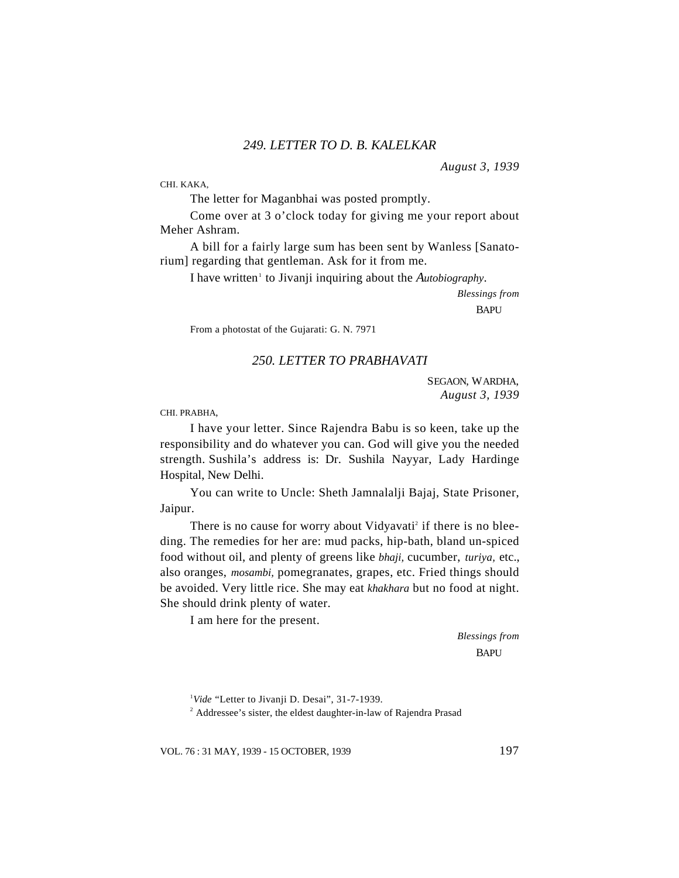*August 3, 1939*

CHI KAKA

The letter for Maganbhai was posted promptly.

Come over at 3 o'clock today for giving me your report about Meher Ashram.

A bill for a fairly large sum has been sent by Wanless [Sanatorium] regarding that gentleman. Ask for it from me.

I have written<sup>1</sup> to Jivanji inquiring about the *Autobiography*.

*Blessings from*

**BAPU** 

From a photostat of the Gujarati: G. N. 7971

#### *250. LETTER TO PRABHAVATI*

SEGAON, WARDHA, *August 3, 1939*

CHI. PRABHA,

I have your letter. Since Rajendra Babu is so keen, take up the responsibility and do whatever you can. God will give you the needed strength. Sushila's address is: Dr. Sushila Nayyar, Lady Hardinge Hospital, New Delhi.

You can write to Uncle: Sheth Jamnalalji Bajaj, State Prisoner, Jaipur.

There is no cause for worry about Vidyavati<sup>2</sup> if there is no bleeding. The remedies for her are: mud packs, hip-bath, bland un-spiced food without oil, and plenty of greens like *bhaji,* cucumber, *turiya,* etc., also oranges, *mosambi,* pomegranates, grapes, etc. Fried things should be avoided. Very little rice. She may eat *khakhara* but no food at night. She should drink plenty of water.

I am here for the present.

*Blessings from* **BAPU** 

 $2$  Addressee's sister, the eldest daughter-in-law of Rajendra Prasad

<sup>&</sup>lt;sup>1</sup>Vide "Letter to Jivanji D. Desai", 31-7-1939.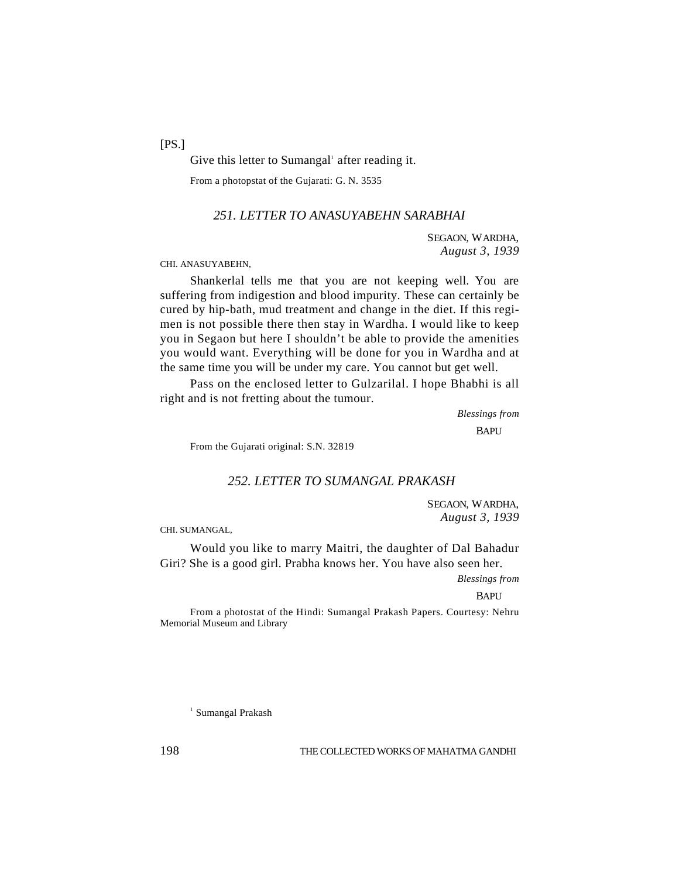[PS.]

Give this letter to Sumangal' after reading it.

From a photopstat of the Gujarati: G. N. 3535

# *251. LETTER TO ANASUYABEHN SARABHAI*

SEGAON, WARDHA, *August 3, 1939*

CHI. ANASUYABEHN,

Shankerlal tells me that you are not keeping well. You are suffering from indigestion and blood impurity. These can certainly be cured by hip-bath, mud treatment and change in the diet. If this regimen is not possible there then stay in Wardha. I would like to keep you in Segaon but here I shouldn't be able to provide the amenities you would want. Everything will be done for you in Wardha and at the same time you will be under my care. You cannot but get well.

Pass on the enclosed letter to Gulzarilal. I hope Bhabhi is all right and is not fretting about the tumour.

> *Blessings from* **BAPU**

From the Gujarati original: S.N. 32819

## *252. LETTER TO SUMANGAL PRAKASH*

SEGAON, WARDHA, *August 3, 1939*

CHI. SUMANGAL,

Would you like to marry Maitri, the daughter of Dal Bahadur Giri? She is a good girl. Prabha knows her. You have also seen her.

*Blessings from*

**BAPU** 

From a photostat of the Hindi: Sumangal Prakash Papers. Courtesy: Nehru Memorial Museum and Library

1 Sumangal Prakash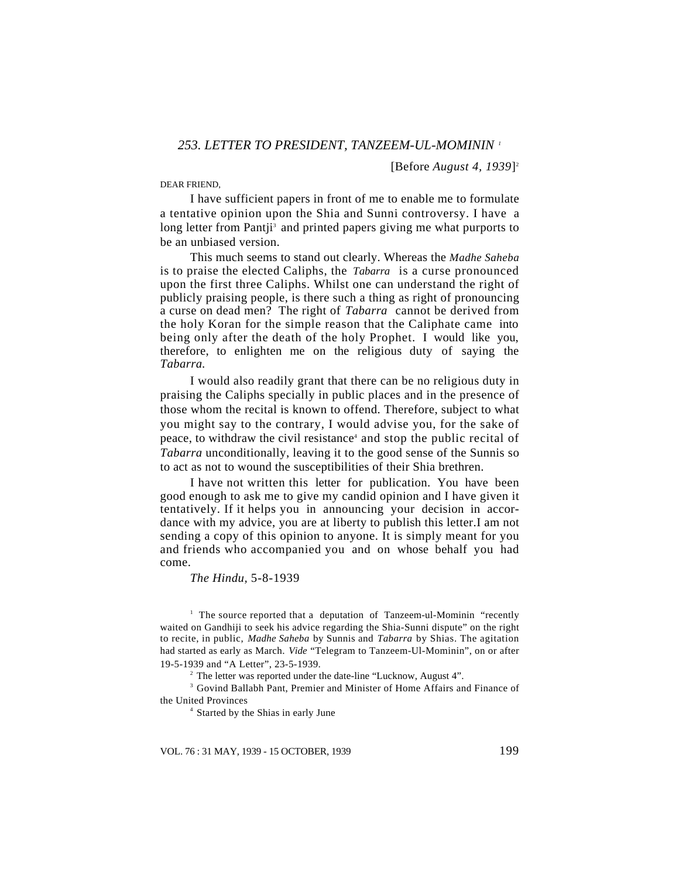[Before *August 4, 1939*] 2

DEAR FRIEND,

I have sufficient papers in front of me to enable me to formulate a tentative opinion upon the Shia and Sunni controversy. I have a long letter from Pantji<sup>3</sup> and printed papers giving me what purports to be an unbiased version.

This much seems to stand out clearly. Whereas the *Madhe Saheba* is to praise the elected Caliphs, the *Tabarra* is a curse pronounced upon the first three Caliphs. Whilst one can understand the right of publicly praising people, is there such a thing as right of pronouncing a curse on dead men? The right of *Tabarra* cannot be derived from the holy Koran for the simple reason that the Caliphate came into being only after the death of the holy Prophet. I would like you, therefore, to enlighten me on the religious duty of saying the *Tabarra.*

I would also readily grant that there can be no religious duty in praising the Caliphs specially in public places and in the presence of those whom the recital is known to offend. Therefore, subject to what you might say to the contrary, I would advise you, for the sake of peace, to withdraw the civil resistance<sup>4</sup> and stop the public recital of *Tabarra* unconditionally, leaving it to the good sense of the Sunnis so to act as not to wound the susceptibilities of their Shia brethren.

I have not written this letter for publication. You have been good enough to ask me to give my candid opinion and I have given it tentatively. If it helps you in announcing your decision in accordance with my advice, you are at liberty to publish this letter.I am not sending a copy of this opinion to anyone. It is simply meant for you and friends who accompanied you and on whose behalf you had come.

*The Hindu,* 5-8-1939

 $1$  The source reported that a deputation of Tanzeem-ul-Mominin "recently waited on Gandhiji to seek his advice regarding the Shia-Sunni dispute" on the right to recite, in public, *Madhe Saheba* by Sunnis and *Tabarra* by Shias. The agitation had started as early as March. *Vide* "Telegram to Tanzeem-Ul-Mominin", on or after 19-5-1939 and "A Letter", 23-5-1939.

 $2$  The letter was reported under the date-line "Lucknow, August 4".

<sup>3</sup> Govind Ballabh Pant, Premier and Minister of Home Affairs and Finance of the United Provinces

4 Started by the Shias in early June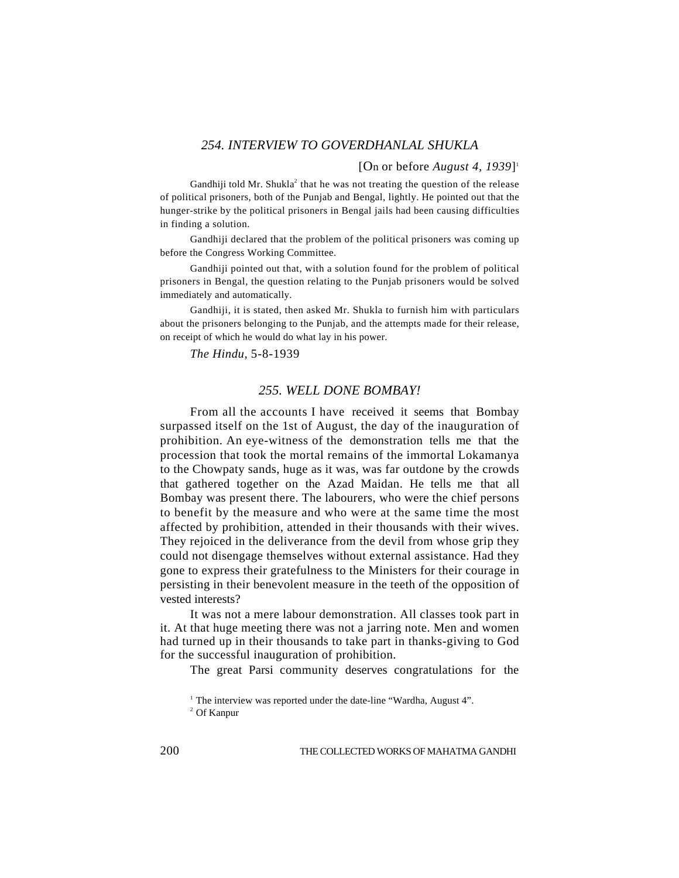## *254. INTERVIEW TO GOVERDHANLAL SHUKLA*

## [On or before *August 4, 1939*] 1

Gandhiji told Mr. Shukla<sup>2</sup> that he was not treating the question of the release of political prisoners, both of the Punjab and Bengal, lightly. He pointed out that the hunger-strike by the political prisoners in Bengal jails had been causing difficulties in finding a solution.

Gandhiji declared that the problem of the political prisoners was coming up before the Congress Working Committee.

Gandhiji pointed out that, with a solution found for the problem of political prisoners in Bengal, the question relating to the Punjab prisoners would be solved immediately and automatically.

Gandhiji, it is stated, then asked Mr. Shukla to furnish him with particulars about the prisoners belonging to the Punjab, and the attempts made for their release, on receipt of which he would do what lay in his power.

*The Hindu,* 5-8-1939

#### *255. WELL DONE BOMBAY!*

From all the accounts I have received it seems that Bombay surpassed itself on the 1st of August, the day of the inauguration of prohibition. An eye-witness of the demonstration tells me that the procession that took the mortal remains of the immortal Lokamanya to the Chowpaty sands, huge as it was, was far outdone by the crowds that gathered together on the Azad Maidan. He tells me that all Bombay was present there. The labourers, who were the chief persons to benefit by the measure and who were at the same time the most affected by prohibition, attended in their thousands with their wives. They rejoiced in the deliverance from the devil from whose grip they could not disengage themselves without external assistance. Had they gone to express their gratefulness to the Ministers for their courage in persisting in their benevolent measure in the teeth of the opposition of vested interests?

It was not a mere labour demonstration. All classes took part in it. At that huge meeting there was not a jarring note. Men and women had turned up in their thousands to take part in thanks-giving to God for the successful inauguration of prohibition.

The great Parsi community deserves congratulations for the

<sup>&</sup>lt;sup>1</sup> The interview was reported under the date-line "Wardha, August 4".

<sup>&</sup>lt;sup>2</sup> Of Kanpur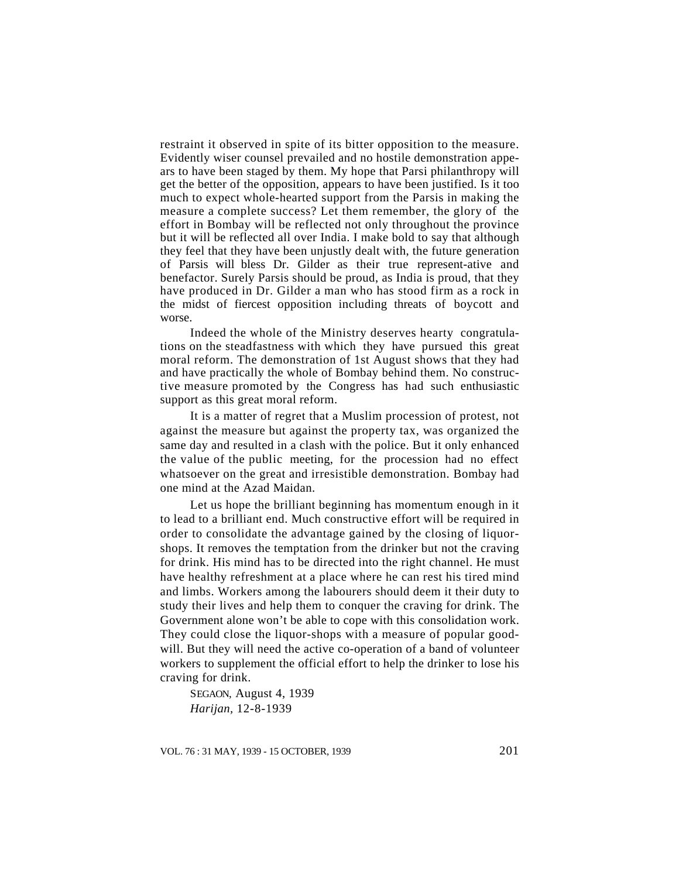restraint it observed in spite of its bitter opposition to the measure. Evidently wiser counsel prevailed and no hostile demonstration appears to have been staged by them. My hope that Parsi philanthropy will get the better of the opposition, appears to have been justified. Is it too much to expect whole-hearted support from the Parsis in making the measure a complete success? Let them remember, the glory of the effort in Bombay will be reflected not only throughout the province but it will be reflected all over India. I make bold to say that although they feel that they have been unjustly dealt with, the future generation of Parsis will bless Dr. Gilder as their true represent-ative and benefactor. Surely Parsis should be proud, as India is proud, that they have produced in Dr. Gilder a man who has stood firm as a rock in the midst of fiercest opposition including threats of boycott and worse.

Indeed the whole of the Ministry deserves hearty congratulations on the steadfastness with which they have pursued this great moral reform. The demonstration of 1st August shows that they had and have practically the whole of Bombay behind them. No constructive measure promoted by the Congress has had such enthusiastic support as this great moral reform.

It is a matter of regret that a Muslim procession of protest, not against the measure but against the property tax, was organized the same day and resulted in a clash with the police. But it only enhanced the value of the public meeting, for the procession had no effect whatsoever on the great and irresistible demonstration. Bombay had one mind at the Azad Maidan.

Let us hope the brilliant beginning has momentum enough in it to lead to a brilliant end. Much constructive effort will be required in order to consolidate the advantage gained by the closing of liquorshops. It removes the temptation from the drinker but not the craving for drink. His mind has to be directed into the right channel. He must have healthy refreshment at a place where he can rest his tired mind and limbs. Workers among the labourers should deem it their duty to study their lives and help them to conquer the craving for drink. The Government alone won't be able to cope with this consolidation work. They could close the liquor-shops with a measure of popular goodwill. But they will need the active co-operation of a band of volunteer workers to supplement the official effort to help the drinker to lose his craving for drink.

SEGAON, August 4, 1939 *Harijan,* 12-8-1939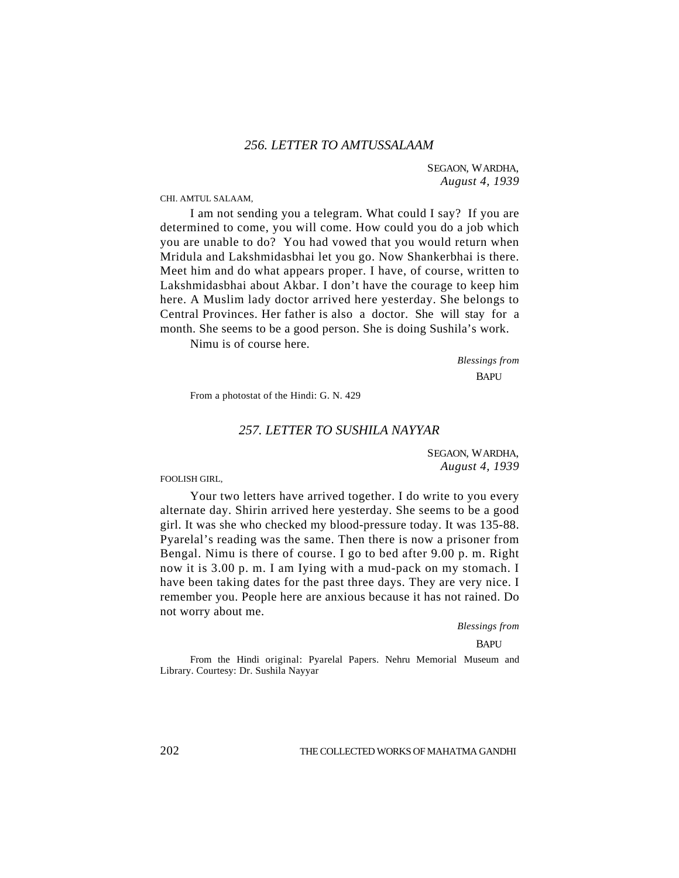## *256. LETTER TO AMTUSSALAAM*

SEGAON, WARDHA, *August 4, 1939*

CHI. AMTUL SALAAM,

I am not sending you a telegram. What could I say? If you are determined to come, you will come. How could you do a job which you are unable to do? You had vowed that you would return when Mridula and Lakshmidasbhai let you go. Now Shankerbhai is there. Meet him and do what appears proper. I have, of course, written to Lakshmidasbhai about Akbar. I don't have the courage to keep him here. A Muslim lady doctor arrived here yesterday. She belongs to Central Provinces. Her father is also a doctor. She will stay for a month. She seems to be a good person. She is doing Sushila's work.

Nimu is of course here.

*Blessings from*

**BAPU** 

From a photostat of the Hindi: G. N. 429

#### *257. LETTER TO SUSHILA NAYYAR*

SEGAON, WARDHA, *August 4, 1939*

FOOLISH GIRL,

Your two letters have arrived together. I do write to you every alternate day. Shirin arrived here yesterday. She seems to be a good girl. It was she who checked my blood-pressure today. It was 135-88. Pyarelal's reading was the same. Then there is now a prisoner from Bengal. Nimu is there of course. I go to bed after 9.00 p. m. Right now it is 3.00 p. m. I am Iying with a mud-pack on my stomach. I have been taking dates for the past three days. They are very nice. I remember you. People here are anxious because it has not rained. Do not worry about me.

*Blessings from*

BAPU

From the Hindi original: Pyarelal Papers. Nehru Memorial Museum and Library. Courtesy: Dr. Sushila Nayyar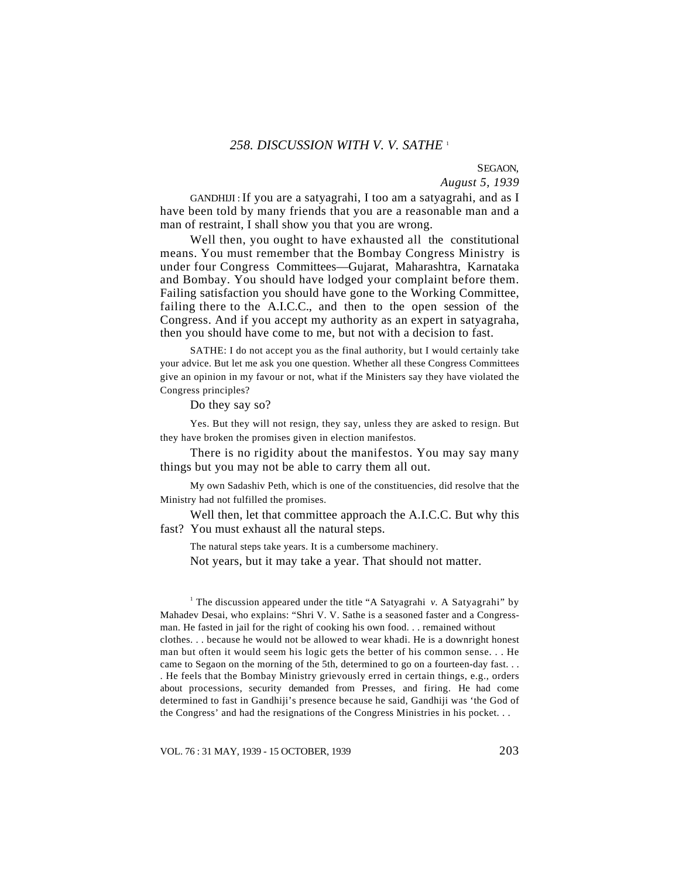## *258. DISCUSSION WITH V. V. SATHE* <sup>1</sup>

SEGAON, *August 5, 1939*

GANDHIJI : If you are a satyagrahi, I too am a satyagrahi, and as I have been told by many friends that you are a reasonable man and a man of restraint, I shall show you that you are wrong.

Well then, you ought to have exhausted all the constitutional means. You must remember that the Bombay Congress Ministry is under four Congress Committees—Gujarat, Maharashtra, Karnataka and Bombay. You should have lodged your complaint before them. Failing satisfaction you should have gone to the Working Committee, failing there to the A.I.C.C., and then to the open session of the Congress. And if you accept my authority as an expert in satyagraha, then you should have come to me, but not with a decision to fast.

SATHE: I do not accept you as the final authority, but I would certainly take your advice. But let me ask you one question. Whether all these Congress Committees give an opinion in my favour or not, what if the Ministers say they have violated the Congress principles?

Do they say so?

Yes. But they will not resign, they say, unless they are asked to resign. But they have broken the promises given in election manifestos.

There is no rigidity about the manifestos. You may say many things but you may not be able to carry them all out.

My own Sadashiv Peth, which is one of the constituencies, did resolve that the Ministry had not fulfilled the promises.

Well then, let that committee approach the A.I.C.C. But why this fast? You must exhaust all the natural steps.

The natural steps take years. It is a cumbersome machinery.

Not years, but it may take a year. That should not matter.

<sup>1</sup> The discussion appeared under the title "A Satyagrahi *v*. A Satyagrahi" by Mahadev Desai, who explains: "Shri V. V. Sathe is a seasoned faster and a Congressman. He fasted in jail for the right of cooking his own food. . . remained without clothes. . . because he would not be allowed to wear khadi. He is a downright honest man but often it would seem his logic gets the better of his common sense. . . He came to Segaon on the morning of the 5th, determined to go on a fourteen-day fast. . . . He feels that the Bombay Ministry grievously erred in certain things, e.g., orders about processions, security demanded from Presses, and firing. He had come determined to fast in Gandhiji's presence because he said, Gandhiji was 'the God of the Congress' and had the resignations of the Congress Ministries in his pocket. . .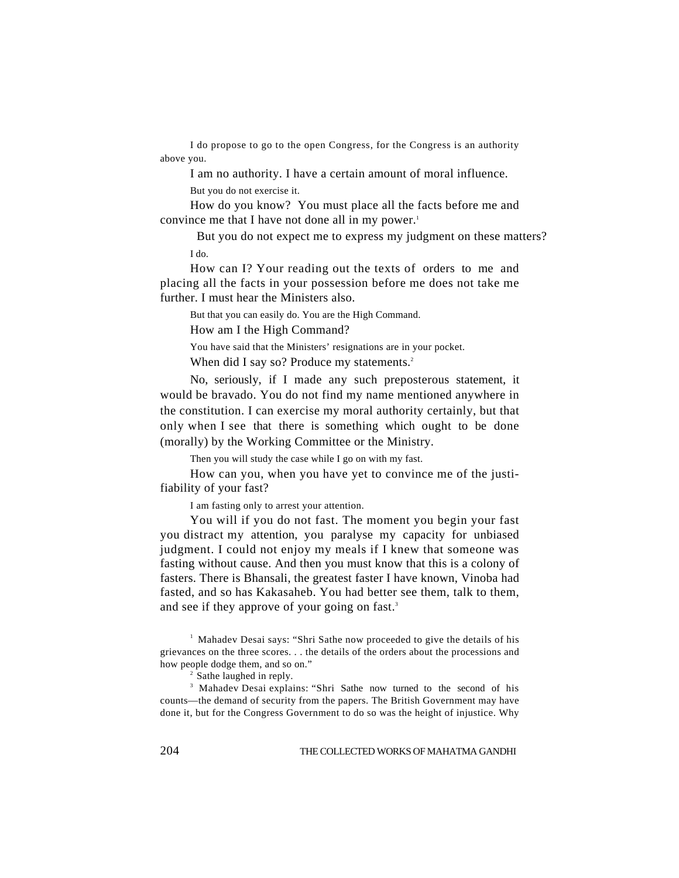I do propose to go to the open Congress, for the Congress is an authority above you.

I am no authority. I have a certain amount of moral influence.

But you do not exercise it.

How do you know? You must place all the facts before me and convince me that I have not done all in my power. $<sup>1</sup>$ </sup>

 But you do not expect me to express my judgment on these matters? I do.

How can I? Your reading out the texts of orders to me and placing all the facts in your possession before me does not take me further. I must hear the Ministers also.

But that you can easily do. You are the High Command.

How am I the High Command?

You have said that the Ministers' resignations are in your pocket.

When did I say so? Produce my statements.<sup>2</sup>

No, seriously, if I made any such preposterous statement, it would be bravado. You do not find my name mentioned anywhere in the constitution. I can exercise my moral authority certainly, but that only when I see that there is something which ought to be done (morally) by the Working Committee or the Ministry.

Then you will study the case while I go on with my fast.

How can you, when you have yet to convince me of the justifiability of your fast?

I am fasting only to arrest your attention.

You will if you do not fast. The moment you begin your fast you distract my attention, you paralyse my capacity for unbiased judgment. I could not enjoy my meals if I knew that someone was fasting without cause. And then you must know that this is a colony of fasters. There is Bhansali, the greatest faster I have known, Vinoba had fasted, and so has Kakasaheb. You had better see them, talk to them, and see if they approve of your going on fast.<sup>3</sup>

<sup>1</sup> Mahadev Desai says: "Shri Sathe now proceeded to give the details of his grievances on the three scores. . . the details of the orders about the processions and how people dodge them, and so on."

<sup>2</sup> Sathe laughed in reply.

<sup>3</sup> Mahadev Desai explains: "Shri Sathe now turned to the second of his counts—the demand of security from the papers. The British Government may have done it, but for the Congress Government to do so was the height of injustice. Why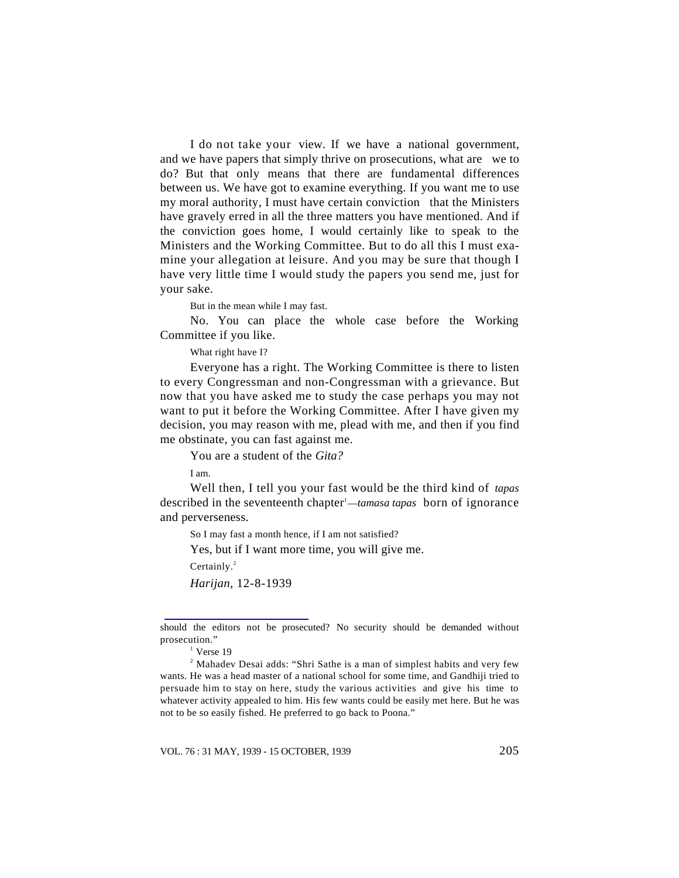I do not take your view. If we have a national government, and we have papers that simply thrive on prosecutions, what are we to do? But that only means that there are fundamental differences between us. We have got to examine everything. If you want me to use my moral authority, I must have certain conviction that the Ministers have gravely erred in all the three matters you have mentioned. And if the conviction goes home, I would certainly like to speak to the Ministers and the Working Committee. But to do all this I must examine your allegation at leisure. And you may be sure that though I have very little time I would study the papers you send me, just for your sake.

But in the mean while I may fast.

No. You can place the whole case before the Working Committee if you like.

What right have I?

Everyone has a right. The Working Committee is there to listen to every Congressman and non-Congressman with a grievance. But now that you have asked me to study the case perhaps you may not want to put it before the Working Committee. After I have given my decision, you may reason with me, plead with me, and then if you find me obstinate, you can fast against me.

You are a student of the *Gita?*

I am.

Well then, I tell you your fast would be the third kind of *tapas* described in the seventeenth chapter<sup>1</sup>—*tamasa tapas* born of ignorance and perverseness.

So I may fast a month hence, if I am not satisfied? Yes, but if I want more time, you will give me. Certainly. $2$ *Harijan,* 12-8-1939

should the editors not be prosecuted? No security should be demanded without prosecution."

<sup>&</sup>lt;sup>1</sup> Verse 19

<sup>&</sup>lt;sup>2</sup> Mahadev Desai adds: "Shri Sathe is a man of simplest habits and very few wants. He was a head master of a national school for some time, and Gandhiji tried to persuade him to stay on here, study the various activities and give his time to whatever activity appealed to him. His few wants could be easily met here. But he was not to be so easily fished. He preferred to go back to Poona."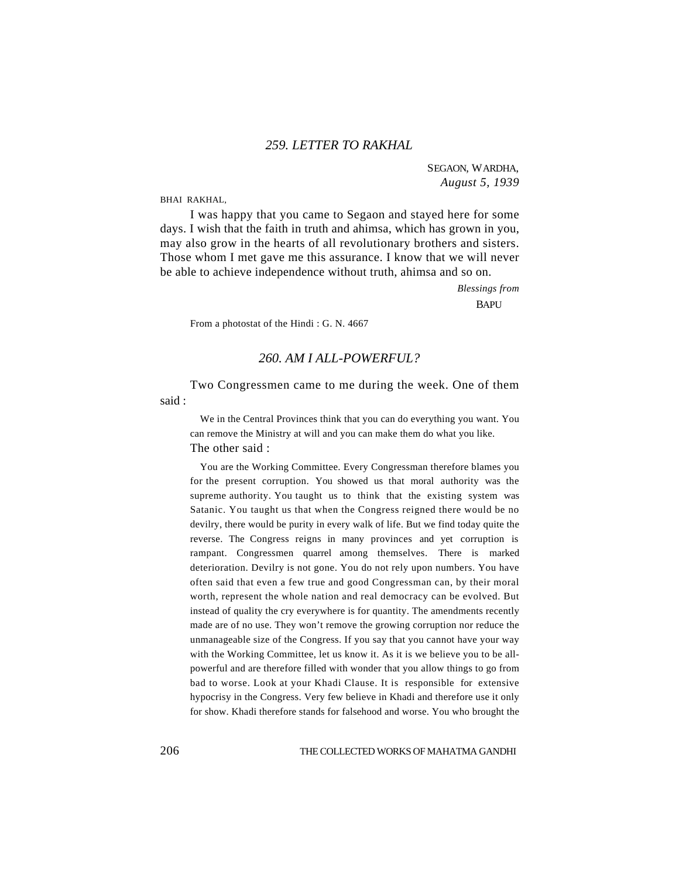## *259. LETTER TO RAKHAL*

SEGAON, WARDHA, *August 5, 1939*

BHAI RAKHAL,

I was happy that you came to Segaon and stayed here for some days. I wish that the faith in truth and ahimsa, which has grown in you, may also grow in the hearts of all revolutionary brothers and sisters. Those whom I met gave me this assurance. I know that we will never be able to achieve independence without truth, ahimsa and so on.

> *Blessings from* BAPU

From a photostat of the Hindi : G. N. 4667

#### *260. AM I ALL-POWERFUL?*

Two Congressmen came to me during the week. One of them said :

We in the Central Provinces think that you can do everything you want. You can remove the Ministry at will and you can make them do what you like. The other said :

You are the Working Committee. Every Congressman therefore blames you for the present corruption. You showed us that moral authority was the supreme authority. You taught us to think that the existing system was Satanic. You taught us that when the Congress reigned there would be no devilry, there would be purity in every walk of life. But we find today quite the reverse. The Congress reigns in many provinces and yet corruption is rampant. Congressmen quarrel among themselves. There is marked deterioration. Devilry is not gone. You do not rely upon numbers. You have often said that even a few true and good Congressman can, by their moral worth, represent the whole nation and real democracy can be evolved. But instead of quality the cry everywhere is for quantity. The amendments recently made are of no use. They won't remove the growing corruption nor reduce the unmanageable size of the Congress. If you say that you cannot have your way with the Working Committee, let us know it. As it is we believe you to be allpowerful and are therefore filled with wonder that you allow things to go from bad to worse. Look at your Khadi Clause. It is responsible for extensive hypocrisy in the Congress. Very few believe in Khadi and therefore use it only for show. Khadi therefore stands for falsehood and worse. You who brought the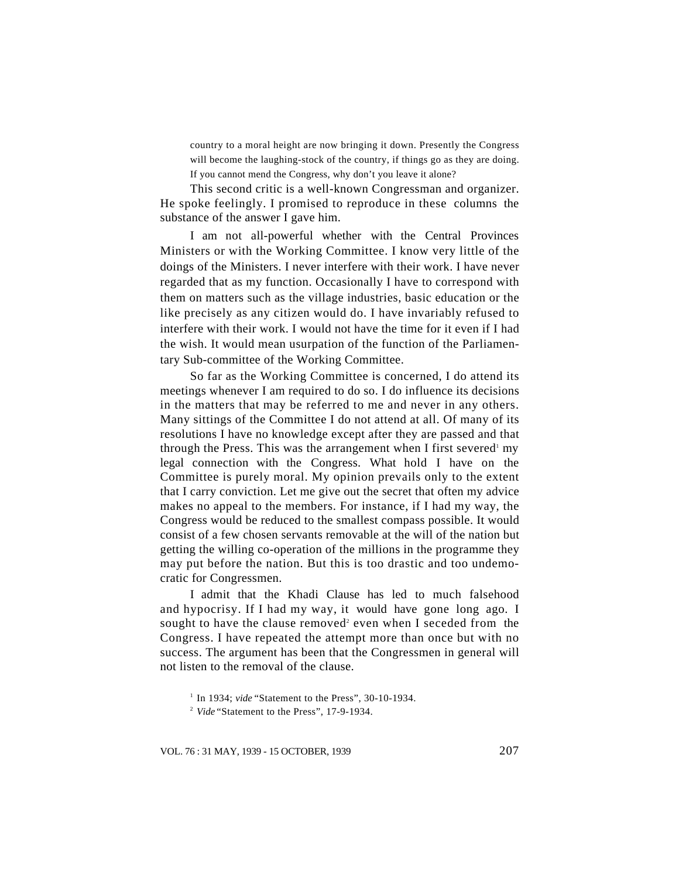country to a moral height are now bringing it down. Presently the Congress will become the laughing-stock of the country, if things go as they are doing. If you cannot mend the Congress, why don't you leave it alone?

This second critic is a well-known Congressman and organizer. He spoke feelingly. I promised to reproduce in these columns the substance of the answer I gave him.

I am not all-powerful whether with the Central Provinces Ministers or with the Working Committee. I know very little of the doings of the Ministers. I never interfere with their work. I have never regarded that as my function. Occasionally I have to correspond with them on matters such as the village industries, basic education or the like precisely as any citizen would do. I have invariably refused to interfere with their work. I would not have the time for it even if I had the wish. It would mean usurpation of the function of the Parliamentary Sub-committee of the Working Committee.

So far as the Working Committee is concerned, I do attend its meetings whenever I am required to do so. I do influence its decisions in the matters that may be referred to me and never in any others. Many sittings of the Committee I do not attend at all. Of many of its resolutions I have no knowledge except after they are passed and that through the Press. This was the arrangement when I first severed<sup>1</sup> my legal connection with the Congress. What hold I have on the Committee is purely moral. My opinion prevails only to the extent that I carry conviction. Let me give out the secret that often my advice makes no appeal to the members. For instance, if I had my way, the Congress would be reduced to the smallest compass possible. It would consist of a few chosen servants removable at the will of the nation but getting the willing co-operation of the millions in the programme they may put before the nation. But this is too drastic and too undemocratic for Congressmen.

I admit that the Khadi Clause has led to much falsehood and hypocrisy. If I had my way, it would have gone long ago. I sought to have the clause removed<sup>2</sup> even when I seceded from the Congress. I have repeated the attempt more than once but with no success. The argument has been that the Congressmen in general will not listen to the removal of the clause.

<sup>&</sup>lt;sup>1</sup> In 1934; *vide* "Statement to the Press", 30-10-1934.

<sup>&</sup>lt;sup>2</sup> *Vide* "Statement to the Press", 17-9-1934.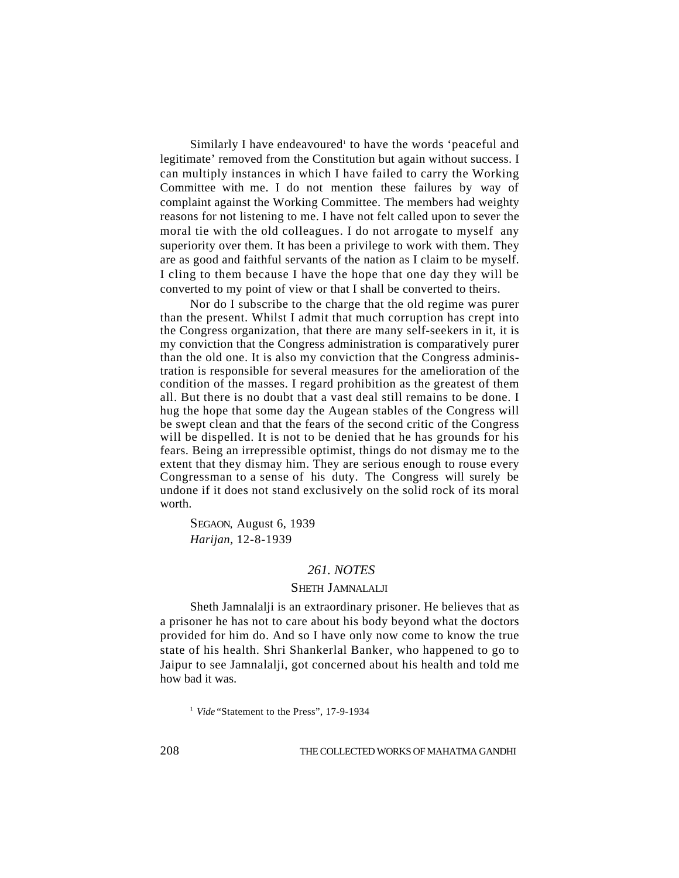Similarly I have endeavoured<sup>1</sup> to have the words 'peaceful and legitimate' removed from the Constitution but again without success. I can multiply instances in which I have failed to carry the Working Committee with me. I do not mention these failures by way of complaint against the Working Committee. The members had weighty reasons for not listening to me. I have not felt called upon to sever the moral tie with the old colleagues. I do not arrogate to myself any superiority over them. It has been a privilege to work with them. They are as good and faithful servants of the nation as I claim to be myself. I cling to them because I have the hope that one day they will be converted to my point of view or that I shall be converted to theirs.

Nor do I subscribe to the charge that the old regime was purer than the present. Whilst I admit that much corruption has crept into the Congress organization, that there are many self-seekers in it, it is my conviction that the Congress administration is comparatively purer than the old one. It is also my conviction that the Congress administration is responsible for several measures for the amelioration of the condition of the masses. I regard prohibition as the greatest of them all. But there is no doubt that a vast deal still remains to be done. I hug the hope that some day the Augean stables of the Congress will be swept clean and that the fears of the second critic of the Congress will be dispelled. It is not to be denied that he has grounds for his fears. Being an irrepressible optimist, things do not dismay me to the extent that they dismay him. They are serious enough to rouse every Congressman to a sense of his duty. The Congress will surely be undone if it does not stand exclusively on the solid rock of its moral worth.

SEGAON, August 6, 1939 *Harijan,* 12-8-1939

#### *261. NOTES*

## SHETH JAMNALALJI

Sheth Jamnalalji is an extraordinary prisoner. He believes that as a prisoner he has not to care about his body beyond what the doctors provided for him do. And so I have only now come to know the true state of his health. Shri Shankerlal Banker, who happened to go to Jaipur to see Jamnalalji, got concerned about his health and told me how bad it was.

<sup>1</sup> *Vide* "Statement to the Press", 17-9-1934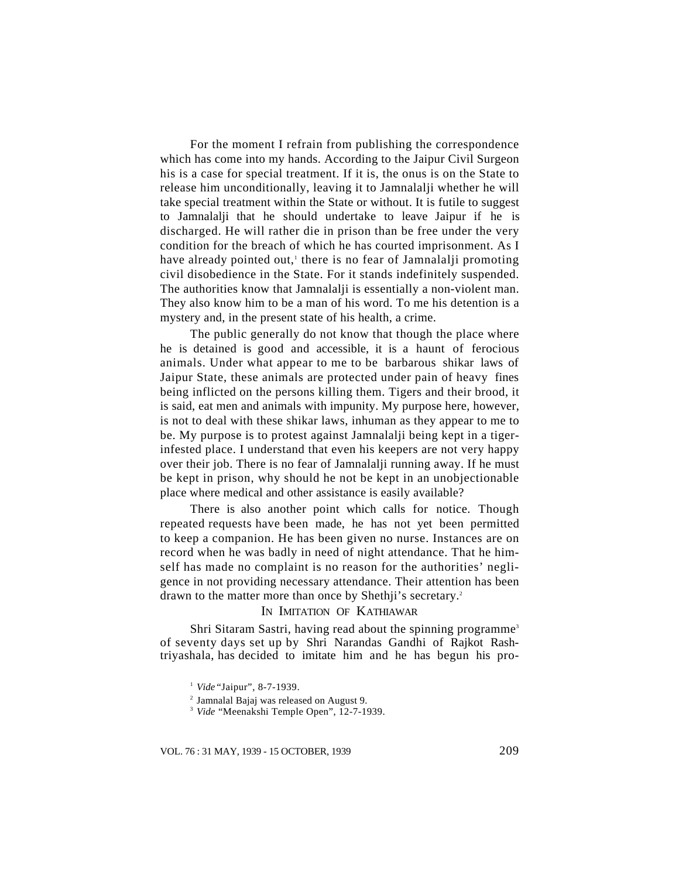For the moment I refrain from publishing the correspondence which has come into my hands. According to the Jaipur Civil Surgeon his is a case for special treatment. If it is, the onus is on the State to release him unconditionally, leaving it to Jamnalalji whether he will take special treatment within the State or without. It is futile to suggest to Jamnalalji that he should undertake to leave Jaipur if he is discharged. He will rather die in prison than be free under the very condition for the breach of which he has courted imprisonment. As I have already pointed out,<sup>1</sup> there is no fear of Jamnalalji promoting civil disobedience in the State. For it stands indefinitely suspended. The authorities know that Jamnalalji is essentially a non-violent man. They also know him to be a man of his word. To me his detention is a mystery and, in the present state of his health, a crime.

The public generally do not know that though the place where he is detained is good and accessible, it is a haunt of ferocious animals. Under what appear to me to be barbarous shikar laws of Jaipur State, these animals are protected under pain of heavy fines being inflicted on the persons killing them. Tigers and their brood, it is said, eat men and animals with impunity. My purpose here, however, is not to deal with these shikar laws, inhuman as they appear to me to be. My purpose is to protest against Jamnalalji being kept in a tigerinfested place. I understand that even his keepers are not very happy over their job. There is no fear of Jamnalalji running away. If he must be kept in prison, why should he not be kept in an unobjectionable place where medical and other assistance is easily available?

There is also another point which calls for notice. Though repeated requests have been made, he has not yet been permitted to keep a companion. He has been given no nurse. Instances are on record when he was badly in need of night attendance. That he himself has made no complaint is no reason for the authorities' negligence in not providing necessary attendance. Their attention has been drawn to the matter more than once by Shethji's secretary.<sup>2</sup>

#### IN IMITATION OF KATHIAWAR

Shri Sitaram Sastri, having read about the spinning programme<sup>3</sup> of seventy days set up by Shri Narandas Gandhi of Rajkot Rashtriyashala, has decided to imitate him and he has begun his pro-

<sup>1</sup> *Vide* "Jaipur", 8-7-1939.

<sup>2</sup> Jamnalal Bajaj was released on August 9.

<sup>3</sup> *Vide* "Meenakshi Temple Open", 12-7-1939.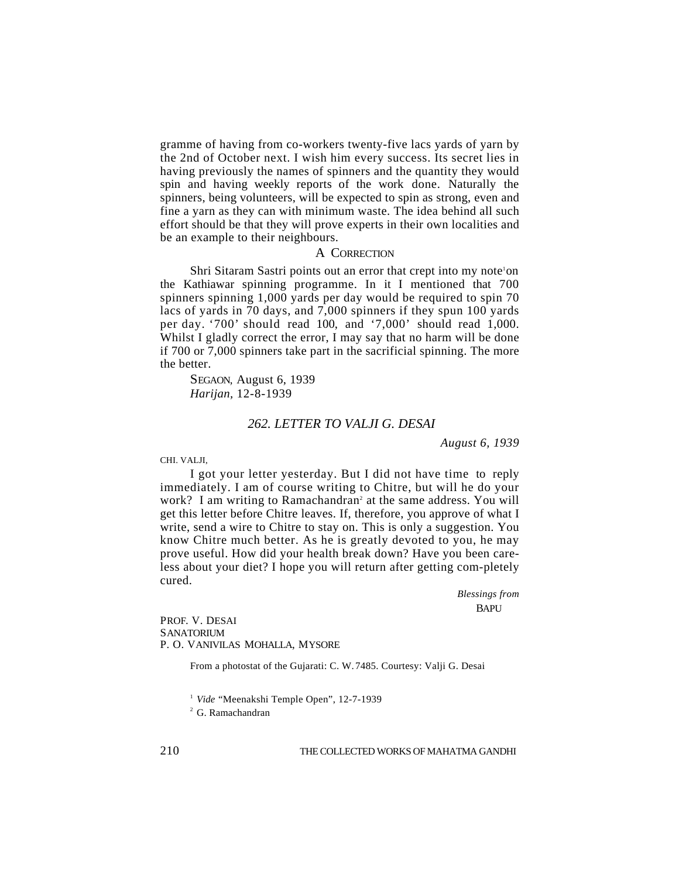gramme of having from co-workers twenty-five lacs yards of yarn by the 2nd of October next. I wish him every success. Its secret lies in having previously the names of spinners and the quantity they would spin and having weekly reports of the work done. Naturally the spinners, being volunteers, will be expected to spin as strong, even and fine a yarn as they can with minimum waste. The idea behind all such effort should be that they will prove experts in their own localities and be an example to their neighbours.

#### A CORRECTION

Shri Sitaram Sastri points out an error that crept into my note<sup>1</sup>on the Kathiawar spinning programme. In it I mentioned that 700 spinners spinning 1,000 yards per day would be required to spin 70 lacs of yards in 70 days, and 7,000 spinners if they spun 100 yards per day. '700' should read 100, and '7,000' should read 1,000. Whilst I gladly correct the error, I may say that no harm will be done if 700 or 7,000 spinners take part in the sacrificial spinning. The more the better.

SEGAON, August 6, 1939 *Harijan,* 12-8-1939

#### *262. LETTER TO VALJI G. DESAI*

*August 6, 1939*

CHI. VALJI,

I got your letter yesterday. But I did not have time to reply immediately. I am of course writing to Chitre, but will he do your work? I am writing to Ramachandran<sup>2</sup> at the same address. You will get this letter before Chitre leaves. If, therefore, you approve of what I write, send a wire to Chitre to stay on. This is only a suggestion. You know Chitre much better. As he is greatly devoted to you, he may prove useful. How did your health break down? Have you been careless about your diet? I hope you will return after getting com-pletely cured.

> *Blessings from* BAPU

PROF. V. DESAI **SANATORIUM** P. O. VANIVILAS MOHALLA, MYSORE

From a photostat of the Gujarati: C. W. 7485. Courtesy: Valji G. Desai

<sup>1</sup> *Vide* "Meenakshi Temple Open", 12-7-1939

<sup>2</sup> G. Ramachandran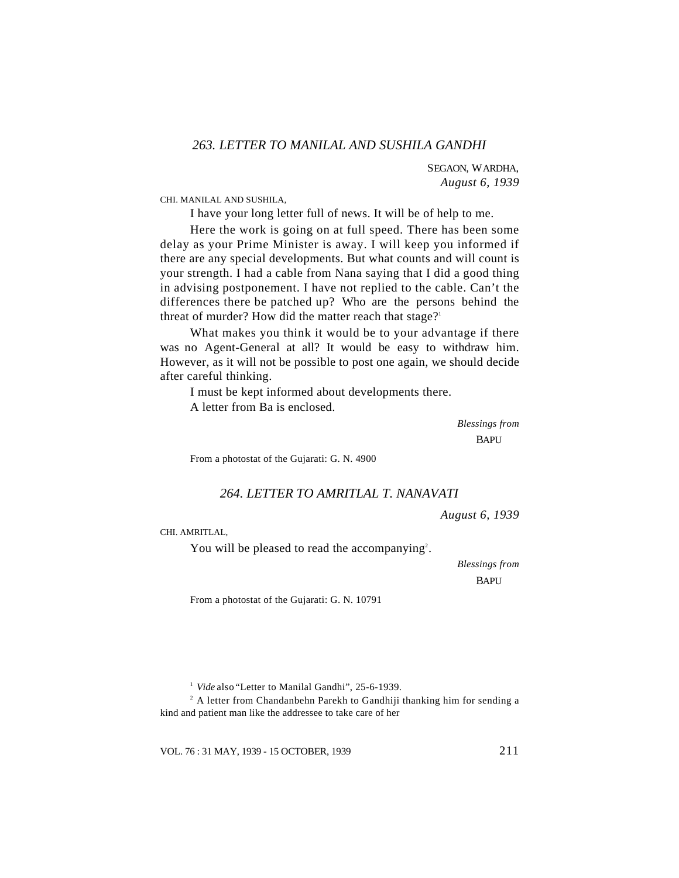## *263. LETTER TO MANILAL AND SUSHILA GANDHI*

SEGAON, WARDHA, *August 6, 1939*

CHI. MANILAL AND SUSHILA,

I have your long letter full of news. It will be of help to me.

Here the work is going on at full speed. There has been some delay as your Prime Minister is away. I will keep you informed if there are any special developments. But what counts and will count is your strength. I had a cable from Nana saying that I did a good thing in advising postponement. I have not replied to the cable. Can't the differences there be patched up? Who are the persons behind the threat of murder? How did the matter reach that stage? $1$ 

 What makes you think it would be to your advantage if there was no Agent-General at all? It would be easy to withdraw him. However, as it will not be possible to post one again, we should decide after careful thinking.

I must be kept informed about developments there.

A letter from Ba is enclosed.

*Blessings from* **BAPU** 

From a photostat of the Gujarati: G. N. 4900

#### *264. LETTER TO AMRITLAL T. NANAVATI*

*August 6, 1939*

CHI. AMRITLAL,

You will be pleased to read the accompanying<sup>2</sup>.

*Blessings from*

**BAPU** 

From a photostat of the Gujarati: G. N. 10791

<sup>1</sup> *Vide* also "Letter to Manilal Gandhi", 25-6-1939.

 $2^2$  A letter from Chandanbehn Parekh to Gandhiji thanking him for sending a kind and patient man like the addressee to take care of her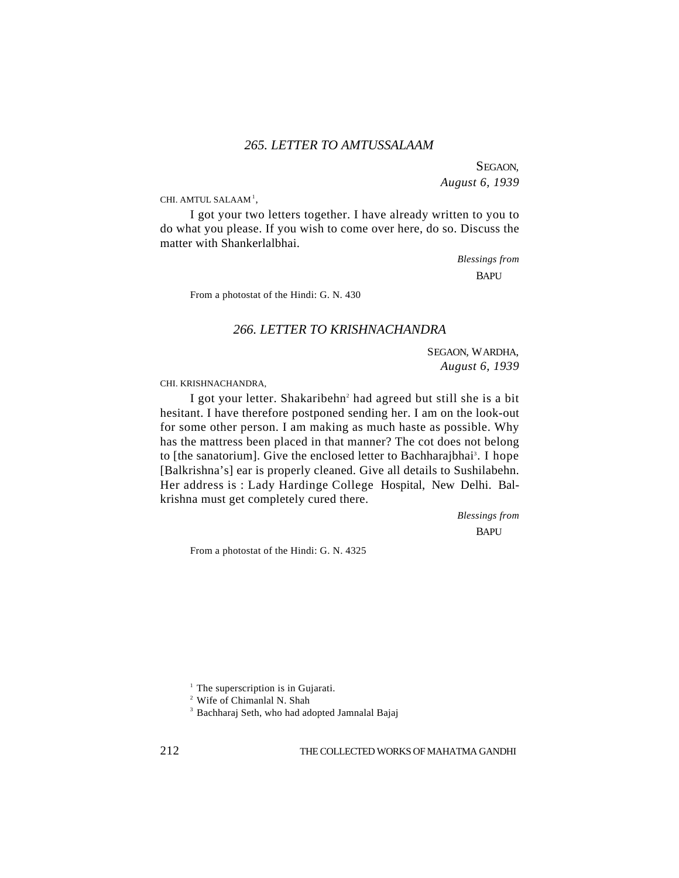# *265. LETTER TO AMTUSSALAAM*

**SEGAON** *August 6, 1939*

CHI. AMTUL SALAAM $^1$ ,

I got your two letters together. I have already written to you to do what you please. If you wish to come over here, do so. Discuss the matter with Shankerlalbhai.

> *Blessings from* **BAPU**

From a photostat of the Hindi: G. N. 430

#### *266. LETTER TO KRISHNACHANDRA*

SEGAON, WARDHA, *August 6, 1939*

CHI. KRISHNACHANDRA,

I got your letter. Shakaribehn<sup>2</sup> had agreed but still she is a bit hesitant. I have therefore postponed sending her. I am on the look-out for some other person. I am making as much haste as possible. Why has the mattress been placed in that manner? The cot does not belong to [the sanatorium]. Give the enclosed letter to Bachharajbhai<sup>3</sup>. I hope [Balkrishna's] ear is properly cleaned. Give all details to Sushilabehn. Her address is : Lady Hardinge College Hospital, New Delhi. Balkrishna must get completely cured there.

*Blessings from*

**BAPU** 

From a photostat of the Hindi: G. N. 4325

 $<sup>1</sup>$  The superscription is in Gujarati.</sup>

<sup>2</sup> Wife of Chimanlal N. Shah

<sup>3</sup> Bachharaj Seth, who had adopted Jamnalal Bajaj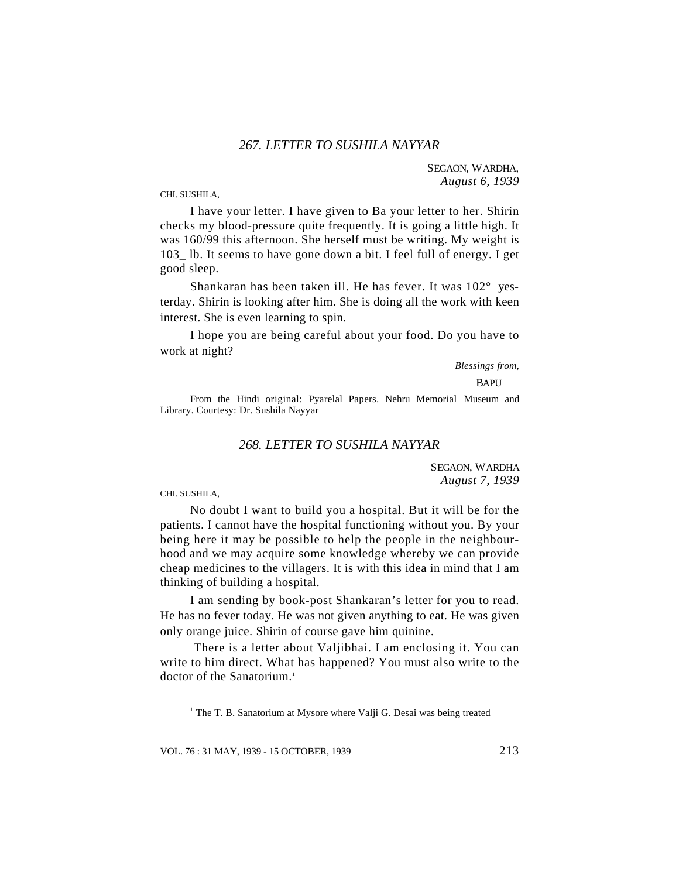SEGAON, WARDHA, *August 6, 1939*

CHI. SUSHILA,

I have your letter. I have given to Ba your letter to her. Shirin checks my blood-pressure quite frequently. It is going a little high. It was 160/99 this afternoon. She herself must be writing. My weight is 103\_ lb. It seems to have gone down a bit. I feel full of energy. I get good sleep.

Shankaran has been taken ill. He has fever. It was 102° yesterday. Shirin is looking after him. She is doing all the work with keen interest. She is even learning to spin.

I hope you are being careful about your food. Do you have to work at night?

*Blessings from,*

**BAPU** 

From the Hindi original: Pyarelal Papers. Nehru Memorial Museum and Library. Courtesy: Dr. Sushila Nayyar

#### *268. LETTER TO SUSHILA NAYYAR*

SEGAON, WARDHA *August 7, 1939*

CHI. SUSHILA,

No doubt I want to build you a hospital. But it will be for the patients. I cannot have the hospital functioning without you. By your being here it may be possible to help the people in the neighbourhood and we may acquire some knowledge whereby we can provide cheap medicines to the villagers. It is with this idea in mind that I am thinking of building a hospital.

I am sending by book-post Shankaran's letter for you to read. He has no fever today. He was not given anything to eat. He was given only orange juice. Shirin of course gave him quinine.

 There is a letter about Valjibhai. I am enclosing it. You can write to him direct. What has happened? You must also write to the doctor of the Sanatorium.<sup>1</sup>

<sup>1</sup> The T. B. Sanatorium at Mysore where Valji G. Desai was being treated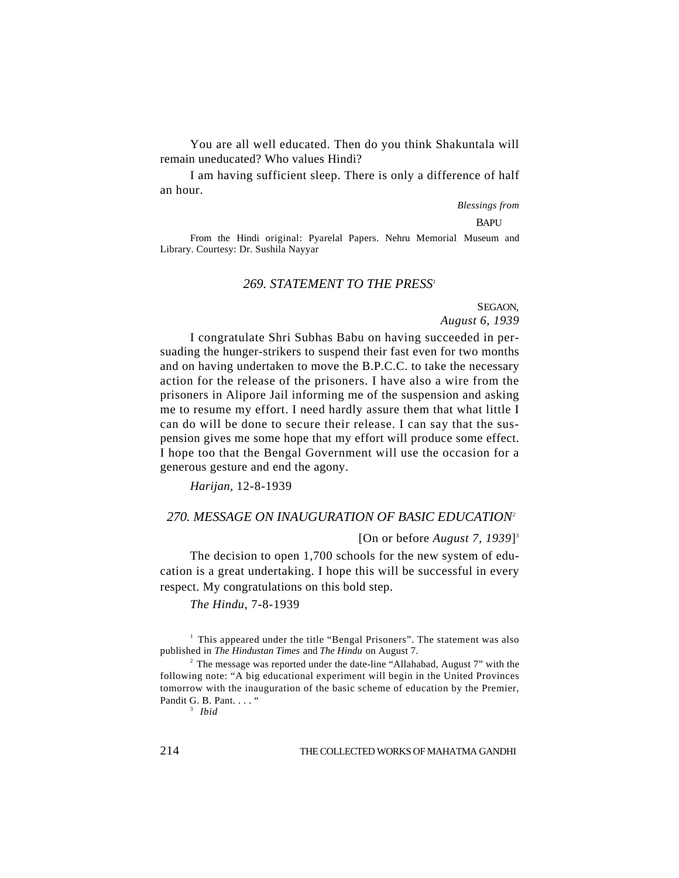You are all well educated. Then do you think Shakuntala will remain uneducated? Who values Hindi?

I am having sufficient sleep. There is only a difference of half an hour.

*Blessings from*

BAPU

From the Hindi original: Pyarelal Papers. Nehru Memorial Museum and Library. Courtesy: Dr. Sushila Nayyar

## *269. STATEMENT TO THE PRESS<sup>1</sup>*

SEGAON, *August 6, 1939*

I congratulate Shri Subhas Babu on having succeeded in persuading the hunger-strikers to suspend their fast even for two months and on having undertaken to move the B.P.C.C. to take the necessary action for the release of the prisoners. I have also a wire from the prisoners in Alipore Jail informing me of the suspension and asking me to resume my effort. I need hardly assure them that what little I can do will be done to secure their release. I can say that the suspension gives me some hope that my effort will produce some effect. I hope too that the Bengal Government will use the occasion for a generous gesture and end the agony.

*Harijan,* 12-8-1939

## *270. MESSAGE ON INAUGURATION OF BASIC EDUCATION<sup>2</sup>*

[On or before *August 7, 1939*] 3

The decision to open 1,700 schools for the new system of education is a great undertaking. I hope this will be successful in every respect. My congratulations on this bold step.

*The Hindu,* 7-8-1939

 $<sup>1</sup>$  This appeared under the title "Bengal Prisoners". The statement was also</sup> published in *The Hindustan Times* and *The Hindu* on August 7.

<sup>2</sup> The message was reported under the date-line "Allahabad, August 7" with the following note: "A big educational experiment will begin in the United Provinces tomorrow with the inauguration of the basic scheme of education by the Premier, Pandit G. B. Pant. . . . "

3 *Ibid*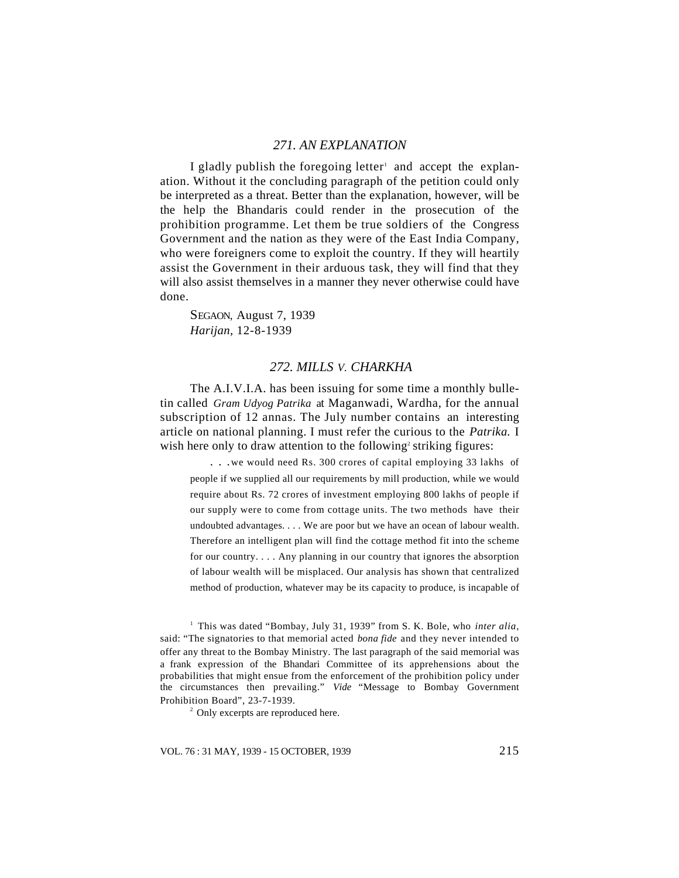## *271. AN EXPLANATION*

I gladly publish the foregoing letter' and accept the explanation. Without it the concluding paragraph of the petition could only be interpreted as a threat. Better than the explanation, however, will be the help the Bhandaris could render in the prosecution of the prohibition programme. Let them be true soldiers of the Congress Government and the nation as they were of the East India Company, who were foreigners come to exploit the country. If they will heartily assist the Government in their arduous task, they will find that they will also assist themselves in a manner they never otherwise could have done.

SEGAON, August 7, 1939 *Harijan,* 12-8-1939

#### *272. MILLS V. CHARKHA*

The A.I.V.I.A. has been issuing for some time a monthly bulletin called *Gram Udyog Patrika* at Maganwadi, Wardha, for the annual subscription of 12 annas. The July number contains an interesting article on national planning. I must refer the curious to the *Patrika.* I wish here only to draw attention to the following<sup>2</sup> striking figures:

. . .we would need Rs. 300 crores of capital employing 33 lakhs of people if we supplied all our requirements by mill production, while we would require about Rs. 72 crores of investment employing 800 lakhs of people if our supply were to come from cottage units. The two methods have their undoubted advantages. . . . We are poor but we have an ocean of labour wealth. Therefore an intelligent plan will find the cottage method fit into the scheme for our country. . . . Any planning in our country that ignores the absorption of labour wealth will be misplaced. Our analysis has shown that centralized method of production, whatever may be its capacity to produce, is incapable of

<sup>1</sup> This was dated "Bombay, July 31, 1939" from S. K. Bole, who *inter alia,* said: "The signatories to that memorial acted *bona fide* and they never intended to offer any threat to the Bombay Ministry. The last paragraph of the said memorial was a frank expression of the Bhandari Committee of its apprehensions about the probabilities that might ensue from the enforcement of the prohibition policy under the circumstances then prevailing." *Vide* "Message to Bombay Government Prohibition Board", 23-7-1939.

<sup>2</sup> Only excerpts are reproduced here.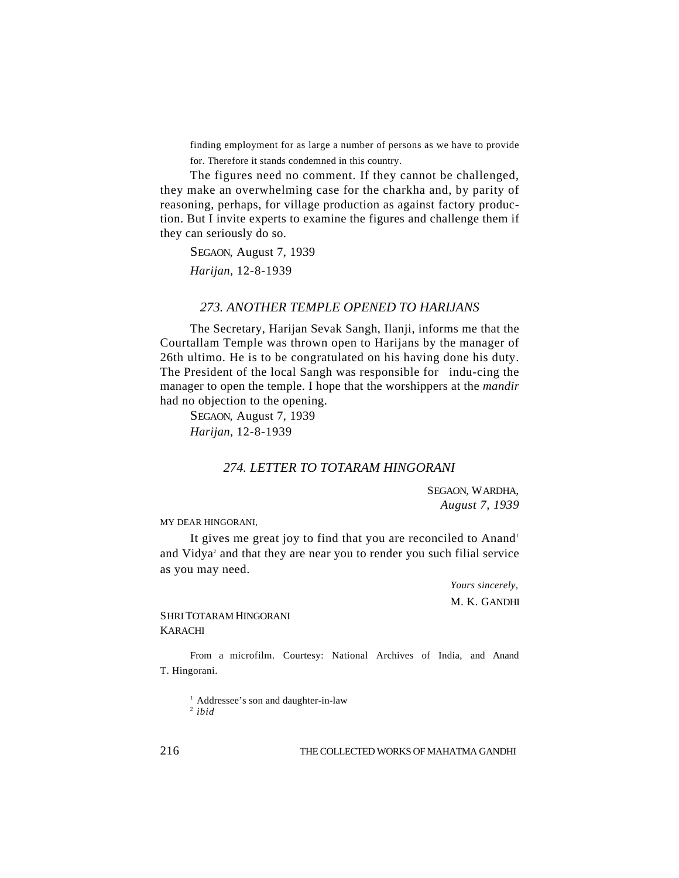finding employment for as large a number of persons as we have to provide for. Therefore it stands condemned in this country.

The figures need no comment. If they cannot be challenged, they make an overwhelming case for the charkha and, by parity of reasoning, perhaps, for village production as against factory production. But I invite experts to examine the figures and challenge them if they can seriously do so.

SEGAON, August 7, 1939 *Harijan,* 12-8-1939

## *273. ANOTHER TEMPLE OPENED TO HARIJANS*

The Secretary, Harijan Sevak Sangh, Ilanji, informs me that the Courtallam Temple was thrown open to Harijans by the manager of 26th ultimo. He is to be congratulated on his having done his duty. The President of the local Sangh was responsible for indu-cing the manager to open the temple. I hope that the worshippers at the *mandir* had no objection to the opening.

SEGAON, August 7, 1939 *Harijan,* 12-8-1939

## *274. LETTER TO TOTARAM HINGORANI*

SEGAON, WARDHA, *August 7, 1939*

MY DEAR HINGORANI,

It gives me great joy to find that you are reconciled to Anand<sup>1</sup> and Vidya<sup>2</sup> and that they are near you to render you such filial service as you may need.

> *Yours sincerely,* M. K. GANDHI

#### SHRI TOTARAM HINGORANI KARACHI

From a microfilm. Courtesy: National Archives of India, and Anand T. Hingorani.

<sup>1</sup> Addressee's son and daughter-in-law 2 *ibid*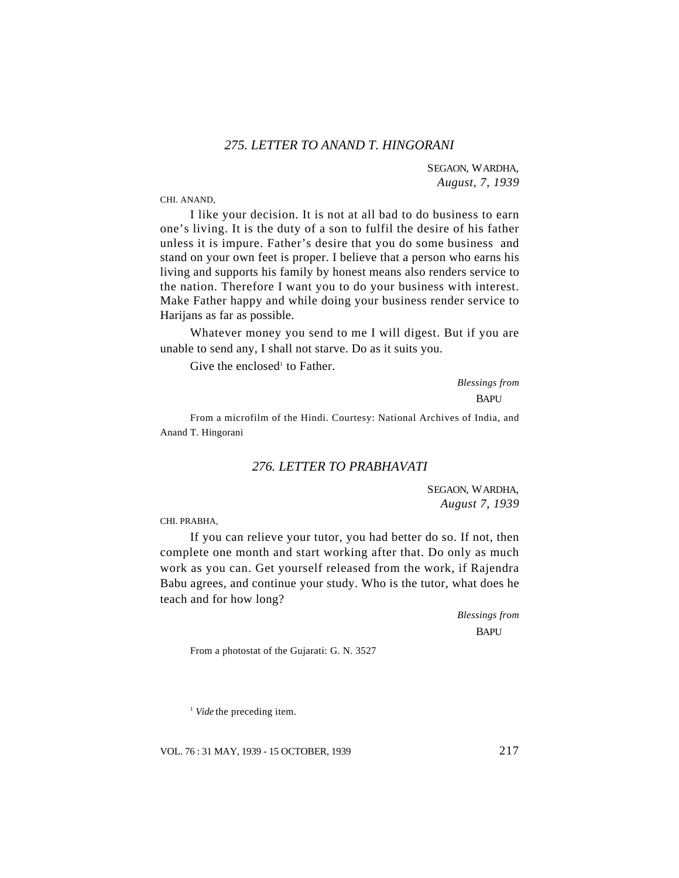# *275. LETTER TO ANAND T. HINGORANI*

SEGAON, WARDHA, *August, 7, 1939*

CHI. ANAND,

I like your decision. It is not at all bad to do business to earn one's living. It is the duty of a son to fulfil the desire of his father unless it is impure. Father's desire that you do some business and stand on your own feet is proper. I believe that a person who earns his living and supports his family by honest means also renders service to the nation. Therefore I want you to do your business with interest. Make Father happy and while doing your business render service to Harijans as far as possible.

Whatever money you send to me I will digest. But if you are unable to send any, I shall not starve. Do as it suits you.

Give the enclosed to Father.

*Blessings from* **BAPU** 

From a microfilm of the Hindi. Courtesy: National Archives of India, and Anand T. Hingorani

# *276. LETTER TO PRABHAVATI*

SEGAON, WARDHA, *August 7, 1939*

CHI. PRABHA,

If you can relieve your tutor, you had better do so. If not, then complete one month and start working after that. Do only as much work as you can. Get yourself released from the work, if Rajendra Babu agrees, and continue your study. Who is the tutor, what does he teach and for how long?

> *Blessings from* **BAPU**

From a photostat of the Gujarati: G. N. 3527

<sup>1</sup> *Vide* the preceding item.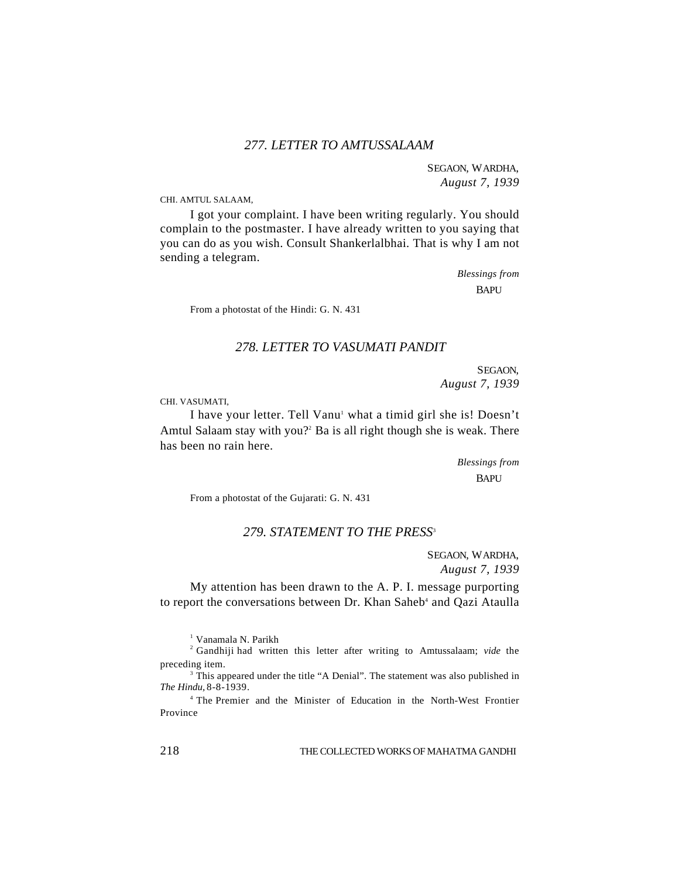# *277. LETTER TO AMTUSSALAAM*

SEGAON, WARDHA, *August 7, 1939*

CHI. AMTUL SALAAM,

I got your complaint. I have been writing regularly. You should complain to the postmaster. I have already written to you saying that you can do as you wish. Consult Shankerlalbhai. That is why I am not sending a telegram.

> *Blessings from* **BAPU**

From a photostat of the Hindi: G. N. 431

#### *278. LETTER TO VASUMATI PANDIT*

**SEGAON** *August 7, 1939*

CHI. VASUMATI,

I have your letter. Tell Vanu' what a timid girl she is! Doesn't Amtul Salaam stay with you?<sup>2</sup> Ba is all right though she is weak. There has been no rain here.

> *Blessings from* **BAPU**

From a photostat of the Gujarati: G. N. 431

#### *279. STATEMENT TO THE PRESS*<sup>3</sup>

SEGAON, WARDHA, *August 7, 1939*

My attention has been drawn to the A. P. I. message purporting to report the conversations between Dr. Khan Saheb4 and Qazi Ataulla

1 Vanamala N. Parikh

2 Gandhiji had written this letter after writing to Amtussalaam; *vide* the preceding item.

<sup>3</sup> This appeared under the title "A Denial". The statement was also published in *The Hindu,* 8-8-1939.

4 The Premier and the Minister of Education in the North-West Frontier Province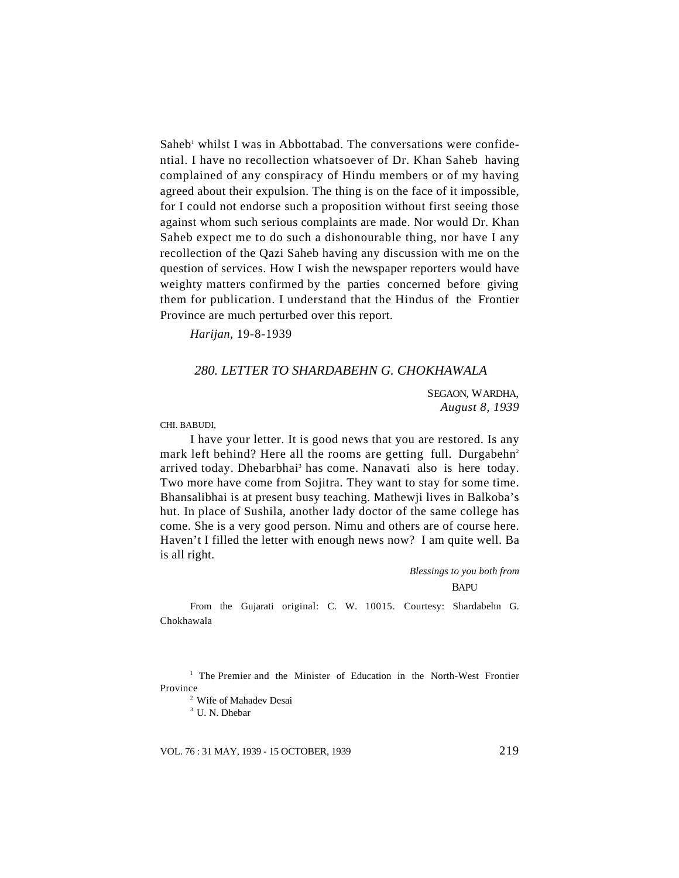Saheb<sup>1</sup> whilst I was in Abbottabad. The conversations were confidential. I have no recollection whatsoever of Dr. Khan Saheb having complained of any conspiracy of Hindu members or of my having agreed about their expulsion. The thing is on the face of it impossible, for I could not endorse such a proposition without first seeing those against whom such serious complaints are made. Nor would Dr. Khan Saheb expect me to do such a dishonourable thing, nor have I any recollection of the Qazi Saheb having any discussion with me on the question of services. How I wish the newspaper reporters would have weighty matters confirmed by the parties concerned before giving them for publication. I understand that the Hindus of the Frontier Province are much perturbed over this report.

*Harijan,* 19-8-1939

## *280. LETTER TO SHARDABEHN G. CHOKHAWALA*

SEGAON, WARDHA, *August 8, 1939*

CHI. BABUDI,

I have your letter. It is good news that you are restored. Is any mark left behind? Here all the rooms are getting full. Durgabehn<sup>2</sup> arrived today. Dhebarbhai<sup>3</sup> has come. Nanavati also is here today. Two more have come from Sojitra. They want to stay for some time. Bhansalibhai is at present busy teaching. Mathewji lives in Balkoba's hut. In place of Sushila, another lady doctor of the same college has come. She is a very good person. Nimu and others are of course here. Haven't I filled the letter with enough news now? I am quite well. Ba is all right.

*Blessings to you both from*

**BAPU** 

From the Gujarati original: C. W. 10015. Courtesy: Shardabehn G. Chokhawala

 $1$  The Premier and the Minister of Education in the North-West Frontier Province

<sup>2</sup> Wife of Mahadev Desai

 $3$  II N. Dhehar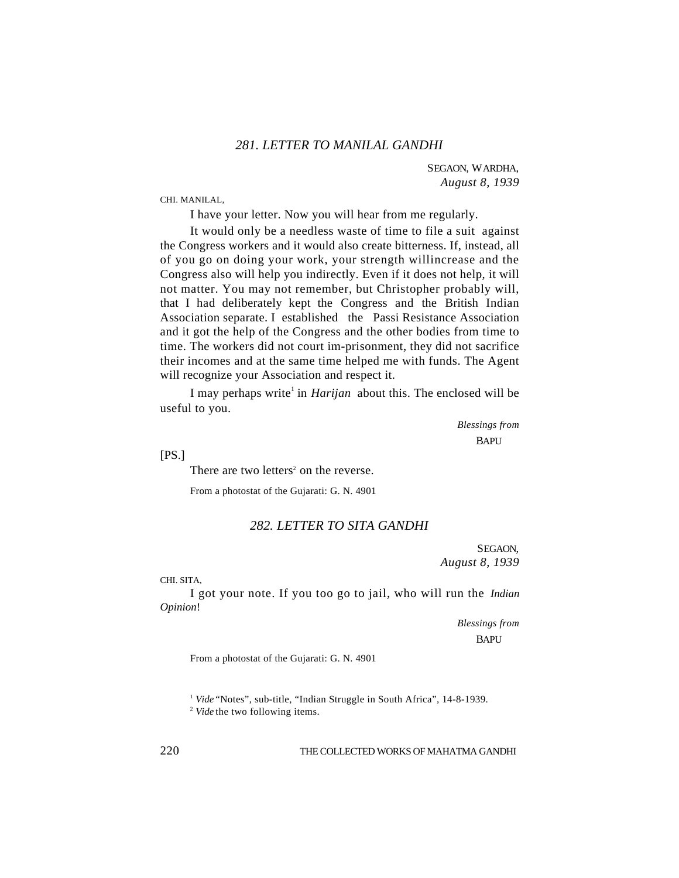# *281. LETTER TO MANILAL GANDHI*

SEGAON, WARDHA, *August 8, 1939*

CHI. MANILAL,

I have your letter. Now you will hear from me regularly.

It would only be a needless waste of time to file a suit against the Congress workers and it would also create bitterness. If, instead, all of you go on doing your work, your strength willincrease and the Congress also will help you indirectly. Even if it does not help, it will not matter. You may not remember, but Christopher probably will, that I had deliberately kept the Congress and the British Indian Association separate. I established the Passi Resistance Association and it got the help of the Congress and the other bodies from time to time. The workers did not court im-prisonment, they did not sacrifice their incomes and at the same time helped me with funds. The Agent will recognize your Association and respect it.

I may perhaps write<sup>1</sup> in *Harijan* about this. The enclosed will be useful to you.

> *Blessings from* **BAPU**

 $[PS.]$ 

There are two letters<sup>2</sup> on the reverse.

From a photostat of the Gujarati: G. N. 4901

# *282. LETTER TO SITA GANDHI*

SEGAON, *August 8, 1939*

CHI. SITA,

I got your note. If you too go to jail, who will run the *Indian Opinion*!

> *Blessings from* **BAPU**

From a photostat of the Gujarati: G. N. 4901

<sup>1</sup> *Vide* "Notes", sub-title, "Indian Struggle in South Africa", 14-8-1939.

<sup>2</sup> *Vide* the two following items.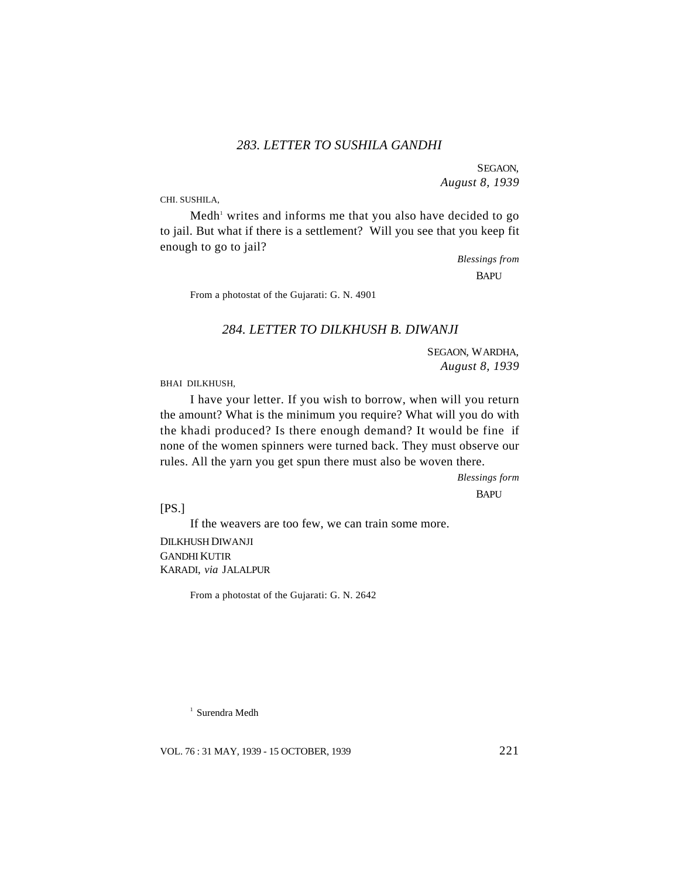# *283. LETTER TO SUSHILA GANDHI*

SEGAON, *August 8, 1939*

CHI. SUSHILA,

Medh<sup>1</sup> writes and informs me that you also have decided to go to jail. But what if there is a settlement? Will you see that you keep fit enough to go to jail?

> *Blessings from* **BAPU**

From a photostat of the Gujarati: G. N. 4901

#### *284. LETTER TO DILKHUSH B. DIWANJI*

SEGAON, WARDHA, *August 8, 1939*

BHAI DILKHUSH,

I have your letter. If you wish to borrow, when will you return the amount? What is the minimum you require? What will you do with the khadi produced? Is there enough demand? It would be fine if none of the women spinners were turned back. They must observe our rules. All the yarn you get spun there must also be woven there.

*Blessings form*

**BAPU** 

 $[PS.]$ 

If the weavers are too few, we can train some more.

DILKHUSH DIWANJI GANDHI KUTIR KARADI, *via* JALALPUR

From a photostat of the Gujarati: G. N. 2642

<sup>1</sup> Surendra Medh

VOL. 76 : 31 MAY, 1939 - 15 OCTOBER, 1939 221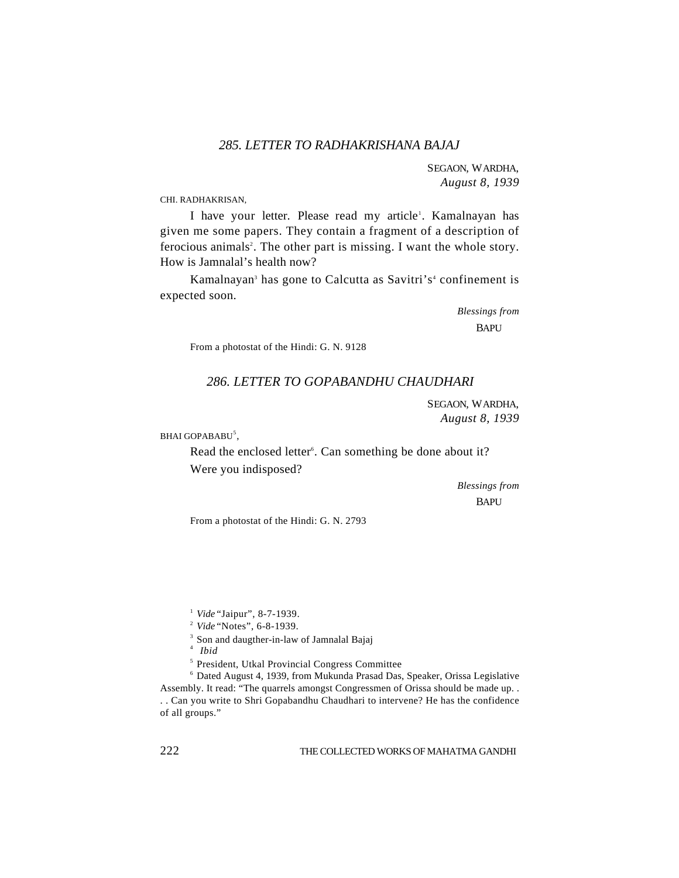# *285. LETTER TO RADHAKRISHANA BAJAJ*

SEGAON, WARDHA, *August 8, 1939*

CHI. RADHAKRISAN,

I have your letter. Please read my article<sup>1</sup>. Kamalnayan has given me some papers. They contain a fragment of a description of ferocious animals<sup>2</sup>. The other part is missing. I want the whole story. How is Jamnalal's health now?

Kamalnayan<sup>3</sup> has gone to Calcutta as Savitri's<sup>4</sup> confinement is expected soon.

> *Blessings from* BAPU

From a photostat of the Hindi: G. N. 9128

### *286. LETTER TO GOPABANDHU CHAUDHARI*

SEGAON, WARDHA, *August 8, 1939*

 $B$ HAI GOPABABU $^5$ ,

Read the enclosed letter<sup>6</sup>. Can something be done about it? Were you indisposed?

> *Blessings from* **BAPU**

From a photostat of the Hindi: G. N. 2793

<sup>1</sup> *Vide* "Jaipur", 8-7-1939.

<sup>2</sup> *Vide* "Notes", 6-8-1939.

<sup>3</sup> Son and daugther-in-law of Jamnalal Bajaj

4 *Ibid*

5 President, Utkal Provincial Congress Committee

<sup>6</sup> Dated August 4, 1939, from Mukunda Prasad Das, Speaker, Orissa Legislative Assembly. It read: "The quarrels amongst Congressmen of Orissa should be made up. . . . Can you write to Shri Gopabandhu Chaudhari to intervene? He has the confidence of all groups."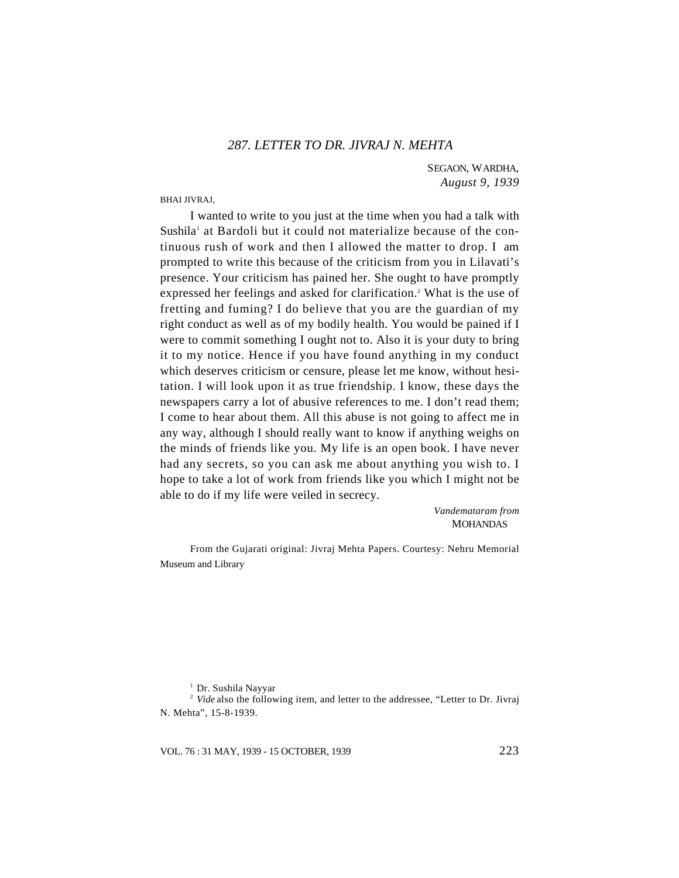# *287. LETTER TO DR. JIVRAJ N. MEHTA*

SEGAON, WARDHA, *August 9, 1939*

BHAI JIVRAJ,

I wanted to write to you just at the time when you had a talk with Sushila<sup>1</sup> at Bardoli but it could not materialize because of the continuous rush of work and then I allowed the matter to drop. I am prompted to write this because of the criticism from you in Lilavati's presence. Your criticism has pained her. She ought to have promptly expressed her feelings and asked for clarification.<sup>2</sup> What is the use of fretting and fuming? I do believe that you are the guardian of my right conduct as well as of my bodily health. You would be pained if I were to commit something I ought not to. Also it is your duty to bring it to my notice. Hence if you have found anything in my conduct which deserves criticism or censure, please let me know, without hesitation. I will look upon it as true friendship. I know, these days the newspapers carry a lot of abusive references to me. I don't read them; I come to hear about them. All this abuse is not going to affect me in any way, although I should really want to know if anything weighs on the minds of friends like you. My life is an open book. I have never had any secrets, so you can ask me about anything you wish to. I hope to take a lot of work from friends like you which I might not be able to do if my life were veiled in secrecy.

> *Vandemataram from* **MOHANDAS**

From the Gujarati original: Jivraj Mehta Papers. Courtesy: Nehru Memorial Museum and Library

<sup>&</sup>lt;sup>1</sup> Dr. Sushila Navyar

<sup>&</sup>lt;sup>2</sup> *Vide* also the following item, and letter to the addressee, "Letter to Dr. Jivraj N. Mehta", 15-8-1939.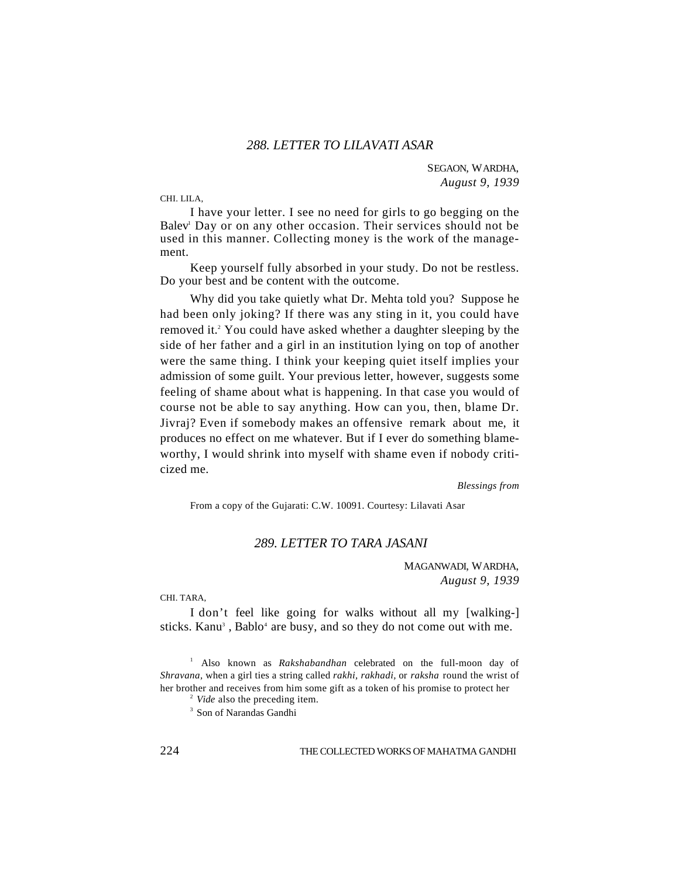SEGAON, WARDHA, *August 9, 1939*

CHI. LILA,

I have your letter. I see no need for girls to go begging on the Balev<sup>1</sup> Day or on any other occasion. Their services should not be used in this manner. Collecting money is the work of the management.

Keep yourself fully absorbed in your study. Do not be restless. Do your best and be content with the outcome.

Why did you take quietly what Dr. Mehta told you? Suppose he had been only joking? If there was any sting in it, you could have removed it.<sup>2</sup> You could have asked whether a daughter sleeping by the side of her father and a girl in an institution lying on top of another were the same thing. I think your keeping quiet itself implies your admission of some guilt. Your previous letter, however, suggests some feeling of shame about what is happening. In that case you would of course not be able to say anything. How can you, then, blame Dr. Jivraj? Even if somebody makes an offensive remark about me, it produces no effect on me whatever. But if I ever do something blameworthy, I would shrink into myself with shame even if nobody criticized me.

*Blessings from*

From a copy of the Gujarati: C.W. 10091. Courtesy: Lilavati Asar

# *289. LETTER TO TARA JASANI*

MAGANWADI, WARDHA, *August 9, 1939*

CHI. TARA,

I don't feel like going for walks without all my [walking-] sticks. Kanu<sup>3</sup>, Bablo<sup>4</sup> are busy, and so they do not come out with me.

<sup>&</sup>lt;sup>1</sup> Also known as *Rakshabandhan* celebrated on the full-moon day of *Shravana,* when a girl ties a string called *rakhi, rakhadi,* or *raksha* round the wrist of her brother and receives from him some gift as a token of his promise to protect her

<sup>&</sup>lt;sup>2</sup> *Vide* also the preceding item.

<sup>3</sup> Son of Narandas Gandhi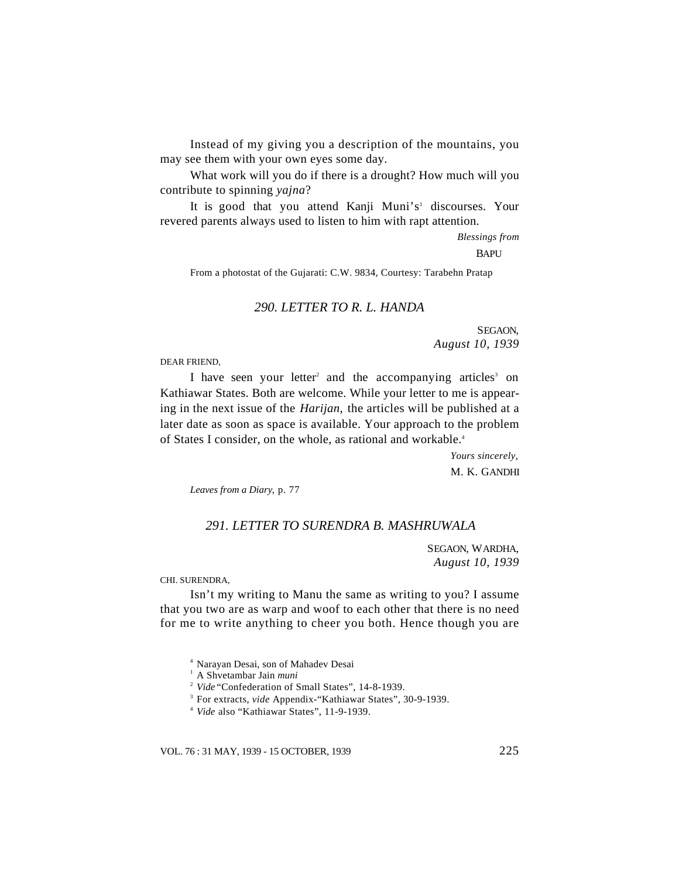Instead of my giving you a description of the mountains, you may see them with your own eyes some day.

What work will you do if there is a drought? How much will you contribute to spinning *yajna*?

It is good that you attend Kanji Muni's<sup>1</sup> discourses. Your revered parents always used to listen to him with rapt attention.

*Blessings from*

**BAPU** 

From a photostat of the Gujarati: C.W. 9834, Courtesy: Tarabehn Pratap

# *290. LETTER TO R. L. HANDA*

SEGAON, *August 10, 1939*

DEAR FRIEND,

I have seen your letter<sup>2</sup> and the accompanying articles<sup>3</sup> on Kathiawar States. Both are welcome. While your letter to me is appearing in the next issue of the *Harijan,* the articles will be published at a later date as soon as space is available. Your approach to the problem of States I consider, on the whole, as rational and workable.<sup>4</sup>

> *Yours sincerely,* M. K. GANDHI

*Leaves from a Diary*, p. 77

# *291. LETTER TO SURENDRA B. MASHRUWALA*

SEGAON, WARDHA, *August 10, 1939*

CHI. SURENDRA,

Isn't my writing to Manu the same as writing to you? I assume that you two are as warp and woof to each other that there is no need for me to write anything to cheer you both. Hence though you are

<sup>4</sup> Narayan Desai, son of Mahadev Desai

<sup>1</sup> A Shvetambar Jain *muni*

<sup>&</sup>lt;sup>2</sup> *Vide* "Confederation of Small States", 14-8-1939.

<sup>&</sup>lt;sup>3</sup> For extracts, *vide* Appendix-"Kathiawar States", 30-9-1939.

<sup>4</sup> *Vide* also "Kathiawar States", 11-9-1939.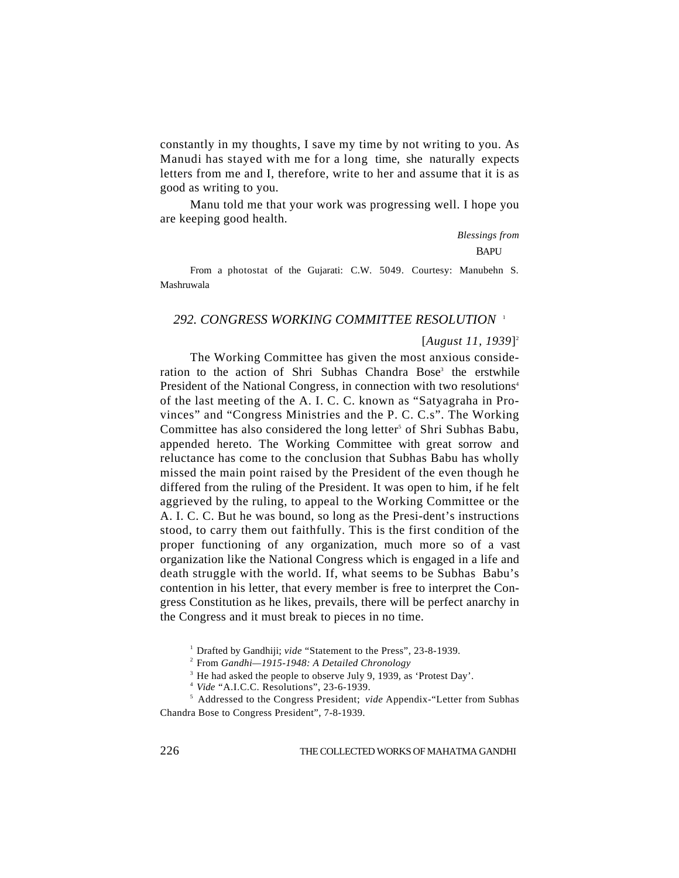constantly in my thoughts, I save my time by not writing to you. As Manudi has stayed with me for a long time, she naturally expects letters from me and I, therefore, write to her and assume that it is as good as writing to you.

Manu told me that your work was progressing well. I hope you are keeping good health.

*Blessings from*

**BAPU** 

From a photostat of the Gujarati: C.W. 5049. Courtesy: Manubehn S. Mashruwala

## *292. CONGRESS WORKING COMMITTEE RESOLUTION* <sup>1</sup>

#### [*August 11, 1939*] 2

The Working Committee has given the most anxious consideration to the action of Shri Subhas Chandra Bose<sup>3</sup> the erstwhile President of the National Congress, in connection with two resolutions<sup>4</sup> of the last meeting of the A. I. C. C. known as "Satyagraha in Provinces" and "Congress Ministries and the P. C. C.s". The Working Committee has also considered the long letter<sup>5</sup> of Shri Subhas Babu, appended hereto. The Working Committee with great sorrow and reluctance has come to the conclusion that Subhas Babu has wholly missed the main point raised by the President of the even though he differed from the ruling of the President. It was open to him, if he felt aggrieved by the ruling, to appeal to the Working Committee or the A. I. C. C. But he was bound, so long as the Presi-dent's instructions stood, to carry them out faithfully. This is the first condition of the proper functioning of any organization, much more so of a vast organization like the National Congress which is engaged in a life and death struggle with the world. If, what seems to be Subhas Babu's contention in his letter, that every member is free to interpret the Congress Constitution as he likes, prevails, there will be perfect anarchy in the Congress and it must break to pieces in no time.

<sup>1</sup> Drafted by Gandhiji; *vide* "Statement to the Press", 23-8-1939.

<sup>5</sup> Addressed to the Congress President; *vide* Appendix-"Letter from Subhas Chandra Bose to Congress President", 7-8-1939.

<sup>2</sup> From *Gandhi—1915-1948: A Detailed Chronology*

 $3$  He had asked the people to observe July 9, 1939, as 'Protest Day'.

<sup>4</sup> *Vide* "A.I.C.C. Resolutions", 23-6-1939.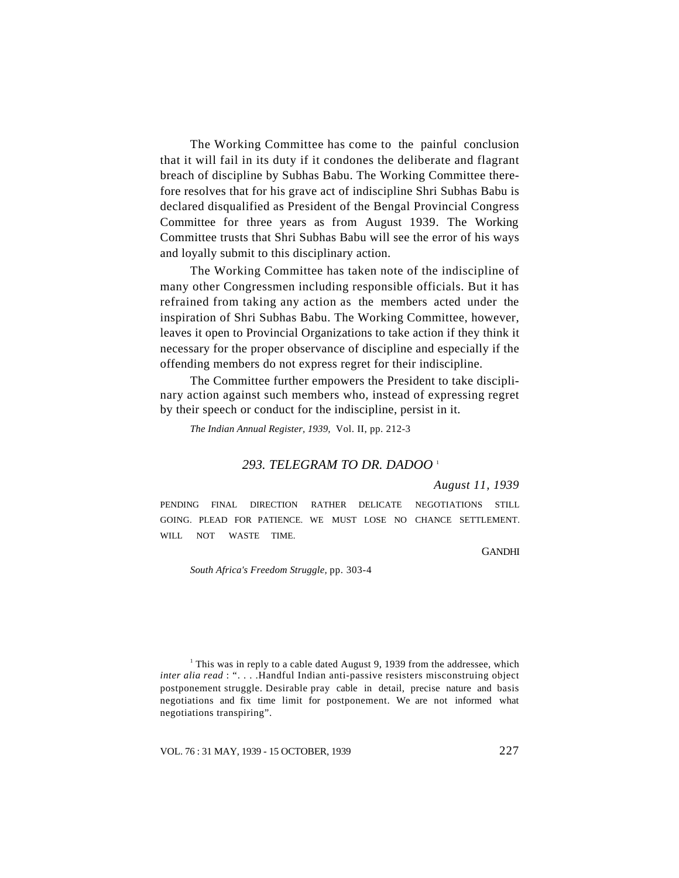The Working Committee has come to the painful conclusion that it will fail in its duty if it condones the deliberate and flagrant breach of discipline by Subhas Babu. The Working Committee therefore resolves that for his grave act of indiscipline Shri Subhas Babu is declared disqualified as President of the Bengal Provincial Congress Committee for three years as from August 1939. The Working Committee trusts that Shri Subhas Babu will see the error of his ways and loyally submit to this disciplinary action.

The Working Committee has taken note of the indiscipline of many other Congressmen including responsible officials. But it has refrained from taking any action as the members acted under the inspiration of Shri Subhas Babu. The Working Committee, however, leaves it open to Provincial Organizations to take action if they think it necessary for the proper observance of discipline and especially if the offending members do not express regret for their indiscipline.

The Committee further empowers the President to take disciplinary action against such members who, instead of expressing regret by their speech or conduct for the indiscipline, persist in it.

*The Indian Annual Register, 1939,* Vol. II, pp. 212-3

#### *293. TELEGRAM TO DR. DADOO* <sup>1</sup>

*August 11, 1939*

PENDING FINAL DIRECTION RATHER DELICATE NEGOTIATIONS STILL GOING. PLEAD FOR PATIENCE. WE MUST LOSE NO CHANCE SETTLEMENT. WILL NOT WASTE TIME.

**GANDHI** 

*South Africa's Freedom Struggle,* pp. 303-4

 $1$ <sup>1</sup> This was in reply to a cable dated August 9, 1939 from the addressee, which *inter alia read* : ".... Handful Indian anti-passive resisters misconstruing object postponement struggle. Desirable pray cable in detail, precise nature and basis negotiations and fix time limit for postponement. We are not informed what negotiations transpiring".

VOL. 76 : 31 MAY, 1939 - 15 OCTOBER, 1939 227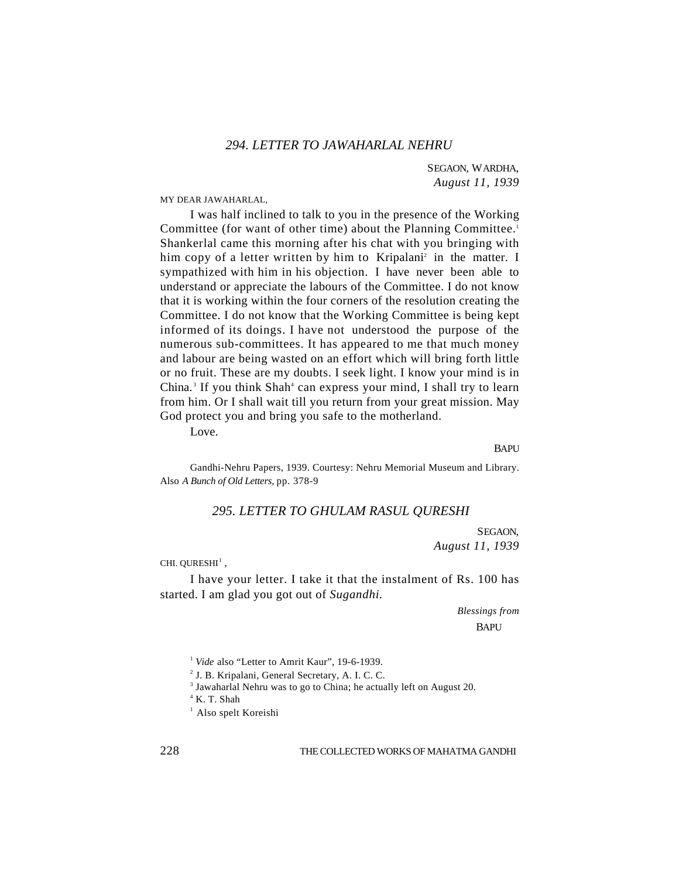# *294. LETTER TO JAWAHARLAL NEHRU*

SEGAON, WARDHA, *August 11, 1939*

MY DEAR JAWAHARLAL,

I was half inclined to talk to you in the presence of the Working Committee (for want of other time) about the Planning Committee.<sup>1</sup> Shankerlal came this morning after his chat with you bringing with him copy of a letter written by him to Kripalani<sup>2</sup> in the matter. I sympathized with him in his objection. I have never been able to understand or appreciate the labours of the Committee. I do not know that it is working within the four corners of the resolution creating the Committee. I do not know that the Working Committee is being kept informed of its doings. I have not understood the purpose of the numerous sub-committees. It has appeared to me that much money and labour are being wasted on an effort which will bring forth little or no fruit. These are my doubts. I seek light. I know your mind is in China.<sup>3</sup> If you think Shah<sup>4</sup> can express your mind, I shall try to learn from him. Or I shall wait till you return from your great mission. May God protect you and bring you safe to the motherland.

Love.

**BAPU** 

Gandhi-Nehru Papers, 1939. Courtesy: Nehru Memorial Museum and Library. Also *A Bunch of Old Letters,* pp. 378-9

#### *295. LETTER TO GHULAM RASUL QURESHI*

SEGAON, *August 11, 1939*

CHI. QURESHI $^1$ ,

I have your letter. I take it that the instalment of Rs. 100 has started. I am glad you got out of *Sugandhi.*

> *Blessings from* BAPU

<sup>1</sup> *Vide* also "Letter to Amrit Kaur", 19-6-1939.

 $4 K$ . T. Shah

<sup>1</sup> Also spelt Koreishi

<sup>&</sup>lt;sup>2</sup> J. B. Kripalani, General Secretary, A. I. C. C.

<sup>&</sup>lt;sup>3</sup> Jawaharlal Nehru was to go to China; he actually left on August 20.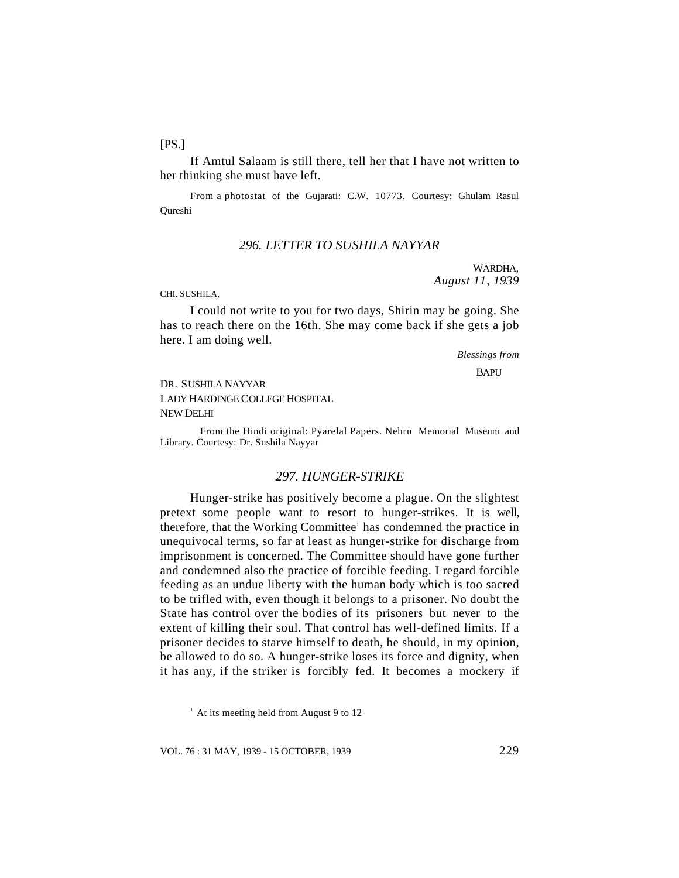$[PS.]$ 

If Amtul Salaam is still there, tell her that I have not written to her thinking she must have left.

From a photostat of the Gujarati: C.W. 10773. Courtesy: Ghulam Rasul Qureshi

## *296. LETTER TO SUSHILA NAYYAR*

WARDHA, *August 11, 1939*

CHI. SUSHILA,

I could not write to you for two days, Shirin may be going. She has to reach there on the 16th. She may come back if she gets a job here. I am doing well.

*Blessings from*

**BAPU** 

DR. SUSHILA NAYYAR LADY HARDINGE COLLEGE HOSPITAL NEW DELHI

From the Hindi original: Pyarelal Papers. Nehru Memorial Museum and Library. Courtesy: Dr. Sushila Nayyar

#### *297. HUNGER-STRIKE*

Hunger-strike has positively become a plague. On the slightest pretext some people want to resort to hunger-strikes. It is well, therefore, that the Working Committee<sup>1</sup> has condemned the practice in unequivocal terms, so far at least as hunger-strike for discharge from imprisonment is concerned. The Committee should have gone further and condemned also the practice of forcible feeding. I regard forcible feeding as an undue liberty with the human body which is too sacred to be trifled with, even though it belongs to a prisoner. No doubt the State has control over the bodies of its prisoners but never to the extent of killing their soul. That control has well-defined limits. If a prisoner decides to starve himself to death, he should, in my opinion, be allowed to do so. A hunger-strike loses its force and dignity, when it has any, if the striker is forcibly fed. It becomes a mockery if

 $<sup>1</sup>$  At its meeting held from August 9 to 12</sup>

VOL. 76 : 31 MAY, 1939 - 15 OCTOBER, 1939 229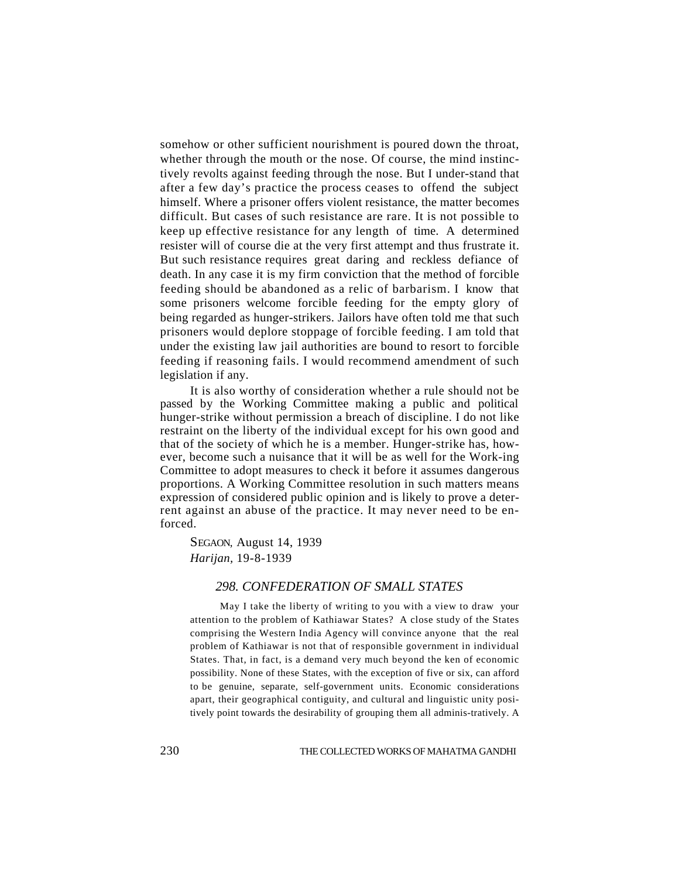somehow or other sufficient nourishment is poured down the throat, whether through the mouth or the nose. Of course, the mind instinctively revolts against feeding through the nose. But I under-stand that after a few day's practice the process ceases to offend the subject himself. Where a prisoner offers violent resistance, the matter becomes difficult. But cases of such resistance are rare. It is not possible to keep up effective resistance for any length of time. A determined resister will of course die at the very first attempt and thus frustrate it. But such resistance requires great daring and reckless defiance of death. In any case it is my firm conviction that the method of forcible feeding should be abandoned as a relic of barbarism. I know that some prisoners welcome forcible feeding for the empty glory of being regarded as hunger-strikers. Jailors have often told me that such prisoners would deplore stoppage of forcible feeding. I am told that under the existing law jail authorities are bound to resort to forcible feeding if reasoning fails. I would recommend amendment of such legislation if any.

It is also worthy of consideration whether a rule should not be passed by the Working Committee making a public and political hunger-strike without permission a breach of discipline. I do not like restraint on the liberty of the individual except for his own good and that of the society of which he is a member. Hunger-strike has, however, become such a nuisance that it will be as well for the Work-ing Committee to adopt measures to check it before it assumes dangerous proportions. A Working Committee resolution in such matters means expression of considered public opinion and is likely to prove a deterrent against an abuse of the practice. It may never need to be enforced.

SEGAON, August 14, 1939 *Harijan,* 19-8-1939

# *298. CONFEDERATION OF SMALL STATES*

May I take the liberty of writing to you with a view to draw your attention to the problem of Kathiawar States? A close study of the States comprising the Western India Agency will convince anyone that the real problem of Kathiawar is not that of responsible government in individual States. That, in fact, is a demand very much beyond the ken of economic possibility. None of these States, with the exception of five or six, can afford to be genuine, separate, self-government units. Economic considerations apart, their geographical contiguity, and cultural and linguistic unity positively point towards the desirability of grouping them all adminis-tratively. A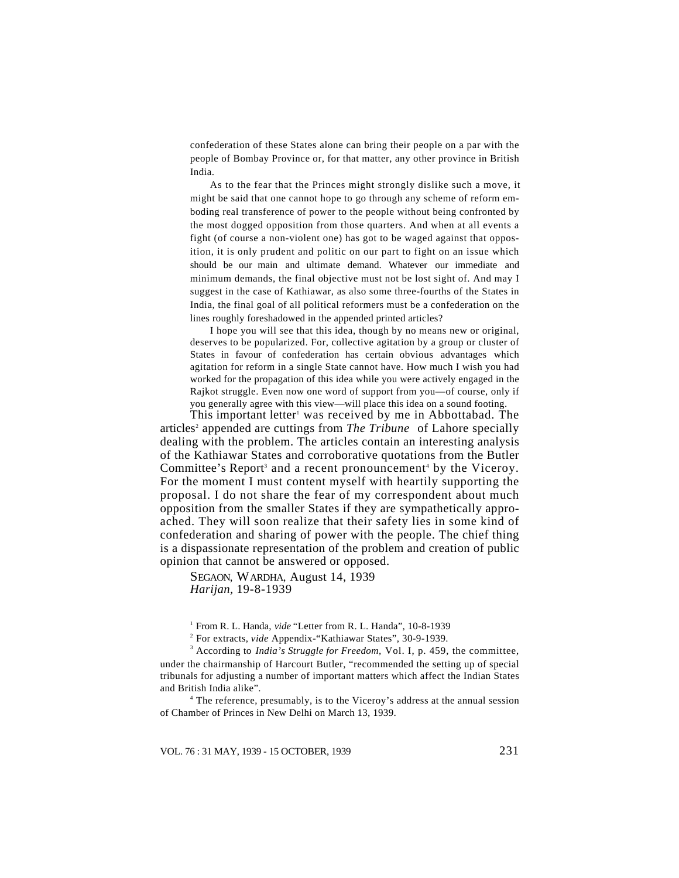confederation of these States alone can bring their people on a par with the people of Bombay Province or, for that matter, any other province in British India.

As to the fear that the Princes might strongly dislike such a move, it might be said that one cannot hope to go through any scheme of reform emboding real transference of power to the people without being confronted by the most dogged opposition from those quarters. And when at all events a fight (of course a non-violent one) has got to be waged against that opposition, it is only prudent and politic on our part to fight on an issue which should be our main and ultimate demand. Whatever our immediate and minimum demands, the final objective must not be lost sight of. And may I suggest in the case of Kathiawar, as also some three-fourths of the States in India, the final goal of all political reformers must be a confederation on the lines roughly foreshadowed in the appended printed articles?

I hope you will see that this idea, though by no means new or original, deserves to be popularized. For, collective agitation by a group or cluster of States in favour of confederation has certain obvious advantages which agitation for reform in a single State cannot have. How much I wish you had worked for the propagation of this idea while you were actively engaged in the Rajkot struggle. Even now one word of support from you—of course, only if you generally agree with this view—will place this idea on a sound footing.

This important letter<sup>1</sup> was received by me in Abbottabad. The articles<sup>2</sup> appended are cuttings from *The Tribune* of Lahore specially dealing with the problem. The articles contain an interesting analysis of the Kathiawar States and corroborative quotations from the Butler Committee's Report<sup>3</sup> and a recent pronouncement<sup>4</sup> by the Viceroy. For the moment I must content myself with heartily supporting the proposal. I do not share the fear of my correspondent about much opposition from the smaller States if they are sympathetically approached. They will soon realize that their safety lies in some kind of confederation and sharing of power with the people. The chief thing is a dispassionate representation of the problem and creation of public opinion that cannot be answered or opposed.

SEGAON, WARDHA, August 14, 1939 *Harijan,* 19-8-1939

<sup>1</sup> From R. L. Handa, *vide* "Letter from R. L. Handa", 10-8-1939

2 For extracts, *vide* Appendix-"Kathiawar States", 30-9-1939.

<sup>3</sup> According to *India's Struggle for Freedom*, Vol. I, p. 459, the committee, under the chairmanship of Harcourt Butler, "recommended the setting up of special tribunals for adjusting a number of important matters which affect the Indian States and British India alike".

<sup>4</sup> The reference, presumably, is to the Viceroy's address at the annual session of Chamber of Princes in New Delhi on March 13, 1939.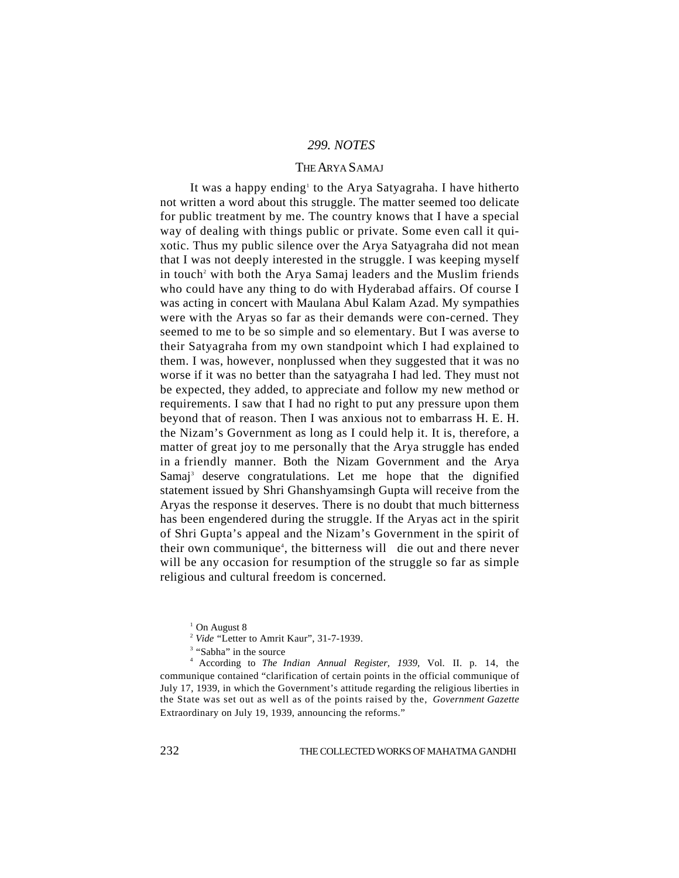# *299. NOTES*

#### THE ARYA SAMAJ

It was a happy ending<sup>1</sup> to the Arya Satyagraha. I have hitherto not written a word about this struggle. The matter seemed too delicate for public treatment by me. The country knows that I have a special way of dealing with things public or private. Some even call it quixotic. Thus my public silence over the Arya Satyagraha did not mean that I was not deeply interested in the struggle. I was keeping myself in touch<sup>2</sup> with both the Arya Samaj leaders and the Muslim friends who could have any thing to do with Hyderabad affairs. Of course I was acting in concert with Maulana Abul Kalam Azad. My sympathies were with the Aryas so far as their demands were con-cerned. They seemed to me to be so simple and so elementary. But I was averse to their Satyagraha from my own standpoint which I had explained to them. I was, however, nonplussed when they suggested that it was no worse if it was no better than the satyagraha I had led. They must not be expected, they added, to appreciate and follow my new method or requirements. I saw that I had no right to put any pressure upon them beyond that of reason. Then I was anxious not to embarrass H. E. H. the Nizam's Government as long as I could help it. It is, therefore, a matter of great joy to me personally that the Arya struggle has ended in a friendly manner. Both the Nizam Government and the Arya Samaj<sup>3</sup> deserve congratulations. Let me hope that the dignified statement issued by Shri Ghanshyamsingh Gupta will receive from the Aryas the response it deserves. There is no doubt that much bitterness has been engendered during the struggle. If the Aryas act in the spirit of Shri Gupta's appeal and the Nizam's Government in the spirit of their own communique<sup>4</sup>, the bitterness will die out and there never will be any occasion for resumption of the struggle so far as simple religious and cultural freedom is concerned.

<sup>1</sup> On August 8

<sup>2</sup> *Vide* "Letter to Amrit Kaur", 31-7-1939.

<sup>3</sup> "Sabha" in the source

<sup>4</sup> According to *The Indian Annual Register, 1939,* Vol. II. p. 14, the communique contained "clarification of certain points in the official communique of July 17, 1939, in which the Government's attitude regarding the religious liberties in the State was set out as well as of the points raised by the, *Government Gazette* Extraordinary on July 19, 1939, announcing the reforms."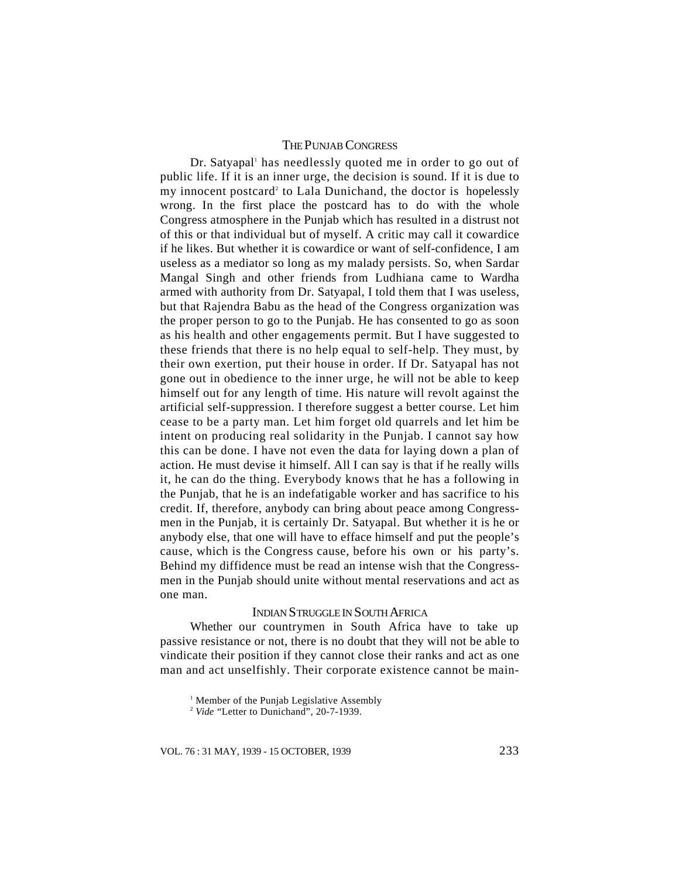# THE PUNJAB CONGRESS

Dr. Satyapal<sup>1</sup> has needlessly quoted me in order to go out of public life. If it is an inner urge, the decision is sound. If it is due to my innocent postcard<sup>2</sup> to Lala Dunichand, the doctor is hopelessly wrong. In the first place the postcard has to do with the whole Congress atmosphere in the Punjab which has resulted in a distrust not of this or that individual but of myself. A critic may call it cowardice if he likes. But whether it is cowardice or want of self-confidence, I am useless as a mediator so long as my malady persists. So, when Sardar Mangal Singh and other friends from Ludhiana came to Wardha armed with authority from Dr. Satyapal, I told them that I was useless, but that Rajendra Babu as the head of the Congress organization was the proper person to go to the Punjab. He has consented to go as soon as his health and other engagements permit. But I have suggested to these friends that there is no help equal to self-help. They must, by their own exertion, put their house in order. If Dr. Satyapal has not gone out in obedience to the inner urge, he will not be able to keep himself out for any length of time. His nature will revolt against the artificial self-suppression. I therefore suggest a better course. Let him cease to be a party man. Let him forget old quarrels and let him be intent on producing real solidarity in the Punjab. I cannot say how this can be done. I have not even the data for laying down a plan of action. He must devise it himself. All I can say is that if he really wills it, he can do the thing. Everybody knows that he has a following in the Punjab, that he is an indefatigable worker and has sacrifice to his credit. If, therefore, anybody can bring about peace among Congressmen in the Punjab, it is certainly Dr. Satyapal. But whether it is he or anybody else, that one will have to efface himself and put the people's cause, which is the Congress cause, before his own or his party's. Behind my diffidence must be read an intense wish that the Congressmen in the Punjab should unite without mental reservations and act as one man.

#### INDIAN STRUGGLE IN SOUTH AFRICA

Whether our countrymen in South Africa have to take up passive resistance or not, there is no doubt that they will not be able to vindicate their position if they cannot close their ranks and act as one man and act unselfishly. Their corporate existence cannot be main-

<sup>&</sup>lt;sup>1</sup> Member of the Punjab Legislative Assembly

<sup>2</sup> *Vide* "Letter to Dunichand", 20-7-1939.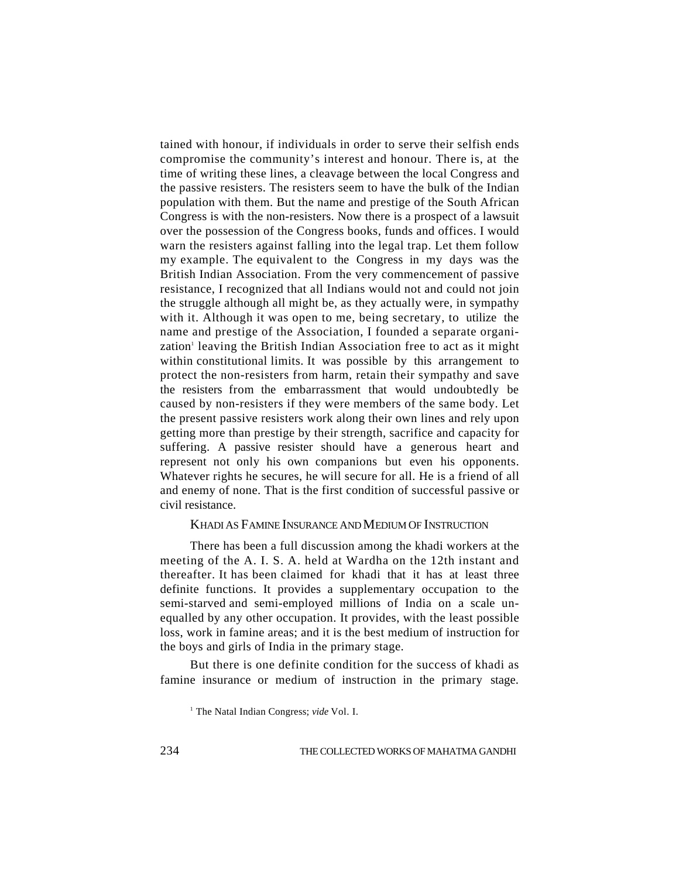tained with honour, if individuals in order to serve their selfish ends compromise the community's interest and honour. There is, at the time of writing these lines, a cleavage between the local Congress and the passive resisters. The resisters seem to have the bulk of the Indian population with them. But the name and prestige of the South African Congress is with the non-resisters. Now there is a prospect of a lawsuit over the possession of the Congress books, funds and offices. I would warn the resisters against falling into the legal trap. Let them follow my example. The equivalent to the Congress in my days was the British Indian Association. From the very commencement of passive resistance, I recognized that all Indians would not and could not join the struggle although all might be, as they actually were, in sympathy with it. Although it was open to me, being secretary, to utilize the name and prestige of the Association, I founded a separate organization<sup>1</sup> leaving the British Indian Association free to act as it might within constitutional limits. It was possible by this arrangement to protect the non-resisters from harm, retain their sympathy and save the resisters from the embarrassment that would undoubtedly be caused by non-resisters if they were members of the same body. Let the present passive resisters work along their own lines and rely upon getting more than prestige by their strength, sacrifice and capacity for suffering. A passive resister should have a generous heart and represent not only his own companions but even his opponents. Whatever rights he secures, he will secure for all. He is a friend of all and enemy of none. That is the first condition of successful passive or civil resistance.

# KHADI AS FAMINE INSURANCE AND MEDIUM OF INSTRUCTION

There has been a full discussion among the khadi workers at the meeting of the A. I. S. A. held at Wardha on the 12th instant and thereafter. It has been claimed for khadi that it has at least three definite functions. It provides a supplementary occupation to the semi-starved and semi-employed millions of India on a scale unequalled by any other occupation. It provides, with the least possible loss, work in famine areas; and it is the best medium of instruction for the boys and girls of India in the primary stage.

But there is one definite condition for the success of khadi as famine insurance or medium of instruction in the primary stage.

<sup>&</sup>lt;sup>1</sup> The Natal Indian Congress; vide Vol. I.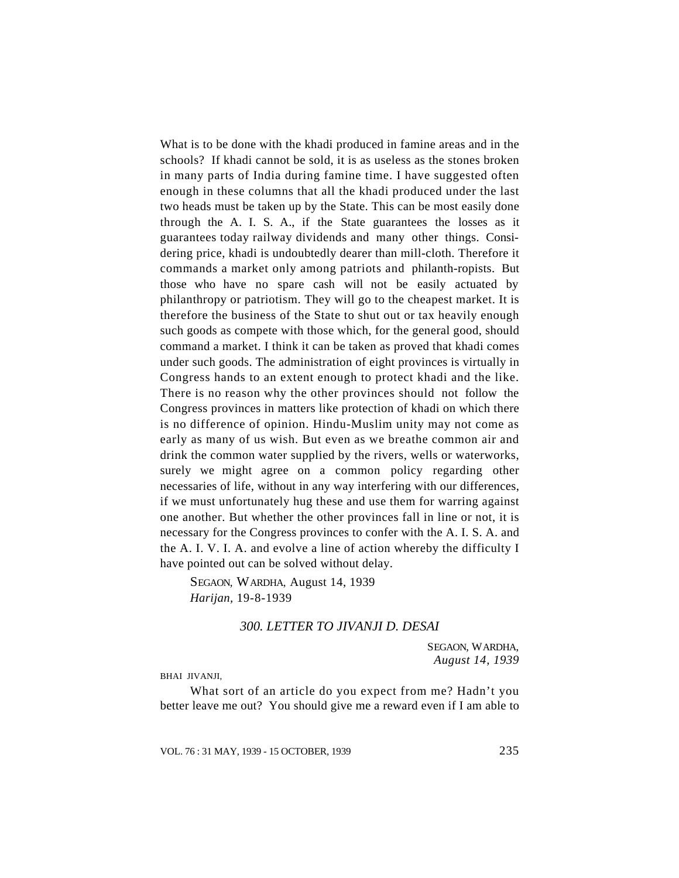What is to be done with the khadi produced in famine areas and in the schools? If khadi cannot be sold, it is as useless as the stones broken in many parts of India during famine time. I have suggested often enough in these columns that all the khadi produced under the last two heads must be taken up by the State. This can be most easily done through the A. I. S. A., if the State guarantees the losses as it guarantees today railway dividends and many other things. Considering price, khadi is undoubtedly dearer than mill-cloth. Therefore it commands a market only among patriots and philanth-ropists. But those who have no spare cash will not be easily actuated by philanthropy or patriotism. They will go to the cheapest market. It is therefore the business of the State to shut out or tax heavily enough such goods as compete with those which, for the general good, should command a market. I think it can be taken as proved that khadi comes under such goods. The administration of eight provinces is virtually in Congress hands to an extent enough to protect khadi and the like. There is no reason why the other provinces should not follow the Congress provinces in matters like protection of khadi on which there is no difference of opinion. Hindu-Muslim unity may not come as early as many of us wish. But even as we breathe common air and drink the common water supplied by the rivers, wells or waterworks, surely we might agree on a common policy regarding other necessaries of life, without in any way interfering with our differences, if we must unfortunately hug these and use them for warring against one another. But whether the other provinces fall in line or not, it is necessary for the Congress provinces to confer with the A. I. S. A. and the A. I. V. I. A. and evolve a line of action whereby the difficulty I have pointed out can be solved without delay.

SEGAON, WARDHA, August 14, 1939 *Harijan,* 19-8-1939

# *300. LETTER TO JIVANJI D. DESAI*

SEGAON, WARDHA, *August 14, 1939*

BHAI JIVANJI,

What sort of an article do you expect from me? Hadn't you better leave me out? You should give me a reward even if I am able to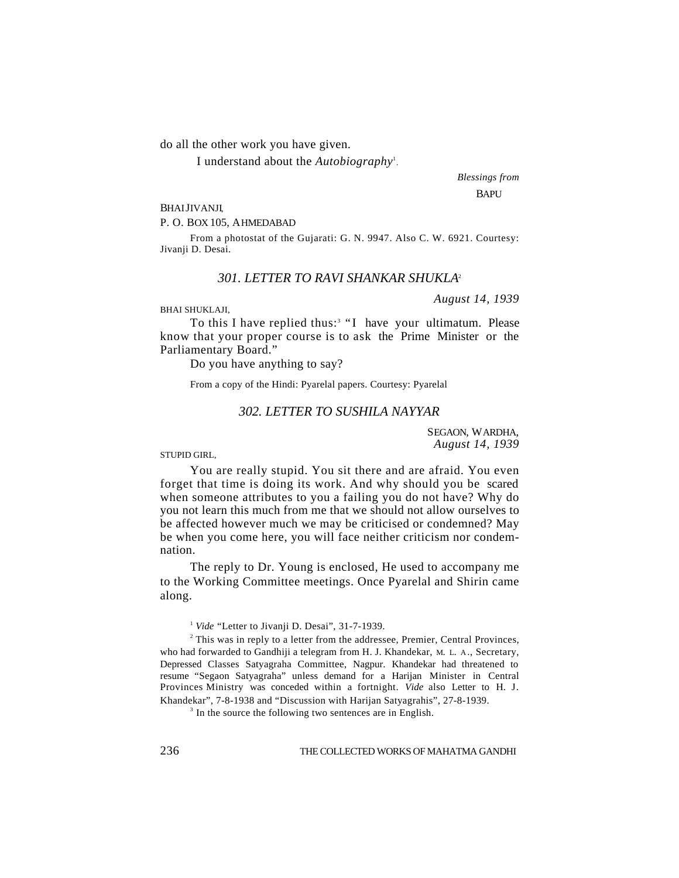do all the other work you have given.

I understand about the *Autobiography*<sup>1</sup> .

*Blessings from*

**BAPU** 

BHAIJIVANJI,

P. O. BOX 105, AHMEDABAD

From a photostat of the Gujarati: G. N. 9947. Also C. W. 6921. Courtesy: Jivanji D. Desai.

# *301. LETTER TO RAVI SHANKAR SHUKLA*<sup>2</sup>

*August 14, 1939*

#### BHAI SHUKLAJI,

To this I have replied thus:<sup>3</sup> "I have your ultimatum. Please know that your proper course is to ask the Prime Minister or the Parliamentary Board."

Do you have anything to say?

From a copy of the Hindi: Pyarelal papers. Courtesy: Pyarelal

#### *302. LETTER TO SUSHILA NAYYAR*

SEGAON, WARDHA, *August 14, 1939*

STUPID GIRL,

You are really stupid. You sit there and are afraid. You even forget that time is doing its work. And why should you be scared when someone attributes to you a failing you do not have? Why do you not learn this much from me that we should not allow ourselves to be affected however much we may be criticised or condemned? May be when you come here, you will face neither criticism nor condemnation.

The reply to Dr. Young is enclosed, He used to accompany me to the Working Committee meetings. Once Pyarelal and Shirin came along.

<sup>1</sup> *Vide* "Letter to Jivanji D. Desai", 31-7-1939.

 $2$  This was in reply to a letter from the addressee, Premier, Central Provinces, who had forwarded to Gandhiji a telegram from H. J. Khandekar, M. L. A., Secretary, Depressed Classes Satyagraha Committee, Nagpur. Khandekar had threatened to resume "Segaon Satyagraha" unless demand for a Harijan Minister in Central Provinces Ministry was conceded within a fortnight. *Vide* also Letter to H. J. Khandekar", 7-8-1938 and "Discussion with Harijan Satyagrahis", 27-8-1939.

<sup>3</sup> In the source the following two sentences are in English.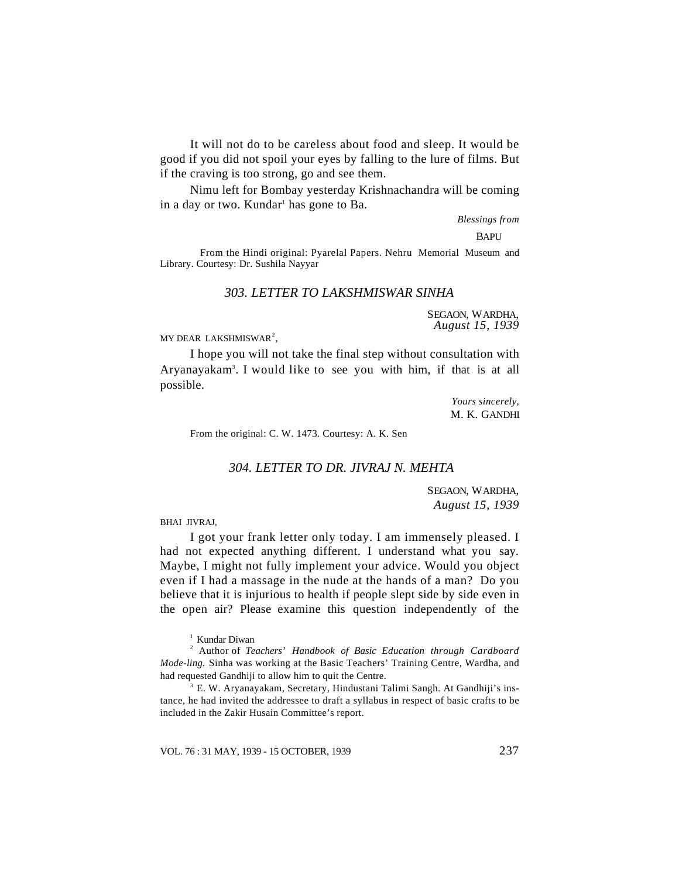It will not do to be careless about food and sleep. It would be good if you did not spoil your eyes by falling to the lure of films. But if the craving is too strong, go and see them.

Nimu left for Bombay yesterday Krishnachandra will be coming in a day or two. Kundar<sup>1</sup> has gone to Ba.

*Blessings from*

**BAPU** 

From the Hindi original: Pyarelal Papers. Nehru Memorial Museum and Library. Courtesy: Dr. Sushila Nayyar

## *303. LETTER TO LAKSHMISWAR SINHA*

SEGAON, WARDHA, *August 15, 1939*

MY DEAR LAKSHMISWAR<sup>2</sup>,

I hope you will not take the final step without consultation with Aryanayakam<sup>3</sup> . I would like to see you with him, if that is at all possible.

> *Yours sincerely,* M. K. GANDHI

From the original: C. W. 1473. Courtesy: A. K. Sen

# *304. LETTER TO DR. JIVRAJ N. MEHTA*

SEGAON, WARDHA, *August 15, 1939*

BHAI JIVRAJ,

I got your frank letter only today. I am immensely pleased. I had not expected anything different. I understand what you say. Maybe, I might not fully implement your advice. Would you object even if I had a massage in the nude at the hands of a man? Do you believe that it is injurious to health if people slept side by side even in the open air? Please examine this question independently of the

<sup>1</sup> Kundar Diwan

<sup>2</sup> Author of *Teachers' Handbook of Basic Education through Cardboard Mode-ling.* Sinha was working at the Basic Teachers' Training Centre, Wardha, and had requested Gandhiji to allow him to quit the Centre.

<sup>3</sup> E. W. Aryanayakam, Secretary, Hindustani Talimi Sangh. At Gandhiji's instance, he had invited the addressee to draft a syllabus in respect of basic crafts to be included in the Zakir Husain Committee's report.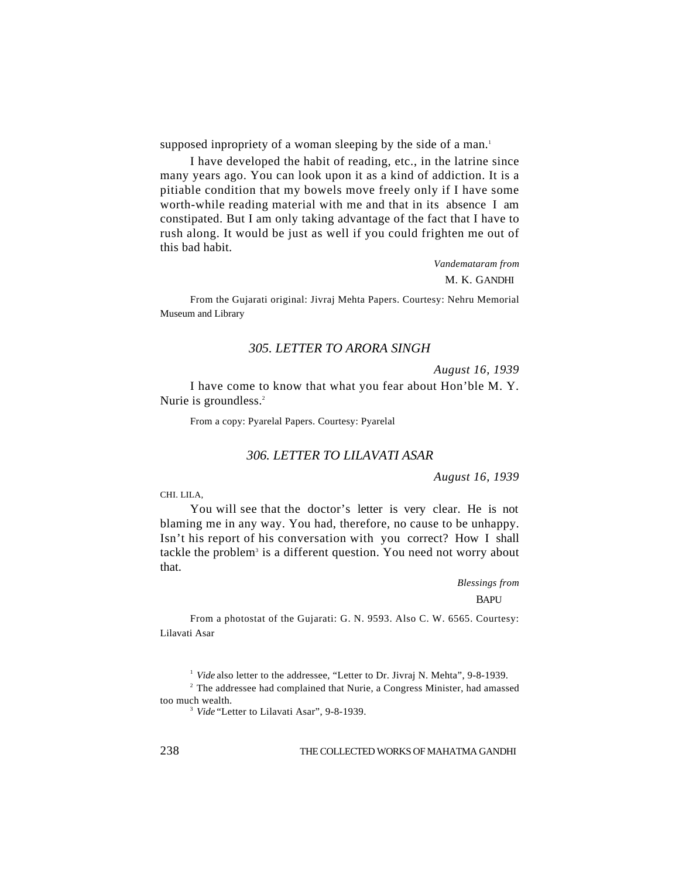supposed inpropriety of a woman sleeping by the side of a man.<sup>1</sup>

I have developed the habit of reading, etc., in the latrine since many years ago. You can look upon it as a kind of addiction. It is a pitiable condition that my bowels move freely only if I have some worth-while reading material with me and that in its absence I am constipated. But I am only taking advantage of the fact that I have to rush along. It would be just as well if you could frighten me out of this bad habit.

> *Vandemataram from* M. K. GANDHI

From the Gujarati original: Jivraj Mehta Papers. Courtesy: Nehru Memorial Museum and Library

## *305. LETTER TO ARORA SINGH*

*August 16, 1939*

I have come to know that what you fear about Hon'ble M. Y. Nurie is groundless.<sup>2</sup>

From a copy: Pyarelal Papers. Courtesy: Pyarelal

# *306. LETTER TO LILAVATI ASAR*

*August 16, 1939*

CHI. LILA,

You will see that the doctor's letter is very clear. He is not blaming me in any way. You had, therefore, no cause to be unhappy. Isn't his report of his conversation with you correct? How I shall tackle the problem<sup>3</sup> is a different question. You need not worry about that.

*Blessings from*

**BAPU** 

From a photostat of the Gujarati: G. N. 9593. Also C. W. 6565. Courtesy: Lilavati Asar

<sup>1</sup> *Vide* also letter to the addressee, "Letter to Dr. Jivraj N. Mehta", 9-8-1939.

 $2$  The addressee had complained that Nurie, a Congress Minister, had amassed too much wealth.

<sup>3</sup> *Vide* "Letter to Lilavati Asar", 9-8-1939.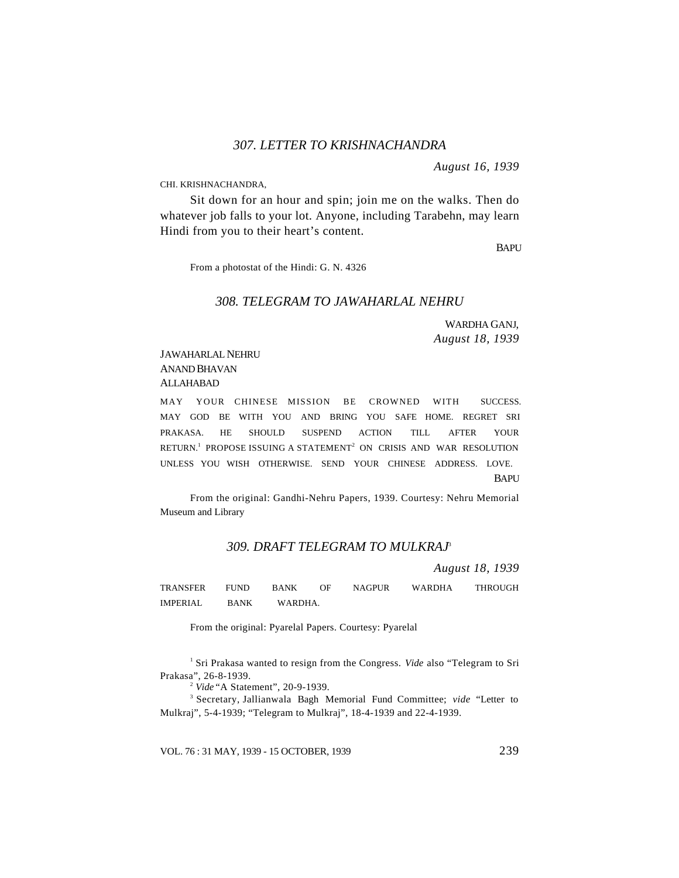*August 16, 1939*

CHI. KRISHNACHANDRA,

Sit down for an hour and spin; join me on the walks. Then do whatever job falls to your lot. Anyone, including Tarabehn, may learn Hindi from you to their heart's content.

**BAPU** 

From a photostat of the Hindi: G. N. 4326

# *308. TELEGRAM TO JAWAHARLAL NEHRU*

WARDHA GANJ, *August 18, 1939*

#### JAWAHARLAL NEHRU ANAND BHAVAN ALLAHABAD

MAY YOUR CHINESE MISSION BE CROWNED WITH SUCCESS. MAY GOD BE WITH YOU AND BRING YOU SAFE HOME. REGRET SRI PRAKASA. HE SHOULD SUSPEND ACTION TILL AFTER YOUR  $\mathsf{RETURN}^{1}$  PROPOSE ISSUING A STATEMENT $^{2}$  ON CRISIS AND WAR RESOLUTION UNLESS YOU WISH OTHERWISE. SEND YOUR CHINESE ADDRESS. LOVE. **BAPU** 

From the original: Gandhi-Nehru Papers, 1939. Courtesy: Nehru Memorial Museum and Library

#### *309. DRAFT TELEGRAM TO MULKRAJ*<sup>3</sup>

*August 18, 1939*

| <b>TRANSFER</b> | <b>FUND</b> | <b>BANK</b> | ΩF | <b>NAGPUR</b> | WARDHA | <b>THROUGH</b> |
|-----------------|-------------|-------------|----|---------------|--------|----------------|
| <b>IMPERIAL</b> | <b>BANK</b> | WARDHA.     |    |               |        |                |

From the original: Pyarelal Papers. Courtesy: Pyarelal

<sup>1</sup> Sri Prakasa wanted to resign from the Congress. *Vide* also "Telegram to Sri Prakasa", 26-8-1939.

<sup>2</sup> *Vide* "A Statement", 20-9-1939.

3 Secretary, Jallianwala Bagh Memorial Fund Committee; *vide* "Letter to Mulkraj", 5-4-1939; "Telegram to Mulkraj", 18-4-1939 and 22-4-1939.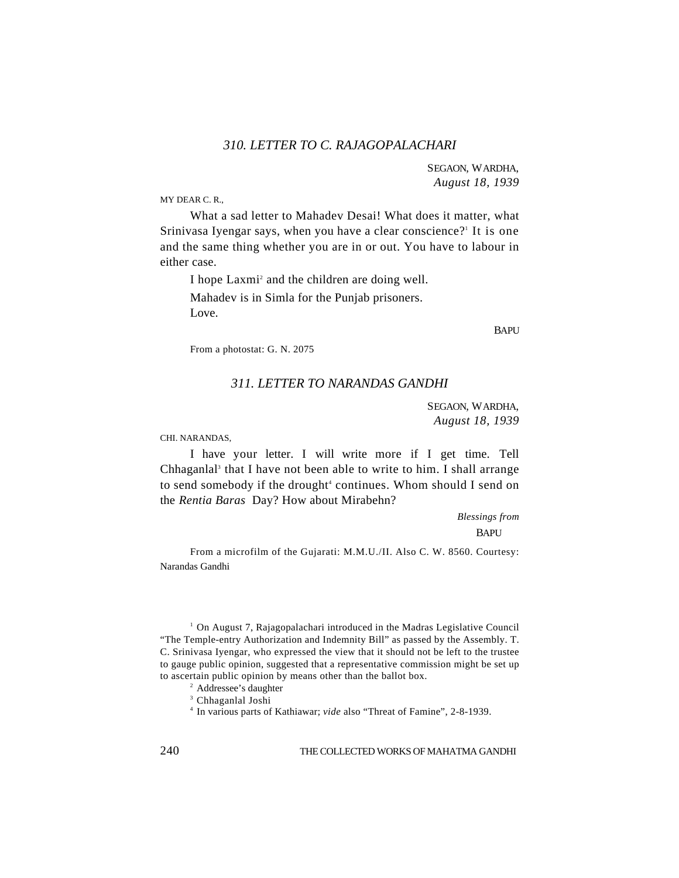# *310. LETTER TO C. RAJAGOPALACHARI*

SEGAON, WARDHA, *August 18, 1939*

MY DEAR C. R.,

What a sad letter to Mahadev Desai! What does it matter, what Srinivasa Iyengar says, when you have a clear conscience?<sup>1</sup> It is one and the same thing whether you are in or out. You have to labour in either case.

I hope Laxmi<sup>2</sup> and the children are doing well.

Mahadev is in Simla for the Punjab prisoners. Love.

**BAPU** 

From a photostat: G. N. 2075

# *311. LETTER TO NARANDAS GANDHI*

SEGAON, WARDHA, *August 18, 1939*

CHI. NARANDAS,

I have your letter. I will write more if I get time. Tell Chhaganlal<sup>3</sup> that I have not been able to write to him. I shall arrange to send somebody if the drought<sup>4</sup> continues. Whom should I send on the *Rentia Baras* Day? How about Mirabehn?

> *Blessings from* **BAPU**

From a microfilm of the Gujarati: M.M.U./II. Also C. W. 8560. Courtesy: Narandas Gandhi

 $1$  On August 7, Rajagopalachari introduced in the Madras Legislative Council "The Temple-entry Authorization and Indemnity Bill" as passed by the Assembly. T. C. Srinivasa Iyengar, who expressed the view that it should not be left to the trustee to gauge public opinion, suggested that a representative commission might be set up to ascertain public opinion by means other than the ballot box.

<sup>2</sup> Addressee's daughter

<sup>3</sup> Chhaganlal Joshi

4 In various parts of Kathiawar; *vide* also "Threat of Famine", 2-8-1939.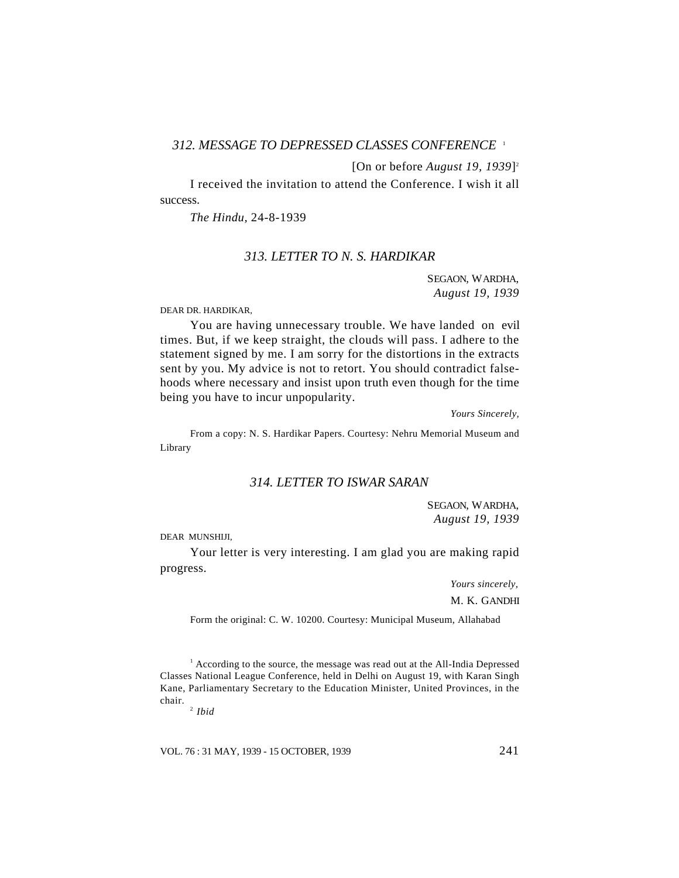*312. MESSAGE TO DEPRESSED CLASSES CONFERENCE* <sup>1</sup>

[On or before *August 19, 1939*] 2

I received the invitation to attend the Conference. I wish it all success.

*The Hindu,* 24-8-1939

# *313. LETTER TO N. S. HARDIKAR*

SEGAON, WARDHA, *August 19, 1939*

DEAR DR. HARDIKAR,

You are having unnecessary trouble. We have landed on evil times. But, if we keep straight, the clouds will pass. I adhere to the statement signed by me. I am sorry for the distortions in the extracts sent by you. My advice is not to retort. You should contradict falsehoods where necessary and insist upon truth even though for the time being you have to incur unpopularity.

*Yours Sincerely,*

From a copy: N. S. Hardikar Papers. Courtesy: Nehru Memorial Museum and Library

#### *314. LETTER TO ISWAR SARAN*

SEGAON, WARDHA, *August 19, 1939*

DEAR MUNSHIJI,

Your letter is very interesting. I am glad you are making rapid progress.

*Yours sincerely,*

M. K. GANDHI

Form the original: C. W. 10200. Courtesy: Municipal Museum, Allahabad

 $1$  According to the source, the message was read out at the All-India Depressed Classes National League Conference, held in Delhi on August 19, with Karan Singh Kane, Parliamentary Secretary to the Education Minister, United Provinces, in the chair.

2 *Ibid*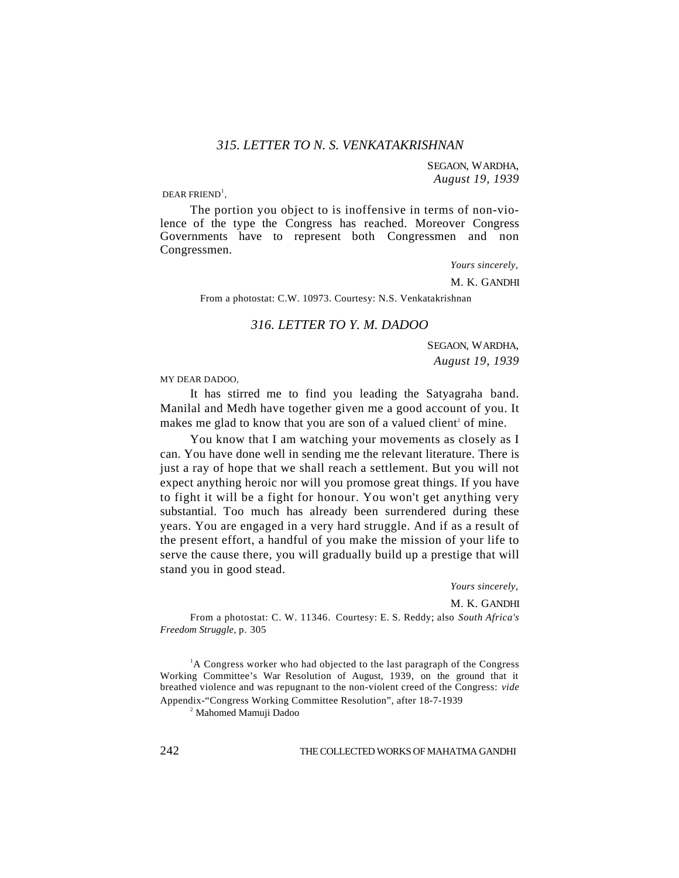SEGAON, WARDHA, *August 19, 1939*

DEAR FRIEND<sup>1</sup>,

The portion you object to is inoffensive in terms of non-violence of the type the Congress has reached. Moreover Congress Governments have to represent both Congressmen and non Congressmen.

*Yours sincerely,*

M. K. GANDHI

From a photostat: C.W. 10973. Courtesy: N.S. Venkatakrishnan

#### *316. LETTER TO Y. M. DADOO*

SEGAON, WARDHA, *August 19, 1939*

MY DEAR DADOO,

It has stirred me to find you leading the Satyagraha band. Manilal and Medh have together given me a good account of you. It makes me glad to know that you are son of a valued client<sup>2</sup> of mine.

You know that I am watching your movements as closely as I can. You have done well in sending me the relevant literature. There is just a ray of hope that we shall reach a settlement. But you will not expect anything heroic nor will you promose great things. If you have to fight it will be a fight for honour. You won't get anything very substantial. Too much has already been surrendered during these years. You are engaged in a very hard struggle. And if as a result of the present effort, a handful of you make the mission of your life to serve the cause there, you will gradually build up a prestige that will stand you in good stead.

*Yours sincerely,*

M. K. GANDHI

From a photostat: C. W. 11346. Courtesy: E. S. Reddy; also *South Africa's Freedom Struggle,* p. 305

<sup>1</sup>A Congress worker who had objected to the last paragraph of the Congress Working Committee's War Resolution of August, 1939, on the ground that it breathed violence and was repugnant to the non-violent creed of the Congress: *vide* Appendix-"Congress Working Committee Resolution", after 18-7-1939

<sup>2</sup> Mahomed Mamuji Dadoo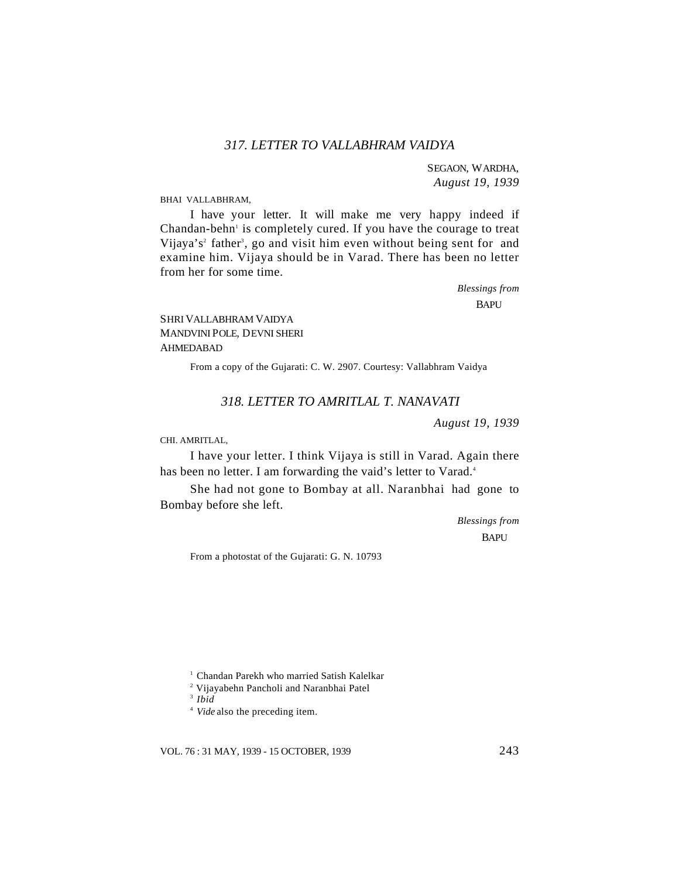# *317. LETTER TO VALLABHRAM VAIDYA*

SEGAON, WARDHA, *August 19, 1939*

BHAI VALLABHRAM,

I have your letter. It will make me very happy indeed if Chandan-behn<sup>1</sup> is completely cured. If you have the courage to treat Vijaya's<sup>2</sup> father<sup>3</sup>, go and visit him even without being sent for and examine him. Vijaya should be in Varad. There has been no letter from her for some time.

> *Blessings from* BAPU

# SHRI VALLABHRAM VAIDYA MANDVINI POLE, DEVNI SHERI AHMEDABAD

From a copy of the Gujarati: C. W. 2907. Courtesy: Vallabhram Vaidya

# *318. LETTER TO AMRITLAL T. NANAVATI*

*August 19, 1939*

CHI. AMRITLAL,

I have your letter. I think Vijaya is still in Varad. Again there has been no letter. I am forwarding the vaid's letter to Varad.<sup>4</sup>

She had not gone to Bombay at all. Naranbhai had gone to Bombay before she left.

> *Blessings from* **BAPU**

From a photostat of the Gujarati: G. N. 10793

<sup>1</sup> Chandan Parekh who married Satish Kalelkar

<sup>2</sup> Vijayabehn Pancholi and Naranbhai Patel

3 *Ibid*

<sup>4</sup> *Vide* also the preceding item.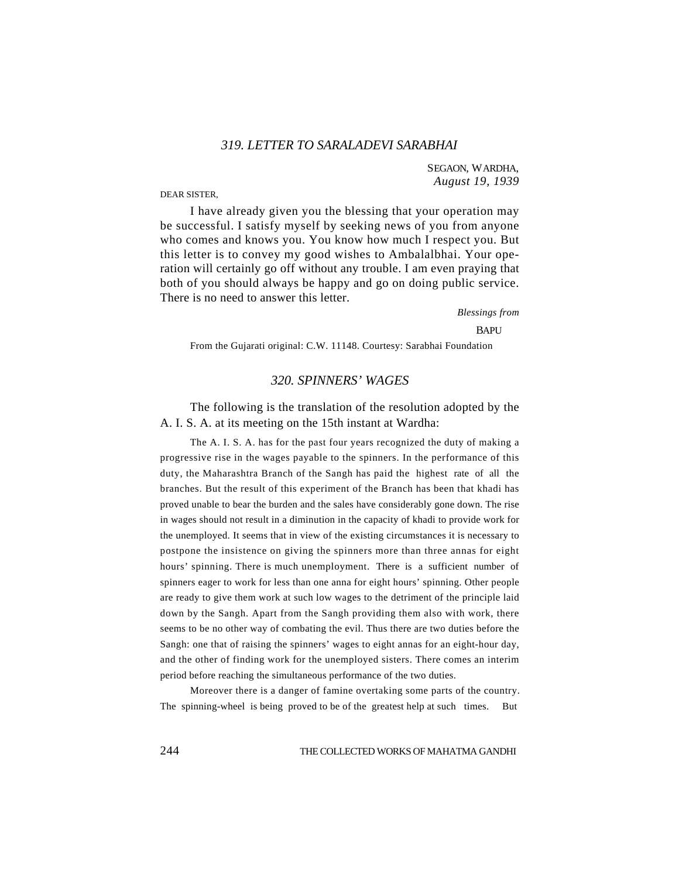# *319. LETTER TO SARALADEVI SARABHAI*

SEGAON, WARDHA, *August 19, 1939*

DEAR SISTER,

I have already given you the blessing that your operation may be successful. I satisfy myself by seeking news of you from anyone who comes and knows you. You know how much I respect you. But this letter is to convey my good wishes to Ambalalbhai. Your operation will certainly go off without any trouble. I am even praying that both of you should always be happy and go on doing public service. There is no need to answer this letter.

*Blessings from*

**BAPU** 

From the Gujarati original: C.W. 11148. Courtesy: Sarabhai Foundation

## *320. SPINNERS' WAGES*

The following is the translation of the resolution adopted by the A. I. S. A. at its meeting on the 15th instant at Wardha:

The A. I. S. A. has for the past four years recognized the duty of making a progressive rise in the wages payable to the spinners. In the performance of this duty, the Maharashtra Branch of the Sangh has paid the highest rate of all the branches. But the result of this experiment of the Branch has been that khadi has proved unable to bear the burden and the sales have considerably gone down. The rise in wages should not result in a diminution in the capacity of khadi to provide work for the unemployed. It seems that in view of the existing circumstances it is necessary to postpone the insistence on giving the spinners more than three annas for eight hours' spinning. There is much unemployment. There is a sufficient number of spinners eager to work for less than one anna for eight hours' spinning. Other people are ready to give them work at such low wages to the detriment of the principle laid down by the Sangh. Apart from the Sangh providing them also with work, there seems to be no other way of combating the evil. Thus there are two duties before the Sangh: one that of raising the spinners' wages to eight annas for an eight-hour day, and the other of finding work for the unemployed sisters. There comes an interim period before reaching the simultaneous performance of the two duties.

Moreover there is a danger of famine overtaking some parts of the country. The spinning-wheel is being proved to be of the greatest help at such times. But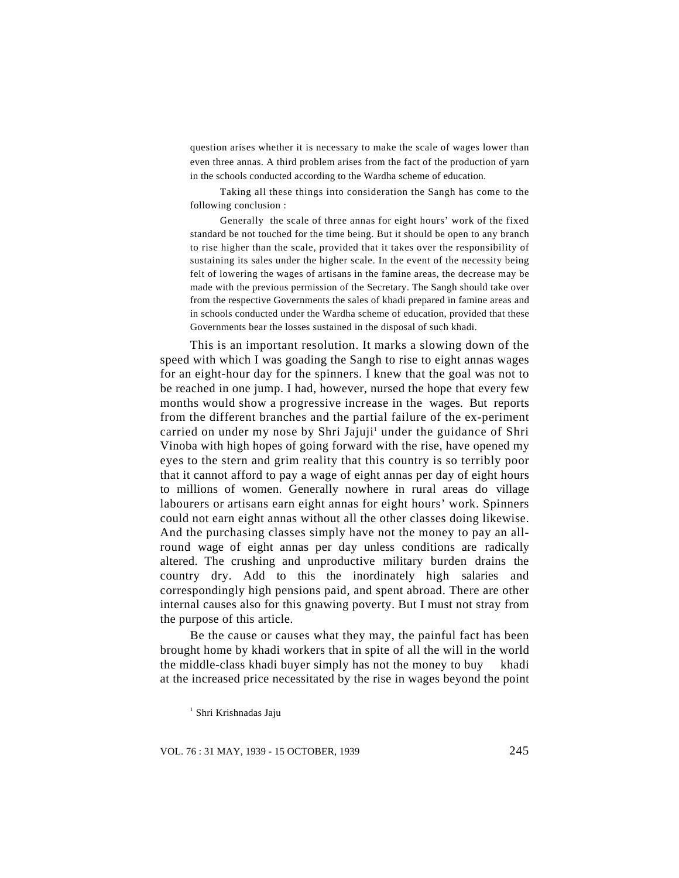question arises whether it is necessary to make the scale of wages lower than even three annas. A third problem arises from the fact of the production of yarn in the schools conducted according to the Wardha scheme of education.

Taking all these things into consideration the Sangh has come to the following conclusion :

Generally the scale of three annas for eight hours' work of the fixed standard be not touched for the time being. But it should be open to any branch to rise higher than the scale, provided that it takes over the responsibility of sustaining its sales under the higher scale. In the event of the necessity being felt of lowering the wages of artisans in the famine areas, the decrease may be made with the previous permission of the Secretary. The Sangh should take over from the respective Governments the sales of khadi prepared in famine areas and in schools conducted under the Wardha scheme of education, provided that these Governments bear the losses sustained in the disposal of such khadi.

This is an important resolution. It marks a slowing down of the speed with which I was goading the Sangh to rise to eight annas wages for an eight-hour day for the spinners. I knew that the goal was not to be reached in one jump. I had, however, nursed the hope that every few months would show a progressive increase in the wages. But reports from the different branches and the partial failure of the ex-periment carried on under my nose by Shri Jajuji' under the guidance of Shri Vinoba with high hopes of going forward with the rise, have opened my eyes to the stern and grim reality that this country is so terribly poor that it cannot afford to pay a wage of eight annas per day of eight hours to millions of women. Generally nowhere in rural areas do village labourers or artisans earn eight annas for eight hours' work. Spinners could not earn eight annas without all the other classes doing likewise. And the purchasing classes simply have not the money to pay an allround wage of eight annas per day unless conditions are radically altered. The crushing and unproductive military burden drains the country dry. Add to this the inordinately high salaries and correspondingly high pensions paid, and spent abroad. There are other internal causes also for this gnawing poverty. But I must not stray from the purpose of this article.

Be the cause or causes what they may, the painful fact has been brought home by khadi workers that in spite of all the will in the world the middle-class khadi buyer simply has not the money to buy khadi at the increased price necessitated by the rise in wages beyond the point

<sup>1</sup> Shri Krishnadas Jaju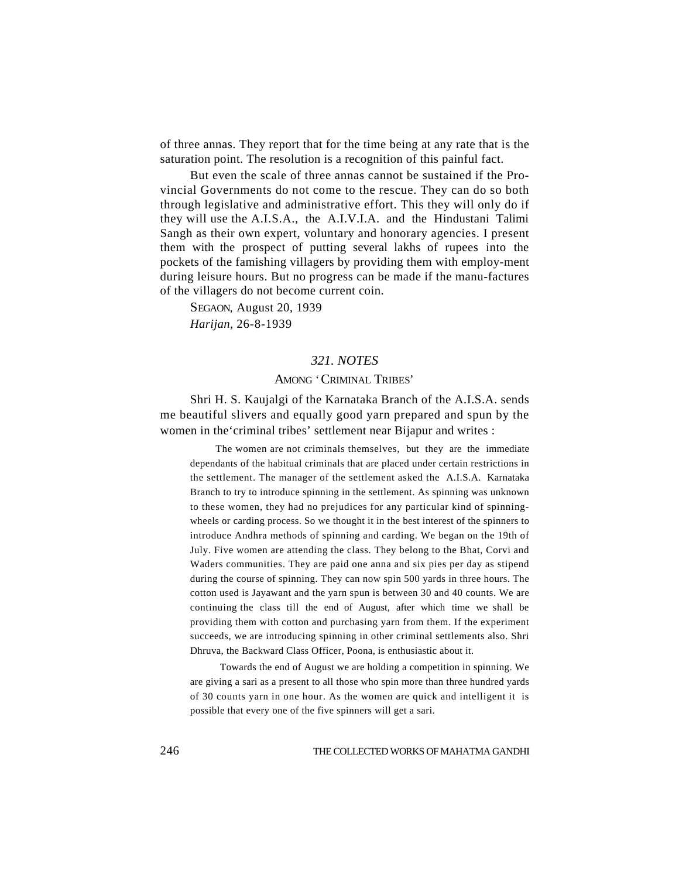of three annas. They report that for the time being at any rate that is the saturation point. The resolution is a recognition of this painful fact.

But even the scale of three annas cannot be sustained if the Provincial Governments do not come to the rescue. They can do so both through legislative and administrative effort. This they will only do if they will use the A.I.S.A., the A.I.V.I.A. and the Hindustani Talimi Sangh as their own expert, voluntary and honorary agencies. I present them with the prospect of putting several lakhs of rupees into the pockets of the famishing villagers by providing them with employ-ment during leisure hours. But no progress can be made if the manu-factures of the villagers do not become current coin.

SEGAON, August 20, 1939 *Harijan,* 26-8-1939

## *321. NOTES*

# AMONG 'CRIMINAL TRIBES'

Shri H. S. Kaujalgi of the Karnataka Branch of the A.I.S.A. sends me beautiful slivers and equally good yarn prepared and spun by the women in the'criminal tribes' settlement near Bijapur and writes :

The women are not criminals themselves, but they are the immediate dependants of the habitual criminals that are placed under certain restrictions in the settlement. The manager of the settlement asked the A.I.S.A. Karnataka Branch to try to introduce spinning in the settlement. As spinning was unknown to these women, they had no prejudices for any particular kind of spinningwheels or carding process. So we thought it in the best interest of the spinners to introduce Andhra methods of spinning and carding. We began on the 19th of July. Five women are attending the class. They belong to the Bhat, Corvi and Waders communities. They are paid one anna and six pies per day as stipend during the course of spinning. They can now spin 500 yards in three hours. The cotton used is Jayawant and the yarn spun is between 30 and 40 counts. We are continuing the class till the end of August, after which time we shall be providing them with cotton and purchasing yarn from them. If the experiment succeeds, we are introducing spinning in other criminal settlements also. Shri Dhruva, the Backward Class Officer, Poona, is enthusiastic about it.

 Towards the end of August we are holding a competition in spinning. We are giving a sari as a present to all those who spin more than three hundred yards of 30 counts yarn in one hour. As the women are quick and intelligent it is possible that every one of the five spinners will get a sari.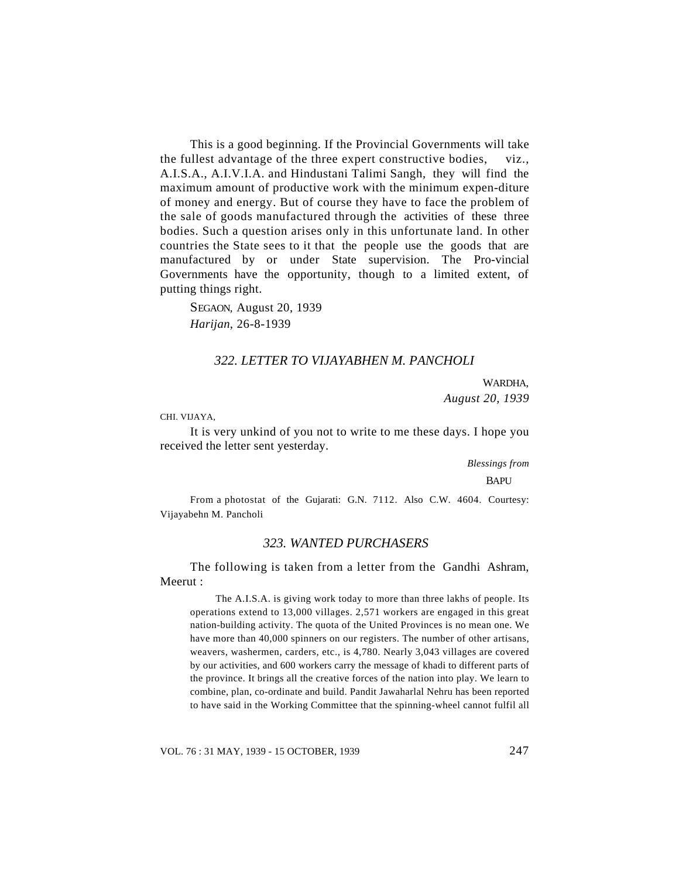This is a good beginning. If the Provincial Governments will take the fullest advantage of the three expert constructive bodies, viz., A.I.S.A., A.I.V.I.A. and Hindustani Talimi Sangh, they will find the maximum amount of productive work with the minimum expen-diture of money and energy. But of course they have to face the problem of the sale of goods manufactured through the activities of these three bodies. Such a question arises only in this unfortunate land. In other countries the State sees to it that the people use the goods that are manufactured by or under State supervision. The Pro-vincial Governments have the opportunity, though to a limited extent, of putting things right.

SEGAON, August 20, 1939 *Harijan*, 26-8-1939

# *322. LETTER TO VIJAYABHEN M. PANCHOLI*

WARDHA, *August 20, 1939*

CHI. VIJAYA,

It is very unkind of you not to write to me these days. I hope you received the letter sent yesterday.

*Blessings from*

BAPU

From a photostat of the Gujarati: G.N. 7112. Also C.W. 4604. Courtesy: Vijayabehn M. Pancholi

#### *323. WANTED PURCHASERS*

The following is taken from a letter from the Gandhi Ashram, Meerut :

The A.I.S.A. is giving work today to more than three lakhs of people. Its operations extend to 13,000 villages. 2,571 workers are engaged in this great nation-building activity. The quota of the United Provinces is no mean one. We have more than 40,000 spinners on our registers. The number of other artisans, weavers, washermen, carders, etc., is 4,780. Nearly 3,043 villages are covered by our activities, and 600 workers carry the message of khadi to different parts of the province. It brings all the creative forces of the nation into play. We learn to combine, plan, co-ordinate and build. Pandit Jawaharlal Nehru has been reported to have said in the Working Committee that the spinning-wheel cannot fulfil all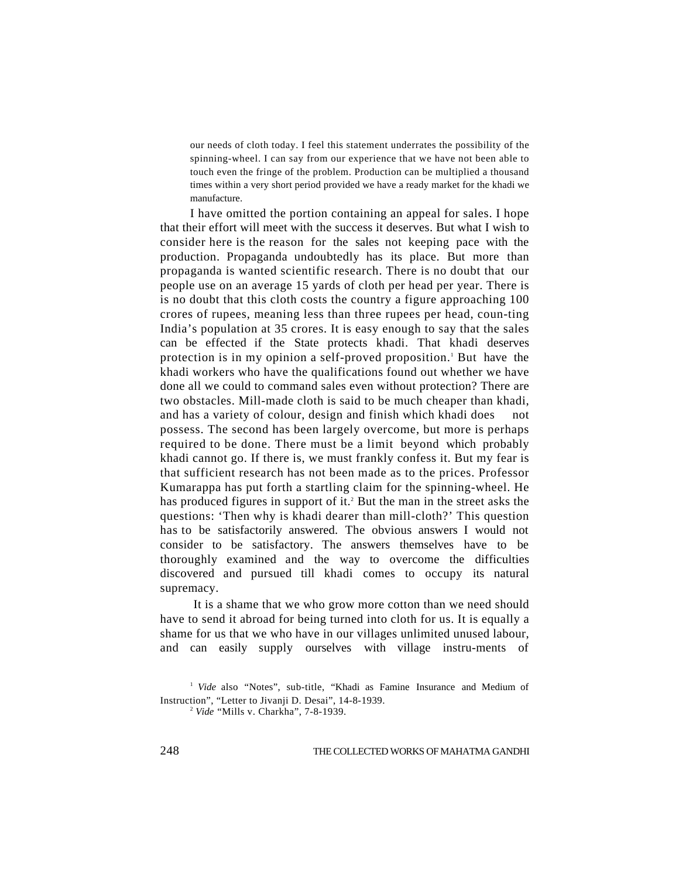our needs of cloth today. I feel this statement underrates the possibility of the spinning-wheel. I can say from our experience that we have not been able to touch even the fringe of the problem. Production can be multiplied a thousand times within a very short period provided we have a ready market for the khadi we manufacture.

I have omitted the portion containing an appeal for sales. I hope that their effort will meet with the success it deserves. But what I wish to consider here is the reason for the sales not keeping pace with the production. Propaganda undoubtedly has its place. But more than propaganda is wanted scientific research. There is no doubt that our people use on an average 15 yards of cloth per head per year. There is is no doubt that this cloth costs the country a figure approaching 100 crores of rupees, meaning less than three rupees per head, coun-ting India's population at 35 crores. It is easy enough to say that the sales can be effected if the State protects khadi. That khadi deserves protection is in my opinion a self-proved proposition.<sup>1</sup> But have the khadi workers who have the qualifications found out whether we have done all we could to command sales even without protection? There are two obstacles. Mill-made cloth is said to be much cheaper than khadi, and has a variety of colour, design and finish which khadi does not possess. The second has been largely overcome, but more is perhaps required to be done. There must be a limit beyond which probably khadi cannot go. If there is, we must frankly confess it. But my fear is that sufficient research has not been made as to the prices. Professor Kumarappa has put forth a startling claim for the spinning-wheel. He has produced figures in support of it.<sup>2</sup> But the man in the street asks the questions: 'Then why is khadi dearer than mill-cloth?' This question has to be satisfactorily answered. The obvious answers I would not consider to be satisfactory. The answers themselves have to be thoroughly examined and the way to overcome the difficulties discovered and pursued till khadi comes to occupy its natural supremacy.

 It is a shame that we who grow more cotton than we need should have to send it abroad for being turned into cloth for us. It is equally a shame for us that we who have in our villages unlimited unused labour, and can easily supply ourselves with village instru-ments of

<sup>&</sup>lt;sup>1</sup> Vide also "Notes", sub-title, "Khadi as Famine Insurance and Medium of Instruction", "Letter to Jivanji D. Desai", 14-8-1939.

<sup>2</sup> *Vide* "Mills v. Charkha", 7-8-1939.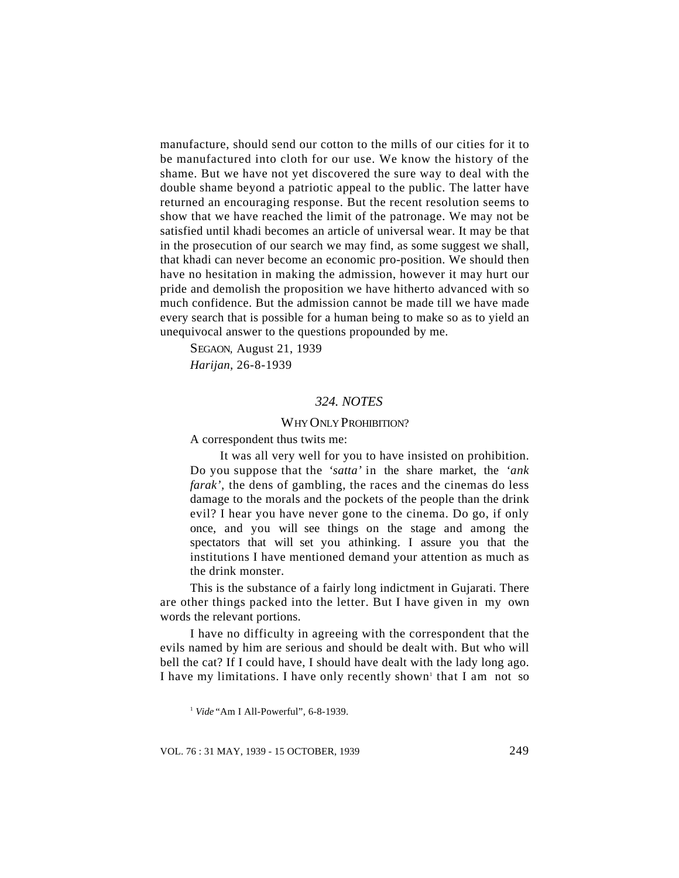manufacture, should send our cotton to the mills of our cities for it to be manufactured into cloth for our use. We know the history of the shame. But we have not yet discovered the sure way to deal with the double shame beyond a patriotic appeal to the public. The latter have returned an encouraging response. But the recent resolution seems to show that we have reached the limit of the patronage. We may not be satisfied until khadi becomes an article of universal wear. It may be that in the prosecution of our search we may find, as some suggest we shall, that khadi can never become an economic pro-position. We should then have no hesitation in making the admission, however it may hurt our pride and demolish the proposition we have hitherto advanced with so much confidence. But the admission cannot be made till we have made every search that is possible for a human being to make so as to yield an unequivocal answer to the questions propounded by me.

SEGAON, August 21, 1939 *Harijan,* 26-8-1939

# *324. NOTES*

#### WHY ONLY PROHIBITION?

A correspondent thus twits me:

It was all very well for you to have insisted on prohibition. Do you suppose that the *'satta'* in the share market, the *'ank farak',* the dens of gambling, the races and the cinemas do less damage to the morals and the pockets of the people than the drink evil? I hear you have never gone to the cinema. Do go, if only once, and you will see things on the stage and among the spectators that will set you athinking. I assure you that the institutions I have mentioned demand your attention as much as the drink monster.

This is the substance of a fairly long indictment in Gujarati. There are other things packed into the letter. But I have given in my own words the relevant portions.

I have no difficulty in agreeing with the correspondent that the evils named by him are serious and should be dealt with. But who will bell the cat? If I could have, I should have dealt with the lady long ago. I have my limitations. I have only recently shown<sup>1</sup> that I am not so

<sup>1</sup> *Vide* "Am I All-Powerful", 6-8-1939.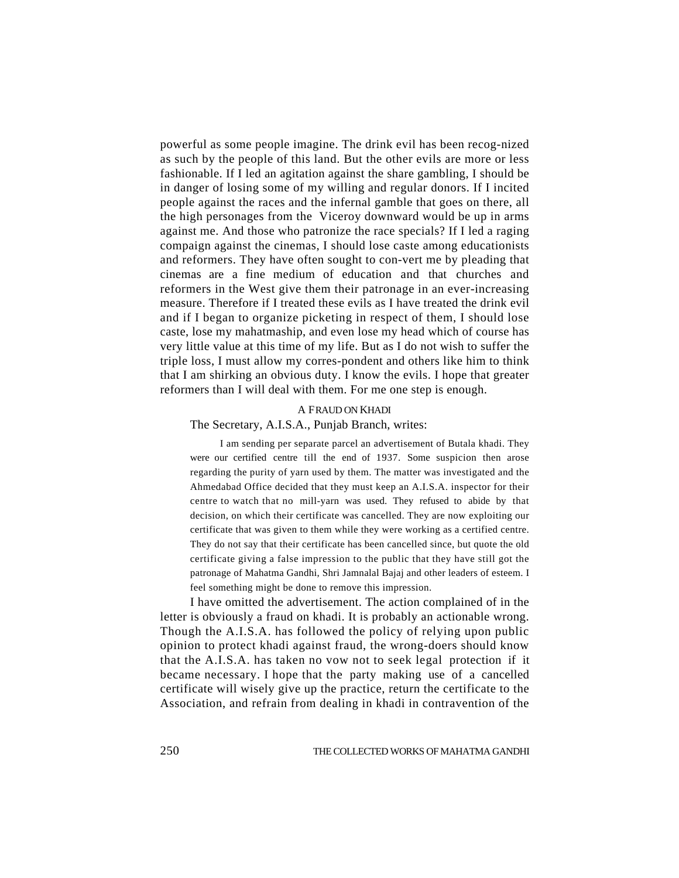powerful as some people imagine. The drink evil has been recog-nized as such by the people of this land. But the other evils are more or less fashionable. If I led an agitation against the share gambling, I should be in danger of losing some of my willing and regular donors. If I incited people against the races and the infernal gamble that goes on there, all the high personages from the Viceroy downward would be up in arms against me. And those who patronize the race specials? If I led a raging compaign against the cinemas, I should lose caste among educationists and reformers. They have often sought to con-vert me by pleading that cinemas are a fine medium of education and that churches and reformers in the West give them their patronage in an ever-increasing measure. Therefore if I treated these evils as I have treated the drink evil and if I began to organize picketing in respect of them, I should lose caste, lose my mahatmaship, and even lose my head which of course has very little value at this time of my life. But as I do not wish to suffer the triple loss, I must allow my corres-pondent and others like him to think that I am shirking an obvious duty. I know the evils. I hope that greater reformers than I will deal with them. For me one step is enough.

#### A FRAUD ON KHADI

# The Secretary, A.I.S.A., Punjab Branch, writes:

I am sending per separate parcel an advertisement of Butala khadi. They were our certified centre till the end of 1937. Some suspicion then arose regarding the purity of yarn used by them. The matter was investigated and the Ahmedabad Office decided that they must keep an A.I.S.A. inspector for their centre to watch that no mill-yarn was used. They refused to abide by that decision, on which their certificate was cancelled. They are now exploiting our certificate that was given to them while they were working as a certified centre. They do not say that their certificate has been cancelled since, but quote the old certificate giving a false impression to the public that they have still got the patronage of Mahatma Gandhi, Shri Jamnalal Bajaj and other leaders of esteem. I feel something might be done to remove this impression.

I have omitted the advertisement. The action complained of in the letter is obviously a fraud on khadi. It is probably an actionable wrong. Though the A.I.S.A. has followed the policy of relying upon public opinion to protect khadi against fraud, the wrong-doers should know that the A.I.S.A. has taken no vow not to seek legal protection if it became necessary. I hope that the party making use of a cancelled certificate will wisely give up the practice, return the certificate to the Association, and refrain from dealing in khadi in contravention of the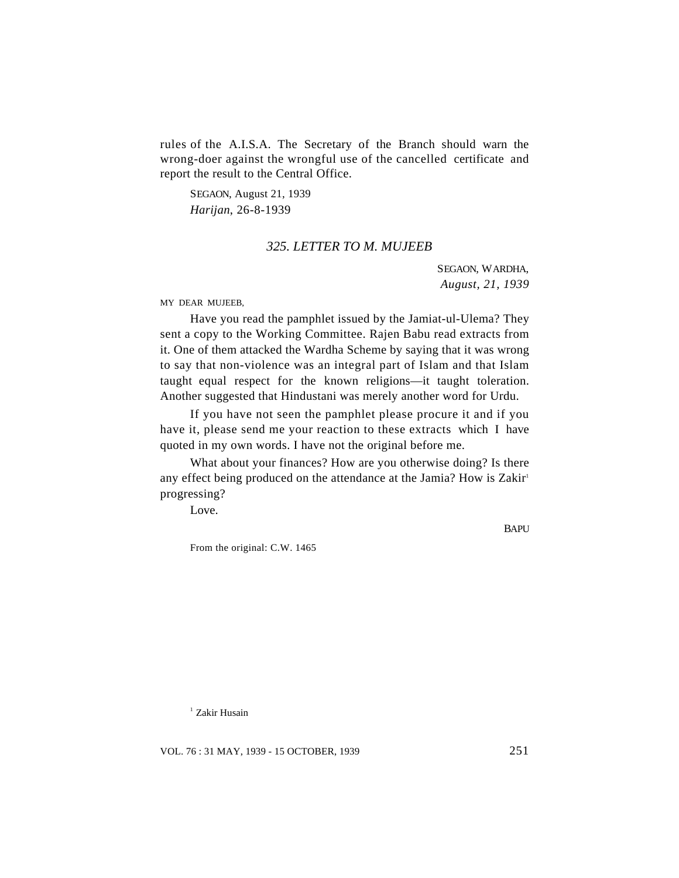rules of the A.I.S.A. The Secretary of the Branch should warn the wrong-doer against the wrongful use of the cancelled certificate and report the result to the Central Office.

SEGAON, August 21, 1939 *Harijan*, 26-8-1939

## *325. LETTER TO M. MUJEEB*

SEGAON, WARDHA, *August, 21, 1939*

MY DEAR MUJEEB,

Have you read the pamphlet issued by the Jamiat-ul-Ulema? They sent a copy to the Working Committee. Rajen Babu read extracts from it. One of them attacked the Wardha Scheme by saying that it was wrong to say that non-violence was an integral part of Islam and that Islam taught equal respect for the known religions—it taught toleration. Another suggested that Hindustani was merely another word for Urdu.

If you have not seen the pamphlet please procure it and if you have it, please send me your reaction to these extracts which I have quoted in my own words. I have not the original before me.

What about your finances? How are you otherwise doing? Is there any effect being produced on the attendance at the Jamia? How is Zakir<sup>1</sup> progressing?

Love.

From the original: C.W. 1465

**BAPU** 

<sup>1</sup> Zakir Husain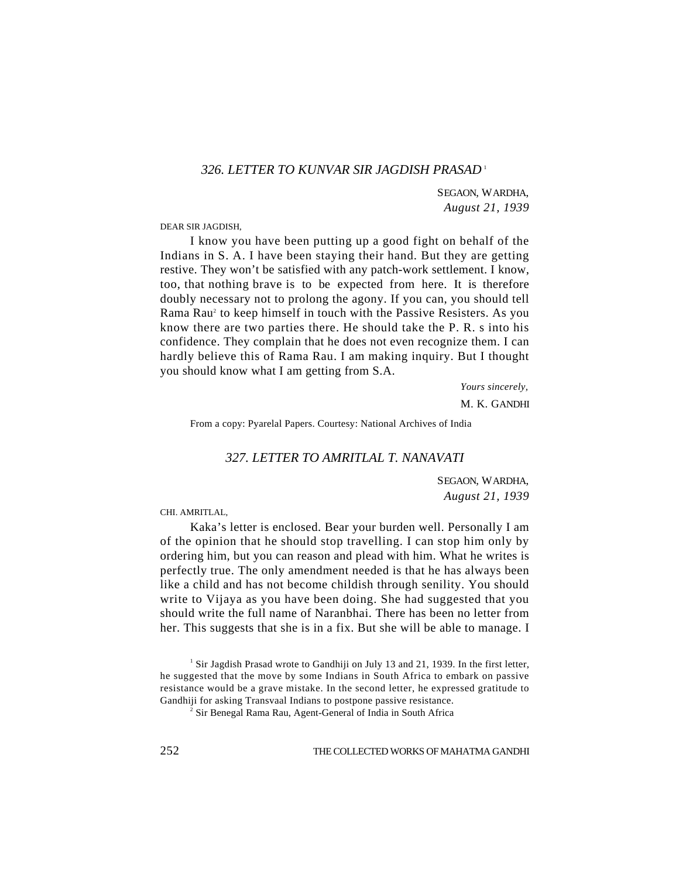SEGAON, WARDHA, *August 21, 1939*

#### DEAR SIR JAGDISH,

I know you have been putting up a good fight on behalf of the Indians in S. A. I have been staying their hand. But they are getting restive. They won't be satisfied with any patch-work settlement. I know, too, that nothing brave is to be expected from here. It is therefore doubly necessary not to prolong the agony. If you can, you should tell Rama Rau<sup>2</sup> to keep himself in touch with the Passive Resisters. As you know there are two parties there. He should take the P. R. s into his confidence. They complain that he does not even recognize them. I can hardly believe this of Rama Rau. I am making inquiry. But I thought you should know what I am getting from S.A.

*Yours sincerely,*

M. K. GANDHI

From a copy: Pyarelal Papers. Courtesy: National Archives of India

# *327. LETTER TO AMRITLAL T. NANAVATI*

SEGAON, WARDHA, *August 21, 1939*

CHI. AMRITLAL,

Kaka's letter is enclosed. Bear your burden well. Personally I am of the opinion that he should stop travelling. I can stop him only by ordering him, but you can reason and plead with him. What he writes is perfectly true. The only amendment needed is that he has always been like a child and has not become childish through senility. You should write to Vijaya as you have been doing. She had suggested that you should write the full name of Naranbhai. There has been no letter from her. This suggests that she is in a fix. But she will be able to manage. I

<sup>1</sup> Sir Jagdish Prasad wrote to Gandhiji on July 13 and 21, 1939. In the first letter, he suggested that the move by some Indians in South Africa to embark on passive resistance would be a grave mistake. In the second letter, he expressed gratitude to Gandhiji for asking Transvaal Indians to postpone passive resistance.

<sup>2</sup> Sir Benegal Rama Rau, Agent-General of India in South Africa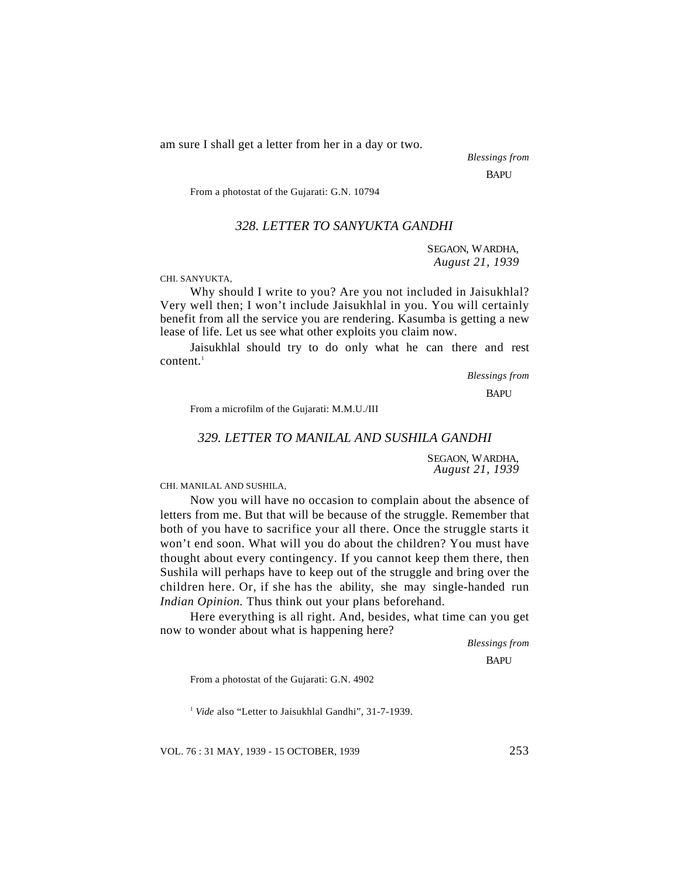am sure I shall get a letter from her in a day or two.

*Blessings from*

**BAPU** 

From a photostat of the Gujarati: G.N. 10794

## *328. LETTER TO SANYUKTA GANDHI*

SEGAON, WARDHA, *August 21, 1939*

CHI. SANYUKTA,

Why should I write to you? Are you not included in Jaisukhlal? Very well then; I won't include Jaisukhlal in you. You will certainly benefit from all the service you are rendering. Kasumba is getting a new lease of life. Let us see what other exploits you claim now.

Jaisukhlal should try to do only what he can there and rest  $content<sup>1</sup>$ 

*Blessings from*

**BAPU** 

From a microfilm of the Gujarati: M.M.U./III

#### *329. LETTER TO MANILAL AND SUSHILA GANDHI*

SEGAON, WARDHA, *August 21, 1939*

#### CHI. MANILAL AND SUSHILA,

Now you will have no occasion to complain about the absence of letters from me. But that will be because of the struggle. Remember that both of you have to sacrifice your all there. Once the struggle starts it won't end soon. What will you do about the children? You must have thought about every contingency. If you cannot keep them there, then Sushila will perhaps have to keep out of the struggle and bring over the children here. Or, if she has the ability, she may single-handed run *Indian Opinion.* Thus think out your plans beforehand.

Here everything is all right. And, besides, what time can you get now to wonder about what is happening here?

*Blessings from*

BAPU

From a photostat of the Gujarati: G.N. 4902

<sup>1</sup> *Vide* also "Letter to Jaisukhlal Gandhi", 31-7-1939.

VOL. 76 : 31 MAY, 1939 - 15 OCTOBER, 1939 253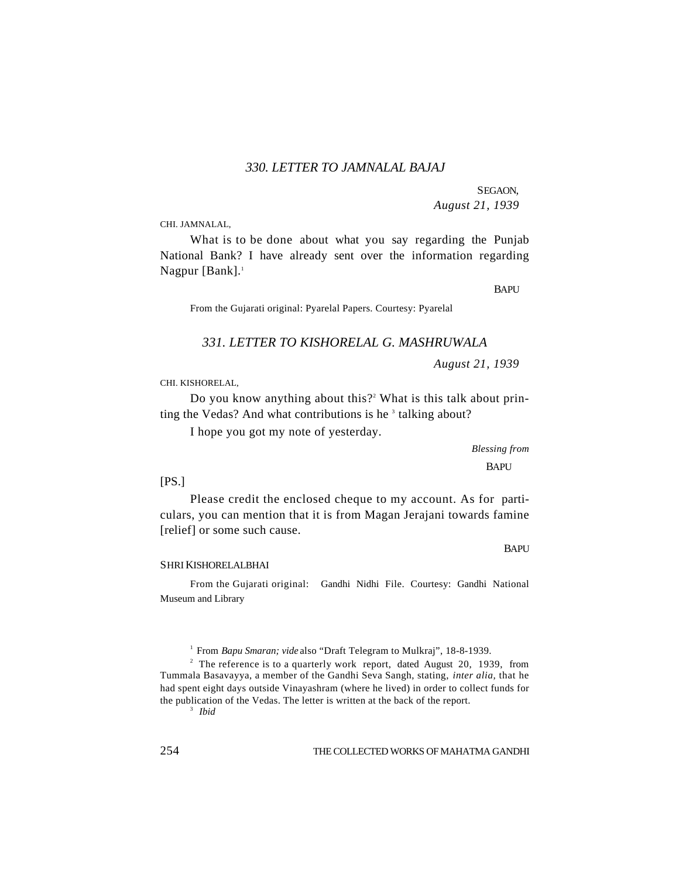# *330. LETTER TO JAMNALAL BAJAJ*

SEGAON, *August 21, 1939*

CHI. JAMNALAL,

What is to be done about what you say regarding the Punjab National Bank? I have already sent over the information regarding Nagpur [Bank]. $<sup>1</sup>$ </sup>

**BAPU** 

From the Gujarati original: Pyarelal Papers. Courtesy: Pyarelal

### *331. LETTER TO KISHORELAL G. MASHRUWALA*

*August 21, 1939*

CHI. KISHORELAL,

Do you know anything about this?<sup>2</sup> What is this talk about printing the Vedas? And what contributions is he<sup>3</sup> talking about?

I hope you got my note of yesterday.

*Blessing from* **BAPU** 

 $[PS.]$ 

Please credit the enclosed cheque to my account. As for particulars, you can mention that it is from Magan Jerajani towards famine [relief] or some such cause.

**BAPU** 

#### SHRI KISHORELALBHAI

From the Gujarati original: Gandhi Nidhi File. Courtesy: Gandhi National Museum and Library

<sup>1</sup> From Bapu Smaran; vide also "Draft Telegram to Mulkraj", 18-8-1939.

 $2$  The reference is to a quarterly work report, dated August 20, 1939, from Tummala Basavayya, a member of the Gandhi Seva Sangh, stating, *inter alia,* that he had spent eight days outside Vinayashram (where he lived) in order to collect funds for the publication of the Vedas. The letter is written at the back of the report.

3  *Ibid*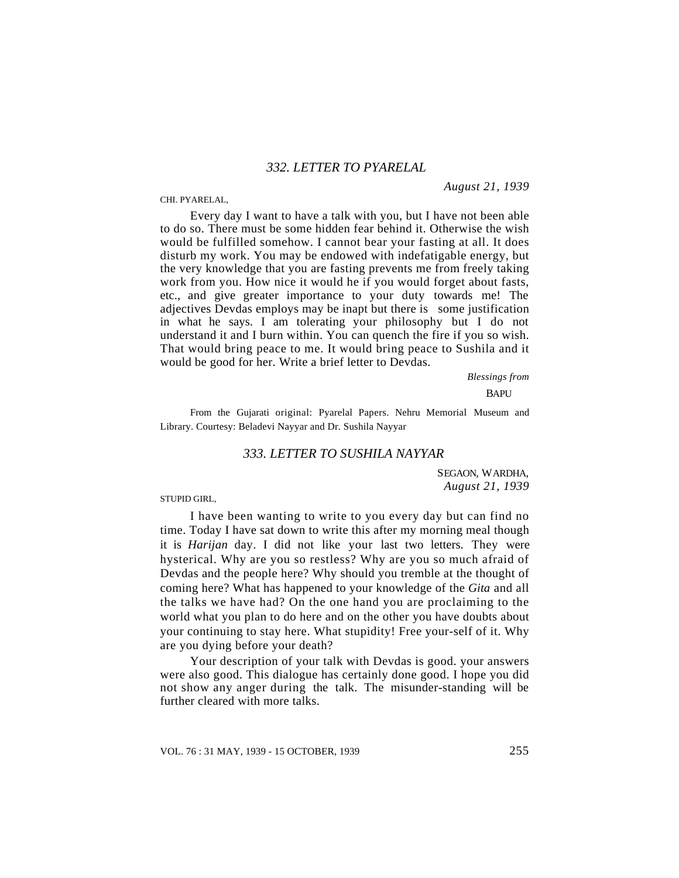#### *332. LETTER TO PYARELAL*

*August 21, 1939*

CHI. PYARELAL,

Every day I want to have a talk with you, but I have not been able to do so. There must be some hidden fear behind it. Otherwise the wish would be fulfilled somehow. I cannot bear your fasting at all. It does disturb my work. You may be endowed with indefatigable energy, but the very knowledge that you are fasting prevents me from freely taking work from you. How nice it would he if you would forget about fasts, etc., and give greater importance to your duty towards me! The adjectives Devdas employs may be inapt but there is some justification in what he says. I am tolerating your philosophy but I do not understand it and I burn within. You can quench the fire if you so wish. That would bring peace to me. It would bring peace to Sushila and it would be good for her. Write a brief letter to Devdas.

*Blessings from*

**BAPU** 

From the Gujarati original: Pyarelal Papers. Nehru Memorial Museum and Library. Courtesy: Beladevi Nayyar and Dr. Sushila Nayyar

## *333. LETTER TO SUSHILA NAYYAR*

SEGAON, WARDHA, *August 21, 1939*

STUPID GIRL,

I have been wanting to write to you every day but can find no time. Today I have sat down to write this after my morning meal though it is *Harijan* day. I did not like your last two letters. They were hysterical. Why are you so restless? Why are you so much afraid of Devdas and the people here? Why should you tremble at the thought of coming here? What has happened to your knowledge of the *Gita* and all the talks we have had? On the one hand you are proclaiming to the world what you plan to do here and on the other you have doubts about your continuing to stay here. What stupidity! Free your-self of it. Why are you dying before your death?

Your description of your talk with Devdas is good. your answers were also good. This dialogue has certainly done good. I hope you did not show any anger during the talk. The misunder-standing will be further cleared with more talks.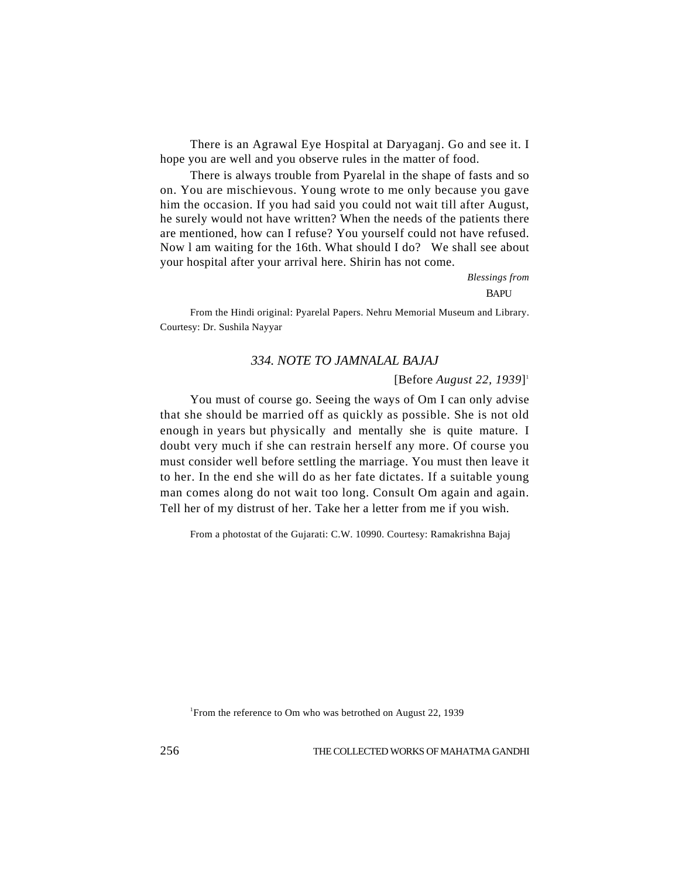There is an Agrawal Eye Hospital at Daryaganj. Go and see it. I hope you are well and you observe rules in the matter of food.

There is always trouble from Pyarelal in the shape of fasts and so on. You are mischievous. Young wrote to me only because you gave him the occasion. If you had said you could not wait till after August, he surely would not have written? When the needs of the patients there are mentioned, how can I refuse? You yourself could not have refused. Now l am waiting for the 16th. What should I do? We shall see about your hospital after your arrival here. Shirin has not come.

*Blessings from*

**BAPU** 

From the Hindi original: Pyarelal Papers. Nehru Memorial Museum and Library. Courtesy: Dr. Sushila Nayyar

## *334. NOTE TO JAMNALAL BAJAJ*

[Before *August 22, 1939*] 1

You must of course go. Seeing the ways of Om I can only advise that she should be married off as quickly as possible. She is not old enough in years but physically and mentally she is quite mature. I doubt very much if she can restrain herself any more. Of course you must consider well before settling the marriage. You must then leave it to her. In the end she will do as her fate dictates. If a suitable young man comes along do not wait too long. Consult Om again and again. Tell her of my distrust of her. Take her a letter from me if you wish.

From a photostat of the Gujarati: C.W. 10990. Courtesy: Ramakrishna Bajaj

<sup>1</sup> From the reference to Om who was betrothed on August 22, 1939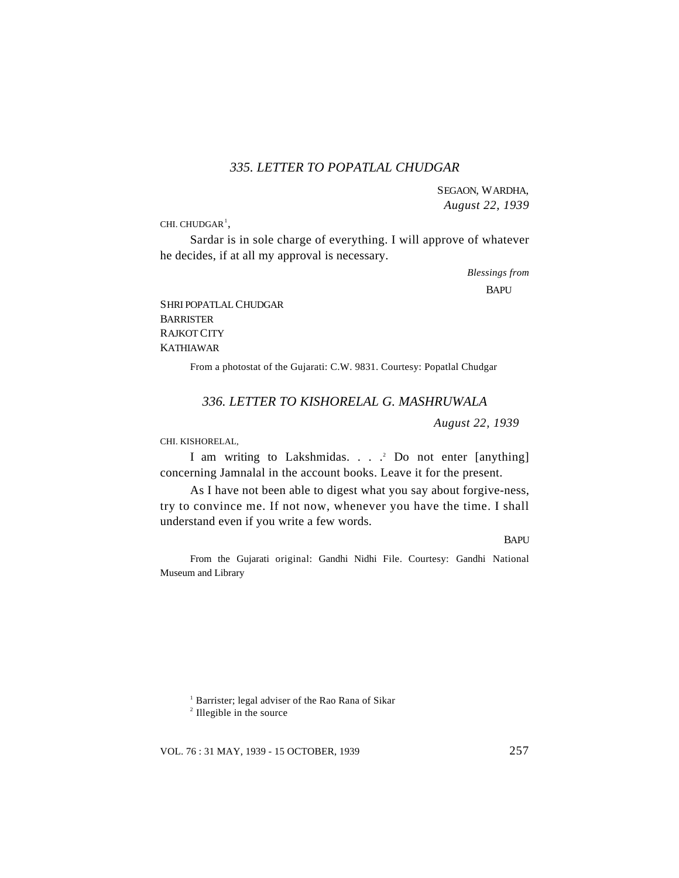## *335. LETTER TO POPATLAL CHUDGAR*

SEGAON, WARDHA, *August 22, 1939*

CHI. CHUDGAR $^1$ ,

Sardar is in sole charge of everything. I will approve of whatever he decides, if at all my approval is necessary.

> *Blessings from* **BAPU**

SHRI POPATLAL CHUDGAR BARRISTER RAJKOT CITY KATHIAWAR

From a photostat of the Gujarati: C.W. 9831. Courtesy: Popatlal Chudgar

## *336. LETTER TO KISHORELAL G. MASHRUWALA*

*August 22, 1939*

CHI. KISHORELAL,

I am writing to Lakshmidas. . . . 2 Do not enter [anything] concerning Jamnalal in the account books. Leave it for the present.

As I have not been able to digest what you say about forgive-ness, try to convince me. If not now, whenever you have the time. I shall understand even if you write a few words.

**BAPU** 

From the Gujarati original: Gandhi Nidhi File. Courtesy: Gandhi National Museum and Library

<sup>&</sup>lt;sup>1</sup> Barrister; legal adviser of the Rao Rana of Sikar

<sup>&</sup>lt;sup>2</sup> Illegible in the source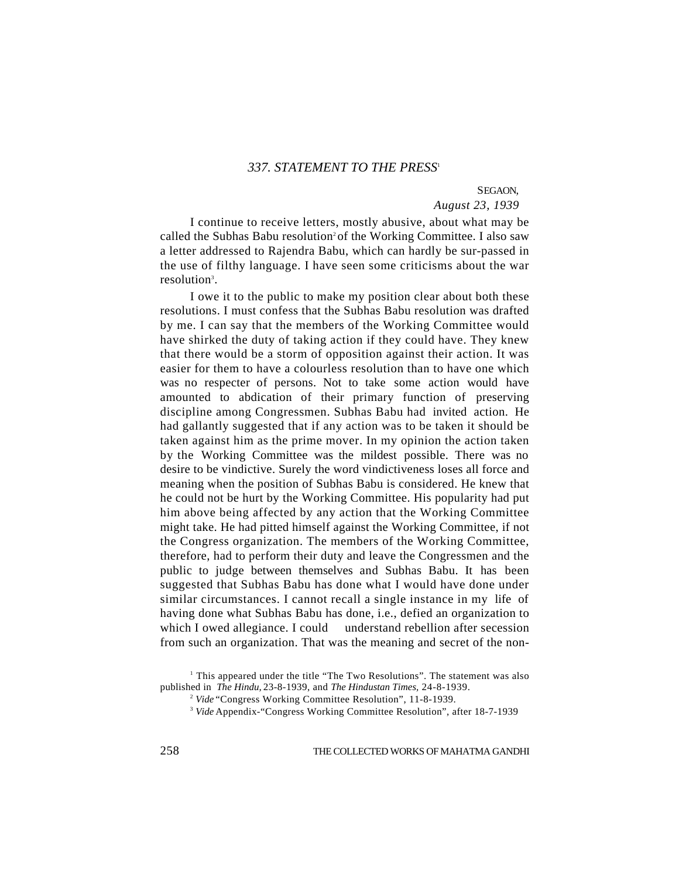#### *337. STATEMENT TO THE PRESS*<sup>1</sup>

SEGAON, *August 23, 1939*

I continue to receive letters, mostly abusive, about what may be called the Subhas Babu resolution<sup>2</sup> of the Working Committee. I also saw a letter addressed to Rajendra Babu, which can hardly be sur-passed in the use of filthy language. I have seen some criticisms about the war resolution<sup>3</sup>.

I owe it to the public to make my position clear about both these resolutions. I must confess that the Subhas Babu resolution was drafted by me. I can say that the members of the Working Committee would have shirked the duty of taking action if they could have. They knew that there would be a storm of opposition against their action. It was easier for them to have a colourless resolution than to have one which was no respecter of persons. Not to take some action would have amounted to abdication of their primary function of preserving discipline among Congressmen. Subhas Babu had invited action. He had gallantly suggested that if any action was to be taken it should be taken against him as the prime mover. In my opinion the action taken by the Working Committee was the mildest possible. There was no desire to be vindictive. Surely the word vindictiveness loses all force and meaning when the position of Subhas Babu is considered. He knew that he could not be hurt by the Working Committee. His popularity had put him above being affected by any action that the Working Committee might take. He had pitted himself against the Working Committee, if not the Congress organization. The members of the Working Committee, therefore, had to perform their duty and leave the Congressmen and the public to judge between themselves and Subhas Babu. It has been suggested that Subhas Babu has done what I would have done under similar circumstances. I cannot recall a single instance in my life of having done what Subhas Babu has done, i.e., defied an organization to which I owed allegiance. I could understand rebellion after secession from such an organization. That was the meaning and secret of the non-

<sup>&</sup>lt;sup>1</sup> This appeared under the title "The Two Resolutions". The statement was also published in *The Hindu,* 23-8-1939, and *The Hindustan Times,* 24-8-1939.

<sup>&</sup>lt;sup>2</sup> *Vide* "Congress Working Committee Resolution", 11-8-1939.

<sup>3</sup> *Vide* Appendix-"Congress Working Committee Resolution", after 18-7-1939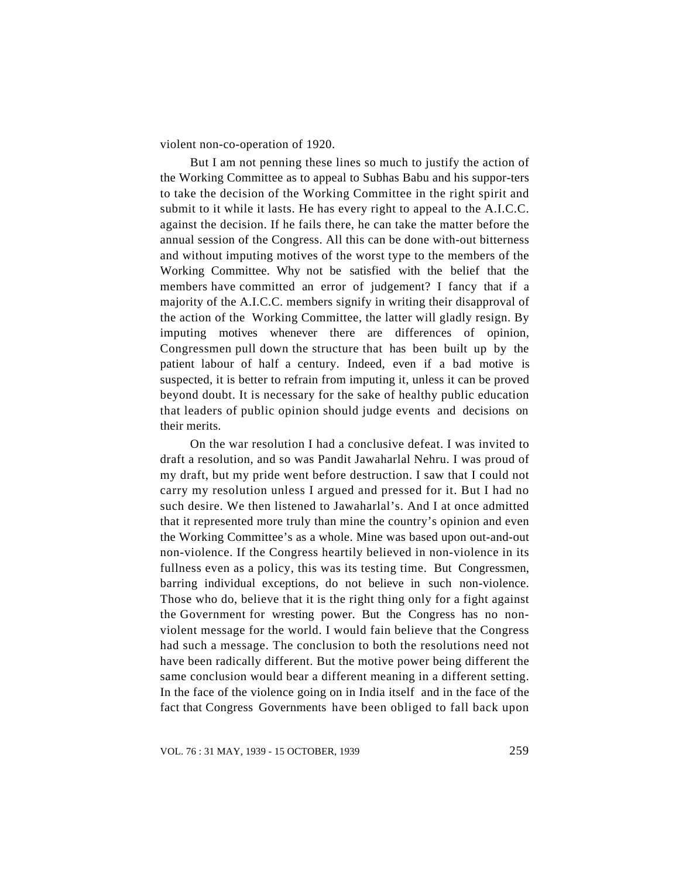violent non-co-operation of 1920.

But I am not penning these lines so much to justify the action of the Working Committee as to appeal to Subhas Babu and his suppor-ters to take the decision of the Working Committee in the right spirit and submit to it while it lasts. He has every right to appeal to the A.I.C.C. against the decision. If he fails there, he can take the matter before the annual session of the Congress. All this can be done with-out bitterness and without imputing motives of the worst type to the members of the Working Committee. Why not be satisfied with the belief that the members have committed an error of judgement? I fancy that if a majority of the A.I.C.C. members signify in writing their disapproval of the action of the Working Committee, the latter will gladly resign. By imputing motives whenever there are differences of opinion, Congressmen pull down the structure that has been built up by the patient labour of half a century. Indeed, even if a bad motive is suspected, it is better to refrain from imputing it, unless it can be proved beyond doubt. It is necessary for the sake of healthy public education that leaders of public opinion should judge events and decisions on their merits.

On the war resolution I had a conclusive defeat. I was invited to draft a resolution, and so was Pandit Jawaharlal Nehru. I was proud of my draft, but my pride went before destruction. I saw that I could not carry my resolution unless I argued and pressed for it. But I had no such desire. We then listened to Jawaharlal's. And I at once admitted that it represented more truly than mine the country's opinion and even the Working Committee's as a whole. Mine was based upon out-and-out non-violence. If the Congress heartily believed in non-violence in its fullness even as a policy, this was its testing time. But Congressmen, barring individual exceptions, do not believe in such non-violence. Those who do, believe that it is the right thing only for a fight against the Government for wresting power. But the Congress has no nonviolent message for the world. I would fain believe that the Congress had such a message. The conclusion to both the resolutions need not have been radically different. But the motive power being different the same conclusion would bear a different meaning in a different setting. In the face of the violence going on in India itself and in the face of the fact that Congress Governments have been obliged to fall back upon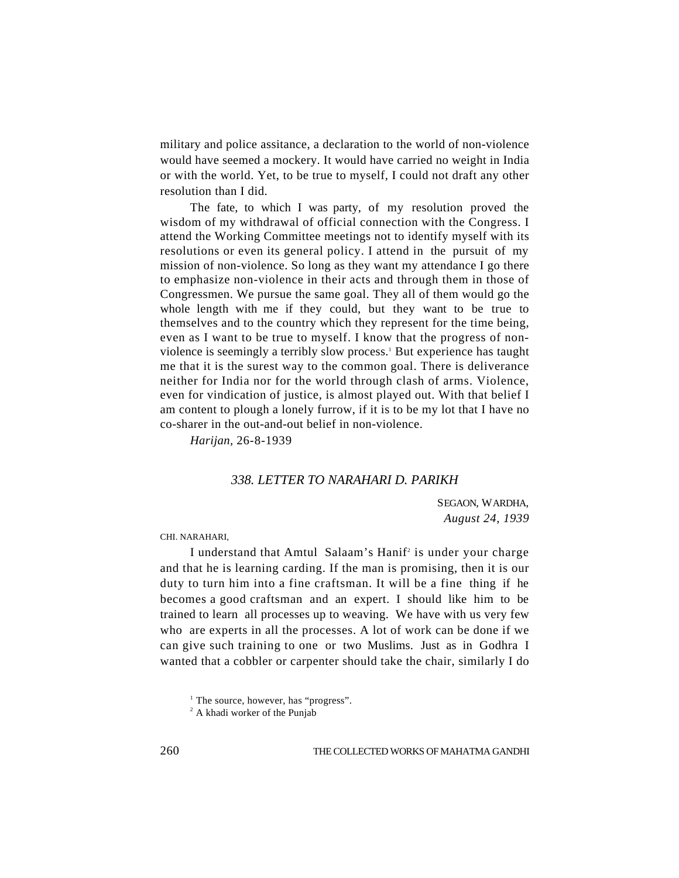military and police assitance, a declaration to the world of non-violence would have seemed a mockery. It would have carried no weight in India or with the world. Yet, to be true to myself, I could not draft any other resolution than I did.

The fate, to which I was party, of my resolution proved the wisdom of my withdrawal of official connection with the Congress. I attend the Working Committee meetings not to identify myself with its resolutions or even its general policy. I attend in the pursuit of my mission of non-violence. So long as they want my attendance I go there to emphasize non-violence in their acts and through them in those of Congressmen. We pursue the same goal. They all of them would go the whole length with me if they could, but they want to be true to themselves and to the country which they represent for the time being, even as I want to be true to myself. I know that the progress of nonviolence is seemingly a terribly slow process.<sup>1</sup> But experience has taught me that it is the surest way to the common goal. There is deliverance neither for India nor for the world through clash of arms. Violence, even for vindication of justice, is almost played out. With that belief I am content to plough a lonely furrow, if it is to be my lot that I have no co-sharer in the out-and-out belief in non-violence.

*Harijan,* 26-8-1939

## *338. LETTER TO NARAHARI D. PARIKH*

SEGAON, WARDHA, *August 24, 1939*

CHI. NARAHARI,

I understand that Amtul Salaam's Hanif<sup>2</sup> is under your charge and that he is learning carding. If the man is promising, then it is our duty to turn him into a fine craftsman. It will be a fine thing if he becomes a good craftsman and an expert. I should like him to be trained to learn all processes up to weaving. We have with us very few who are experts in all the processes. A lot of work can be done if we can give such training to one or two Muslims. Just as in Godhra I wanted that a cobbler or carpenter should take the chair, similarly I do

<sup>&</sup>lt;sup>1</sup> The source, however, has "progress".

<sup>&</sup>lt;sup>2</sup> A khadi worker of the Punjab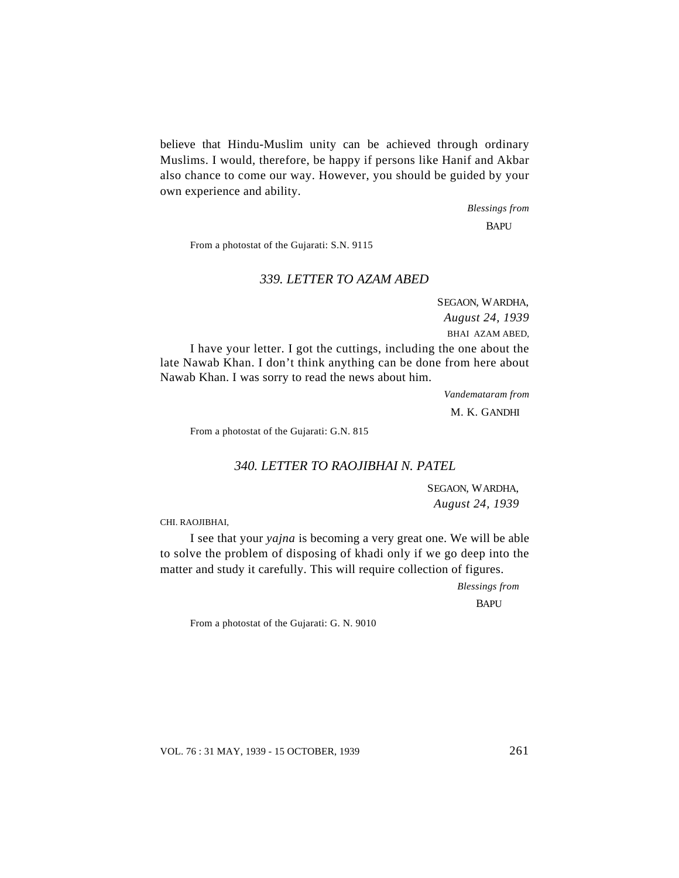believe that Hindu-Muslim unity can be achieved through ordinary Muslims. I would, therefore, be happy if persons like Hanif and Akbar also chance to come our way. However, you should be guided by your own experience and ability.

> *Blessings from* BAPU

From a photostat of the Gujarati: S.N. 9115

# *339. LETTER TO AZAM ABED*

SEGAON, WARDHA, *August 24, 1939* BHAI AZAM ABED,

I have your letter. I got the cuttings, including the one about the late Nawab Khan. I don't think anything can be done from here about Nawab Khan. I was sorry to read the news about him.

> *Vandemataram from* M. K. GANDHI

From a photostat of the Gujarati: G.N. 815

# *340. LETTER TO RAOJIBHAI N. PATEL*

SEGAON, WARDHA, *August 24, 1939*

CHI. RAOJIBHAI,

I see that your *yajna* is becoming a very great one. We will be able to solve the problem of disposing of khadi only if we go deep into the matter and study it carefully. This will require collection of figures.

*Blessings from*

BAPU

From a photostat of the Gujarati: G. N. 9010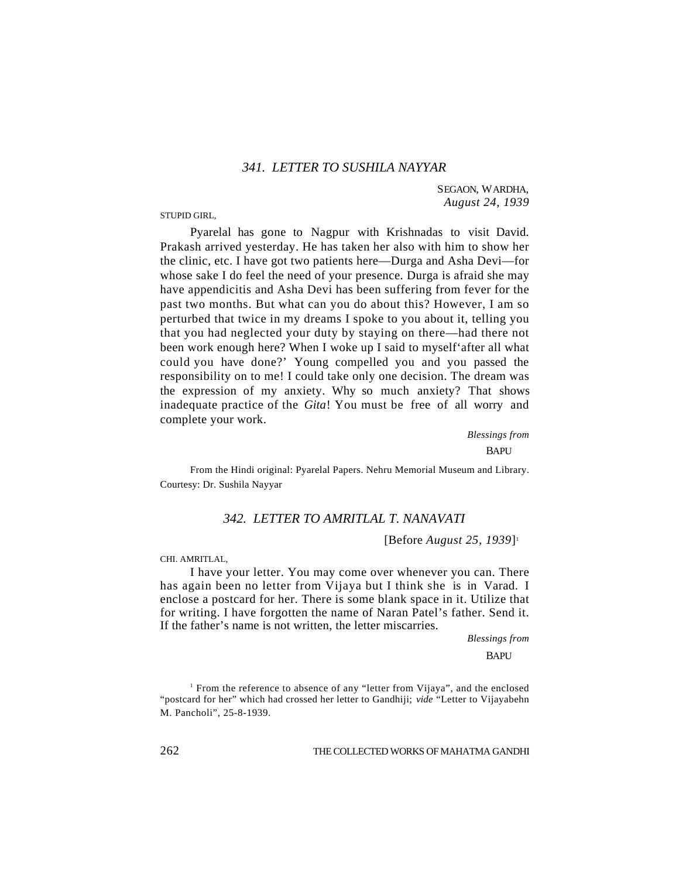# *341. LETTER TO SUSHILA NAYYAR*

SEGAON, WARDHA, *August 24, 1939*

STUPID GIRL,

Pyarelal has gone to Nagpur with Krishnadas to visit David. Prakash arrived yesterday. He has taken her also with him to show her the clinic, etc. I have got two patients here—Durga and Asha Devi—for whose sake I do feel the need of your presence. Durga is afraid she may have appendicitis and Asha Devi has been suffering from fever for the past two months. But what can you do about this? However, I am so perturbed that twice in my dreams I spoke to you about it, telling you that you had neglected your duty by staying on there—had there not been work enough here? When I woke up I said to myself'after all what could you have done?' Young compelled you and you passed the responsibility on to me! I could take only one decision. The dream was the expression of my anxiety. Why so much anxiety? That shows inadequate practice of the *Gita*! You must be free of all worry and complete your work.

> *Blessings from* BAPU

From the Hindi original: Pyarelal Papers. Nehru Memorial Museum and Library. Courtesy: Dr. Sushila Nayyar

# *342. LETTER TO AMRITLAL T. NANAVATI*

[Before *August 25, 1939*] 1

CHI. AMRITLAL,

I have your letter. You may come over whenever you can. There has again been no letter from Vijaya but I think she is in Varad. I enclose a postcard for her. There is some blank space in it. Utilize that for writing. I have forgotten the name of Naran Patel's father. Send it. If the father's name is not written, the letter miscarries.

*Blessings from*

**BAPU** 

<sup>1</sup> From the reference to absence of any "letter from Vijaya", and the enclosed "postcard for her" which had crossed her letter to Gandhiji; *vide* "Letter to Vijayabehn M. Pancholi", 25-8-1939.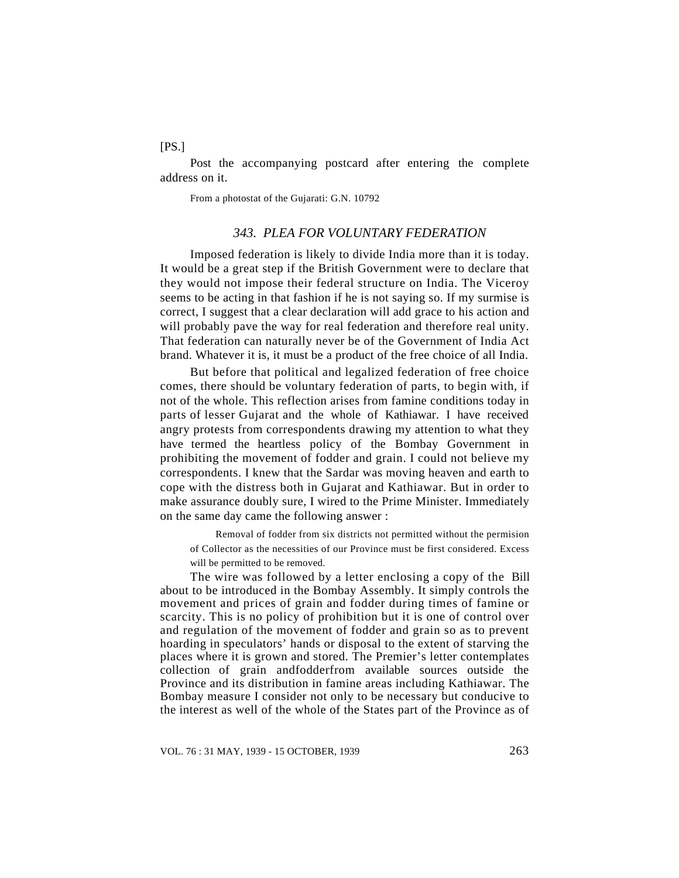$[PS.]$ 

Post the accompanying postcard after entering the complete address on it.

From a photostat of the Gujarati: G.N. 10792

## *343. PLEA FOR VOLUNTARY FEDERATION*

Imposed federation is likely to divide India more than it is today. It would be a great step if the British Government were to declare that they would not impose their federal structure on India. The Viceroy seems to be acting in that fashion if he is not saying so. If my surmise is correct, I suggest that a clear declaration will add grace to his action and will probably pave the way for real federation and therefore real unity. That federation can naturally never be of the Government of India Act brand. Whatever it is, it must be a product of the free choice of all India.

But before that political and legalized federation of free choice comes, there should be voluntary federation of parts, to begin with, if not of the whole. This reflection arises from famine conditions today in parts of lesser Gujarat and the whole of Kathiawar. I have received angry protests from correspondents drawing my attention to what they have termed the heartless policy of the Bombay Government in prohibiting the movement of fodder and grain. I could not believe my correspondents. I knew that the Sardar was moving heaven and earth to cope with the distress both in Gujarat and Kathiawar. But in order to make assurance doubly sure, I wired to the Prime Minister. Immediately on the same day came the following answer :

Removal of fodder from six districts not permitted without the permision of Collector as the necessities of our Province must be first considered. Excess will be permitted to be removed.

The wire was followed by a letter enclosing a copy of the Bill about to be introduced in the Bombay Assembly. It simply controls the movement and prices of grain and fodder during times of famine or scarcity. This is no policy of prohibition but it is one of control over and regulation of the movement of fodder and grain so as to prevent hoarding in speculators' hands or disposal to the extent of starving the places where it is grown and stored. The Premier's letter contemplates collection of grain andfodderfrom available sources outside the Province and its distribution in famine areas including Kathiawar. The Bombay measure I consider not only to be necessary but conducive to the interest as well of the whole of the States part of the Province as of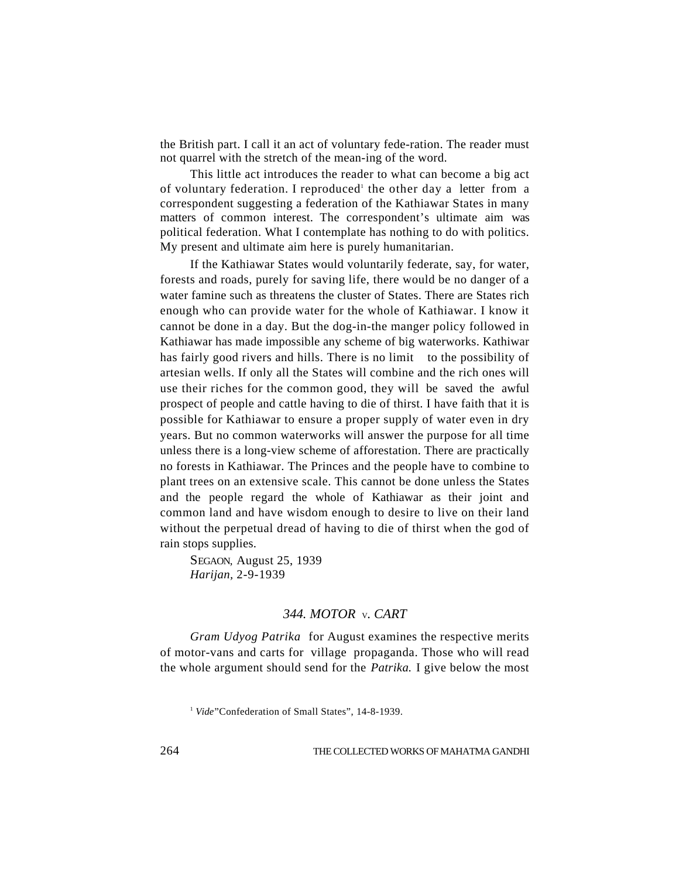the British part. I call it an act of voluntary fede-ration. The reader must not quarrel with the stretch of the mean-ing of the word.

This little act introduces the reader to what can become a big act of voluntary federation. I reproduced<sup>1</sup> the other day a letter from a correspondent suggesting a federation of the Kathiawar States in many matters of common interest. The correspondent's ultimate aim was political federation. What I contemplate has nothing to do with politics. My present and ultimate aim here is purely humanitarian.

If the Kathiawar States would voluntarily federate, say, for water, forests and roads, purely for saving life, there would be no danger of a water famine such as threatens the cluster of States. There are States rich enough who can provide water for the whole of Kathiawar. I know it cannot be done in a day. But the dog-in-the manger policy followed in Kathiawar has made impossible any scheme of big waterworks. Kathiwar has fairly good rivers and hills. There is no limit to the possibility of artesian wells. If only all the States will combine and the rich ones will use their riches for the common good, they will be saved the awful prospect of people and cattle having to die of thirst. I have faith that it is possible for Kathiawar to ensure a proper supply of water even in dry years. But no common waterworks will answer the purpose for all time unless there is a long-view scheme of afforestation. There are practically no forests in Kathiawar. The Princes and the people have to combine to plant trees on an extensive scale. This cannot be done unless the States and the people regard the whole of Kathiawar as their joint and common land and have wisdom enough to desire to live on their land without the perpetual dread of having to die of thirst when the god of rain stops supplies.

SEGAON, August 25, 1939 *Harijan,* 2-9-1939

# *344. MOTOR* V*. CART*

*Gram Udyog Patrika* for August examines the respective merits of motor-vans and carts for village propaganda. Those who will read the whole argument should send for the *Patrika.* I give below the most

<sup>1</sup> *Vide*"Confederation of Small States", 14-8-1939.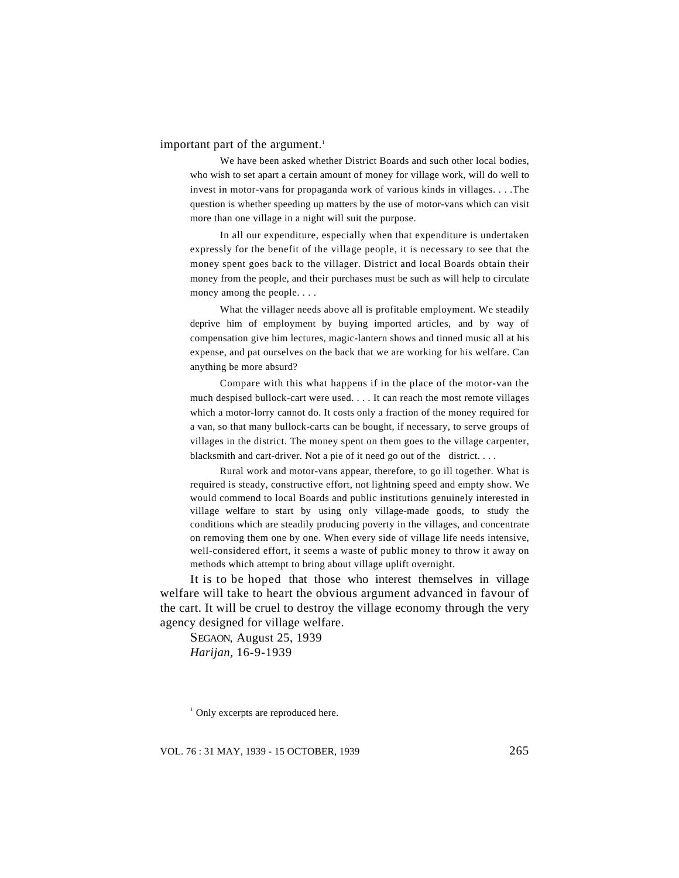#### important part of the argument.<sup>1</sup>

We have been asked whether District Boards and such other local bodies. who wish to set apart a certain amount of money for village work, will do well to invest in motor-vans for propaganda work of various kinds in villages. . . .The question is whether speeding up matters by the use of motor-vans which can visit more than one village in a night will suit the purpose.

In all our expenditure, especially when that expenditure is undertaken expressly for the benefit of the village people, it is necessary to see that the money spent goes back to the villager. District and local Boards obtain their money from the people, and their purchases must be such as will help to circulate money among the people. . . .

What the villager needs above all is profitable employment. We steadily deprive him of employment by buying imported articles, and by way of compensation give him lectures, magic-lantern shows and tinned music all at his expense, and pat ourselves on the back that we are working for his welfare. Can anything be more absurd?

 Compare with this what happens if in the place of the motor-van the much despised bullock-cart were used. . . . It can reach the most remote villages which a motor-lorry cannot do. It costs only a fraction of the money required for a van, so that many bullock-carts can be bought, if necessary, to serve groups of villages in the district. The money spent on them goes to the village carpenter, blacksmith and cart-driver. Not a pie of it need go out of the district....

Rural work and motor-vans appear, therefore, to go ill together. What is required is steady, constructive effort, not lightning speed and empty show. We would commend to local Boards and public institutions genuinely interested in village welfare to start by using only village-made goods, to study the conditions which are steadily producing poverty in the villages, and concentrate on removing them one by one. When every side of village life needs intensive, well-considered effort, it seems a waste of public money to throw it away on methods which attempt to bring about village uplift overnight.

It is to be hoped that those who interest themselves in village welfare will take to heart the obvious argument advanced in favour of the cart. It will be cruel to destroy the village economy through the very agency designed for village welfare.

SEGAON, August 25, 1939 *Harijan,* 16-9-1939

<sup>1</sup> Only excerpts are reproduced here.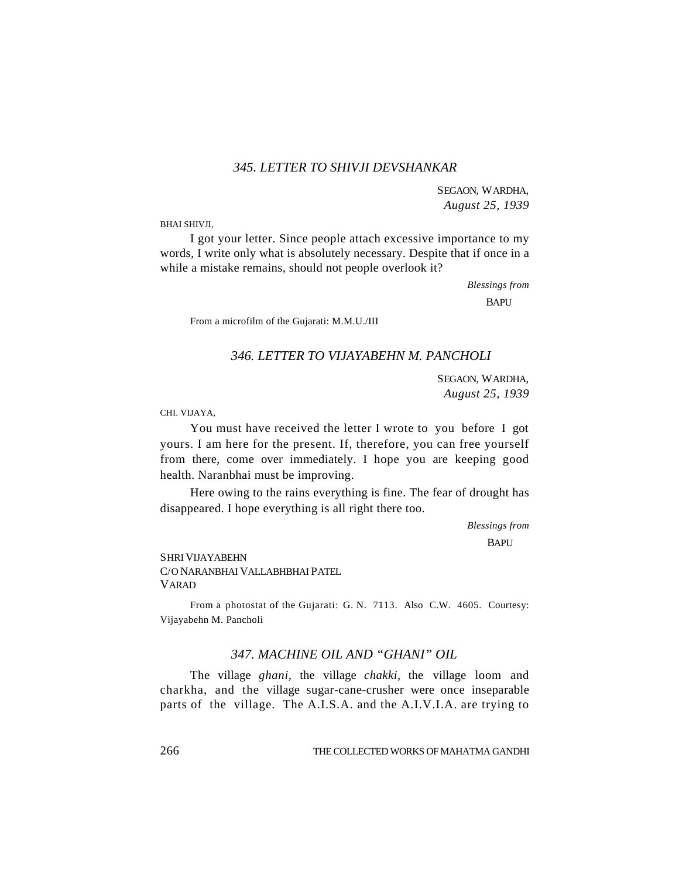## *345. LETTER TO SHIVJI DEVSHANKAR*

SEGAON, WARDHA, *August 25, 1939*

BHAI SHIVJI,

I got your letter. Since people attach excessive importance to my words, I write only what is absolutely necessary. Despite that if once in a while a mistake remains, should not people overlook it?

*Blessings from*

BAPU

From a microfilm of the Gujarati: M.M.U./III

## *346. LETTER TO VIJAYABEHN M. PANCHOLI*

SEGAON, WARDHA, *August 25, 1939*

CHI. VIJAYA,

You must have received the letter I wrote to you before I got yours. I am here for the present. If, therefore, you can free yourself from there, come over immediately. I hope you are keeping good health. Naranbhai must be improving.

Here owing to the rains everything is fine. The fear of drought has disappeared. I hope everything is all right there too.

*Blessings from*

**BAPU** 

SHRI VIJAYABEHN C/O NARANBHAI VALLABHBHAI PATEL VARAD

From a photostat of the Gujarati: G. N. 7113. Also C.W. 4605. Courtesy: Vijayabehn M. Pancholi

### *347. MACHINE OIL AND "GHANI" OIL*

The village *ghani,* the village *chakki,* the village loom and charkha, and the village sugar-cane-crusher were once inseparable parts of the village. The A.I.S.A. and the A.I.V.I.A. are trying to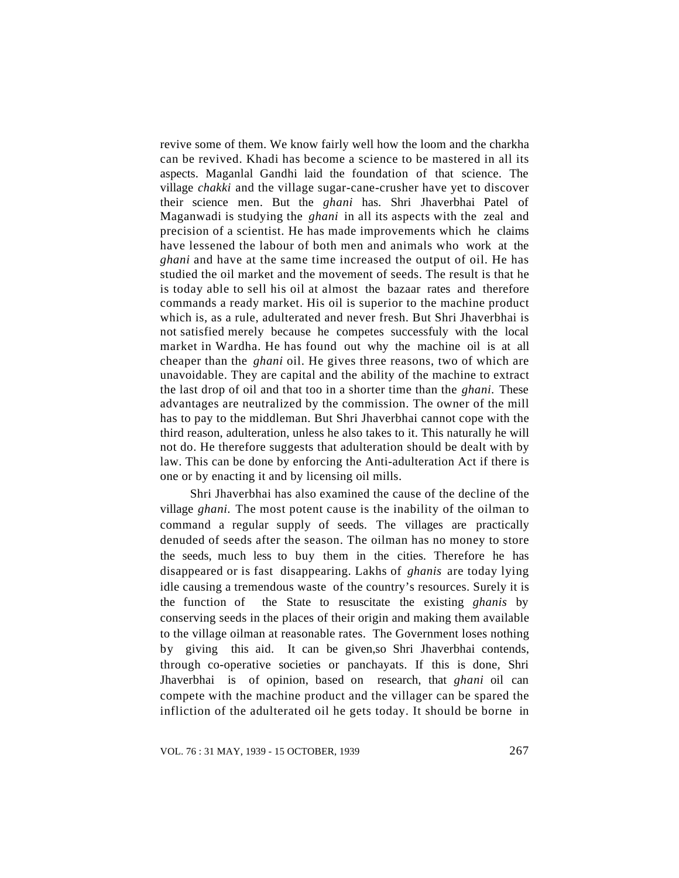revive some of them. We know fairly well how the loom and the charkha can be revived. Khadi has become a science to be mastered in all its aspects. Maganlal Gandhi laid the foundation of that science. The village *chakki* and the village sugar-cane-crusher have yet to discover their science men. But the *ghani* has. Shri Jhaverbhai Patel of Maganwadi is studying the *ghani* in all its aspects with the zeal and precision of a scientist. He has made improvements which he claims have lessened the labour of both men and animals who work at the *ghani* and have at the same time increased the output of oil. He has studied the oil market and the movement of seeds. The result is that he is today able to sell his oil at almost the bazaar rates and therefore commands a ready market. His oil is superior to the machine product which is, as a rule, adulterated and never fresh. But Shri Jhaverbhai is not satisfied merely because he competes successfuly with the local market in Wardha. He has found out why the machine oil is at all cheaper than the *ghani* oil. He gives three reasons, two of which are unavoidable. They are capital and the ability of the machine to extract the last drop of oil and that too in a shorter time than the *ghani.* These advantages are neutralized by the commission. The owner of the mill has to pay to the middleman. But Shri Jhaverbhai cannot cope with the third reason, adulteration, unless he also takes to it. This naturally he will not do. He therefore suggests that adulteration should be dealt with by law. This can be done by enforcing the Anti-adulteration Act if there is one or by enacting it and by licensing oil mills.

Shri Jhaverbhai has also examined the cause of the decline of the village *ghani.* The most potent cause is the inability of the oilman to command a regular supply of seeds. The villages are practically denuded of seeds after the season. The oilman has no money to store the seeds, much less to buy them in the cities. Therefore he has disappeared or is fast disappearing. Lakhs of *ghanis* are today lying idle causing a tremendous waste of the country's resources. Surely it is the function of the State to resuscitate the existing *ghanis* by conserving seeds in the places of their origin and making them available to the village oilman at reasonable rates. The Government loses nothing by giving this aid. It can be given,so Shri Jhaverbhai contends, through co-operative societies or panchayats. If this is done, Shri Jhaverbhai is of opinion, based on research, that *ghani* oil can compete with the machine product and the villager can be spared the infliction of the adulterated oil he gets today. It should be borne in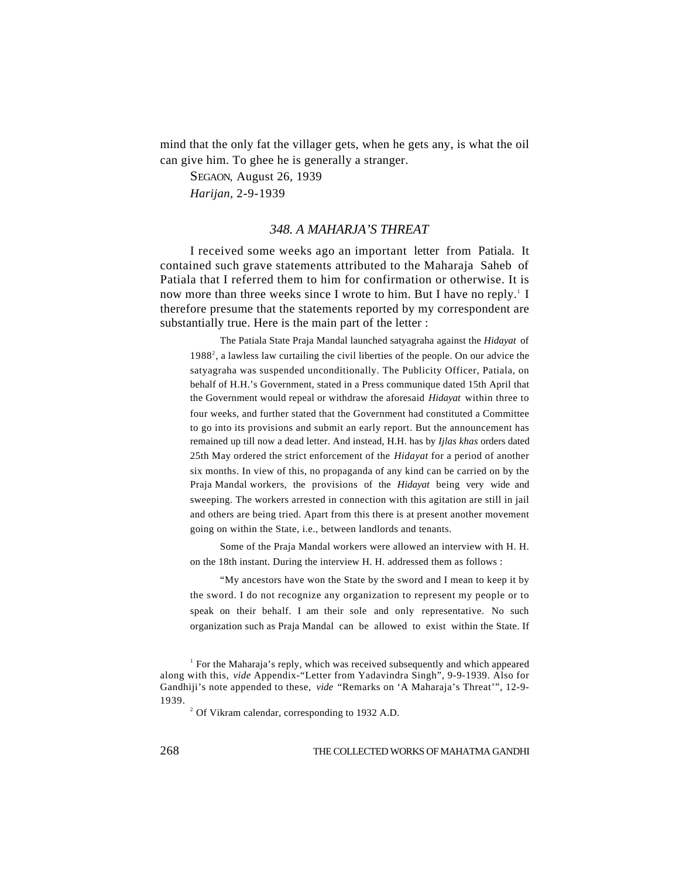mind that the only fat the villager gets, when he gets any, is what the oil can give him. To ghee he is generally a stranger.

SEGAON, August 26, 1939 *Harijan,* 2-9-1939

## *348. A MAHARJA'S THREAT*

I received some weeks ago an important letter from Patiala. It contained such grave statements attributed to the Maharaja Saheb of Patiala that I referred them to him for confirmation or otherwise. It is now more than three weeks since I wrote to him. But I have no reply.<sup>1</sup> I therefore presume that the statements reported by my correspondent are substantially true. Here is the main part of the letter :

The Patiala State Praja Mandal launched satyagraha against the *Hidayat* of  $1988<sup>2</sup>$ , a lawless law curtailing the civil liberties of the people. On our advice the satyagraha was suspended unconditionally. The Publicity Officer, Patiala, on behalf of H.H.'s Government, stated in a Press communique dated 15th April that the Government would repeal or withdraw the aforesaid *Hidayat* within three to four weeks, and further stated that the Government had constituted a Committee to go into its provisions and submit an early report. But the announcement has remained up till now a dead letter. And instead, H.H. has by *Ijlas khas* orders dated 25th May ordered the strict enforcement of the *Hidayat* for a period of another six months. In view of this, no propaganda of any kind can be carried on by the Praja Mandal workers, the provisions of the *Hidayat* being very wide and sweeping. The workers arrested in connection with this agitation are still in jail and others are being tried. Apart from this there is at present another movement going on within the State, i.e., between landlords and tenants.

Some of the Praja Mandal workers were allowed an interview with H. H. on the 18th instant. During the interview H. H. addressed them as follows :

"My ancestors have won the State by the sword and I mean to keep it by the sword. I do not recognize any organization to represent my people or to speak on their behalf. I am their sole and only representative. No such organization such as Praja Mandal can be allowed to exist within the State. If

<sup>&</sup>lt;sup>1</sup> For the Maharaja's reply, which was received subsequently and which appeared along with this, *vide* Appendix-"Letter from Yadavindra Singh", 9-9-1939. Also for Gandhiji's note appended to these, *vide* "Remarks on 'A Maharaja's Threat'", 12-9- 1939.

<sup>&</sup>lt;sup>2</sup> Of Vikram calendar, corresponding to 1932 A.D.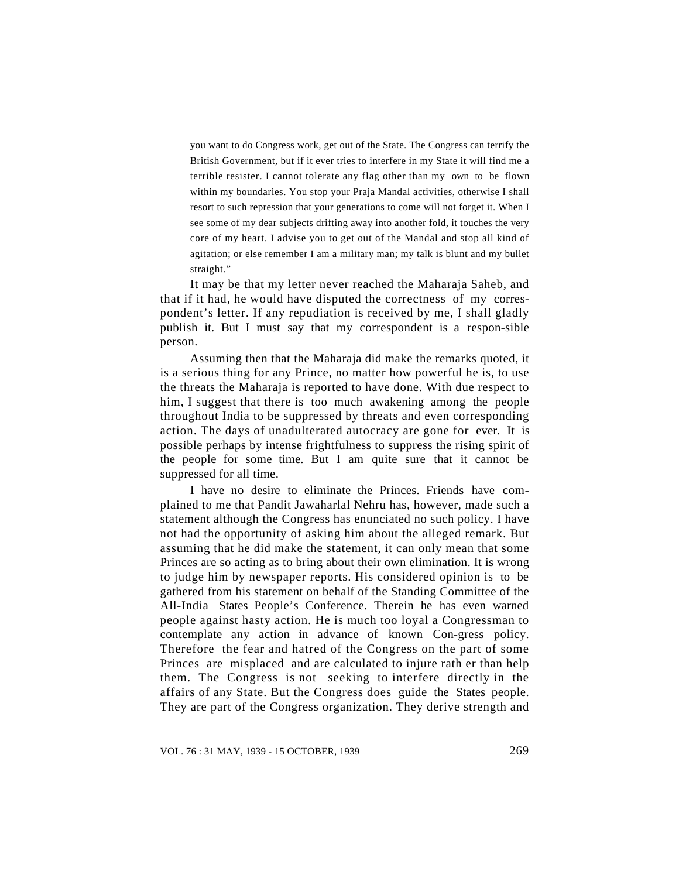you want to do Congress work, get out of the State. The Congress can terrify the British Government, but if it ever tries to interfere in my State it will find me a terrible resister. I cannot tolerate any flag other than my own to be flown within my boundaries. You stop your Praja Mandal activities, otherwise I shall resort to such repression that your generations to come will not forget it. When I see some of my dear subjects drifting away into another fold, it touches the very core of my heart. I advise you to get out of the Mandal and stop all kind of agitation; or else remember I am a military man; my talk is blunt and my bullet straight."

It may be that my letter never reached the Maharaja Saheb, and that if it had, he would have disputed the correctness of my correspondent's letter. If any repudiation is received by me, I shall gladly publish it. But I must say that my correspondent is a respon-sible person.

Assuming then that the Maharaja did make the remarks quoted, it is a serious thing for any Prince, no matter how powerful he is, to use the threats the Maharaja is reported to have done. With due respect to him, I suggest that there is too much awakening among the people throughout India to be suppressed by threats and even corresponding action. The days of unadulterated autocracy are gone for ever. It is possible perhaps by intense frightfulness to suppress the rising spirit of the people for some time. But I am quite sure that it cannot be suppressed for all time.

I have no desire to eliminate the Princes. Friends have complained to me that Pandit Jawaharlal Nehru has, however, made such a statement although the Congress has enunciated no such policy. I have not had the opportunity of asking him about the alleged remark. But assuming that he did make the statement, it can only mean that some Princes are so acting as to bring about their own elimination. It is wrong to judge him by newspaper reports. His considered opinion is to be gathered from his statement on behalf of the Standing Committee of the All-India States People's Conference. Therein he has even warned people against hasty action. He is much too loyal a Congressman to contemplate any action in advance of known Con-gress policy. Therefore the fear and hatred of the Congress on the part of some Princes are misplaced and are calculated to injure rath er than help them. The Congress is not seeking to interfere directly in the affairs of any State. But the Congress does guide the States people. They are part of the Congress organization. They derive strength and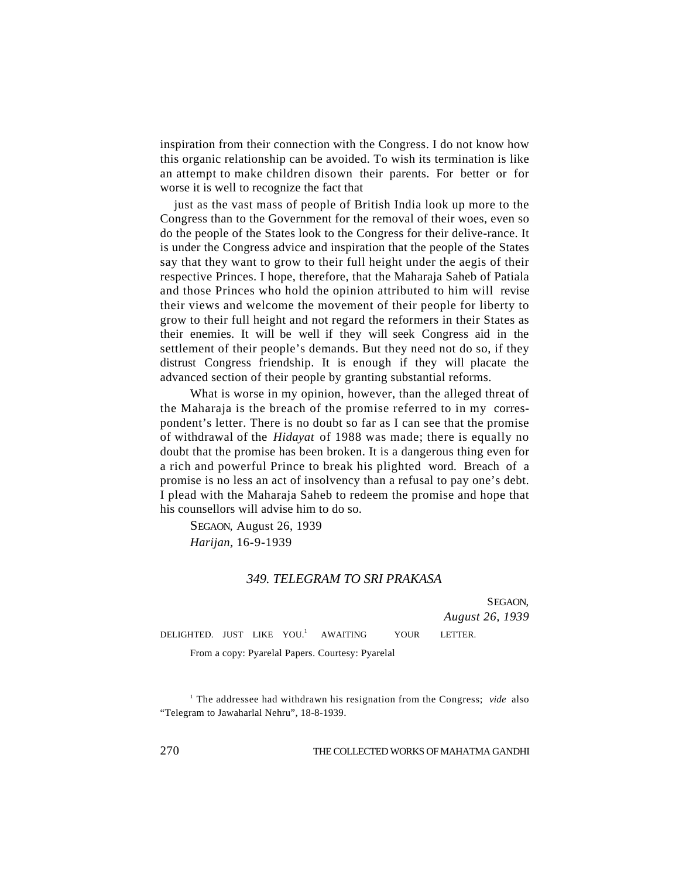inspiration from their connection with the Congress. I do not know how this organic relationship can be avoided. To wish its termination is like an attempt to make children disown their parents. For better or for worse it is well to recognize the fact that

 just as the vast mass of people of British India look up more to the Congress than to the Government for the removal of their woes, even so do the people of the States look to the Congress for their delive-rance. It is under the Congress advice and inspiration that the people of the States say that they want to grow to their full height under the aegis of their respective Princes. I hope, therefore, that the Maharaja Saheb of Patiala and those Princes who hold the opinion attributed to him will revise their views and welcome the movement of their people for liberty to grow to their full height and not regard the reformers in their States as their enemies. It will be well if they will seek Congress aid in the settlement of their people's demands. But they need not do so, if they distrust Congress friendship. It is enough if they will placate the advanced section of their people by granting substantial reforms.

What is worse in my opinion, however, than the alleged threat of the Maharaja is the breach of the promise referred to in my correspondent's letter. There is no doubt so far as I can see that the promise of withdrawal of the *Hidayat* of 1988 was made; there is equally no doubt that the promise has been broken. It is a dangerous thing even for a rich and powerful Prince to break his plighted word. Breach of a promise is no less an act of insolvency than a refusal to pay one's debt. I plead with the Maharaja Saheb to redeem the promise and hope that his counsellors will advise him to do so.

SEGAON, August 26, 1939 *Harijan,* 16-9-1939

## *349. TELEGRAM TO SRI PRAKASA*

SEGAON, *August 26, 1939*

DELIGHTED. JUST LIKE YOU.<sup>1</sup> AWAITING YOUR LETTER.

From a copy: Pyarelal Papers. Courtesy: Pyarelal

<sup>1</sup> The addressee had withdrawn his resignation from the Congress; vide also "Telegram to Jawaharlal Nehru", 18-8-1939.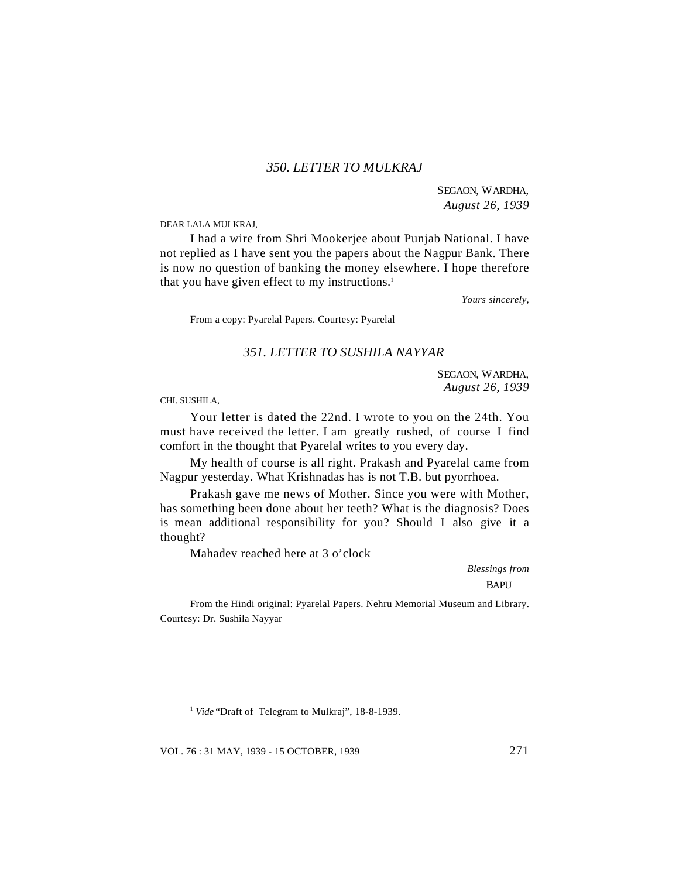## *350. LETTER TO MULKRAJ*

SEGAON, WARDHA, *August 26, 1939*

#### DEAR LALA MULKRAJ,

I had a wire from Shri Mookerjee about Punjab National. I have not replied as I have sent you the papers about the Nagpur Bank. There is now no question of banking the money elsewhere. I hope therefore that you have given effect to my instructions.<sup>1</sup>

*Yours sincerely,*

From a copy: Pyarelal Papers. Courtesy: Pyarelal

## *351. LETTER TO SUSHILA NAYYAR*

SEGAON, WARDHA, *August 26, 1939*

CHI. SUSHILA,

Your letter is dated the 22nd. I wrote to you on the 24th. You must have received the letter. I am greatly rushed, of course I find comfort in the thought that Pyarelal writes to you every day.

My health of course is all right. Prakash and Pyarelal came from Nagpur yesterday. What Krishnadas has is not T.B. but pyorrhoea.

Prakash gave me news of Mother. Since you were with Mother, has something been done about her teeth? What is the diagnosis? Does is mean additional responsibility for you? Should I also give it a thought?

Mahadev reached here at 3 o'clock

*Blessings from*

BAPU

From the Hindi original: Pyarelal Papers. Nehru Memorial Museum and Library. Courtesy: Dr. Sushila Nayyar

<sup>1</sup> *Vide* "Draft of Telegram to Mulkraj", 18-8-1939.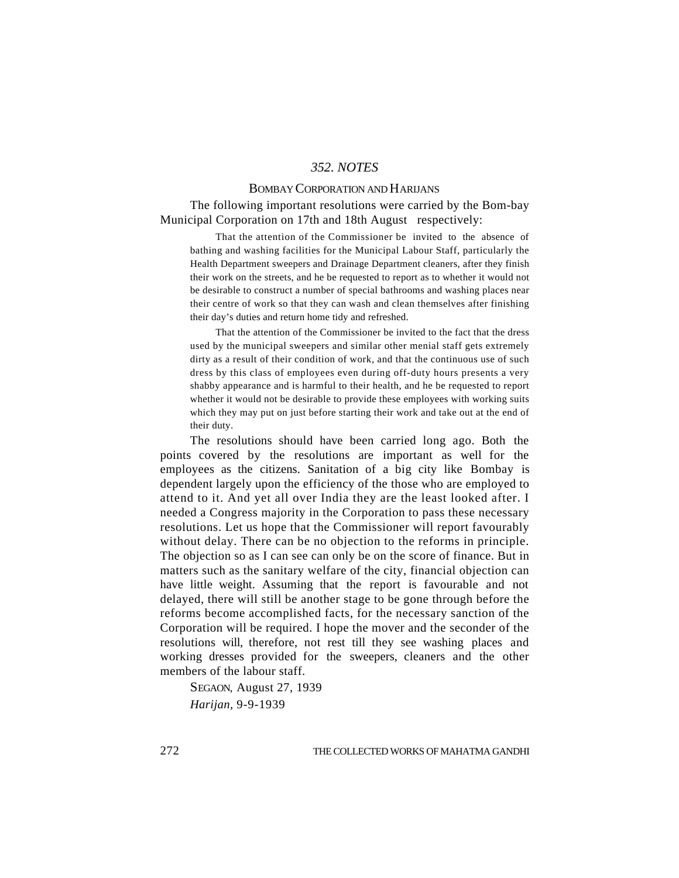# *352. NOTES*

#### BOMBAY CORPORATION AND HARIJANS

The following important resolutions were carried by the Bom-bay Municipal Corporation on 17th and 18th August respectively:

That the attention of the Commissioner be invited to the absence of bathing and washing facilities for the Municipal Labour Staff, particularly the Health Department sweepers and Drainage Department cleaners, after they finish their work on the streets, and he be requested to report as to whether it would not be desirable to construct a number of special bathrooms and washing places near their centre of work so that they can wash and clean themselves after finishing their day's duties and return home tidy and refreshed.

That the attention of the Commissioner be invited to the fact that the dress used by the municipal sweepers and similar other menial staff gets extremely dirty as a result of their condition of work, and that the continuous use of such dress by this class of employees even during off-duty hours presents a very shabby appearance and is harmful to their health, and he be requested to report whether it would not be desirable to provide these employees with working suits which they may put on just before starting their work and take out at the end of their duty.

The resolutions should have been carried long ago. Both the points covered by the resolutions are important as well for the employees as the citizens. Sanitation of a big city like Bombay is dependent largely upon the efficiency of the those who are employed to attend to it. And yet all over India they are the least looked after. I needed a Congress majority in the Corporation to pass these necessary resolutions. Let us hope that the Commissioner will report favourably without delay. There can be no objection to the reforms in principle. The objection so as I can see can only be on the score of finance. But in matters such as the sanitary welfare of the city, financial objection can have little weight. Assuming that the report is favourable and not delayed, there will still be another stage to be gone through before the reforms become accomplished facts, for the necessary sanction of the Corporation will be required. I hope the mover and the seconder of the resolutions will, therefore, not rest till they see washing places and working dresses provided for the sweepers, cleaners and the other members of the labour staff.

SEGAON, August 27, 1939 *Harijan,* 9-9-1939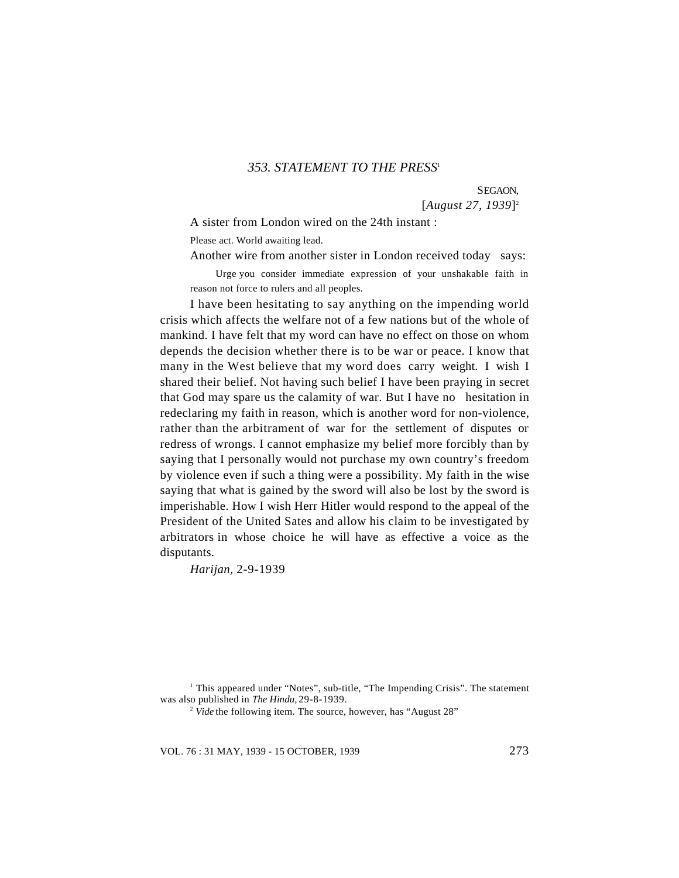#### *353. STATEMENT TO THE PRESS*<sup>1</sup>

**SEGAON** [*August 27, 1939*] 2

A sister from London wired on the 24th instant :

Please act. World awaiting lead.

Another wire from another sister in London received today says:

Urge you consider immediate expression of your unshakable faith in reason not force to rulers and all peoples.

I have been hesitating to say anything on the impending world crisis which affects the welfare not of a few nations but of the whole of mankind. I have felt that my word can have no effect on those on whom depends the decision whether there is to be war or peace. I know that many in the West believe that my word does carry weight. I wish I shared their belief. Not having such belief I have been praying in secret that God may spare us the calamity of war. But I have no hesitation in redeclaring my faith in reason, which is another word for non-violence, rather than the arbitrament of war for the settlement of disputes or redress of wrongs. I cannot emphasize my belief more forcibly than by saying that I personally would not purchase my own country's freedom by violence even if such a thing were a possibility. My faith in the wise saying that what is gained by the sword will also be lost by the sword is imperishable. How I wish Herr Hitler would respond to the appeal of the President of the United Sates and allow his claim to be investigated by arbitrators in whose choice he will have as effective a voice as the disputants.

*Harijan,* 2-9-1939

<sup>1</sup> This appeared under "Notes", sub-title, "The Impending Crisis". The statement was also published in *The Hindu,* 29-8-1939.

<sup>2</sup> Vide the following item. The source, however, has "August 28"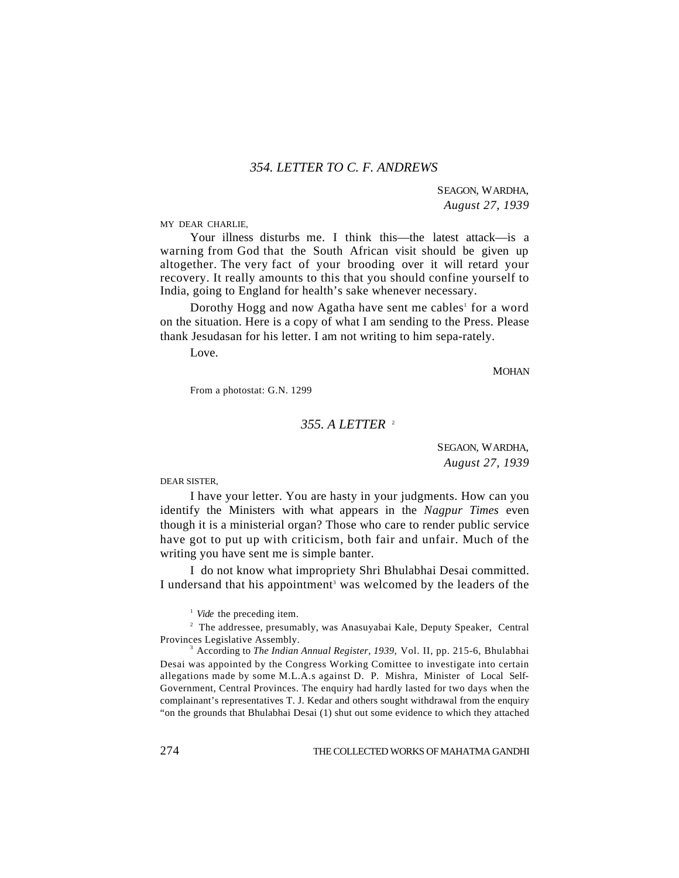SEAGON, WARDHA, *August 27, 1939*

MY DEAR CHARLIE,

Your illness disturbs me. I think this—the latest attack—is a warning from God that the South African visit should be given up altogether. The very fact of your brooding over it will retard your recovery. It really amounts to this that you should confine yourself to India, going to England for health's sake whenever necessary.

Dorothy Hogg and now Agatha have sent me cables<sup>1</sup> for a word on the situation. Here is a copy of what I am sending to the Press. Please thank Jesudasan for his letter. I am not writing to him sepa-rately.

Love.

**MOHAN** 

From a photostat: G.N. 1299

#### *355. A LETTER* <sup>2</sup>

SEGAON, WARDHA, *August 27, 1939*

DEAR SISTER,

I have your letter. You are hasty in your judgments. How can you identify the Ministers with what appears in the *Nagpur Times* even though it is a ministerial organ? Those who care to render public service have got to put up with criticism, both fair and unfair. Much of the writing you have sent me is simple banter.

I do not know what impropriety Shri Bhulabhai Desai committed. I undersand that his appointment<sup>3</sup> was welcomed by the leaders of the

<sup>1</sup> *Vide* the preceding item.

<sup>2</sup> The addressee, presumably, was Anasuyabai Kale, Deputy Speaker, Central Provinces Legislative Assembly.

<sup>3</sup> According to *The Indian Annual Register, 1939, Vol. II, pp. 215-6, Bhulabhai* Desai was appointed by the Congress Working Comittee to investigate into certain allegations made by some M.L.A.s against D. P. Mishra, Minister of Local Self-Government, Central Provinces. The enquiry had hardly lasted for two days when the complainant's representatives T. J. Kedar and others sought withdrawal from the enquiry "on the grounds that Bhulabhai Desai (1) shut out some evidence to which they attached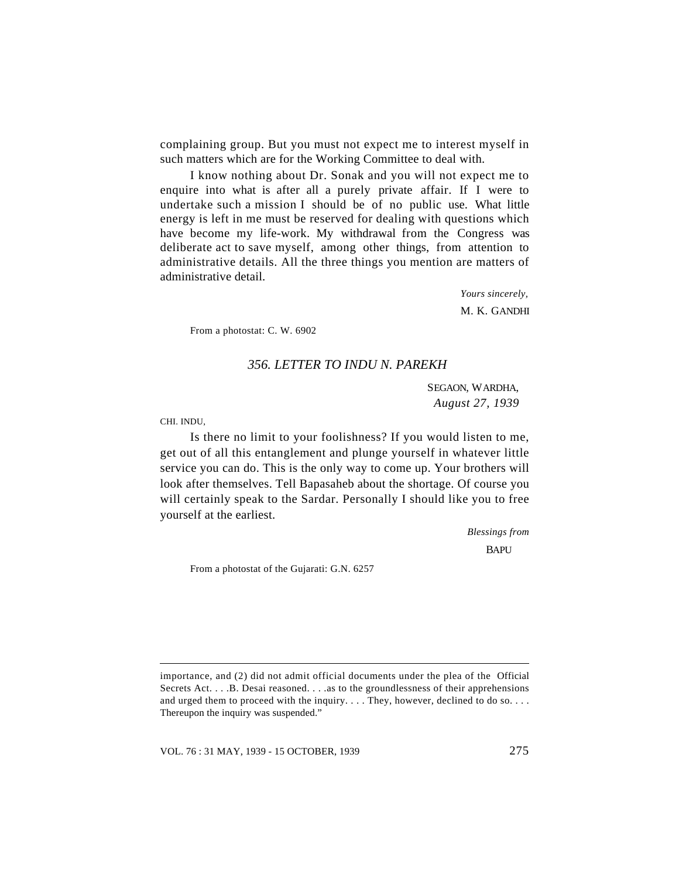complaining group. But you must not expect me to interest myself in such matters which are for the Working Committee to deal with.

I know nothing about Dr. Sonak and you will not expect me to enquire into what is after all a purely private affair. If I were to undertake such a mission I should be of no public use. What little energy is left in me must be reserved for dealing with questions which have become my life-work. My withdrawal from the Congress was deliberate act to save myself, among other things, from attention to administrative details. All the three things you mention are matters of administrative detail.

> *Yours sincerely,* M. K. GANDHI

From a photostat: C. W. 6902

## *356. LETTER TO INDU N. PAREKH*

SEGAON, WARDHA, *August 27, 1939*

CHI. INDU,

 $\overline{a}$ 

Is there no limit to your foolishness? If you would listen to me, get out of all this entanglement and plunge yourself in whatever little service you can do. This is the only way to come up. Your brothers will look after themselves. Tell Bapasaheb about the shortage. Of course you will certainly speak to the Sardar. Personally I should like you to free yourself at the earliest.

> *Blessings from* **BAPU**

From a photostat of the Gujarati: G.N. 6257

importance, and (2) did not admit official documents under the plea of the Official Secrets Act. . . .B. Desai reasoned. . . .as to the groundlessness of their apprehensions and urged them to proceed with the inquiry. . . . They, however, declined to do so. . . . Thereupon the inquiry was suspended."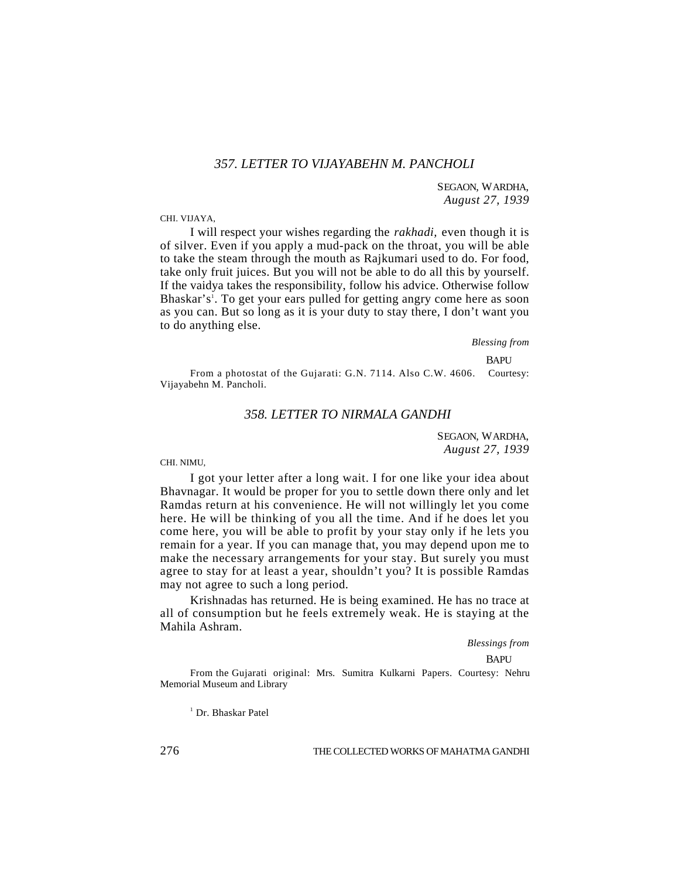SEGAON, WARDHA, *August 27, 1939*

CHI. VIJAYA,

I will respect your wishes regarding the *rakhadi,* even though it is of silver. Even if you apply a mud-pack on the throat, you will be able to take the steam through the mouth as Rajkumari used to do. For food, take only fruit juices. But you will not be able to do all this by yourself. If the vaidya takes the responsibility, follow his advice. Otherwise follow Bhaskar's<sup>1</sup>. To get your ears pulled for getting angry come here as soon as you can. But so long as it is your duty to stay there, I don't want you to do anything else.

*Blessing from*

**BAPU** 

From a photostat of the Gujarati: G.N. 7114. Also C.W. 4606. Courtesy: Vijayabehn M. Pancholi.

# *358. LETTER TO NIRMALA GANDHI*

SEGAON, WARDHA, *August 27, 1939*

CHI. NIMU,

I got your letter after a long wait. I for one like your idea about Bhavnagar. It would be proper for you to settle down there only and let Ramdas return at his convenience. He will not willingly let you come here. He will be thinking of you all the time. And if he does let you come here, you will be able to profit by your stay only if he lets you remain for a year. If you can manage that, you may depend upon me to make the necessary arrangements for your stay. But surely you must agree to stay for at least a year, shouldn't you? It is possible Ramdas may not agree to such a long period.

Krishnadas has returned. He is being examined. He has no trace at all of consumption but he feels extremely weak. He is staying at the Mahila Ashram.

*Blessings from*

**BAPU** 

From the Gujarati original: Mrs. Sumitra Kulkarni Papers. Courtesy: Nehru Memorial Museum and Library

<sup>1</sup> Dr. Bhaskar Patel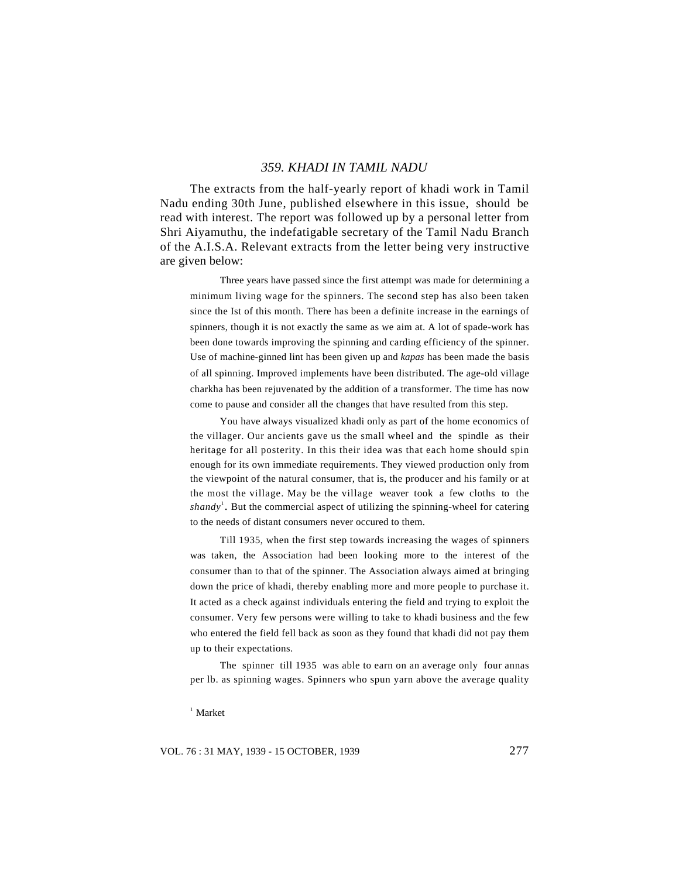#### *359. KHADI IN TAMIL NADU*

The extracts from the half-yearly report of khadi work in Tamil Nadu ending 30th June, published elsewhere in this issue, should be read with interest. The report was followed up by a personal letter from Shri Aiyamuthu, the indefatigable secretary of the Tamil Nadu Branch of the A.I.S.A. Relevant extracts from the letter being very instructive are given below:

Three years have passed since the first attempt was made for determining a minimum living wage for the spinners. The second step has also been taken since the Ist of this month. There has been a definite increase in the earnings of spinners, though it is not exactly the same as we aim at. A lot of spade-work has been done towards improving the spinning and carding efficiency of the spinner. Use of machine-ginned lint has been given up and *kapas* has been made the basis of all spinning. Improved implements have been distributed. The age-old village charkha has been rejuvenated by the addition of a transformer. The time has now come to pause and consider all the changes that have resulted from this step.

You have always visualized khadi only as part of the home economics of the villager. Our ancients gave us the small wheel and the spindle as their heritage for all posterity. In this their idea was that each home should spin enough for its own immediate requirements. They viewed production only from the viewpoint of the natural consumer, that is, the producer and his family or at the most the village. May be the village weaver took a few cloths to the shandy<sup>1</sup>. But the commercial aspect of utilizing the spinning-wheel for catering to the needs of distant consumers never occured to them.

Till 1935, when the first step towards increasing the wages of spinners was taken, the Association had been looking more to the interest of the consumer than to that of the spinner. The Association always aimed at bringing down the price of khadi, thereby enabling more and more people to purchase it. It acted as a check against individuals entering the field and trying to exploit the consumer. Very few persons were willing to take to khadi business and the few who entered the field fell back as soon as they found that khadi did not pay them up to their expectations.

 The spinner till 1935 was able to earn on an average only four annas per lb. as spinning wages. Spinners who spun yarn above the average quality

1 Market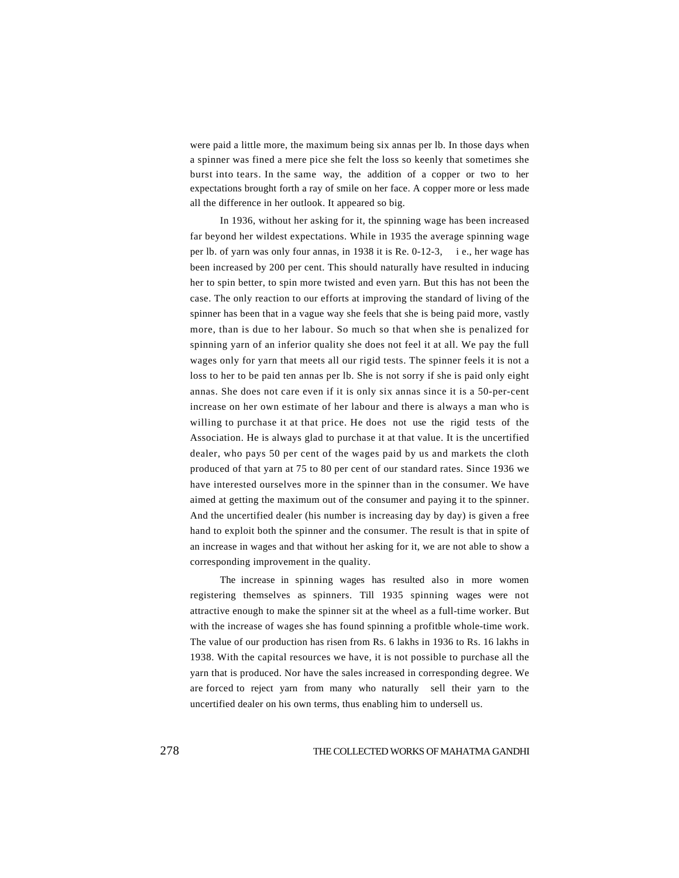were paid a little more, the maximum being six annas per lb. In those days when a spinner was fined a mere pice she felt the loss so keenly that sometimes she burst into tears. In the same way, the addition of a copper or two to her expectations brought forth a ray of smile on her face. A copper more or less made all the difference in her outlook. It appeared so big.

In 1936, without her asking for it, the spinning wage has been increased far beyond her wildest expectations. While in 1935 the average spinning wage per lb. of yarn was only four annas, in 1938 it is Re. 0-12-3, i e., her wage has been increased by 200 per cent. This should naturally have resulted in inducing her to spin better, to spin more twisted and even yarn. But this has not been the case. The only reaction to our efforts at improving the standard of living of the spinner has been that in a vague way she feels that she is being paid more, vastly more, than is due to her labour. So much so that when she is penalized for spinning yarn of an inferior quality she does not feel it at all. We pay the full wages only for yarn that meets all our rigid tests. The spinner feels it is not a loss to her to be paid ten annas per lb. She is not sorry if she is paid only eight annas. She does not care even if it is only six annas since it is a 50-per-cent increase on her own estimate of her labour and there is always a man who is willing to purchase it at that price. He does not use the rigid tests of the Association. He is always glad to purchase it at that value. It is the uncertified dealer, who pays 50 per cent of the wages paid by us and markets the cloth produced of that yarn at 75 to 80 per cent of our standard rates. Since 1936 we have interested ourselves more in the spinner than in the consumer. We have aimed at getting the maximum out of the consumer and paying it to the spinner. And the uncertified dealer (his number is increasing day by day) is given a free hand to exploit both the spinner and the consumer. The result is that in spite of an increase in wages and that without her asking for it, we are not able to show a corresponding improvement in the quality.

The increase in spinning wages has resulted also in more women registering themselves as spinners. Till 1935 spinning wages were not attractive enough to make the spinner sit at the wheel as a full-time worker. But with the increase of wages she has found spinning a profitble whole-time work. The value of our production has risen from Rs. 6 lakhs in 1936 to Rs. 16 lakhs in 1938. With the capital resources we have, it is not possible to purchase all the yarn that is produced. Nor have the sales increased in corresponding degree. We are forced to reject yarn from many who naturally sell their yarn to the uncertified dealer on his own terms, thus enabling him to undersell us.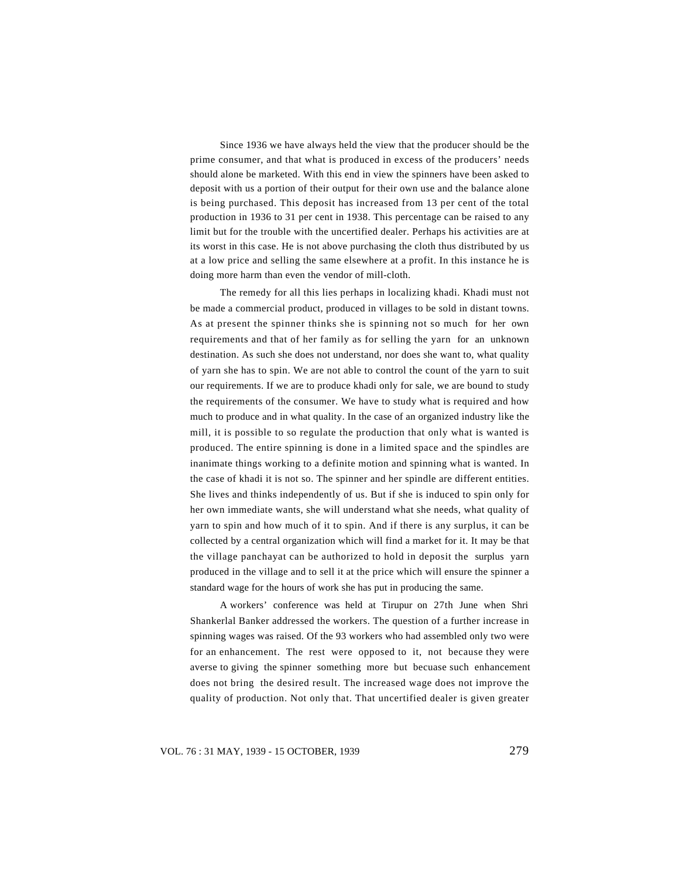Since 1936 we have always held the view that the producer should be the prime consumer, and that what is produced in excess of the producers' needs should alone be marketed. With this end in view the spinners have been asked to deposit with us a portion of their output for their own use and the balance alone is being purchased. This deposit has increased from 13 per cent of the total production in 1936 to 31 per cent in 1938. This percentage can be raised to any limit but for the trouble with the uncertified dealer. Perhaps his activities are at its worst in this case. He is not above purchasing the cloth thus distributed by us at a low price and selling the same elsewhere at a profit. In this instance he is doing more harm than even the vendor of mill-cloth.

The remedy for all this lies perhaps in localizing khadi. Khadi must not be made a commercial product, produced in villages to be sold in distant towns. As at present the spinner thinks she is spinning not so much for her own requirements and that of her family as for selling the yarn for an unknown destination. As such she does not understand, nor does she want to, what quality of yarn she has to spin. We are not able to control the count of the yarn to suit our requirements. If we are to produce khadi only for sale, we are bound to study the requirements of the consumer. We have to study what is required and how much to produce and in what quality. In the case of an organized industry like the mill, it is possible to so regulate the production that only what is wanted is produced. The entire spinning is done in a limited space and the spindles are inanimate things working to a definite motion and spinning what is wanted. In the case of khadi it is not so. The spinner and her spindle are different entities. She lives and thinks independently of us. But if she is induced to spin only for her own immediate wants, she will understand what she needs, what quality of yarn to spin and how much of it to spin. And if there is any surplus, it can be collected by a central organization which will find a market for it. It may be that the village panchayat can be authorized to hold in deposit the surplus yarn produced in the village and to sell it at the price which will ensure the spinner a standard wage for the hours of work she has put in producing the same.

A workers' conference was held at Tirupur on 27th June when Shri Shankerlal Banker addressed the workers. The question of a further increase in spinning wages was raised. Of the 93 workers who had assembled only two were for an enhancement. The rest were opposed to it, not because they were averse to giving the spinner something more but becuase such enhancement does not bring the desired result. The increased wage does not improve the quality of production. Not only that. That uncertified dealer is given greater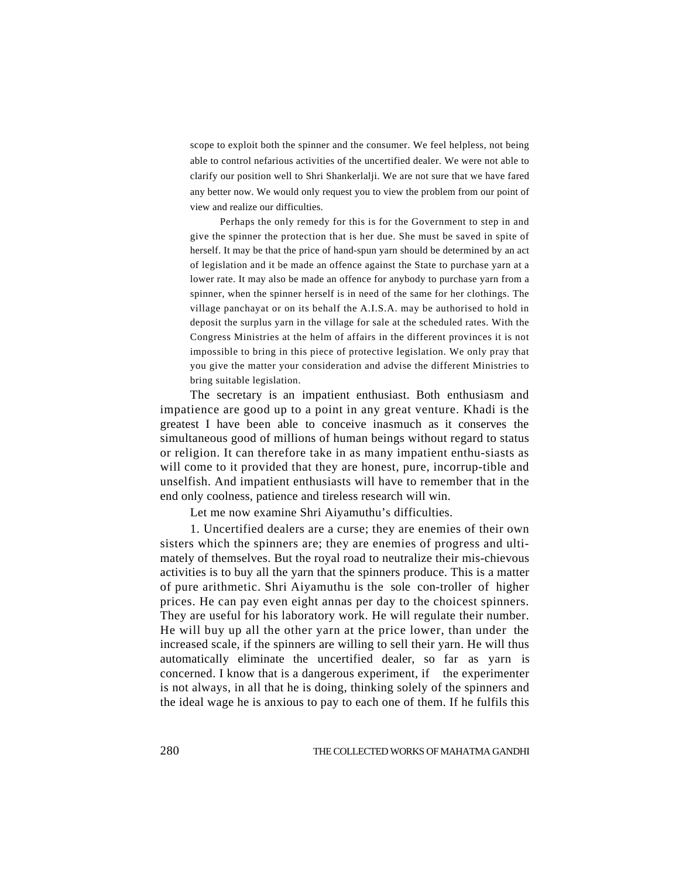scope to exploit both the spinner and the consumer. We feel helpless, not being able to control nefarious activities of the uncertified dealer. We were not able to clarify our position well to Shri Shankerlalji. We are not sure that we have fared any better now. We would only request you to view the problem from our point of view and realize our difficulties.

Perhaps the only remedy for this is for the Government to step in and give the spinner the protection that is her due. She must be saved in spite of herself. It may be that the price of hand-spun yarn should be determined by an act of legislation and it be made an offence against the State to purchase yarn at a lower rate. It may also be made an offence for anybody to purchase yarn from a spinner, when the spinner herself is in need of the same for her clothings. The village panchayat or on its behalf the A.I.S.A. may be authorised to hold in deposit the surplus yarn in the village for sale at the scheduled rates. With the Congress Ministries at the helm of affairs in the different provinces it is not impossible to bring in this piece of protective legislation. We only pray that you give the matter your consideration and advise the different Ministries to bring suitable legislation.

The secretary is an impatient enthusiast. Both enthusiasm and impatience are good up to a point in any great venture. Khadi is the greatest I have been able to conceive inasmuch as it conserves the simultaneous good of millions of human beings without regard to status or religion. It can therefore take in as many impatient enthu-siasts as will come to it provided that they are honest, pure, incorrup-tible and unselfish. And impatient enthusiasts will have to remember that in the end only coolness, patience and tireless research will win.

Let me now examine Shri Aiyamuthu's difficulties.

1. Uncertified dealers are a curse; they are enemies of their own sisters which the spinners are; they are enemies of progress and ultimately of themselves. But the royal road to neutralize their mis-chievous activities is to buy all the yarn that the spinners produce. This is a matter of pure arithmetic. Shri Aiyamuthu is the sole con-troller of higher prices. He can pay even eight annas per day to the choicest spinners. They are useful for his laboratory work. He will regulate their number. He will buy up all the other yarn at the price lower, than under the increased scale, if the spinners are willing to sell their yarn. He will thus automatically eliminate the uncertified dealer, so far as yarn is concerned. I know that is a dangerous experiment, if the experimenter is not always, in all that he is doing, thinking solely of the spinners and the ideal wage he is anxious to pay to each one of them. If he fulfils this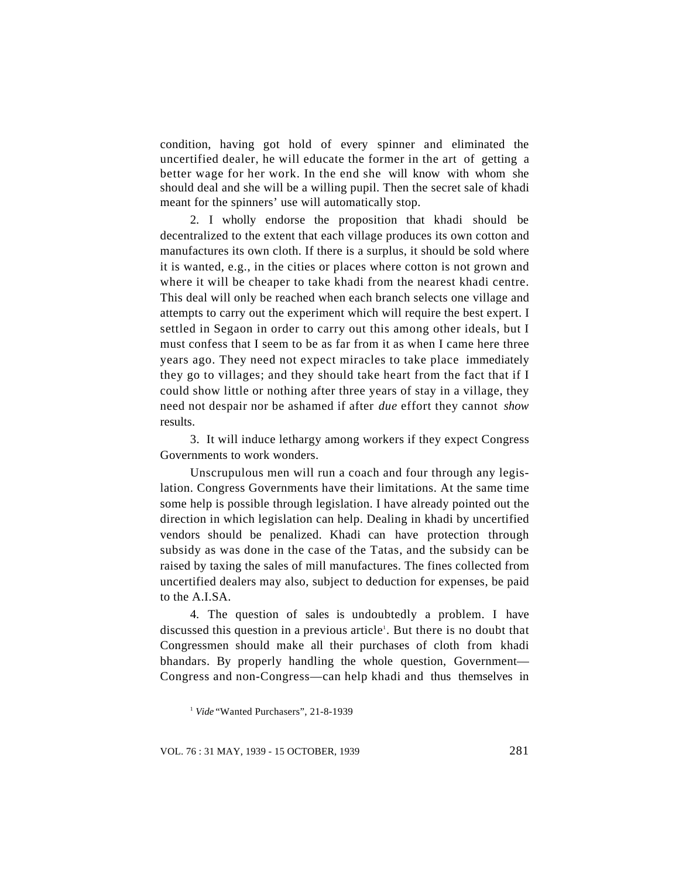condition, having got hold of every spinner and eliminated the uncertified dealer, he will educate the former in the art of getting a better wage for her work. In the end she will know with whom she should deal and she will be a willing pupil. Then the secret sale of khadi meant for the spinners' use will automatically stop.

2. I wholly endorse the proposition that khadi should be decentralized to the extent that each village produces its own cotton and manufactures its own cloth. If there is a surplus, it should be sold where it is wanted, e.g., in the cities or places where cotton is not grown and where it will be cheaper to take khadi from the nearest khadi centre. This deal will only be reached when each branch selects one village and attempts to carry out the experiment which will require the best expert. I settled in Segaon in order to carry out this among other ideals, but I must confess that I seem to be as far from it as when I came here three years ago. They need not expect miracles to take place immediately they go to villages; and they should take heart from the fact that if I could show little or nothing after three years of stay in a village, they need not despair nor be ashamed if after *due* effort they cannot *show* results.

3. It will induce lethargy among workers if they expect Congress Governments to work wonders.

Unscrupulous men will run a coach and four through any legislation. Congress Governments have their limitations. At the same time some help is possible through legislation. I have already pointed out the direction in which legislation can help. Dealing in khadi by uncertified vendors should be penalized. Khadi can have protection through subsidy as was done in the case of the Tatas, and the subsidy can be raised by taxing the sales of mill manufactures. The fines collected from uncertified dealers may also, subject to deduction for expenses, be paid to the A.I.SA.

4. The question of sales is undoubtedly a problem. I have discussed this question in a previous article<sup>1</sup>. But there is no doubt that Congressmen should make all their purchases of cloth from khadi bhandars. By properly handling the whole question, Government— Congress and non-Congress—can help khadi and thus themselves in

<sup>&</sup>lt;sup>1</sup> *Vide* "Wanted Purchasers", 21-8-1939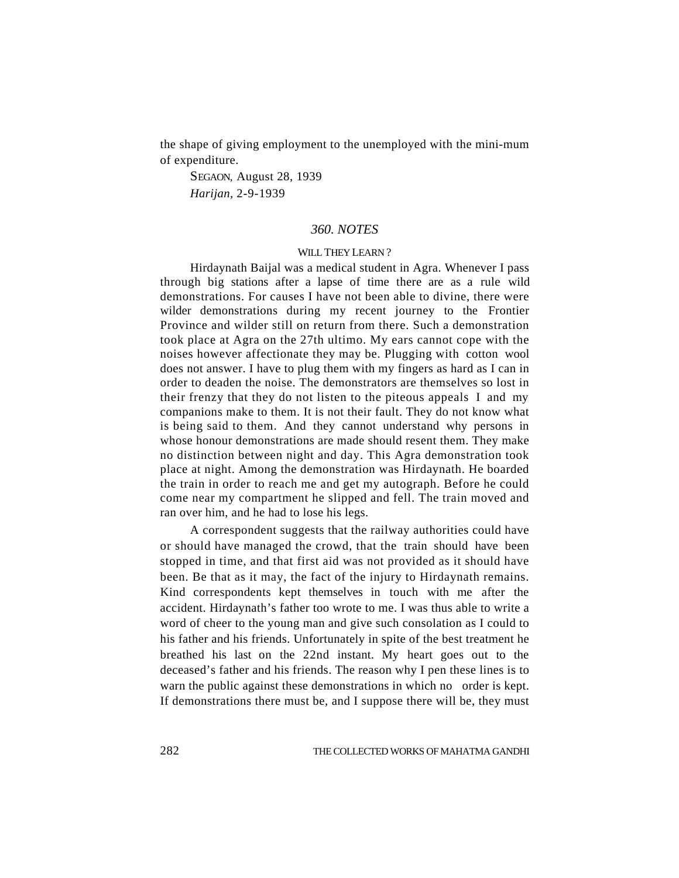the shape of giving employment to the unemployed with the mini-mum of expenditure.

SEGAON, August 28, 1939 *Harijan,* 2-9-1939

## *360. NOTES*

#### WILL THEY LEARN?

Hirdaynath Baijal was a medical student in Agra. Whenever I pass through big stations after a lapse of time there are as a rule wild demonstrations. For causes I have not been able to divine, there were wilder demonstrations during my recent journey to the Frontier Province and wilder still on return from there. Such a demonstration took place at Agra on the 27th ultimo. My ears cannot cope with the noises however affectionate they may be. Plugging with cotton wool does not answer. I have to plug them with my fingers as hard as I can in order to deaden the noise. The demonstrators are themselves so lost in their frenzy that they do not listen to the piteous appeals I and my companions make to them. It is not their fault. They do not know what is being said to them. And they cannot understand why persons in whose honour demonstrations are made should resent them. They make no distinction between night and day. This Agra demonstration took place at night. Among the demonstration was Hirdaynath. He boarded the train in order to reach me and get my autograph. Before he could come near my compartment he slipped and fell. The train moved and ran over him, and he had to lose his legs.

A correspondent suggests that the railway authorities could have or should have managed the crowd, that the train should have been stopped in time, and that first aid was not provided as it should have been. Be that as it may, the fact of the injury to Hirdaynath remains. Kind correspondents kept themselves in touch with me after the accident. Hirdaynath's father too wrote to me. I was thus able to write a word of cheer to the young man and give such consolation as I could to his father and his friends. Unfortunately in spite of the best treatment he breathed his last on the 22nd instant. My heart goes out to the deceased's father and his friends. The reason why I pen these lines is to warn the public against these demonstrations in which no order is kept. If demonstrations there must be, and I suppose there will be, they must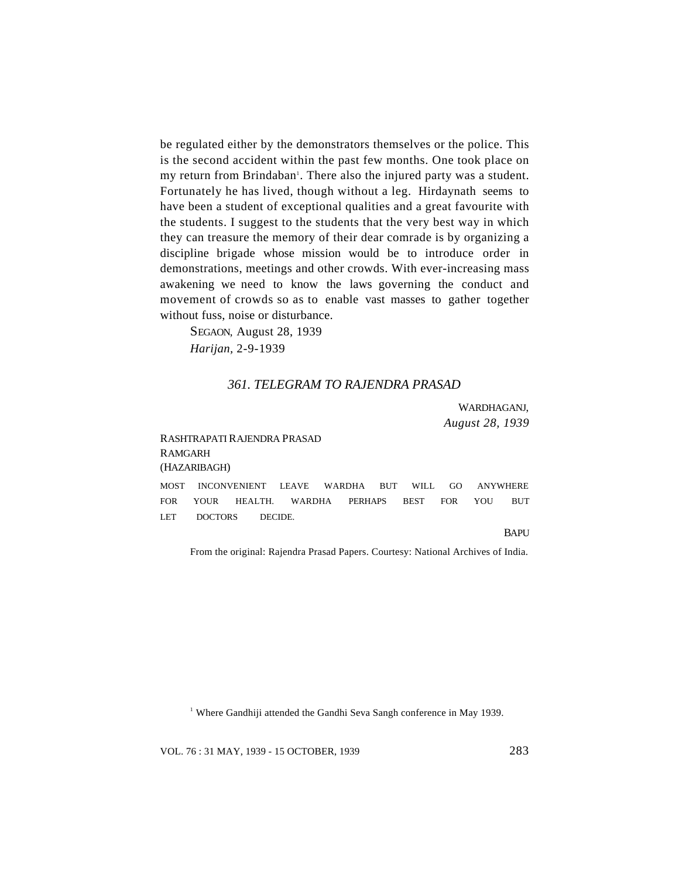be regulated either by the demonstrators themselves or the police. This is the second accident within the past few months. One took place on my return from Brindaban<sup>1</sup>. There also the injured party was a student. Fortunately he has lived, though without a leg. Hirdaynath seems to have been a student of exceptional qualities and a great favourite with the students. I suggest to the students that the very best way in which they can treasure the memory of their dear comrade is by organizing a discipline brigade whose mission would be to introduce order in demonstrations, meetings and other crowds. With ever-increasing mass awakening we need to know the laws governing the conduct and movement of crowds so as to enable vast masses to gather together without fuss, noise or disturbance.

SEGAON, August 28, 1939 *Harijan,* 2-9-1939

## *361. TELEGRAM TO RAJENDRA PRASAD*

WARDHAGANJ, *August 28, 1939*

RASHTRAPATI RAJENDRA PRASAD RAMGARH (HAZARIBAGH) MOST INCONVENIENT LEAVE WARDHA BUT WILL GO ANYWHERE FOR YOUR HEALTH. WARDHA PERHAPS BEST FOR YOU BUT LET DOCTORS DECIDE

#### **BAPU**

From the original: Rajendra Prasad Papers. Courtesy: National Archives of India.

<sup>1</sup> Where Gandhiji attended the Gandhi Seva Sangh conference in May 1939.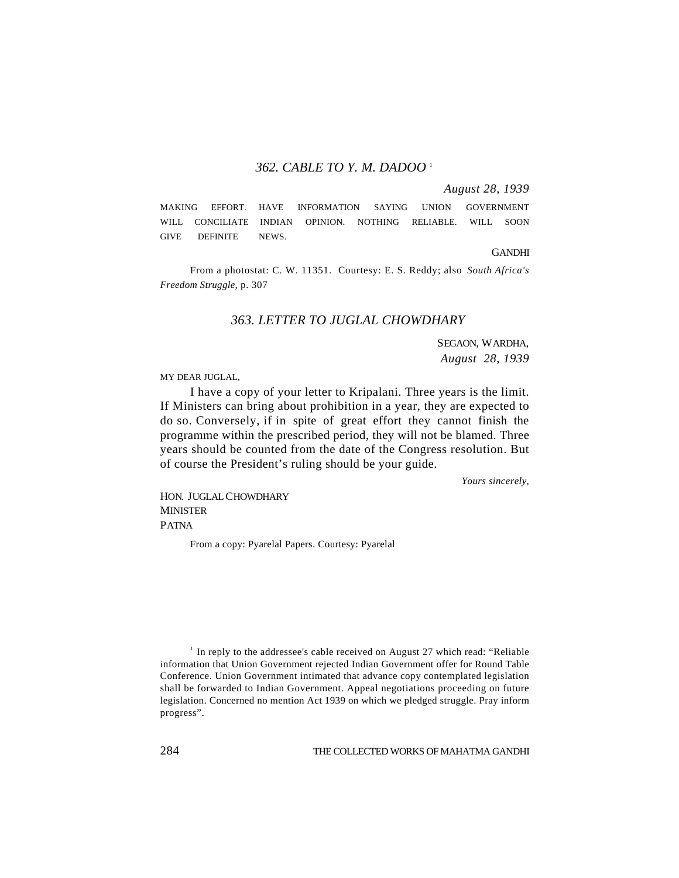### *362. CABLE TO Y. M. DADOO* <sup>1</sup>

*August 28, 1939*

MAKING EFFORT. HAVE INFORMATION SAYING UNION GOVERNMENT WILL CONCILIATE INDIAN OPINION. NOTHING RELIABLE. WILL SOON GIVE DEFINITE NEWS.

**GANDHI** 

From a photostat: C. W. 11351. Courtesy: E. S. Reddy; also *South Africa's Freedom Struggle,* p. 307

#### *363. LETTER TO JUGLAL CHOWDHARY*

SEGAON, WARDHA, *August 28, 1939*

MY DEAR JUGLAL,

I have a copy of your letter to Kripalani. Three years is the limit. If Ministers can bring about prohibition in a year, they are expected to do so. Conversely, if in spite of great effort they cannot finish the programme within the prescribed period, they will not be blamed. Three years should be counted from the date of the Congress resolution. But of course the President's ruling should be your guide.

*Yours sincerely,*

HON. JUGLAL CHOWDHARY **MINISTER** PATNA

From a copy: Pyarelal Papers. Courtesy: Pyarelal

<sup>1</sup> In reply to the addressee's cable received on August 27 which read: "Reliable information that Union Government rejected Indian Government offer for Round Table Conference. Union Government intimated that advance copy contemplated legislation shall be forwarded to Indian Government. Appeal negotiations proceeding on future legislation. Concerned no mention Act 1939 on which we pledged struggle. Pray inform progress".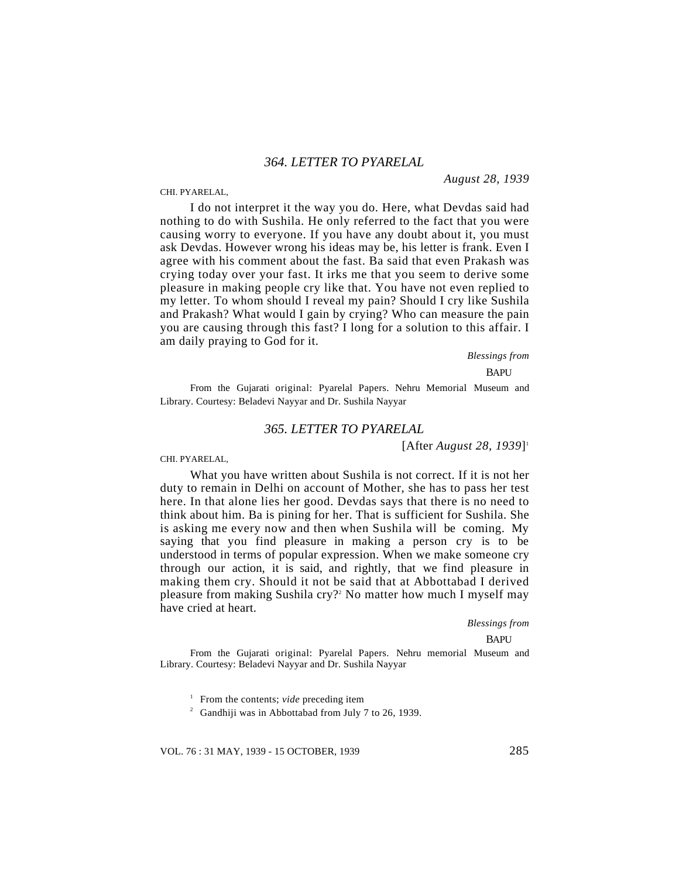*August 28, 1939*

#### CHI. PYARELAL,

I do not interpret it the way you do. Here, what Devdas said had nothing to do with Sushila. He only referred to the fact that you were causing worry to everyone. If you have any doubt about it, you must ask Devdas. However wrong his ideas may be, his letter is frank. Even I agree with his comment about the fast. Ba said that even Prakash was crying today over your fast. It irks me that you seem to derive some pleasure in making people cry like that. You have not even replied to my letter. To whom should I reveal my pain? Should I cry like Sushila and Prakash? What would I gain by crying? Who can measure the pain you are causing through this fast? I long for a solution to this affair. I am daily praying to God for it.

*Blessings from*

**BAPU** 

From the Gujarati original: Pyarelal Papers. Nehru Memorial Museum and Library. Courtesy: Beladevi Nayyar and Dr. Sushila Nayyar

## *365. LETTER TO PYARELAL*

[After *August 28, 1939*] 1

CHI. PYARELAL,

What you have written about Sushila is not correct. If it is not her duty to remain in Delhi on account of Mother, she has to pass her test here. In that alone lies her good. Devdas says that there is no need to think about him. Ba is pining for her. That is sufficient for Sushila. She is asking me every now and then when Sushila will be coming. My saying that you find pleasure in making a person cry is to be understood in terms of popular expression. When we make someone cry through our action, it is said, and rightly, that we find pleasure in making them cry. Should it not be said that at Abbottabad I derived pleasure from making Sushila cry?<sup>2</sup> No matter how much I myself may have cried at heart.

*Blessings from*

**BAPU** 

From the Gujarati original: Pyarelal Papers. Nehru memorial Museum and Library. Courtesy: Beladevi Nayyar and Dr. Sushila Nayyar

<sup>&</sup>lt;sup>1</sup> From the contents; *vide* preceding item

 $2\degree$  Gandhiji was in Abbottabad from July 7 to 26, 1939.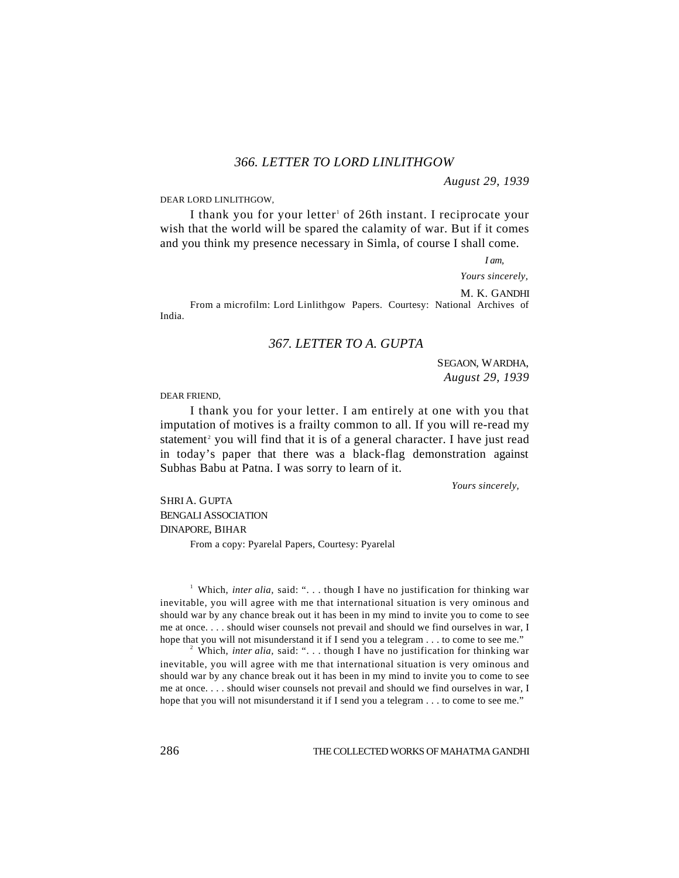## *366. LETTER TO LORD LINLITHGOW*

*August 29, 1939*

DEAR LORD LINLITHGOW,

I thank you for your letter<sup>1</sup> of 26th instant. I reciprocate your wish that the world will be spared the calamity of war. But if it comes and you think my presence necessary in Simla, of course I shall come.

> *I am, Yours sincerely,*

M. K. GANDHI From a microfilm: Lord Linlithgow Papers. Courtesy: National Archives of India.

#### *367. LETTER TO A. GUPTA*

SEGAON, WARDHA, *August 29, 1939*

DEAR FRIEND,

I thank you for your letter. I am entirely at one with you that imputation of motives is a frailty common to all. If you will re-read my statement<sup>2</sup> you will find that it is of a general character. I have just read in today's paper that there was a black-flag demonstration against Subhas Babu at Patna. I was sorry to learn of it.

*Yours sincerely,*

SHRI A. GUPTA BENGALI ASSOCIATION DINAPORE, BIHAR

From a copy: Pyarelal Papers, Courtesy: Pyarelal

<sup>1</sup> Which, *inter alia*, said: "... though I have no justification for thinking war inevitable, you will agree with me that international situation is very ominous and should war by any chance break out it has been in my mind to invite you to come to see me at once. . . . should wiser counsels not prevail and should we find ourselves in war, I hope that you will not misunderstand it if I send you a telegram . . . to come to see me."

<sup>2</sup> Which, *inter alia*, said: "... though I have no justification for thinking war inevitable, you will agree with me that international situation is very ominous and should war by any chance break out it has been in my mind to invite you to come to see me at once. . . . should wiser counsels not prevail and should we find ourselves in war, I hope that you will not misunderstand it if I send you a telegram . . . to come to see me."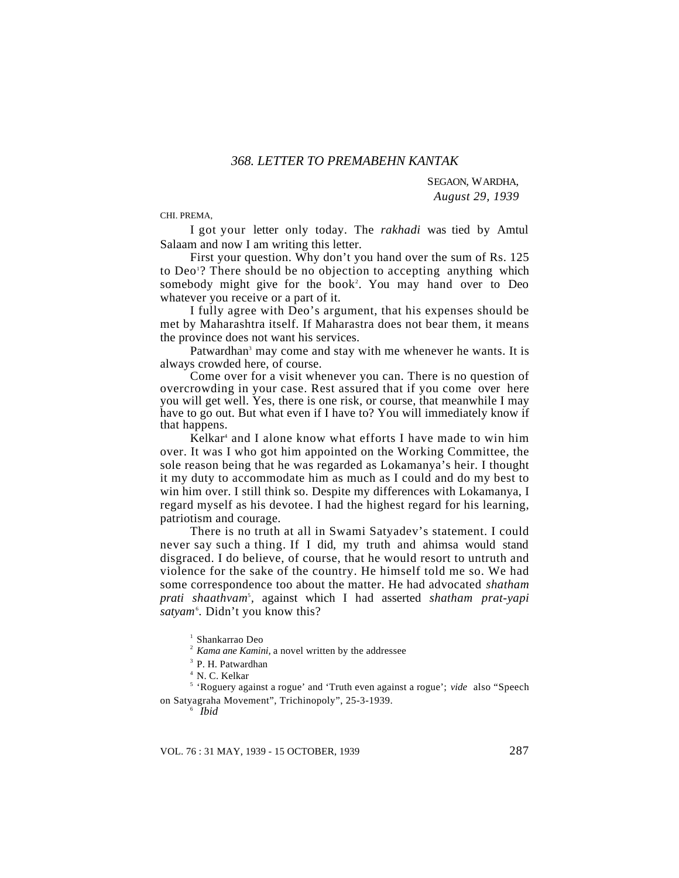SEGAON, WARDHA, *August 29, 1939*

CHI. PREMA,

I got your letter only today. The *rakhadi* was tied by Amtul Salaam and now I am writing this letter.

First your question. Why don't you hand over the sum of Rs. 125 to Deo<sup>1</sup>? There should be no objection to accepting anything which somebody might give for the book<sup>2</sup>. You may hand over to Deo whatever you receive or a part of it.

I fully agree with Deo's argument, that his expenses should be met by Maharashtra itself. If Maharastra does not bear them, it means the province does not want his services.

Patwardhan<sup>3</sup> may come and stay with me whenever he wants. It is always crowded here, of course.

Come over for a visit whenever you can. There is no question of overcrowding in your case. Rest assured that if you come over here you will get well. Yes, there is one risk, or course, that meanwhile I may have to go out. But what even if I have to? You will immediately know if that happens.

Kelkar<sup>4</sup> and I alone know what efforts I have made to win him over. It was I who got him appointed on the Working Committee, the sole reason being that he was regarded as Lokamanya's heir. I thought it my duty to accommodate him as much as I could and do my best to win him over. I still think so. Despite my differences with Lokamanya, I regard myself as his devotee. I had the highest regard for his learning, patriotism and courage.

There is no truth at all in Swami Satyadev's statement. I could never say such a thing. If I did, my truth and ahimsa would stand disgraced. I do believe, of course, that he would resort to untruth and violence for the sake of the country. He himself told me so. We had some correspondence too about the matter. He had advocated *shatham prati shaathvam*<sup>5</sup> *,* against which I had asserted *shatham prat-yapi* satyam<sup>6</sup>. Didn't you know this?

1 Shankarrao Deo

<sup>2</sup> *Kama ane Kamini,* a novel written by the addressee

<sup>3</sup> P. H. Patwardhan

<sup>4</sup> N. C. Kelkar

5 'Roguery against a rogue' and 'Truth even against a rogue'; *vide* also "Speech on Satyagraha Movement", Trichinopoly", 25-3-1939.

6 *Ibid*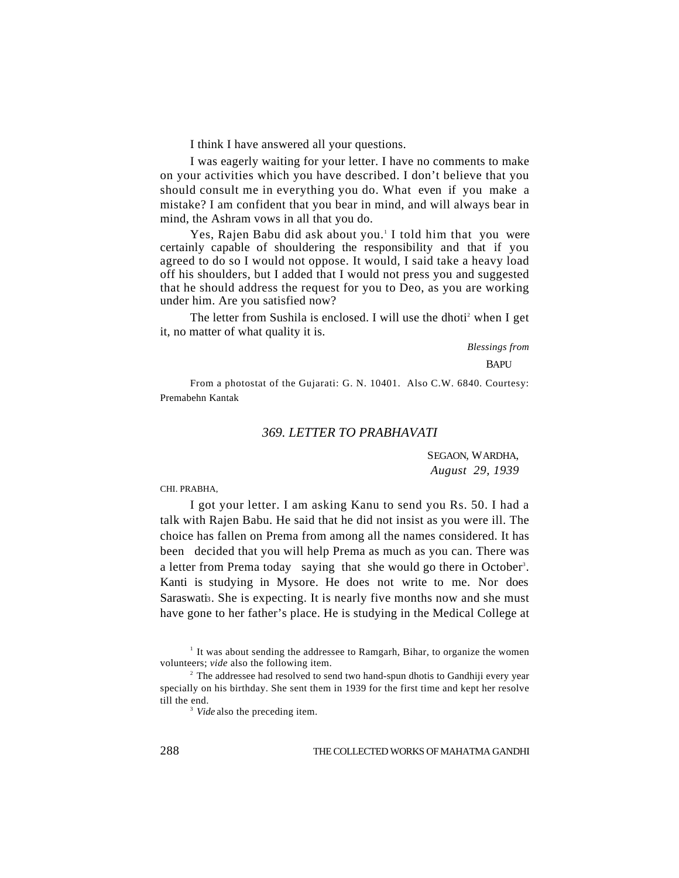I think I have answered all your questions.

I was eagerly waiting for your letter. I have no comments to make on your activities which you have described. I don't believe that you should consult me in everything you do. What even if you make a mistake? I am confident that you bear in mind, and will always bear in mind, the Ashram vows in all that you do.

Yes, Rajen Babu did ask about you.<sup>1</sup> I told him that you were certainly capable of shouldering the responsibility and that if you agreed to do so I would not oppose. It would, I said take a heavy load off his shoulders, but I added that I would not press you and suggested that he should address the request for you to Deo, as you are working under him. Are you satisfied now?

The letter from Sushila is enclosed. I will use the dhoti<sup>2</sup> when I get it, no matter of what quality it is.

*Blessings from*

BAPU

From a photostat of the Gujarati: G. N. 10401. Also C.W. 6840. Courtesy: Premabehn Kantak

## *369. LETTER TO PRABHAVATI*

SEGAON, WARDHA, *August 29, 1939*

CHI. PRABHA,

I got your letter. I am asking Kanu to send you Rs. 50. I had a talk with Rajen Babu. He said that he did not insist as you were ill. The choice has fallen on Prema from among all the names considered. It has been decided that you will help Prema as much as you can. There was a letter from Prema today saying that she would go there in October<sup>3</sup>. Kanti is studying in Mysore. He does not write to me. Nor does Saraswatis. She is expecting. It is nearly five months now and she must have gone to her father's place. He is studying in the Medical College at

<sup>&</sup>lt;sup>1</sup> It was about sending the addressee to Ramgarh, Bihar, to organize the women volunteers; *vide* also the following item.

<sup>&</sup>lt;sup>2</sup> The addressee had resolved to send two hand-spun dhotis to Gandhiji every year specially on his birthday. She sent them in 1939 for the first time and kept her resolve till the end.

<sup>&</sup>lt;sup>3</sup> *Vide* also the preceding item.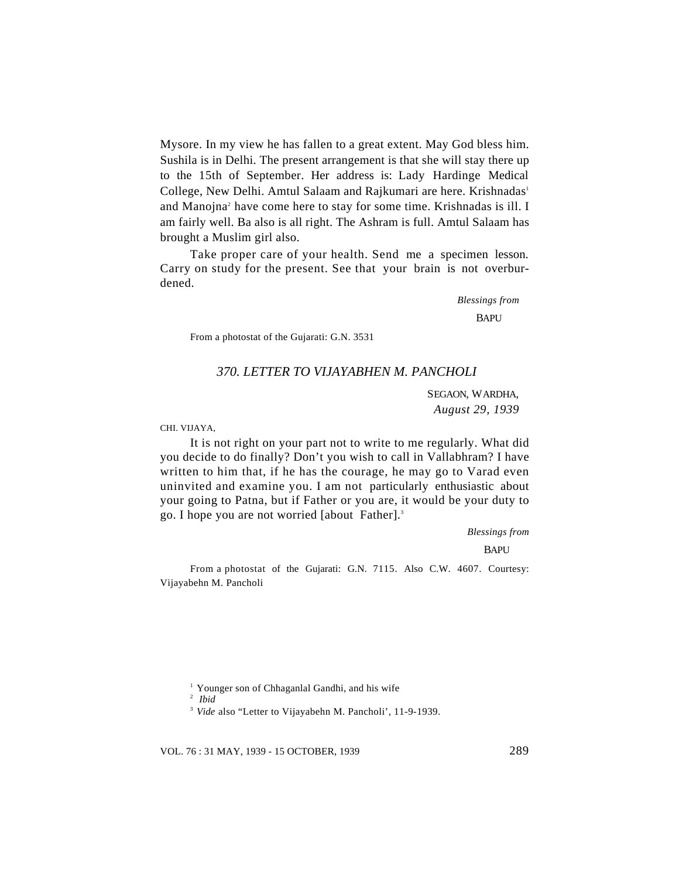Mysore. In my view he has fallen to a great extent. May God bless him. Sushila is in Delhi. The present arrangement is that she will stay there up to the 15th of September. Her address is: Lady Hardinge Medical College, New Delhi. Amtul Salaam and Rajkumari are here. Krishnadas<sup>1</sup> and Manojna<sup>2</sup> have come here to stay for some time. Krishnadas is ill. I am fairly well. Ba also is all right. The Ashram is full. Amtul Salaam has brought a Muslim girl also.

Take proper care of your health. Send me a specimen lesson. Carry on study for the present. See that your brain is not overburdened.

> *Blessings from* **BAPU**

From a photostat of the Gujarati: G.N. 3531

#### *370. LETTER TO VIJAYABHEN M. PANCHOLI*

SEGAON, WARDHA, *August 29, 1939*

CHI. VIJAYA,

It is not right on your part not to write to me regularly. What did you decide to do finally? Don't you wish to call in Vallabhram? I have written to him that, if he has the courage, he may go to Varad even uninvited and examine you. I am not particularly enthusiastic about your going to Patna, but if Father or you are, it would be your duty to go. I hope you are not worried [about Father].<sup>3</sup>

> *Blessings from* **BAPU**

From a photostat of the Gujarati: G.N. 7115. Also C.W. 4607. Courtesy: Vijayabehn M. Pancholi

<sup>1</sup> Younger son of Chhaganlal Gandhi, and his wife

2  *Ibid*

<sup>3</sup> *Vide* also "Letter to Vijayabehn M. Pancholi', 11-9-1939.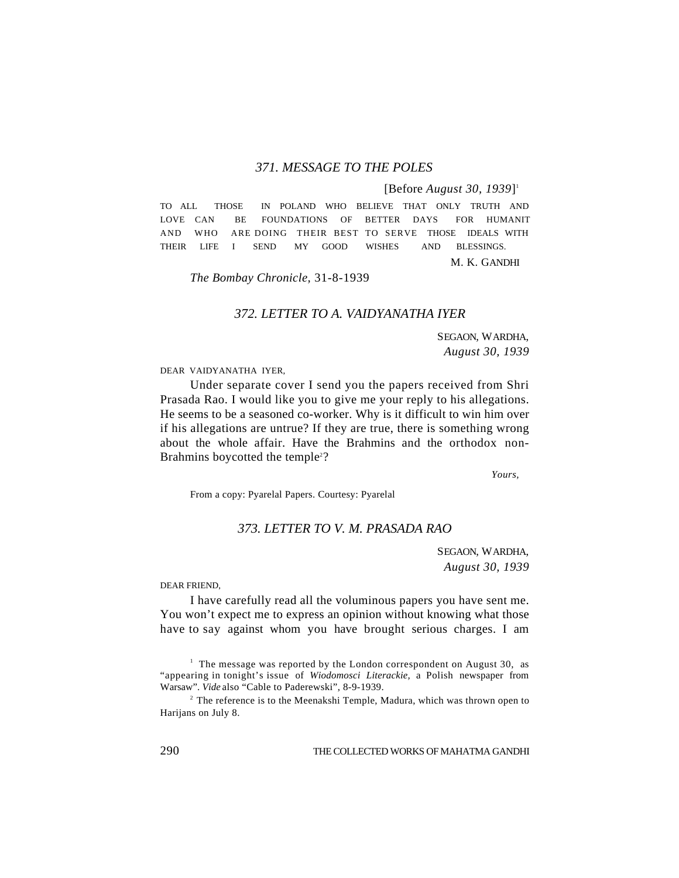# *371. MESSAGE TO THE POLES*

[Before *August 30, 1939*] 1

TO ALL THOSE IN POLAND WHO BELIEVE THAT ONLY TRUTH AND LOVE CAN BE FOUNDATIONS OF BETTER DAYS FOR HUMANIT AND WHO ARE DOING THEIR BEST TO SERVE THOSE IDEALS WITH THEIR LIFE I SEND MY GOOD WISHES AND BLESSINGS. M. K. GANDHI

*The Bombay Chronicle,* 31-8-1939

# *372. LETTER TO A. VAIDYANATHA IYER*

SEGAON, WARDHA, *August 30, 1939*

DEAR VAIDYANATHA IYER

Under separate cover I send you the papers received from Shri Prasada Rao. I would like you to give me your reply to his allegations. He seems to be a seasoned co-worker. Why is it difficult to win him over if his allegations are untrue? If they are true, there is something wrong about the whole affair. Have the Brahmins and the orthodox non-Brahmins boycotted the temple<sup>2</sup>?

*Yours,*

From a copy: Pyarelal Papers. Courtesy: Pyarelal

## *373. LETTER TO V. M. PRASADA RAO*

SEGAON, WARDHA, *August 30, 1939*

DEAR FRIEND,

I have carefully read all the voluminous papers you have sent me. You won't expect me to express an opinion without knowing what those have to say against whom you have brought serious charges. I am

 $1$  The message was reported by the London correspondent on August 30, as "appearing in tonight's issue of *Wiodomosci Literackie,* a Polish newspaper from Warsaw". *Vide* also "Cable to Paderewski", 8-9-1939.

 $2$  The reference is to the Meenakshi Temple, Madura, which was thrown open to Harijans on July 8.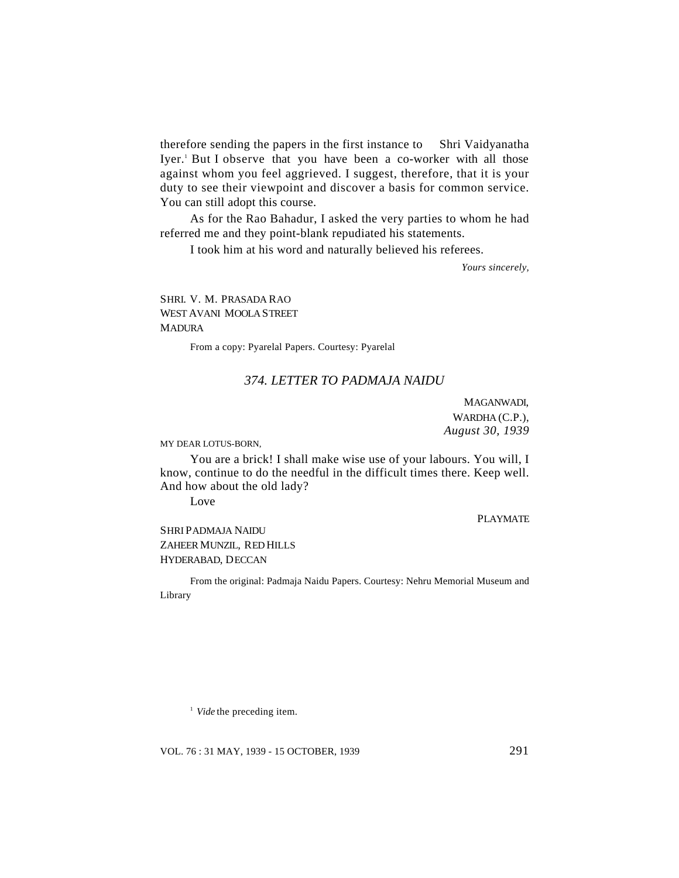therefore sending the papers in the first instance to Shri Vaidyanatha Iyer.<sup>1</sup> But I observe that you have been a co-worker with all those against whom you feel aggrieved. I suggest, therefore, that it is your duty to see their viewpoint and discover a basis for common service. You can still adopt this course.

As for the Rao Bahadur, I asked the very parties to whom he had referred me and they point-blank repudiated his statements.

I took him at his word and naturally believed his referees.

*Yours sincerely,*

# SHRI. V. M. PRASADA RAO WEST AVANI MOOLA STREET **MADURA**

From a copy: Pyarelal Papers. Courtesy: Pyarelal

# *374. LETTER TO PADMAJA NAIDU*

MAGANWADI, WARDHA (C.P.), *August 30, 1939*

MY DEAR LOTUS-BORN,

You are a brick! I shall make wise use of your labours. You will, I know, continue to do the needful in the difficult times there. Keep well. And how about the old lady?

Love

#### PLAYMATE

### SHRI PADMAJA NAIDU ZAHEER MUNZIL, RED HILLS HYDERABAD, DECCAN

From the original: Padmaja Naidu Papers. Courtesy: Nehru Memorial Museum and Library

<sup>1</sup> *Vide* the preceding item.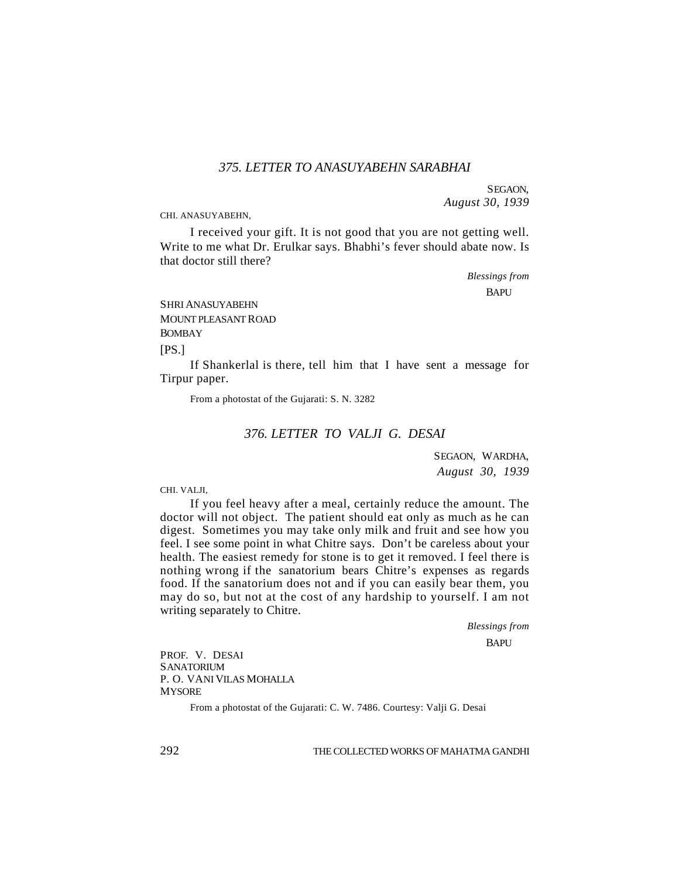### *375. LETTER TO ANASUYABEHN SARABHAI*

SEGAON, *August 30, 1939*

CHI. ANASUYABEHN,

I received your gift. It is not good that you are not getting well. Write to me what Dr. Erulkar says. Bhabhi's fever should abate now. Is that doctor still there?

> *Blessings from* **BAPU**

# SHRI ANASUYABEHN MOUNT PLEASANT ROAD **BOMBAY** [PS.]

If Shankerlal is there, tell him that I have sent a message for Tirpur paper.

From a photostat of the Gujarati: S. N. 3282

# *376. LETTER TO VALJI G. DESAI*

SEGAON, WARDHA, *August 30, 1939*

CHI. VALJI,

If you feel heavy after a meal, certainly reduce the amount. The doctor will not object. The patient should eat only as much as he can digest. Sometimes you may take only milk and fruit and see how you feel. I see some point in what Chitre says. Don't be careless about your health. The easiest remedy for stone is to get it removed. I feel there is nothing wrong if the sanatorium bears Chitre's expenses as regards food. If the sanatorium does not and if you can easily bear them, you may do so, but not at the cost of any hardship to yourself. I am not writing separately to Chitre.

> *Blessings from* **BAPU**

PROF. V. DESAI **SANATORIUM** P. O. VANI VILAS MOHALLA **MYSORE** 

From a photostat of the Gujarati: C. W. 7486. Courtesy: Valji G. Desai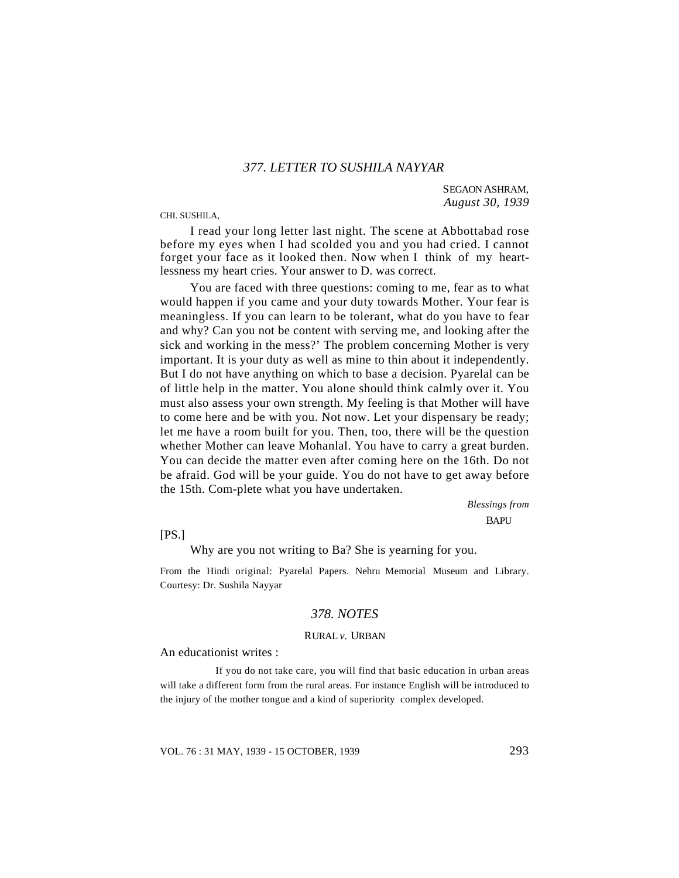#### *377. LETTER TO SUSHILA NAYYAR*

SEGAON ASHRAM, *August 30, 1939*

#### CHI. SUSHILA,

I read your long letter last night. The scene at Abbottabad rose before my eyes when I had scolded you and you had cried. I cannot forget your face as it looked then. Now when I think of my heartlessness my heart cries. Your answer to D. was correct.

You are faced with three questions: coming to me, fear as to what would happen if you came and your duty towards Mother. Your fear is meaningless. If you can learn to be tolerant, what do you have to fear and why? Can you not be content with serving me, and looking after the sick and working in the mess?' The problem concerning Mother is very important. It is your duty as well as mine to thin about it independently. But I do not have anything on which to base a decision. Pyarelal can be of little help in the matter. You alone should think calmly over it. You must also assess your own strength. My feeling is that Mother will have to come here and be with you. Not now. Let your dispensary be ready; let me have a room built for you. Then, too, there will be the question whether Mother can leave Mohanlal. You have to carry a great burden. You can decide the matter even after coming here on the 16th. Do not be afraid. God will be your guide. You do not have to get away before the 15th. Com-plete what you have undertaken.

> *Blessings from* **BAPU**

 $[PS.]$ 

Why are you not writing to Ba? She is yearning for you.

From the Hindi original: Pyarelal Papers. Nehru Memorial Museum and Library. Courtesy: Dr. Sushila Nayyar

#### *378. NOTES*

#### RURAL *v.* URBAN

An educationist writes ·

If you do not take care, you will find that basic education in urban areas will take a different form from the rural areas. For instance English will be introduced to the injury of the mother tongue and a kind of superiority complex developed.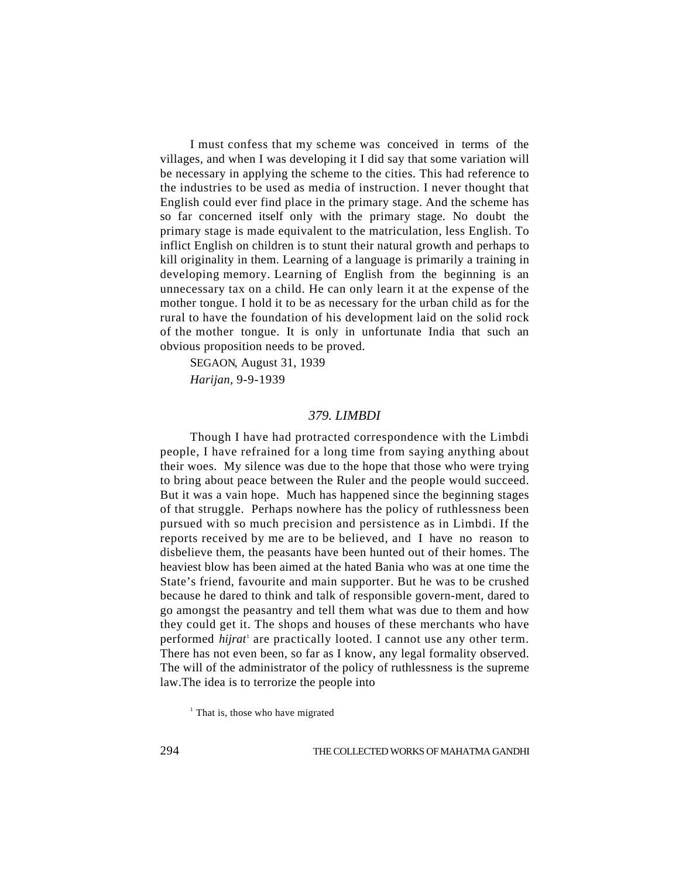I must confess that my scheme was conceived in terms of the villages, and when I was developing it I did say that some variation will be necessary in applying the scheme to the cities. This had reference to the industries to be used as media of instruction. I never thought that English could ever find place in the primary stage. And the scheme has so far concerned itself only with the primary stage. No doubt the primary stage is made equivalent to the matriculation, less English. To inflict English on children is to stunt their natural growth and perhaps to kill originality in them. Learning of a language is primarily a training in developing memory. Learning of English from the beginning is an unnecessary tax on a child. He can only learn it at the expense of the mother tongue. I hold it to be as necessary for the urban child as for the rural to have the foundation of his development laid on the solid rock of the mother tongue. It is only in unfortunate India that such an obvious proposition needs to be proved.

SEGAON, August 31, 1939 *Harijan,* 9-9-1939

#### *379. LIMBDI*

Though I have had protracted correspondence with the Limbdi people, I have refrained for a long time from saying anything about their woes. My silence was due to the hope that those who were trying to bring about peace between the Ruler and the people would succeed. But it was a vain hope. Much has happened since the beginning stages of that struggle. Perhaps nowhere has the policy of ruthlessness been pursued with so much precision and persistence as in Limbdi. If the reports received by me are to be believed, and I have no reason to disbelieve them, the peasants have been hunted out of their homes. The heaviest blow has been aimed at the hated Bania who was at one time the State's friend, favourite and main supporter. But he was to be crushed because he dared to think and talk of responsible govern-ment, dared to go amongst the peasantry and tell them what was due to them and how they could get it. The shops and houses of these merchants who have performed *hijrat*1 are practically looted. I cannot use any other term. There has not even been, so far as I know, any legal formality observed. The will of the administrator of the policy of ruthlessness is the supreme law.The idea is to terrorize the people into

<sup>&</sup>lt;sup>1</sup> That is, those who have migrated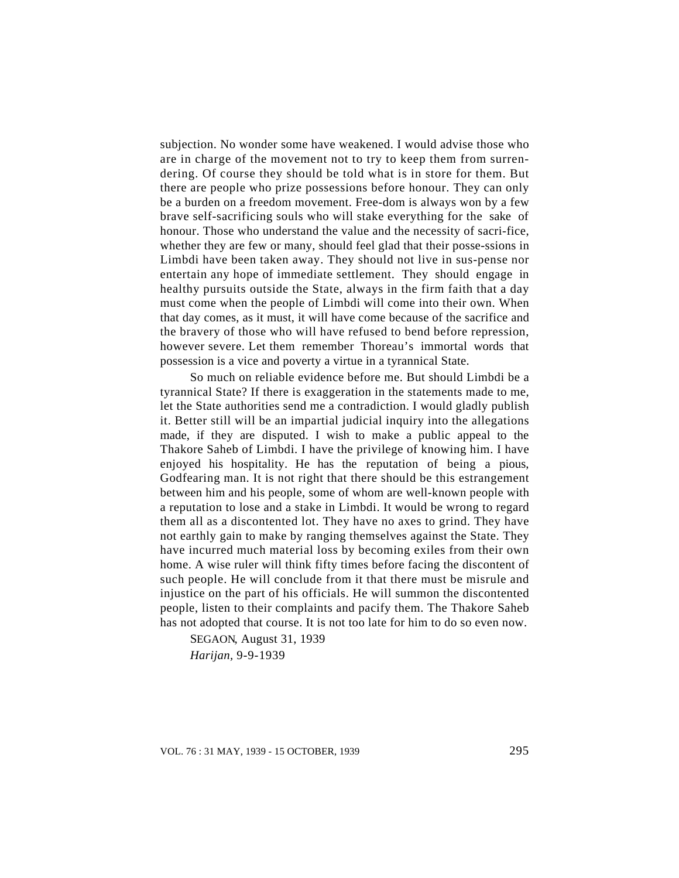subjection. No wonder some have weakened. I would advise those who are in charge of the movement not to try to keep them from surrendering. Of course they should be told what is in store for them. But there are people who prize possessions before honour. They can only be a burden on a freedom movement. Free-dom is always won by a few brave self-sacrificing souls who will stake everything for the sake of honour. Those who understand the value and the necessity of sacri-fice, whether they are few or many, should feel glad that their posse-ssions in Limbdi have been taken away. They should not live in sus-pense nor entertain any hope of immediate settlement. They should engage in healthy pursuits outside the State, always in the firm faith that a day must come when the people of Limbdi will come into their own. When that day comes, as it must, it will have come because of the sacrifice and the bravery of those who will have refused to bend before repression, however severe. Let them remember Thoreau's immortal words that possession is a vice and poverty a virtue in a tyrannical State.

So much on reliable evidence before me. But should Limbdi be a tyrannical State? If there is exaggeration in the statements made to me, let the State authorities send me a contradiction. I would gladly publish it. Better still will be an impartial judicial inquiry into the allegations made, if they are disputed. I wish to make a public appeal to the Thakore Saheb of Limbdi. I have the privilege of knowing him. I have enjoyed his hospitality. He has the reputation of being a pious, Godfearing man. It is not right that there should be this estrangement between him and his people, some of whom are well-known people with a reputation to lose and a stake in Limbdi. It would be wrong to regard them all as a discontented lot. They have no axes to grind. They have not earthly gain to make by ranging themselves against the State. They have incurred much material loss by becoming exiles from their own home. A wise ruler will think fifty times before facing the discontent of such people. He will conclude from it that there must be misrule and injustice on the part of his officials. He will summon the discontented people, listen to their complaints and pacify them. The Thakore Saheb has not adopted that course. It is not too late for him to do so even now.

SEGAON, August 31, 1939 *Harijan,* 9-9-1939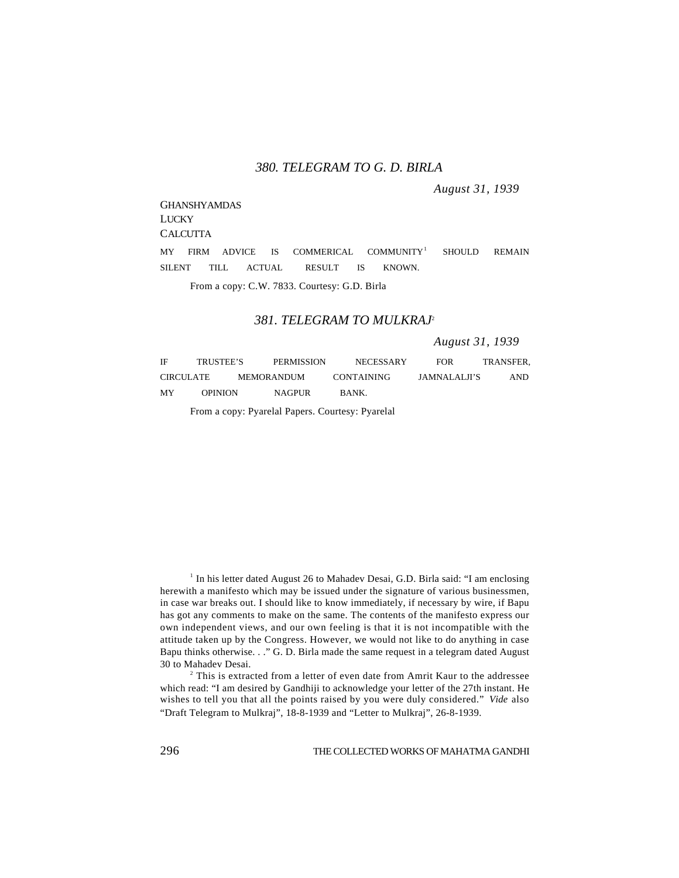## *380. TELEGRAM TO G. D. BIRLA*

*August 31, 1939*

GHANSHYAMDAS **LUCKY** CALCUTTA

MY FIRM ADVICE IS COMMERICAL COMMUNITY<sup>1</sup> SHOULD REMAIN SILENT TILL ACTUAL RESULT IS KNOWN.

From a copy: C.W. 7833. Courtesy: G.D. Birla

#### *381. TELEGRAM TO MULKRAJ*<sup>2</sup>

*August 31, 1939*

| IF               | TRUSTEE'S      | <b>PERMISSION</b> |                   | <b>NECESSARY</b> | <b>FOR</b>   | TRANSFER. |
|------------------|----------------|-------------------|-------------------|------------------|--------------|-----------|
| <b>CIRCULATE</b> |                | <b>MEMORANDUM</b> | <b>CONTAINING</b> |                  | JAMNALALJI'S | AND       |
| MY               | <b>OPINION</b> | <b>NAGPUR</b>     | BANK.             |                  |              |           |

From a copy: Pyarelal Papers. Courtesy: Pyarelal

<sup>1</sup> In his letter dated August 26 to Mahadev Desai, G.D. Birla said: "I am enclosing herewith a manifesto which may be issued under the signature of various businessmen, in case war breaks out. I should like to know immediately, if necessary by wire, if Bapu has got any comments to make on the same. The contents of the manifesto express our own independent views, and our own feeling is that it is not incompatible with the attitude taken up by the Congress. However, we would not like to do anything in case Bapu thinks otherwise. . ." G. D. Birla made the same request in a telegram dated August 30 to Mahadev Desai.

 $2$  This is extracted from a letter of even date from Amrit Kaur to the addressee which read: "I am desired by Gandhiji to acknowledge your letter of the 27th instant. He wishes to tell you that all the points raised by you were duly considered." *Vide* also "Draft Telegram to Mulkraj", 18-8-1939 and "Letter to Mulkraj", 26-8-1939.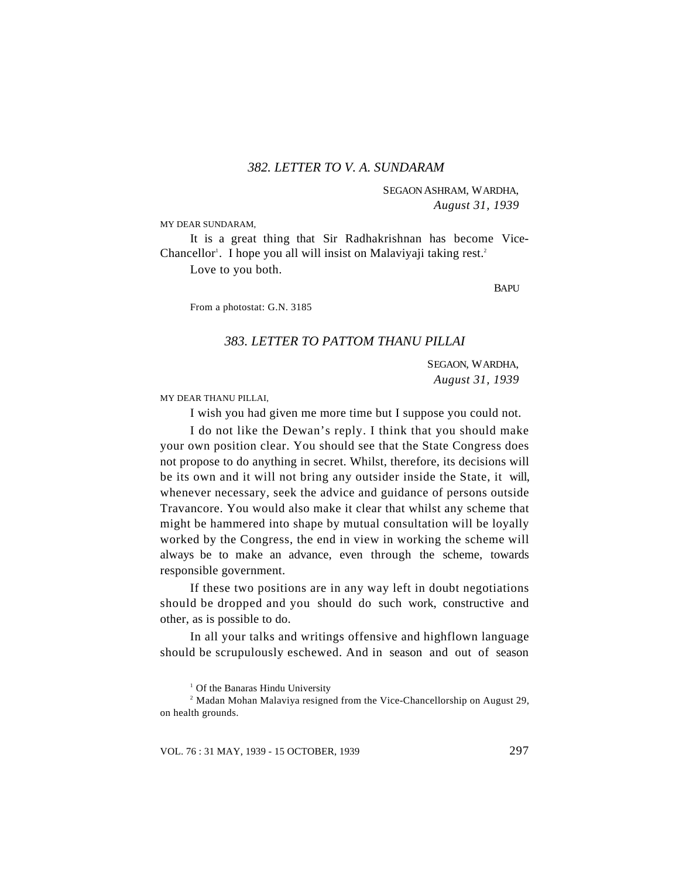### *382. LETTER TO V. A. SUNDARAM*

SEGAON ASHRAM, WARDHA, *August 31, 1939*

MY DEAR SUNDARAM,

It is a great thing that Sir Radhakrishnan has become Vice-Chancellor<sup>1</sup>. I hope you all will insist on Malaviyaji taking rest.<sup>2</sup>

Love to you both.

**BAPU** 

From a photostat: G.N. 3185

## *383. LETTER TO PATTOM THANU PILLAI*

SEGAON, WARDHA, *August 31, 1939*

MY DEAR THANU PILLAI,

I wish you had given me more time but I suppose you could not.

I do not like the Dewan's reply. I think that you should make your own position clear. You should see that the State Congress does not propose to do anything in secret. Whilst, therefore, its decisions will be its own and it will not bring any outsider inside the State, it will, whenever necessary, seek the advice and guidance of persons outside Travancore. You would also make it clear that whilst any scheme that might be hammered into shape by mutual consultation will be loyally worked by the Congress, the end in view in working the scheme will always be to make an advance, even through the scheme, towards responsible government.

If these two positions are in any way left in doubt negotiations should be dropped and you should do such work, constructive and other, as is possible to do.

In all your talks and writings offensive and highflown language should be scrupulously eschewed. And in season and out of season

<sup>2</sup> Madan Mohan Malaviya resigned from the Vice-Chancellorship on August 29, on health grounds.

<sup>&</sup>lt;sup>1</sup> Of the Banaras Hindu University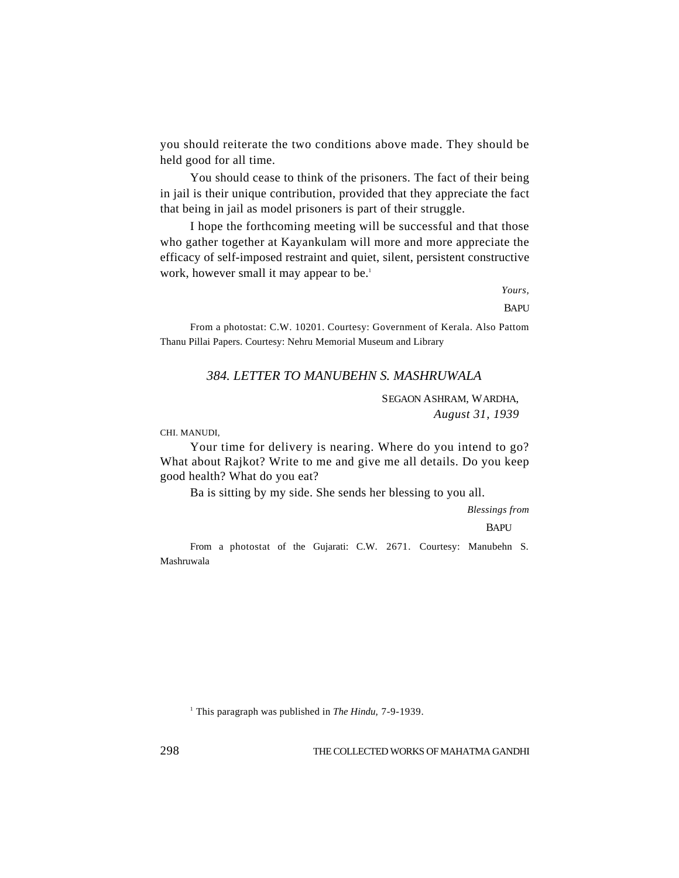you should reiterate the two conditions above made. They should be held good for all time.

You should cease to think of the prisoners. The fact of their being in jail is their unique contribution, provided that they appreciate the fact that being in jail as model prisoners is part of their struggle.

I hope the forthcoming meeting will be successful and that those who gather together at Kayankulam will more and more appreciate the efficacy of self-imposed restraint and quiet, silent, persistent constructive work, however small it may appear to be.<sup>1</sup>

*Yours,*

**BAPU** 

From a photostat: C.W. 10201. Courtesy: Government of Kerala. Also Pattom Thanu Pillai Papers. Courtesy: Nehru Memorial Museum and Library

# *384. LETTER TO MANUBEHN S. MASHRUWALA*

SEGAON ASHRAM, WARDHA, *August 31, 1939*

CHI. MANUDI,

Your time for delivery is nearing. Where do you intend to go? What about Rajkot? Write to me and give me all details. Do you keep good health? What do you eat?

Ba is sitting by my side. She sends her blessing to you all.

*Blessings from*

**BAPU** 

From a photostat of the Gujarati: C.W. 2671. Courtesy: Manubehn S. Mashruwala

<sup>1</sup> This paragraph was published in *The Hindu*, 7-9-1939.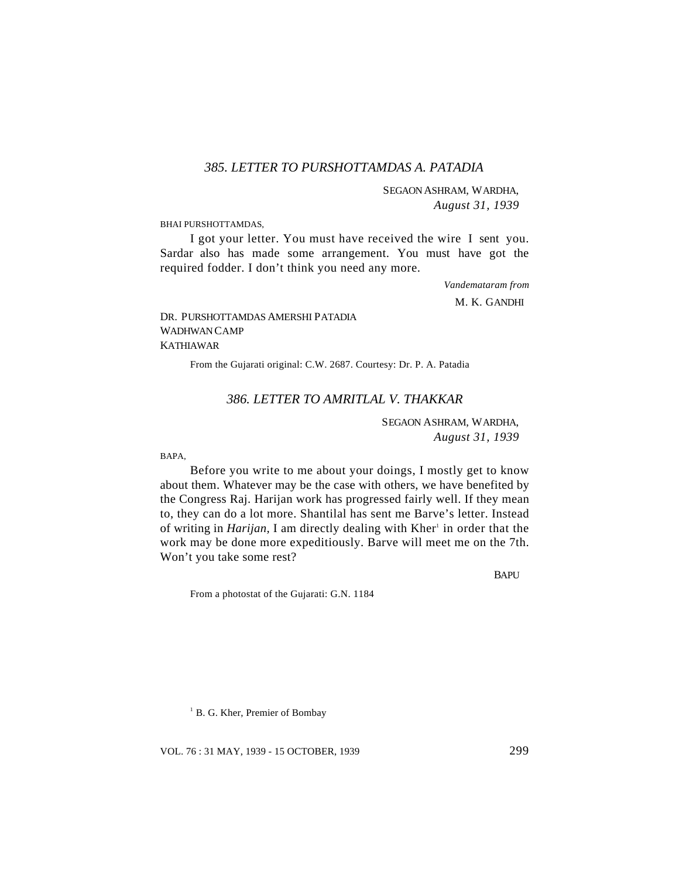# *385. LETTER TO PURSHOTTAMDAS A. PATADIA*

SEGAON ASHRAM, WARDHA, *August 31, 1939*

#### BHAI PURSHOTTAMDAS,

I got your letter. You must have received the wire I sent you. Sardar also has made some arrangement. You must have got the required fodder. I don't think you need any more.

> *Vandemataram from* M. K. GANDHI

# DR. PURSHOTTAMDAS AMERSHI PATADIA WADHWAN CAMP KATHIAWAR

From the Gujarati original: C.W. 2687. Courtesy: Dr. P. A. Patadia

# *386. LETTER TO AMRITLAL V. THAKKAR*

SEGAON ASHRAM, WARDHA, *August 31, 1939*

BAPA,

Before you write to me about your doings, I mostly get to know about them. Whatever may be the case with others, we have benefited by the Congress Raj. Harijan work has progressed fairly well. If they mean to, they can do a lot more. Shantilal has sent me Barve's letter. Instead of writing in *Harijan*, I am directly dealing with Kher<sup>1</sup> in order that the work may be done more expeditiously. Barve will meet me on the 7th. Won't you take some rest?

**BAPU** 

From a photostat of the Gujarati: G.N. 1184

<sup>1</sup> B. G. Kher, Premier of Bombay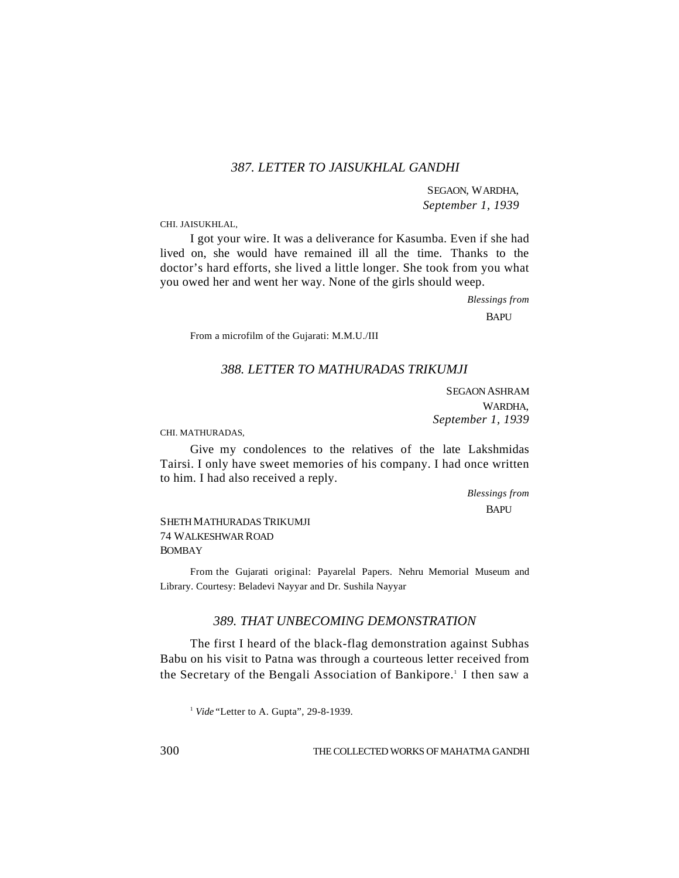# *387. LETTER TO JAISUKHLAL GANDHI*

SEGAON, WARDHA, *September 1, 1939*

CHI. JAISUKHLAL,

I got your wire. It was a deliverance for Kasumba. Even if she had lived on, she would have remained ill all the time. Thanks to the doctor's hard efforts, she lived a little longer. She took from you what you owed her and went her way. None of the girls should weep.

*Blessings from*

**BAPU** 

From a microfilm of the Gujarati: M.M.U./III

#### *388. LETTER TO MATHURADAS TRIKUMJI*

SEGAON ASHRAM **WARDHA** *September 1, 1939*

CHI. MATHURADAS,

Give my condolences to the relatives of the late Lakshmidas Tairsi. I only have sweet memories of his company. I had once written to him. I had also received a reply.

> *Blessings from* **BAPU**

### SHETH MATHURADAS TRIKUMJI 74 WALKESHWAR ROAD BOMBAY

From the Gujarati original: Payarelal Papers. Nehru Memorial Museum and Library. Courtesy: Beladevi Nayyar and Dr. Sushila Nayyar

#### *389. THAT UNBECOMING DEMONSTRATION*

The first I heard of the black-flag demonstration against Subhas Babu on his visit to Patna was through a courteous letter received from the Secretary of the Bengali Association of Bankipore.<sup>1</sup> I then saw a

<sup>1</sup> *Vide* "Letter to A. Gupta", 29-8-1939.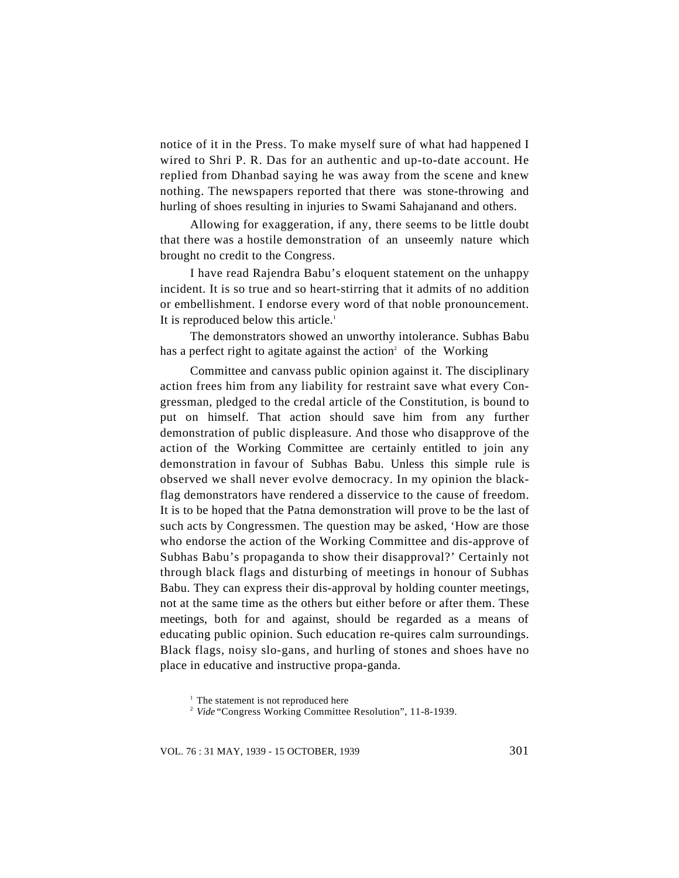notice of it in the Press. To make myself sure of what had happened I wired to Shri P. R. Das for an authentic and up-to-date account. He replied from Dhanbad saying he was away from the scene and knew nothing. The newspapers reported that there was stone-throwing and hurling of shoes resulting in injuries to Swami Sahajanand and others.

Allowing for exaggeration, if any, there seems to be little doubt that there was a hostile demonstration of an unseemly nature which brought no credit to the Congress.

I have read Rajendra Babu's eloquent statement on the unhappy incident. It is so true and so heart-stirring that it admits of no addition or embellishment. I endorse every word of that noble pronouncement. It is reproduced below this article.<sup>1</sup>

The demonstrators showed an unworthy intolerance. Subhas Babu has a perfect right to agitate against the action<sup>2</sup> of the Working

Committee and canvass public opinion against it. The disciplinary action frees him from any liability for restraint save what every Congressman, pledged to the credal article of the Constitution, is bound to put on himself. That action should save him from any further demonstration of public displeasure. And those who disapprove of the action of the Working Committee are certainly entitled to join any demonstration in favour of Subhas Babu. Unless this simple rule is observed we shall never evolve democracy. In my opinion the blackflag demonstrators have rendered a disservice to the cause of freedom. It is to be hoped that the Patna demonstration will prove to be the last of such acts by Congressmen. The question may be asked, 'How are those who endorse the action of the Working Committee and dis-approve of Subhas Babu's propaganda to show their disapproval?' Certainly not through black flags and disturbing of meetings in honour of Subhas Babu. They can express their dis-approval by holding counter meetings, not at the same time as the others but either before or after them. These meetings, both for and against, should be regarded as a means of educating public opinion. Such education re-quires calm surroundings. Black flags, noisy slo-gans, and hurling of stones and shoes have no place in educative and instructive propa-ganda.

<sup>&</sup>lt;sup>1</sup> The statement is not reproduced here

<sup>2</sup> *Vide* "Congress Working Committee Resolution", 11-8-1939.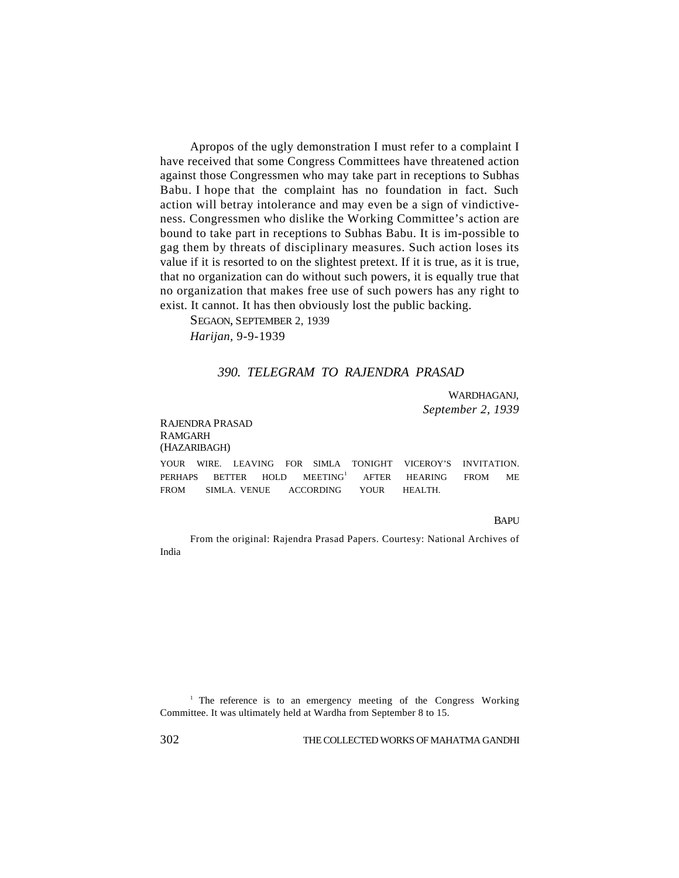Apropos of the ugly demonstration I must refer to a complaint I have received that some Congress Committees have threatened action against those Congressmen who may take part in receptions to Subhas Babu. I hope that the complaint has no foundation in fact. Such action will betray intolerance and may even be a sign of vindictiveness. Congressmen who dislike the Working Committee's action are bound to take part in receptions to Subhas Babu. It is im-possible to gag them by threats of disciplinary measures. Such action loses its value if it is resorted to on the slightest pretext. If it is true, as it is true, that no organization can do without such powers, it is equally true that no organization that makes free use of such powers has any right to exist. It cannot. It has then obviously lost the public backing.

SEGAON, SEPTEMBER 2, 1939 *Harijan,* 9-9-1939

# *390. TELEGRAM TO RAJENDRA PRASAD*

WARDHAGANJ, *September 2, 1939*

RAJENDRA PRASAD RAMGARH (HAZARIBAGH)

YOUR WIRE. LEAVING FOR SIMLA TONIGHT VICEROY'S INVITATION. PERHAPS BETTER HOLD MEETING<sup>1</sup> AFTER HEARING FROM ME FROM SIMLA. VENUE ACCORDING YOUR HEALTH.

**BAPU** 

From the original: Rajendra Prasad Papers. Courtesy: National Archives of India

<sup>1</sup> The reference is to an emergency meeting of the Congress Working Committee. It was ultimately held at Wardha from September 8 to 15.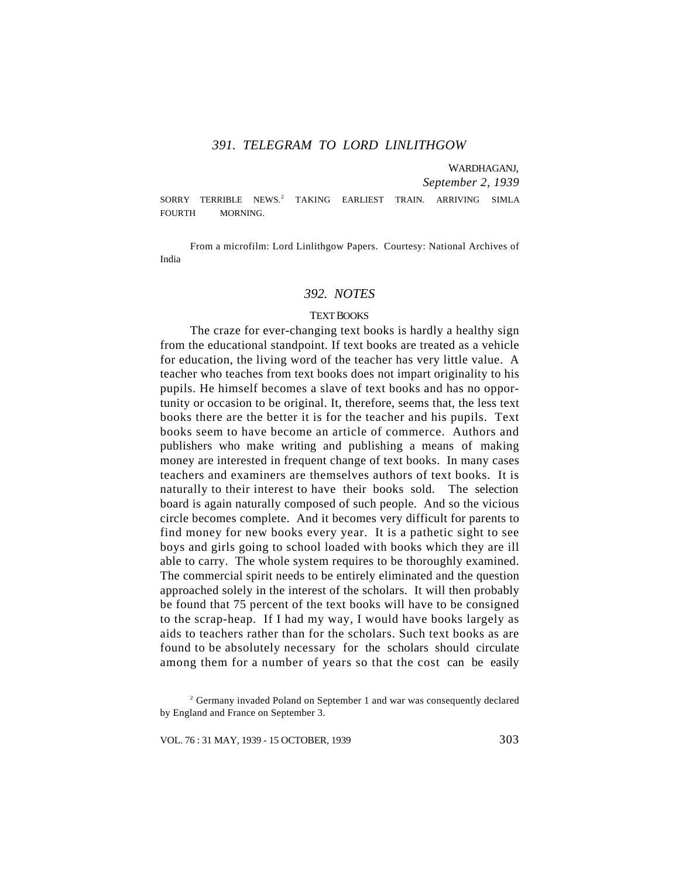## *391. TELEGRAM TO LORD LINLITHGOW*

WARDHAGANJ, *September 2, 1939*

SORRY TERRIBLE NEWS.<sup>2</sup> TAKING EARLIEST TRAIN. ARRIVING SIMLA FOURTH MORNING.

From a microfilm: Lord Linlithgow Papers. Courtesy: National Archives of India

#### *392. NOTES*

#### TEXT BOOKS

The craze for ever-changing text books is hardly a healthy sign from the educational standpoint. If text books are treated as a vehicle for education, the living word of the teacher has very little value. A teacher who teaches from text books does not impart originality to his pupils. He himself becomes a slave of text books and has no opportunity or occasion to be original. It, therefore, seems that, the less text books there are the better it is for the teacher and his pupils. Text books seem to have become an article of commerce. Authors and publishers who make writing and publishing a means of making money are interested in frequent change of text books. In many cases teachers and examiners are themselves authors of text books. It is naturally to their interest to have their books sold. The selection board is again naturally composed of such people. And so the vicious circle becomes complete. And it becomes very difficult for parents to find money for new books every year. It is a pathetic sight to see boys and girls going to school loaded with books which they are ill able to carry. The whole system requires to be thoroughly examined. The commercial spirit needs to be entirely eliminated and the question approached solely in the interest of the scholars. It will then probably be found that 75 percent of the text books will have to be consigned to the scrap-heap. If I had my way, I would have books largely as aids to teachers rather than for the scholars. Such text books as are found to be absolutely necessary for the scholars should circulate among them for a number of years so that the cost can be easily

<sup>&</sup>lt;sup>2</sup> Germany invaded Poland on September 1 and war was consequently declared by England and France on September 3.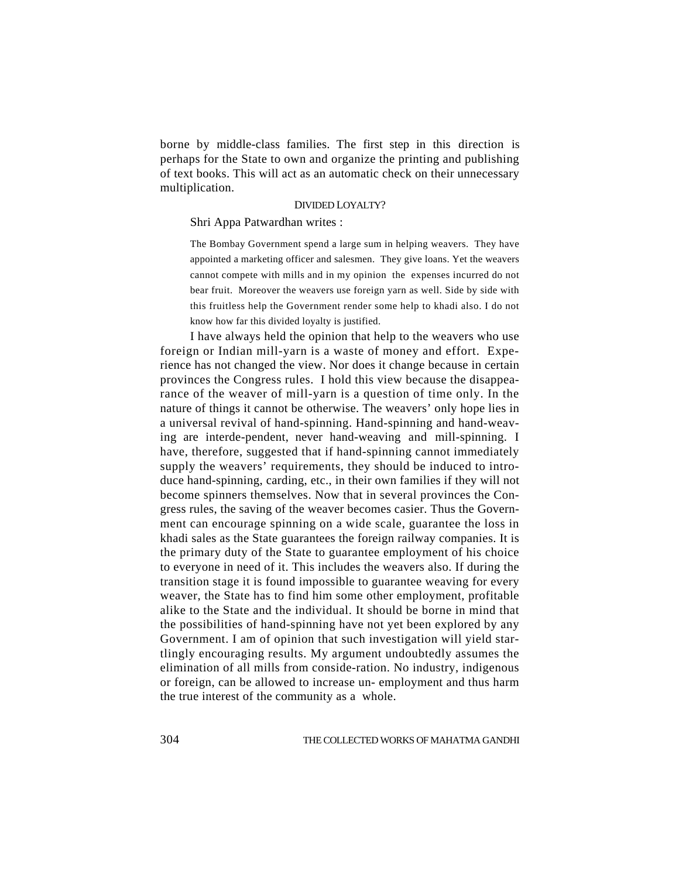borne by middle-class families. The first step in this direction is perhaps for the State to own and organize the printing and publishing of text books. This will act as an automatic check on their unnecessary multiplication.

#### DIVIDED LOYALTY?

Shri Appa Patwardhan writes :

The Bombay Government spend a large sum in helping weavers. They have appointed a marketing officer and salesmen. They give loans. Yet the weavers cannot compete with mills and in my opinion the expenses incurred do not bear fruit. Moreover the weavers use foreign yarn as well. Side by side with this fruitless help the Government render some help to khadi also. I do not know how far this divided loyalty is justified.

I have always held the opinion that help to the weavers who use foreign or Indian mill-yarn is a waste of money and effort. Experience has not changed the view. Nor does it change because in certain provinces the Congress rules. I hold this view because the disappearance of the weaver of mill-yarn is a question of time only. In the nature of things it cannot be otherwise. The weavers' only hope lies in a universal revival of hand-spinning. Hand-spinning and hand-weaving are interde-pendent, never hand-weaving and mill-spinning. I have, therefore, suggested that if hand-spinning cannot immediately supply the weavers' requirements, they should be induced to introduce hand-spinning, carding, etc., in their own families if they will not become spinners themselves. Now that in several provinces the Congress rules, the saving of the weaver becomes casier. Thus the Government can encourage spinning on a wide scale, guarantee the loss in khadi sales as the State guarantees the foreign railway companies. It is the primary duty of the State to guarantee employment of his choice to everyone in need of it. This includes the weavers also. If during the transition stage it is found impossible to guarantee weaving for every weaver, the State has to find him some other employment, profitable alike to the State and the individual. It should be borne in mind that the possibilities of hand-spinning have not yet been explored by any Government. I am of opinion that such investigation will yield startlingly encouraging results. My argument undoubtedly assumes the elimination of all mills from conside-ration. No industry, indigenous or foreign, can be allowed to increase un- employment and thus harm the true interest of the community as a whole.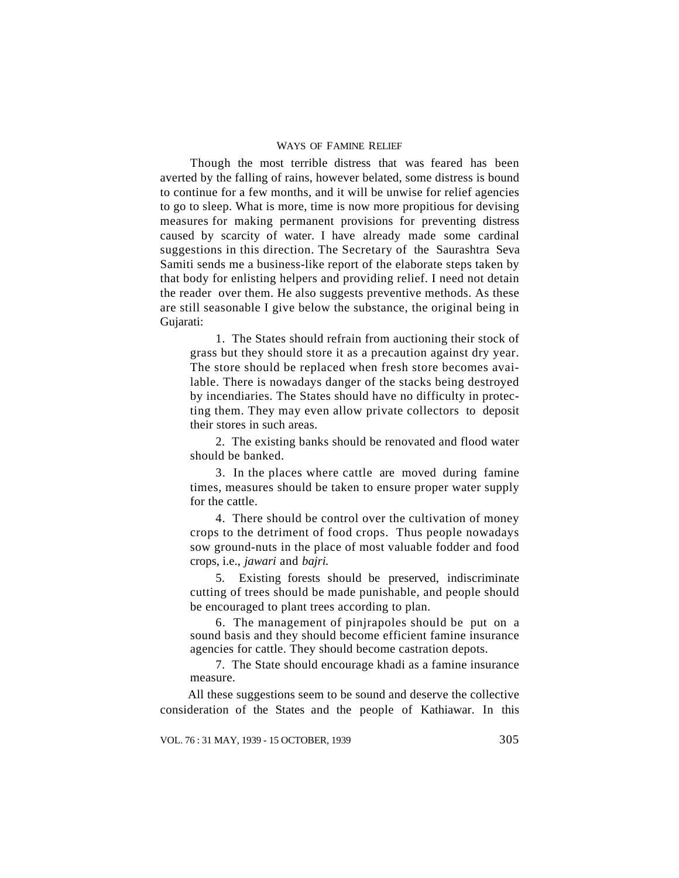Though the most terrible distress that was feared has been averted by the falling of rains, however belated, some distress is bound to continue for a few months, and it will be unwise for relief agencies to go to sleep. What is more, time is now more propitious for devising measures for making permanent provisions for preventing distress caused by scarcity of water. I have already made some cardinal suggestions in this direction. The Secretary of the Saurashtra Seva Samiti sends me a business-like report of the elaborate steps taken by that body for enlisting helpers and providing relief. I need not detain the reader over them. He also suggests preventive methods. As these are still seasonable I give below the substance, the original being in Gujarati:

1. The States should refrain from auctioning their stock of grass but they should store it as a precaution against dry year. The store should be replaced when fresh store becomes available. There is nowadays danger of the stacks being destroyed by incendiaries. The States should have no difficulty in protecting them. They may even allow private collectors to deposit their stores in such areas.

2. The existing banks should be renovated and flood water should be banked.

3. In the places where cattle are moved during famine times, measures should be taken to ensure proper water supply for the cattle.

4. There should be control over the cultivation of money crops to the detriment of food crops. Thus people nowadays sow ground-nuts in the place of most valuable fodder and food crops, i.e., *jawari* and *bajri.*

5. Existing forests should be preserved, indiscriminate cutting of trees should be made punishable, and people should be encouraged to plant trees according to plan.

6. The management of pinjrapoles should be put on a sound basis and they should become efficient famine insurance agencies for cattle. They should become castration depots.

7. The State should encourage khadi as a famine insurance measure.

All these suggestions seem to be sound and deserve the collective consideration of the States and the people of Kathiawar. In this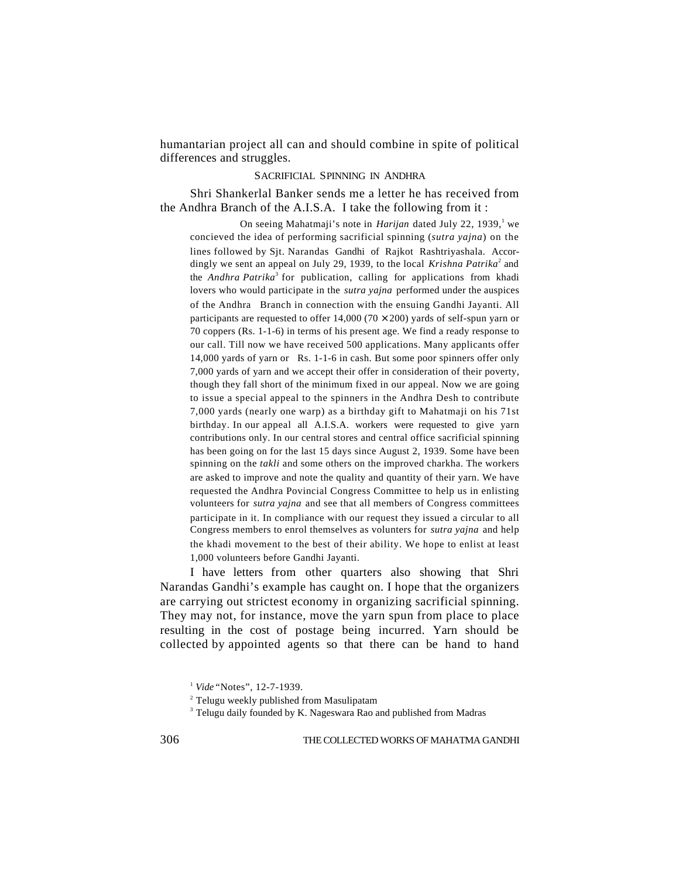humantarian project all can and should combine in spite of political differences and struggles.

#### SACRIFICIAL SPINNING IN ANDHRA

Shri Shankerlal Banker sends me a letter he has received from the Andhra Branch of the A.I.S.A. I take the following from it :

On seeing Mahatmaji's note in *Harijan* dated July 22, 1939,<sup>1</sup> we concieved the idea of performing sacrificial spinning (*sutra yajna*) on the lines followed by Sjt. Narandas Gandhi of Rajkot Rashtriyashala. Accordingly we sent an appeal on July 29, 1939, to the local *Krishna Patrika*<sup>2</sup> and the *Andhra Patrika*<sup>3</sup> for publication, calling for applications from khadi lovers who would participate in the *sutra yajna* performed under the auspices of the Andhra Branch in connection with the ensuing Gandhi Jayanti. All participants are requested to offer  $14,000$  (70  $\times$  200) yards of self-spun yarn or 70 coppers (Rs. 1-1-6) in terms of his present age. We find a ready response to our call. Till now we have received 500 applications. Many applicants offer 14,000 yards of yarn or Rs. 1-1-6 in cash. But some poor spinners offer only 7,000 yards of yarn and we accept their offer in consideration of their poverty, though they fall short of the minimum fixed in our appeal. Now we are going to issue a special appeal to the spinners in the Andhra Desh to contribute 7,000 yards (nearly one warp) as a birthday gift to Mahatmaji on his 71st birthday. In our appeal all A.I.S.A. workers were requested to give yarn contributions only. In our central stores and central office sacrificial spinning has been going on for the last 15 days since August 2, 1939. Some have been spinning on the *takli* and some others on the improved charkha. The workers are asked to improve and note the quality and quantity of their yarn. We have requested the Andhra Povincial Congress Committee to help us in enlisting volunteers for *sutra yajna* and see that all members of Congress committees participate in it. In compliance with our request they issued a circular to all Congress members to enrol themselves as volunters for *sutra yajna* and help the khadi movement to the best of their ability. We hope to enlist at least 1,000 volunteers before Gandhi Jayanti.

I have letters from other quarters also showing that Shri Narandas Gandhi's example has caught on. I hope that the organizers are carrying out strictest economy in organizing sacrificial spinning. They may not, for instance, move the yarn spun from place to place resulting in the cost of postage being incurred. Yarn should be collected by appointed agents so that there can be hand to hand

<sup>1</sup> *Vide* "Notes", 12-7-1939.

<sup>&</sup>lt;sup>2</sup> Telugu weekly published from Masulipatam

<sup>&</sup>lt;sup>3</sup> Telugu daily founded by K. Nageswara Rao and published from Madras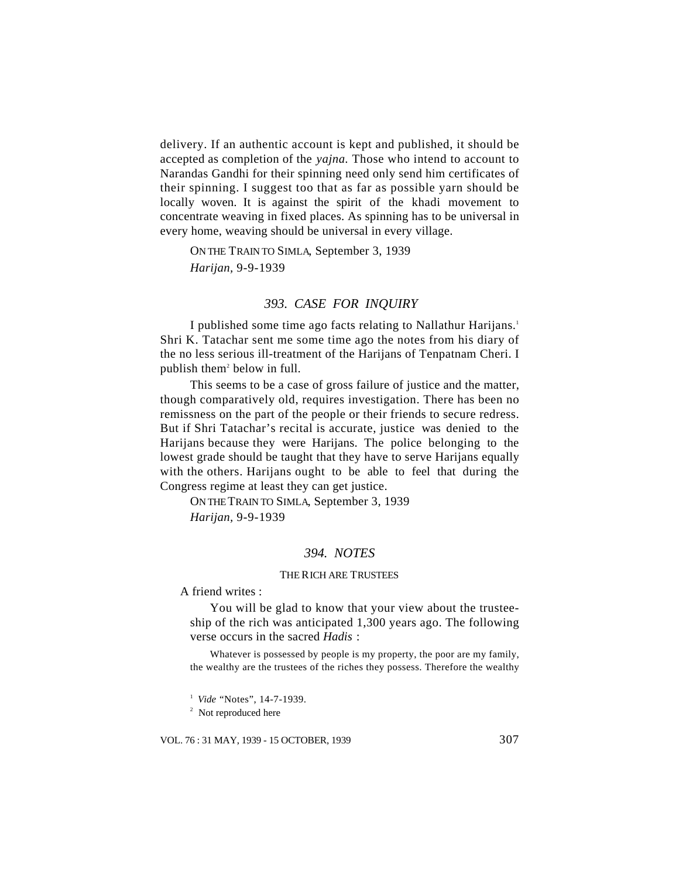delivery. If an authentic account is kept and published, it should be accepted as completion of the *yajna.* Those who intend to account to Narandas Gandhi for their spinning need only send him certificates of their spinning. I suggest too that as far as possible yarn should be locally woven. It is against the spirit of the khadi movement to concentrate weaving in fixed places. As spinning has to be universal in every home, weaving should be universal in every village.

ON THE TRAIN TO SIMLA, September 3, 1939 *Harijan,* 9-9-1939

## *393. CASE FOR INQUIRY*

I published some time ago facts relating to Nallathur Harijans.<sup>1</sup> Shri K. Tatachar sent me some time ago the notes from his diary of the no less serious ill-treatment of the Harijans of Tenpatnam Cheri. I publish them<sup>2</sup> below in full.

This seems to be a case of gross failure of justice and the matter, though comparatively old, requires investigation. There has been no remissness on the part of the people or their friends to secure redress. But if Shri Tatachar's recital is accurate, justice was denied to the Harijans because they were Harijans. The police belonging to the lowest grade should be taught that they have to serve Harijans equally with the others. Harijans ought to be able to feel that during the Congress regime at least they can get justice.

ON THE TRAIN TO SIMLA, September 3, 1939 *Harijan,* 9-9-1939

## *394. NOTES*

#### THE RICH ARE TRUSTEES

A friend writes :

You will be glad to know that your view about the trusteeship of the rich was anticipated 1,300 years ago. The following verse occurs in the sacred *Hadis* :

Whatever is possessed by people is my property, the poor are my family, the wealthy are the trustees of the riches they possess. Therefore the wealthy

<sup>2</sup> Not reproduced here

<sup>&</sup>lt;sup>1</sup> *Vide* "Notes", 14-7-1939.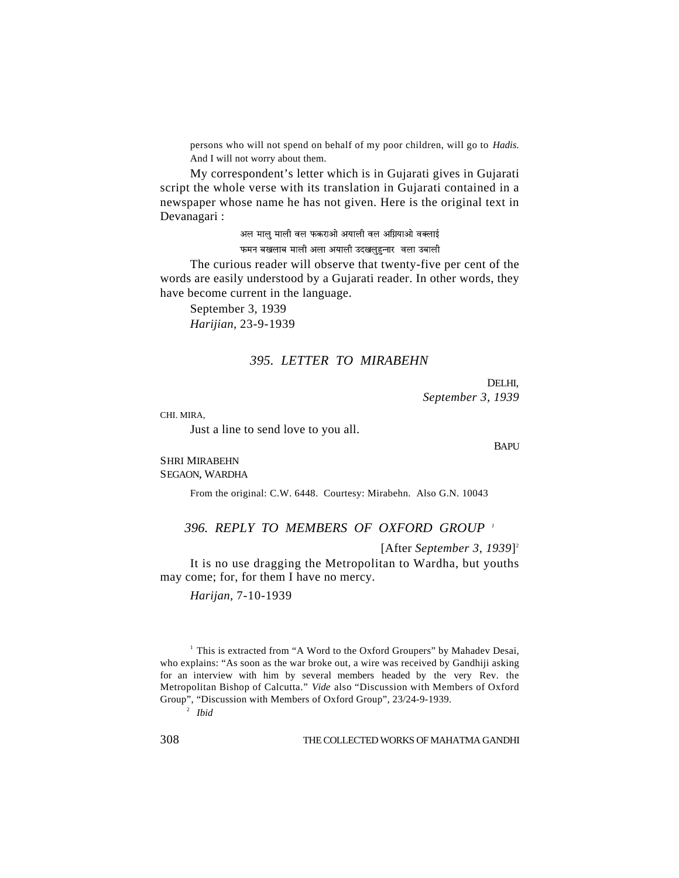persons who will not spend on behalf of my poor children, will go to *Hadis.* And I will not worry about them.

My correspondent's letter which is in Gujarati gives in Gujarati script the whole verse with its translation in Gujarati contained in a newspaper whose name he has not given. Here is the original text in Devanagari :

> अल मालू माली वल फकराओ अयाली वल अग्नियाओ वक्लाई फमन बखलाब माली अला अयाली उदखलुहून्नार वला उबाली

The curious reader will observe that twenty-five per cent of the words are easily understood by a Gujarati reader. In other words, they have become current in the language.

September 3, 1939 *Harijian,* 23-9-1939

# *395. LETTER TO MIRABEHN*

DELHI, *September 3, 1939*

CHI. MIRA,

Just a line to send love to you all.

**BAPU** 

#### SHRI MIRABEHN SEGAON, WARDHA

From the original: C.W. 6448. Courtesy: Mirabehn. Also G.N. 10043

### *396. REPLY TO MEMBERS OF OXFORD GROUP <sup>1</sup>*

[After *September 3, 1939*] 2

It is no use dragging the Metropolitan to Wardha, but youths may come; for, for them I have no mercy.

*Harijan,* 7-10-1939

<sup>1</sup> This is extracted from "A Word to the Oxford Groupers" by Mahadev Desai, who explains: "As soon as the war broke out, a wire was received by Gandhiji asking for an interview with him by several members headed by the very Rev. the Metropolitan Bishop of Calcutta." *Vide* also "Discussion with Members of Oxford Group", "Discussion with Members of Oxford Group", 23/24-9-1939.

2 *Ibid*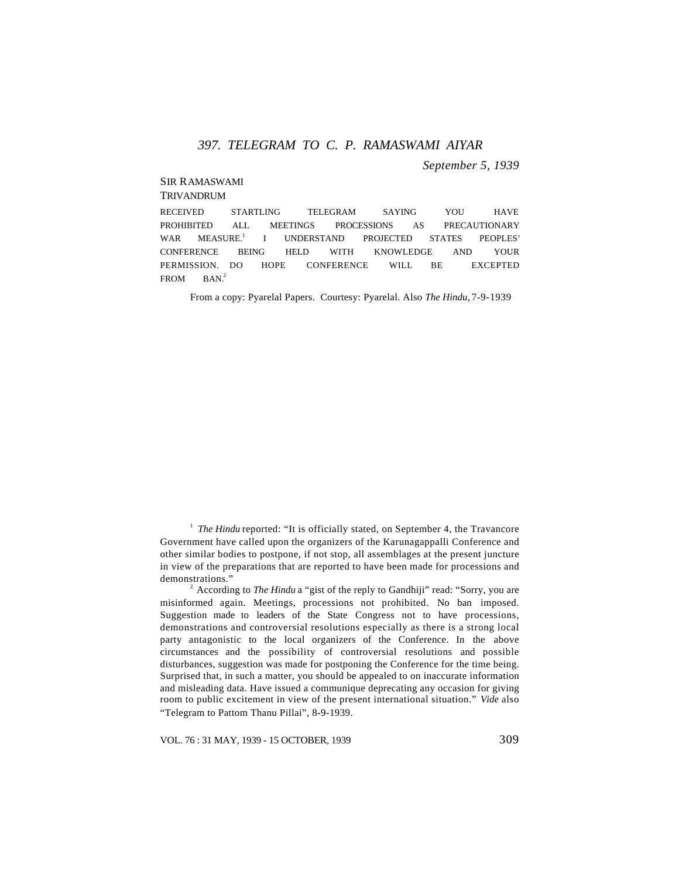*September 5, 1939*

#### SIR RAMASWAMI TRIVANDRUM

RECEIVED STARTLING TELEGRAM SAYING YOU HAVE PROHIBITED ALL MEETINGS PROCESSIONS AS PRECAUTIONARY WAR MEASURE.<sup>1</sup> I UNDERSTAND PROJECTED STATES PEOPLES' CONFERENCE BEING HELD WITH KNOWLEDGE AND YOUR PERMISSION. DO HOPE CONFERENCE WILL BE EXCEPTED FROM BAN.<sup>2</sup>

From a copy: Pyarelal Papers. Courtesy: Pyarelal. Also *The Hindu,* 7-9-1939

<sup>1</sup> *The Hindu* reported: "It is officially stated, on September 4, the Travancore Government have called upon the organizers of the Karunagappalli Conference and other similar bodies to postpone, if not stop, all assemblages at the present juncture in view of the preparations that are reported to have been made for processions and demonstrations."

<sup>2</sup> According to *The Hindu* a "gist of the reply to Gandhiji" read: "Sorry, you are misinformed again. Meetings, processions not prohibited. No ban imposed. Suggestion made to leaders of the State Congress not to have processions, demonstrations and controversial resolutions especially as there is a strong local party antagonistic to the local organizers of the Conference. In the above circumstances and the possibility of controversial resolutions and possible disturbances, suggestion was made for postponing the Conference for the time being. Surprised that, in such a matter, you should be appealed to on inaccurate information and misleading data. Have issued a communique deprecating any occasion for giving room to public excitement in view of the present international situation." *Vide* also "Telegram to Pattom Thanu Pillai", 8-9-1939.

VOL. 76 : 31 MAY, 1939 - 15 OCTOBER, 1939 309 309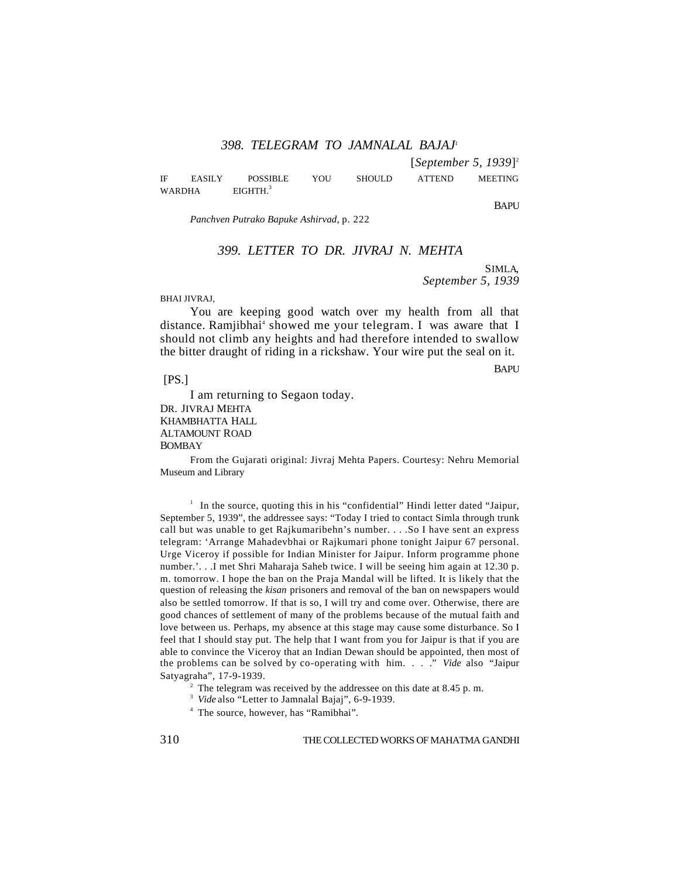## *398. TELEGRAM TO JAMNALAL BAJAJ<sup>1</sup>*

[*September 5, 1939*] 2

IF EASILY POSSIBLE YOU SHOULD ATTEND MEETING WARDHA  $\overline{E}$  EIGHTH  $^3$ 

BAPU

BAPU

*Panchven Putrako Bapuke Ashirvad,* p. 222

#### *399. LETTER TO DR. JIVRAJ N. MEHTA*

SIMLA, *September 5, 1939*

#### BHAI JIVRAJ,

You are keeping good watch over my health from all that distance. Ramjibhai<sup>4</sup> showed me your telegram. I was aware that I should not climb any heights and had therefore intended to swallow the bitter draught of riding in a rickshaw. Your wire put the seal on it.

[PS.]

I am returning to Segaon today. DR. JIVRAJ MEHTA KHAMBHATTA HALL ALTAMOUNT ROAD BOMBAY

From the Gujarati original: Jivraj Mehta Papers. Courtesy: Nehru Memorial Museum and Library

 $1$  In the source, quoting this in his "confidential" Hindi letter dated "Jaipur, September 5, 1939", the addressee says: "Today I tried to contact Simla through trunk call but was unable to get Rajkumaribehn's number. . . .So I have sent an express telegram: 'Arrange Mahadevbhai or Rajkumari phone tonight Jaipur 67 personal. Urge Viceroy if possible for Indian Minister for Jaipur. Inform programme phone number.'. . .I met Shri Maharaja Saheb twice. I will be seeing him again at 12.30 p. m. tomorrow. I hope the ban on the Praja Mandal will be lifted. It is likely that the question of releasing the *kisan* prisoners and removal of the ban on newspapers would also be settled tomorrow. If that is so, I will try and come over. Otherwise, there are good chances of settlement of many of the problems because of the mutual faith and love between us. Perhaps, my absence at this stage may cause some disturbance. So I feel that I should stay put. The help that I want from you for Jaipur is that if you are able to convince the Viceroy that an Indian Dewan should be appointed, then most of the problems can be solved by co-operating with him. . . ." *Vide* also "Jaipur Satyagraha", 17-9-1939.

 $2^2$  The telegram was received by the addressee on this date at 8.45 p.m.

<sup>3</sup> *Vide* also "Letter to Jamnalal Bajaj", 6-9-1939.

4 The source, however, has "Ramibhai".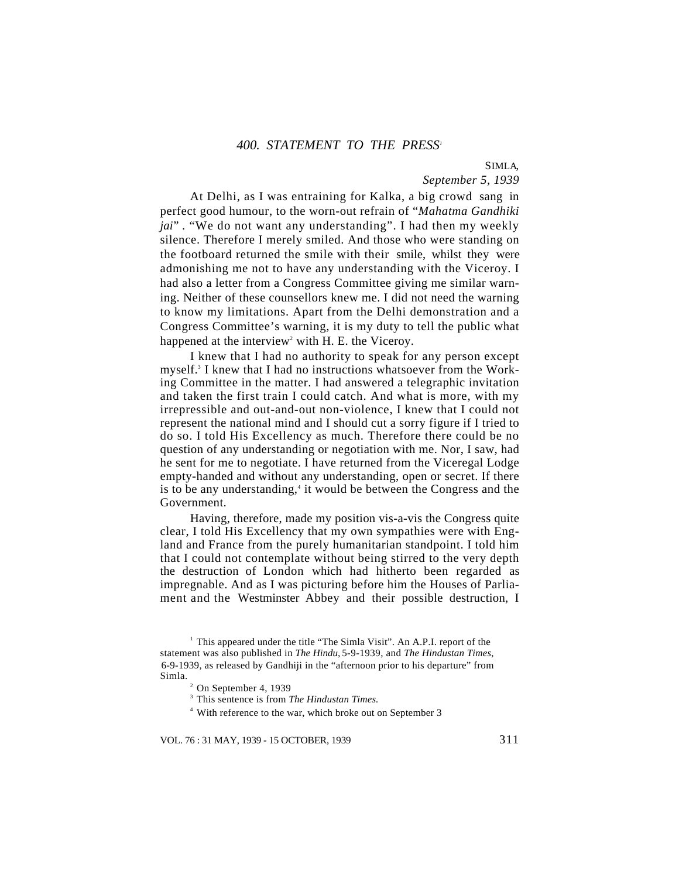SIMLA, *September 5, 1939*

At Delhi, as I was entraining for Kalka, a big crowd sang in perfect good humour, to the worn-out refrain of "*Mahatma Gandhiki jai*" *.* "We do not want any understanding". I had then my weekly silence. Therefore I merely smiled. And those who were standing on the footboard returned the smile with their smile, whilst they were admonishing me not to have any understanding with the Viceroy. I had also a letter from a Congress Committee giving me similar warning. Neither of these counsellors knew me. I did not need the warning to know my limitations. Apart from the Delhi demonstration and a Congress Committee's warning, it is my duty to tell the public what happened at the interview<sup>2</sup> with H. E. the Viceroy.

I knew that I had no authority to speak for any person except myself.<sup>3</sup> I knew that I had no instructions whatsoever from the Working Committee in the matter. I had answered a telegraphic invitation and taken the first train I could catch. And what is more, with my irrepressible and out-and-out non-violence, I knew that I could not represent the national mind and I should cut a sorry figure if I tried to do so. I told His Excellency as much. Therefore there could be no question of any understanding or negotiation with me. Nor, I saw, had he sent for me to negotiate. I have returned from the Viceregal Lodge empty-handed and without any understanding, open or secret. If there is to be any understanding,<sup>4</sup> it would be between the Congress and the Government.

Having, therefore, made my position vis-a-vis the Congress quite clear, I told His Excellency that my own sympathies were with England and France from the purely humanitarian standpoint. I told him that I could not contemplate without being stirred to the very depth the destruction of London which had hitherto been regarded as impregnable. And as I was picturing before him the Houses of Parliament and the Westminster Abbey and their possible destruction, I

<sup>1</sup> This appeared under the title "The Simla Visit". An A.P.I. report of the statement was also published in *The Hindu,* 5-9-1939, and *The Hindustan Times,* 6-9-1939, as released by Gandhiji in the "afternoon prior to his departure" from Simla.

 $2$  On September 4, 1939

<sup>3</sup> This sentence is from *The Hindustan Times.*

<sup>&</sup>lt;sup>4</sup> With reference to the war, which broke out on September 3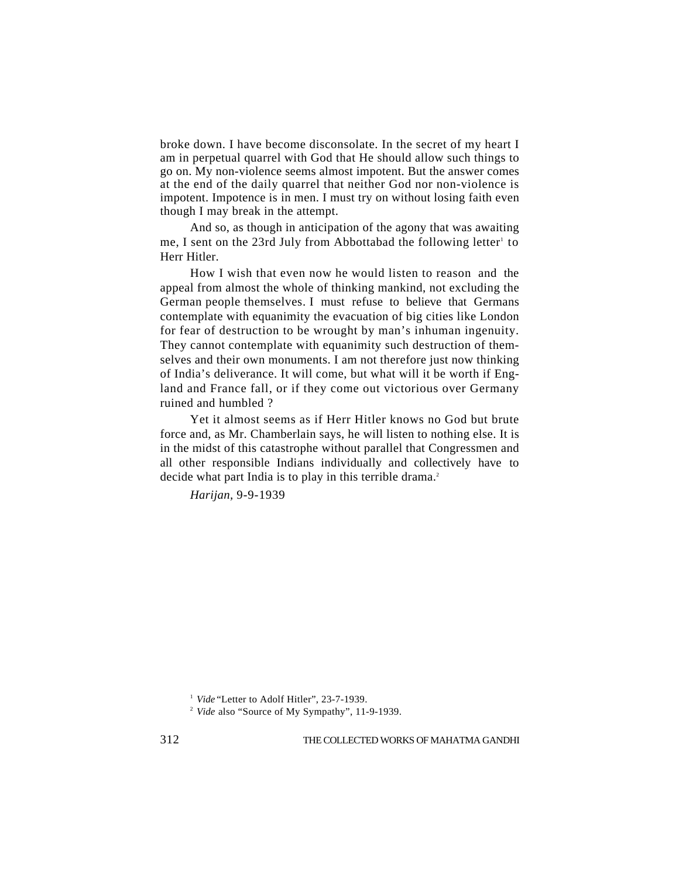broke down. I have become disconsolate. In the secret of my heart I am in perpetual quarrel with God that He should allow such things to go on. My non-violence seems almost impotent. But the answer comes at the end of the daily quarrel that neither God nor non-violence is impotent. Impotence is in men. I must try on without losing faith even though I may break in the attempt.

And so, as though in anticipation of the agony that was awaiting me, I sent on the 23rd July from Abbottabad the following letter<sup>1</sup> to Herr Hitler.

How I wish that even now he would listen to reason and the appeal from almost the whole of thinking mankind, not excluding the German people themselves. I must refuse to believe that Germans contemplate with equanimity the evacuation of big cities like London for fear of destruction to be wrought by man's inhuman ingenuity. They cannot contemplate with equanimity such destruction of themselves and their own monuments. I am not therefore just now thinking of India's deliverance. It will come, but what will it be worth if England and France fall, or if they come out victorious over Germany ruined and humbled ?

Yet it almost seems as if Herr Hitler knows no God but brute force and, as Mr. Chamberlain says, he will listen to nothing else. It is in the midst of this catastrophe without parallel that Congressmen and all other responsible Indians individually and collectively have to decide what part India is to play in this terrible drama.<sup>2</sup>

*Harijan,* 9-9-1939

<sup>&</sup>lt;sup>1</sup> *Vide* "Letter to Adolf Hitler", 23-7-1939.

<sup>2</sup> *Vide* also "Source of My Sympathy", 11-9-1939.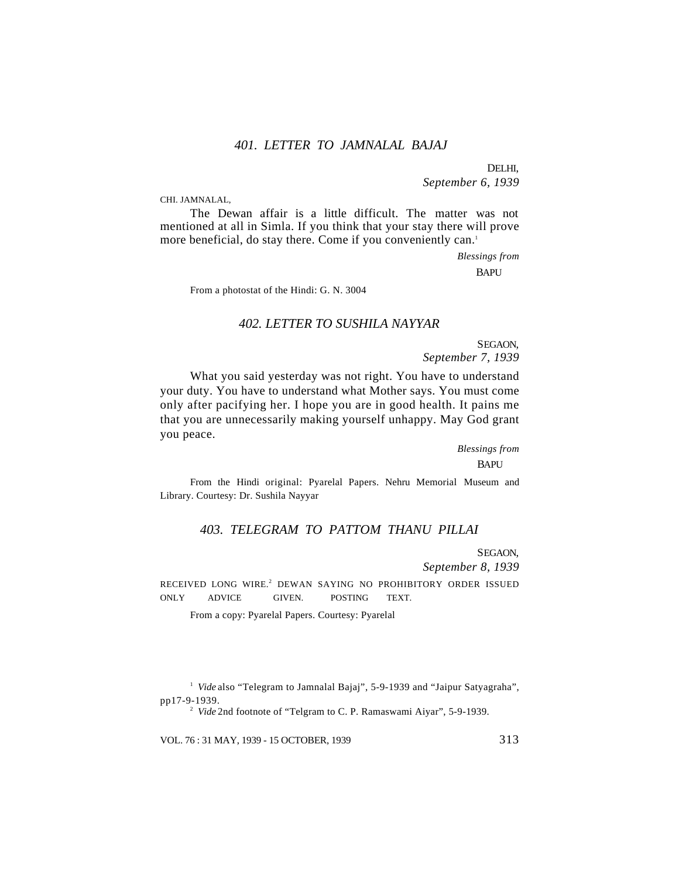# *401. LETTER TO JAMNALAL BAJAJ*

DELHI, *September 6, 1939*

CHI. JAMNALAL,

The Dewan affair is a little difficult. The matter was not mentioned at all in Simla. If you think that your stay there will prove more beneficial, do stay there. Come if you conveniently can.<sup>1</sup>

*Blessings from*

**BAPU** 

From a photostat of the Hindi: G. N. 3004

### *402. LETTER TO SUSHILA NAYYAR*

SEGAON, *September 7, 1939*

What you said yesterday was not right. You have to understand your duty. You have to understand what Mother says. You must come only after pacifying her. I hope you are in good health. It pains me that you are unnecessarily making yourself unhappy. May God grant you peace.

*Blessings from*

BAPU

From the Hindi original: Pyarelal Papers. Nehru Memorial Museum and Library. Courtesy: Dr. Sushila Nayyar

#### *403. TELEGRAM TO PATTOM THANU PILLAI*

SEGAON, *September 8, 1939*

RECEIVED LONG WIRE.<sup>2</sup> DEWAN SAYING NO PROHIBITORY ORDER ISSUED ONLY ADVICE GIVEN. POSTING TEXT.

From a copy: Pyarelal Papers. Courtesy: Pyarelal

<sup>1</sup> Vide also "Telegram to Jamnalal Bajaj", 5-9-1939 and "Jaipur Satyagraha", pp17-9-1939.

<sup>2</sup> Vide 2nd footnote of "Telgram to C. P. Ramaswami Aiyar", 5-9-1939.

VOL. 76 : 31 MAY, 1939 - 15 OCTOBER, 1939 313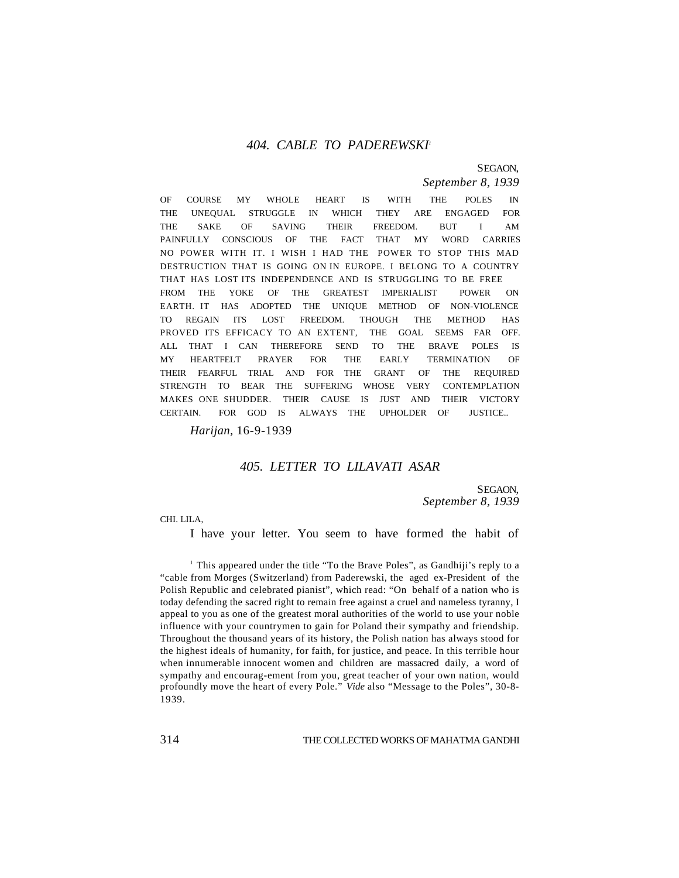# *404. CABLE TO PADEREWSKI<sup>1</sup>*

SEGAON, *September 8, 1939*

OF COURSE MY WHOLE HEART IS WITH THE POLES IN THE UNEQUAL STRUGGLE IN WHICH THEY ARE ENGAGED FOR THE SAKE OF SAVING THEIR FREEDOM. BUT I AM PAINFULLY CONSCIOUS OF THE FACT THAT MY WORD CARRIES NO POWER WITH IT. I WISH I HAD THE POWER TO STOP THIS MAD DESTRUCTION THAT IS GOING ON IN EUROPE. I BELONG TO A COUNTRY THAT HAS LOST ITS INDEPENDENCE AND IS STRUGGLING TO BE FREE FROM THE YOKE OF THE GREATEST IMPERIALIST POWER ON EARTH. IT HAS ADOPTED THE UNIQUE METHOD OF NON-VIOLENCE TO REGAIN ITS LOST FREEDOM. THOUGH THE METHOD HAS PROVED ITS EFFICACY TO AN EXTENT, THE GOAL SEEMS FAR OFF. ALL THAT I CAN THEREFORE SEND TO THE BRAVE POLES IS MY HEARTFELT PRAYER FOR THE EARLY TERMINATION OF THEIR FEARFUL TRIAL AND FOR THE GRANT OF THE REQUIRED STRENGTH TO BEAR THE SUFFERING WHOSE VERY CONTEMPLATION MAKES ONE SHUDDER. THEIR CAUSE IS JUST AND THEIR VICTORY CERTAIN. FOR GOD IS ALWAYS THE UPHOLDER OF JUSTICE..

*Harijan,* 16-9-1939

### *405. LETTER TO LILAVATI ASAR*

SEGAON, *September 8, 1939*

CHI. LILA,

I have your letter. You seem to have formed the habit of

<sup>1</sup> This appeared under the title "To the Brave Poles", as Gandhiji's reply to a "cable from Morges (Switzerland) from Paderewski, the aged ex-President of the Polish Republic and celebrated pianist", which read: "On behalf of a nation who is today defending the sacred right to remain free against a cruel and nameless tyranny, I appeal to you as one of the greatest moral authorities of the world to use your noble influence with your countrymen to gain for Poland their sympathy and friendship. Throughout the thousand years of its history, the Polish nation has always stood for the highest ideals of humanity, for faith, for justice, and peace. In this terrible hour when innumerable innocent women and children are massacred daily, a word of sympathy and encourag-ement from you, great teacher of your own nation, would profoundly move the heart of every Pole." *Vide* also "Message to the Poles", 30-8- 1939.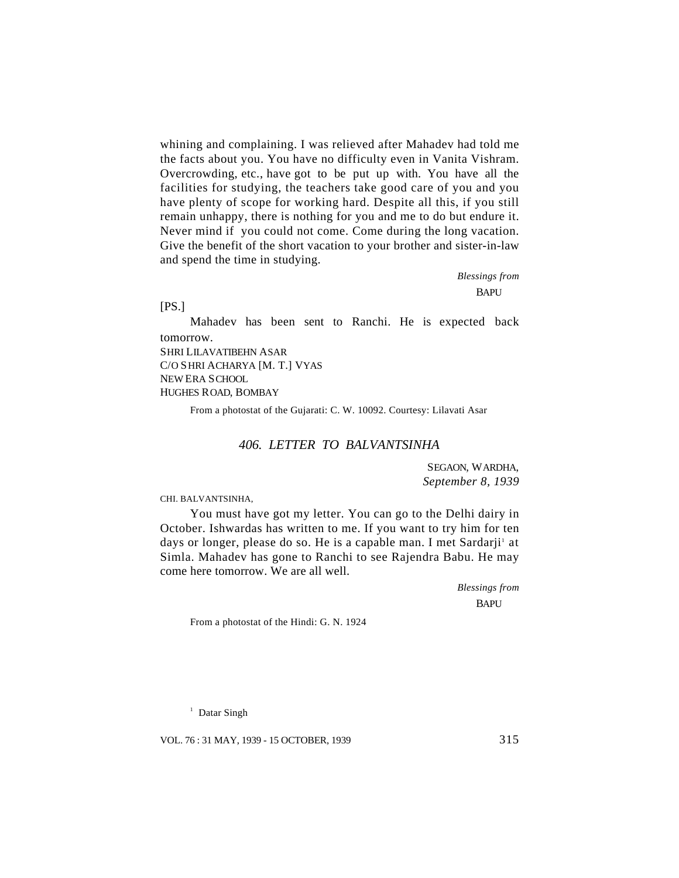whining and complaining. I was relieved after Mahadev had told me the facts about you. You have no difficulty even in Vanita Vishram. Overcrowding, etc., have got to be put up with. You have all the facilities for studying, the teachers take good care of you and you have plenty of scope for working hard. Despite all this, if you still remain unhappy, there is nothing for you and me to do but endure it. Never mind if you could not come. Come during the long vacation. Give the benefit of the short vacation to your brother and sister-in-law and spend the time in studying.

> *Blessings from* **BAPU**

[PS.]

Mahadev has been sent to Ranchi. He is expected back tomorrow.

SHRI LILAVATIBEHN ASAR C/O SHRI ACHARYA [M. T.] VYAS NEW ERA SCHOOL HUGHES ROAD, BOMBAY

From a photostat of the Gujarati: C. W. 10092. Courtesy: Lilavati Asar

#### *406. LETTER TO BALVANTSINHA*

SEGAON, WARDHA, *September 8, 1939*

CHI. BALVANTSINHA,

You must have got my letter. You can go to the Delhi dairy in October. Ishwardas has written to me. If you want to try him for ten days or longer, please do so. He is a capable man. I met Sardarji<sup>1</sup> at Simla. Mahadev has gone to Ranchi to see Rajendra Babu. He may come here tomorrow. We are all well.

> *Blessings from* BAPU

From a photostat of the Hindi: G. N. 1924

<sup>1</sup> Datar Singh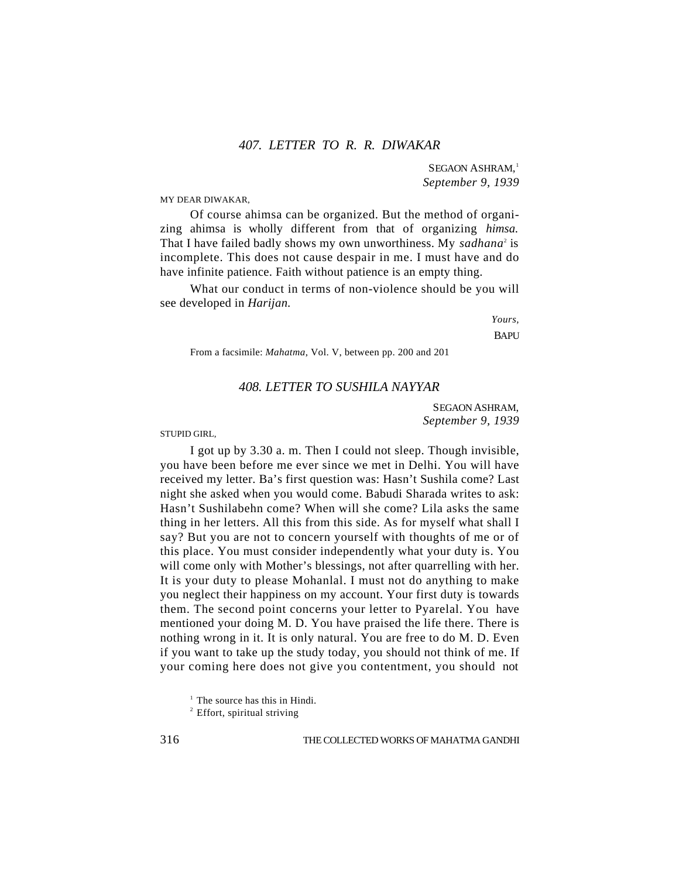## *407. LETTER TO R. R. DIWAKAR*

SEGAON ASHRAM, 1 *September 9, 1939*

MY DEAR DIWAKAR,

Of course ahimsa can be organized. But the method of organizing ahimsa is wholly different from that of organizing *himsa.* That I have failed badly shows my own unworthiness. My sadhana<sup>2</sup> is incomplete. This does not cause despair in me. I must have and do have infinite patience. Faith without patience is an empty thing.

What our conduct in terms of non-violence should be you will see developed in *Harijan.*

> *Yours,* **BAPU**

From a facsimile: *Mahatma*, Vol. V, between pp. 200 and 201

#### *408. LETTER TO SUSHILA NAYYAR*

SEGAON ASHRAM, *September 9, 1939*

STUPID GIRL,

I got up by 3.30 a. m. Then I could not sleep. Though invisible, you have been before me ever since we met in Delhi. You will have received my letter. Ba's first question was: Hasn't Sushila come? Last night she asked when you would come. Babudi Sharada writes to ask: Hasn't Sushilabehn come? When will she come? Lila asks the same thing in her letters. All this from this side. As for myself what shall I say? But you are not to concern yourself with thoughts of me or of this place. You must consider independently what your duty is. You will come only with Mother's blessings, not after quarrelling with her. It is your duty to please Mohanlal. I must not do anything to make you neglect their happiness on my account. Your first duty is towards them. The second point concerns your letter to Pyarelal. You have mentioned your doing M. D. You have praised the life there. There is nothing wrong in it. It is only natural. You are free to do M. D. Even if you want to take up the study today, you should not think of me. If your coming here does not give you contentment, you should not

<sup>&</sup>lt;sup>1</sup> The source has this in Hindi.

 $2$  Effort, spiritual striving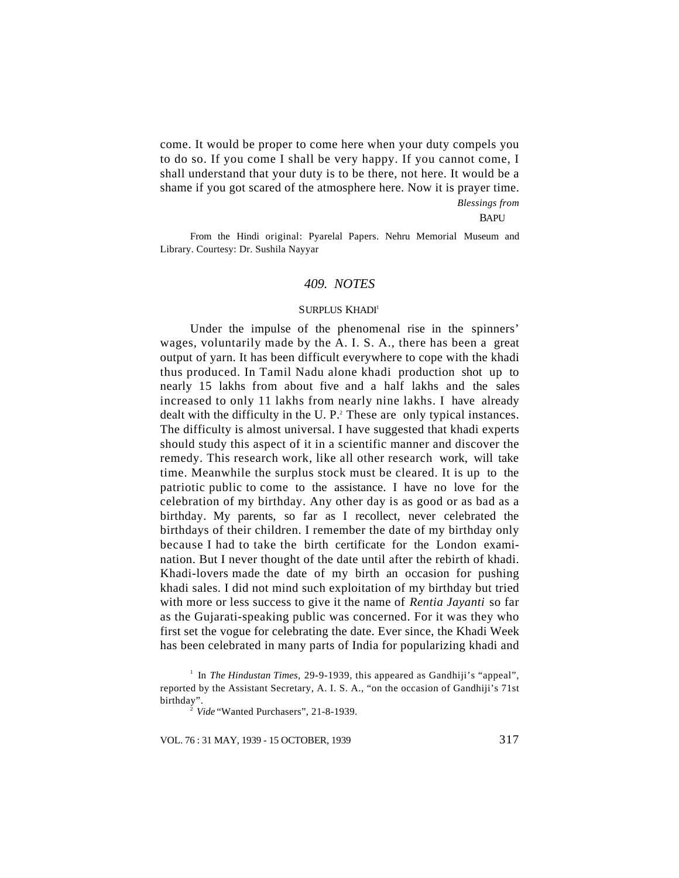come. It would be proper to come here when your duty compels you to do so. If you come I shall be very happy. If you cannot come, I shall understand that your duty is to be there, not here. It would be a shame if you got scared of the atmosphere here. Now it is prayer time. *Blessings from*

**BAPU** 

From the Hindi original: Pyarelal Papers. Nehru Memorial Museum and Library. Courtesy: Dr. Sushila Nayyar

### *409. NOTES*

#### $S$ URPLUS KHADI $1$

Under the impulse of the phenomenal rise in the spinners' wages, voluntarily made by the A. I. S. A., there has been a great output of yarn. It has been difficult everywhere to cope with the khadi thus produced. In Tamil Nadu alone khadi production shot up to nearly 15 lakhs from about five and a half lakhs and the sales increased to only 11 lakhs from nearly nine lakhs. I have already dealt with the difficulty in the U.  $P^2$ . These are only typical instances. The difficulty is almost universal. I have suggested that khadi experts should study this aspect of it in a scientific manner and discover the remedy. This research work, like all other research work, will take time. Meanwhile the surplus stock must be cleared. It is up to the patriotic public to come to the assistance. I have no love for the celebration of my birthday. Any other day is as good or as bad as a birthday. My parents, so far as I recollect, never celebrated the birthdays of their children. I remember the date of my birthday only because I had to take the birth certificate for the London examination. But I never thought of the date until after the rebirth of khadi. Khadi-lovers made the date of my birth an occasion for pushing khadi sales. I did not mind such exploitation of my birthday but tried with more or less success to give it the name of *Rentia Jayanti* so far as the Gujarati-speaking public was concerned. For it was they who first set the vogue for celebrating the date. Ever since, the Khadi Week has been celebrated in many parts of India for popularizing khadi and

<sup>&</sup>lt;sup>1</sup> In *The Hindustan Times,* 29-9-1939, this appeared as Gandhiji's "appeal", reported by the Assistant Secretary, A. I. S. A., "on the occasion of Gandhiji's 71st birthday".

<sup>2</sup> *Vide* "Wanted Purchasers", 21-8-1939.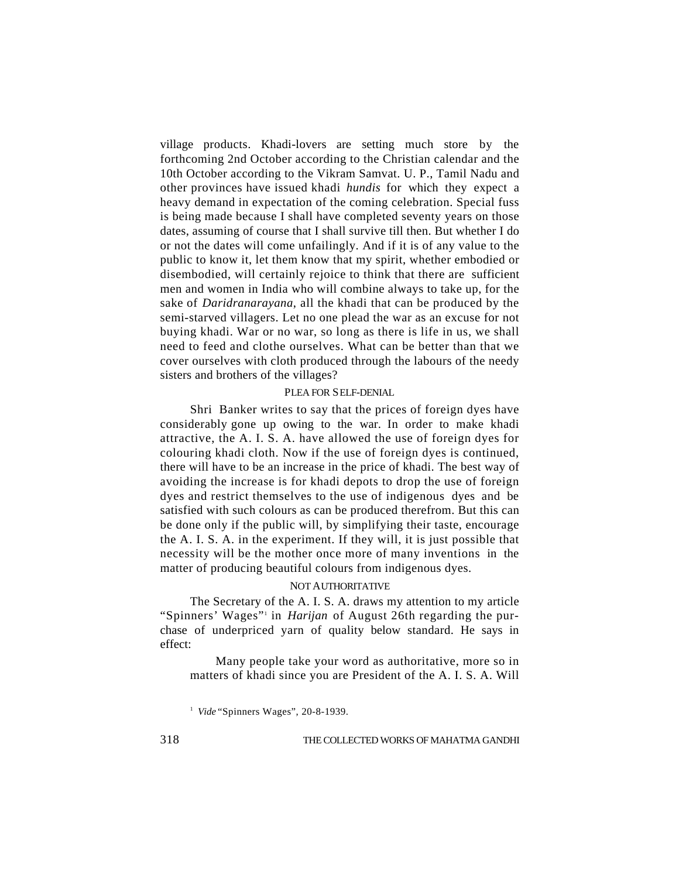village products. Khadi-lovers are setting much store by the forthcoming 2nd October according to the Christian calendar and the 10th October according to the Vikram Samvat. U. P., Tamil Nadu and other provinces have issued khadi *hundis* for which they expect a heavy demand in expectation of the coming celebration. Special fuss is being made because I shall have completed seventy years on those dates, assuming of course that I shall survive till then. But whether I do or not the dates will come unfailingly. And if it is of any value to the public to know it, let them know that my spirit, whether embodied or disembodied, will certainly rejoice to think that there are sufficient men and women in India who will combine always to take up, for the sake of *Daridranarayana*, all the khadi that can be produced by the semi-starved villagers. Let no one plead the war as an excuse for not buying khadi. War or no war, so long as there is life in us, we shall need to feed and clothe ourselves. What can be better than that we cover ourselves with cloth produced through the labours of the needy sisters and brothers of the villages?

#### PLEA FOR SELF-DENIAL

Shri Banker writes to say that the prices of foreign dyes have considerably gone up owing to the war. In order to make khadi attractive, the A. I. S. A. have allowed the use of foreign dyes for colouring khadi cloth. Now if the use of foreign dyes is continued, there will have to be an increase in the price of khadi. The best way of avoiding the increase is for khadi depots to drop the use of foreign dyes and restrict themselves to the use of indigenous dyes and be satisfied with such colours as can be produced therefrom. But this can be done only if the public will, by simplifying their taste, encourage the A. I. S. A. in the experiment. If they will, it is just possible that necessity will be the mother once more of many inventions in the matter of producing beautiful colours from indigenous dyes.

#### NOT AUTHORITATIVE

The Secretary of the A. I. S. A. draws my attention to my article "Spinners' Wages"<sup>1</sup> in *Harijan* of August 26th regarding the purchase of underpriced yarn of quality below standard. He says in effect:

Many people take your word as authoritative, more so in matters of khadi since you are President of the A. I. S. A. Will

<sup>&</sup>lt;sup>1</sup> Vide "Spinners Wages", 20-8-1939.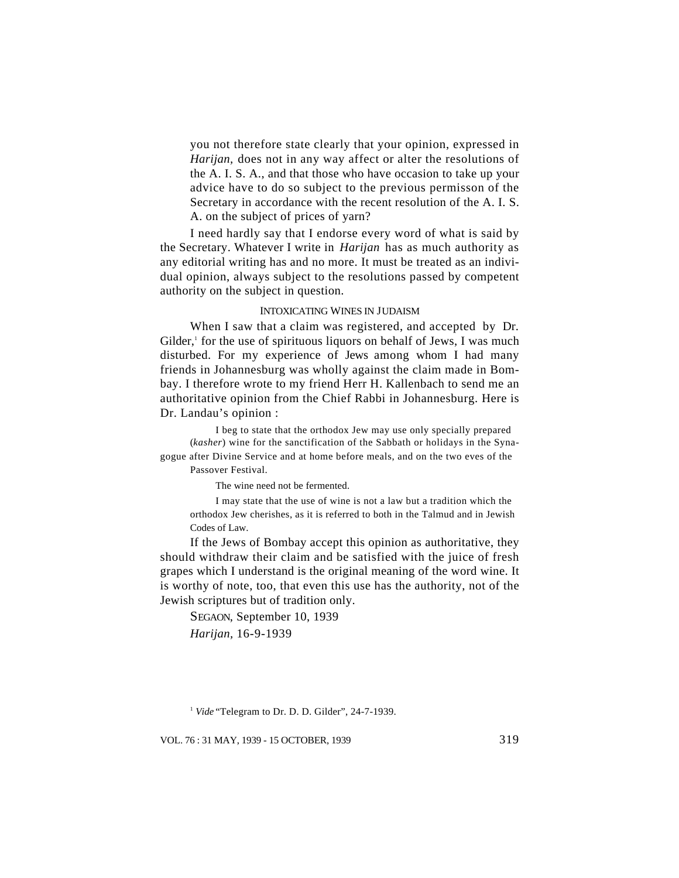you not therefore state clearly that your opinion, expressed in *Harijan,* does not in any way affect or alter the resolutions of the A. I. S. A., and that those who have occasion to take up your advice have to do so subject to the previous permisson of the Secretary in accordance with the recent resolution of the A. I. S. A. on the subject of prices of yarn?

I need hardly say that I endorse every word of what is said by the Secretary. Whatever I write in *Harijan* has as much authority as any editorial writing has and no more. It must be treated as an individual opinion, always subject to the resolutions passed by competent authority on the subject in question.

#### INTOXICATING WINES IN JUDAISM

When I saw that a claim was registered, and accepted by Dr. Gilder,<sup>1</sup> for the use of spirituous liquors on behalf of Jews, I was much disturbed. For my experience of Jews among whom I had many friends in Johannesburg was wholly against the claim made in Bombay. I therefore wrote to my friend Herr H. Kallenbach to send me an authoritative opinion from the Chief Rabbi in Johannesburg. Here is Dr. Landau's opinion :

I beg to state that the orthodox Jew may use only specially prepared (*kasher*) wine for the sanctification of the Sabbath or holidays in the Synagogue after Divine Service and at home before meals, and on the two eves of the Passover Festival.

The wine need not be fermented.

I may state that the use of wine is not a law but a tradition which the orthodox Jew cherishes, as it is referred to both in the Talmud and in Jewish Codes of Law.

If the Jews of Bombay accept this opinion as authoritative, they should withdraw their claim and be satisfied with the juice of fresh grapes which I understand is the original meaning of the word wine. It is worthy of note, too, that even this use has the authority, not of the Jewish scriptures but of tradition only.

SEGAON, September 10, 1939 *Harijan,* 16-9-1939

<sup>&</sup>lt;sup>1</sup> *Vide* "Telegram to Dr. D. D. Gilder", 24-7-1939.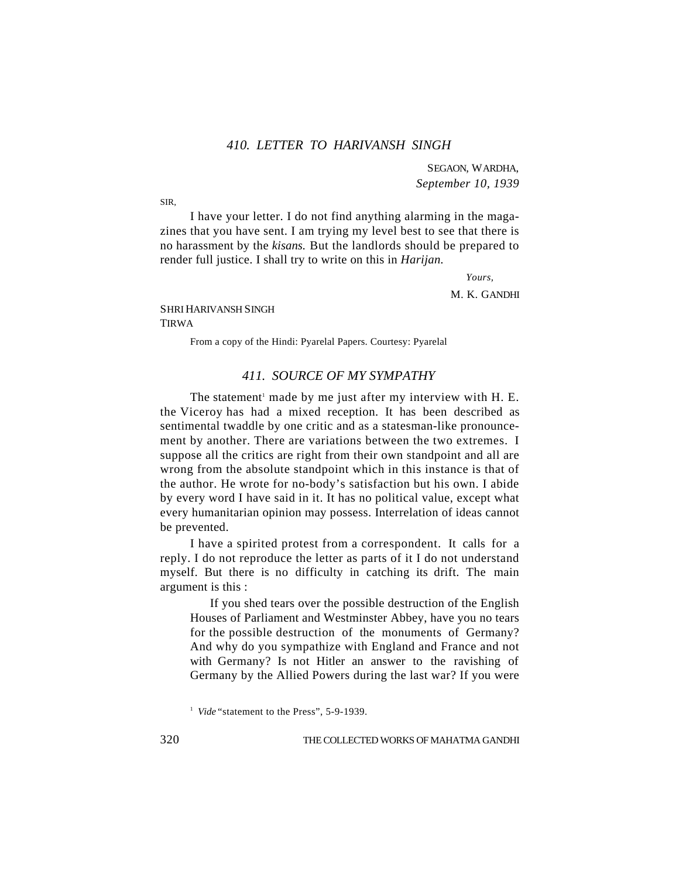# *410. LETTER TO HARIVANSH SINGH*

SEGAON, WARDHA, *September 10, 1939*

SIR,

I have your letter. I do not find anything alarming in the magazines that you have sent. I am trying my level best to see that there is no harassment by the *kisans.* But the landlords should be prepared to render full justice. I shall try to write on this in *Harijan.*

*Yours,*

M. K. GANDHI

#### SHRI HARIVANSH SINGH TIRWA

From a copy of the Hindi: Pyarelal Papers. Courtesy: Pyarelal

# *411. SOURCE OF MY SYMPATHY*

The statement<sup>1</sup> made by me just after my interview with H. E. the Viceroy has had a mixed reception. It has been described as sentimental twaddle by one critic and as a statesman-like pronouncement by another. There are variations between the two extremes. I suppose all the critics are right from their own standpoint and all are wrong from the absolute standpoint which in this instance is that of the author. He wrote for no-body's satisfaction but his own. I abide by every word I have said in it. It has no political value, except what every humanitarian opinion may possess. Interrelation of ideas cannot be prevented.

I have a spirited protest from a correspondent. It calls for a reply. I do not reproduce the letter as parts of it I do not understand myself. But there is no difficulty in catching its drift. The main argument is this :

If you shed tears over the possible destruction of the English Houses of Parliament and Westminster Abbey, have you no tears for the possible destruction of the monuments of Germany? And why do you sympathize with England and France and not with Germany? Is not Hitler an answer to the ravishing of Germany by the Allied Powers during the last war? If you were

<sup>1</sup> Vide "statement to the Press", 5-9-1939.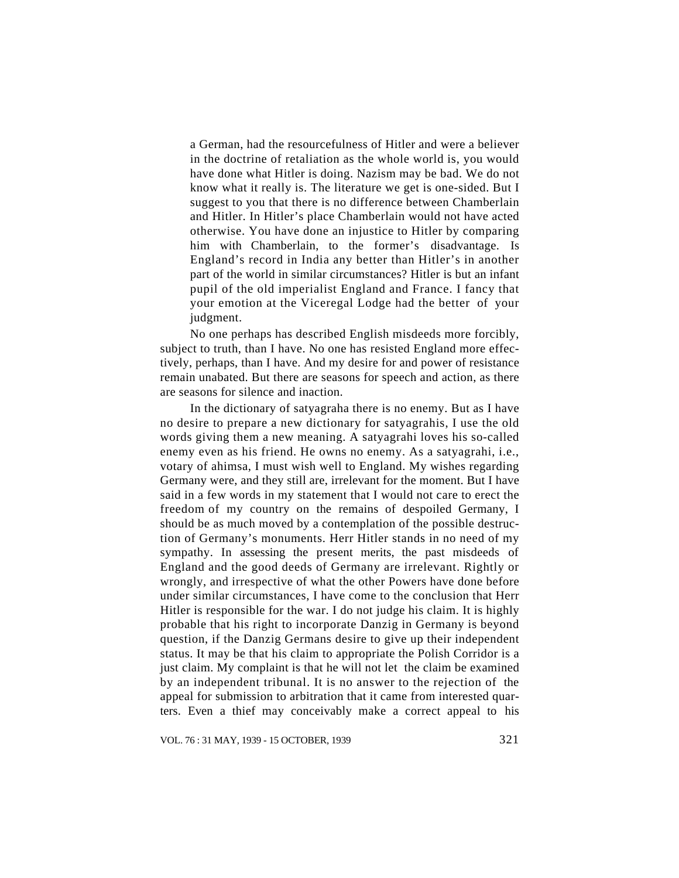a German, had the resourcefulness of Hitler and were a believer in the doctrine of retaliation as the whole world is, you would have done what Hitler is doing. Nazism may be bad. We do not know what it really is. The literature we get is one-sided. But I suggest to you that there is no difference between Chamberlain and Hitler. In Hitler's place Chamberlain would not have acted otherwise. You have done an injustice to Hitler by comparing him with Chamberlain, to the former's disadvantage. Is England's record in India any better than Hitler's in another part of the world in similar circumstances? Hitler is but an infant pupil of the old imperialist England and France. I fancy that your emotion at the Viceregal Lodge had the better of your judgment.

No one perhaps has described English misdeeds more forcibly, subject to truth, than I have. No one has resisted England more effectively, perhaps, than I have. And my desire for and power of resistance remain unabated. But there are seasons for speech and action, as there are seasons for silence and inaction.

In the dictionary of satyagraha there is no enemy. But as I have no desire to prepare a new dictionary for satyagrahis, I use the old words giving them a new meaning. A satyagrahi loves his so-called enemy even as his friend. He owns no enemy. As a satyagrahi, i.e., votary of ahimsa, I must wish well to England. My wishes regarding Germany were, and they still are, irrelevant for the moment. But I have said in a few words in my statement that I would not care to erect the freedom of my country on the remains of despoiled Germany, I should be as much moved by a contemplation of the possible destruction of Germany's monuments. Herr Hitler stands in no need of my sympathy. In assessing the present merits, the past misdeeds of England and the good deeds of Germany are irrelevant. Rightly or wrongly, and irrespective of what the other Powers have done before under similar circumstances, I have come to the conclusion that Herr Hitler is responsible for the war. I do not judge his claim. It is highly probable that his right to incorporate Danzig in Germany is beyond question, if the Danzig Germans desire to give up their independent status. It may be that his claim to appropriate the Polish Corridor is a just claim. My complaint is that he will not let the claim be examined by an independent tribunal. It is no answer to the rejection of the appeal for submission to arbitration that it came from interested quarters. Even a thief may conceivably make a correct appeal to his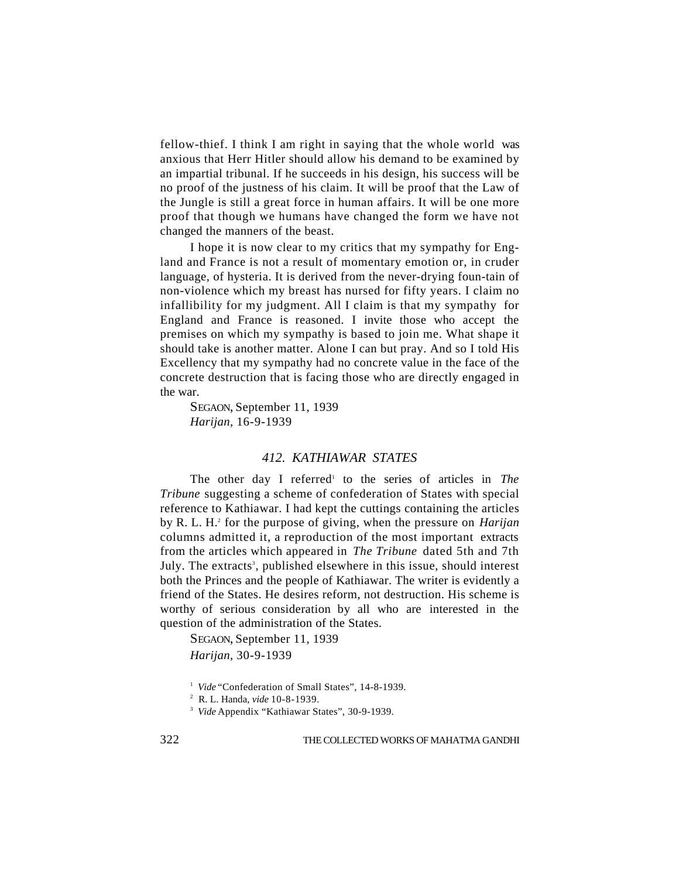fellow-thief. I think I am right in saying that the whole world was anxious that Herr Hitler should allow his demand to be examined by an impartial tribunal. If he succeeds in his design, his success will be no proof of the justness of his claim. It will be proof that the Law of the Jungle is still a great force in human affairs. It will be one more proof that though we humans have changed the form we have not changed the manners of the beast.

I hope it is now clear to my critics that my sympathy for England and France is not a result of momentary emotion or, in cruder language, of hysteria. It is derived from the never-drying foun-tain of non-violence which my breast has nursed for fifty years. I claim no infallibility for my judgment. All I claim is that my sympathy for England and France is reasoned. I invite those who accept the premises on which my sympathy is based to join me. What shape it should take is another matter. Alone I can but pray. And so I told His Excellency that my sympathy had no concrete value in the face of the concrete destruction that is facing those who are directly engaged in the war.

SEGAON, September 11, 1939 *Harijan,* 16-9-1939

# *412. KATHIAWAR STATES*

The other day I referred<sup>1</sup> to the series of articles in *The Tribune* suggesting a scheme of confederation of States with special reference to Kathiawar. I had kept the cuttings containing the articles by R. L. H.<sup>2</sup> for the purpose of giving, when the pressure on *Harijan* columns admitted it, a reproduction of the most important extracts from the articles which appeared in *The Tribune* dated 5th and 7th July. The extracts<sup>3</sup>, published elsewhere in this issue, should interest both the Princes and the people of Kathiawar. The writer is evidently a friend of the States. He desires reform, not destruction. His scheme is worthy of serious consideration by all who are interested in the question of the administration of the States.

SEGAON, September 11, 1939 *Harijan,* 30-9-1939

<sup>&</sup>lt;sup>1</sup> Vide "Confederation of Small States", 14-8-1939.

<sup>2</sup> R. L. Handa, *vide* 10-8-1939.

<sup>3</sup> *Vide* Appendix "Kathiawar States", 30-9-1939.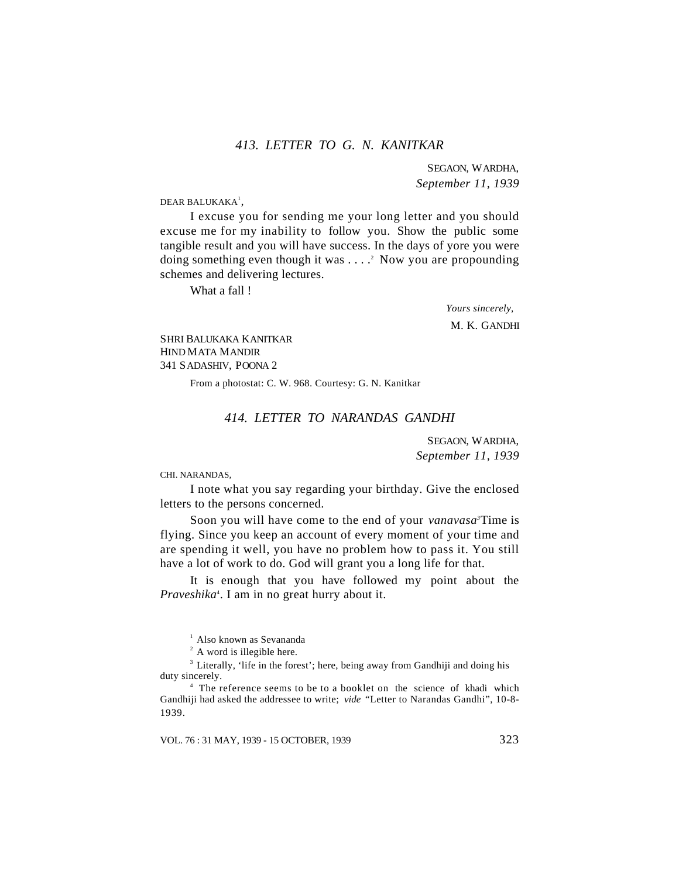## *413. LETTER TO G. N. KANITKAR*

SEGAON, WARDHA, *September 11, 1939*

 $DEAR$   $BALUKAKA<sup>1</sup>$ ,

I excuse you for sending me your long letter and you should excuse me for my inability to follow you. Show the public some tangible result and you will have success. In the days of yore you were doing something even though it was  $\dots$ <sup>2</sup> Now you are propounding schemes and delivering lectures.

What a fall !

*Yours sincerely,* M. K. GANDHI

SHRI BALUKAKA KANITKAR HIND MATA MANDIR 341 SADASHIV, POONA 2

From a photostat: C. W. 968. Courtesy: G. N. Kanitkar

# *414. LETTER TO NARANDAS GANDHI*

SEGAON, WARDHA, *September 11, 1939*

CHI. NARANDAS,

I note what you say regarding your birthday. Give the enclosed letters to the persons concerned.

Soon you will have come to the end of your *vanavasa3*Time is flying. Since you keep an account of every moment of your time and are spending it well, you have no problem how to pass it. You still have a lot of work to do. God will grant you a long life for that.

It is enough that you have followed my point about the *Praveshika*<sup>4</sup> . I am in no great hurry about it.

<sup>1</sup> Also known as Sevananda

 $2$  A word is illegible here.

<sup>3</sup> Literally, 'life in the forest'; here, being away from Gandhiji and doing his duty sincerely.

<sup>4</sup> The reference seems to be to a booklet on the science of khadi which Gandhiji had asked the addressee to write; *vide* "Letter to Narandas Gandhi", 10-8- 1939.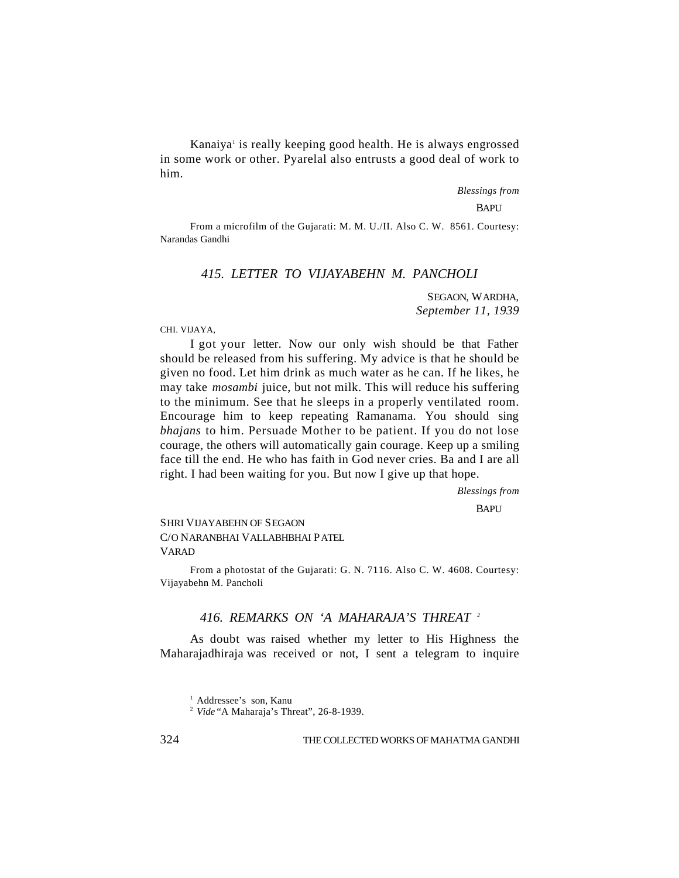Kanaiya' is really keeping good health. He is always engrossed in some work or other. Pyarelal also entrusts a good deal of work to him.

*Blessings from*

BAPU

From a microfilm of the Gujarati: M. M. U./II. Also C. W. 8561. Courtesy: Narandas Gandhi

# *415. LETTER TO VIJAYABEHN M. PANCHOLI*

SEGAON, WARDHA, *September 11, 1939*

CHI. VIJAYA,

I got your letter. Now our only wish should be that Father should be released from his suffering. My advice is that he should be given no food. Let him drink as much water as he can. If he likes, he may take *mosambi* juice, but not milk. This will reduce his suffering to the minimum. See that he sleeps in a properly ventilated room. Encourage him to keep repeating Ramanama. You should sing *bhajans* to him. Persuade Mother to be patient. If you do not lose courage, the others will automatically gain courage. Keep up a smiling face till the end. He who has faith in God never cries. Ba and I are all right. I had been waiting for you. But now I give up that hope.

*Blessings from*

**BAPU** 

SHRI VIJAYABEHN OF SEGAON C/O NARANBHAI VALLABHBHAI PATEL VARAD

From a photostat of the Gujarati: G. N. 7116. Also C. W. 4608. Courtesy: Vijayabehn M. Pancholi

### *416. REMARKS ON 'A MAHARAJA'S THREAT <sup>2</sup>*

As doubt was raised whether my letter to His Highness the Maharajadhiraja was received or not, I sent a telegram to inquire

<sup>&</sup>lt;sup>1</sup> Addressee's son, Kanu

<sup>2</sup> *Vide* "A Maharaja's Threat", 26-8-1939.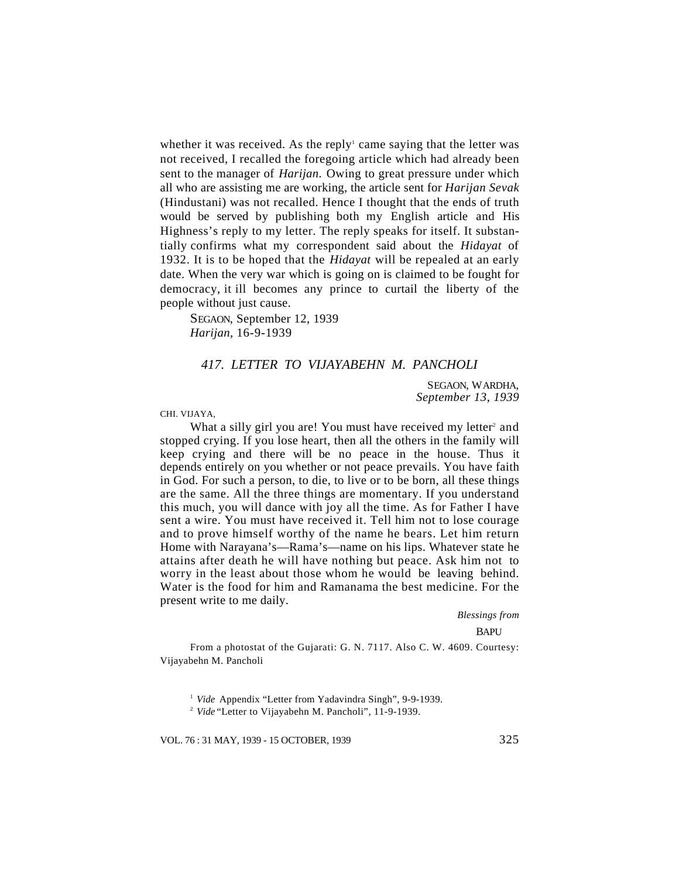whether it was received. As the reply $\iota$  came saying that the letter was not received, I recalled the foregoing article which had already been sent to the manager of *Harijan.* Owing to great pressure under which all who are assisting me are working, the article sent for *Harijan Sevak* (Hindustani) was not recalled. Hence I thought that the ends of truth would be served by publishing both my English article and His Highness's reply to my letter. The reply speaks for itself. It substantially confirms what my correspondent said about the *Hidayat* of 1932. It is to be hoped that the *Hidayat* will be repealed at an early date. When the very war which is going on is claimed to be fought for democracy, it ill becomes any prince to curtail the liberty of the people without just cause.

SEGAON, September 12, 1939 *Harijan,* 16-9-1939

# *417. LETTER TO VIJAYABEHN M. PANCHOLI*

SEGAON, WARDHA, *September 13, 1939*

CHI. VIJAYA,

What a silly girl you are! You must have received my letter<sup>2</sup> and stopped crying. If you lose heart, then all the others in the family will keep crying and there will be no peace in the house. Thus it depends entirely on you whether or not peace prevails. You have faith in God. For such a person, to die, to live or to be born, all these things are the same. All the three things are momentary. If you understand this much, you will dance with joy all the time. As for Father I have sent a wire. You must have received it. Tell him not to lose courage and to prove himself worthy of the name he bears. Let him return Home with Narayana's—Rama's—name on his lips. Whatever state he attains after death he will have nothing but peace. Ask him not to worry in the least about those whom he would be leaving behind. Water is the food for him and Ramanama the best medicine. For the present write to me daily.

*Blessings from*

BAPU

From a photostat of the Gujarati: G. N. 7117. Also C. W. 4609. Courtesy: Vijayabehn M. Pancholi

<sup>1</sup> *Vide* Appendix "Letter from Yadavindra Singh", 9-9-1939.

<sup>2</sup> *Vide* "Letter to Vijayabehn M. Pancholi", 11-9-1939.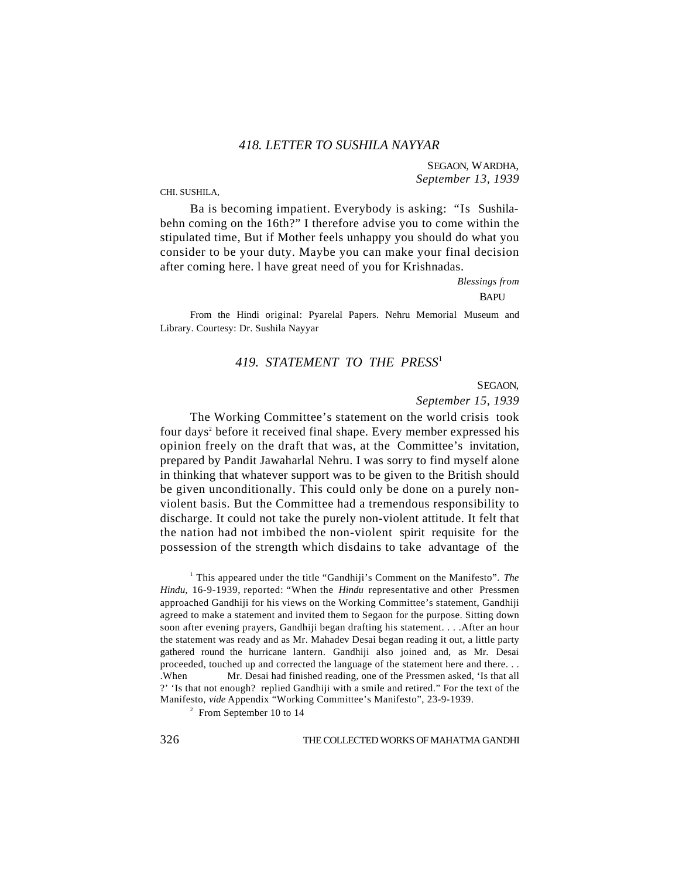SEGAON, WARDHA, *September 13, 1939*

CHI. SUSHILA,

Ba is becoming impatient. Everybody is asking: "Is Sushilabehn coming on the 16th?" I therefore advise you to come within the stipulated time, But if Mother feels unhappy you should do what you consider to be your duty. Maybe you can make your final decision after coming here. l have great need of you for Krishnadas.

> *Blessings from* **BAPU**

From the Hindi original: Pyarelal Papers. Nehru Memorial Museum and Library. Courtesy: Dr. Sushila Nayyar

# *419. STATEMENT TO THE PRESS*<sup>1</sup>

SEGAON,

*September 15, 1939*

The Working Committee's statement on the world crisis took four days<sup>2</sup> before it received final shape. Every member expressed his opinion freely on the draft that was, at the Committee's invitation, prepared by Pandit Jawaharlal Nehru. I was sorry to find myself alone in thinking that whatever support was to be given to the British should be given unconditionally. This could only be done on a purely nonviolent basis. But the Committee had a tremendous responsibility to discharge. It could not take the purely non-violent attitude. It felt that the nation had not imbibed the non-violent spirit requisite for the possession of the strength which disdains to take advantage of the

<sup>1</sup> This appeared under the title "Gandhiji's Comment on the Manifesto". The *Hindu,* 16-9-1939, reported: "When the *Hindu* representative and other Pressmen approached Gandhiji for his views on the Working Committee's statement, Gandhiji agreed to make a statement and invited them to Segaon for the purpose. Sitting down soon after evening prayers, Gandhiji began drafting his statement. . . .After an hour the statement was ready and as Mr. Mahadev Desai began reading it out, a little party gathered round the hurricane lantern. Gandhiji also joined and, as Mr. Desai proceeded, touched up and corrected the language of the statement here and there. . . .When Mr. Desai had finished reading, one of the Pressmen asked, 'Is that all ?' 'Is that not enough? replied Gandhiji with a smile and retired." For the text of the Manifesto, *vide* Appendix "Working Committee's Manifesto", 23-9-1939.

<sup>2</sup> From September 10 to 14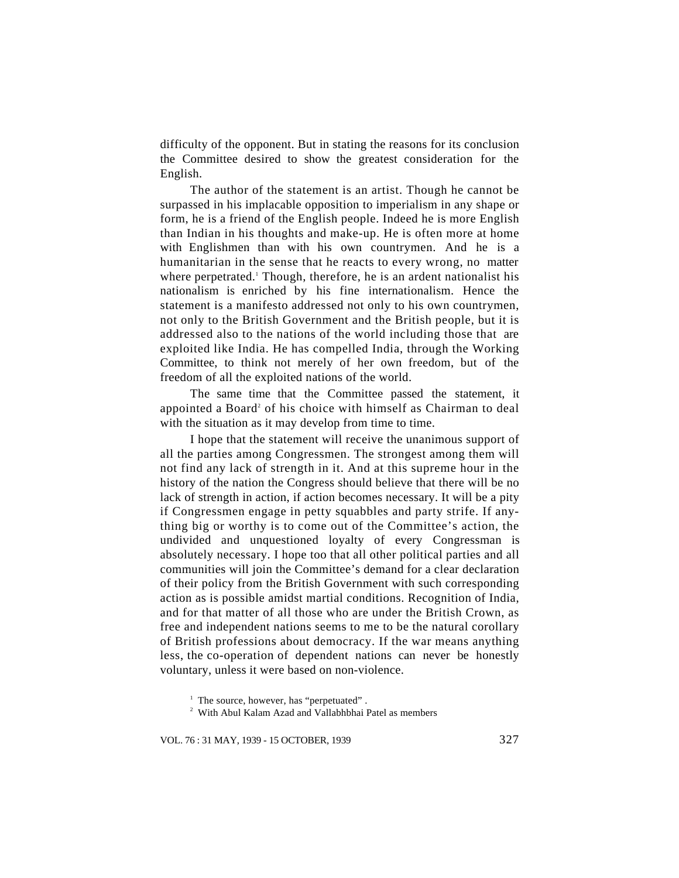difficulty of the opponent. But in stating the reasons for its conclusion the Committee desired to show the greatest consideration for the English.

The author of the statement is an artist. Though he cannot be surpassed in his implacable opposition to imperialism in any shape or form, he is a friend of the English people. Indeed he is more English than Indian in his thoughts and make-up. He is often more at home with Englishmen than with his own countrymen. And he is a humanitarian in the sense that he reacts to every wrong, no matter where perpetrated.<sup>1</sup> Though, therefore, he is an ardent nationalist his nationalism is enriched by his fine internationalism. Hence the statement is a manifesto addressed not only to his own countrymen, not only to the British Government and the British people, but it is addressed also to the nations of the world including those that are exploited like India. He has compelled India, through the Working Committee, to think not merely of her own freedom, but of the freedom of all the exploited nations of the world.

The same time that the Committee passed the statement, it appointed a Board<sup>2</sup> of his choice with himself as Chairman to deal with the situation as it may develop from time to time.

I hope that the statement will receive the unanimous support of all the parties among Congressmen. The strongest among them will not find any lack of strength in it. And at this supreme hour in the history of the nation the Congress should believe that there will be no lack of strength in action, if action becomes necessary. It will be a pity if Congressmen engage in petty squabbles and party strife. If anything big or worthy is to come out of the Committee's action, the undivided and unquestioned loyalty of every Congressman is absolutely necessary. I hope too that all other political parties and all communities will join the Committee's demand for a clear declaration of their policy from the British Government with such corresponding action as is possible amidst martial conditions. Recognition of India, and for that matter of all those who are under the British Crown, as free and independent nations seems to me to be the natural corollary of British professions about democracy. If the war means anything less, the co-operation of dependent nations can never be honestly voluntary, unless it were based on non-violence.

 $<sup>1</sup>$  The source, however, has "perpetuated".</sup>

<sup>2</sup> With Abul Kalam Azad and Vallabhbhai Patel as members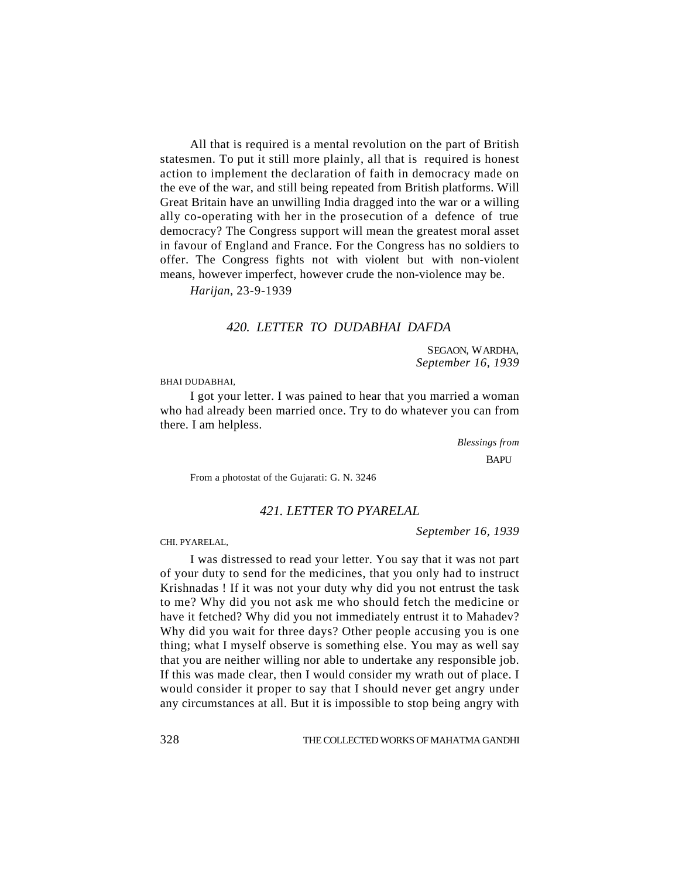All that is required is a mental revolution on the part of British statesmen. To put it still more plainly, all that is required is honest action to implement the declaration of faith in democracy made on the eve of the war, and still being repeated from British platforms. Will Great Britain have an unwilling India dragged into the war or a willing ally co-operating with her in the prosecution of a defence of true democracy? The Congress support will mean the greatest moral asset in favour of England and France. For the Congress has no soldiers to offer. The Congress fights not with violent but with non-violent means, however imperfect, however crude the non-violence may be.

*Harijan,* 23-9-1939

# *420. LETTER TO DUDABHAI DAFDA*

SEGAON, WARDHA, *September 16, 1939*

BHAI DUDABHAI,

I got your letter. I was pained to hear that you married a woman who had already been married once. Try to do whatever you can from there. I am helpless.

> *Blessings from* **BAPU**

From a photostat of the Gujarati: G. N. 3246

# *421. LETTER TO PYARELAL*

*September 16, 1939*

CHI. PYARELAL,

I was distressed to read your letter. You say that it was not part of your duty to send for the medicines, that you only had to instruct Krishnadas ! If it was not your duty why did you not entrust the task to me? Why did you not ask me who should fetch the medicine or have it fetched? Why did you not immediately entrust it to Mahadev? Why did you wait for three days? Other people accusing you is one thing; what I myself observe is something else. You may as well say that you are neither willing nor able to undertake any responsible job. If this was made clear, then I would consider my wrath out of place. I would consider it proper to say that I should never get angry under any circumstances at all. But it is impossible to stop being angry with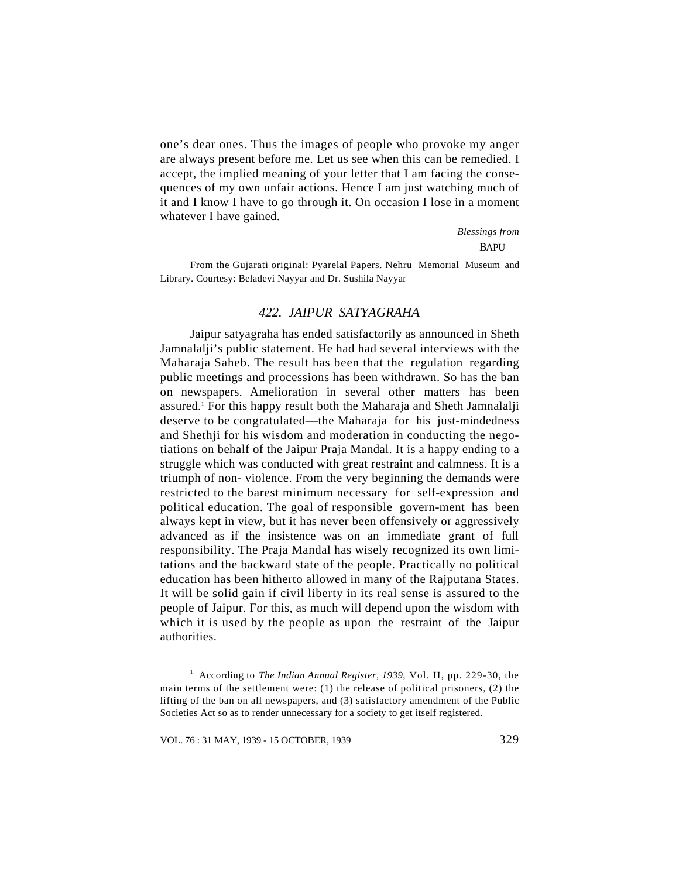one's dear ones. Thus the images of people who provoke my anger are always present before me. Let us see when this can be remedied. I accept, the implied meaning of your letter that I am facing the consequences of my own unfair actions. Hence I am just watching much of it and I know I have to go through it. On occasion I lose in a moment whatever I have gained.

> *Blessings from* **BAPU**

From the Gujarati original: Pyarelal Papers. Nehru Memorial Museum and Library. Courtesy: Beladevi Nayyar and Dr. Sushila Nayyar

## *422. JAIPUR SATYAGRAHA*

Jaipur satyagraha has ended satisfactorily as announced in Sheth Jamnalalji's public statement. He had had several interviews with the Maharaja Saheb. The result has been that the regulation regarding public meetings and processions has been withdrawn. So has the ban on newspapers. Amelioration in several other matters has been assured.<sup>1</sup> For this happy result both the Maharaja and Sheth Jamnalalji deserve to be congratulated—the Maharaja for his just-mindedness and Shethji for his wisdom and moderation in conducting the negotiations on behalf of the Jaipur Praja Mandal. It is a happy ending to a struggle which was conducted with great restraint and calmness. It is a triumph of non- violence. From the very beginning the demands were restricted to the barest minimum necessary for self-expression and political education. The goal of responsible govern-ment has been always kept in view, but it has never been offensively or aggressively advanced as if the insistence was on an immediate grant of full responsibility. The Praja Mandal has wisely recognized its own limitations and the backward state of the people. Practically no political education has been hitherto allowed in many of the Rajputana States. It will be solid gain if civil liberty in its real sense is assured to the people of Jaipur. For this, as much will depend upon the wisdom with which it is used by the people as upon the restraint of the Jaipur authorities.

<sup>1</sup> According to *The Indian Annual Register, 1939*, Vol. II, pp. 229-30, the main terms of the settlement were: (1) the release of political prisoners, (2) the lifting of the ban on all newspapers, and (3) satisfactory amendment of the Public Societies Act so as to render unnecessary for a society to get itself registered.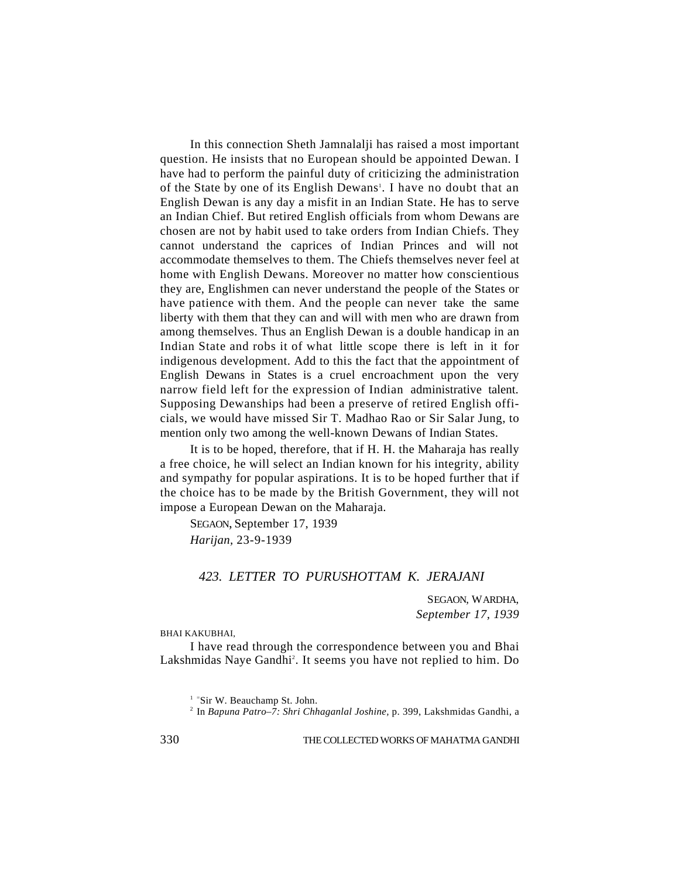In this connection Sheth Jamnalalji has raised a most important question. He insists that no European should be appointed Dewan. I have had to perform the painful duty of criticizing the administration of the State by one of its English Dewans<sup>1</sup>. I have no doubt that an English Dewan is any day a misfit in an Indian State. He has to serve an Indian Chief. But retired English officials from whom Dewans are chosen are not by habit used to take orders from Indian Chiefs. They cannot understand the caprices of Indian Princes and will not accommodate themselves to them. The Chiefs themselves never feel at home with English Dewans. Moreover no matter how conscientious they are, Englishmen can never understand the people of the States or have patience with them. And the people can never take the same liberty with them that they can and will with men who are drawn from among themselves. Thus an English Dewan is a double handicap in an Indian State and robs it of what little scope there is left in it for indigenous development. Add to this the fact that the appointment of English Dewans in States is a cruel encroachment upon the very narrow field left for the expression of Indian administrative talent. Supposing Dewanships had been a preserve of retired English officials, we would have missed Sir T. Madhao Rao or Sir Salar Jung, to mention only two among the well-known Dewans of Indian States.

It is to be hoped, therefore, that if H. H. the Maharaja has really a free choice, he will select an Indian known for his integrity, ability and sympathy for popular aspirations. It is to be hoped further that if the choice has to be made by the British Government, they will not impose a European Dewan on the Maharaja.

SEGAON, September 17, 1939 *Harijan,* 23-9-1939

# *423. LETTER TO PURUSHOTTAM K. JERAJANI*

SEGAON, WARDHA, *September 17, 1939*

#### BHAI KAKUBHAI,

I have read through the correspondence between you and Bhai Lakshmidas Naye Gandhi<sup>2</sup>. It seems you have not replied to him. Do

<sup>&</sup>lt;sup>1</sup> <sup>=</sup>Sir W. Beauchamp St. John.

<sup>2</sup> In *Bapuna Patro–7: Shri Chhaganlal Joshine,* p. 399, Lakshmidas Gandhi, a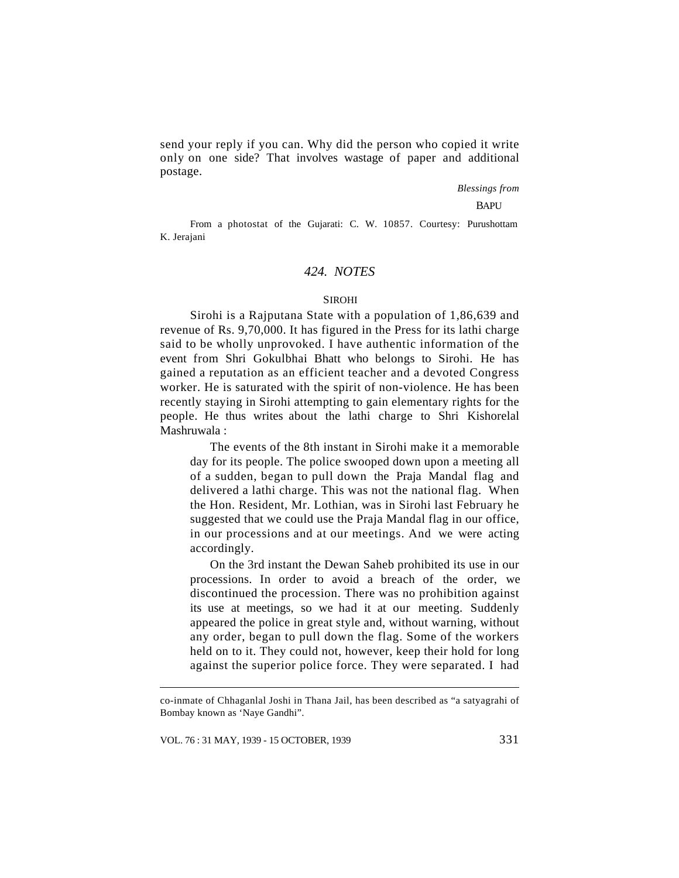send your reply if you can. Why did the person who copied it write only on one side? That involves wastage of paper and additional postage.

*Blessings from*

#### BAPU

From a photostat of the Gujarati: C. W. 10857. Courtesy: Purushottam K. Jerajani

## *424. NOTES*

#### **SIROHI**

Sirohi is a Rajputana State with a population of 1,86,639 and revenue of Rs. 9,70,000. It has figured in the Press for its lathi charge said to be wholly unprovoked. I have authentic information of the event from Shri Gokulbhai Bhatt who belongs to Sirohi. He has gained a reputation as an efficient teacher and a devoted Congress worker. He is saturated with the spirit of non-violence. He has been recently staying in Sirohi attempting to gain elementary rights for the people. He thus writes about the lathi charge to Shri Kishorelal Mashruwala :

The events of the 8th instant in Sirohi make it a memorable day for its people. The police swooped down upon a meeting all of a sudden, began to pull down the Praja Mandal flag and delivered a lathi charge. This was not the national flag. When the Hon. Resident, Mr. Lothian, was in Sirohi last February he suggested that we could use the Praja Mandal flag in our office, in our processions and at our meetings. And we were acting accordingly.

On the 3rd instant the Dewan Saheb prohibited its use in our processions. In order to avoid a breach of the order, we discontinued the procession. There was no prohibition against its use at meetings, so we had it at our meeting. Suddenly appeared the police in great style and, without warning, without any order, began to pull down the flag. Some of the workers held on to it. They could not, however, keep their hold for long against the superior police force. They were separated. I had

 $\overline{a}$ 

co-inmate of Chhaganlal Joshi in Thana Jail, has been described as "a satyagrahi of Bombay known as 'Naye Gandhi".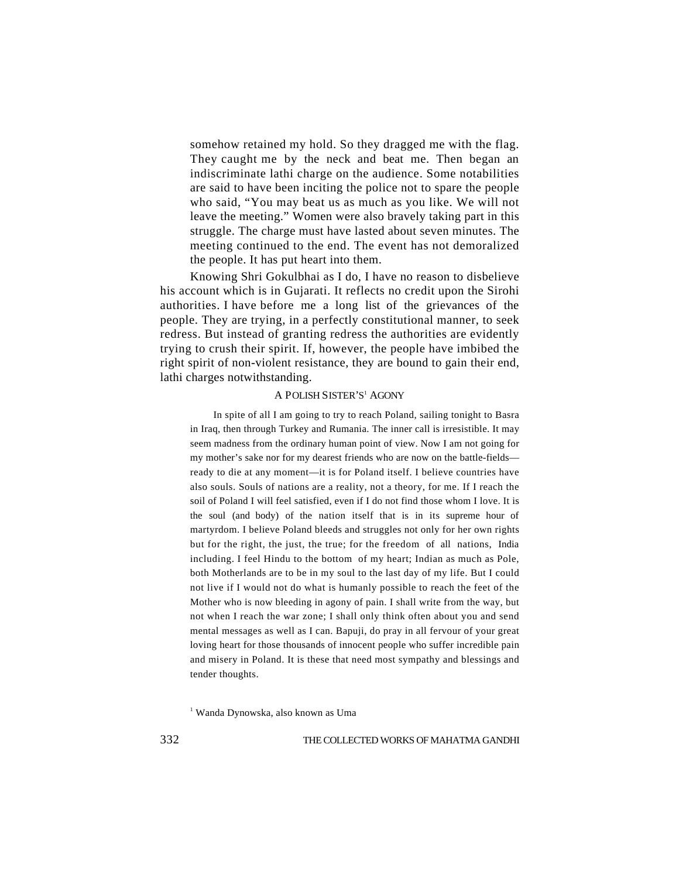somehow retained my hold. So they dragged me with the flag. They caught me by the neck and beat me. Then began an indiscriminate lathi charge on the audience. Some notabilities are said to have been inciting the police not to spare the people who said, "You may beat us as much as you like. We will not leave the meeting." Women were also bravely taking part in this struggle. The charge must have lasted about seven minutes. The meeting continued to the end. The event has not demoralized the people. It has put heart into them.

Knowing Shri Gokulbhai as I do, I have no reason to disbelieve his account which is in Gujarati. It reflects no credit upon the Sirohi authorities. I have before me a long list of the grievances of the people. They are trying, in a perfectly constitutional manner, to seek redress. But instead of granting redress the authorities are evidently trying to crush their spirit. If, however, the people have imbibed the right spirit of non-violent resistance, they are bound to gain their end, lathi charges notwithstanding.

#### A POLISH SISTER'S <sup>1</sup> AGONY

 In spite of all I am going to try to reach Poland, sailing tonight to Basra in Iraq, then through Turkey and Rumania. The inner call is irresistible. It may seem madness from the ordinary human point of view. Now I am not going for my mother's sake nor for my dearest friends who are now on the battle-fields ready to die at any moment—it is for Poland itself. I believe countries have also souls. Souls of nations are a reality, not a theory, for me. If I reach the soil of Poland I will feel satisfied, even if I do not find those whom I love. It is the soul (and body) of the nation itself that is in its supreme hour of martyrdom. I believe Poland bleeds and struggles not only for her own rights but for the right, the just, the true; for the freedom of all nations, India including. I feel Hindu to the bottom of my heart; Indian as much as Pole, both Motherlands are to be in my soul to the last day of my life. But I could not live if I would not do what is humanly possible to reach the feet of the Mother who is now bleeding in agony of pain. I shall write from the way, but not when I reach the war zone; I shall only think often about you and send mental messages as well as I can. Bapuji, do pray in all fervour of your great loving heart for those thousands of innocent people who suffer incredible pain and misery in Poland. It is these that need most sympathy and blessings and tender thoughts.

<sup>1</sup> Wanda Dynowska, also known as Uma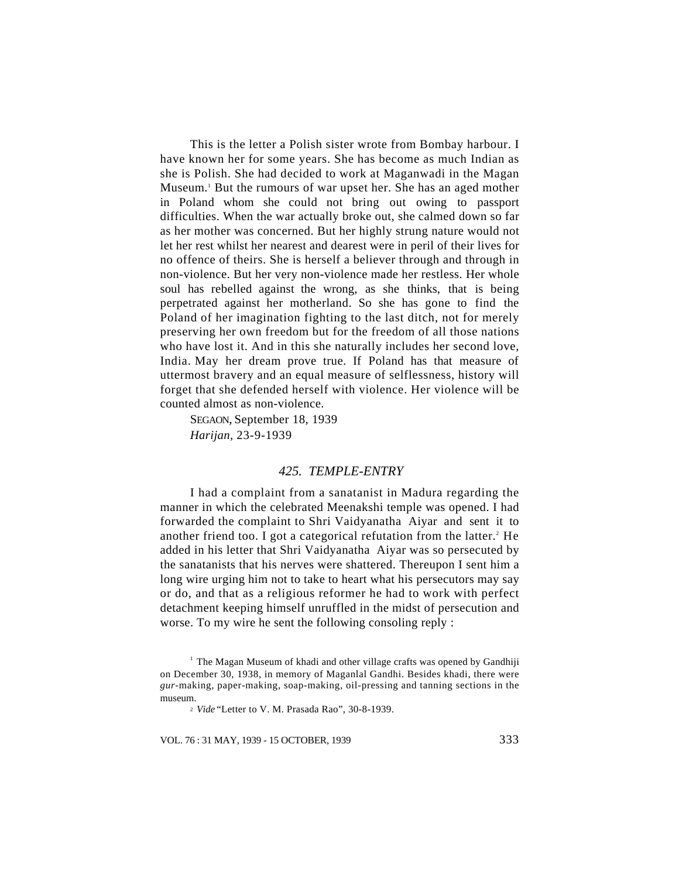This is the letter a Polish sister wrote from Bombay harbour. I have known her for some years. She has become as much Indian as she is Polish. She had decided to work at Maganwadi in the Magan Museum.<sup>1</sup> But the rumours of war upset her. She has an aged mother in Poland whom she could not bring out owing to passport difficulties. When the war actually broke out, she calmed down so far as her mother was concerned. But her highly strung nature would not let her rest whilst her nearest and dearest were in peril of their lives for no offence of theirs. She is herself a believer through and through in non-violence. But her very non-violence made her restless. Her whole soul has rebelled against the wrong, as she thinks, that is being perpetrated against her motherland. So she has gone to find the Poland of her imagination fighting to the last ditch, not for merely preserving her own freedom but for the freedom of all those nations who have lost it. And in this she naturally includes her second love, India. May her dream prove true. If Poland has that measure of uttermost bravery and an equal measure of selflessness, history will forget that she defended herself with violence. Her violence will be counted almost as non-violence.

SEGAON, September 18, 1939 *Harijan,* 23-9-1939

#### *425. TEMPLE-ENTRY*

I had a complaint from a sanatanist in Madura regarding the manner in which the celebrated Meenakshi temple was opened. I had forwarded the complaint to Shri Vaidyanatha Aiyar and sent it to another friend too. I got a categorical refutation from the latter.<sup>2</sup> He added in his letter that Shri Vaidyanatha Aiyar was so persecuted by the sanatanists that his nerves were shattered. Thereupon I sent him a long wire urging him not to take to heart what his persecutors may say or do, and that as a religious reformer he had to work with perfect detachment keeping himself unruffled in the midst of persecution and worse. To my wire he sent the following consoling reply :

 $<sup>1</sup>$  The Magan Museum of khadi and other village crafts was opened by Gandhiji</sup> on December 30, 1938, in memory of Maganlal Gandhi. Besides khadi, there were *gur-*making, paper-making, soap-making, oil-pressing and tanning sections in the museum.

<sup>2</sup> *Vide* "Letter to V. M. Prasada Rao", 30-8-1939.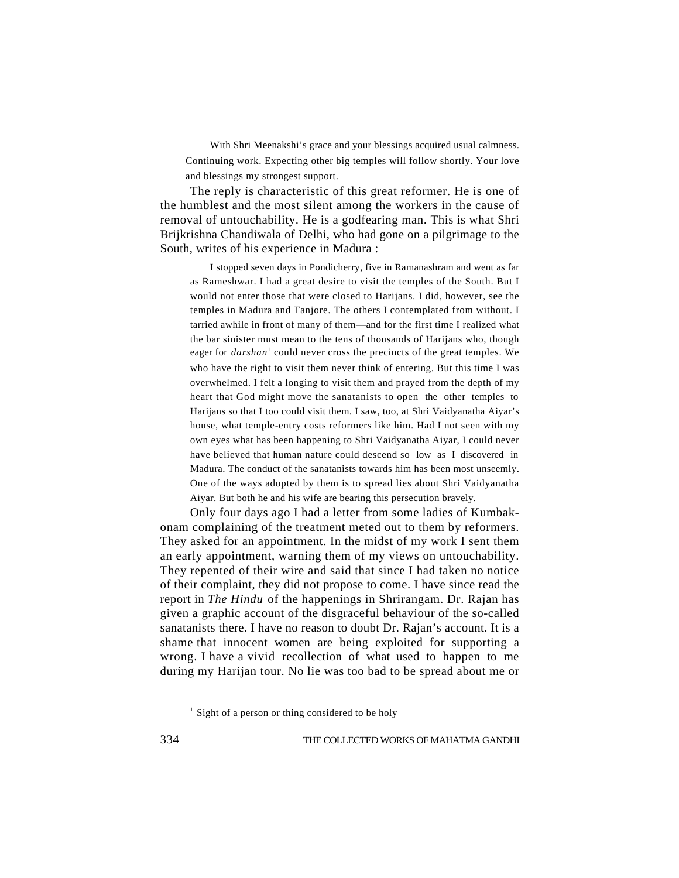With Shri Meenakshi's grace and your blessings acquired usual calmness. Continuing work. Expecting other big temples will follow shortly. Your love and blessings my strongest support.

The reply is characteristic of this great reformer. He is one of the humblest and the most silent among the workers in the cause of removal of untouchability. He is a godfearing man. This is what Shri Brijkrishna Chandiwala of Delhi, who had gone on a pilgrimage to the South, writes of his experience in Madura :

 I stopped seven days in Pondicherry, five in Ramanashram and went as far as Rameshwar. I had a great desire to visit the temples of the South. But I would not enter those that were closed to Harijans. I did, however, see the temples in Madura and Tanjore. The others I contemplated from without. I tarried awhile in front of many of them—and for the first time I realized what the bar sinister must mean to the tens of thousands of Harijans who, though eager for *darshan*<sup>1</sup> could never cross the precincts of the great temples. We who have the right to visit them never think of entering. But this time I was overwhelmed. I felt a longing to visit them and prayed from the depth of my heart that God might move the sanatanists to open the other temples to Harijans so that I too could visit them. I saw, too, at Shri Vaidyanatha Aiyar's house, what temple-entry costs reformers like him. Had I not seen with my own eyes what has been happening to Shri Vaidyanatha Aiyar, I could never have believed that human nature could descend so low as I discovered in Madura. The conduct of the sanatanists towards him has been most unseemly. One of the ways adopted by them is to spread lies about Shri Vaidyanatha Aiyar. But both he and his wife are bearing this persecution bravely.

Only four days ago I had a letter from some ladies of Kumbakonam complaining of the treatment meted out to them by reformers. They asked for an appointment. In the midst of my work I sent them an early appointment, warning them of my views on untouchability. They repented of their wire and said that since I had taken no notice of their complaint, they did not propose to come. I have since read the report in *The Hindu* of the happenings in Shrirangam. Dr. Rajan has given a graphic account of the disgraceful behaviour of the so-called sanatanists there. I have no reason to doubt Dr. Rajan's account. It is a shame that innocent women are being exploited for supporting a wrong. I have a vivid recollection of what used to happen to me during my Harijan tour. No lie was too bad to be spread about me or

<sup>1</sup> Sight of a person or thing considered to be holy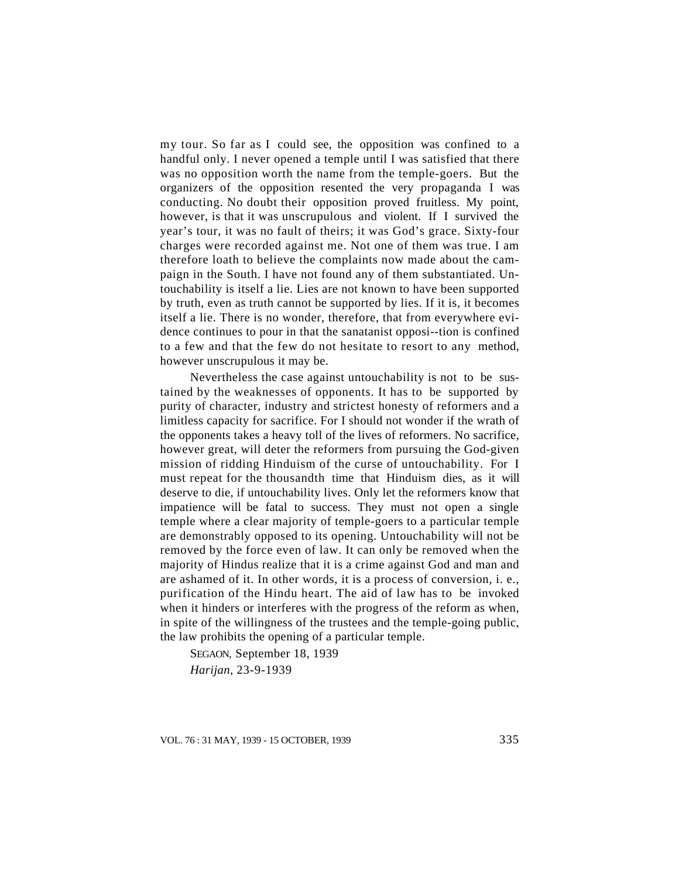my tour. So far as I could see, the opposition was confined to a handful only. I never opened a temple until I was satisfied that there was no opposition worth the name from the temple-goers. But the organizers of the opposition resented the very propaganda I was conducting. No doubt their opposition proved fruitless. My point, however, is that it was unscrupulous and violent. If I survived the year's tour, it was no fault of theirs; it was God's grace. Sixty-four charges were recorded against me. Not one of them was true. I am therefore loath to believe the complaints now made about the campaign in the South. I have not found any of them substantiated. Untouchability is itself a lie. Lies are not known to have been supported by truth, even as truth cannot be supported by lies. If it is, it becomes itself a lie. There is no wonder, therefore, that from everywhere evidence continues to pour in that the sanatanist opposi--tion is confined to a few and that the few do not hesitate to resort to any method, however unscrupulous it may be.

Nevertheless the case against untouchability is not to be sustained by the weaknesses of opponents. It has to be supported by purity of character, industry and strictest honesty of reformers and a limitless capacity for sacrifice. For I should not wonder if the wrath of the opponents takes a heavy toll of the lives of reformers. No sacrifice, however great, will deter the reformers from pursuing the God-given mission of ridding Hinduism of the curse of untouchability. For I must repeat for the thousandth time that Hinduism dies, as it will deserve to die, if untouchability lives. Only let the reformers know that impatience will be fatal to success. They must not open a single temple where a clear majority of temple-goers to a particular temple are demonstrably opposed to its opening. Untouchability will not be removed by the force even of law. It can only be removed when the majority of Hindus realize that it is a crime against God and man and are ashamed of it. In other words, it is a process of conversion, i. e., purification of the Hindu heart. The aid of law has to be invoked when it hinders or interferes with the progress of the reform as when, in spite of the willingness of the trustees and the temple-going public, the law prohibits the opening of a particular temple.

SEGAON, September 18, 1939 *Harijan,* 23-9-1939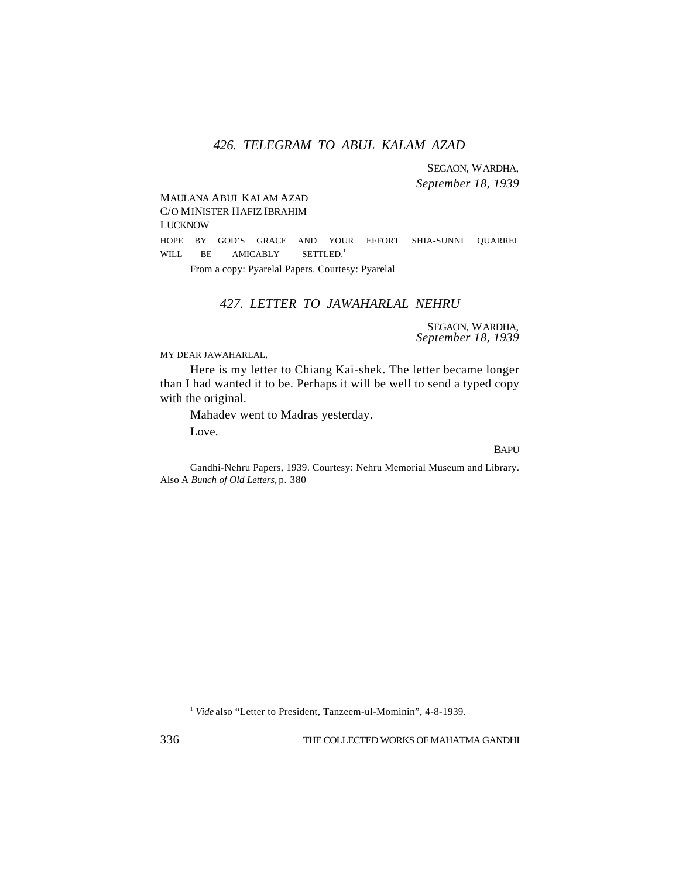# *426. TELEGRAM TO ABUL KALAM AZAD*

SEGAON, WARDHA, *September 18, 1939*

# MAULANA ABUL KALAM AZAD C/O MINISTER HAFIZ IBRAHIM LUCKNOW

HOPE BY GOD'S GRACE AND YOUR EFFORT SHIA-SUNNI QUARREL WILL BE AMICABLY SETTLED.<sup>1</sup>

From a copy: Pyarelal Papers. Courtesy: Pyarelal

# *427. LETTER TO JAWAHARLAL NEHRU*

SEGAON, WARDHA, *September 18, 1939*

#### MY DEAR JAWAHARLAL,

Here is my letter to Chiang Kai-shek. The letter became longer than I had wanted it to be. Perhaps it will be well to send a typed copy with the original.

Mahadev went to Madras yesterday. Love.

#### **BAPU**

Gandhi-Nehru Papers, 1939. Courtesy: Nehru Memorial Museum and Library. Also A *Bunch of Old Letters,* p. 380

<sup>1</sup> *Vide* also "Letter to President, Tanzeem-ul-Mominin", 4-8-1939.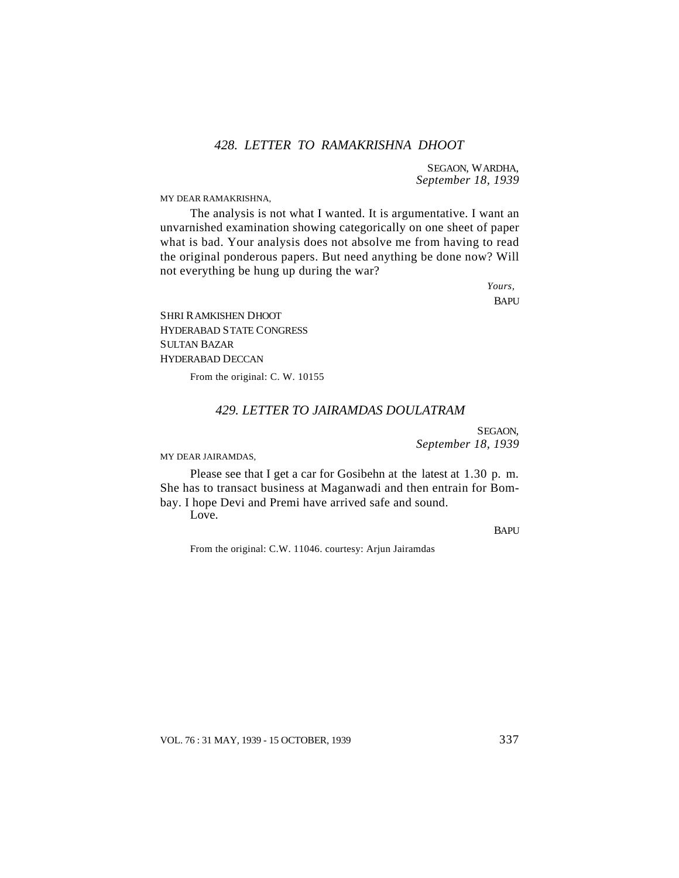# *428. LETTER TO RAMAKRISHNA DHOOT*

SEGAON, WARDHA, *September 18, 1939*

MY DEAR RAMAKRISHNA,

The analysis is not what I wanted. It is argumentative. I want an unvarnished examination showing categorically on one sheet of paper what is bad. Your analysis does not absolve me from having to read the original ponderous papers. But need anything be done now? Will not everything be hung up during the war?

> *Yours,* **BAPU**

SHRI RAMKISHEN DHOOT HYDERABAD STATE CONGRESS SULTAN BAZAR HYDERABAD DECCAN

From the original: C. W. 10155

## *429. LETTER TO JAIRAMDAS DOULATRAM*

SEGAON, *September 18, 1939*

MY DEAR JAIRAMDAS,

Please see that I get a car for Gosibehn at the latest at 1.30 p. m. She has to transact business at Maganwadi and then entrain for Bombay. I hope Devi and Premi have arrived safe and sound. Love.

**BAPU** 

From the original: C.W. 11046. courtesy: Arjun Jairamdas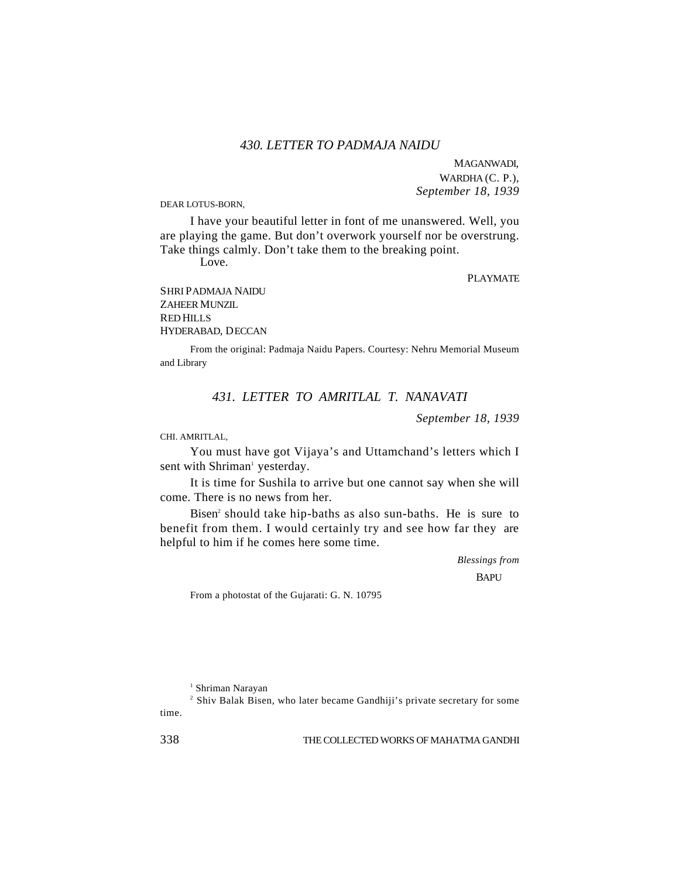# *430. LETTER TO PADMAJA NAIDU*

MAGANWADI, WARDHA (C. P.), *September 18, 1939*

DEAR LOTUS-BORN,

I have your beautiful letter in font of me unanswered. Well, you are playing the game. But don't overwork yourself nor be overstrung. Take things calmly. Don't take them to the breaking point.

Love.

PLAYMATE

SHRI PADMAJA NAIDU ZAHEER MUNZIL RED HILLS HYDERABAD, DECCAN

From the original: Padmaja Naidu Papers. Courtesy: Nehru Memorial Museum and Library

## *431. LETTER TO AMRITLAL T. NANAVATI*

*September 18, 1939*

CHI. AMRITLAL,

You must have got Vijaya's and Uttamchand's letters which I sent with Shriman<sup>1</sup> yesterday.

It is time for Sushila to arrive but one cannot say when she will come. There is no news from her.

Bisen<sup>2</sup> should take hip-baths as also sun-baths. He is sure to benefit from them. I would certainly try and see how far they are helpful to him if he comes here some time.

*Blessings from*

**BAPU** 

From a photostat of the Gujarati: G. N. 10795

1 Shriman Narayan

<sup>2</sup> Shiv Balak Bisen, who later became Gandhiji's private secretary for some time.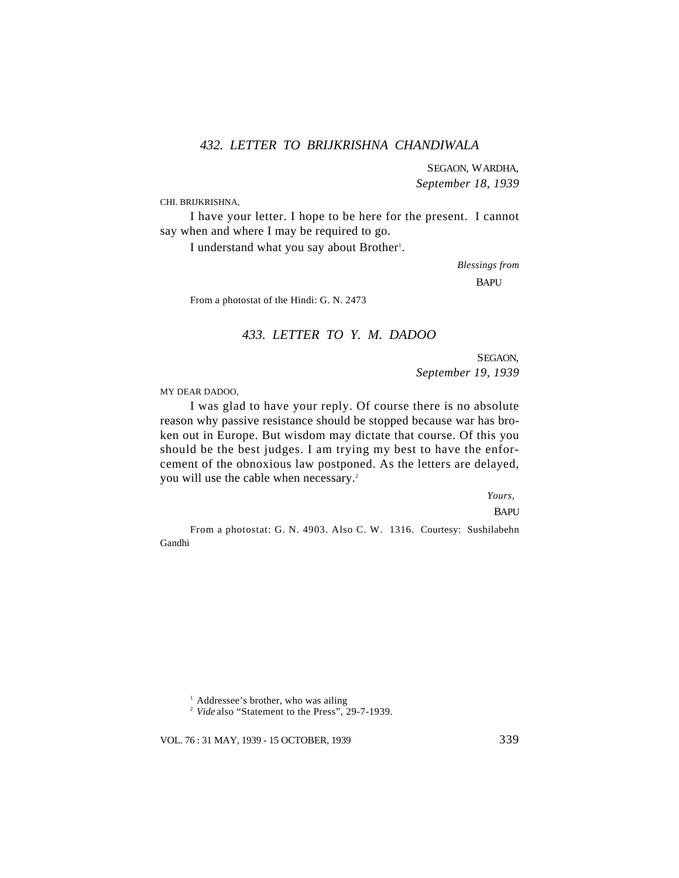## *432. LETTER TO BRIJKRISHNA CHANDIWALA*

SEGAON, WARDHA, *September 18, 1939*

CHI. BRIJKRISHNA,

I have your letter. I hope to be here for the present. I cannot say when and where I may be required to go.

I understand what you say about Brother<sup>1</sup>.

*Blessings from*

BAPU

From a photostat of the Hindi: G. N. 2473

#### *433. LETTER TO Y. M. DADOO*

SEGAON, *September 19, 1939*

MY DEAR DADOO,

I was glad to have your reply. Of course there is no absolute reason why passive resistance should be stopped because war has broken out in Europe. But wisdom may dictate that course. Of this you should be the best judges. I am trying my best to have the enforcement of the obnoxious law postponed. As the letters are delayed, you will use the cable when necessary.<sup>2</sup>

*Yours,*

**BAPU** 

From a photostat: G. N. 4903. Also C. W. 1316. Courtesy: Sushilabehn Gandhi

 $<sup>1</sup>$  Addressee's brother, who was ailing</sup>

<sup>2</sup> *Vide* also "Statement to the Press", 29-7-1939.

VOL. 76 : 31 MAY, 1939 - 15 OCTOBER, 1939 339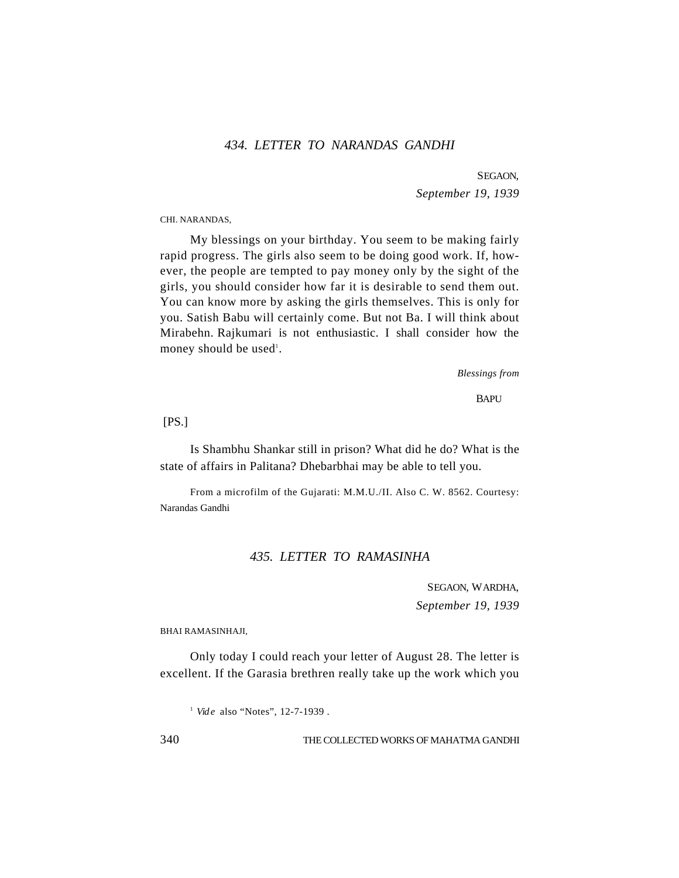# *434. LETTER TO NARANDAS GANDHI*

SEGAON, *September 19, 1939*

CHI. NARANDAS,

My blessings on your birthday. You seem to be making fairly rapid progress. The girls also seem to be doing good work. If, however, the people are tempted to pay money only by the sight of the girls, you should consider how far it is desirable to send them out. You can know more by asking the girls themselves. This is only for you. Satish Babu will certainly come. But not Ba. I will think about Mirabehn. Rajkumari is not enthusiastic. I shall consider how the money should be used<sup>1</sup>.

*Blessings from*

**BAPU** 

[PS.]

Is Shambhu Shankar still in prison? What did he do? What is the state of affairs in Palitana? Dhebarbhai may be able to tell you.

From a microfilm of the Gujarati: M.M.U./II. Also C. W. 8562. Courtesy: Narandas Gandhi

# *435. LETTER TO RAMASINHA*

SEGAON, WARDHA, *September 19, 1939*

BHAI RAMASINHAJI,

Only today I could reach your letter of August 28. The letter is excellent. If the Garasia brethren really take up the work which you

<sup>1</sup> *Vide* also "Notes", 12-7-1939.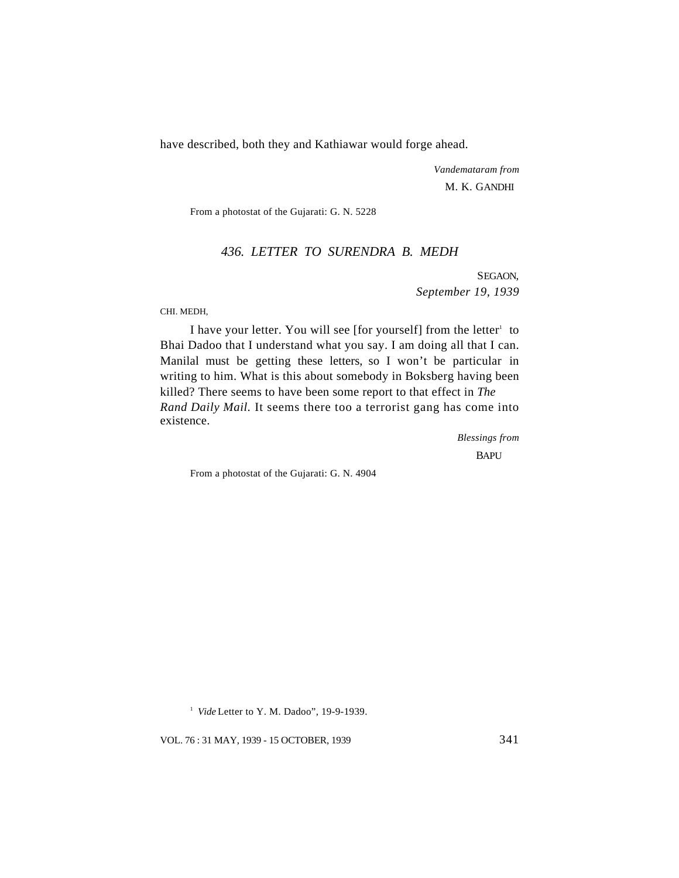have described, both they and Kathiawar would forge ahead.

*Vandemataram from* M. K. GANDHI

From a photostat of the Gujarati: G. N. 5228

#### *436. LETTER TO SURENDRA B. MEDH*

SEGAON, *September 19, 1939*

CHI. MEDH,

I have your letter. You will see [for yourself] from the letter $1$  to Bhai Dadoo that I understand what you say. I am doing all that I can. Manilal must be getting these letters, so I won't be particular in writing to him. What is this about somebody in Boksberg having been killed? There seems to have been some report to that effect in *The Rand Daily Mail.* It seems there too a terrorist gang has come into existence.

> *Blessings from* BAPU

From a photostat of the Gujarati: G. N. 4904

<sup>1</sup> *Vide* Letter to Y. M. Dadoo", 19-9-1939.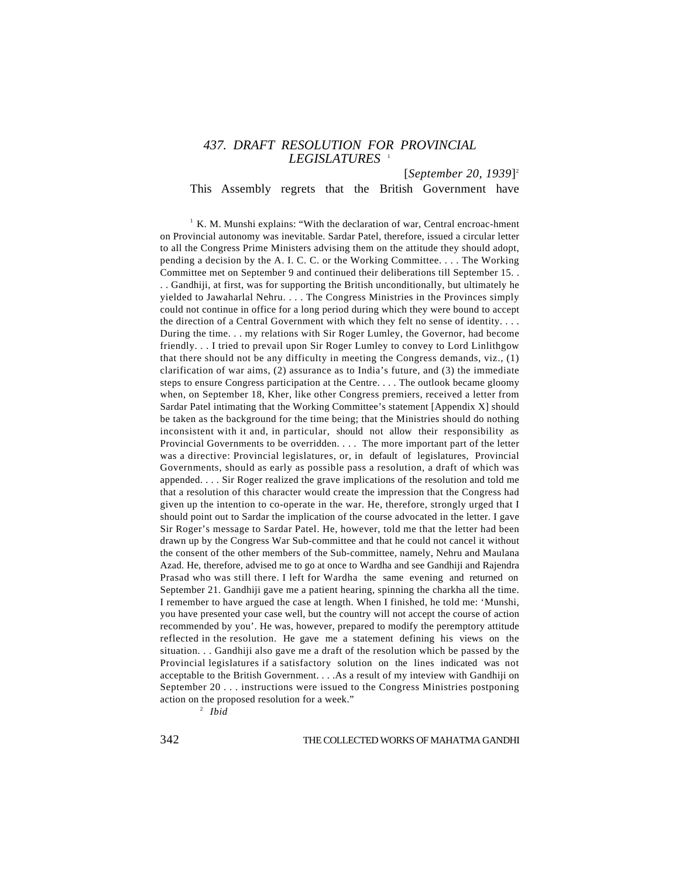## *437. DRAFT RESOLUTION FOR PROVINCIAL LEGISLATURES* <sup>1</sup>

[*September 20, 1939*] 2 This Assembly regrets that the British Government have

 $<sup>1</sup>$  K. M. Munshi explains: "With the declaration of war, Central encroac-hment</sup> on Provincial autonomy was inevitable. Sardar Patel, therefore, issued a circular letter to all the Congress Prime Ministers advising them on the attitude they should adopt, pending a decision by the A. I. C. C. or the Working Committee. . . . The Working Committee met on September 9 and continued their deliberations till September 15. . . . Gandhiji, at first, was for supporting the British unconditionally, but ultimately he yielded to Jawaharlal Nehru. . . . The Congress Ministries in the Provinces simply could not continue in office for a long period during which they were bound to accept the direction of a Central Government with which they felt no sense of identity. . . . During the time. . . my relations with Sir Roger Lumley, the Governor, had become friendly. . . I tried to prevail upon Sir Roger Lumley to convey to Lord Linlithgow that there should not be any difficulty in meeting the Congress demands, viz., (1) clarification of war aims, (2) assurance as to India's future, and (3) the immediate steps to ensure Congress participation at the Centre. . . . The outlook became gloomy when, on September 18, Kher, like other Congress premiers, received a letter from Sardar Patel intimating that the Working Committee's statement [Appendix X] should be taken as the background for the time being; that the Ministries should do nothing inconsistent with it and, in particular, should not allow their responsibility as Provincial Governments to be overridden. . . . The more important part of the letter was a directive: Provincial legislatures, or, in default of legislatures, Provincial Governments, should as early as possible pass a resolution, a draft of which was appended. . . . Sir Roger realized the grave implications of the resolution and told me that a resolution of this character would create the impression that the Congress had given up the intention to co-operate in the war. He, therefore, strongly urged that I should point out to Sardar the implication of the course advocated in the letter. I gave Sir Roger's message to Sardar Patel. He, however, told me that the letter had been drawn up by the Congress War Sub-committee and that he could not cancel it without the consent of the other members of the Sub-committee, namely, Nehru and Maulana Azad. He, therefore, advised me to go at once to Wardha and see Gandhiji and Rajendra Prasad who was still there. I left for Wardha the same evening and returned on September 21. Gandhiji gave me a patient hearing, spinning the charkha all the time. I remember to have argued the case at length. When I finished, he told me: 'Munshi, you have presented your case well, but the country will not accept the course of action recommended by you'. He was, however, prepared to modify the peremptory attitude reflected in the resolution. He gave me a statement defining his views on the situation. . . Gandhiji also gave me a draft of the resolution which be passed by the Provincial legislatures if a satisfactory solution on the lines indicated was not acceptable to the British Government. . . .As a result of my inteview with Gandhiji on September 20 . . . instructions were issued to the Congress Ministries postponing action on the proposed resolution for a week."

2 *Ibid*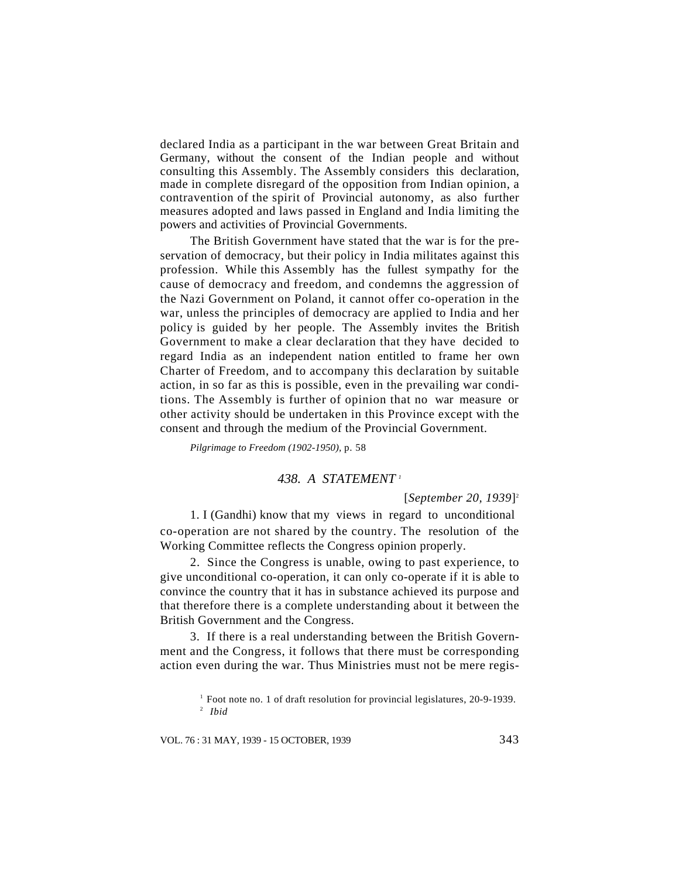declared India as a participant in the war between Great Britain and Germany, without the consent of the Indian people and without consulting this Assembly. The Assembly considers this declaration, made in complete disregard of the opposition from Indian opinion, a contravention of the spirit of Provincial autonomy, as also further measures adopted and laws passed in England and India limiting the powers and activities of Provincial Governments.

The British Government have stated that the war is for the preservation of democracy, but their policy in India militates against this profession. While this Assembly has the fullest sympathy for the cause of democracy and freedom, and condemns the aggression of the Nazi Government on Poland, it cannot offer co-operation in the war, unless the principles of democracy are applied to India and her policy is guided by her people. The Assembly invites the British Government to make a clear declaration that they have decided to regard India as an independent nation entitled to frame her own Charter of Freedom, and to accompany this declaration by suitable action, in so far as this is possible, even in the prevailing war conditions. The Assembly is further of opinion that no war measure or other activity should be undertaken in this Province except with the consent and through the medium of the Provincial Government.

*Pilgrimage to Freedom (1902-1950),* p. 58

#### *438. A STATEMENT <sup>1</sup>*

[*September 20, 1939*] 2

1. I (Gandhi) know that my views in regard to unconditional co-operation are not shared by the country. The resolution of the Working Committee reflects the Congress opinion properly.

2. Since the Congress is unable, owing to past experience, to give unconditional co-operation, it can only co-operate if it is able to convince the country that it has in substance achieved its purpose and that therefore there is a complete understanding about it between the British Government and the Congress.

3. If there is a real understanding between the British Government and the Congress, it follows that there must be corresponding action even during the war. Thus Ministries must not be mere regis-

<sup>&</sup>lt;sup>1</sup> Foot note no. 1 of draft resolution for provincial legislatures, 20-9-1939. 2 *Ibid*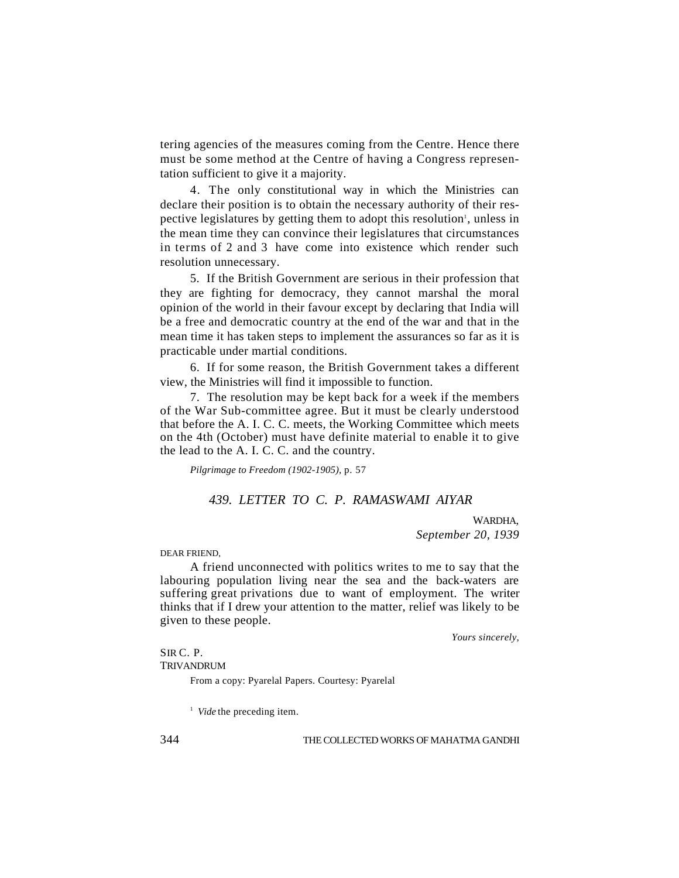tering agencies of the measures coming from the Centre. Hence there must be some method at the Centre of having a Congress representation sufficient to give it a majority.

4. The only constitutional way in which the Ministries can declare their position is to obtain the necessary authority of their respective legislatures by getting them to adopt this resolution<sup>1</sup>, unless in the mean time they can convince their legislatures that circumstances in terms of 2 and 3 have come into existence which render such resolution unnecessary.

5. If the British Government are serious in their profession that they are fighting for democracy, they cannot marshal the moral opinion of the world in their favour except by declaring that India will be a free and democratic country at the end of the war and that in the mean time it has taken steps to implement the assurances so far as it is practicable under martial conditions.

6. If for some reason, the British Government takes a different view, the Ministries will find it impossible to function.

7. The resolution may be kept back for a week if the members of the War Sub-committee agree. But it must be clearly understood that before the A. I. C. C. meets, the Working Committee which meets on the 4th (October) must have definite material to enable it to give the lead to the A. I. C. C. and the country.

*Pilgrimage to Freedom (1902-1905),* p. 57

# *439. LETTER TO C. P. RAMASWAMI AIYAR*

WARDHA, *September 20, 1939*

DEAR FRIEND,

A friend unconnected with politics writes to me to say that the labouring population living near the sea and the back-waters are suffering great privations due to want of employment. The writer thinks that if I drew your attention to the matter, relief was likely to be given to these people.

*Yours sincerely,*

#### SIR C. P. TRIVANDRUM

From a copy: Pyarelal Papers. Courtesy: Pyarelal

<sup>1</sup> *Vide* the preceding item.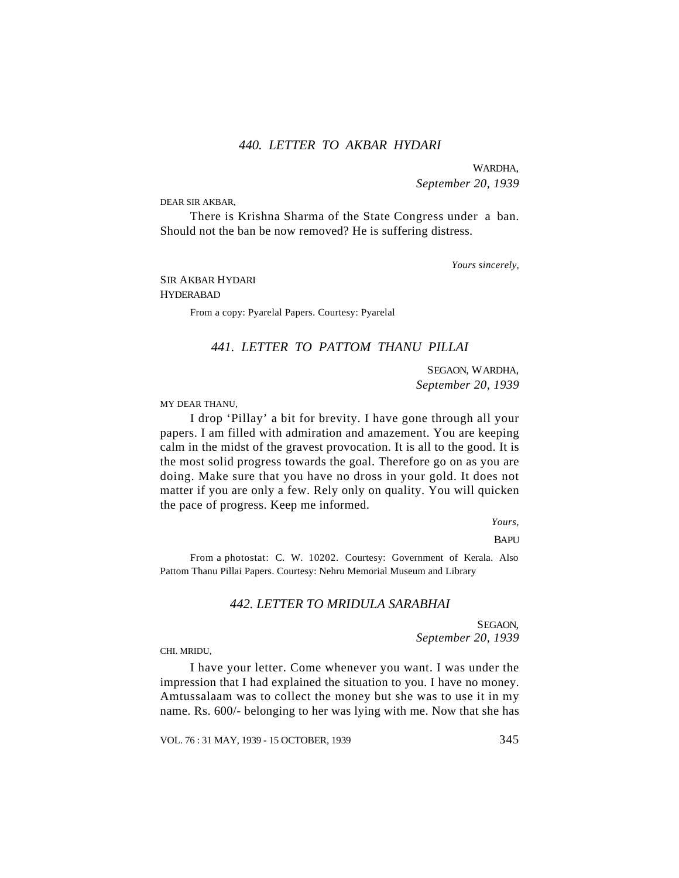## *440. LETTER TO AKBAR HYDARI*

WARDHA, *September 20, 1939*

DEAR SIR AKBAR,

There is Krishna Sharma of the State Congress under a ban. Should not the ban be now removed? He is suffering distress.

*Yours sincerely,*

#### SIR AKBAR HYDARI HYDERABAD

From a copy: Pyarelal Papers. Courtesy: Pyarelal

## *441. LETTER TO PATTOM THANU PILLAI*

SEGAON, WARDHA, *September 20, 1939*

MY DEAR THANU,

I drop 'Pillay' a bit for brevity. I have gone through all your papers. I am filled with admiration and amazement. You are keeping calm in the midst of the gravest provocation. It is all to the good. It is the most solid progress towards the goal. Therefore go on as you are doing. Make sure that you have no dross in your gold. It does not matter if you are only a few. Rely only on quality. You will quicken the pace of progress. Keep me informed.

*Yours,*

**BAPU** 

From a photostat: C. W. 10202. Courtesy: Government of Kerala. Also Pattom Thanu Pillai Papers. Courtesy: Nehru Memorial Museum and Library

#### *442. LETTER TO MRIDULA SARABHAI*

SEGAON, *September 20, 1939*

CHI. MRIDU,

I have your letter. Come whenever you want. I was under the impression that I had explained the situation to you. I have no money. Amtussalaam was to collect the money but she was to use it in my name. Rs. 600/- belonging to her was lying with me. Now that she has

VOL. 76 : 31 MAY, 1939 - 15 OCTOBER, 1939 345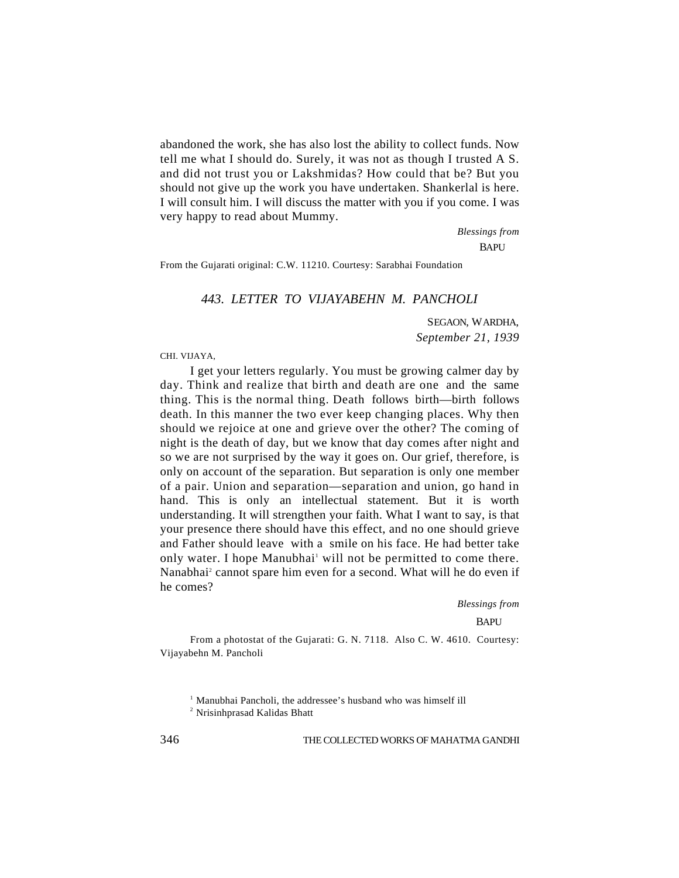abandoned the work, she has also lost the ability to collect funds. Now tell me what I should do. Surely, it was not as though I trusted A S. and did not trust you or Lakshmidas? How could that be? But you should not give up the work you have undertaken. Shankerlal is here. I will consult him. I will discuss the matter with you if you come. I was very happy to read about Mummy.

> *Blessings from* **BAPU**

From the Gujarati original: C.W. 11210. Courtesy: Sarabhai Foundation

## *443. LETTER TO VIJAYABEHN M. PANCHOLI*

SEGAON, WARDHA, *September 21, 1939*

CHI. VIJAYA,

I get your letters regularly. You must be growing calmer day by day. Think and realize that birth and death are one and the same thing. This is the normal thing. Death follows birth—birth follows death. In this manner the two ever keep changing places. Why then should we rejoice at one and grieve over the other? The coming of night is the death of day, but we know that day comes after night and so we are not surprised by the way it goes on. Our grief, therefore, is only on account of the separation. But separation is only one member of a pair. Union and separation—separation and union, go hand in hand. This is only an intellectual statement. But it is worth understanding. It will strengthen your faith. What I want to say, is that your presence there should have this effect, and no one should grieve and Father should leave with a smile on his face. He had better take only water. I hope Manubhai<sup>1</sup> will not be permitted to come there. Nanabhai<sup>2</sup> cannot spare him even for a second. What will he do even if he comes?

*Blessings from*

**BAPU** 

From a photostat of the Gujarati: G. N. 7118. Also C. W. 4610. Courtesy: Vijayabehn M. Pancholi

<sup>&</sup>lt;sup>1</sup> Manubhai Pancholi, the addressee's husband who was himself ill <sup>2</sup> Nrisinhprasad Kalidas Bhatt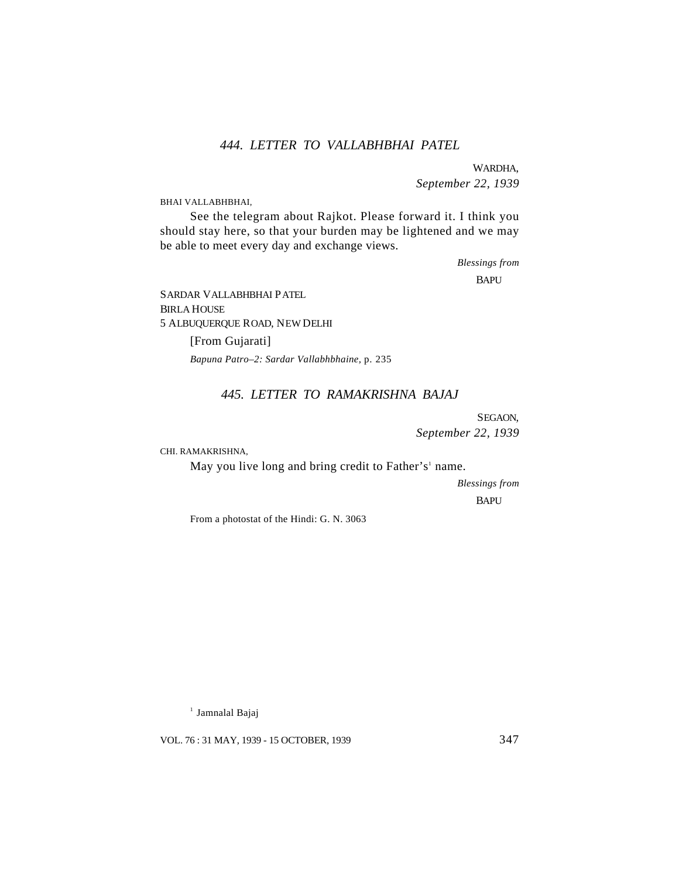# *444. LETTER TO VALLABHBHAI PATEL*

WARDHA, *September 22, 1939*

BHAI VALLABHBHAI,

See the telegram about Rajkot. Please forward it. I think you should stay here, so that your burden may be lightened and we may be able to meet every day and exchange views.

*Blessings from*

**BAPU** 

SARDAR VALLABHBHAI PATEL BIRLA HOUSE 5 ALBUQUERQUE ROAD, NEW DELHI [From Gujarati]

*Bapuna Patro–2: Sardar Vallabhbhaine,* p. 235

# *445. LETTER TO RAMAKRISHNA BAJAJ*

SEGAON, *September 22, 1939*

#### CHI. RAMAKRISHNA,

May you live long and bring credit to Father's' name.

*Blessings from*

BAPU

From a photostat of the Hindi: G. N. 3063

<sup>1</sup> Jamnalal Bajaj

VOL. 76 : 31 MAY, 1939 - 15 OCTOBER, 1939 347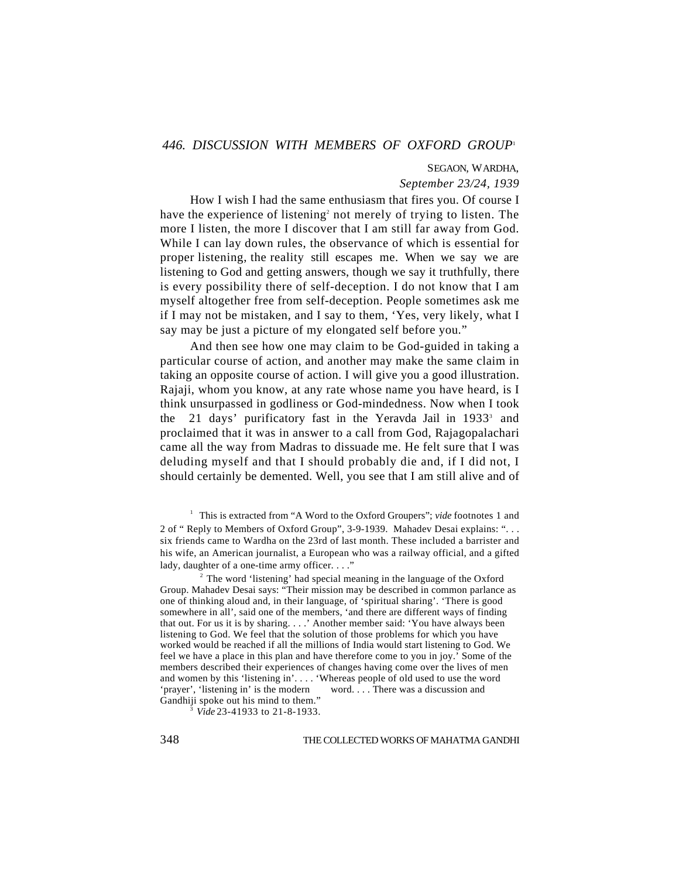# SEGAON, WARDHA, *September 23/24, 1939*

How I wish I had the same enthusiasm that fires you. Of course I have the experience of listening<sup>2</sup> not merely of trying to listen. The more I listen, the more I discover that I am still far away from God. While I can lay down rules, the observance of which is essential for proper listening, the reality still escapes me. When we say we are listening to God and getting answers, though we say it truthfully, there is every possibility there of self-deception. I do not know that I am myself altogether free from self-deception. People sometimes ask me if I may not be mistaken, and I say to them, 'Yes, very likely, what I say may be just a picture of my elongated self before you."

And then see how one may claim to be God-guided in taking a particular course of action, and another may make the same claim in taking an opposite course of action. I will give you a good illustration. Rajaji, whom you know, at any rate whose name you have heard, is I think unsurpassed in godliness or God-mindedness. Now when I took the 21 days' purificatory fast in the Yeravda Jail in 1933<sup>3</sup> and proclaimed that it was in answer to a call from God, Rajagopalachari came all the way from Madras to dissuade me. He felt sure that I was deluding myself and that I should probably die and, if I did not, I should certainly be demented. Well, you see that I am still alive and of

<sup>1</sup> This is extracted from "A Word to the Oxford Groupers"; *vide* footnotes 1 and 2 of " Reply to Members of Oxford Group", 3-9-1939. Mahadev Desai explains: ". . . six friends came to Wardha on the 23rd of last month. These included a barrister and his wife, an American journalist, a European who was a railway official, and a gifted lady, daughter of a one-time army officer. . . ."

<sup>2</sup> The word 'listening' had special meaning in the language of the Oxford Group. Mahadev Desai says: "Their mission may be described in common parlance as one of thinking aloud and, in their language, of 'spiritual sharing'. 'There is good somewhere in all', said one of the members, 'and there are different ways of finding that out. For us it is by sharing. . . .' Another member said: 'You have always been listening to God. We feel that the solution of those problems for which you have worked would be reached if all the millions of India would start listening to God. We feel we have a place in this plan and have therefore come to you in joy.' Some of the members described their experiences of changes having come over the lives of men and women by this 'listening in'.... 'Whereas people of old used to use the word 'prayer'. 'listening in' is the modern word.... There was a discussion and 'prayer', 'listening in' is the modern Gandhiji spoke out his mind to them."

<sup>3</sup> *Vide* 23-41933 to 21-8-1933.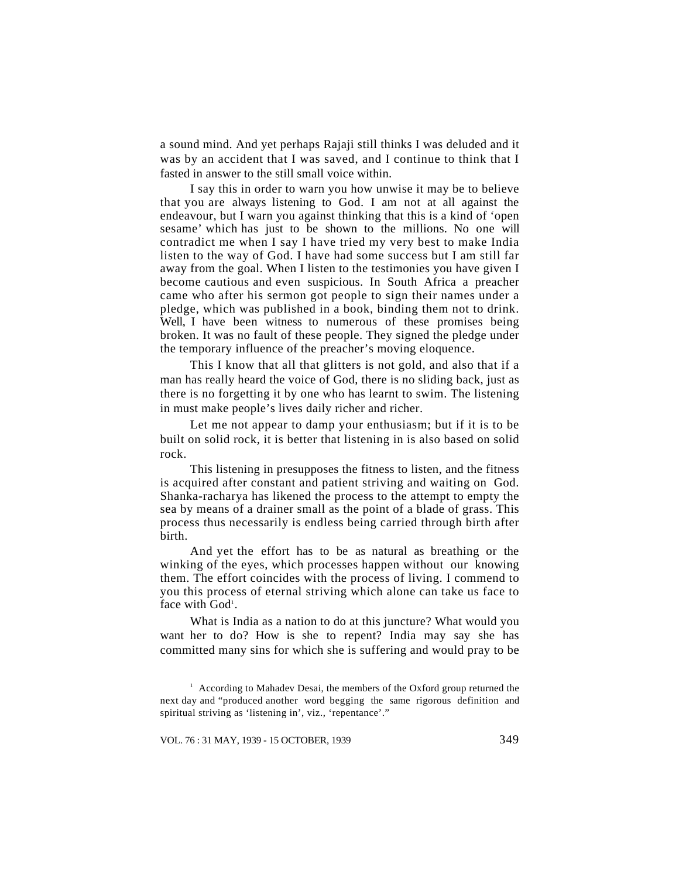a sound mind. And yet perhaps Rajaji still thinks I was deluded and it was by an accident that I was saved, and I continue to think that I fasted in answer to the still small voice within.

I say this in order to warn you how unwise it may be to believe that you are always listening to God. I am not at all against the endeavour, but I warn you against thinking that this is a kind of 'open sesame' which has just to be shown to the millions. No one will contradict me when I say I have tried my very best to make India listen to the way of God. I have had some success but I am still far away from the goal. When I listen to the testimonies you have given I become cautious and even suspicious. In South Africa a preacher came who after his sermon got people to sign their names under a pledge, which was published in a book, binding them not to drink. Well, I have been witness to numerous of these promises being broken. It was no fault of these people. They signed the pledge under the temporary influence of the preacher's moving eloquence.

This I know that all that glitters is not gold, and also that if a man has really heard the voice of God, there is no sliding back, just as there is no forgetting it by one who has learnt to swim. The listening in must make people's lives daily richer and richer.

Let me not appear to damp your enthusiasm; but if it is to be built on solid rock, it is better that listening in is also based on solid rock.

This listening in presupposes the fitness to listen, and the fitness is acquired after constant and patient striving and waiting on God. Shanka-racharya has likened the process to the attempt to empty the sea by means of a drainer small as the point of a blade of grass. This process thus necessarily is endless being carried through birth after birth.

And yet the effort has to be as natural as breathing or the winking of the eyes, which processes happen without our knowing them. The effort coincides with the process of living. I commend to you this process of eternal striving which alone can take us face to face with God<sup>1</sup>.

What is India as a nation to do at this juncture? What would you want her to do? How is she to repent? India may say she has committed many sins for which she is suffering and would pray to be

<sup>&</sup>lt;sup>1</sup> According to Mahadev Desai, the members of the Oxford group returned the next day and "produced another word begging the same rigorous definition and spiritual striving as 'listening in', viz., 'repentance'."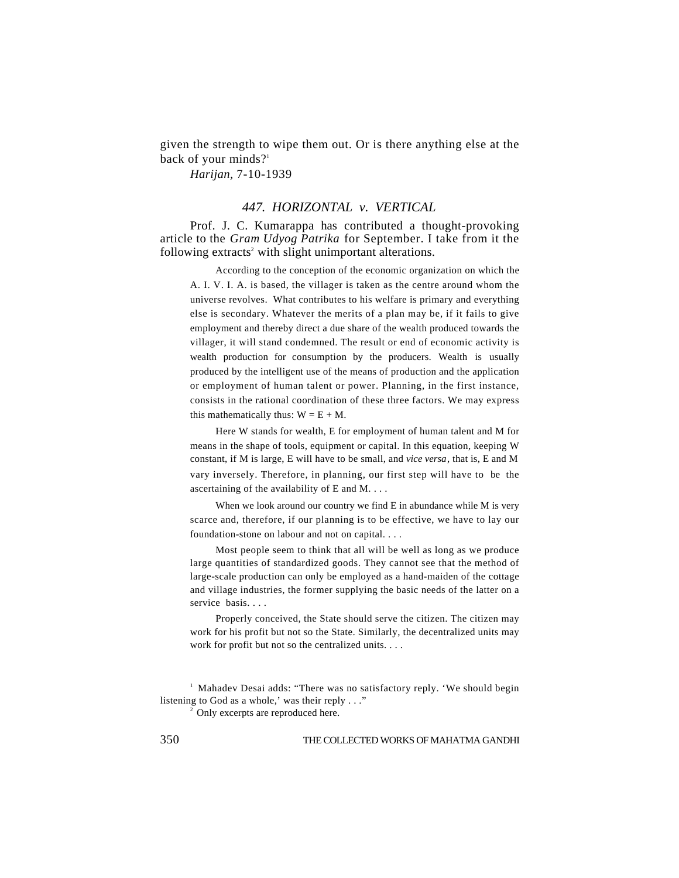given the strength to wipe them out. Or is there anything else at the back of your minds?<sup>1</sup>

*Harijan,* 7-10-1939

#### *447. HORIZONTAL v. VERTICAL*

Prof. J. C. Kumarappa has contributed a thought-provoking article to the *Gram Udyog Patrika* for September. I take from it the following extracts<sup>2</sup> with slight unimportant alterations.

According to the conception of the economic organization on which the A. I. V. I. A. is based, the villager is taken as the centre around whom the universe revolves. What contributes to his welfare is primary and everything else is secondary. Whatever the merits of a plan may be, if it fails to give employment and thereby direct a due share of the wealth produced towards the villager, it will stand condemned. The result or end of economic activity is wealth production for consumption by the producers. Wealth is usually produced by the intelligent use of the means of production and the application or employment of human talent or power. Planning, in the first instance, consists in the rational coordination of these three factors. We may express this mathematically thus:  $W = E + M$ .

Here W stands for wealth, E for employment of human talent and M for means in the shape of tools, equipment or capital. In this equation, keeping W constant, if M is large, E will have to be small, and *vice versa*, that is, E and M vary inversely. Therefore, in planning, our first step will have to be the ascertaining of the availability of  $E$  and  $M$ ...

When we look around our country we find E in abundance while M is very scarce and, therefore, if our planning is to be effective, we have to lay our foundation-stone on labour and not on capital. . . .

Most people seem to think that all will be well as long as we produce large quantities of standardized goods. They cannot see that the method of large-scale production can only be employed as a hand-maiden of the cottage and village industries, the former supplying the basic needs of the latter on a service basis...

Properly conceived, the State should serve the citizen. The citizen may work for his profit but not so the State. Similarly, the decentralized units may work for profit but not so the centralized units. . . .

<sup>1</sup> Mahadev Desai adds: "There was no satisfactory reply. 'We should begin listening to God as a whole,' was their reply . . ."

 $2^{\circ}$  Only excerpts are reproduced here.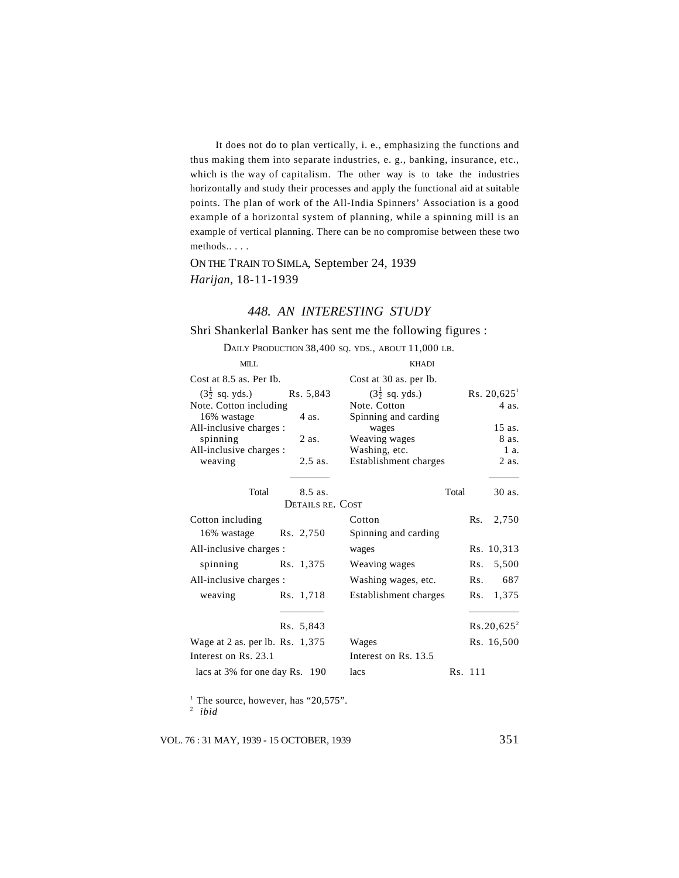It does not do to plan vertically, i. e., emphasizing the functions and thus making them into separate industries, e. g., banking, insurance, etc., which is the way of capitalism. The other way is to take the industries horizontally and study their processes and apply the functional aid at suitable points. The plan of work of the All-India Spinners' Association is a good example of a horizontal system of planning, while a spinning mill is an example of vertical planning. There can be no compromise between these two methods.. . . .

ON THE TRAIN TO SIMLA, September 24, 1939 *Harijan,* 18-11-1939

## *448. AN INTERESTING STUDY*

#### Shri Shankerlal Banker has sent me the following figures :

DAILY PRODUCTION 38,400 SQ. YDS., ABOUT 11,000 LB.

| <b>MILL</b>                         |  |                  | <b>KHADI</b>                   |       |         |                   |
|-------------------------------------|--|------------------|--------------------------------|-------|---------|-------------------|
| Cost at 8.5 as, Per Ib.             |  |                  | Cost at 30 as. per lb.         |       |         |                   |
| $(3\frac{1}{2}$ sq. yds.)           |  | Rs. 5,843        | $(3\frac{1}{2}$ sq. yds.)      |       |         | Rs. $20,625^1$    |
| Note. Cotton including              |  |                  | Note. Cotton                   |       |         | 4 as.             |
| 16% wastage                         |  | $4$ as.          | Spinning and carding           |       |         |                   |
| All-inclusive charges :<br>spinning |  |                  | wages                          |       |         | $15$ as.<br>8 as. |
| All-inclusive charges:              |  | 2 as.            | Weaving wages<br>Washing, etc. |       |         | 1 a.              |
| weaving                             |  | 2.5 as.          | Establishment charges          |       |         | 2 as.             |
|                                     |  |                  |                                |       |         |                   |
| Total                               |  | 8.5 as.          |                                | Total |         | 30 as.            |
|                                     |  | DETAILS RE. COST |                                |       |         |                   |
| Cotton including                    |  |                  | Cotton                         |       | Rs.     | 2,750             |
| 16% wastage                         |  | Rs. 2,750        | Spinning and carding           |       |         |                   |
| All-inclusive charges :             |  |                  | wages                          |       |         | Rs. 10,313        |
| spinning Rs. 1,375                  |  |                  | Weaving wages                  |       |         | Rs. 5,500         |
| All-inclusive charges :             |  |                  | Washing wages, etc.            |       | Rs.     | 687               |
| weaving                             |  | Rs. 1,718        | Establishment charges          |       |         | Rs. 1,375         |
|                                     |  |                  |                                |       |         |                   |
|                                     |  | Rs. 5,843        |                                |       |         | $Rs.20,625^2$     |
| Wage at 2 as. per lb. Rs. $1,375$   |  |                  | Wages                          |       |         | Rs. 16,500        |
| Interest on Rs. 23.1                |  |                  | Interest on Rs. 13.5           |       |         |                   |
| lacs at 3% for one day Rs. 190      |  |                  | lacs                           |       | Rs. 111 |                   |
|                                     |  |                  |                                |       |         |                   |

<sup>1</sup> The source, however, has "20,575". 2 *ibid*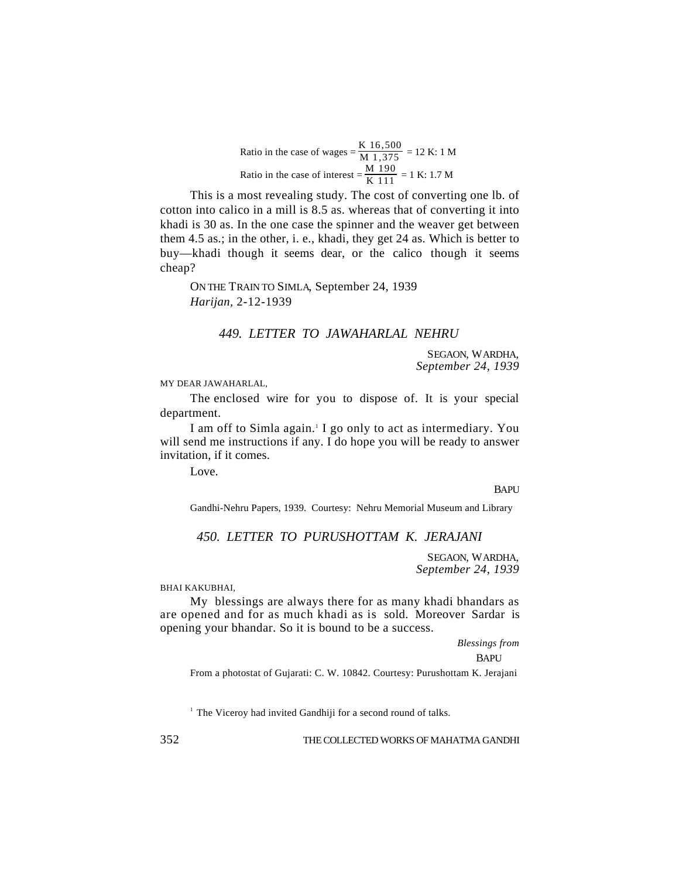Ratio in the case of wages  $=$   $\frac{K \cdot 16,500}{M \cdot 1,375} = 12 K: 1 M$ Ratio in the case of interest  $=$   $\frac{M 190}{K 111} = 1 K: 1.7 M$ 

This is a most revealing study. The cost of converting one lb. of cotton into calico in a mill is 8.5 as. whereas that of converting it into khadi is 30 as. In the one case the spinner and the weaver get between them 4.5 as.; in the other, i. e., khadi, they get 24 as. Which is better to buy—khadi though it seems dear, or the calico though it seems cheap?

ON THE TRAIN TO SIMLA, September 24, 1939 *Harijan,* 2-12-1939

# *449. LETTER TO JAWAHARLAL NEHRU*

SEGAON, WARDHA, *September 24, 1939*

MY DEAR JAWAHARLAL,

The enclosed wire for you to dispose of. It is your special department.

I am off to Simla again.<sup>1</sup> I go only to act as intermediary. You will send me instructions if any. I do hope you will be ready to answer invitation, if it comes.

Love.

**BAPU** 

Gandhi-Nehru Papers, 1939. Courtesy: Nehru Memorial Museum and Library

*450. LETTER TO PURUSHOTTAM K. JERAJANI*

SEGAON, WARDHA, *September 24, 1939*

BHAI KAKUBHAI,

My blessings are always there for as many khadi bhandars as are opened and for as much khadi as is sold. Moreover Sardar is opening your bhandar. So it is bound to be a success.

*Blessings from*

**BAPU** 

From a photostat of Gujarati: C. W. 10842. Courtesy: Purushottam K. Jerajani

 $<sup>1</sup>$  The Viceroy had invited Gandhiji for a second round of talks.</sup>

352 THE COLLECTED WORKS OF MAHATMA GANDHI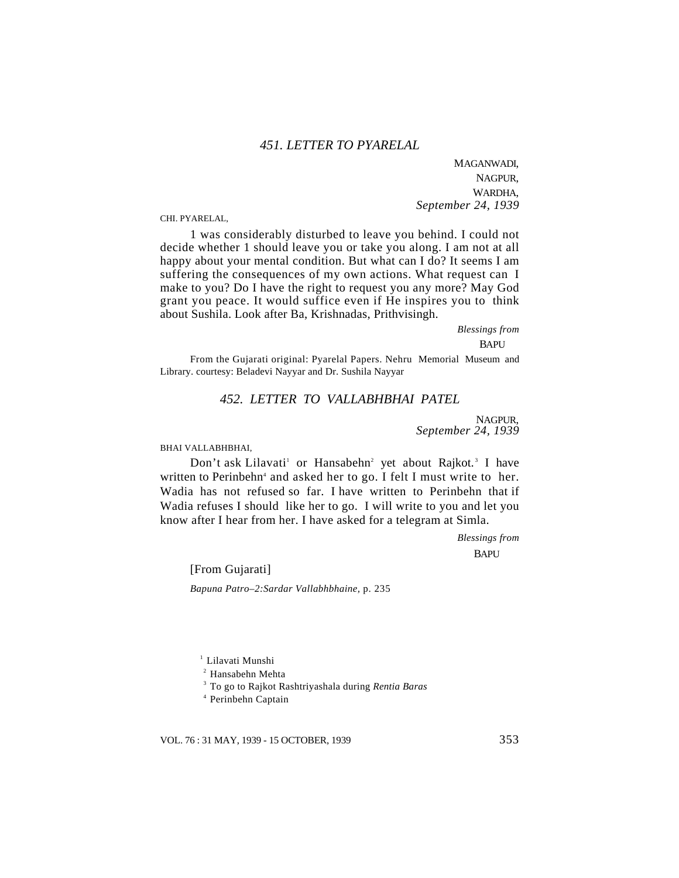# *451. LETTER TO PYARELAL*

MAGANWADI, NAGPUR, WARDHA, *September 24, 1939*

CHI. PYARELAL,

1 was considerably disturbed to leave you behind. I could not decide whether 1 should leave you or take you along. I am not at all happy about your mental condition. But what can I do? It seems I am suffering the consequences of my own actions. What request can I make to you? Do I have the right to request you any more? May God grant you peace. It would suffice even if He inspires you to think about Sushila. Look after Ba, Krishnadas, Prithvisingh.

*Blessings from*

BAPU

From the Gujarati original: Pyarelal Papers. Nehru Memorial Museum and Library. courtesy: Beladevi Nayyar and Dr. Sushila Nayyar

#### *452. LETTER TO VALLABHBHAI PATEL*

NAGPUR, *September 24, 1939*

BHAI VALLABHBHAI,

Don't ask Lilavati<sup>1</sup> or Hansabehn<sup>2</sup> yet about Rajkot.<sup>3</sup> I have written to Perinbehn<sup>4</sup> and asked her to go. I felt I must write to her. Wadia has not refused so far. I have written to Perinbehn that if Wadia refuses I should like her to go. I will write to you and let you know after I hear from her. I have asked for a telegram at Simla.

*Blessings from*

**BAPU** 

[From Gujarati]

*Bapuna Patro–2:Sardar Vallabhbhaine,* p. 235

<sup>1</sup> Lilavati Munshi

<sup>2</sup> Hansabehn Mehta

<sup>3</sup> To go to Rajkot Rashtriyashala during *Rentia Baras*

4 Perinbehn Captain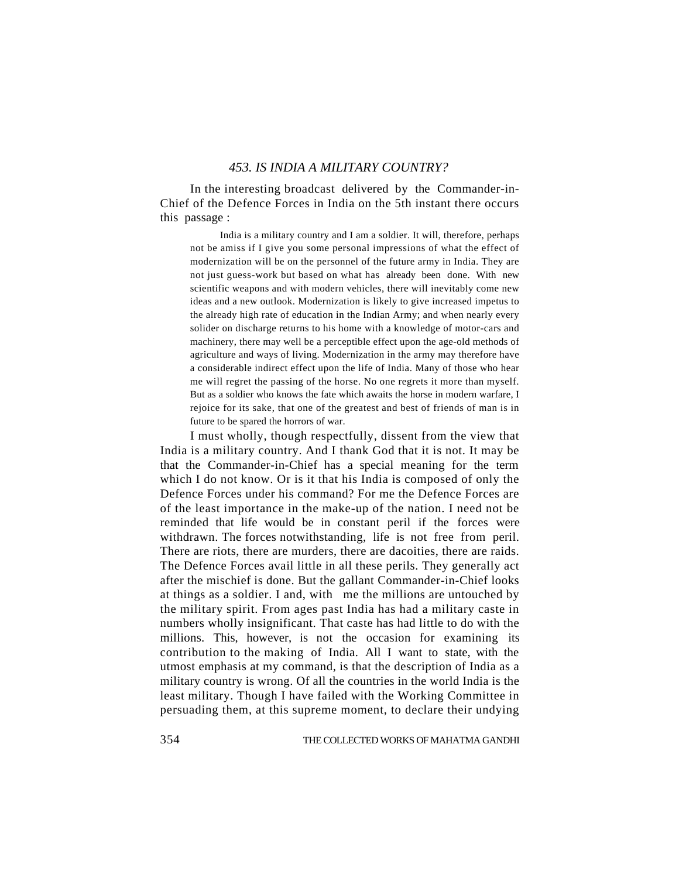# *453. IS INDIA A MILITARY COUNTRY?*

In the interesting broadcast delivered by the Commander-in-Chief of the Defence Forces in India on the 5th instant there occurs this passage :

India is a military country and I am a soldier. It will, therefore, perhaps not be amiss if I give you some personal impressions of what the effect of modernization will be on the personnel of the future army in India. They are not just guess-work but based on what has already been done. With new scientific weapons and with modern vehicles, there will inevitably come new ideas and a new outlook. Modernization is likely to give increased impetus to the already high rate of education in the Indian Army; and when nearly every solider on discharge returns to his home with a knowledge of motor-cars and machinery, there may well be a perceptible effect upon the age-old methods of agriculture and ways of living. Modernization in the army may therefore have a considerable indirect effect upon the life of India. Many of those who hear me will regret the passing of the horse. No one regrets it more than myself. But as a soldier who knows the fate which awaits the horse in modern warfare, I rejoice for its sake, that one of the greatest and best of friends of man is in future to be spared the horrors of war.

I must wholly, though respectfully, dissent from the view that India is a military country. And I thank God that it is not. It may be that the Commander-in-Chief has a special meaning for the term which I do not know. Or is it that his India is composed of only the Defence Forces under his command? For me the Defence Forces are of the least importance in the make-up of the nation. I need not be reminded that life would be in constant peril if the forces were withdrawn. The forces notwithstanding, life is not free from peril. There are riots, there are murders, there are dacoities, there are raids. The Defence Forces avail little in all these perils. They generally act after the mischief is done. But the gallant Commander-in-Chief looks at things as a soldier. I and, with me the millions are untouched by the military spirit. From ages past India has had a military caste in numbers wholly insignificant. That caste has had little to do with the millions. This, however, is not the occasion for examining its contribution to the making of India. All I want to state, with the utmost emphasis at my command, is that the description of India as a military country is wrong. Of all the countries in the world India is the least military. Though I have failed with the Working Committee in persuading them, at this supreme moment, to declare their undying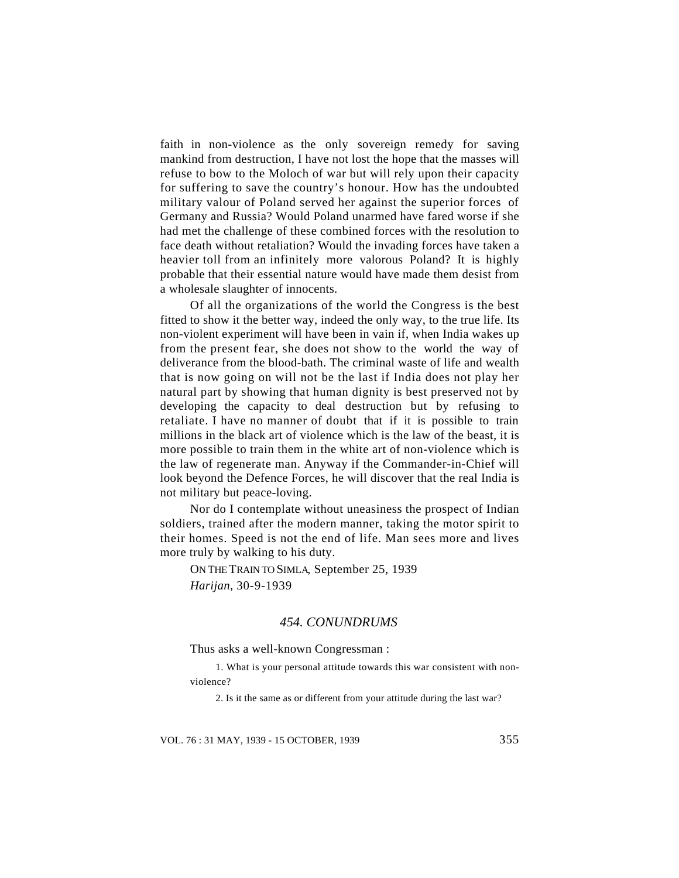faith in non-violence as the only sovereign remedy for saving mankind from destruction, I have not lost the hope that the masses will refuse to bow to the Moloch of war but will rely upon their capacity for suffering to save the country's honour. How has the undoubted military valour of Poland served her against the superior forces of Germany and Russia? Would Poland unarmed have fared worse if she had met the challenge of these combined forces with the resolution to face death without retaliation? Would the invading forces have taken a heavier toll from an infinitely more valorous Poland? It is highly probable that their essential nature would have made them desist from a wholesale slaughter of innocents.

Of all the organizations of the world the Congress is the best fitted to show it the better way, indeed the only way, to the true life. Its non-violent experiment will have been in vain if, when India wakes up from the present fear, she does not show to the world the way of deliverance from the blood-bath. The criminal waste of life and wealth that is now going on will not be the last if India does not play her natural part by showing that human dignity is best preserved not by developing the capacity to deal destruction but by refusing to retaliate. I have no manner of doubt that if it is possible to train millions in the black art of violence which is the law of the beast, it is more possible to train them in the white art of non-violence which is the law of regenerate man. Anyway if the Commander-in-Chief will look beyond the Defence Forces, he will discover that the real India is not military but peace-loving.

Nor do I contemplate without uneasiness the prospect of Indian soldiers, trained after the modern manner, taking the motor spirit to their homes. Speed is not the end of life. Man sees more and lives more truly by walking to his duty.

ON THE TRAIN TO SIMLA, September 25, 1939 *Harijan,* 30-9-1939

# *454. CONUNDRUMS*

Thus asks a well-known Congressman :

1. What is your personal attitude towards this war consistent with nonviolence?

2. Is it the same as or different from your attitude during the last war?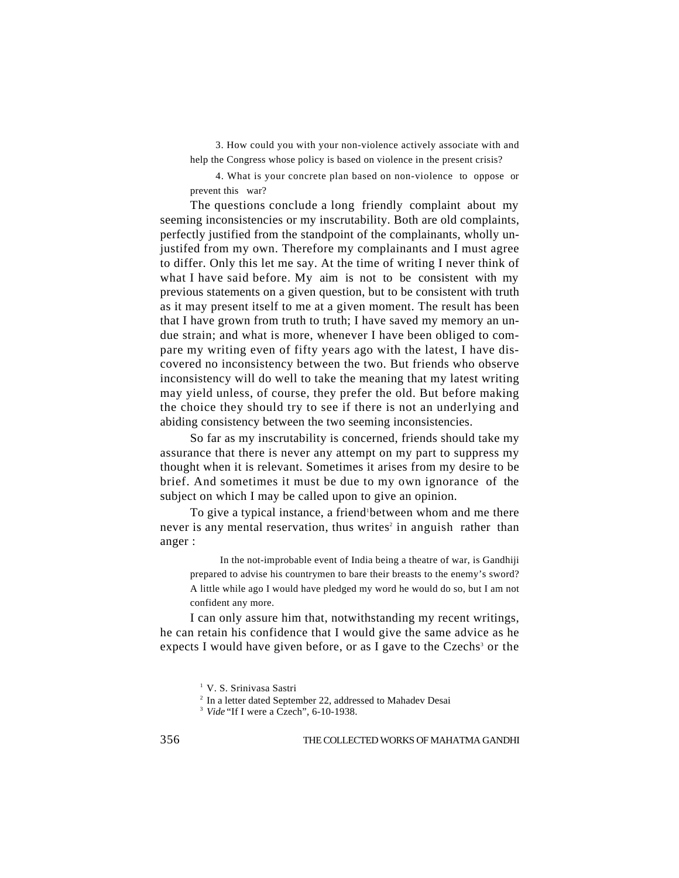3. How could you with your non-violence actively associate with and help the Congress whose policy is based on violence in the present crisis?

4. What is your concrete plan based on non-violence to oppose or prevent this war?

The questions conclude a long friendly complaint about my seeming inconsistencies or my inscrutability. Both are old complaints, perfectly justified from the standpoint of the complainants, wholly unjustifed from my own. Therefore my complainants and I must agree to differ. Only this let me say. At the time of writing I never think of what I have said before. My aim is not to be consistent with my previous statements on a given question, but to be consistent with truth as it may present itself to me at a given moment. The result has been that I have grown from truth to truth; I have saved my memory an undue strain; and what is more, whenever I have been obliged to compare my writing even of fifty years ago with the latest, I have discovered no inconsistency between the two. But friends who observe inconsistency will do well to take the meaning that my latest writing may yield unless, of course, they prefer the old. But before making the choice they should try to see if there is not an underlying and abiding consistency between the two seeming inconsistencies.

So far as my inscrutability is concerned, friends should take my assurance that there is never any attempt on my part to suppress my thought when it is relevant. Sometimes it arises from my desire to be brief. And sometimes it must be due to my own ignorance of the subject on which I may be called upon to give an opinion.

To give a typical instance, a friend between whom and me there never is any mental reservation, thus writes<sup>2</sup> in anguish rather than anger :

 In the not-improbable event of India being a theatre of war, is Gandhiji prepared to advise his countrymen to bare their breasts to the enemy's sword? A little while ago I would have pledged my word he would do so, but I am not confident any more.

I can only assure him that, notwithstanding my recent writings, he can retain his confidence that I would give the same advice as he expects I would have given before, or as I gave to the Czechs<sup>3</sup> or the

<sup>&</sup>lt;sup>1</sup> V. S. Srinivasa Sastri

<sup>&</sup>lt;sup>2</sup> In a letter dated September 22, addressed to Mahadev Desai

<sup>3</sup> *Vide* "If I were a Czech", 6-10-1938.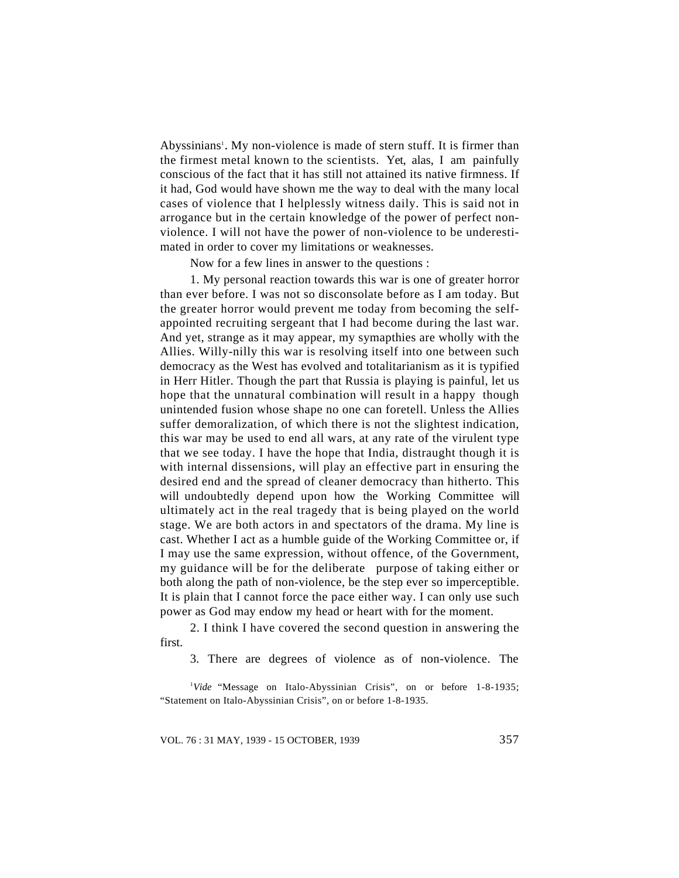Abyssinians<sup>1</sup>. My non-violence is made of stern stuff. It is firmer than the firmest metal known to the scientists. Yet, alas, I am painfully conscious of the fact that it has still not attained its native firmness. If it had, God would have shown me the way to deal with the many local cases of violence that I helplessly witness daily. This is said not in arrogance but in the certain knowledge of the power of perfect nonviolence. I will not have the power of non-violence to be underestimated in order to cover my limitations or weaknesses.

Now for a few lines in answer to the questions :

1. My personal reaction towards this war is one of greater horror than ever before. I was not so disconsolate before as I am today. But the greater horror would prevent me today from becoming the selfappointed recruiting sergeant that I had become during the last war. And yet, strange as it may appear, my symapthies are wholly with the Allies. Willy-nilly this war is resolving itself into one between such democracy as the West has evolved and totalitarianism as it is typified in Herr Hitler. Though the part that Russia is playing is painful, let us hope that the unnatural combination will result in a happy though unintended fusion whose shape no one can foretell. Unless the Allies suffer demoralization, of which there is not the slightest indication, this war may be used to end all wars, at any rate of the virulent type that we see today. I have the hope that India, distraught though it is with internal dissensions, will play an effective part in ensuring the desired end and the spread of cleaner democracy than hitherto. This will undoubtedly depend upon how the Working Committee will ultimately act in the real tragedy that is being played on the world stage. We are both actors in and spectators of the drama. My line is cast. Whether I act as a humble guide of the Working Committee or, if I may use the same expression, without offence, of the Government, my guidance will be for the deliberate purpose of taking either or both along the path of non-violence, be the step ever so imperceptible. It is plain that I cannot force the pace either way. I can only use such power as God may endow my head or heart with for the moment.

2. I think I have covered the second question in answering the first.

3. There are degrees of violence as of non-violence. The

<sup>1</sup>Vide "Message on Italo-Abyssinian Crisis", on or before 1-8-1935; "Statement on Italo-Abyssinian Crisis", on or before 1-8-1935.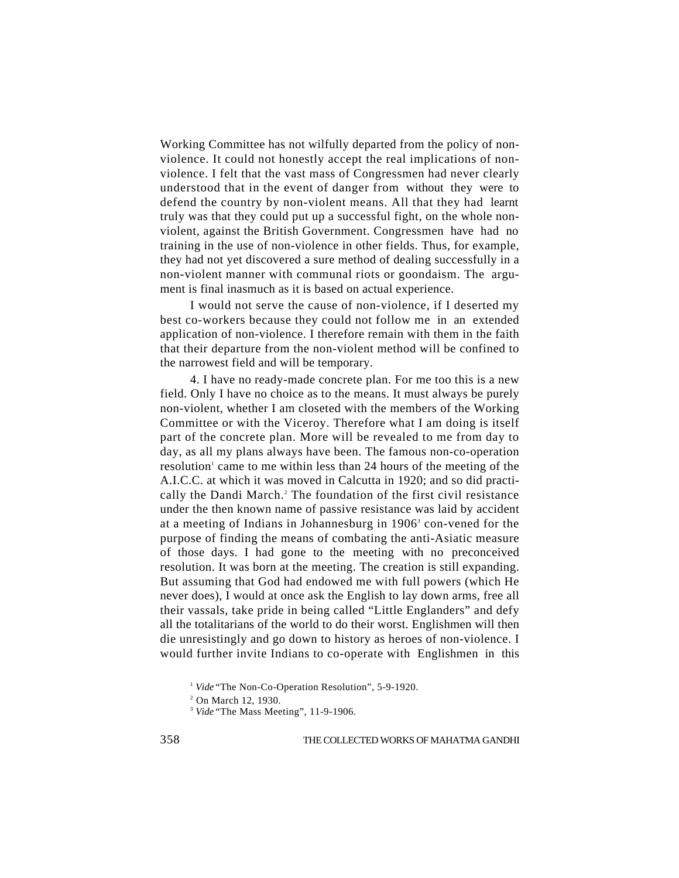Working Committee has not wilfully departed from the policy of nonviolence. It could not honestly accept the real implications of nonviolence. I felt that the vast mass of Congressmen had never clearly understood that in the event of danger from without they were to defend the country by non-violent means. All that they had learnt truly was that they could put up a successful fight, on the whole nonviolent, against the British Government. Congressmen have had no training in the use of non-violence in other fields. Thus, for example, they had not yet discovered a sure method of dealing successfully in a non-violent manner with communal riots or goondaism. The argument is final inasmuch as it is based on actual experience.

I would not serve the cause of non-violence, if I deserted my best co-workers because they could not follow me in an extended application of non-violence. I therefore remain with them in the faith that their departure from the non-violent method will be confined to the narrowest field and will be temporary.

4. I have no ready-made concrete plan. For me too this is a new field. Only I have no choice as to the means. It must always be purely non-violent, whether I am closeted with the members of the Working Committee or with the Viceroy. Therefore what I am doing is itself part of the concrete plan. More will be revealed to me from day to day, as all my plans always have been. The famous non-co-operation resolution<sup>1</sup> came to me within less than 24 hours of the meeting of the A.I.C.C. at which it was moved in Calcutta in 1920; and so did practically the Dandi March.<sup>2</sup> The foundation of the first civil resistance under the then known name of passive resistance was laid by accident at a meeting of Indians in Johannesburg in 1906<sup>3</sup> con-vened for the purpose of finding the means of combating the anti-Asiatic measure of those days. I had gone to the meeting with no preconceived resolution. It was born at the meeting. The creation is still expanding. But assuming that God had endowed me with full powers (which He never does), I would at once ask the English to lay down arms, free all their vassals, take pride in being called "Little Englanders" and defy all the totalitarians of the world to do their worst. Englishmen will then die unresistingly and go down to history as heroes of non-violence. I would further invite Indians to co-operate with Englishmen in this

<sup>&</sup>lt;sup>1</sup> *Vide* "The Non-Co-Operation Resolution", 5-9-1920.

<sup>2</sup> On March 12, 1930.

<sup>3</sup> *Vide* "The Mass Meeting", 11-9-1906.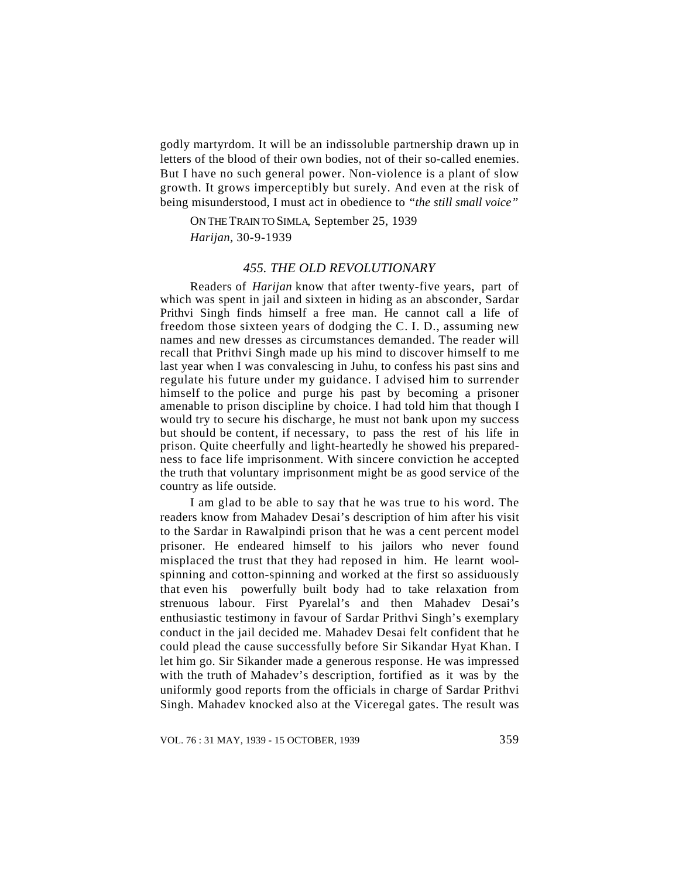godly martyrdom. It will be an indissoluble partnership drawn up in letters of the blood of their own bodies, not of their so-called enemies. But I have no such general power. Non-violence is a plant of slow growth. It grows imperceptibly but surely. And even at the risk of being misunderstood, I must act in obedience to *"the still small voice"*

ON THE TRAIN TO SIMLA, September 25, 1939 *Harijan,* 30-9-1939

# *455. THE OLD REVOLUTIONARY*

Readers of *Harijan* know that after twenty-five years, part of which was spent in jail and sixteen in hiding as an absconder, Sardar Prithvi Singh finds himself a free man. He cannot call a life of freedom those sixteen years of dodging the C. I. D., assuming new names and new dresses as circumstances demanded. The reader will recall that Prithvi Singh made up his mind to discover himself to me last year when I was convalescing in Juhu, to confess his past sins and regulate his future under my guidance. I advised him to surrender himself to the police and purge his past by becoming a prisoner amenable to prison discipline by choice. I had told him that though I would try to secure his discharge, he must not bank upon my success but should be content, if necessary, to pass the rest of his life in prison. Quite cheerfully and light-heartedly he showed his preparedness to face life imprisonment. With sincere conviction he accepted the truth that voluntary imprisonment might be as good service of the country as life outside.

I am glad to be able to say that he was true to his word. The readers know from Mahadev Desai's description of him after his visit to the Sardar in Rawalpindi prison that he was a cent percent model prisoner. He endeared himself to his jailors who never found misplaced the trust that they had reposed in him. He learnt woolspinning and cotton-spinning and worked at the first so assiduously that even his powerfully built body had to take relaxation from strenuous labour. First Pyarelal's and then Mahadev Desai's enthusiastic testimony in favour of Sardar Prithvi Singh's exemplary conduct in the jail decided me. Mahadev Desai felt confident that he could plead the cause successfully before Sir Sikandar Hyat Khan. I let him go. Sir Sikander made a generous response. He was impressed with the truth of Mahadev's description, fortified as it was by the uniformly good reports from the officials in charge of Sardar Prithvi Singh. Mahadev knocked also at the Viceregal gates. The result was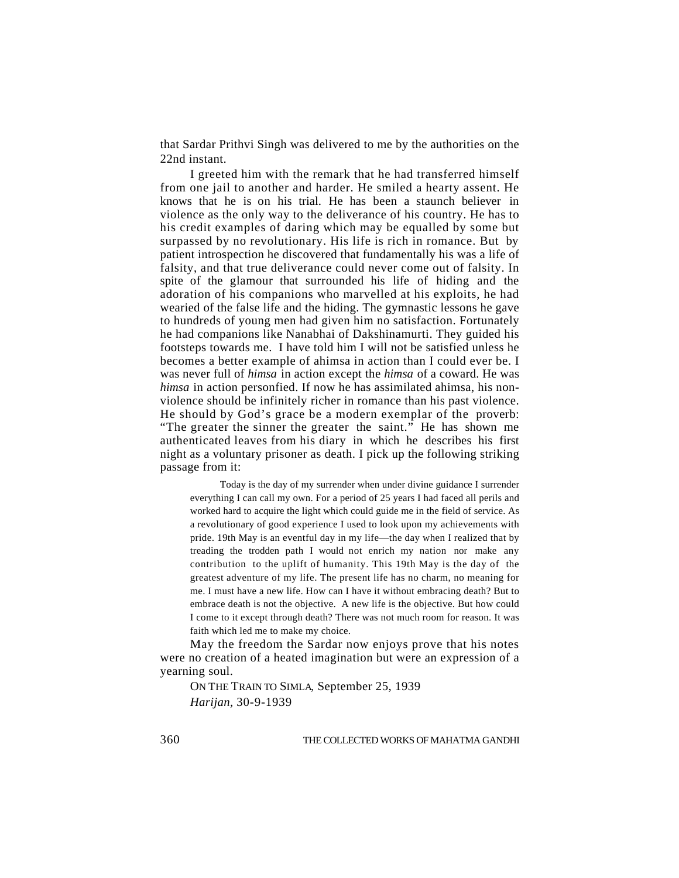that Sardar Prithvi Singh was delivered to me by the authorities on the 22nd instant.

I greeted him with the remark that he had transferred himself from one jail to another and harder. He smiled a hearty assent. He knows that he is on his trial. He has been a staunch believer in violence as the only way to the deliverance of his country. He has to his credit examples of daring which may be equalled by some but surpassed by no revolutionary. His life is rich in romance. But by patient introspection he discovered that fundamentally his was a life of falsity, and that true deliverance could never come out of falsity. In spite of the glamour that surrounded his life of hiding and the adoration of his companions who marvelled at his exploits, he had wearied of the false life and the hiding. The gymnastic lessons he gave to hundreds of young men had given him no satisfaction. Fortunately he had companions like Nanabhai of Dakshinamurti. They guided his footsteps towards me. I have told him I will not be satisfied unless he becomes a better example of ahimsa in action than I could ever be. I was never full of *himsa* in action except the *himsa* of a coward. He was *himsa* in action personfied. If now he has assimilated ahimsa, his nonviolence should be infinitely richer in romance than his past violence. He should by God's grace be a modern exemplar of the proverb: "The greater the sinner the greater the saint." He has shown me authenticated leaves from his diary in which he describes his first night as a voluntary prisoner as death. I pick up the following striking passage from it:

Today is the day of my surrender when under divine guidance I surrender everything I can call my own. For a period of 25 years I had faced all perils and worked hard to acquire the light which could guide me in the field of service. As a revolutionary of good experience I used to look upon my achievements with pride. 19th May is an eventful day in my life—the day when I realized that by treading the trodden path I would not enrich my nation nor make any contribution to the uplift of humanity. This 19th May is the day of the greatest adventure of my life. The present life has no charm, no meaning for me. I must have a new life. How can I have it without embracing death? But to embrace death is not the objective. A new life is the objective. But how could I come to it except through death? There was not much room for reason. It was faith which led me to make my choice.

May the freedom the Sardar now enjoys prove that his notes were no creation of a heated imagination but were an expression of a yearning soul.

ON THE TRAIN TO SIMLA, September 25, 1939 *Harijan,* 30-9-1939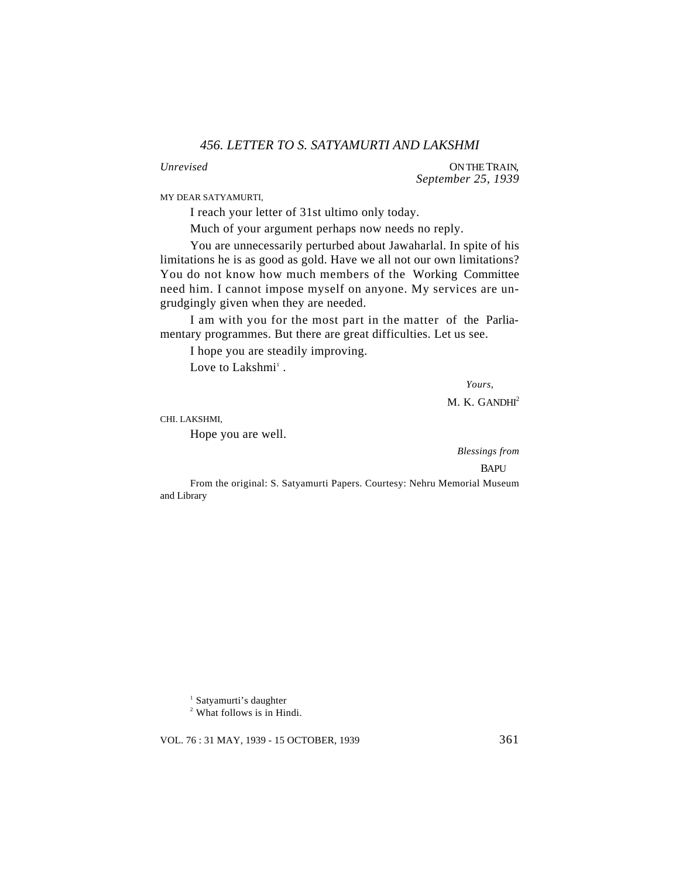*Unrevised* ON THE TRAIN, *September 25, 1939*

MY DEAR SATYAMURTI,

I reach your letter of 31st ultimo only today.

Much of your argument perhaps now needs no reply.

You are unnecessarily perturbed about Jawaharlal. In spite of his limitations he is as good as gold. Have we all not our own limitations? You do not know how much members of the Working Committee need him. I cannot impose myself on anyone. My services are ungrudgingly given when they are needed.

I am with you for the most part in the matter of the Parliamentary programmes. But there are great difficulties. Let us see.

I hope you are steadily improving.

Love to Lakshmi<sup>1</sup>.

*Yours,* M. K. GANDHI<sup>2</sup>

CHI. LAKSHMI,

Hope you are well.

*Blessings from*

**BAPU** 

From the original: S. Satyamurti Papers. Courtesy: Nehru Memorial Museum and Library

<sup>1</sup> Satyamurti's daughter

2 What follows is in Hindi.

VOL. 76 : 31 MAY, 1939 - 15 OCTOBER, 1939 361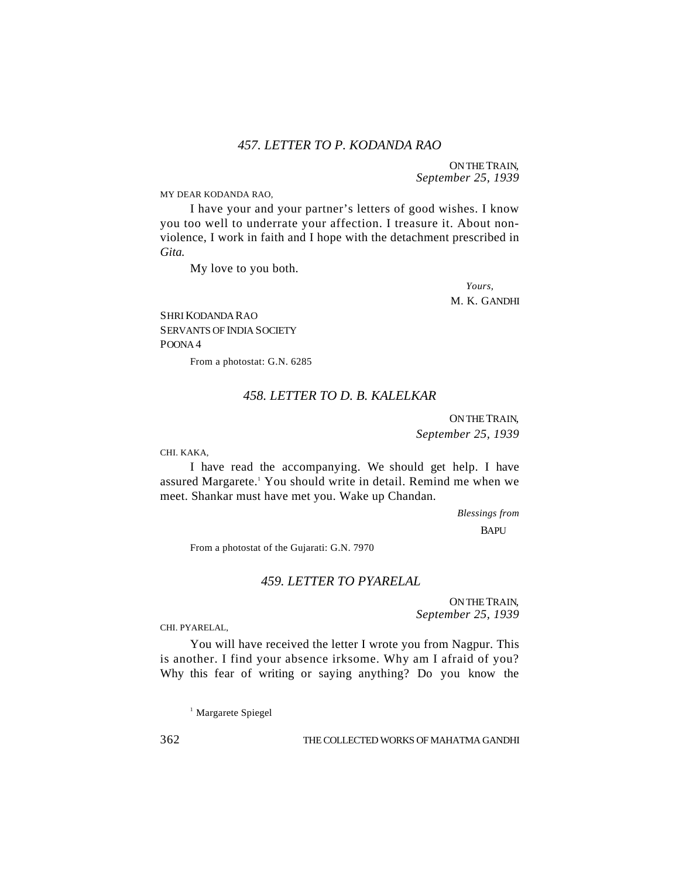# *457. LETTER TO P. KODANDA RAO*

ON THE TRAIN, *September 25, 1939*

MY DEAR KODANDA RAO,

I have your and your partner's letters of good wishes. I know you too well to underrate your affection. I treasure it. About nonviolence, I work in faith and I hope with the detachment prescribed in *Gita.*

My love to you both.

*Yours,* M. K. GANDHI

SHRI KODANDA RAO SERVANTS OF INDIA SOCIETY POONA 4

From a photostat: G.N. 6285

# *458. LETTER TO D. B. KALELKAR*

ON THE TRAIN, *September 25, 1939*

CHI. KAKA,

I have read the accompanying. We should get help. I have assured Margarete.<sup>1</sup> You should write in detail. Remind me when we meet. Shankar must have met you. Wake up Chandan.

*Blessings from*

**BAPU** 

From a photostat of the Gujarati: G.N. 7970

## *459. LETTER TO PYARELAL*

ON THE TRAIN, *September 25, 1939*

CHI. PYARELAL,

You will have received the letter I wrote you from Nagpur. This is another. I find your absence irksome. Why am I afraid of you? Why this fear of writing or saying anything? Do you know the

<sup>1</sup> Margarete Spiegel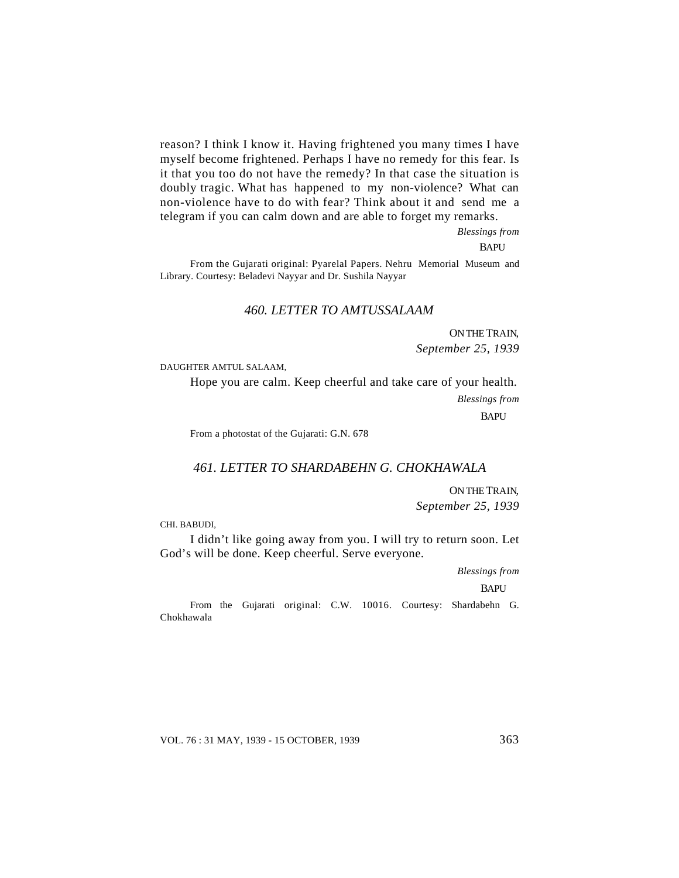reason? I think I know it. Having frightened you many times I have myself become frightened. Perhaps I have no remedy for this fear. Is it that you too do not have the remedy? In that case the situation is doubly tragic. What has happened to my non-violence? What can non-violence have to do with fear? Think about it and send me a telegram if you can calm down and are able to forget my remarks.

> *Blessings from* **BAPU**

From the Gujarati original: Pyarelal Papers. Nehru Memorial Museum and Library. Courtesy: Beladevi Nayyar and Dr. Sushila Nayyar

#### *460. LETTER TO AMTUSSALAAM*

ON THE TRAIN, *September 25, 1939*

DAUGHTER AMTUL SALAAM,

Hope you are calm. Keep cheerful and take care of your health.

*Blessings from*

**BAPU** 

From a photostat of the Gujarati: G.N. 678

## *461. LETTER TO SHARDABEHN G. CHOKHAWALA*

ON THE TRAIN, *September 25, 1939*

CHI. BABUDI,

I didn't like going away from you. I will try to return soon. Let God's will be done. Keep cheerful. Serve everyone.

*Blessings from*

**BAPU** 

From the Gujarati original: C.W. 10016. Courtesy: Shardabehn G. Chokhawala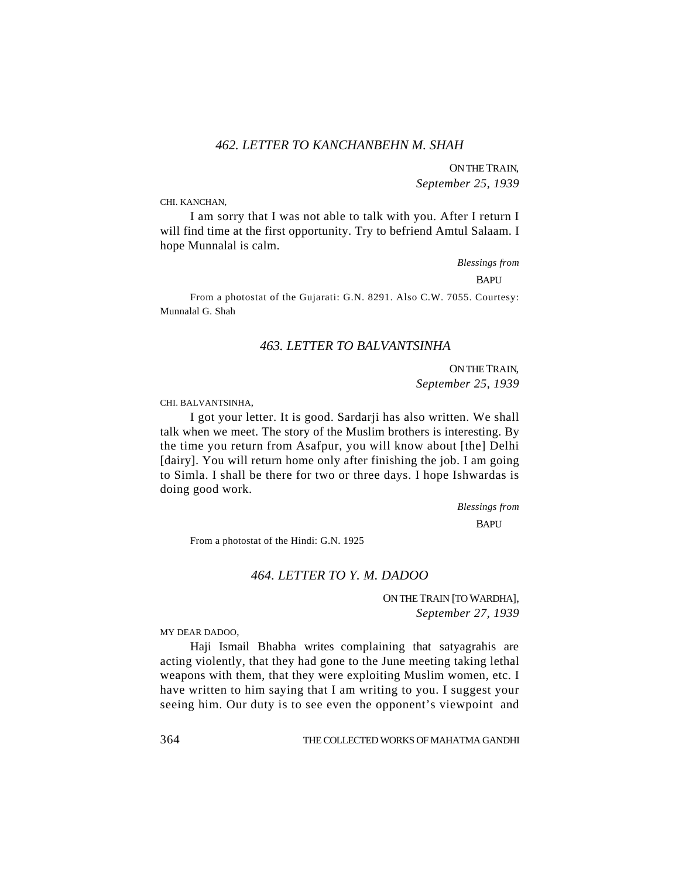## *462. LETTER TO KANCHANBEHN M. SHAH*

ON THE TRAIN, *September 25, 1939*

CHI. KANCHAN,

I am sorry that I was not able to talk with you. After I return I will find time at the first opportunity. Try to befriend Amtul Salaam. I hope Munnalal is calm.

*Blessings from*

**BAPU** 

From a photostat of the Gujarati: G.N. 8291. Also C.W. 7055. Courtesy: Munnalal G. Shah

## *463. LETTER TO BALVANTSINHA*

ON THE TRAIN, *September 25, 1939*

CHI. BALVANTSINHA,

I got your letter. It is good. Sardarji has also written. We shall talk when we meet. The story of the Muslim brothers is interesting. By the time you return from Asafpur, you will know about [the] Delhi [dairy]. You will return home only after finishing the job. I am going to Simla. I shall be there for two or three days. I hope Ishwardas is doing good work.

*Blessings from*

BAPU

From a photostat of the Hindi: G.N. 1925

#### *464. LETTER TO Y. M. DADOO*

ON THE TRAIN [TO WARDHA], *September 27, 1939*

MY DEAR DADOO,

Haji Ismail Bhabha writes complaining that satyagrahis are acting violently, that they had gone to the June meeting taking lethal weapons with them, that they were exploiting Muslim women, etc. I have written to him saying that I am writing to you. I suggest your seeing him. Our duty is to see even the opponent's viewpoint and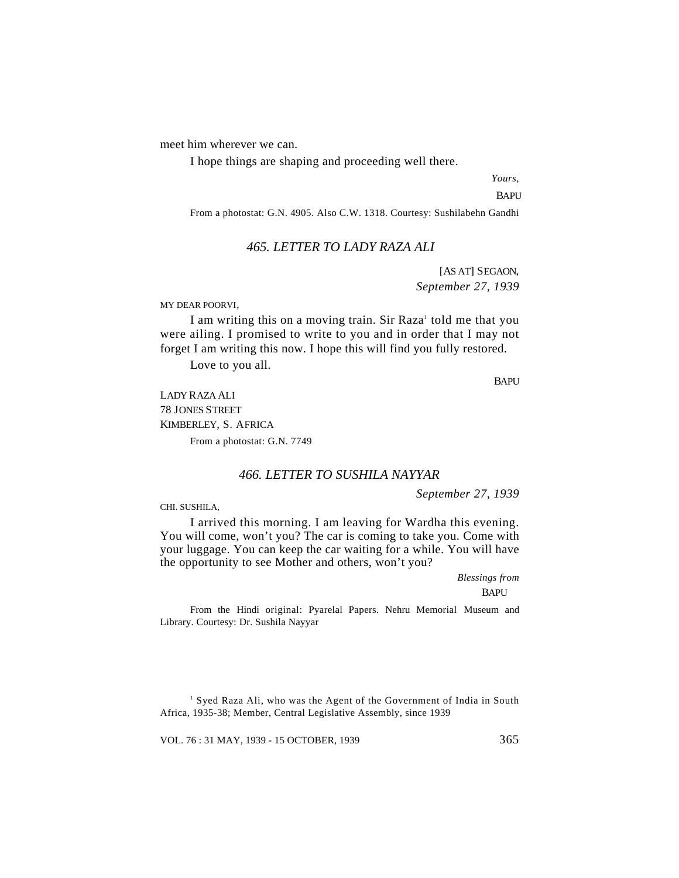meet him wherever we can.

I hope things are shaping and proceeding well there.

*Yours,*

BAPU

From a photostat: G.N. 4905. Also C.W. 1318. Courtesy: Sushilabehn Gandhi

## *465. LETTER TO LADY RAZA ALI*

[AS AT] SEGAON, *September 27, 1939*

MY DEAR POORVI,

I am writing this on a moving train. Sir Raza<sup>1</sup> told me that you were ailing. I promised to write to you and in order that I may not forget I am writing this now. I hope this will find you fully restored.

Love to you all.

BAPU

LADY RAZA ALI 78 JONES STREET KIMBERLEY, S. AFRICA From a photostat: G.N. 7749

## *466. LETTER TO SUSHILA NAYYAR*

*September 27, 1939*

CHI. SUSHILA,

I arrived this morning. I am leaving for Wardha this evening. You will come, won't you? The car is coming to take you. Come with your luggage. You can keep the car waiting for a while. You will have the opportunity to see Mother and others, won't you?

> *Blessings from* **BAPU**

From the Hindi original: Pyarelal Papers. Nehru Memorial Museum and Library. Courtesy: Dr. Sushila Nayyar

<sup>1</sup> Syed Raza Ali, who was the Agent of the Government of India in South Africa, 1935-38; Member, Central Legislative Assembly, since 1939

VOL. 76 : 31 MAY, 1939 - 15 OCTOBER, 1939 365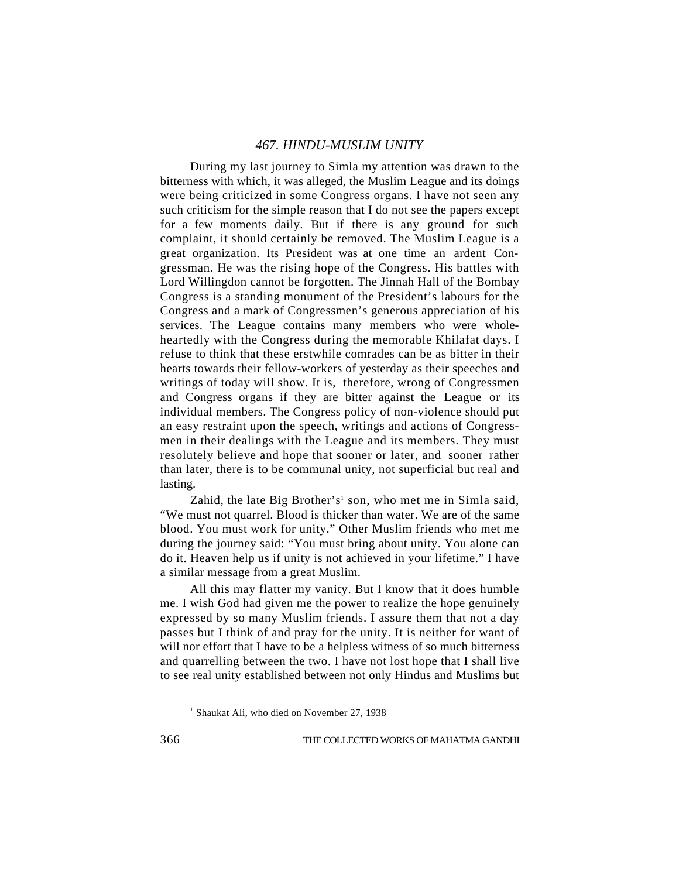## *467. HINDU-MUSLIM UNITY*

During my last journey to Simla my attention was drawn to the bitterness with which, it was alleged, the Muslim League and its doings were being criticized in some Congress organs. I have not seen any such criticism for the simple reason that I do not see the papers except for a few moments daily. But if there is any ground for such complaint, it should certainly be removed. The Muslim League is a great organization. Its President was at one time an ardent Congressman. He was the rising hope of the Congress. His battles with Lord Willingdon cannot be forgotten. The Jinnah Hall of the Bombay Congress is a standing monument of the President's labours for the Congress and a mark of Congressmen's generous appreciation of his services. The League contains many members who were wholeheartedly with the Congress during the memorable Khilafat days. I refuse to think that these erstwhile comrades can be as bitter in their hearts towards their fellow-workers of yesterday as their speeches and writings of today will show. It is, therefore, wrong of Congressmen and Congress organs if they are bitter against the League or its individual members. The Congress policy of non-violence should put an easy restraint upon the speech, writings and actions of Congressmen in their dealings with the League and its members. They must resolutely believe and hope that sooner or later, and sooner rather than later, there is to be communal unity, not superficial but real and lasting.

Zahid, the late Big Brother's<sup>1</sup> son, who met me in Simla said, "We must not quarrel. Blood is thicker than water. We are of the same blood. You must work for unity." Other Muslim friends who met me during the journey said: "You must bring about unity. You alone can do it. Heaven help us if unity is not achieved in your lifetime." I have a similar message from a great Muslim.

All this may flatter my vanity. But I know that it does humble me. I wish God had given me the power to realize the hope genuinely expressed by so many Muslim friends. I assure them that not a day passes but I think of and pray for the unity. It is neither for want of will nor effort that I have to be a helpless witness of so much bitterness and quarrelling between the two. I have not lost hope that I shall live to see real unity established between not only Hindus and Muslims but

<sup>1</sup> Shaukat Ali, who died on November 27, 1938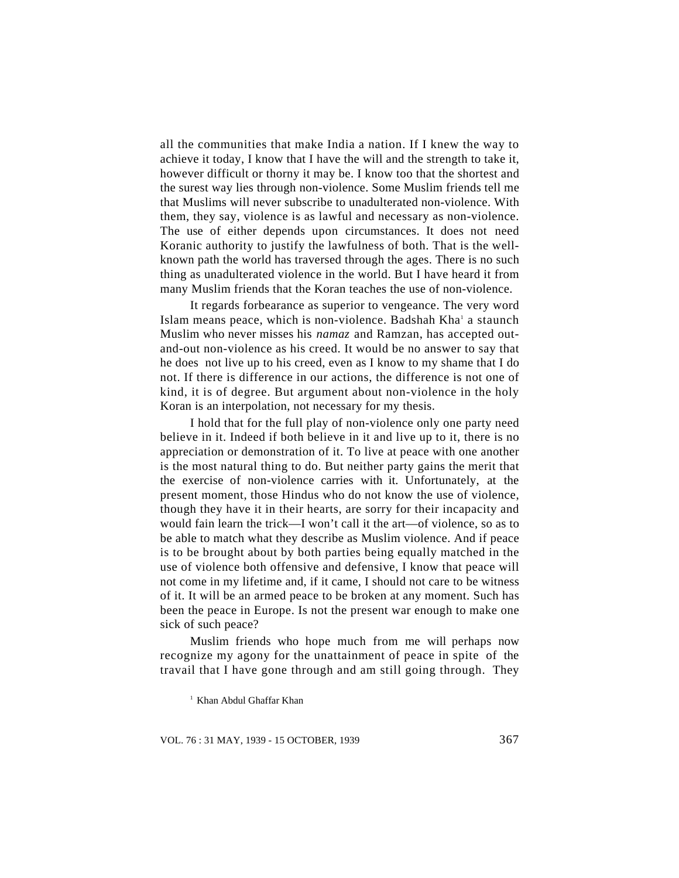all the communities that make India a nation. If I knew the way to achieve it today, I know that I have the will and the strength to take it, however difficult or thorny it may be. I know too that the shortest and the surest way lies through non-violence. Some Muslim friends tell me that Muslims will never subscribe to unadulterated non-violence. With them, they say, violence is as lawful and necessary as non-violence. The use of either depends upon circumstances. It does not need Koranic authority to justify the lawfulness of both. That is the wellknown path the world has traversed through the ages. There is no such thing as unadulterated violence in the world. But I have heard it from many Muslim friends that the Koran teaches the use of non-violence.

It regards forbearance as superior to vengeance. The very word Islam means peace, which is non-violence. Badshah Kha1 a staunch Muslim who never misses his *namaz* and Ramzan, has accepted outand-out non-violence as his creed. It would be no answer to say that he does not live up to his creed, even as I know to my shame that I do not. If there is difference in our actions, the difference is not one of kind, it is of degree. But argument about non-violence in the holy Koran is an interpolation, not necessary for my thesis.

I hold that for the full play of non-violence only one party need believe in it. Indeed if both believe in it and live up to it, there is no appreciation or demonstration of it. To live at peace with one another is the most natural thing to do. But neither party gains the merit that the exercise of non-violence carries with it. Unfortunately, at the present moment, those Hindus who do not know the use of violence, though they have it in their hearts, are sorry for their incapacity and would fain learn the trick—I won't call it the art—of violence, so as to be able to match what they describe as Muslim violence. And if peace is to be brought about by both parties being equally matched in the use of violence both offensive and defensive, I know that peace will not come in my lifetime and, if it came, I should not care to be witness of it. It will be an armed peace to be broken at any moment. Such has been the peace in Europe. Is not the present war enough to make one sick of such peace?

Muslim friends who hope much from me will perhaps now recognize my agony for the unattainment of peace in spite of the travail that I have gone through and am still going through. They

<sup>&</sup>lt;sup>1</sup> Khan Abdul Ghaffar Khan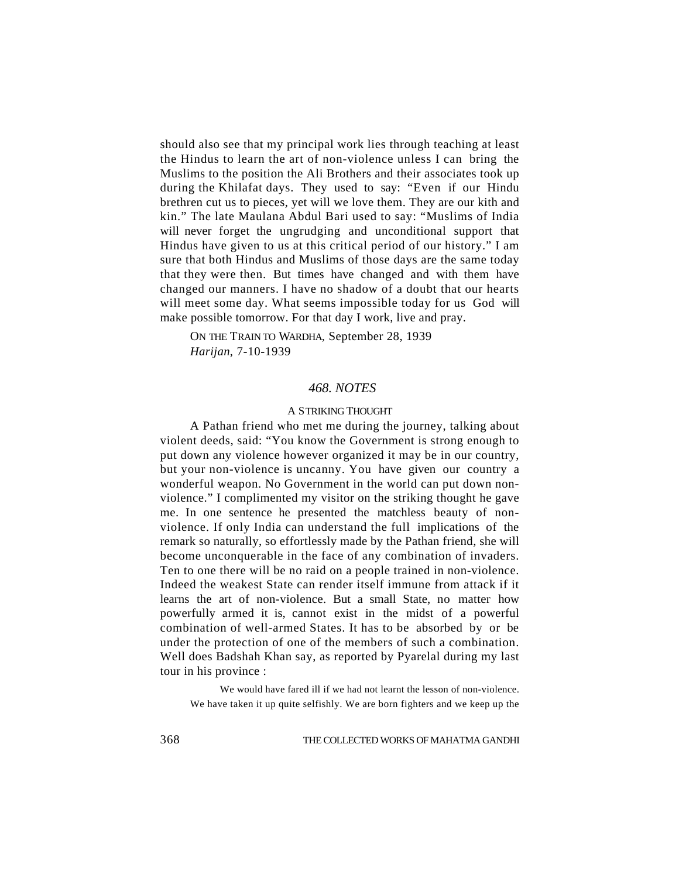should also see that my principal work lies through teaching at least the Hindus to learn the art of non-violence unless I can bring the Muslims to the position the Ali Brothers and their associates took up during the Khilafat days. They used to say: "Even if our Hindu brethren cut us to pieces, yet will we love them. They are our kith and kin." The late Maulana Abdul Bari used to say: "Muslims of India will never forget the ungrudging and unconditional support that Hindus have given to us at this critical period of our history." I am sure that both Hindus and Muslims of those days are the same today that they were then. But times have changed and with them have changed our manners. I have no shadow of a doubt that our hearts will meet some day. What seems impossible today for us God will make possible tomorrow. For that day I work, live and pray.

ON THE TRAIN TO WARDHA, September 28, 1939 *Harijan*, 7-10-1939

## *468. NOTES*

#### A STRIKING THOUGHT

A Pathan friend who met me during the journey, talking about violent deeds, said: "You know the Government is strong enough to put down any violence however organized it may be in our country, but your non-violence is uncanny. You have given our country a wonderful weapon. No Government in the world can put down nonviolence." I complimented my visitor on the striking thought he gave me. In one sentence he presented the matchless beauty of nonviolence. If only India can understand the full implications of the remark so naturally, so effortlessly made by the Pathan friend, she will become unconquerable in the face of any combination of invaders. Ten to one there will be no raid on a people trained in non-violence. Indeed the weakest State can render itself immune from attack if it learns the art of non-violence. But a small State, no matter how powerfully armed it is, cannot exist in the midst of a powerful combination of well-armed States. It has to be absorbed by or be under the protection of one of the members of such a combination. Well does Badshah Khan say, as reported by Pyarelal during my last tour in his province :

We would have fared ill if we had not learnt the lesson of non-violence. We have taken it up quite selfishly. We are born fighters and we keep up the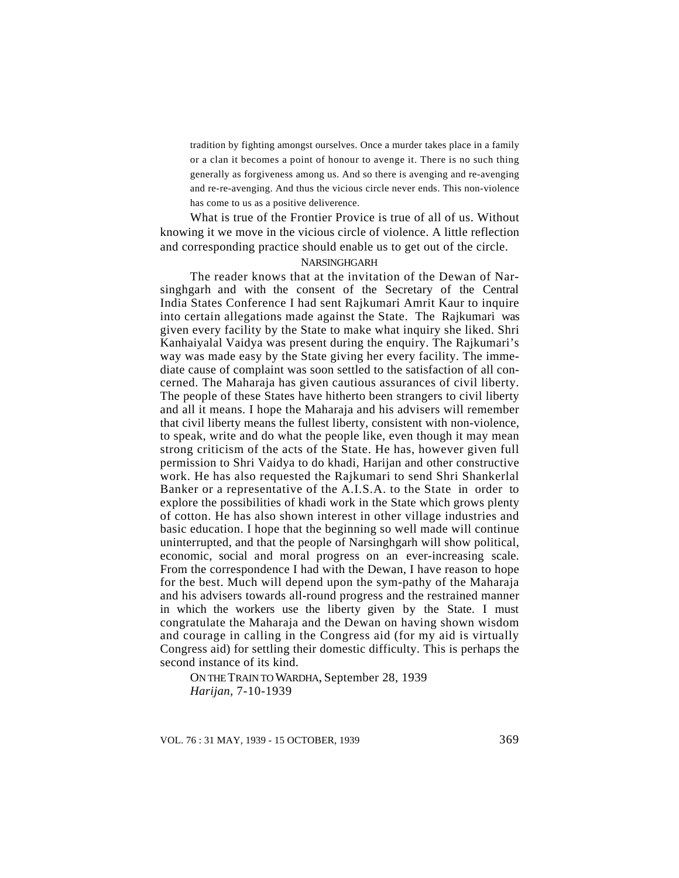tradition by fighting amongst ourselves. Once a murder takes place in a family or a clan it becomes a point of honour to avenge it. There is no such thing generally as forgiveness among us. And so there is avenging and re-avenging and re-re-avenging. And thus the vicious circle never ends. This non-violence has come to us as a positive deliverence.

What is true of the Frontier Provice is true of all of us. Without knowing it we move in the vicious circle of violence. A little reflection and corresponding practice should enable us to get out of the circle.

#### **NARSINGHGARH**

The reader knows that at the invitation of the Dewan of Narsinghgarh and with the consent of the Secretary of the Central India States Conference I had sent Rajkumari Amrit Kaur to inquire into certain allegations made against the State. The Rajkumari was given every facility by the State to make what inquiry she liked. Shri Kanhaiyalal Vaidya was present during the enquiry. The Rajkumari's way was made easy by the State giving her every facility. The immediate cause of complaint was soon settled to the satisfaction of all concerned. The Maharaja has given cautious assurances of civil liberty. The people of these States have hitherto been strangers to civil liberty and all it means. I hope the Maharaja and his advisers will remember that civil liberty means the fullest liberty, consistent with non-violence, to speak, write and do what the people like, even though it may mean strong criticism of the acts of the State. He has, however given full permission to Shri Vaidya to do khadi, Harijan and other constructive work. He has also requested the Rajkumari to send Shri Shankerlal Banker or a representative of the A.I.S.A. to the State in order to explore the possibilities of khadi work in the State which grows plenty of cotton. He has also shown interest in other village industries and basic education. I hope that the beginning so well made will continue uninterrupted, and that the people of Narsinghgarh will show political, economic, social and moral progress on an ever-increasing scale. From the correspondence I had with the Dewan, I have reason to hope for the best. Much will depend upon the sym-pathy of the Maharaja and his advisers towards all-round progress and the restrained manner in which the workers use the liberty given by the State. I must congratulate the Maharaja and the Dewan on having shown wisdom and courage in calling in the Congress aid (for my aid is virtually Congress aid) for settling their domestic difficulty. This is perhaps the second instance of its kind.

ON THE TRAIN TO WARDHA, September 28, 1939 *Harijan,* 7-10-1939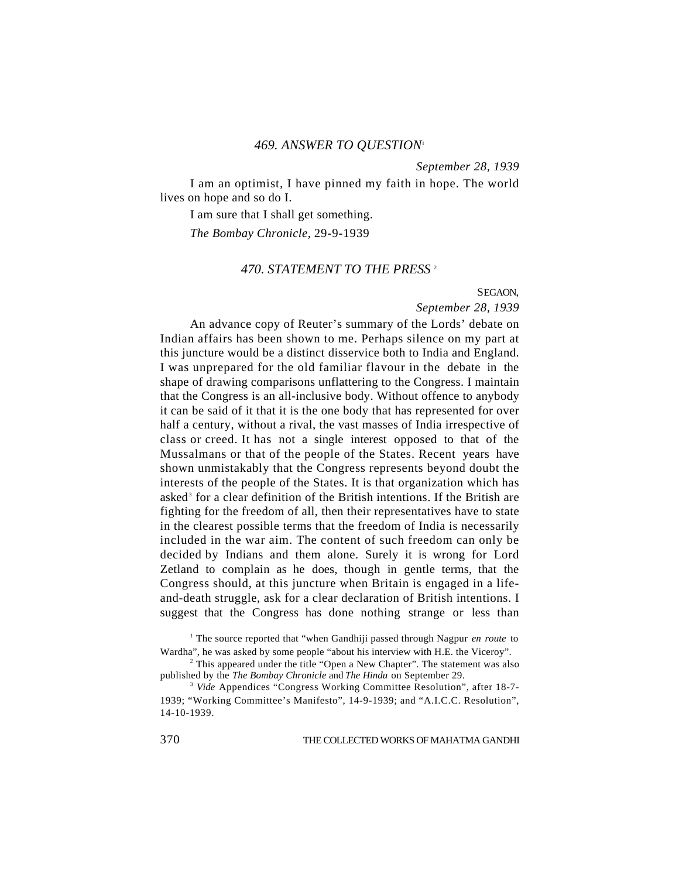#### *469. ANSWER TO QUESTION*<sup>1</sup>

*September 28, 1939*

I am an optimist, I have pinned my faith in hope. The world lives on hope and so do I.

I am sure that I shall get something. *The Bombay Chronicle,* 29-9-1939

## *470. STATEMENT TO THE PRESS* <sup>2</sup>

SEGAON, *September 28, 1939*

An advance copy of Reuter's summary of the Lords' debate on Indian affairs has been shown to me. Perhaps silence on my part at this juncture would be a distinct disservice both to India and England. I was unprepared for the old familiar flavour in the debate in the shape of drawing comparisons unflattering to the Congress. I maintain that the Congress is an all-inclusive body. Without offence to anybody it can be said of it that it is the one body that has represented for over half a century, without a rival, the vast masses of India irrespective of class or creed. It has not a single interest opposed to that of the Mussalmans or that of the people of the States. Recent years have shown unmistakably that the Congress represents beyond doubt the interests of the people of the States. It is that organization which has asked<sup>3</sup> for a clear definition of the British intentions. If the British are fighting for the freedom of all, then their representatives have to state in the clearest possible terms that the freedom of India is necessarily included in the war aim. The content of such freedom can only be decided by Indians and them alone. Surely it is wrong for Lord Zetland to complain as he does, though in gentle terms, that the Congress should, at this juncture when Britain is engaged in a lifeand-death struggle, ask for a clear declaration of British intentions. I suggest that the Congress has done nothing strange or less than

<sup>&</sup>lt;sup>1</sup> The source reported that "when Gandhiji passed through Nagpur *en route* to Wardha", he was asked by some people "about his interview with H.E. the Viceroy".

<sup>&</sup>lt;sup>2</sup> This appeared under the title "Open a New Chapter". The statement was also published by the *The Bombay Chronicle* and *The Hindu* on September 29.

<sup>3</sup> *Vide* Appendices "Congress Working Committee Resolution", after 18-7- 1939; "Working Committee's Manifesto", 14-9-1939; and "A.I.C.C. Resolution", 14-10-1939.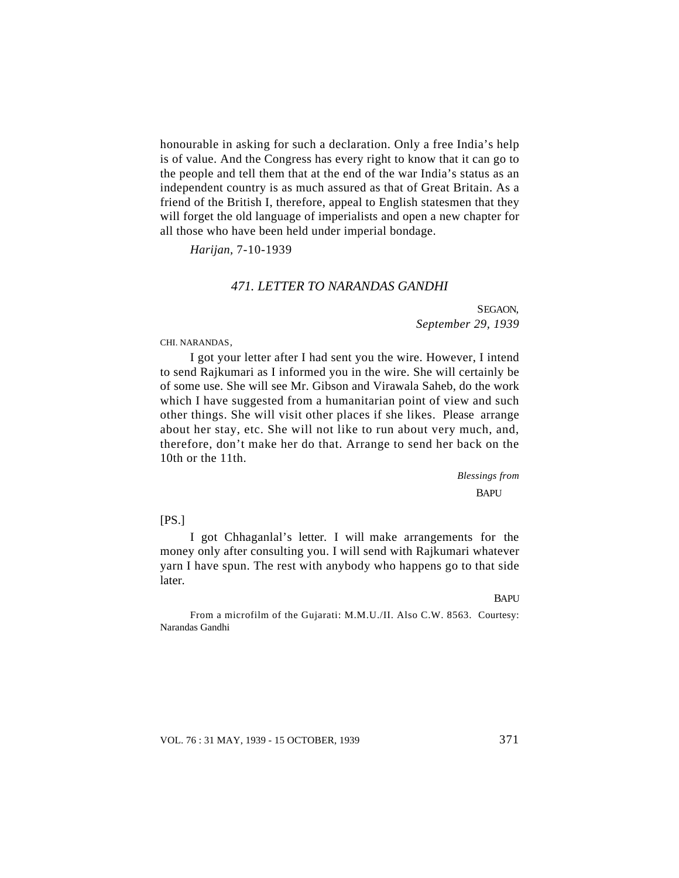honourable in asking for such a declaration. Only a free India's help is of value. And the Congress has every right to know that it can go to the people and tell them that at the end of the war India's status as an independent country is as much assured as that of Great Britain. As a friend of the British I, therefore, appeal to English statesmen that they will forget the old language of imperialists and open a new chapter for all those who have been held under imperial bondage.

*Harijan,* 7-10-1939

## *471. LETTER TO NARANDAS GANDHI*

SEGAON, *September 29, 1939*

#### CHI. NARANDAS,

I got your letter after I had sent you the wire. However, I intend to send Rajkumari as I informed you in the wire. She will certainly be of some use. She will see Mr. Gibson and Virawala Saheb, do the work which I have suggested from a humanitarian point of view and such other things. She will visit other places if she likes. Please arrange about her stay, etc. She will not like to run about very much, and, therefore, don't make her do that. Arrange to send her back on the 10th or the 11th.

> *Blessings from* **BAPU**

## [PS.]

I got Chhaganlal's letter. I will make arrangements for the money only after consulting you. I will send with Rajkumari whatever yarn I have spun. The rest with anybody who happens go to that side later.

**BAPU** 

From a microfilm of the Gujarati: M.M.U./II. Also C.W. 8563. Courtesy: Narandas Gandhi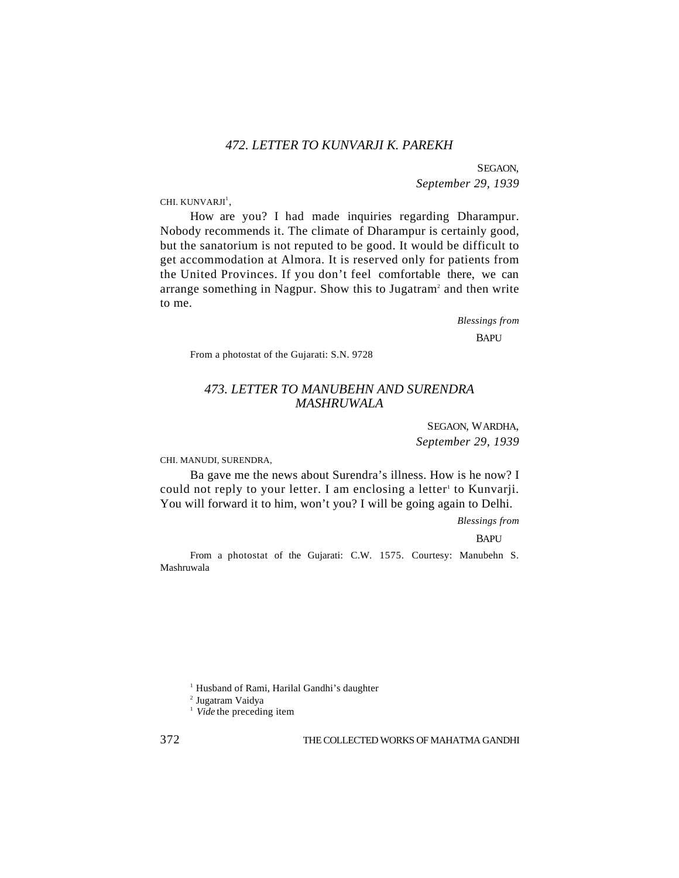# *472. LETTER TO KUNVARJI K. PAREKH*

SEGAON, *September 29, 1939*

CHI. KUNVARJI $^1$ ,

How are you? I had made inquiries regarding Dharampur. Nobody recommends it. The climate of Dharampur is certainly good, but the sanatorium is not reputed to be good. It would be difficult to get accommodation at Almora. It is reserved only for patients from the United Provinces. If you don't feel comfortable there, we can arrange something in Nagpur. Show this to Jugatram<sup>2</sup> and then write to me.

*Blessings from*

**BAPU** 

From a photostat of the Gujarati: S.N. 9728

# *473. LETTER TO MANUBEHN AND SURENDRA MASHRUWALA*

SEGAON, WARDHA, *September 29, 1939*

CHI. MANUDI, SURENDRA,

Ba gave me the news about Surendra's illness. How is he now? I could not reply to your letter. I am enclosing a letter<sup>1</sup> to Kunvarji. You will forward it to him, won't you? I will be going again to Delhi.

*Blessings from*

**BAPU** 

From a photostat of the Gujarati: C.W. 1575. Courtesy: Manubehn S. Mashruwala

<sup>1</sup> Husband of Rami, Harilal Gandhi's daughter

2 Jugatram Vaidya

<sup>1</sup> *Vide* the preceding item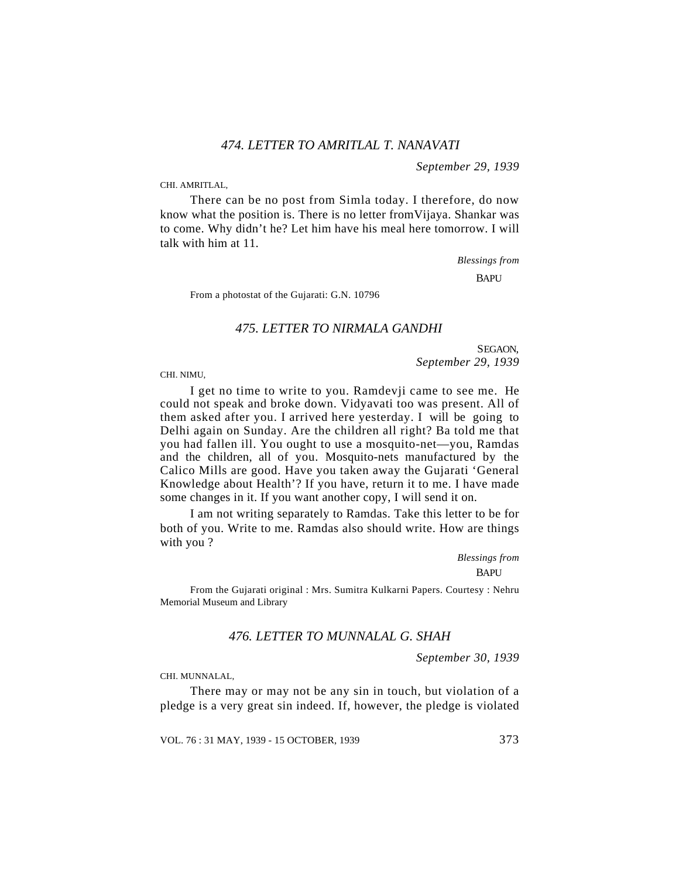*September 29, 1939*

CHI. AMRITLAL,

There can be no post from Simla today. I therefore, do now know what the position is. There is no letter fromVijaya. Shankar was to come. Why didn't he? Let him have his meal here tomorrow. I will talk with him at 11.

*Blessings from*

**BAPU** 

From a photostat of the Gujarati: G.N. 10796

#### *475. LETTER TO NIRMALA GANDHI*

SEGAON, *September 29, 1939*

CHI. NIMU,

I get no time to write to you. Ramdevji came to see me. He could not speak and broke down. Vidyavati too was present. All of them asked after you. I arrived here yesterday. I will be going to Delhi again on Sunday. Are the children all right? Ba told me that you had fallen ill. You ought to use a mosquito-net—you, Ramdas and the children, all of you. Mosquito-nets manufactured by the Calico Mills are good. Have you taken away the Gujarati 'General Knowledge about Health'? If you have, return it to me. I have made some changes in it. If you want another copy, I will send it on.

I am not writing separately to Ramdas. Take this letter to be for both of you. Write to me. Ramdas also should write. How are things with you ?

> *Blessings from* **BAPU**

From the Gujarati original : Mrs. Sumitra Kulkarni Papers. Courtesy : Nehru Memorial Museum and Library

## *476. LETTER TO MUNNALAL G. SHAH*

*September 30, 1939*

CHI. MUNNALAL,

There may or may not be any sin in touch, but violation of a pledge is a very great sin indeed. If, however, the pledge is violated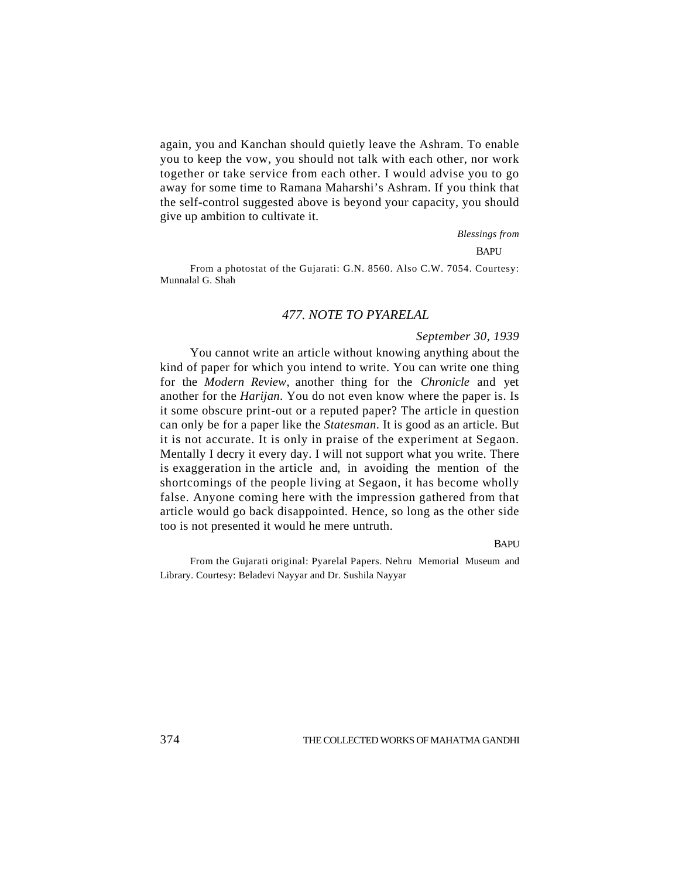again, you and Kanchan should quietly leave the Ashram. To enable you to keep the vow, you should not talk with each other, nor work together or take service from each other. I would advise you to go away for some time to Ramana Maharshi's Ashram. If you think that the self-control suggested above is beyond your capacity, you should give up ambition to cultivate it.

*Blessings from*

**BAPU** 

From a photostat of the Gujarati: G.N. 8560. Also C.W. 7054. Courtesy: Munnalal G. Shah

## *477. NOTE TO PYARELAL*

*September 30, 1939*

You cannot write an article without knowing anything about the kind of paper for which you intend to write. You can write one thing for the *Modern Review*, another thing for the *Chronicle* and yet another for the *Harijan*. You do not even know where the paper is. Is it some obscure print-out or a reputed paper? The article in question can only be for a paper like the *Statesman*. It is good as an article. But it is not accurate. It is only in praise of the experiment at Segaon. Mentally I decry it every day. I will not support what you write. There is exaggeration in the article and, in avoiding the mention of the shortcomings of the people living at Segaon, it has become wholly false. Anyone coming here with the impression gathered from that article would go back disappointed. Hence, so long as the other side too is not presented it would he mere untruth.

BAPU

From the Gujarati original: Pyarelal Papers. Nehru Memorial Museum and Library. Courtesy: Beladevi Nayyar and Dr. Sushila Nayyar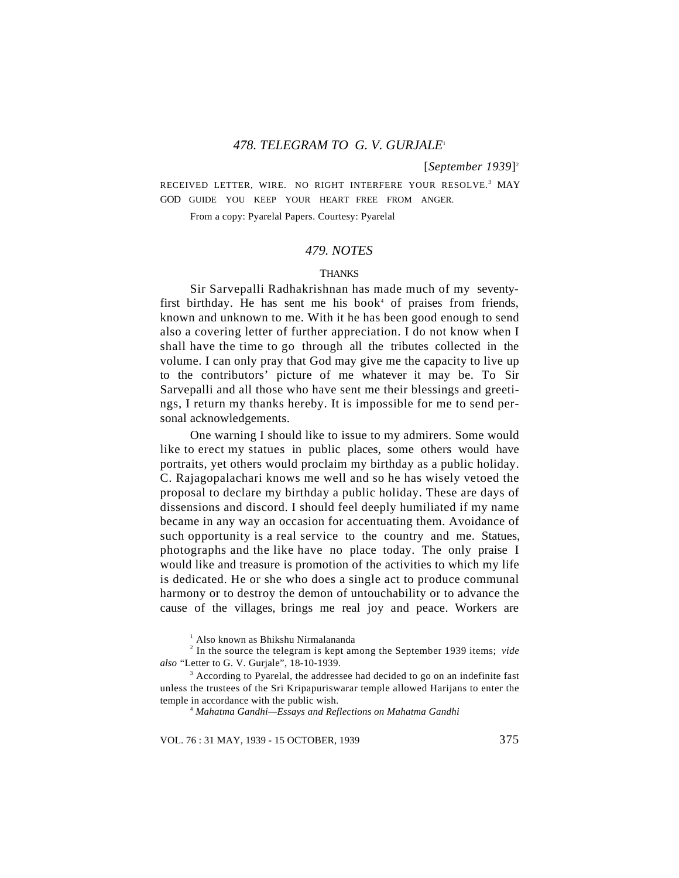## *478. TELEGRAM TO G. V. GURJALE*<sup>1</sup>

[*September 1939*] 2

# RECEIVED LETTER, WIRE. NO RIGHT INTERFERE YOUR RESOLVE.<sup>3</sup> MAY GOD GUIDE YOU KEEP YOUR HEART FREE FROM ANGER.

From a copy: Pyarelal Papers. Courtesy: Pyarelal

## *479. NOTES*

#### **THANKS**

Sir Sarvepalli Radhakrishnan has made much of my seventyfirst birthday. He has sent me his book<sup>4</sup> of praises from friends, known and unknown to me. With it he has been good enough to send also a covering letter of further appreciation. I do not know when I shall have the time to go through all the tributes collected in the volume. I can only pray that God may give me the capacity to live up to the contributors' picture of me whatever it may be. To Sir Sarvepalli and all those who have sent me their blessings and greetings, I return my thanks hereby. It is impossible for me to send personal acknowledgements.

One warning I should like to issue to my admirers. Some would like to erect my statues in public places, some others would have portraits, yet others would proclaim my birthday as a public holiday. C. Rajagopalachari knows me well and so he has wisely vetoed the proposal to declare my birthday a public holiday. These are days of dissensions and discord. I should feel deeply humiliated if my name became in any way an occasion for accentuating them. Avoidance of such opportunity is a real service to the country and me. Statues, photographs and the like have no place today. The only praise I would like and treasure is promotion of the activities to which my life is dedicated. He or she who does a single act to produce communal harmony or to destroy the demon of untouchability or to advance the cause of the villages, brings me real joy and peace. Workers are

1 Also known as Bhikshu Nirmalananda

<sup>2</sup> In the source the telegram is kept among the September 1939 items; *vide also* "Letter to G. V. Gurjale", 18-10-1939.

<sup>&</sup>lt;sup>3</sup> According to Pyarelal, the addressee had decided to go on an indefinite fast unless the trustees of the Sri Kripapuriswarar temple allowed Harijans to enter the temple in accordance with the public wish.

<sup>4</sup> *Mahatma Gandhi—Essays and Reflections on Mahatma Gandhi*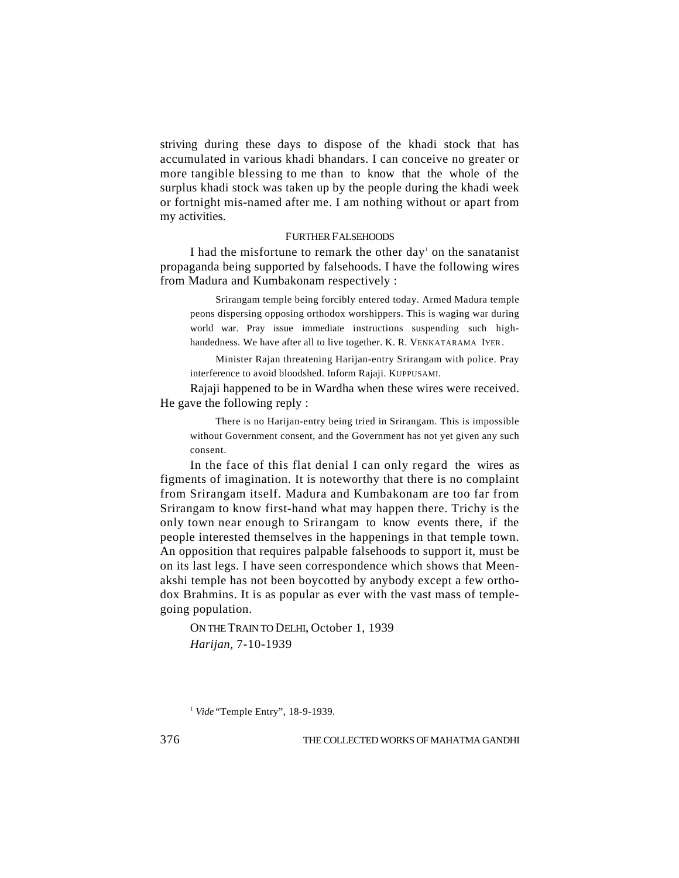striving during these days to dispose of the khadi stock that has accumulated in various khadi bhandars. I can conceive no greater or more tangible blessing to me than to know that the whole of the surplus khadi stock was taken up by the people during the khadi week or fortnight mis-named after me. I am nothing without or apart from my activities.

## FURTHER FALSEHOODS

I had the misfortune to remark the other day' on the sanatanist propaganda being supported by falsehoods. I have the following wires from Madura and Kumbakonam respectively :

Srirangam temple being forcibly entered today. Armed Madura temple peons dispersing opposing orthodox worshippers. This is waging war during world war. Pray issue immediate instructions suspending such highhandedness. We have after all to live together. K. R. VENKATARAMA IYER.

Minister Rajan threatening Harijan-entry Srirangam with police. Pray interference to avoid bloodshed. Inform Rajaji. KUPPUSAMI.

Rajaji happened to be in Wardha when these wires were received. He gave the following reply :

There is no Harijan-entry being tried in Srirangam. This is impossible without Government consent, and the Government has not yet given any such consent.

In the face of this flat denial I can only regard the wires as figments of imagination. It is noteworthy that there is no complaint from Srirangam itself. Madura and Kumbakonam are too far from Srirangam to know first-hand what may happen there. Trichy is the only town near enough to Srirangam to know events there, if the people interested themselves in the happenings in that temple town. An opposition that requires palpable falsehoods to support it, must be on its last legs. I have seen correspondence which shows that Meenakshi temple has not been boycotted by anybody except a few orthodox Brahmins. It is as popular as ever with the vast mass of templegoing population.

ON THE TRAIN TO DELHI, October 1, 1939 *Harijan,* 7-10-1939

<sup>1</sup> *Vide* "Temple Entry", 18-9-1939.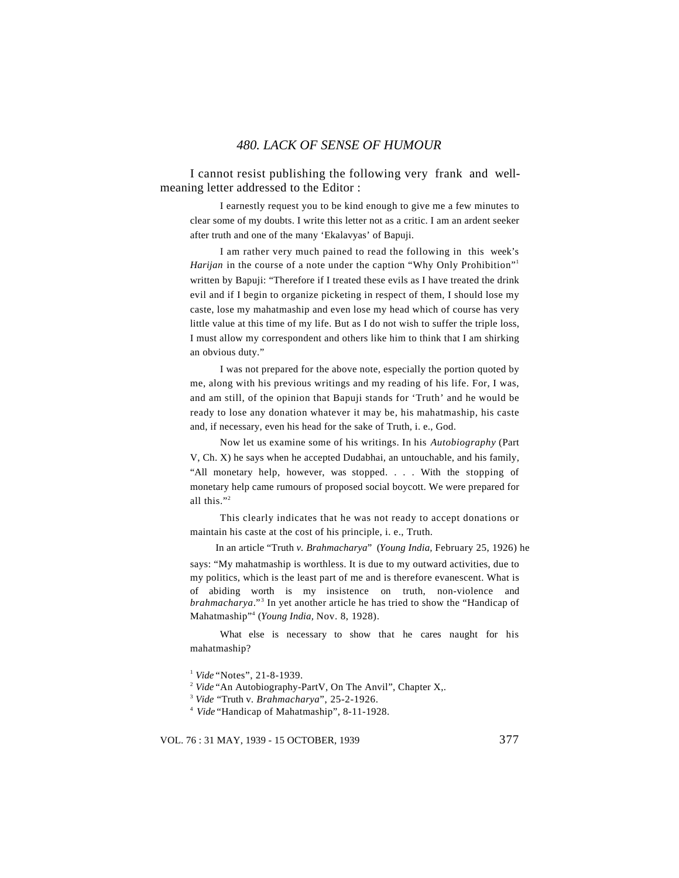# *480. LACK OF SENSE OF HUMOUR*

I cannot resist publishing the following very frank and wellmeaning letter addressed to the Editor :

I earnestly request you to be kind enough to give me a few minutes to clear some of my doubts. I write this letter not as a critic. I am an ardent seeker after truth and one of the many 'Ekalavyas' of Bapuji.

I am rather very much pained to read the following in this week's *Harijan* in the course of a note under the caption "Why Only Prohibition"<sup>1</sup> written by Bapuji: "Therefore if I treated these evils as I have treated the drink evil and if I begin to organize picketing in respect of them, I should lose my caste, lose my mahatmaship and even lose my head which of course has very little value at this time of my life. But as I do not wish to suffer the triple loss, I must allow my correspondent and others like him to think that I am shirking an obvious duty."

I was not prepared for the above note, especially the portion quoted by me, along with his previous writings and my reading of his life. For, I was, and am still, of the opinion that Bapuji stands for 'Truth' and he would be ready to lose any donation whatever it may be, his mahatmaship, his caste and, if necessary, even his head for the sake of Truth, i. e., God.

Now let us examine some of his writings. In his *Autobiography* (Part V, Ch. X) he says when he accepted Dudabhai, an untouchable, and his family, "All monetary help, however, was stopped. . . . With the stopping of monetary help came rumours of proposed social boycott. We were prepared for all this."<sup>2</sup>

This clearly indicates that he was not ready to accept donations or maintain his caste at the cost of his principle, i. e., Truth.

In an article "Truth *v. Brahmacharya*" (*Young India,* February 25, 1926) he says: "My mahatmaship is worthless. It is due to my outward activities, due to my politics, which is the least part of me and is therefore evanescent. What is of abiding worth is my insistence on truth, non-violence and brahmacharya."<sup>3</sup> In yet another article he has tried to show the "Handicap of Mahatmaship"<sup>4</sup> (*Young India,* Nov. 8, 1928).

 What else is necessary to show that he cares naught for his mahatmaship?

<sup>1</sup> *Vide* "Notes", 21-8-1939.

<sup>&</sup>lt;sup>2</sup> *Vide* "An Autobiography-PartV, On The Anvil", Chapter X,.

<sup>3</sup> *Vide* "Truth v. *Brahmacharya*", 25-2-1926.

<sup>4</sup>*Vide* "Handicap of Mahatmaship", 8-11-1928.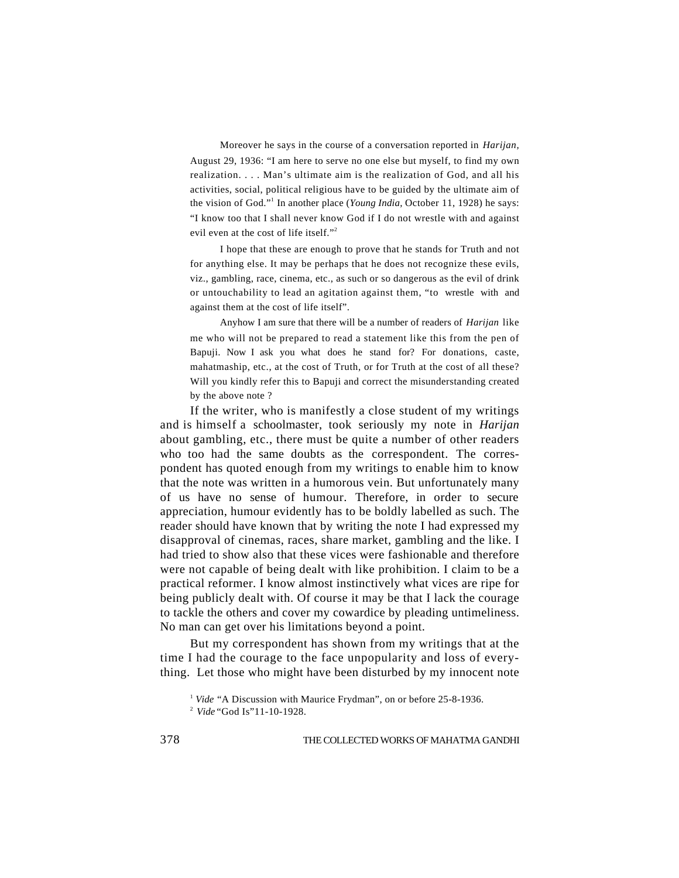Moreover he says in the course of a conversation reported in *Harijan,* August 29, 1936: "I am here to serve no one else but myself, to find my own realization. . . . Man's ultimate aim is the realization of God, and all his activities, social, political religious have to be guided by the ultimate aim of the vision of God."<sup>1</sup> In another place (*Young India,* October 11, 1928) he says: "I know too that I shall never know God if I do not wrestle with and against evil even at the cost of life itself."<sup>2</sup>

I hope that these are enough to prove that he stands for Truth and not for anything else. It may be perhaps that he does not recognize these evils, viz., gambling, race, cinema, etc., as such or so dangerous as the evil of drink or untouchability to lead an agitation against them, "to wrestle with and against them at the cost of life itself".

Anyhow I am sure that there will be a number of readers of *Harijan* like me who will not be prepared to read a statement like this from the pen of Bapuji. Now I ask you what does he stand for? For donations, caste, mahatmaship, etc., at the cost of Truth, or for Truth at the cost of all these? Will you kindly refer this to Bapuji and correct the misunderstanding created by the above note ?

If the writer, who is manifestly a close student of my writings and is himself a schoolmaster, took seriously my note in *Harijan* about gambling, etc., there must be quite a number of other readers who too had the same doubts as the correspondent. The correspondent has quoted enough from my writings to enable him to know that the note was written in a humorous vein. But unfortunately many of us have no sense of humour. Therefore, in order to secure appreciation, humour evidently has to be boldly labelled as such. The reader should have known that by writing the note I had expressed my disapproval of cinemas, races, share market, gambling and the like. I had tried to show also that these vices were fashionable and therefore were not capable of being dealt with like prohibition. I claim to be a practical reformer. I know almost instinctively what vices are ripe for being publicly dealt with. Of course it may be that I lack the courage to tackle the others and cover my cowardice by pleading untimeliness. No man can get over his limitations beyond a point.

But my correspondent has shown from my writings that at the time I had the courage to the face unpopularity and loss of everything. Let those who might have been disturbed by my innocent note

<sup>&</sup>lt;sup>1</sup> *Vide* "A Discussion with Maurice Frydman", on or before 25-8-1936.

<sup>2</sup> *Vide* "God Is"11-10-1928.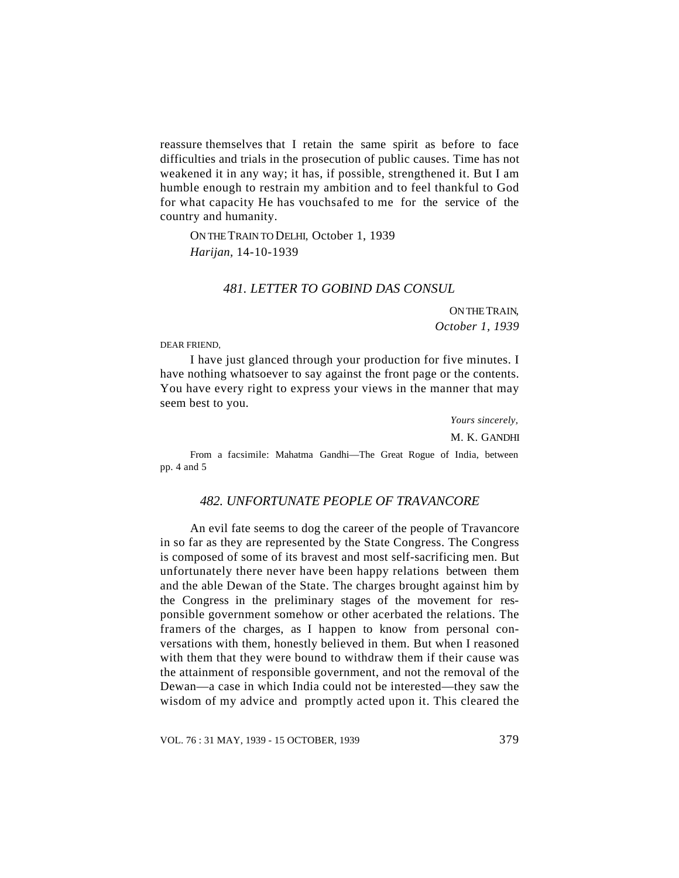reassure themselves that I retain the same spirit as before to face difficulties and trials in the prosecution of public causes. Time has not weakened it in any way; it has, if possible, strengthened it. But I am humble enough to restrain my ambition and to feel thankful to God for what capacity He has vouchsafed to me for the service of the country and humanity.

ON THE TRAIN TO DELHI, October 1, 1939 *Harijan,* 14-10-1939

# *481. LETTER TO GOBIND DAS CONSUL*

ON THE TRAIN, *October 1, 1939*

DEAR FRIEND,

I have just glanced through your production for five minutes. I have nothing whatsoever to say against the front page or the contents. You have every right to express your views in the manner that may seem best to you.

> *Yours sincerely,* M. K. GANDHI

From a facsimile: Mahatma Gandhi—The Great Rogue of India, between pp. 4 and 5

## *482. UNFORTUNATE PEOPLE OF TRAVANCORE*

An evil fate seems to dog the career of the people of Travancore in so far as they are represented by the State Congress. The Congress is composed of some of its bravest and most self-sacrificing men. But unfortunately there never have been happy relations between them and the able Dewan of the State. The charges brought against him by the Congress in the preliminary stages of the movement for responsible government somehow or other acerbated the relations. The framers of the charges, as I happen to know from personal conversations with them, honestly believed in them. But when I reasoned with them that they were bound to withdraw them if their cause was the attainment of responsible government, and not the removal of the Dewan—a case in which India could not be interested—they saw the wisdom of my advice and promptly acted upon it. This cleared the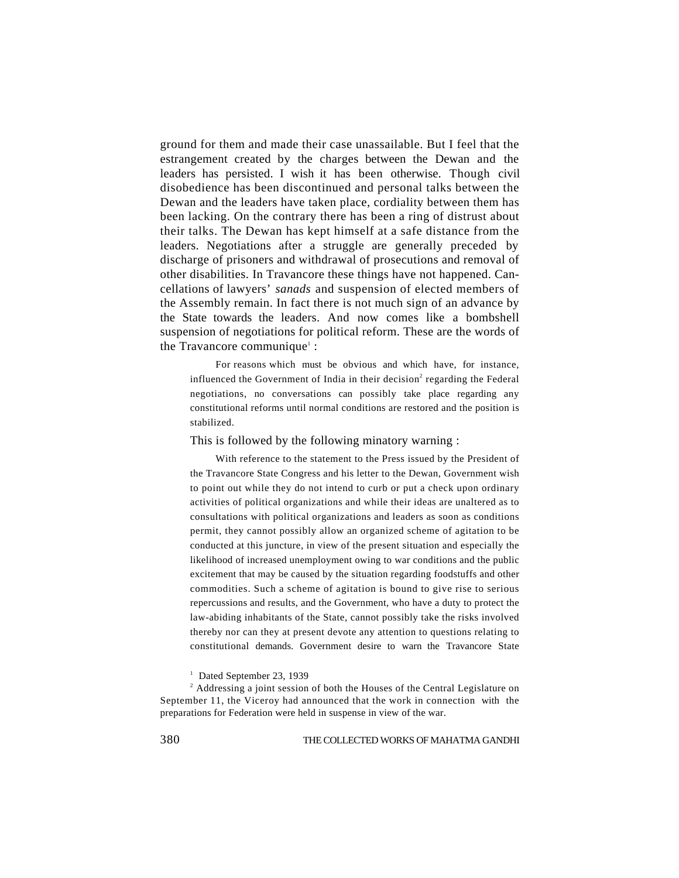ground for them and made their case unassailable. But I feel that the estrangement created by the charges between the Dewan and the leaders has persisted. I wish it has been otherwise. Though civil disobedience has been discontinued and personal talks between the Dewan and the leaders have taken place, cordiality between them has been lacking. On the contrary there has been a ring of distrust about their talks. The Dewan has kept himself at a safe distance from the leaders. Negotiations after a struggle are generally preceded by discharge of prisoners and withdrawal of prosecutions and removal of other disabilities. In Travancore these things have not happened. Cancellations of lawyers' *sanads* and suspension of elected members of the Assembly remain. In fact there is not much sign of an advance by the State towards the leaders. And now comes like a bombshell suspension of negotiations for political reform. These are the words of the Travancore communique<sup>1</sup>:

For reasons which must be obvious and which have, for instance, influenced the Government of India in their decision<sup>2</sup> regarding the Federal negotiations, no conversations can possibly take place regarding any constitutional reforms until normal conditions are restored and the position is stabilized.

This is followed by the following minatory warning :

With reference to the statement to the Press issued by the President of the Travancore State Congress and his letter to the Dewan, Government wish to point out while they do not intend to curb or put a check upon ordinary activities of political organizations and while their ideas are unaltered as to consultations with political organizations and leaders as soon as conditions permit, they cannot possibly allow an organized scheme of agitation to be conducted at this juncture, in view of the present situation and especially the likelihood of increased unemployment owing to war conditions and the public excitement that may be caused by the situation regarding foodstuffs and other commodities. Such a scheme of agitation is bound to give rise to serious repercussions and results, and the Government, who have a duty to protect the law-abiding inhabitants of the State, cannot possibly take the risks involved thereby nor can they at present devote any attention to questions relating to constitutional demands. Government desire to warn the Travancore State

<sup>1</sup> Dated September 23, 1939

<sup>2</sup> Addressing a joint session of both the Houses of the Central Legislature on September 11, the Viceroy had announced that the work in connection with the preparations for Federation were held in suspense in view of the war.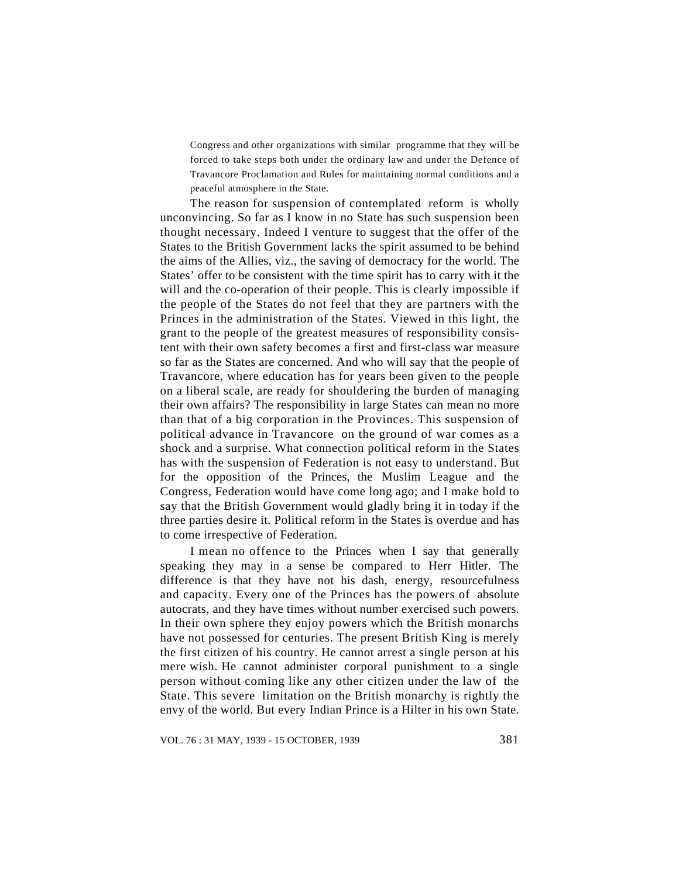Congress and other organizations with similar programme that they will be forced to take steps both under the ordinary law and under the Defence of Travancore Proclamation and Rules for maintaining normal conditions and a peaceful atmosphere in the State.

The reason for suspension of contemplated reform is wholly unconvincing. So far as I know in no State has such suspension been thought necessary. Indeed I venture to suggest that the offer of the States to the British Government lacks the spirit assumed to be behind the aims of the Allies, viz., the saving of democracy for the world. The States' offer to be consistent with the time spirit has to carry with it the will and the co-operation of their people. This is clearly impossible if the people of the States do not feel that they are partners with the Princes in the administration of the States. Viewed in this light, the grant to the people of the greatest measures of responsibility consistent with their own safety becomes a first and first-class war measure so far as the States are concerned. And who will say that the people of Travancore, where education has for years been given to the people on a liberal scale, are ready for shouldering the burden of managing their own affairs? The responsibility in large States can mean no more than that of a big corporation in the Provinces. This suspension of political advance in Travancore on the ground of war comes as a shock and a surprise. What connection political reform in the States has with the suspension of Federation is not easy to understand. But for the opposition of the Princes, the Muslim League and the Congress, Federation would have come long ago; and I make bold to say that the British Government would gladly bring it in today if the three parties desire it. Political reform in the States is overdue and has to come irrespective of Federation.

I mean no offence to the Princes when I say that generally speaking they may in a sense be compared to Herr Hitler. The difference is that they have not his dash, energy, resourcefulness and capacity. Every one of the Princes has the powers of absolute autocrats, and they have times without number exercised such powers. In their own sphere they enjoy powers which the British monarchs have not possessed for centuries. The present British King is merely the first citizen of his country. He cannot arrest a single person at his mere wish. He cannot administer corporal punishment to a single person without coming like any other citizen under the law of the State. This severe limitation on the British monarchy is rightly the envy of the world. But every Indian Prince is a Hilter in his own State.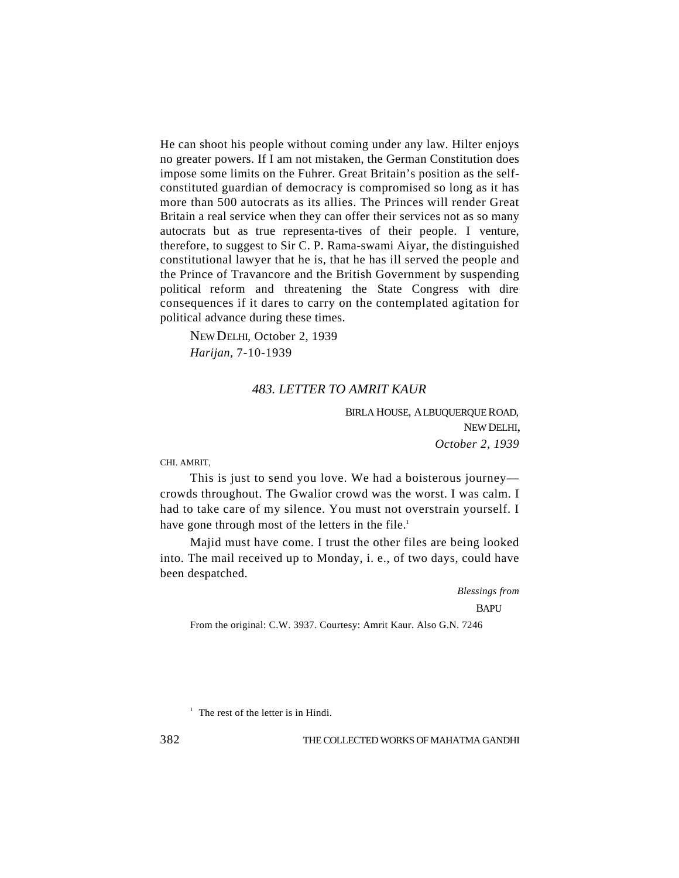He can shoot his people without coming under any law. Hilter enjoys no greater powers. If I am not mistaken, the German Constitution does impose some limits on the Fuhrer. Great Britain's position as the selfconstituted guardian of democracy is compromised so long as it has more than 500 autocrats as its allies. The Princes will render Great Britain a real service when they can offer their services not as so many autocrats but as true representa-tives of their people. I venture, therefore, to suggest to Sir C. P. Rama-swami Aiyar, the distinguished constitutional lawyer that he is, that he has ill served the people and the Prince of Travancore and the British Government by suspending political reform and threatening the State Congress with dire consequences if it dares to carry on the contemplated agitation for political advance during these times.

NEW DELHI, October 2, 1939 *Harijan,* 7-10-1939

# *483. LETTER TO AMRIT KAUR*

BIRLA HOUSE, ALBUQUERQUE ROAD, NEW DELHI, *October 2, 1939*

CHI. AMRIT,

This is just to send you love. We had a boisterous journey crowds throughout. The Gwalior crowd was the worst. I was calm. I had to take care of my silence. You must not overstrain yourself. I have gone through most of the letters in the file.<sup>1</sup>

Majid must have come. I trust the other files are being looked into. The mail received up to Monday, i. e., of two days, could have been despatched.

*Blessings from*

BAPU

From the original: C.W. 3937. Courtesy: Amrit Kaur. Also G.N. 7246

<sup>1</sup> The rest of the letter is in Hindi.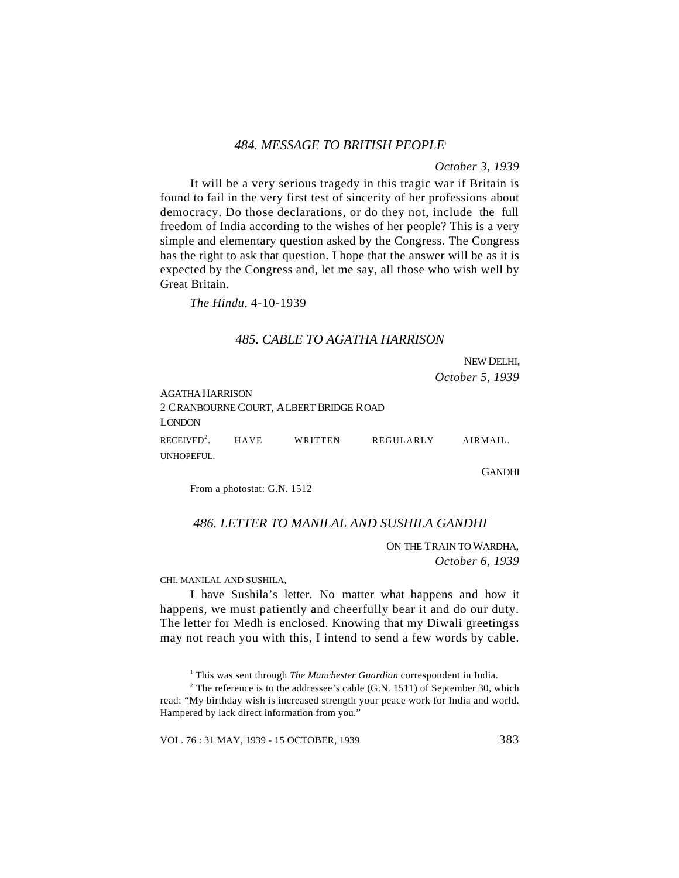## *484. MESSAGE TO BRITISH PEOPLE*<sup>1</sup>

*October 3, 1939*

It will be a very serious tragedy in this tragic war if Britain is found to fail in the very first test of sincerity of her professions about democracy. Do those declarations, or do they not, include the full freedom of India according to the wishes of her people? This is a very simple and elementary question asked by the Congress. The Congress has the right to ask that question. I hope that the answer will be as it is expected by the Congress and, let me say, all those who wish well by Great Britain.

*The Hindu,* 4-10-1939

#### *485. CABLE TO AGATHA HARRISON*

NEW DELHI, *October 5, 1939*

AGATHA HARRISON 2 CRANBOURNE COURT, ALBERT BRIDGE ROAD LONDON  $RECEIVED<sup>2</sup>$ . HAVE WRITTEN REGULARLY AIRMAIL. UNHOPEFUL.

**GANDHI** 

From a photostat: G.N. 1512

## *486. LETTER TO MANILAL AND SUSHILA GANDHI*

ON THE TRAIN TO WARDHA, *October 6, 1939*

#### CHI. MANILAL AND SUSHILA,

I have Sushila's letter. No matter what happens and how it happens, we must patiently and cheerfully bear it and do our duty. The letter for Medh is enclosed. Knowing that my Diwali greetingss may not reach you with this, I intend to send a few words by cable.

<sup>1</sup> This was sent through *The Manchester Guardian* correspondent in India.

<sup>2</sup> The reference is to the addressee's cable (G.N. 1511) of September 30, which read: "My birthday wish is increased strength your peace work for India and world. Hampered by lack direct information from you."

VOL. 76 : 31 MAY, 1939 - 15 OCTOBER, 1939 383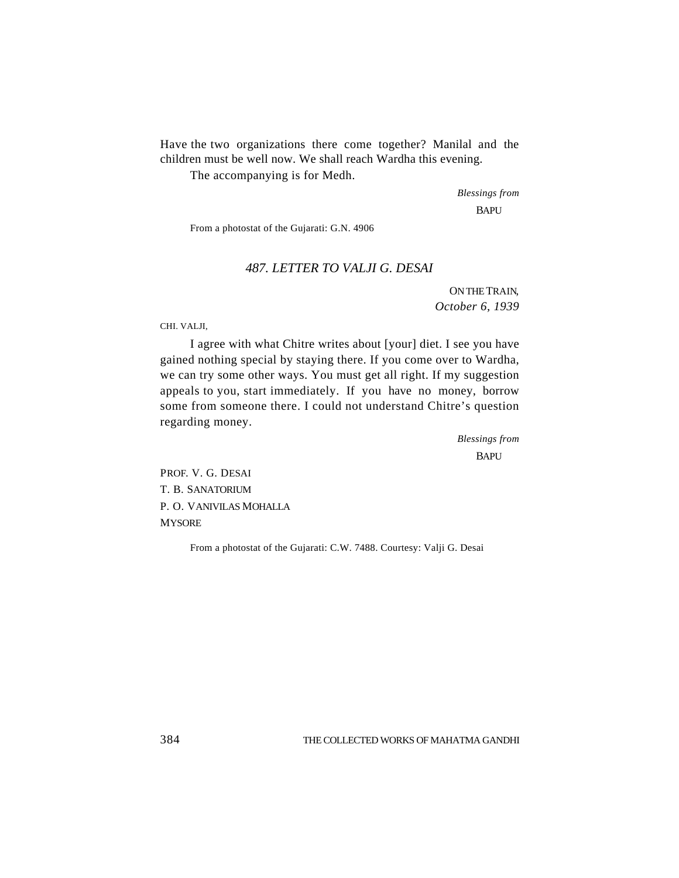Have the two organizations there come together? Manilal and the children must be well now. We shall reach Wardha this evening.

The accompanying is for Medh.

*Blessings from*

**BAPU** 

From a photostat of the Gujarati: G.N. 4906

## *487. LETTER TO VALJI G. DESAI*

ON THE TRAIN, *October 6, 1939*

CHI. VALJI,

I agree with what Chitre writes about [your] diet. I see you have gained nothing special by staying there. If you come over to Wardha, we can try some other ways. You must get all right. If my suggestion appeals to you, start immediately. If you have no money, borrow some from someone there. I could not understand Chitre's question regarding money.

> *Blessings from* **BAPU**

PROF. V. G. DESAI T. B. SANATORIUM P. O. VANIVILAS MOHALLA **MYSORE** 

From a photostat of the Gujarati: C.W. 7488. Courtesy: Valji G. Desai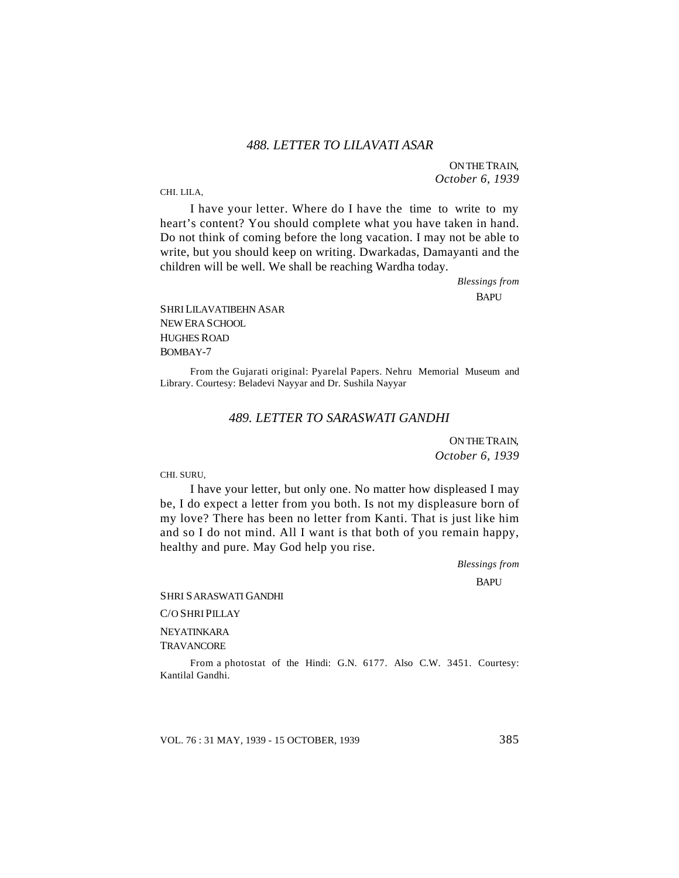## *488. LETTER TO LILAVATI ASAR*

ON THE TRAIN, *October 6, 1939*

CHI. LILA,

I have your letter. Where do I have the time to write to my heart's content? You should complete what you have taken in hand. Do not think of coming before the long vacation. I may not be able to write, but you should keep on writing. Dwarkadas, Damayanti and the children will be well. We shall be reaching Wardha today.

> *Blessings from* **BAPU**

SHRI LILAVATIBEHN ASAR NEW ERA SCHOOL HUGHES ROAD BOMBAY-7

From the Gujarati original: Pyarelal Papers. Nehru Memorial Museum and Library. Courtesy: Beladevi Nayyar and Dr. Sushila Nayyar

## *489. LETTER TO SARASWATI GANDHI*

ON THE TRAIN, *October 6, 1939*

CHI. SURU,

I have your letter, but only one. No matter how displeased I may be, I do expect a letter from you both. Is not my displeasure born of my love? There has been no letter from Kanti. That is just like him and so I do not mind. All I want is that both of you remain happy, healthy and pure. May God help you rise.

> *Blessings from* BAPU

SHRI SARASWATI GANDHI

C/O SHRI PILLAY

#### NEYATINKARA

#### TRAVANCORE

From a photostat of the Hindi: G.N. 6177. Also C.W. 3451. Courtesy: Kantilal Gandhi.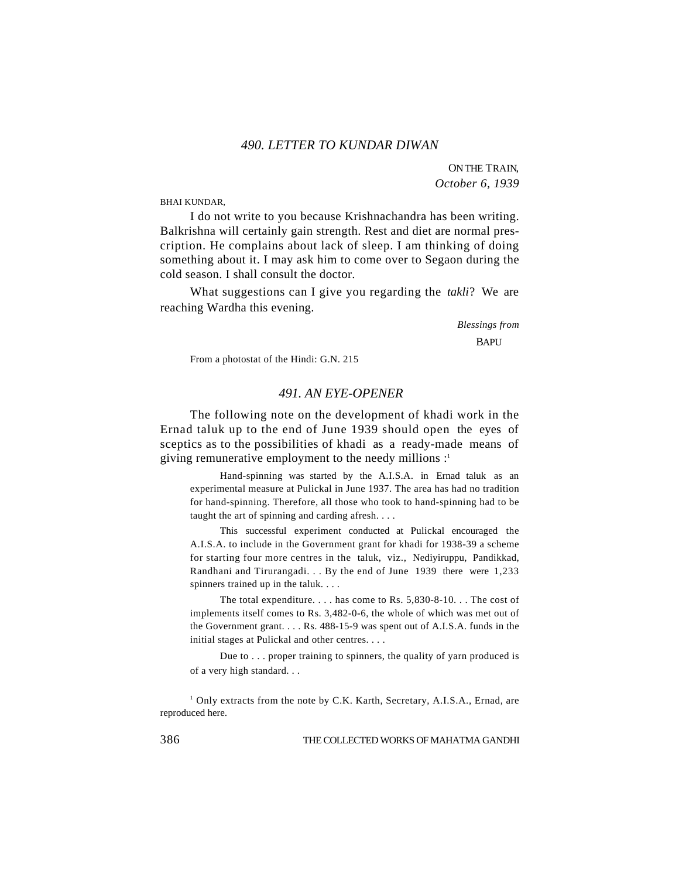## *490. LETTER TO KUNDAR DIWAN*

ON THE TRAIN, *October 6, 1939*

BHAI KUNDAR,

I do not write to you because Krishnachandra has been writing. Balkrishna will certainly gain strength. Rest and diet are normal prescription. He complains about lack of sleep. I am thinking of doing something about it. I may ask him to come over to Segaon during the cold season. I shall consult the doctor.

What suggestions can I give you regarding the *takli*? We are reaching Wardha this evening.

*Blessings from*

BAPU

From a photostat of the Hindi: G.N. 215

## *491. AN EYE-OPENER*

The following note on the development of khadi work in the Ernad taluk up to the end of June 1939 should open the eyes of sceptics as to the possibilities of khadi as a ready-made means of giving remunerative employment to the needy millions :<sup>1</sup>

Hand-spinning was started by the A.I.S.A. in Ernad taluk as an experimental measure at Pulickal in June 1937. The area has had no tradition for hand-spinning. Therefore, all those who took to hand-spinning had to be taught the art of spinning and carding afresh. . . .

This successful experiment conducted at Pulickal encouraged the A.I.S.A. to include in the Government grant for khadi for 1938-39 a scheme for starting four more centres in the taluk, viz., Nediyiruppu, Pandikkad, Randhani and Tirurangadi. . . By the end of June 1939 there were 1,233 spinners trained up in the taluk. . . .

The total expenditure. . . . has come to Rs. 5,830-8-10. . . The cost of implements itself comes to Rs. 3,482-0-6, the whole of which was met out of the Government grant. . . . Rs. 488-15-9 was spent out of A.I.S.A. funds in the initial stages at Pulickal and other centres. . . .

Due to . . . proper training to spinners, the quality of yarn produced is of a very high standard. . .

<sup>1</sup> Only extracts from the note by C.K. Karth, Secretary, A.I.S.A., Ernad, are reproduced here.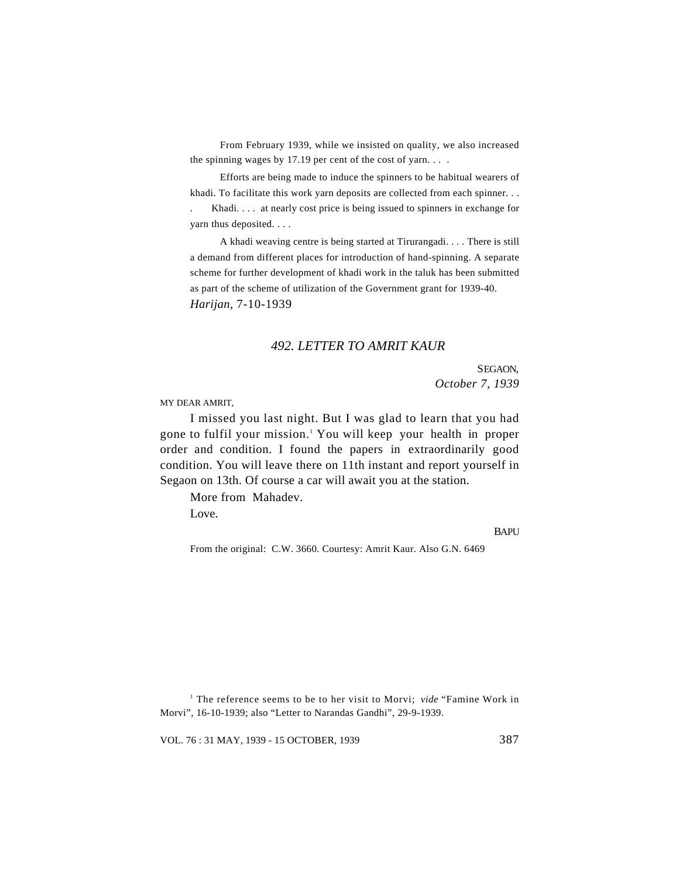From February 1939, while we insisted on quality, we also increased the spinning wages by 17.19 per cent of the cost of yarn. . . .

Efforts are being made to induce the spinners to be habitual wearers of khadi. To facilitate this work yarn deposits are collected from each spinner. . .

Khadi. . . . at nearly cost price is being issued to spinners in exchange for yarn thus deposited. . . .

A khadi weaving centre is being started at Tirurangadi. . . . There is still a demand from different places for introduction of hand-spinning. A separate scheme for further development of khadi work in the taluk has been submitted as part of the scheme of utilization of the Government grant for 1939-40. *Harijan,* 7-10-1939

# *492. LETTER TO AMRIT KAUR*

SEGAON, *October 7, 1939*

MY DEAR AMRIT,

I missed you last night. But I was glad to learn that you had gone to fulfil your mission.<sup>1</sup> You will keep your health in proper order and condition. I found the papers in extraordinarily good condition. You will leave there on 11th instant and report yourself in Segaon on 13th. Of course a car will await you at the station.

More from Mahadev. Love.

**BAPU** 

From the original: C.W. 3660. Courtesy: Amrit Kaur. Also G.N. 6469

<sup>1</sup> The reference seems to be to her visit to Morvi; *vide* "Famine Work in Morvi", 16-10-1939; also "Letter to Narandas Gandhi", 29-9-1939.

VOL. 76 : 31 MAY, 1939 - 15 OCTOBER, 1939 387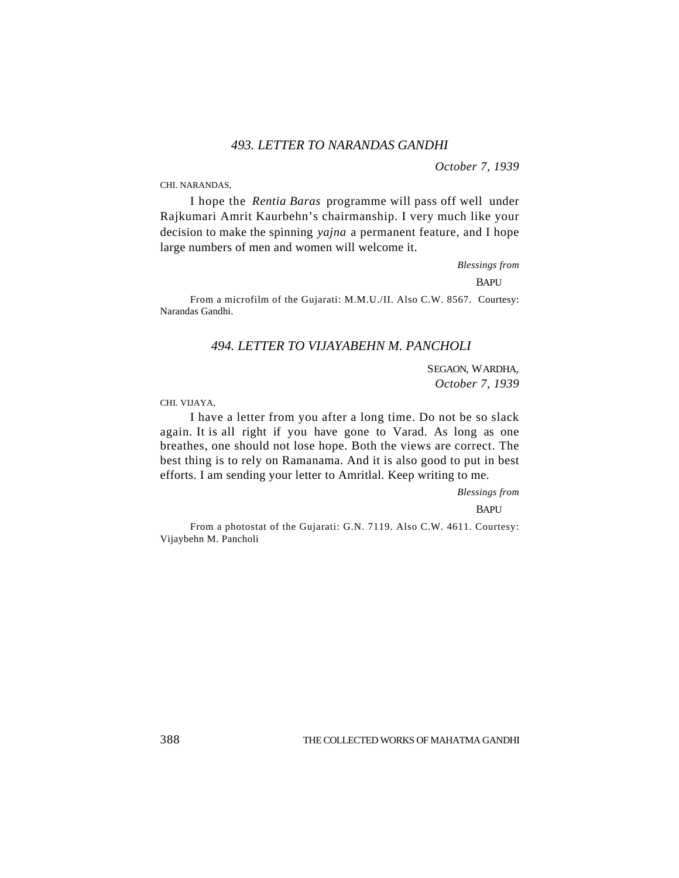*October 7, 1939*

CHI. NARANDAS,

I hope the *Rentia Baras* programme will pass off well under Rajkumari Amrit Kaurbehn's chairmanship. I very much like your decision to make the spinning *yajna* a permanent feature, and I hope large numbers of men and women will welcome it.

*Blessings from*

BAPU

From a microfilm of the Gujarati: M.M.U./II. Also C.W. 8567. Courtesy: Narandas Gandhi.

## *494. LETTER TO VIJAYABEHN M. PANCHOLI*

SEGAON, WARDHA, *October 7, 1939*

CHI. VIJAYA,

I have a letter from you after a long time. Do not be so slack again. It is all right if you have gone to Varad. As long as one breathes, one should not lose hope. Both the views are correct. The best thing is to rely on Ramanama. And it is also good to put in best efforts. I am sending your letter to Amritlal. Keep writing to me.

*Blessings from*

**BAPU** 

From a photostat of the Gujarati: G.N. 7119. Also C.W. 4611. Courtesy: Vijaybehn M. Pancholi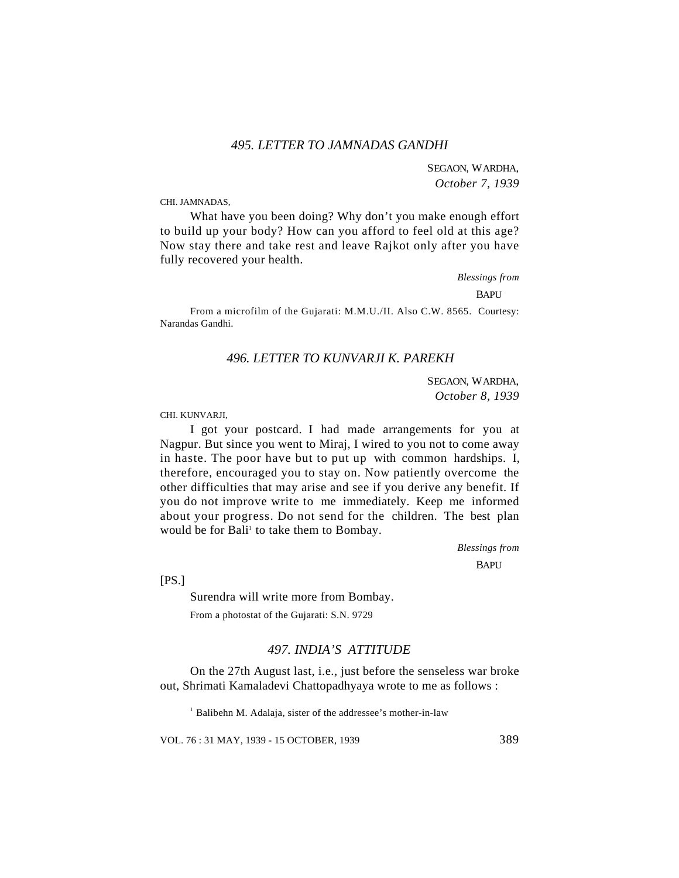## *495. LETTER TO JAMNADAS GANDHI*

SEGAON, WARDHA, *October 7, 1939*

CHI. JAMNADAS,

What have you been doing? Why don't you make enough effort to build up your body? How can you afford to feel old at this age? Now stay there and take rest and leave Rajkot only after you have fully recovered your health.

*Blessings from*

BAPU

From a microfilm of the Gujarati: M.M.U./II. Also C.W. 8565. Courtesy: Narandas Gandhi.

#### *496. LETTER TO KUNVARJI K. PAREKH*

SEGAON, WARDHA, *October 8, 1939*

CHI. KUNVARJI,

I got your postcard. I had made arrangements for you at Nagpur. But since you went to Miraj, I wired to you not to come away in haste. The poor have but to put up with common hardships. I, therefore, encouraged you to stay on. Now patiently overcome the other difficulties that may arise and see if you derive any benefit. If you do not improve write to me immediately. Keep me informed about your progress. Do not send for the children. The best plan would be for Bali<sup>1</sup> to take them to Bombay.

*Blessings from*

BAPU

[PS.]

Surendra will write more from Bombay.

From a photostat of the Gujarati: S.N. 9729

# *497. INDIA'S ATTITUDE*

On the 27th August last, i.e., just before the senseless war broke out, Shrimati Kamaladevi Chattopadhyaya wrote to me as follows :

<sup>1</sup> Balibehn M. Adalaja, sister of the addressee's mother-in-law

VOL. 76 : 31 MAY, 1939 - 15 OCTOBER, 1939 389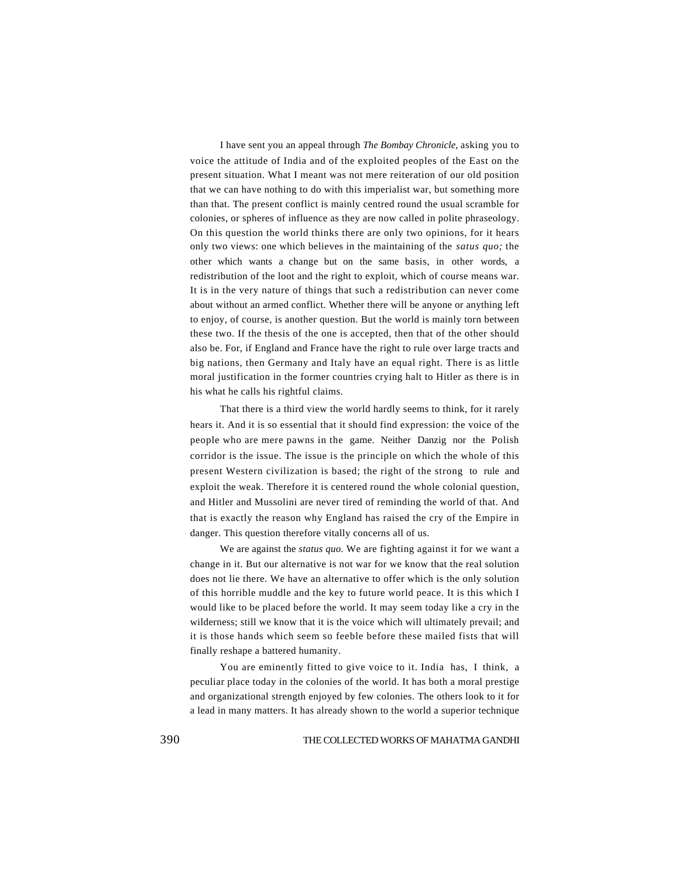I have sent you an appeal through *The Bombay Chronicle,* asking you to voice the attitude of India and of the exploited peoples of the East on the present situation. What I meant was not mere reiteration of our old position that we can have nothing to do with this imperialist war, but something more than that. The present conflict is mainly centred round the usual scramble for colonies, or spheres of influence as they are now called in polite phraseology. On this question the world thinks there are only two opinions, for it hears only two views: one which believes in the maintaining of the *satus quo;* the other which wants a change but on the same basis, in other words, a redistribution of the loot and the right to exploit, which of course means war. It is in the very nature of things that such a redistribution can never come about without an armed conflict. Whether there will be anyone or anything left to enjoy, of course, is another question. But the world is mainly torn between these two. If the thesis of the one is accepted, then that of the other should also be. For, if England and France have the right to rule over large tracts and big nations, then Germany and Italy have an equal right. There is as little moral justification in the former countries crying halt to Hitler as there is in his what he calls his rightful claims.

That there is a third view the world hardly seems to think, for it rarely hears it. And it is so essential that it should find expression: the voice of the people who are mere pawns in the game. Neither Danzig nor the Polish corridor is the issue. The issue is the principle on which the whole of this present Western civilization is based; the right of the strong to rule and exploit the weak. Therefore it is centered round the whole colonial question, and Hitler and Mussolini are never tired of reminding the world of that. And that is exactly the reason why England has raised the cry of the Empire in danger. This question therefore vitally concerns all of us.

We are against the *status quo.* We are fighting against it for we want a change in it. But our alternative is not war for we know that the real solution does not lie there. We have an alternative to offer which is the only solution of this horrible muddle and the key to future world peace. It is this which I would like to be placed before the world. It may seem today like a cry in the wilderness; still we know that it is the voice which will ultimately prevail; and it is those hands which seem so feeble before these mailed fists that will finally reshape a battered humanity.

You are eminently fitted to give voice to it. India has, I think, a peculiar place today in the colonies of the world. It has both a moral prestige and organizational strength enjoyed by few colonies. The others look to it for a lead in many matters. It has already shown to the world a superior technique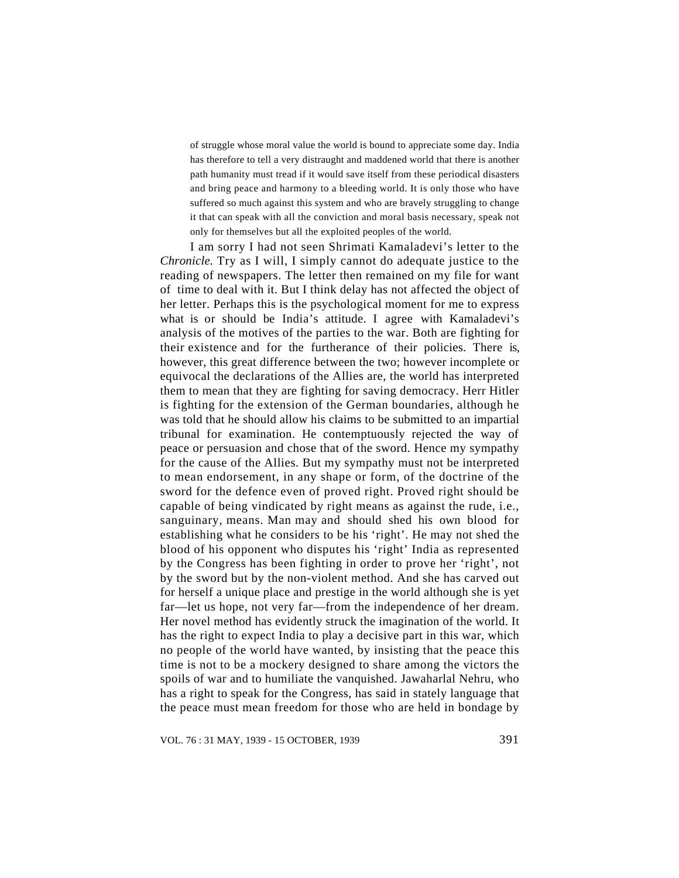of struggle whose moral value the world is bound to appreciate some day. India has therefore to tell a very distraught and maddened world that there is another path humanity must tread if it would save itself from these periodical disasters and bring peace and harmony to a bleeding world. It is only those who have suffered so much against this system and who are bravely struggling to change it that can speak with all the conviction and moral basis necessary, speak not only for themselves but all the exploited peoples of the world.

I am sorry I had not seen Shrimati Kamaladevi's letter to the *Chronicle.* Try as I will, I simply cannot do adequate justice to the reading of newspapers. The letter then remained on my file for want of time to deal with it. But I think delay has not affected the object of her letter. Perhaps this is the psychological moment for me to express what is or should be India's attitude. I agree with Kamaladevi's analysis of the motives of the parties to the war. Both are fighting for their existence and for the furtherance of their policies. There is, however, this great difference between the two; however incomplete or equivocal the declarations of the Allies are, the world has interpreted them to mean that they are fighting for saving democracy. Herr Hitler is fighting for the extension of the German boundaries, although he was told that he should allow his claims to be submitted to an impartial tribunal for examination. He contemptuously rejected the way of peace or persuasion and chose that of the sword. Hence my sympathy for the cause of the Allies. But my sympathy must not be interpreted to mean endorsement, in any shape or form, of the doctrine of the sword for the defence even of proved right. Proved right should be capable of being vindicated by right means as against the rude, i.e., sanguinary, means. Man may and should shed his own blood for establishing what he considers to be his 'right'. He may not shed the blood of his opponent who disputes his 'right' India as represented by the Congress has been fighting in order to prove her 'right', not by the sword but by the non-violent method. And she has carved out for herself a unique place and prestige in the world although she is yet far—let us hope, not very far—from the independence of her dream. Her novel method has evidently struck the imagination of the world. It has the right to expect India to play a decisive part in this war, which no people of the world have wanted, by insisting that the peace this time is not to be a mockery designed to share among the victors the spoils of war and to humiliate the vanquished. Jawaharlal Nehru, who has a right to speak for the Congress, has said in stately language that the peace must mean freedom for those who are held in bondage by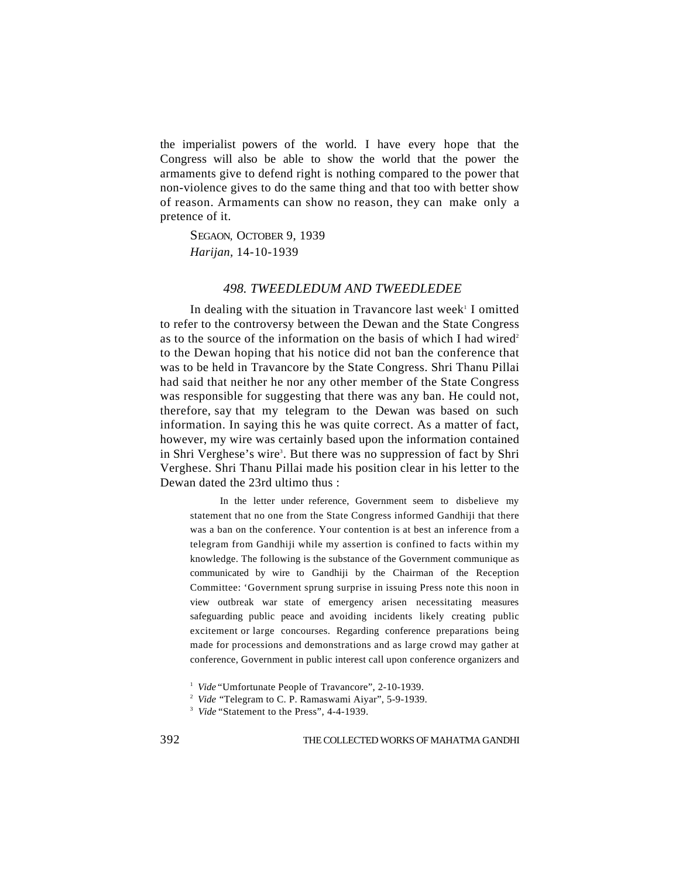the imperialist powers of the world. I have every hope that the Congress will also be able to show the world that the power the armaments give to defend right is nothing compared to the power that non-violence gives to do the same thing and that too with better show of reason. Armaments can show no reason, they can make only a pretence of it.

SEGAON, OCTOBER 9, 1939 *Harijan,* 14-10-1939

## *498. TWEEDLEDUM AND TWEEDLEDEE*

In dealing with the situation in Travancore last week<sup>1</sup> I omitted to refer to the controversy between the Dewan and the State Congress as to the source of the information on the basis of which I had wired<sup>2</sup> to the Dewan hoping that his notice did not ban the conference that was to be held in Travancore by the State Congress. Shri Thanu Pillai had said that neither he nor any other member of the State Congress was responsible for suggesting that there was any ban. He could not, therefore, say that my telegram to the Dewan was based on such information. In saying this he was quite correct. As a matter of fact, however, my wire was certainly based upon the information contained in Shri Verghese's wire<sup>3</sup>. But there was no suppression of fact by Shri Verghese. Shri Thanu Pillai made his position clear in his letter to the Dewan dated the 23rd ultimo thus :

In the letter under reference, Government seem to disbelieve my statement that no one from the State Congress informed Gandhiji that there was a ban on the conference. Your contention is at best an inference from a telegram from Gandhiji while my assertion is confined to facts within my knowledge. The following is the substance of the Government communique as communicated by wire to Gandhiji by the Chairman of the Reception Committee: 'Government sprung surprise in issuing Press note this noon in view outbreak war state of emergency arisen necessitating measures safeguarding public peace and avoiding incidents likely creating public excitement or large concourses. Regarding conference preparations being made for processions and demonstrations and as large crowd may gather at conference, Government in public interest call upon conference organizers and

<sup>&</sup>lt;sup>1</sup> Vide "Umfortunate People of Travancore", 2-10-1939.

<sup>&</sup>lt;sup>2</sup> Vide "Telegram to C. P. Ramaswami Aiyar", 5-9-1939.

<sup>&</sup>lt;sup>3</sup> Vide "Statement to the Press", 4-4-1939.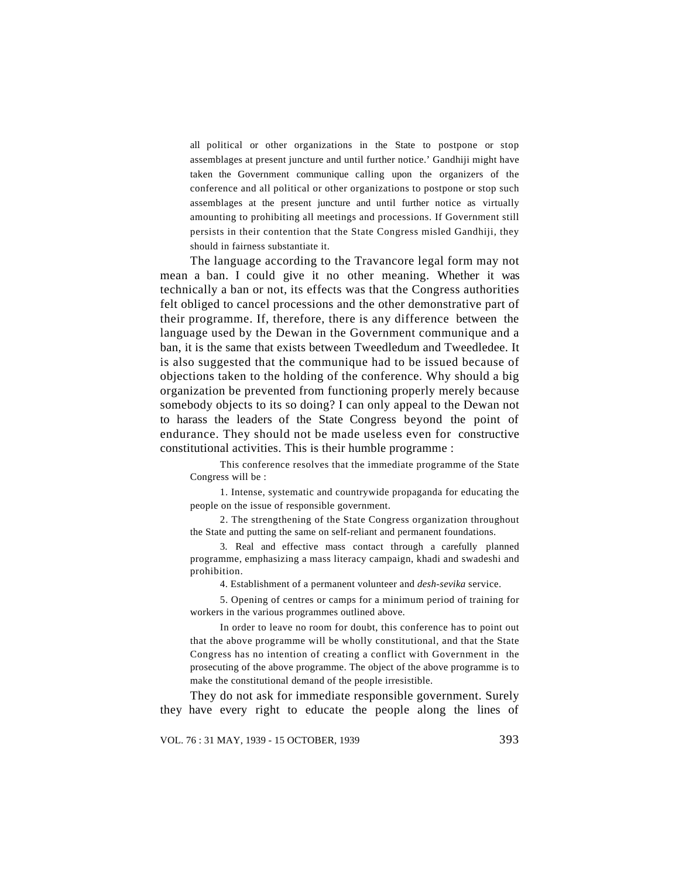all political or other organizations in the State to postpone or stop assemblages at present juncture and until further notice.' Gandhiji might have taken the Government communique calling upon the organizers of the conference and all political or other organizations to postpone or stop such assemblages at the present juncture and until further notice as virtually amounting to prohibiting all meetings and processions. If Government still persists in their contention that the State Congress misled Gandhiji, they should in fairness substantiate it.

The language according to the Travancore legal form may not mean a ban. I could give it no other meaning. Whether it was technically a ban or not, its effects was that the Congress authorities felt obliged to cancel processions and the other demonstrative part of their programme. If, therefore, there is any difference between the language used by the Dewan in the Government communique and a ban, it is the same that exists between Tweedledum and Tweedledee. It is also suggested that the communique had to be issued because of objections taken to the holding of the conference. Why should a big organization be prevented from functioning properly merely because somebody objects to its so doing? I can only appeal to the Dewan not to harass the leaders of the State Congress beyond the point of endurance. They should not be made useless even for constructive constitutional activities. This is their humble programme :

This conference resolves that the immediate programme of the State Congress will be :

1. Intense, systematic and countrywide propaganda for educating the people on the issue of responsible government.

2. The strengthening of the State Congress organization throughout the State and putting the same on self-reliant and permanent foundations.

3. Real and effective mass contact through a carefully planned programme, emphasizing a mass literacy campaign, khadi and swadeshi and prohibition.

4. Establishment of a permanent volunteer and *desh-sevika* service.

5. Opening of centres or camps for a minimum period of training for workers in the various programmes outlined above.

In order to leave no room for doubt, this conference has to point out that the above programme will be wholly constitutional, and that the State Congress has no intention of creating a conflict with Government in the prosecuting of the above programme. The object of the above programme is to make the constitutional demand of the people irresistible.

They do not ask for immediate responsible government. Surely they have every right to educate the people along the lines of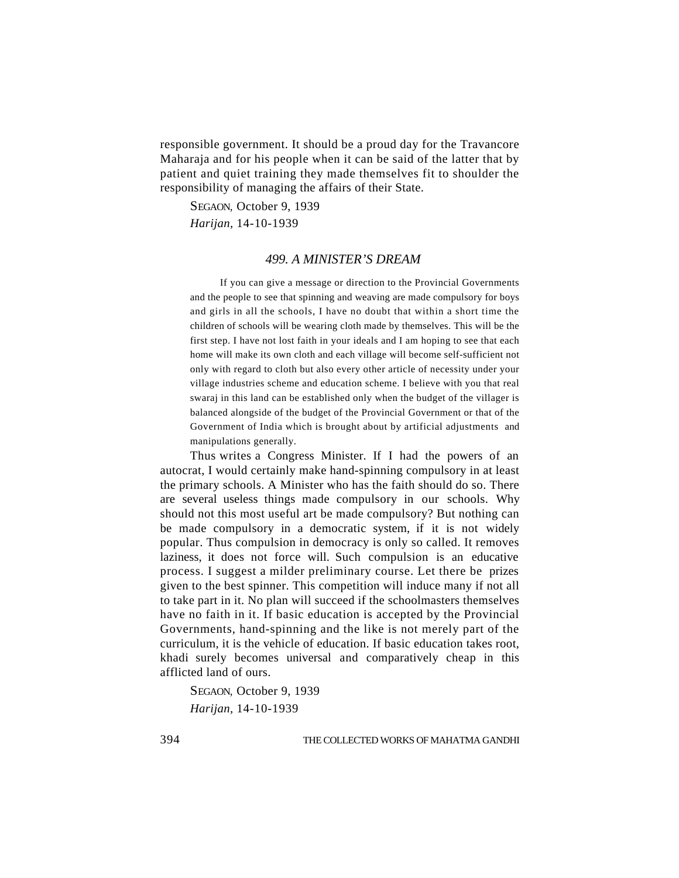responsible government. It should be a proud day for the Travancore Maharaja and for his people when it can be said of the latter that by patient and quiet training they made themselves fit to shoulder the responsibility of managing the affairs of their State.

SEGAON, October 9, 1939 *Harijan,* 14-10-1939

## *499. A MINISTER'S DREAM*

If you can give a message or direction to the Provincial Governments and the people to see that spinning and weaving are made compulsory for boys and girls in all the schools, I have no doubt that within a short time the children of schools will be wearing cloth made by themselves. This will be the first step. I have not lost faith in your ideals and I am hoping to see that each home will make its own cloth and each village will become self-sufficient not only with regard to cloth but also every other article of necessity under your village industries scheme and education scheme. I believe with you that real swaraj in this land can be established only when the budget of the villager is balanced alongside of the budget of the Provincial Government or that of the Government of India which is brought about by artificial adjustments and manipulations generally.

Thus writes a Congress Minister. If I had the powers of an autocrat, I would certainly make hand-spinning compulsory in at least the primary schools. A Minister who has the faith should do so. There are several useless things made compulsory in our schools. Why should not this most useful art be made compulsory? But nothing can be made compulsory in a democratic system, if it is not widely popular. Thus compulsion in democracy is only so called. It removes laziness, it does not force will. Such compulsion is an educative process. I suggest a milder preliminary course. Let there be prizes given to the best spinner. This competition will induce many if not all to take part in it. No plan will succeed if the schoolmasters themselves have no faith in it. If basic education is accepted by the Provincial Governments, hand-spinning and the like is not merely part of the curriculum, it is the vehicle of education. If basic education takes root, khadi surely becomes universal and comparatively cheap in this afflicted land of ours.

SEGAON, October 9, 1939 *Harijan,* 14-10-1939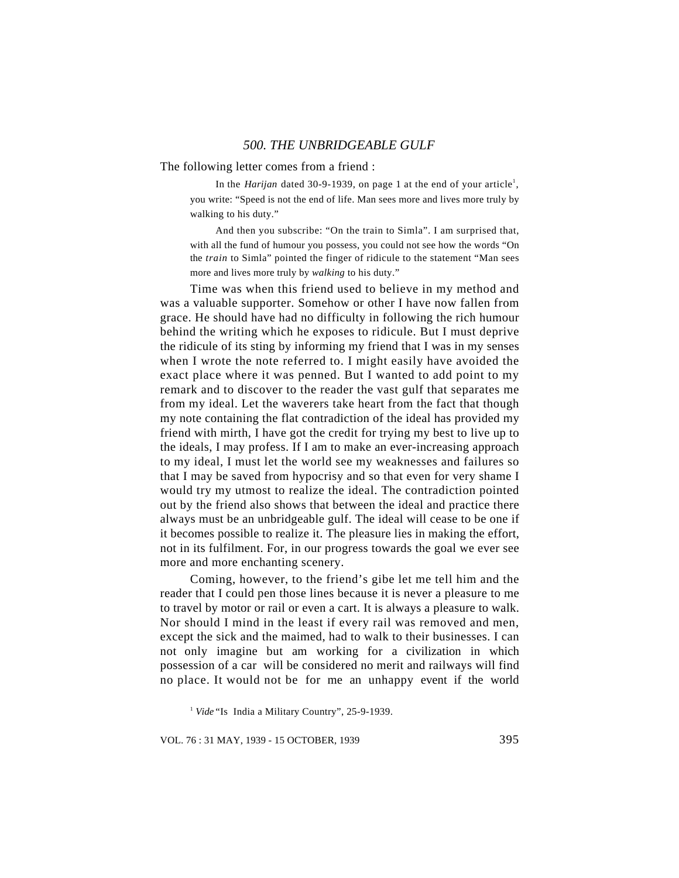## The following letter comes from a friend :

In the *Harijan* dated 30-9-1939, on page 1 at the end of your article<sup>1</sup>, you write: "Speed is not the end of life. Man sees more and lives more truly by walking to his duty."

And then you subscribe: "On the train to Simla". I am surprised that, with all the fund of humour you possess, you could not see how the words "On the *train* to Simla" pointed the finger of ridicule to the statement "Man sees more and lives more truly by *walking* to his duty."

Time was when this friend used to believe in my method and was a valuable supporter. Somehow or other I have now fallen from grace. He should have had no difficulty in following the rich humour behind the writing which he exposes to ridicule. But I must deprive the ridicule of its sting by informing my friend that I was in my senses when I wrote the note referred to. I might easily have avoided the exact place where it was penned. But I wanted to add point to my remark and to discover to the reader the vast gulf that separates me from my ideal. Let the waverers take heart from the fact that though my note containing the flat contradiction of the ideal has provided my friend with mirth, I have got the credit for trying my best to live up to the ideals, I may profess. If I am to make an ever-increasing approach to my ideal, I must let the world see my weaknesses and failures so that I may be saved from hypocrisy and so that even for very shame I would try my utmost to realize the ideal. The contradiction pointed out by the friend also shows that between the ideal and practice there always must be an unbridgeable gulf. The ideal will cease to be one if it becomes possible to realize it. The pleasure lies in making the effort, not in its fulfilment. For, in our progress towards the goal we ever see more and more enchanting scenery.

Coming, however, to the friend's gibe let me tell him and the reader that I could pen those lines because it is never a pleasure to me to travel by motor or rail or even a cart. It is always a pleasure to walk. Nor should I mind in the least if every rail was removed and men, except the sick and the maimed, had to walk to their businesses. I can not only imagine but am working for a civilization in which possession of a car will be considered no merit and railways will find no place. It would not be for me an unhappy event if the world

<sup>&</sup>lt;sup>1</sup> *Vide* "Is India a Military Country", 25-9-1939.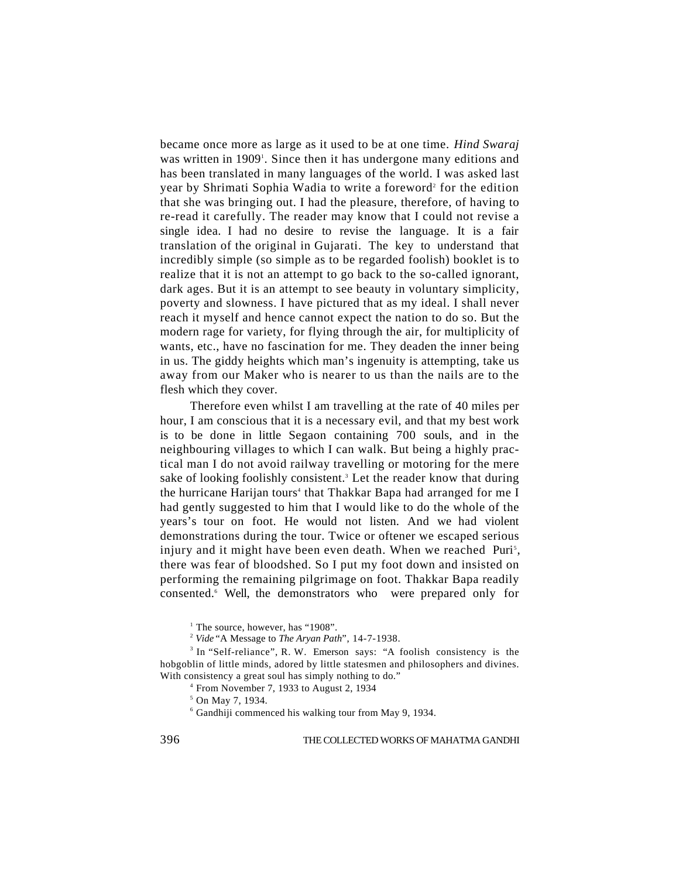became once more as large as it used to be at one time. *Hind Swaraj* was written in 1909'. Since then it has undergone many editions and has been translated in many languages of the world. I was asked last year by Shrimati Sophia Wadia to write a foreword<sup>2</sup> for the edition that she was bringing out. I had the pleasure, therefore, of having to re-read it carefully. The reader may know that I could not revise a single idea. I had no desire to revise the language. It is a fair translation of the original in Gujarati. The key to understand that incredibly simple (so simple as to be regarded foolish) booklet is to realize that it is not an attempt to go back to the so-called ignorant, dark ages. But it is an attempt to see beauty in voluntary simplicity, poverty and slowness. I have pictured that as my ideal. I shall never reach it myself and hence cannot expect the nation to do so. But the modern rage for variety, for flying through the air, for multiplicity of wants, etc., have no fascination for me. They deaden the inner being in us. The giddy heights which man's ingenuity is attempting, take us away from our Maker who is nearer to us than the nails are to the flesh which they cover.

Therefore even whilst I am travelling at the rate of 40 miles per hour, I am conscious that it is a necessary evil, and that my best work is to be done in little Segaon containing 700 souls, and in the neighbouring villages to which I can walk. But being a highly practical man I do not avoid railway travelling or motoring for the mere sake of looking foolishly consistent.<sup>3</sup> Let the reader know that during the hurricane Harijan tours<sup>4</sup> that Thakkar Bapa had arranged for me I had gently suggested to him that I would like to do the whole of the years's tour on foot. He would not listen. And we had violent demonstrations during the tour. Twice or oftener we escaped serious injury and it might have been even death. When we reached Puri<sup>5</sup>, there was fear of bloodshed. So I put my foot down and insisted on performing the remaining pilgrimage on foot. Thakkar Bapa readily consented.<sup>6</sup> Well, the demonstrators who were prepared only for

<sup>1</sup> The source, however, has "1908".

<sup>2</sup> *Vide* "A Message to *The Aryan Path*", 14-7-1938.

<sup>3</sup> In "Self-reliance", R. W. Emerson says: "A foolish consistency is the hobgoblin of little minds, adored by little statesmen and philosophers and divines. With consistency a great soul has simply nothing to do."

4 From November 7, 1933 to August 2, 1934

6 Gandhiji commenced his walking tour from May 9, 1934.

<sup>5</sup> On May 7, 1934.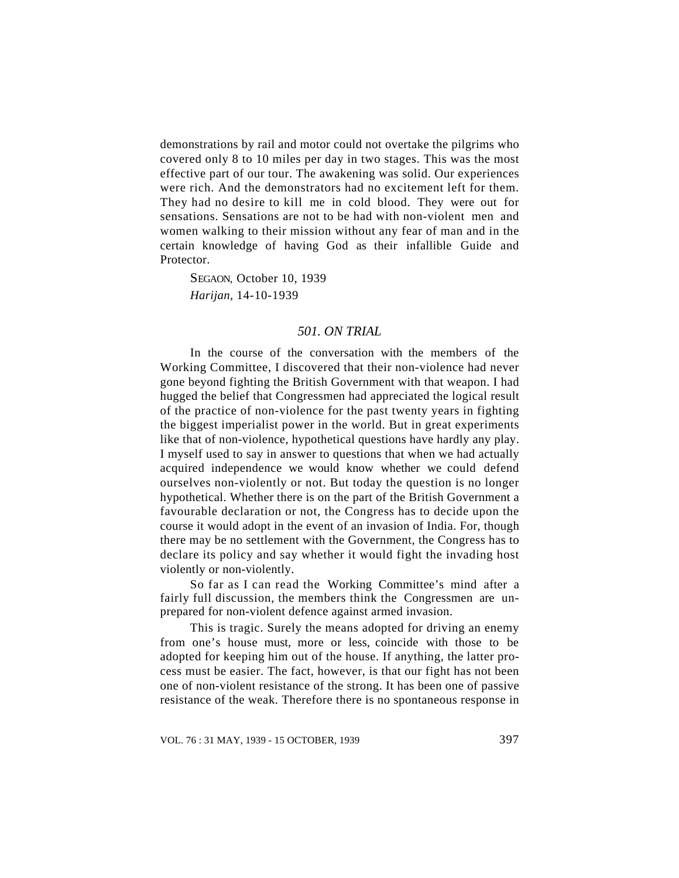demonstrations by rail and motor could not overtake the pilgrims who covered only 8 to 10 miles per day in two stages. This was the most effective part of our tour. The awakening was solid. Our experiences were rich. And the demonstrators had no excitement left for them. They had no desire to kill me in cold blood. They were out for sensations. Sensations are not to be had with non-violent men and women walking to their mission without any fear of man and in the certain knowledge of having God as their infallible Guide and Protector.

SEGAON, October 10, 1939 *Harijan,* 14-10-1939

# *501. ON TRIAL*

In the course of the conversation with the members of the Working Committee, I discovered that their non-violence had never gone beyond fighting the British Government with that weapon. I had hugged the belief that Congressmen had appreciated the logical result of the practice of non-violence for the past twenty years in fighting the biggest imperialist power in the world. But in great experiments like that of non-violence, hypothetical questions have hardly any play. I myself used to say in answer to questions that when we had actually acquired independence we would know whether we could defend ourselves non-violently or not. But today the question is no longer hypothetical. Whether there is on the part of the British Government a favourable declaration or not, the Congress has to decide upon the course it would adopt in the event of an invasion of India. For, though there may be no settlement with the Government, the Congress has to declare its policy and say whether it would fight the invading host violently or non-violently.

So far as I can read the Working Committee's mind after a fairly full discussion, the members think the Congressmen are unprepared for non-violent defence against armed invasion.

This is tragic. Surely the means adopted for driving an enemy from one's house must, more or less, coincide with those to be adopted for keeping him out of the house. If anything, the latter process must be easier. The fact, however, is that our fight has not been one of non-violent resistance of the strong. It has been one of passive resistance of the weak. Therefore there is no spontaneous response in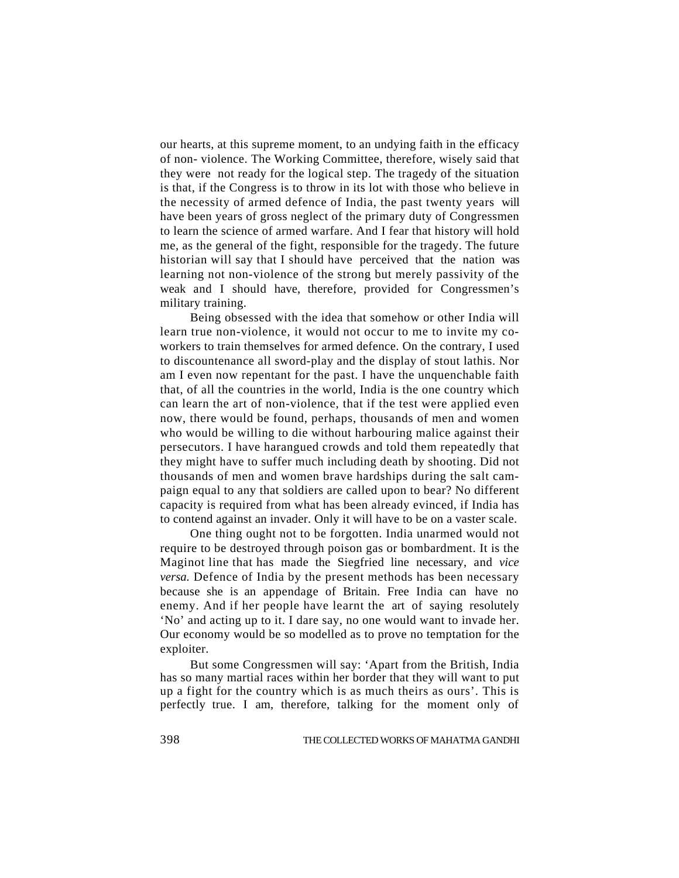our hearts, at this supreme moment, to an undying faith in the efficacy of non- violence. The Working Committee, therefore, wisely said that they were not ready for the logical step. The tragedy of the situation is that, if the Congress is to throw in its lot with those who believe in the necessity of armed defence of India, the past twenty years will have been years of gross neglect of the primary duty of Congressmen to learn the science of armed warfare. And I fear that history will hold me, as the general of the fight, responsible for the tragedy. The future historian will say that I should have perceived that the nation was learning not non-violence of the strong but merely passivity of the weak and I should have, therefore, provided for Congressmen's military training.

Being obsessed with the idea that somehow or other India will learn true non-violence, it would not occur to me to invite my coworkers to train themselves for armed defence. On the contrary, I used to discountenance all sword-play and the display of stout lathis. Nor am I even now repentant for the past. I have the unquenchable faith that, of all the countries in the world, India is the one country which can learn the art of non-violence, that if the test were applied even now, there would be found, perhaps, thousands of men and women who would be willing to die without harbouring malice against their persecutors. I have harangued crowds and told them repeatedly that they might have to suffer much including death by shooting. Did not thousands of men and women brave hardships during the salt campaign equal to any that soldiers are called upon to bear? No different capacity is required from what has been already evinced, if India has to contend against an invader. Only it will have to be on a vaster scale.

One thing ought not to be forgotten. India unarmed would not require to be destroyed through poison gas or bombardment. It is the Maginot line that has made the Siegfried line necessary, and *vice versa.* Defence of India by the present methods has been necessary because she is an appendage of Britain. Free India can have no enemy. And if her people have learnt the art of saying resolutely 'No' and acting up to it. I dare say, no one would want to invade her. Our economy would be so modelled as to prove no temptation for the exploiter.

But some Congressmen will say: 'Apart from the British, India has so many martial races within her border that they will want to put up a fight for the country which is as much theirs as ours'. This is perfectly true. I am, therefore, talking for the moment only of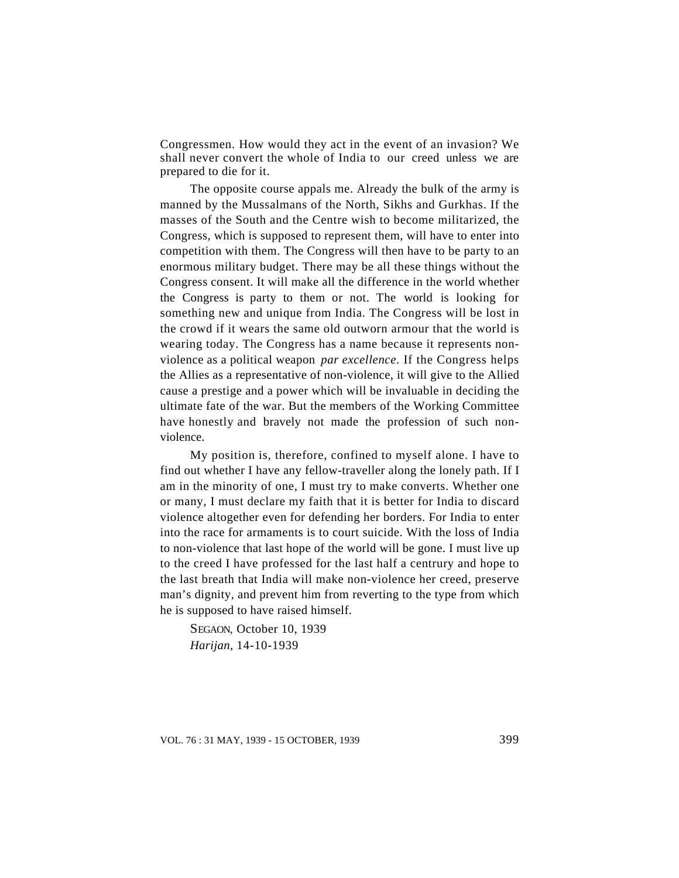Congressmen. How would they act in the event of an invasion? We shall never convert the whole of India to our creed unless we are prepared to die for it.

The opposite course appals me. Already the bulk of the army is manned by the Mussalmans of the North, Sikhs and Gurkhas. If the masses of the South and the Centre wish to become militarized, the Congress, which is supposed to represent them, will have to enter into competition with them. The Congress will then have to be party to an enormous military budget. There may be all these things without the Congress consent. It will make all the difference in the world whether the Congress is party to them or not. The world is looking for something new and unique from India. The Congress will be lost in the crowd if it wears the same old outworn armour that the world is wearing today. The Congress has a name because it represents nonviolence as a political weapon *par excellence*. If the Congress helps the Allies as a representative of non-violence, it will give to the Allied cause a prestige and a power which will be invaluable in deciding the ultimate fate of the war. But the members of the Working Committee have honestly and bravely not made the profession of such nonviolence.

My position is, therefore, confined to myself alone. I have to find out whether I have any fellow-traveller along the lonely path. If I am in the minority of one, I must try to make converts. Whether one or many, I must declare my faith that it is better for India to discard violence altogether even for defending her borders. For India to enter into the race for armaments is to court suicide. With the loss of India to non-violence that last hope of the world will be gone. I must live up to the creed I have professed for the last half a centrury and hope to the last breath that India will make non-violence her creed, preserve man's dignity, and prevent him from reverting to the type from which he is supposed to have raised himself.

SEGAON, October 10, 1939 *Harijan,* 14-10-1939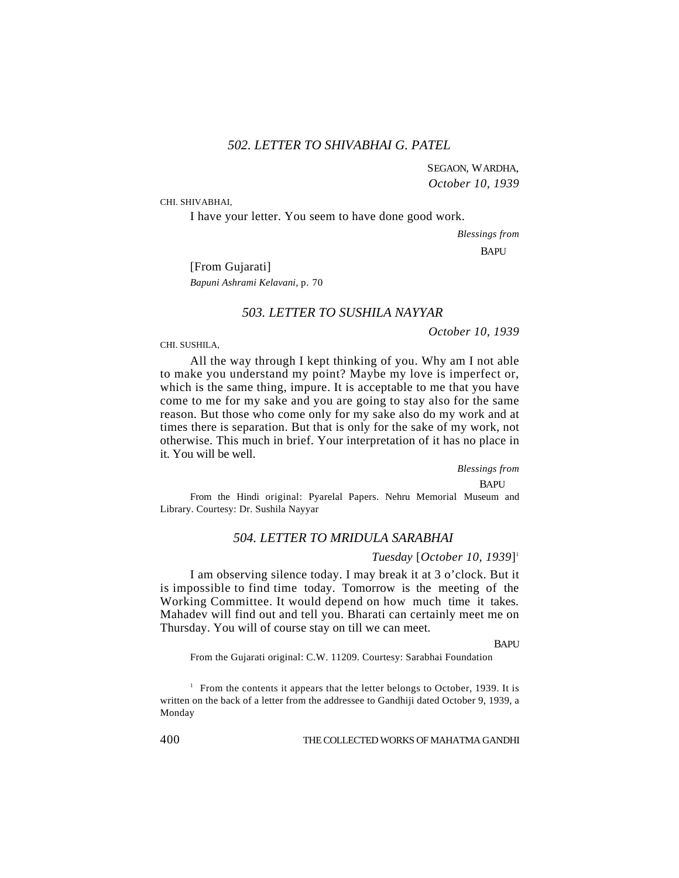# *502. LETTER TO SHIVABHAI G. PATEL*

SEGAON, WARDHA, *October 10, 1939*

#### CHI. SHIVABHAI,

I have your letter. You seem to have done good work.

*Blessings from*

**BAPU** 

[From Gujarati]

*Bapuni Ashrami Kelavani,* p. 70

### *503. LETTER TO SUSHILA NAYYAR*

*October 10, 1939*

CHI. SUSHILA,

All the way through I kept thinking of you. Why am I not able to make you understand my point? Maybe my love is imperfect or, which is the same thing, impure. It is acceptable to me that you have come to me for my sake and you are going to stay also for the same reason. But those who come only for my sake also do my work and at times there is separation. But that is only for the sake of my work, not otherwise. This much in brief. Your interpretation of it has no place in it. You will be well.

*Blessings from*

BAPU

From the Hindi original: Pyarelal Papers. Nehru Memorial Museum and Library. Courtesy: Dr. Sushila Nayyar

### *504. LETTER TO MRIDULA SARABHAI*

*Tuesday* [*October 10, 1939*] 1

I am observing silence today. I may break it at 3 o'clock. But it is impossible to find time today. Tomorrow is the meeting of the Working Committee. It would depend on how much time it takes. Mahadev will find out and tell you. Bharati can certainly meet me on Thursday. You will of course stay on till we can meet.

**BAPU** 

From the Gujarati original: C.W. 11209. Courtesy: Sarabhai Foundation

<sup>1</sup> From the contents it appears that the letter belongs to October, 1939. It is written on the back of a letter from the addressee to Gandhiji dated October 9, 1939, a Monday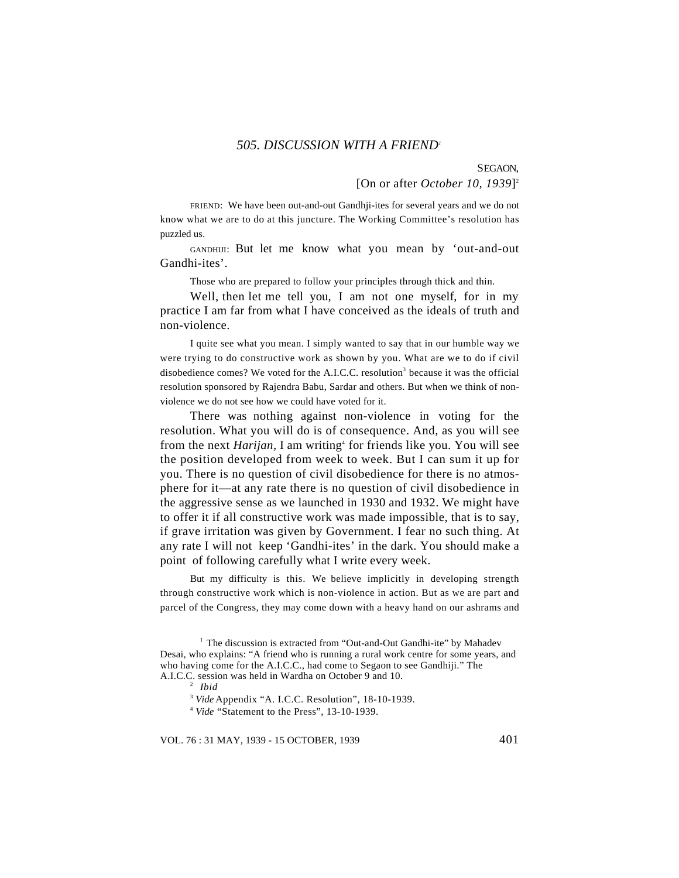# *505. DISCUSSION WITH A FRIEND<sup>1</sup>*

SEGAON, [On or after *October 10, 1939*] 2

FRIEND: We have been out-and-out Gandhji-ites for several years and we do not know what we are to do at this juncture. The Working Committee's resolution has puzzled us.

GANDHIJI: But let me know what you mean by 'out-and-out Gandhi-ites'.

Those who are prepared to follow your principles through thick and thin.

Well, then let me tell you, I am not one myself, for in my practice I am far from what I have conceived as the ideals of truth and non-violence.

I quite see what you mean. I simply wanted to say that in our humble way we were trying to do constructive work as shown by you. What are we to do if civil disobedience comes? We voted for the A.I.C.C. resolution<sup>3</sup> because it was the official resolution sponsored by Rajendra Babu, Sardar and others. But when we think of nonviolence we do not see how we could have voted for it.

There was nothing against non-violence in voting for the resolution. What you will do is of consequence. And, as you will see from the next *Harijan*, I am writing<sup>4</sup> for friends like you. You will see the position developed from week to week. But I can sum it up for you. There is no question of civil disobedience for there is no atmosphere for it—at any rate there is no question of civil disobedience in the aggressive sense as we launched in 1930 and 1932. We might have to offer it if all constructive work was made impossible, that is to say, if grave irritation was given by Government. I fear no such thing. At any rate I will not keep 'Gandhi-ites' in the dark. You should make a point of following carefully what I write every week.

But my difficulty is this. We believe implicitly in developing strength through constructive work which is non-violence in action. But as we are part and parcel of the Congress, they may come down with a heavy hand on our ashrams and

2 *Ibid*

<sup>3</sup> *Vide* Appendix "A. I.C.C. Resolution", 18-10-1939.

<sup>4</sup> *Vide* "Statement to the Press", 13-10-1939.

 $1$  The discussion is extracted from "Out-and-Out Gandhi-ite" by Mahadev Desai, who explains: "A friend who is running a rural work centre for some years, and who having come for the A.I.C.C., had come to Segaon to see Gandhiji." The A.I.C.C. session was held in Wardha on October 9 and 10.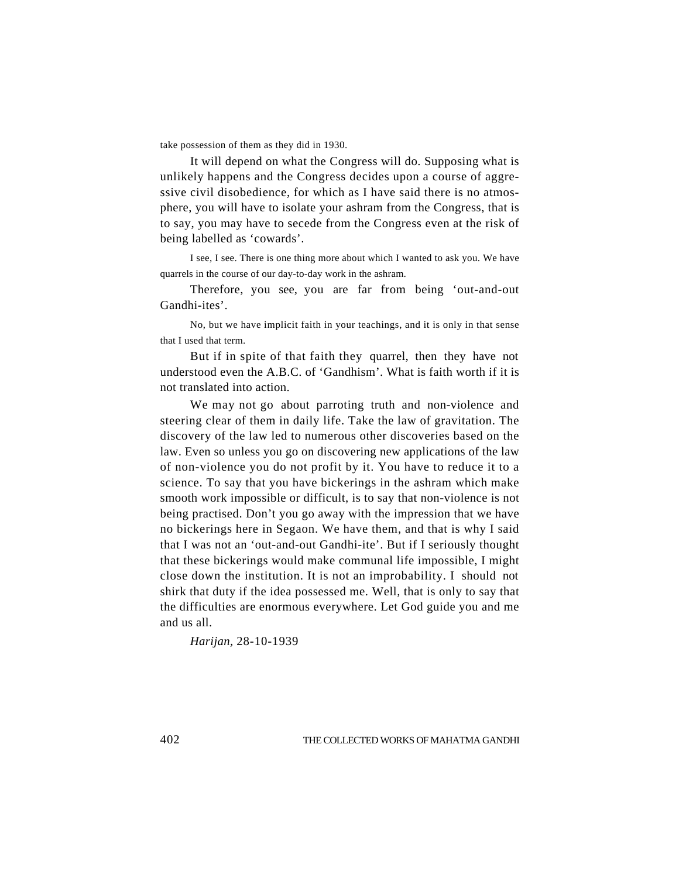take possession of them as they did in 1930.

It will depend on what the Congress will do. Supposing what is unlikely happens and the Congress decides upon a course of aggressive civil disobedience, for which as I have said there is no atmosphere, you will have to isolate your ashram from the Congress, that is to say, you may have to secede from the Congress even at the risk of being labelled as 'cowards'.

I see, I see. There is one thing more about which I wanted to ask you. We have quarrels in the course of our day-to-day work in the ashram.

Therefore, you see, you are far from being 'out-and-out Gandhi-ites'.

No, but we have implicit faith in your teachings, and it is only in that sense that I used that term.

But if in spite of that faith they quarrel, then they have not understood even the A.B.C. of 'Gandhism'. What is faith worth if it is not translated into action.

We may not go about parroting truth and non-violence and steering clear of them in daily life. Take the law of gravitation. The discovery of the law led to numerous other discoveries based on the law. Even so unless you go on discovering new applications of the law of non-violence you do not profit by it. You have to reduce it to a science. To say that you have bickerings in the ashram which make smooth work impossible or difficult, is to say that non-violence is not being practised. Don't you go away with the impression that we have no bickerings here in Segaon. We have them, and that is why I said that I was not an 'out-and-out Gandhi-ite'. But if I seriously thought that these bickerings would make communal life impossible, I might close down the institution. It is not an improbability. I should not shirk that duty if the idea possessed me. Well, that is only to say that the difficulties are enormous everywhere. Let God guide you and me and us all.

*Harijan,* 28-10-1939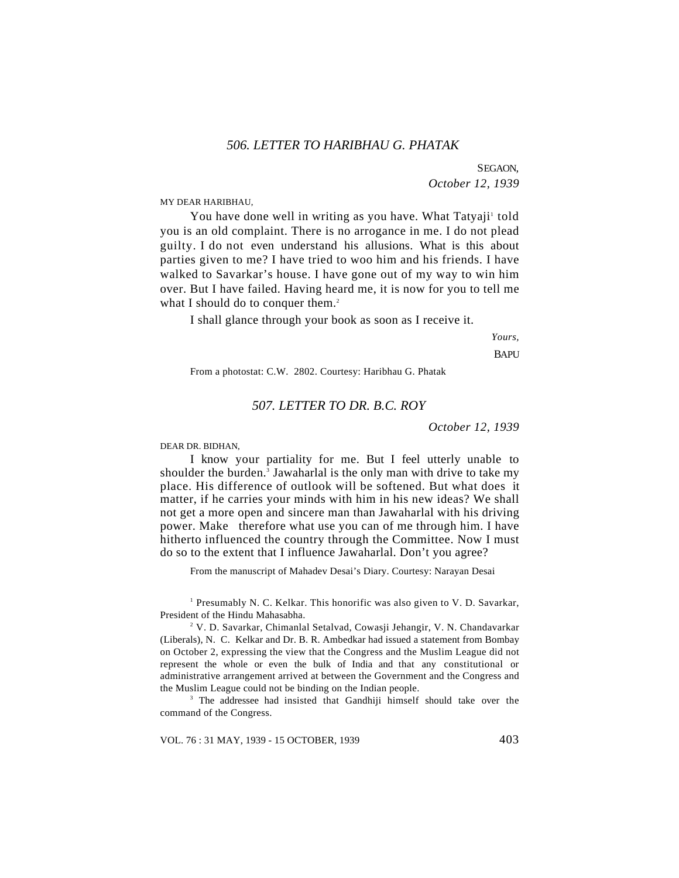# *506. LETTER TO HARIBHAU G. PHATAK*

SEGAON, *October 12, 1939*

MY DEAR HARIBHAU,

You have done well in writing as you have. What Tatyaji<sup>1</sup> told you is an old complaint. There is no arrogance in me. I do not plead guilty. I do not even understand his allusions. What is this about parties given to me? I have tried to woo him and his friends. I have walked to Savarkar's house. I have gone out of my way to win him over. But I have failed. Having heard me, it is now for you to tell me what I should do to conquer them.<sup>2</sup>

I shall glance through your book as soon as I receive it.

*Yours,*

**BAPU** 

From a photostat: C.W. 2802. Courtesy: Haribhau G. Phatak

### *507. LETTER TO DR. B.C. ROY*

*October 12, 1939*

DEAR DR. BIDHAN,

I know your partiality for me. But I feel utterly unable to shoulder the burden.<sup>3</sup> Jawaharlal is the only man with drive to take my place. His difference of outlook will be softened. But what does it matter, if he carries your minds with him in his new ideas? We shall not get a more open and sincere man than Jawaharlal with his driving power. Make therefore what use you can of me through him. I have hitherto influenced the country through the Committee. Now I must do so to the extent that I influence Jawaharlal. Don't you agree?

From the manuscript of Mahadev Desai's Diary. Courtesy: Narayan Desai

<sup>1</sup> Presumably N. C. Kelkar. This honorific was also given to V. D. Savarkar, President of the Hindu Mahasabha.

<sup>2</sup> V. D. Savarkar, Chimanlal Setalvad, Cowasji Jehangir, V. N. Chandavarkar (Liberals), N. C. Kelkar and Dr. B. R. Ambedkar had issued a statement from Bombay on October 2, expressing the view that the Congress and the Muslim League did not represent the whole or even the bulk of India and that any constitutional or administrative arrangement arrived at between the Government and the Congress and the Muslim League could not be binding on the Indian people.

<sup>3</sup> The addressee had insisted that Gandhiji himself should take over the command of the Congress.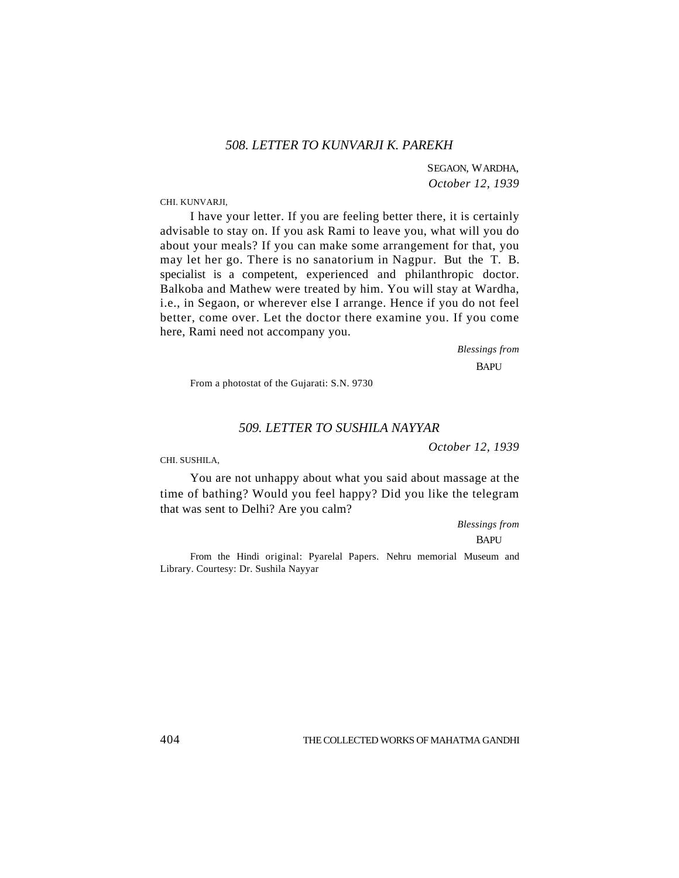#### 404 THE COLLECTED WORKS OF MAHATMA GANDHI

### *508. LETTER TO KUNVARJI K. PAREKH*

SEGAON, WARDHA, *October 12, 1939*

CHI. KUNVARJI,

I have your letter. If you are feeling better there, it is certainly advisable to stay on. If you ask Rami to leave you, what will you do about your meals? If you can make some arrangement for that, you may let her go. There is no sanatorium in Nagpur. But the T. B. specialist is a competent, experienced and philanthropic doctor. Balkoba and Mathew were treated by him. You will stay at Wardha, i.e., in Segaon, or wherever else I arrange. Hence if you do not feel better, come over. Let the doctor there examine you. If you come here, Rami need not accompany you.

*Blessings from*

**BAPU** 

From a photostat of the Gujarati: S.N. 9730

### *509. LETTER TO SUSHILA NAYYAR*

*October 12, 1939*

CHI. SUSHILA,

You are not unhappy about what you said about massage at the time of bathing? Would you feel happy? Did you like the telegram that was sent to Delhi? Are you calm?

> *Blessings from* **BAPU**

From the Hindi original: Pyarelal Papers. Nehru memorial Museum and Library. Courtesy: Dr. Sushila Nayyar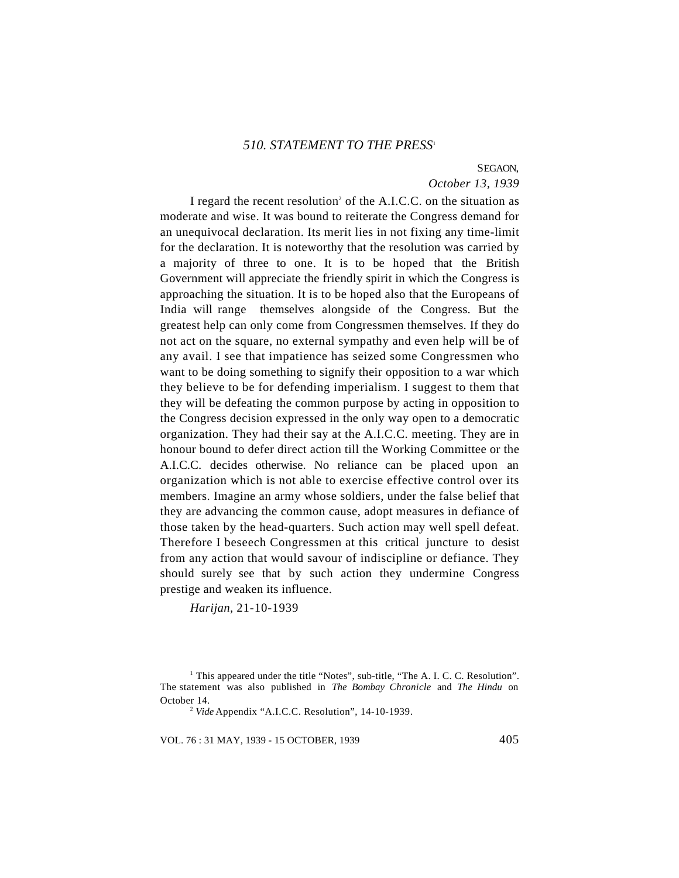# *510. STATEMENT TO THE PRESS*<sup>1</sup>

SEGAON, *October 13, 1939*

I regard the recent resolution<sup>2</sup> of the A.I.C.C. on the situation as moderate and wise. It was bound to reiterate the Congress demand for an unequivocal declaration. Its merit lies in not fixing any time-limit for the declaration. It is noteworthy that the resolution was carried by a majority of three to one. It is to be hoped that the British Government will appreciate the friendly spirit in which the Congress is approaching the situation. It is to be hoped also that the Europeans of India will range themselves alongside of the Congress. But the greatest help can only come from Congressmen themselves. If they do not act on the square, no external sympathy and even help will be of any avail. I see that impatience has seized some Congressmen who want to be doing something to signify their opposition to a war which they believe to be for defending imperialism. I suggest to them that they will be defeating the common purpose by acting in opposition to the Congress decision expressed in the only way open to a democratic organization. They had their say at the A.I.C.C. meeting. They are in honour bound to defer direct action till the Working Committee or the A.I.C.C. decides otherwise. No reliance can be placed upon an organization which is not able to exercise effective control over its members. Imagine an army whose soldiers, under the false belief that they are advancing the common cause, adopt measures in defiance of those taken by the head-quarters. Such action may well spell defeat. Therefore I beseech Congressmen at this critical juncture to desist from any action that would savour of indiscipline or defiance. They should surely see that by such action they undermine Congress prestige and weaken its influence.

*Harijan,* 21-10-1939

<sup>&</sup>lt;sup>1</sup> This appeared under the title "Notes", sub-title, "The A. I. C. C. Resolution". The statement was also published in *The Bombay Chronicle* and *The Hindu* on October 14.

<sup>2</sup> *Vide* Appendix "A.I.C.C. Resolution", 14-10-1939.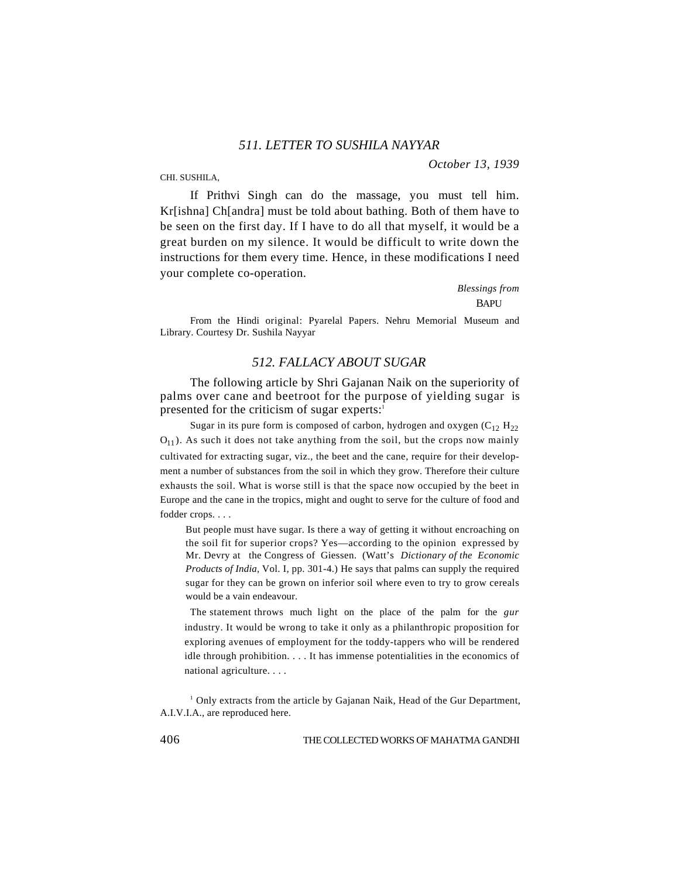*October 13, 1939*

CHI. SUSHILA,

If Prithvi Singh can do the massage, you must tell him. Kr[ishna] Ch[andra] must be told about bathing. Both of them have to be seen on the first day. If I have to do all that myself, it would be a great burden on my silence. It would be difficult to write down the instructions for them every time. Hence, in these modifications I need your complete co-operation.

> *Blessings from* **BAPU**

From the Hindi original: Pyarelal Papers. Nehru Memorial Museum and Library. Courtesy Dr. Sushila Nayyar

# *512. FALLACY ABOUT SUGAR*

The following article by Shri Gajanan Naik on the superiority of palms over cane and beetroot for the purpose of yielding sugar is presented for the criticism of sugar experts: $1$ 

Sugar in its pure form is composed of carbon, hydrogen and oxygen  $(C_1, H_2)$  $O_{11}$ ). As such it does not take anything from the soil, but the crops now mainly cultivated for extracting sugar, viz., the beet and the cane, require for their development a number of substances from the soil in which they grow. Therefore their culture exhausts the soil. What is worse still is that the space now occupied by the beet in Europe and the cane in the tropics, might and ought to serve for the culture of food and fodder crops. . . .

But people must have sugar. Is there a way of getting it without encroaching on the soil fit for superior crops? Yes—according to the opinion expressed by Mr. Devry at the Congress of Giessen. (Watt's *Dictionary of the Economic Products of India,* Vol. I, pp. 301-4.) He says that palms can supply the required sugar for they can be grown on inferior soil where even to try to grow cereals would be a vain endeavour.

The statement throws much light on the place of the palm for the *gur* industry. It would be wrong to take it only as a philanthropic proposition for exploring avenues of employment for the toddy-tappers who will be rendered idle through prohibition. . . . It has immense potentialities in the economics of national agriculture. . . .

<sup>1</sup> Only extracts from the article by Gajanan Naik, Head of the Gur Department, A.I.V.I.A., are reproduced here.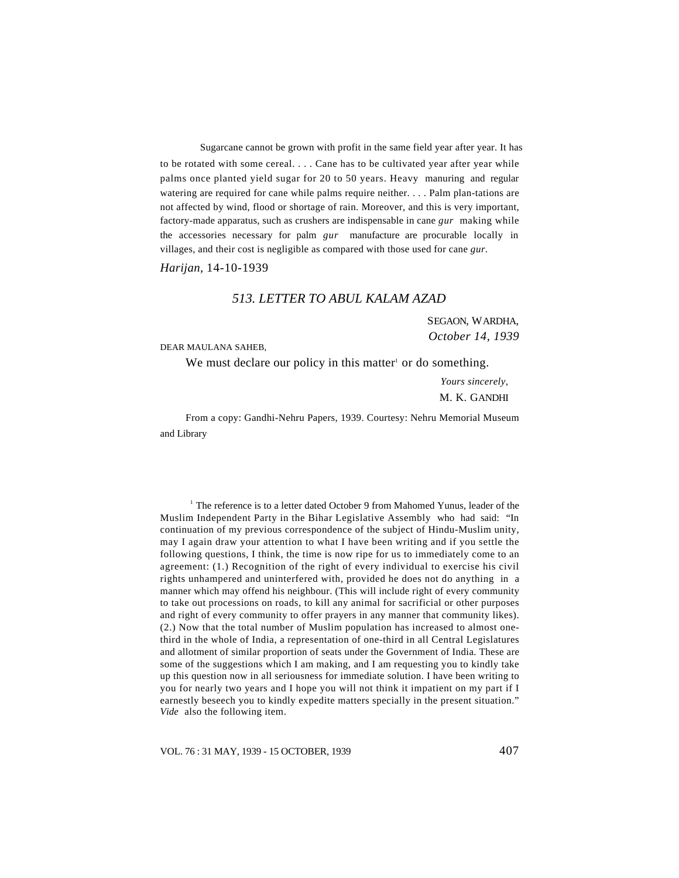Sugarcane cannot be grown with profit in the same field year after year. It has to be rotated with some cereal. . . . Cane has to be cultivated year after year while palms once planted yield sugar for 20 to 50 years. Heavy manuring and regular watering are required for cane while palms require neither. . . . Palm plan-tations are not affected by wind, flood or shortage of rain. Moreover, and this is very important, factory-made apparatus, such as crushers are indispensable in cane *gur* making while the accessories necessary for palm *gur* manufacture are procurable locally in villages, and their cost is negligible as compared with those used for cane *gur.*

*Harijan,* 14-10-1939

# *513. LETTER TO ABUL KALAM AZAD*

SEGAON, WARDHA, *October 14, 1939*

#### DEAR MAULANA SAHEB,

We must declare our policy in this matter<sup>1</sup> or do something.

*Yours sincerely,* M. K. GANDHI

From a copy: Gandhi-Nehru Papers, 1939. Courtesy: Nehru Memorial Museum and Library

<sup>1</sup> The reference is to a letter dated October 9 from Mahomed Yunus, leader of the Muslim Independent Party in the Bihar Legislative Assembly who had said: "In continuation of my previous correspondence of the subject of Hindu-Muslim unity, may I again draw your attention to what I have been writing and if you settle the following questions, I think, the time is now ripe for us to immediately come to an agreement: (1.) Recognition of the right of every individual to exercise his civil rights unhampered and uninterfered with, provided he does not do anything in a manner which may offend his neighbour. (This will include right of every community to take out processions on roads, to kill any animal for sacrificial or other purposes and right of every community to offer prayers in any manner that community likes). (2.) Now that the total number of Muslim population has increased to almost onethird in the whole of India, a representation of one-third in all Central Legislatures and allotment of similar proportion of seats under the Government of India. These are some of the suggestions which I am making, and I am requesting you to kindly take up this question now in all seriousness for immediate solution. I have been writing to you for nearly two years and I hope you will not think it impatient on my part if I earnestly beseech you to kindly expedite matters specially in the present situation." *Vide* also the following item.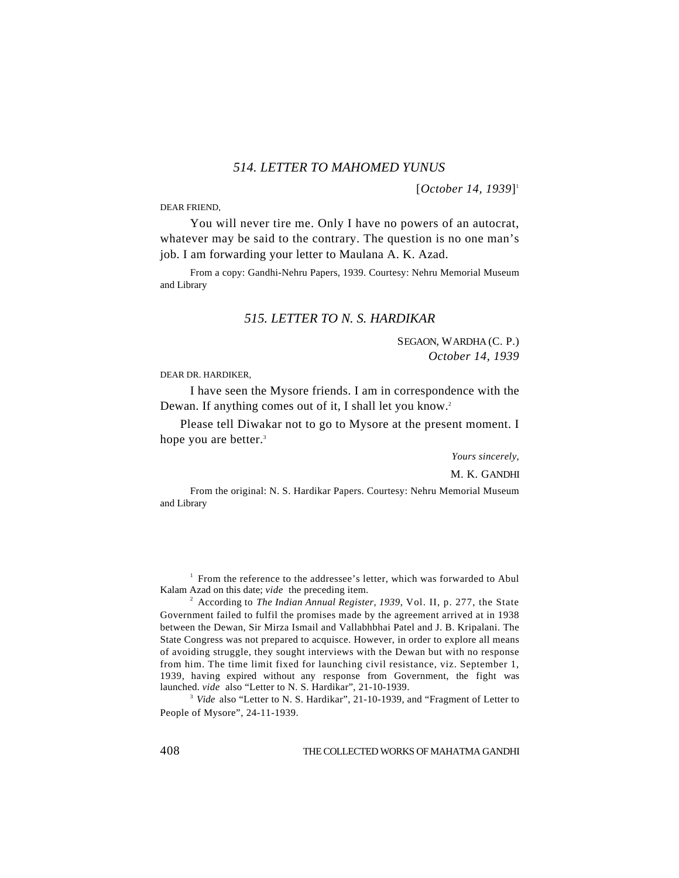# *514. LETTER TO MAHOMED YUNUS*

[*October 14, 1939*] 1

DEAR FRIEND,

You will never tire me. Only I have no powers of an autocrat, whatever may be said to the contrary. The question is no one man's job. I am forwarding your letter to Maulana A. K. Azad.

From a copy: Gandhi-Nehru Papers, 1939. Courtesy: Nehru Memorial Museum and Library

### *515. LETTER TO N. S. HARDIKAR*

SEGAON, WARDHA (C. P.) *October 14, 1939*

DEAR DR. HARDIKER,

I have seen the Mysore friends. I am in correspondence with the Dewan. If anything comes out of it, I shall let you know.<sup>2</sup>

Please tell Diwakar not to go to Mysore at the present moment. I hope you are better.<sup>3</sup>

*Yours sincerely,*

M. K. GANDHI

From the original: N. S. Hardikar Papers. Courtesy: Nehru Memorial Museum and Library

<sup>1</sup> From the reference to the addressee's letter, which was forwarded to Abul Kalam Azad on this date; *vide* the preceding item.

<sup>2</sup> According to *The Indian Annual Register, 1939,* Vol. II, p. 277, the State Government failed to fulfil the promises made by the agreement arrived at in 1938 between the Dewan, Sir Mirza Ismail and Vallabhbhai Patel and J. B. Kripalani. The State Congress was not prepared to acquisce. However, in order to explore all means of avoiding struggle, they sought interviews with the Dewan but with no response from him. The time limit fixed for launching civil resistance, viz. September 1, 1939, having expired without any response from Government, the fight was launched. *vide* also "Letter to N. S. Hardikar", 21-10-1939.

<sup>3</sup> *Vide* also "Letter to N. S. Hardikar", 21-10-1939, and "Fragment of Letter to People of Mysore", 24-11-1939.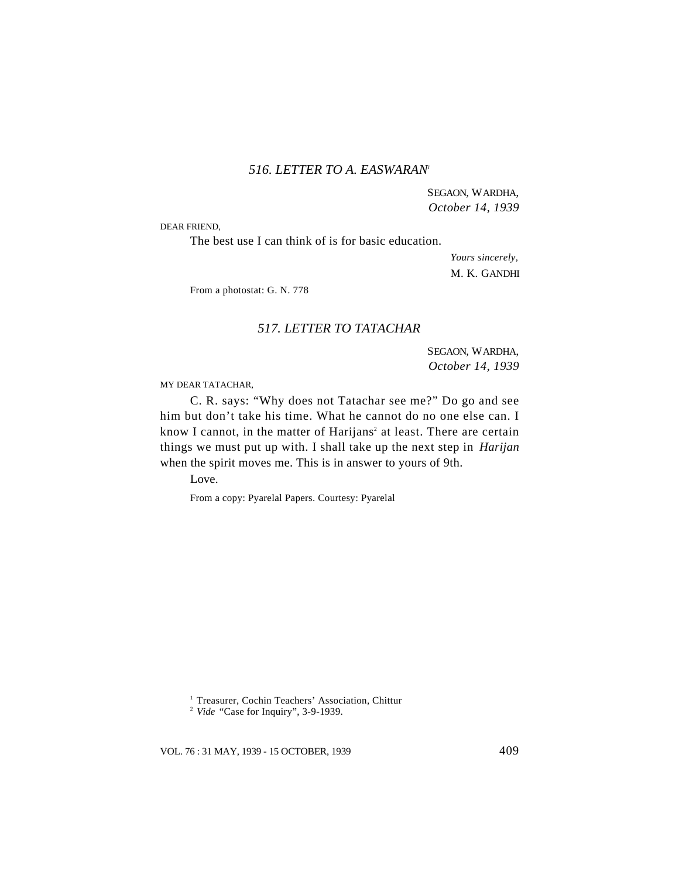### *516. LETTER TO A. EASWARAN<sup>1</sup>*

SEGAON, WARDHA, *October 14, 1939*

DEAR FRIEND,

The best use I can think of is for basic education.

*Yours sincerely,* M. K. GANDHI

From a photostat: G. N. 778

# *517. LETTER TO TATACHAR*

SEGAON, WARDHA, *October 14, 1939*

MY DEAR TATACHAR,

C. R. says: "Why does not Tatachar see me?" Do go and see him but don't take his time. What he cannot do no one else can. I know I cannot, in the matter of Harijans<sup>2</sup> at least. There are certain things we must put up with. I shall take up the next step in *Harijan* when the spirit moves me. This is in answer to yours of 9th.

Love.

From a copy: Pyarelal Papers. Courtesy: Pyarelal

<sup>1</sup> Treasurer, Cochin Teachers' Association, Chittur

<sup>2</sup> *Vide* "Case for Inquiry", 3-9-1939.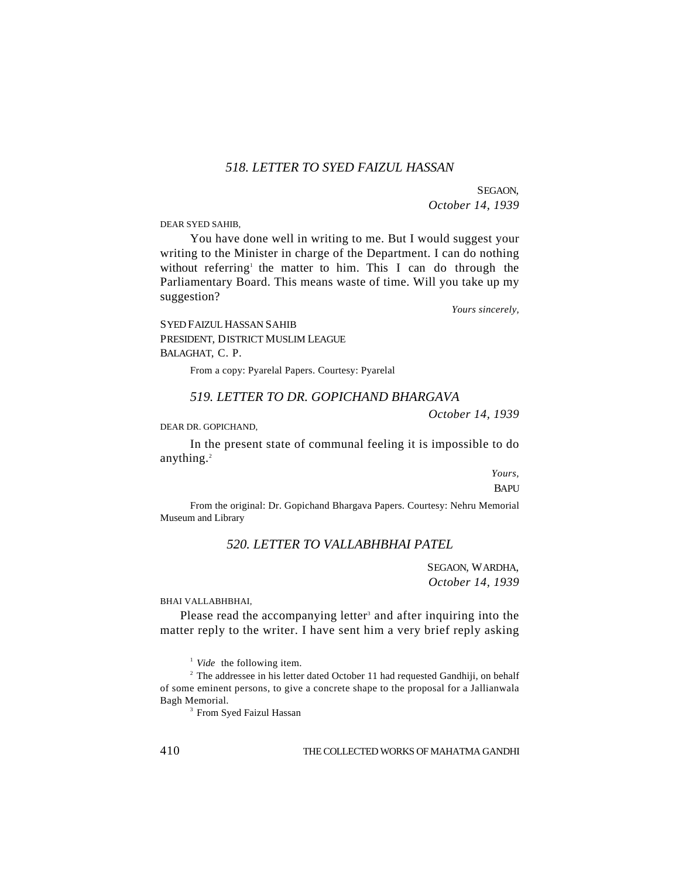# *518. LETTER TO SYED FAIZUL HASSAN*

**SEGAON** *October 14, 1939*

DEAR SYED SAHIB,

You have done well in writing to me. But I would suggest your writing to the Minister in charge of the Department. I can do nothing without referring<sup>1</sup> the matter to him. This I can do through the Parliamentary Board. This means waste of time. Will you take up my suggestion?

*Yours sincerely,*

SYED FAIZUL HASSAN SAHIB PRESIDENT, DISTRICT MUSLIM LEAGUE BALAGHAT, C. P.

From a copy: Pyarelal Papers. Courtesy: Pyarelal

### *519. LETTER TO DR. GOPICHAND BHARGAVA*

*October 14, 1939*

DEAR DR. GOPICHAND,

In the present state of communal feeling it is impossible to do anything. $2$ 

*Yours,*

BAPU

From the original: Dr. Gopichand Bhargava Papers. Courtesy: Nehru Memorial Museum and Library

# *520. LETTER TO VALLABHBHAI PATEL*

SEGAON, WARDHA, *October 14, 1939*

BHAI VALLABHBHAI,

Please read the accompanying letter<sup>3</sup> and after inquiring into the matter reply to the writer. I have sent him a very brief reply asking

<sup>1</sup> *Vide* the following item.

 $2$  The addressee in his letter dated October 11 had requested Gandhiji, on behalf of some eminent persons, to give a concrete shape to the proposal for a Jallianwala Bagh Memorial.

<sup>3</sup> From Syed Faizul Hassan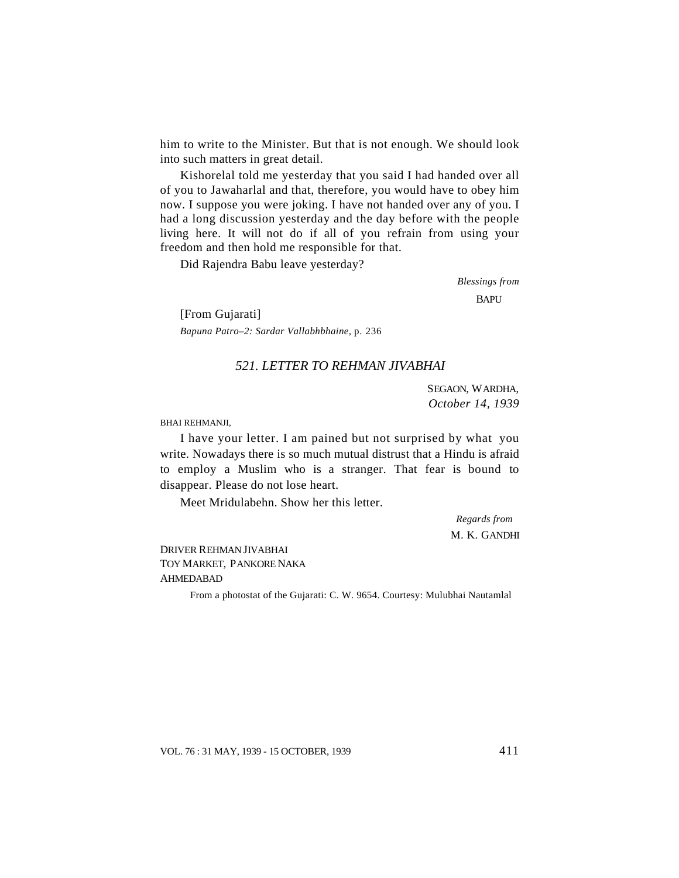him to write to the Minister. But that is not enough. We should look into such matters in great detail.

Kishorelal told me yesterday that you said I had handed over all of you to Jawaharlal and that, therefore, you would have to obey him now. I suppose you were joking. I have not handed over any of you. I had a long discussion yesterday and the day before with the people living here. It will not do if all of you refrain from using your freedom and then hold me responsible for that.

Did Rajendra Babu leave yesterday?

*Blessings from*

**BAPU** 

[From Gujarati] *Bapuna Patro–2: Sardar Vallabhbhaine,* p. 236

# *521. LETTER TO REHMAN JIVABHAI*

SEGAON, WARDHA, *October 14, 1939*

BHAI REHMANJI,

I have your letter. I am pained but not surprised by what you write. Nowadays there is so much mutual distrust that a Hindu is afraid to employ a Muslim who is a stranger. That fear is bound to disappear. Please do not lose heart.

Meet Mridulabehn. Show her this letter.

*Regards from* M. K. GANDHI

DRIVER REHMAN JIVABHAI TOY MARKET, PANKORE NAKA AHMEDABAD

From a photostat of the Gujarati: C. W. 9654. Courtesy: Mulubhai Nautamlal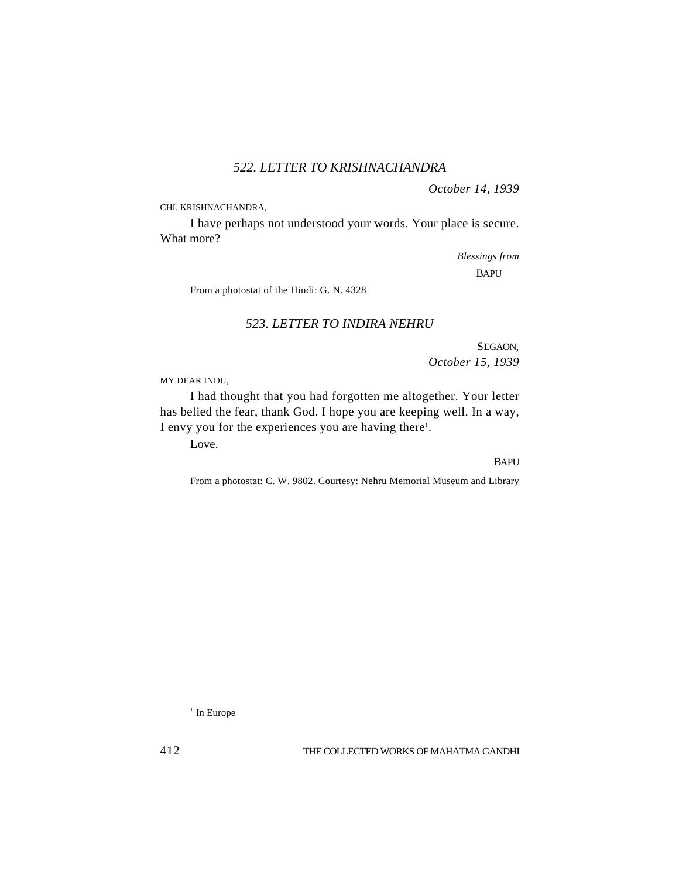*October 14, 1939*

CHI. KRISHNACHANDRA,

I have perhaps not understood your words. Your place is secure. What more?

> *Blessings from* **BAPU**

From a photostat of the Hindi: G. N. 4328

# *523. LETTER TO INDIRA NEHRU*

SEGAON, *October 15, 1939*

MY DEAR INDU,

I had thought that you had forgotten me altogether. Your letter has belied the fear, thank God. I hope you are keeping well. In a way, I envy you for the experiences you are having there<sup>1</sup>.

Love.

BAPU

From a photostat: C. W. 9802. Courtesy: Nehru Memorial Museum and Library

<sup>1</sup> In Europe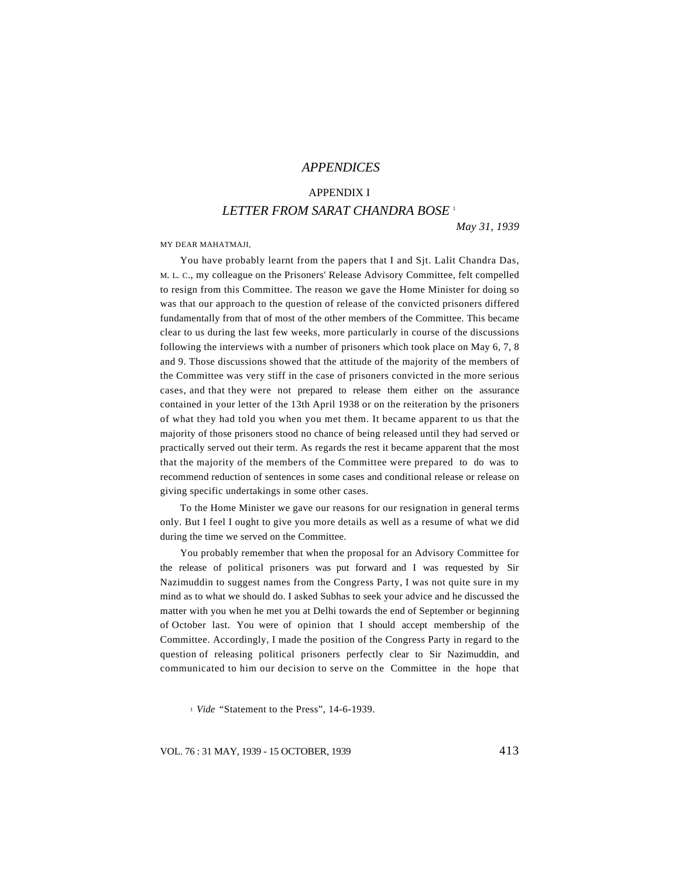### *APPENDICES*

# APPENDIX I *LETTER FROM SARAT CHANDRA BOSE* <sup>1</sup>

*May 31, 1939*

MY DEAR MAHATMAJI,

You have probably learnt from the papers that I and Sjt. Lalit Chandra Das, M. L. C., my colleague on the Prisoners' Release Advisory Committee, felt compelled to resign from this Committee. The reason we gave the Home Minister for doing so was that our approach to the question of release of the convicted prisoners differed fundamentally from that of most of the other members of the Committee. This became clear to us during the last few weeks, more particularly in course of the discussions following the interviews with a number of prisoners which took place on May 6, 7, 8 and 9. Those discussions showed that the attitude of the majority of the members of the Committee was very stiff in the case of prisoners convicted in the more serious cases, and that they were not prepared to release them either on the assurance contained in your letter of the 13th April 1938 or on the reiteration by the prisoners of what they had told you when you met them. It became apparent to us that the majority of those prisoners stood no chance of being released until they had served or practically served out their term. As regards the rest it became apparent that the most that the majority of the members of the Committee were prepared to do was to recommend reduction of sentences in some cases and conditional release or release on giving specific undertakings in some other cases.

To the Home Minister we gave our reasons for our resignation in general terms only. But I feel I ought to give you more details as well as a resume of what we did during the time we served on the Committee.

You probably remember that when the proposal for an Advisory Committee for the release of political prisoners was put forward and I was requested by Sir Nazimuddin to suggest names from the Congress Party, I was not quite sure in my mind as to what we should do. I asked Subhas to seek your advice and he discussed the matter with you when he met you at Delhi towards the end of September or beginning of October last. You were of opinion that I should accept membership of the Committee. Accordingly, I made the position of the Congress Party in regard to the question of releasing political prisoners perfectly clear to Sir Nazimuddin, and communicated to him our decision to serve on the Committee in the hope that

<sup>1</sup> *Vide* "Statement to the Press", 14-6-1939.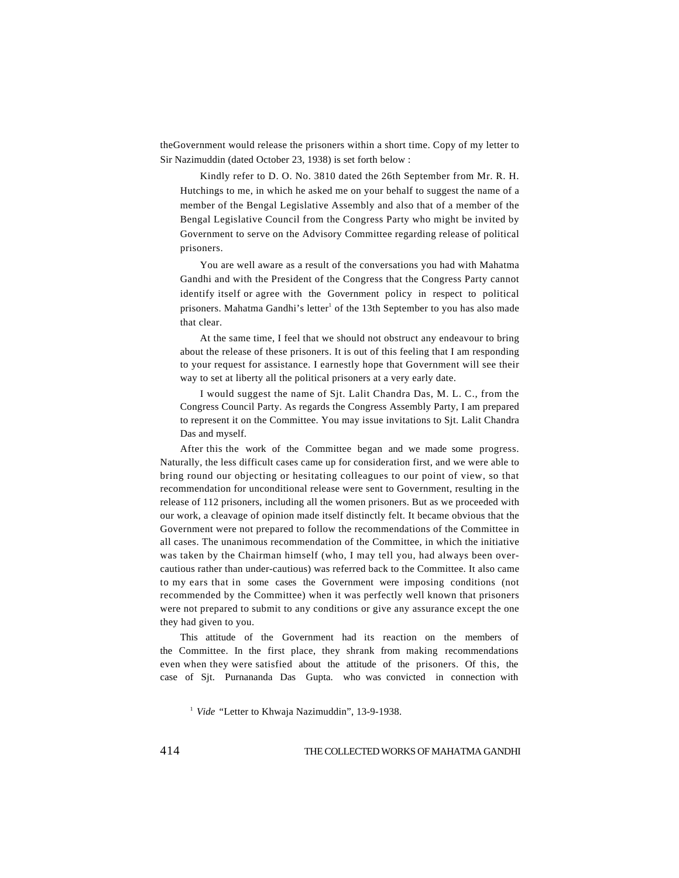theGovernment would release the prisoners within a short time. Copy of my letter to Sir Nazimuddin (dated October 23, 1938) is set forth below :

Kindly refer to D. O. No. 3810 dated the 26th September from Mr. R. H. Hutchings to me, in which he asked me on your behalf to suggest the name of a member of the Bengal Legislative Assembly and also that of a member of the Bengal Legislative Council from the Congress Party who might be invited by Government to serve on the Advisory Committee regarding release of political prisoners.

You are well aware as a result of the conversations you had with Mahatma Gandhi and with the President of the Congress that the Congress Party cannot identify itself or agree with the Government policy in respect to political prisoners. Mahatma Gandhi's letter<sup>1</sup> of the 13th September to you has also made that clear.

At the same time, I feel that we should not obstruct any endeavour to bring about the release of these prisoners. It is out of this feeling that I am responding to your request for assistance. I earnestly hope that Government will see their way to set at liberty all the political prisoners at a very early date.

I would suggest the name of Sjt. Lalit Chandra Das, M. L. C., from the Congress Council Party. As regards the Congress Assembly Party, I am prepared to represent it on the Committee. You may issue invitations to Sjt. Lalit Chandra Das and myself.

After this the work of the Committee began and we made some progress. Naturally, the less difficult cases came up for consideration first, and we were able to bring round our objecting or hesitating colleagues to our point of view, so that recommendation for unconditional release were sent to Government, resulting in the release of 112 prisoners, including all the women prisoners. But as we proceeded with our work, a cleavage of opinion made itself distinctly felt. It became obvious that the Government were not prepared to follow the recommendations of the Committee in all cases. The unanimous recommendation of the Committee, in which the initiative was taken by the Chairman himself (who, I may tell you, had always been overcautious rather than under-cautious) was referred back to the Committee. It also came to my ears that in some cases the Government were imposing conditions (not recommended by the Committee) when it was perfectly well known that prisoners were not prepared to submit to any conditions or give any assurance except the one they had given to you.

This attitude of the Government had its reaction on the members of the Committee. In the first place, they shrank from making recommendations even when they were satisfied about the attitude of the prisoners. Of this, the case of Sjt. Purnananda Das Gupta. who was convicted in connection with

<sup>&</sup>lt;sup>1</sup> *Vide* "Letter to Khwaja Nazimuddin", 13-9-1938.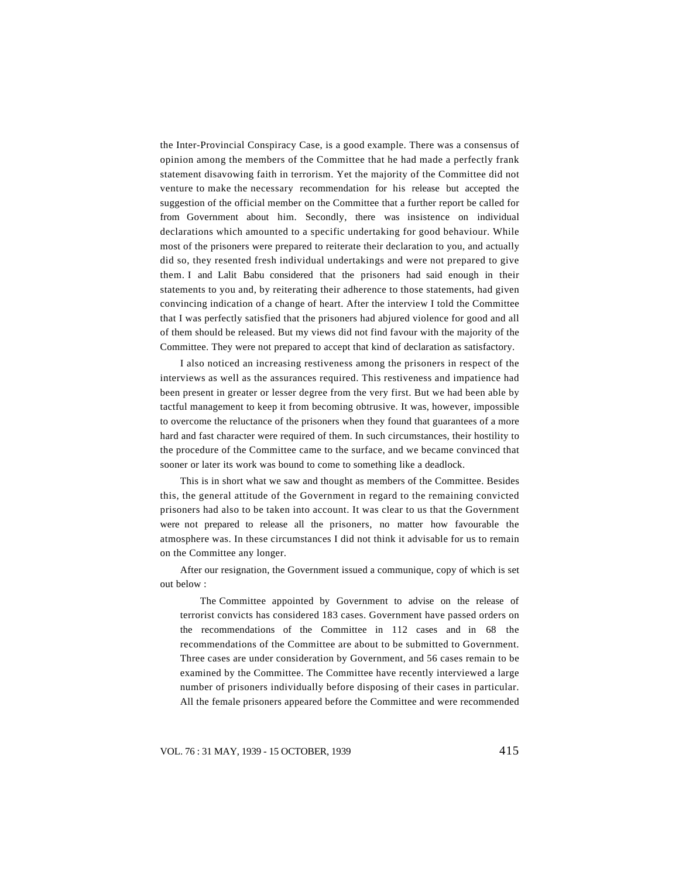the Inter-Provincial Conspiracy Case, is a good example. There was a consensus of opinion among the members of the Committee that he had made a perfectly frank statement disavowing faith in terrorism. Yet the majority of the Committee did not venture to make the necessary recommendation for his release but accepted the suggestion of the official member on the Committee that a further report be called for from Government about him. Secondly, there was insistence on individual declarations which amounted to a specific undertaking for good behaviour. While most of the prisoners were prepared to reiterate their declaration to you, and actually did so, they resented fresh individual undertakings and were not prepared to give them. I and Lalit Babu considered that the prisoners had said enough in their statements to you and, by reiterating their adherence to those statements, had given convincing indication of a change of heart. After the interview I told the Committee that I was perfectly satisfied that the prisoners had abjured violence for good and all of them should be released. But my views did not find favour with the majority of the Committee. They were not prepared to accept that kind of declaration as satisfactory.

I also noticed an increasing restiveness among the prisoners in respect of the interviews as well as the assurances required. This restiveness and impatience had been present in greater or lesser degree from the very first. But we had been able by tactful management to keep it from becoming obtrusive. It was, however, impossible to overcome the reluctance of the prisoners when they found that guarantees of a more hard and fast character were required of them. In such circumstances, their hostility to the procedure of the Committee came to the surface, and we became convinced that sooner or later its work was bound to come to something like a deadlock.

This is in short what we saw and thought as members of the Committee. Besides this, the general attitude of the Government in regard to the remaining convicted prisoners had also to be taken into account. It was clear to us that the Government were not prepared to release all the prisoners, no matter how favourable the atmosphere was. In these circumstances I did not think it advisable for us to remain on the Committee any longer.

After our resignation, the Government issued a communique, copy of which is set out below :

The Committee appointed by Government to advise on the release of terrorist convicts has considered 183 cases. Government have passed orders on the recommendations of the Committee in 112 cases and in 68 the recommendations of the Committee are about to be submitted to Government. Three cases are under consideration by Government, and 56 cases remain to be examined by the Committee. The Committee have recently interviewed a large number of prisoners individually before disposing of their cases in particular. All the female prisoners appeared before the Committee and were recommended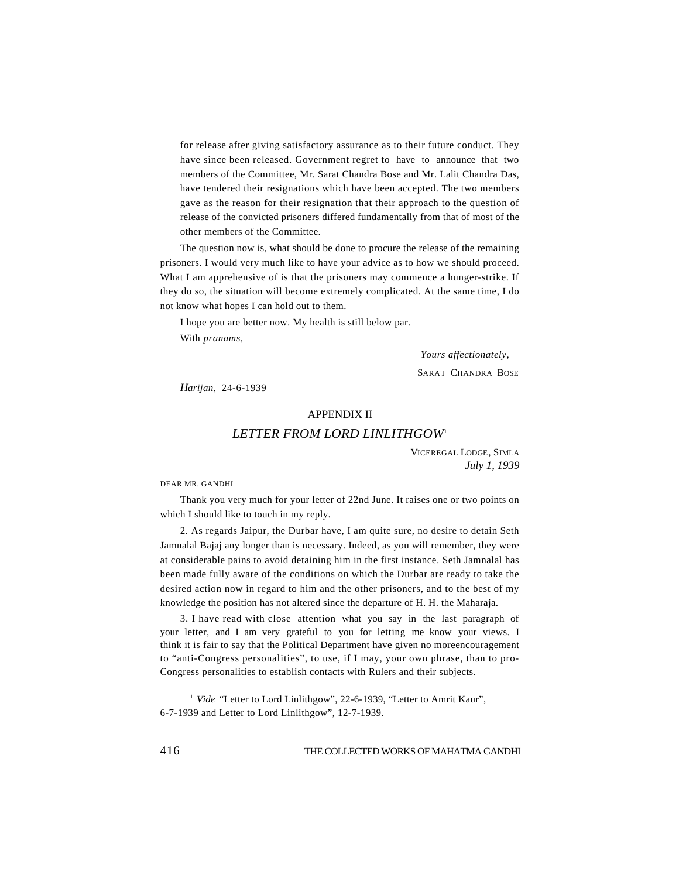for release after giving satisfactory assurance as to their future conduct. They have since been released. Government regret to have to announce that two members of the Committee, Mr. Sarat Chandra Bose and Mr. Lalit Chandra Das, have tendered their resignations which have been accepted. The two members gave as the reason for their resignation that their approach to the question of release of the convicted prisoners differed fundamentally from that of most of the other members of the Committee.

The question now is, what should be done to procure the release of the remaining prisoners. I would very much like to have your advice as to how we should proceed. What I am apprehensive of is that the prisoners may commence a hunger-strike. If they do so, the situation will become extremely complicated. At the same time, I do not know what hopes I can hold out to them.

I hope you are better now. My health is still below par. With *pranams,*

> *Yours affectionately,* SARAT CHANDRA BOSE

*Harijan,* 24-6-1939

#### APPENDIX II

### *LETTER FROM LORD LINLITHGOW*<sup>1</sup>

VICEREGAL LODGE, SIMLA *July 1, 1939*

DEAR MR. GANDHI

Thank you very much for your letter of 22nd June. It raises one or two points on which I should like to touch in my reply.

2. As regards Jaipur, the Durbar have, I am quite sure, no desire to detain Seth Jamnalal Bajaj any longer than is necessary. Indeed, as you will remember, they were at considerable pains to avoid detaining him in the first instance. Seth Jamnalal has been made fully aware of the conditions on which the Durbar are ready to take the desired action now in regard to him and the other prisoners, and to the best of my knowledge the position has not altered since the departure of H. H. the Maharaja.

3. I have read with close attention what you say in the last paragraph of your letter, and I am very grateful to you for letting me know your views. I think it is fair to say that the Political Department have given no moreencouragement to "anti-Congress personalities", to use, if I may, your own phrase, than to pro-Congress personalities to establish contacts with Rulers and their subjects.

<sup>1</sup> *Vide* "Letter to Lord Linlithgow", 22-6-1939, "Letter to Amrit Kaur", 6-7-1939 and Letter to Lord Linlithgow", 12-7-1939.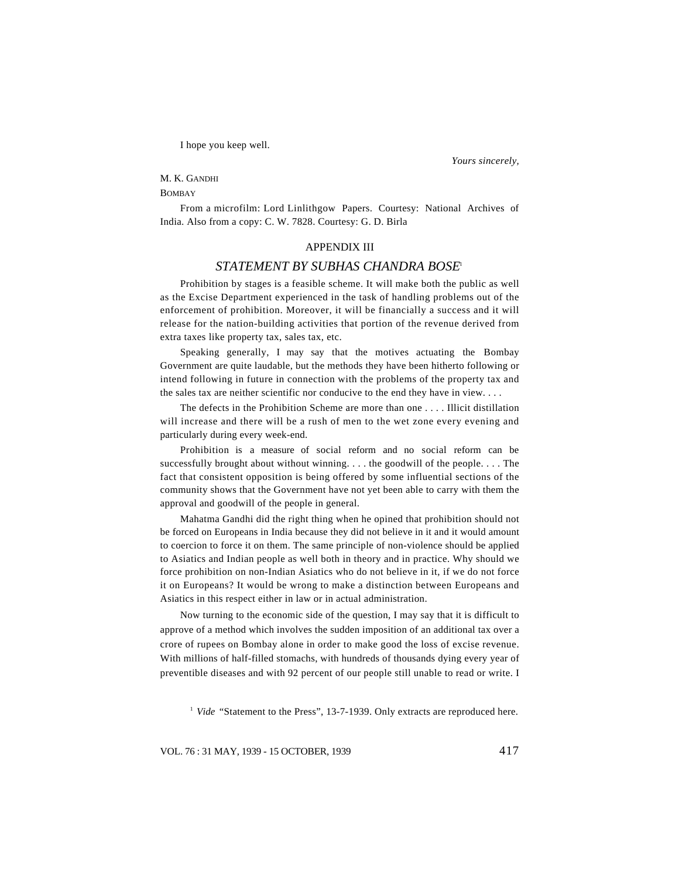I hope you keep well.

*Yours sincerely,*

#### M. K. GANDHI

#### **BOMBAY**

From a microfilm: Lord Linlithgow Papers. Courtesy: National Archives of India. Also from a copy: C. W. 7828. Courtesy: G. D. Birla

#### APPENDIX III

# *STATEMENT BY SUBHAS CHANDRA BOSE*<sup>1</sup>

Prohibition by stages is a feasible scheme. It will make both the public as well as the Excise Department experienced in the task of handling problems out of the enforcement of prohibition. Moreover, it will be financially a success and it will release for the nation-building activities that portion of the revenue derived from extra taxes like property tax, sales tax, etc.

Speaking generally, I may say that the motives actuating the Bombay Government are quite laudable, but the methods they have been hitherto following or intend following in future in connection with the problems of the property tax and the sales tax are neither scientific nor conducive to the end they have in view. . . .

The defects in the Prohibition Scheme are more than one . . . . Illicit distillation will increase and there will be a rush of men to the wet zone every evening and particularly during every week-end.

Prohibition is a measure of social reform and no social reform can be successfully brought about without winning. . . . the goodwill of the people. . . . The fact that consistent opposition is being offered by some influential sections of the community shows that the Government have not yet been able to carry with them the approval and goodwill of the people in general.

Mahatma Gandhi did the right thing when he opined that prohibition should not be forced on Europeans in India because they did not believe in it and it would amount to coercion to force it on them. The same principle of non-violence should be applied to Asiatics and Indian people as well both in theory and in practice. Why should we force prohibition on non-Indian Asiatics who do not believe in it, if we do not force it on Europeans? It would be wrong to make a distinction between Europeans and Asiatics in this respect either in law or in actual administration.

Now turning to the economic side of the question, I may say that it is difficult to approve of a method which involves the sudden imposition of an additional tax over a crore of rupees on Bombay alone in order to make good the loss of excise revenue. With millions of half-filled stomachs, with hundreds of thousands dying every year of preventible diseases and with 92 percent of our people still unable to read or write. I

<sup>&</sup>lt;sup>1</sup> *Vide* "Statement to the Press", 13-7-1939. Only extracts are reproduced here.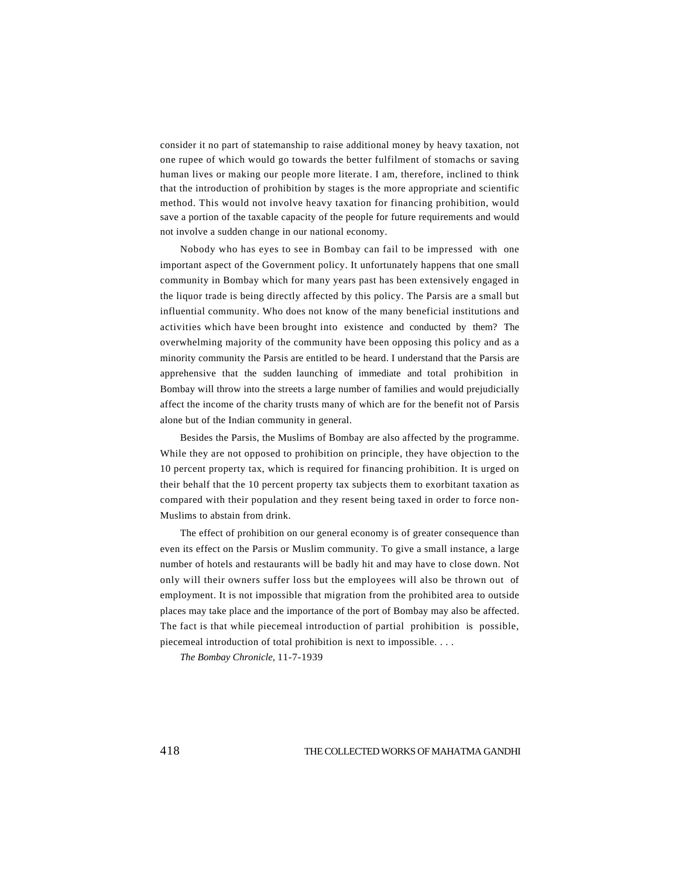consider it no part of statemanship to raise additional money by heavy taxation, not one rupee of which would go towards the better fulfilment of stomachs or saving human lives or making our people more literate. I am, therefore, inclined to think that the introduction of prohibition by stages is the more appropriate and scientific method. This would not involve heavy taxation for financing prohibition, would save a portion of the taxable capacity of the people for future requirements and would not involve a sudden change in our national economy.

Nobody who has eyes to see in Bombay can fail to be impressed with one important aspect of the Government policy. It unfortunately happens that one small community in Bombay which for many years past has been extensively engaged in the liquor trade is being directly affected by this policy. The Parsis are a small but influential community. Who does not know of the many beneficial institutions and activities which have been brought into existence and conducted by them? The overwhelming majority of the community have been opposing this policy and as a minority community the Parsis are entitled to be heard. I understand that the Parsis are apprehensive that the sudden launching of immediate and total prohibition in Bombay will throw into the streets a large number of families and would prejudicially affect the income of the charity trusts many of which are for the benefit not of Parsis alone but of the Indian community in general.

Besides the Parsis, the Muslims of Bombay are also affected by the programme. While they are not opposed to prohibition on principle, they have objection to the 10 percent property tax, which is required for financing prohibition. It is urged on their behalf that the 10 percent property tax subjects them to exorbitant taxation as compared with their population and they resent being taxed in order to force non-Muslims to abstain from drink.

The effect of prohibition on our general economy is of greater consequence than even its effect on the Parsis or Muslim community. To give a small instance, a large number of hotels and restaurants will be badly hit and may have to close down. Not only will their owners suffer loss but the employees will also be thrown out of employment. It is not impossible that migration from the prohibited area to outside places may take place and the importance of the port of Bombay may also be affected. The fact is that while piecemeal introduction of partial prohibition is possible, piecemeal introduction of total prohibition is next to impossible. . . .

*The Bombay Chronicle,* 11-7-1939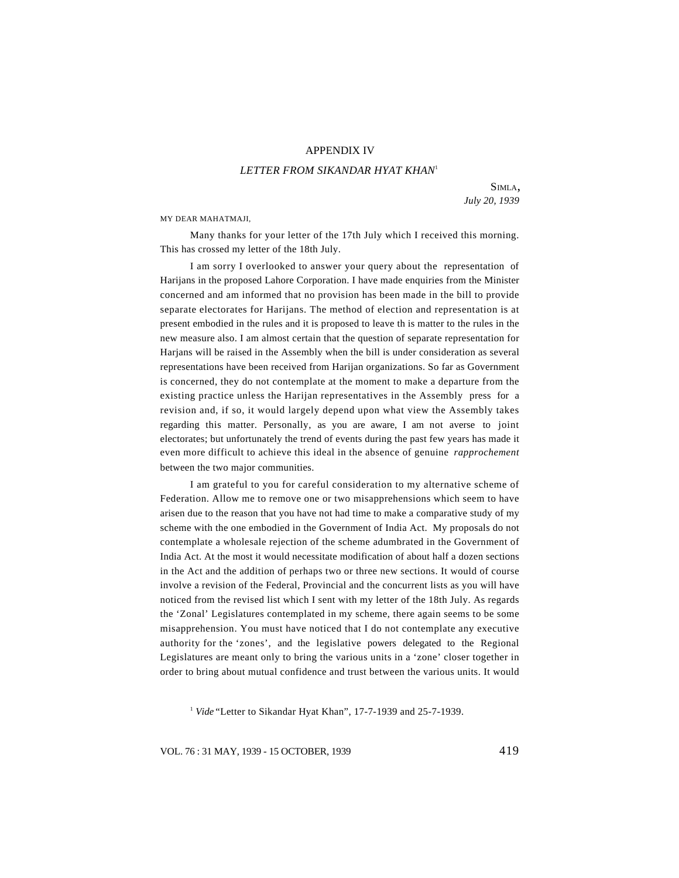#### APPENDIX IV

#### *LETTER FROM SIKANDAR HYAT KHAN*<sup>1</sup>

SIMLA, *July 20, 1939*

#### MY DEAR MAHATMAJI,

Many thanks for your letter of the 17th July which I received this morning. This has crossed my letter of the 18th July.

I am sorry I overlooked to answer your query about the representation of Harijans in the proposed Lahore Corporation. I have made enquiries from the Minister concerned and am informed that no provision has been made in the bill to provide separate electorates for Harijans. The method of election and representation is at present embodied in the rules and it is proposed to leave th is matter to the rules in the new measure also. I am almost certain that the question of separate representation for Harjans will be raised in the Assembly when the bill is under consideration as several representations have been received from Harijan organizations. So far as Government is concerned, they do not contemplate at the moment to make a departure from the existing practice unless the Harijan representatives in the Assembly press for a revision and, if so, it would largely depend upon what view the Assembly takes regarding this matter. Personally, as you are aware, I am not averse to joint electorates; but unfortunately the trend of events during the past few years has made it even more difficult to achieve this ideal in the absence of genuine *rapprochement* between the two major communities.

I am grateful to you for careful consideration to my alternative scheme of Federation. Allow me to remove one or two misapprehensions which seem to have arisen due to the reason that you have not had time to make a comparative study of my scheme with the one embodied in the Government of India Act. My proposals do not contemplate a wholesale rejection of the scheme adumbrated in the Government of India Act. At the most it would necessitate modification of about half a dozen sections in the Act and the addition of perhaps two or three new sections. It would of course involve a revision of the Federal, Provincial and the concurrent lists as you will have noticed from the revised list which I sent with my letter of the 18th July. As regards the 'Zonal' Legislatures contemplated in my scheme, there again seems to be some misapprehension. You must have noticed that I do not contemplate any executive authority for the 'zones', and the legislative powers delegated to the Regional Legislatures are meant only to bring the various units in a 'zone' closer together in order to bring about mutual confidence and trust between the various units. It would

<sup>1</sup> *Vide* "Letter to Sikandar Hyat Khan", 17-7-1939 and 25-7-1939.

VOL. 76 : 31 MAY, 1939 - 15 OCTOBER, 1939 419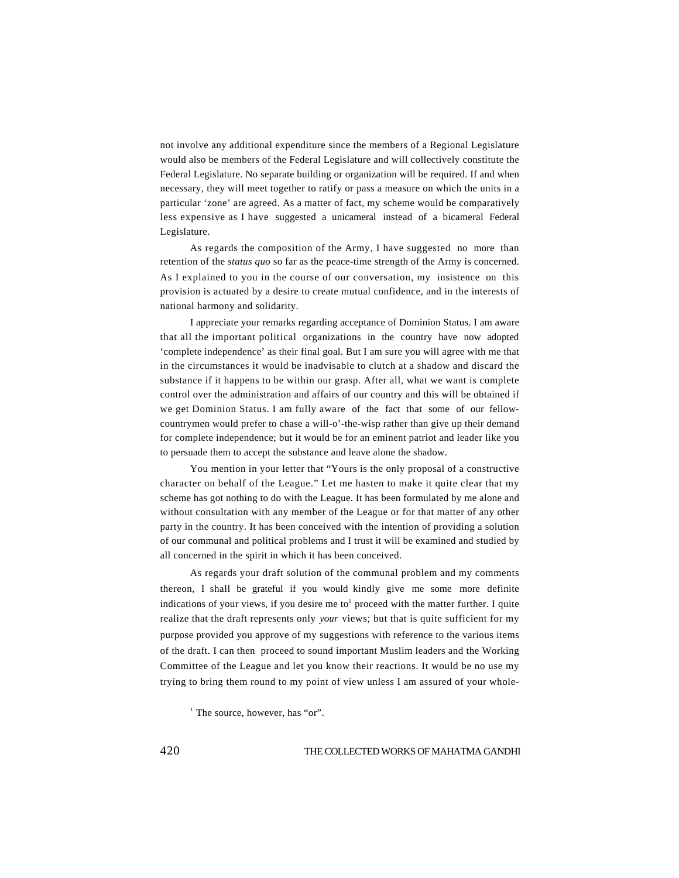not involve any additional expenditure since the members of a Regional Legislature would also be members of the Federal Legislature and will collectively constitute the Federal Legislature. No separate building or organization will be required. If and when necessary, they will meet together to ratify or pass a measure on which the units in a particular 'zone' are agreed. As a matter of fact, my scheme would be comparatively less expensive as I have suggested a unicameral instead of a bicameral Federal Legislature.

As regards the composition of the Army, I have suggested no more than retention of the *status quo* so far as the peace-time strength of the Army is concerned. As I explained to you in the course of our conversation, my insistence on this provision is actuated by a desire to create mutual confidence, and in the interests of national harmony and solidarity.

I appreciate your remarks regarding acceptance of Dominion Status. I am aware that all the important political organizations in the country have now adopted 'complete independence' as their final goal. But I am sure you will agree with me that in the circumstances it would be inadvisable to clutch at a shadow and discard the substance if it happens to be within our grasp. After all, what we want is complete control over the administration and affairs of our country and this will be obtained if we get Dominion Status. I am fully aware of the fact that some of our fellowcountrymen would prefer to chase a will-o'-the-wisp rather than give up their demand for complete independence; but it would be for an eminent patriot and leader like you to persuade them to accept the substance and leave alone the shadow.

You mention in your letter that "Yours is the only proposal of a constructive character on behalf of the League." Let me hasten to make it quite clear that my scheme has got nothing to do with the League. It has been formulated by me alone and without consultation with any member of the League or for that matter of any other party in the country. It has been conceived with the intention of providing a solution of our communal and political problems and I trust it will be examined and studied by all concerned in the spirit in which it has been conceived.

As regards your draft solution of the communal problem and my comments thereon, I shall be grateful if you would kindly give me some more definite indications of your views, if you desire me to<sup>1</sup> proceed with the matter further. I quite realize that the draft represents only *your* views; but that is quite sufficient for my purpose provided you approve of my suggestions with reference to the various items of the draft. I can then proceed to sound important Muslim leaders and the Working Committee of the League and let you know their reactions. It would be no use my trying to bring them round to my point of view unless I am assured of your whole-

<sup>&</sup>lt;sup>1</sup> The source, however, has "or".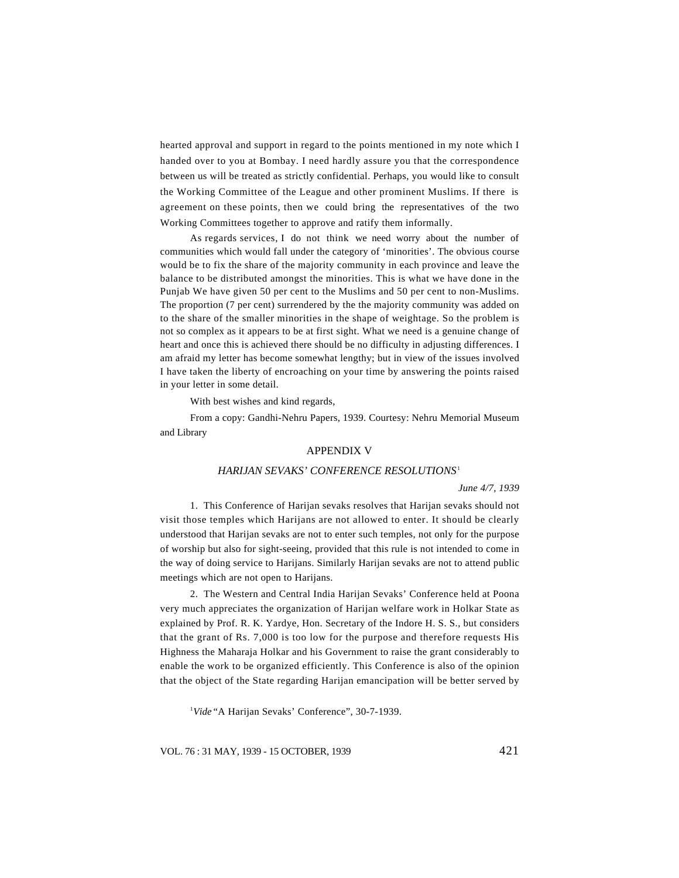hearted approval and support in regard to the points mentioned in my note which I handed over to you at Bombay. I need hardly assure you that the correspondence between us will be treated as strictly confidential. Perhaps, you would like to consult the Working Committee of the League and other prominent Muslims. If there is agreement on these points, then we could bring the representatives of the two Working Committees together to approve and ratify them informally.

As regards services, I do not think we need worry about the number of communities which would fall under the category of 'minorities'. The obvious course would be to fix the share of the majority community in each province and leave the balance to be distributed amongst the minorities. This is what we have done in the Punjab We have given 50 per cent to the Muslims and 50 per cent to non-Muslims. The proportion (7 per cent) surrendered by the the majority community was added on to the share of the smaller minorities in the shape of weightage. So the problem is not so complex as it appears to be at first sight. What we need is a genuine change of heart and once this is achieved there should be no difficulty in adjusting differences. I am afraid my letter has become somewhat lengthy; but in view of the issues involved I have taken the liberty of encroaching on your time by answering the points raised in your letter in some detail.

With best wishes and kind regards,

From a copy: Gandhi-Nehru Papers, 1939. Courtesy: Nehru Memorial Museum and Library

#### APPENDIX V

#### *HARIJAN SEVAKS' CONFERENCE RESOLUTIONS*<sup>1</sup>

#### *June 4/7, 1939*

1. This Conference of Harijan sevaks resolves that Harijan sevaks should not visit those temples which Harijans are not allowed to enter. It should be clearly understood that Harijan sevaks are not to enter such temples, not only for the purpose of worship but also for sight-seeing, provided that this rule is not intended to come in the way of doing service to Harijans. Similarly Harijan sevaks are not to attend public meetings which are not open to Harijans.

2. The Western and Central India Harijan Sevaks' Conference held at Poona very much appreciates the organization of Harijan welfare work in Holkar State as explained by Prof. R. K. Yardye, Hon. Secretary of the Indore H. S. S., but considers that the grant of Rs. 7,000 is too low for the purpose and therefore requests His Highness the Maharaja Holkar and his Government to raise the grant considerably to enable the work to be organized efficiently. This Conference is also of the opinion that the object of the State regarding Harijan emancipation will be better served by

<sup>1</sup>*Vide* "A Harijan Sevaks' Conference", 30-7-1939.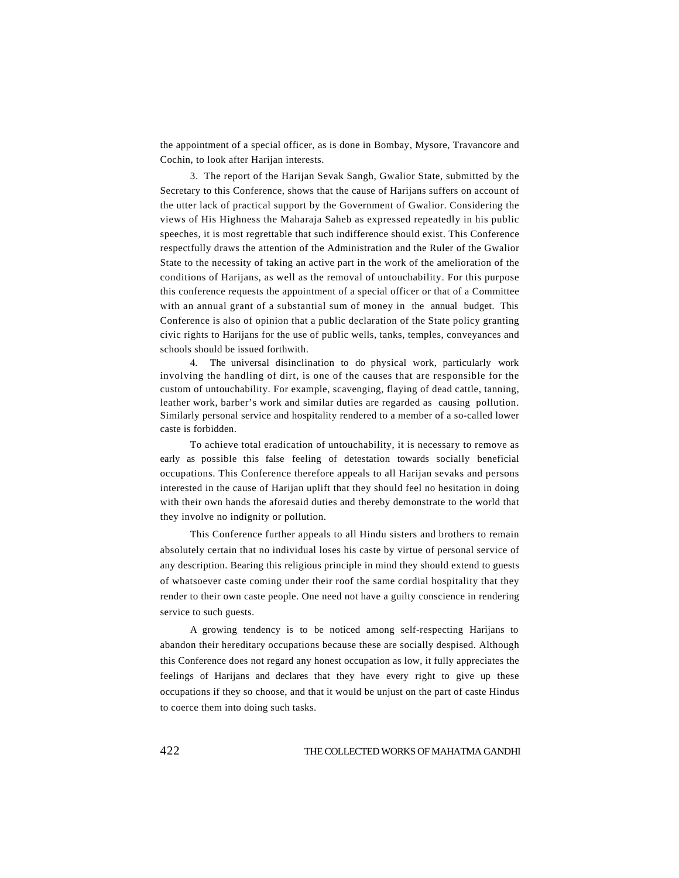the appointment of a special officer, as is done in Bombay, Mysore, Travancore and Cochin, to look after Harijan interests.

3. The report of the Harijan Sevak Sangh, Gwalior State, submitted by the Secretary to this Conference, shows that the cause of Harijans suffers on account of the utter lack of practical support by the Government of Gwalior. Considering the views of His Highness the Maharaja Saheb as expressed repeatedly in his public speeches, it is most regrettable that such indifference should exist. This Conference respectfully draws the attention of the Administration and the Ruler of the Gwalior State to the necessity of taking an active part in the work of the amelioration of the conditions of Harijans, as well as the removal of untouchability. For this purpose this conference requests the appointment of a special officer or that of a Committee with an annual grant of a substantial sum of money in the annual budget. This Conference is also of opinion that a public declaration of the State policy granting civic rights to Harijans for the use of public wells, tanks, temples, conveyances and schools should be issued forthwith.

4. The universal disinclination to do physical work, particularly work involving the handling of dirt, is one of the causes that are responsible for the custom of untouchability. For example, scavenging, flaying of dead cattle, tanning, leather work, barber's work and similar duties are regarded as causing pollution. Similarly personal service and hospitality rendered to a member of a so-called lower caste is forbidden.

To achieve total eradication of untouchability, it is necessary to remove as early as possible this false feeling of detestation towards socially beneficial occupations. This Conference therefore appeals to all Harijan sevaks and persons interested in the cause of Harijan uplift that they should feel no hesitation in doing with their own hands the aforesaid duties and thereby demonstrate to the world that they involve no indignity or pollution.

This Conference further appeals to all Hindu sisters and brothers to remain absolutely certain that no individual loses his caste by virtue of personal service of any description. Bearing this religious principle in mind they should extend to guests of whatsoever caste coming under their roof the same cordial hospitality that they render to their own caste people. One need not have a guilty conscience in rendering service to such guests.

A growing tendency is to be noticed among self-respecting Harijans to abandon their hereditary occupations because these are socially despised. Although this Conference does not regard any honest occupation as low, it fully appreciates the feelings of Harijans and declares that they have every right to give up these occupations if they so choose, and that it would be unjust on the part of caste Hindus to coerce them into doing such tasks.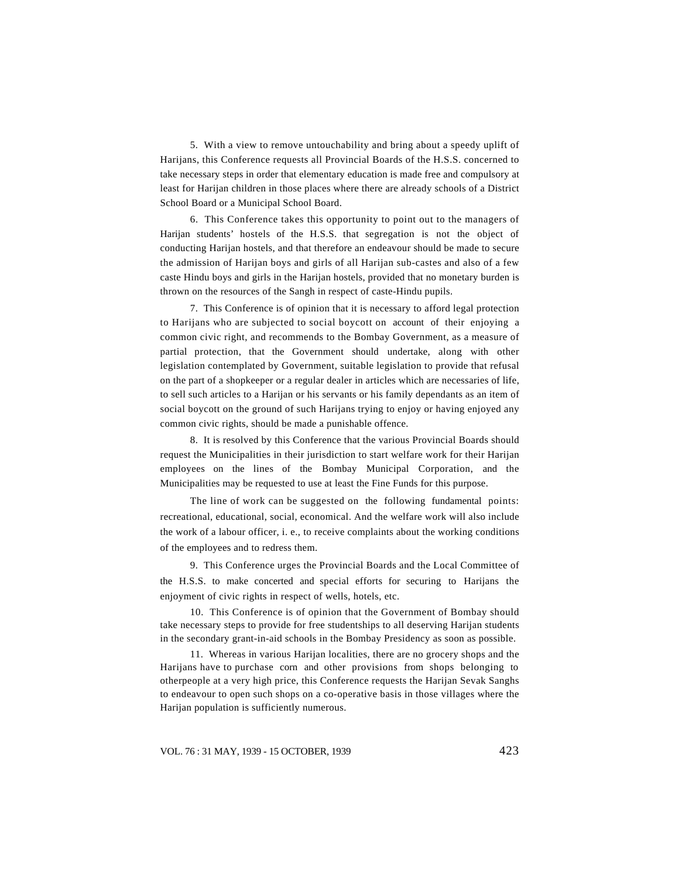5. With a view to remove untouchability and bring about a speedy uplift of Harijans, this Conference requests all Provincial Boards of the H.S.S. concerned to take necessary steps in order that elementary education is made free and compulsory at least for Harijan children in those places where there are already schools of a District School Board or a Municipal School Board.

6. This Conference takes this opportunity to point out to the managers of Harijan students' hostels of the H.S.S. that segregation is not the object of conducting Harijan hostels, and that therefore an endeavour should be made to secure the admission of Harijan boys and girls of all Harijan sub-castes and also of a few caste Hindu boys and girls in the Harijan hostels, provided that no monetary burden is thrown on the resources of the Sangh in respect of caste-Hindu pupils.

7. This Conference is of opinion that it is necessary to afford legal protection to Harijans who are subjected to social boycott on account of their enjoying a common civic right, and recommends to the Bombay Government, as a measure of partial protection, that the Government should undertake, along with other legislation contemplated by Government, suitable legislation to provide that refusal on the part of a shopkeeper or a regular dealer in articles which are necessaries of life, to sell such articles to a Harijan or his servants or his family dependants as an item of social boycott on the ground of such Harijans trying to enjoy or having enjoyed any common civic rights, should be made a punishable offence.

8. It is resolved by this Conference that the various Provincial Boards should request the Municipalities in their jurisdiction to start welfare work for their Harijan employees on the lines of the Bombay Municipal Corporation, and the Municipalities may be requested to use at least the Fine Funds for this purpose.

The line of work can be suggested on the following fundamental points: recreational, educational, social, economical. And the welfare work will also include the work of a labour officer, i. e., to receive complaints about the working conditions of the employees and to redress them.

9. This Conference urges the Provincial Boards and the Local Committee of the H.S.S. to make concerted and special efforts for securing to Harijans the enjoyment of civic rights in respect of wells, hotels, etc.

10. This Conference is of opinion that the Government of Bombay should take necessary steps to provide for free studentships to all deserving Harijan students in the secondary grant-in-aid schools in the Bombay Presidency as soon as possible.

11. Whereas in various Harijan localities, there are no grocery shops and the Harijans have to purchase corn and other provisions from shops belonging to otherpeople at a very high price, this Conference requests the Harijan Sevak Sanghs to endeavour to open such shops on a co-operative basis in those villages where the Harijan population is sufficiently numerous.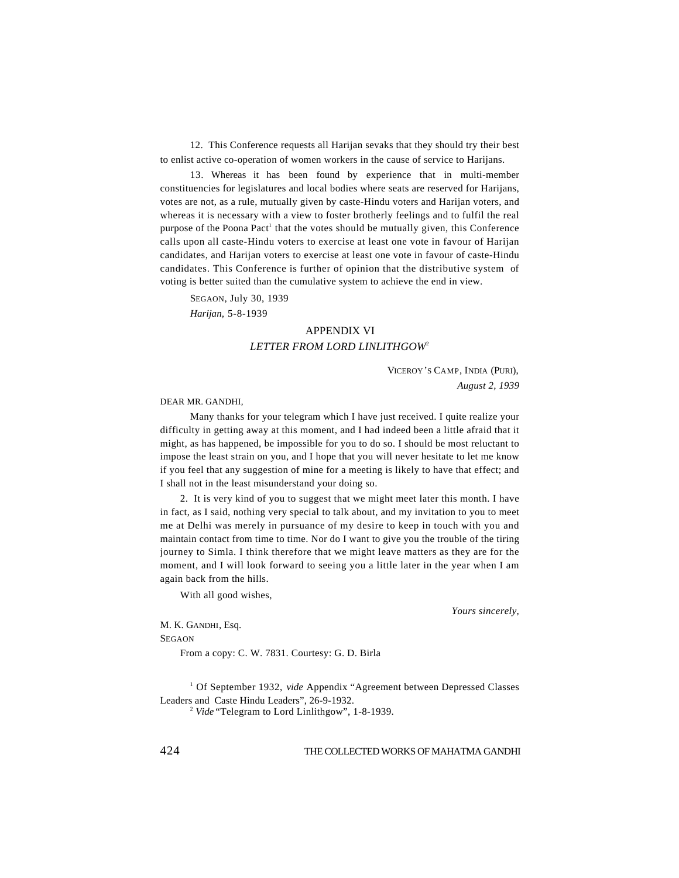12. This Conference requests all Harijan sevaks that they should try their best to enlist active co-operation of women workers in the cause of service to Harijans.

13. Whereas it has been found by experience that in multi-member constituencies for legislatures and local bodies where seats are reserved for Harijans, votes are not, as a rule, mutually given by caste-Hindu voters and Harijan voters, and whereas it is necessary with a view to foster brotherly feelings and to fulfil the real purpose of the Poona Pact<sup>1</sup> that the votes should be mutually given, this Conference calls upon all caste-Hindu voters to exercise at least one vote in favour of Harijan candidates, and Harijan voters to exercise at least one vote in favour of caste-Hindu candidates. This Conference is further of opinion that the distributive system of voting is better suited than the cumulative system to achieve the end in view.

SEGAON, July 30, 1939 *Harijan,* 5-8-1939

# APPENDIX VI *LETTER FROM LORD LINLITHGOW*<sup>2</sup>

VICEROY'S CAMP, INDIA (PURI), *August 2, 1939*

DEAR MR. GANDHI,

Many thanks for your telegram which I have just received. I quite realize your difficulty in getting away at this moment, and I had indeed been a little afraid that it might, as has happened, be impossible for you to do so. I should be most reluctant to impose the least strain on you, and I hope that you will never hesitate to let me know if you feel that any suggestion of mine for a meeting is likely to have that effect; and I shall not in the least misunderstand your doing so.

2. It is very kind of you to suggest that we might meet later this month. I have in fact, as I said, nothing very special to talk about, and my invitation to you to meet me at Delhi was merely in pursuance of my desire to keep in touch with you and maintain contact from time to time. Nor do I want to give you the trouble of the tiring journey to Simla. I think therefore that we might leave matters as they are for the moment, and I will look forward to seeing you a little later in the year when I am again back from the hills.

With all good wishes,

*Yours sincerely,*

M. K. GANDHI, Esq. **SEGAON** 

From a copy: C. W. 7831. Courtesy: G. D. Birla

<sup>1</sup> Of September 1932, vide Appendix "Agreement between Depressed Classes Leaders and Caste Hindu Leaders", 26-9-1932.

<sup>2</sup> *Vide* "Telegram to Lord Linlithgow", 1-8-1939.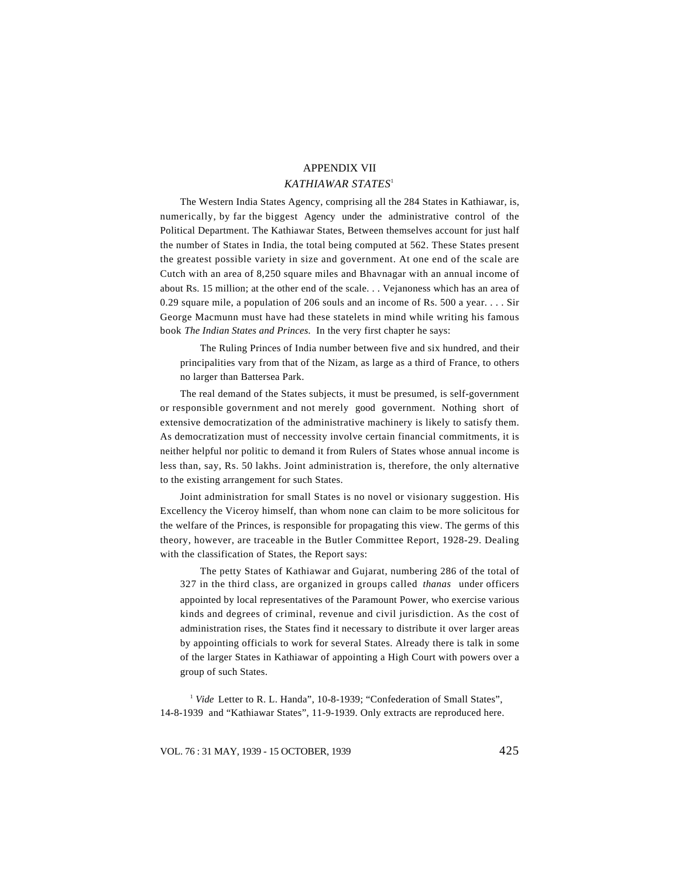# APPENDIX VII *KATHIAWAR STATES*<sup>1</sup>

The Western India States Agency, comprising all the 284 States in Kathiawar, is, numerically, by far the biggest Agency under the administrative control of the Political Department. The Kathiawar States, Between themselves account for just half the number of States in India, the total being computed at 562. These States present the greatest possible variety in size and government. At one end of the scale are Cutch with an area of 8,250 square miles and Bhavnagar with an annual income of about Rs. 15 million; at the other end of the scale. . . Vejanoness which has an area of 0.29 square mile, a population of 206 souls and an income of Rs. 500 a year. . . . Sir George Macmunn must have had these statelets in mind while writing his famous book *The Indian States and Princes.* In the very first chapter he says:

The Ruling Princes of India number between five and six hundred, and their principalities vary from that of the Nizam, as large as a third of France, to others no larger than Battersea Park.

The real demand of the States subjects, it must be presumed, is self-government or responsible government and not merely good government. Nothing short of extensive democratization of the administrative machinery is likely to satisfy them. As democratization must of neccessity involve certain financial commitments, it is neither helpful nor politic to demand it from Rulers of States whose annual income is less than, say, Rs. 50 lakhs. Joint administration is, therefore, the only alternative to the existing arrangement for such States.

Joint administration for small States is no novel or visionary suggestion. His Excellency the Viceroy himself, than whom none can claim to be more solicitous for the welfare of the Princes, is responsible for propagating this view. The germs of this theory, however, are traceable in the Butler Committee Report, 1928-29. Dealing with the classification of States, the Report says:

The petty States of Kathiawar and Gujarat, numbering 286 of the total of 327 in the third class, are organized in groups called *thanas* under officers appointed by local representatives of the Paramount Power, who exercise various kinds and degrees of criminal, revenue and civil jurisdiction. As the cost of administration rises, the States find it necessary to distribute it over larger areas by appointing officials to work for several States. Already there is talk in some of the larger States in Kathiawar of appointing a High Court with powers over a group of such States.

<sup>1</sup> *Vide* Letter to R. L. Handa", 10-8-1939; "Confederation of Small States", 14-8-1939 and "Kathiawar States", 11-9-1939. Only extracts are reproduced here.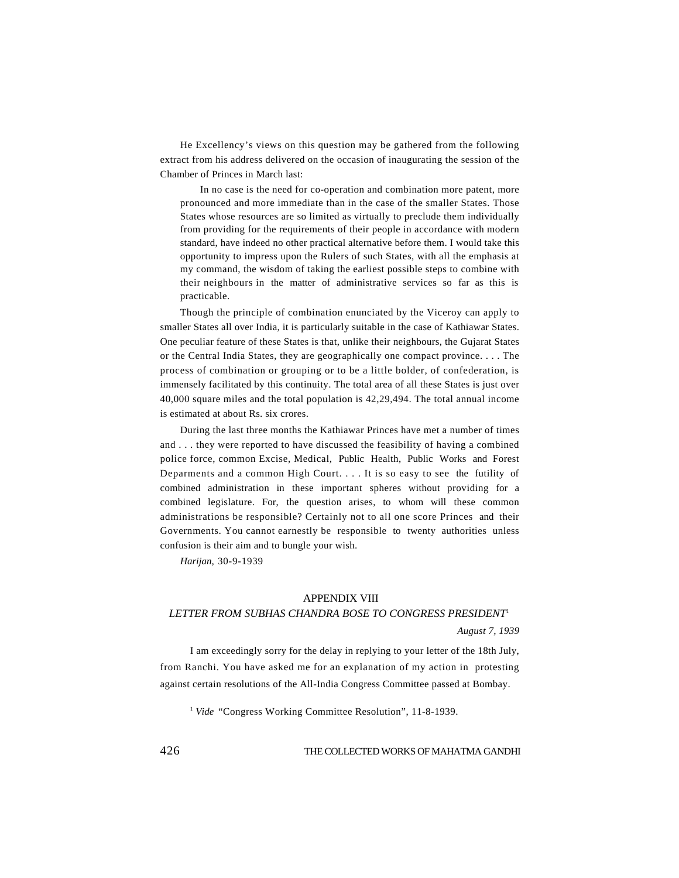He Excellency's views on this question may be gathered from the following extract from his address delivered on the occasion of inaugurating the session of the Chamber of Princes in March last:

In no case is the need for co-operation and combination more patent, more pronounced and more immediate than in the case of the smaller States. Those States whose resources are so limited as virtually to preclude them individually from providing for the requirements of their people in accordance with modern standard, have indeed no other practical alternative before them. I would take this opportunity to impress upon the Rulers of such States, with all the emphasis at my command, the wisdom of taking the earliest possible steps to combine with their neighbours in the matter of administrative services so far as this is practicable.

Though the principle of combination enunciated by the Viceroy can apply to smaller States all over India, it is particularly suitable in the case of Kathiawar States. One peculiar feature of these States is that, unlike their neighbours, the Gujarat States or the Central India States, they are geographically one compact province. . . . The process of combination or grouping or to be a little bolder, of confederation, is immensely facilitated by this continuity. The total area of all these States is just over 40,000 square miles and the total population is 42,29,494. The total annual income is estimated at about Rs. six crores.

During the last three months the Kathiawar Princes have met a number of times and . . . they were reported to have discussed the feasibility of having a combined police force, common Excise, Medical, Public Health, Public Works and Forest Deparments and a common High Court. . . . It is so easy to see the futility of combined administration in these important spheres without providing for a combined legislature. For, the question arises, to whom will these common administrations be responsible? Certainly not to all one score Princes and their Governments. You cannot earnestly be responsible to twenty authorities unless confusion is their aim and to bungle your wish.

*Harijan,* 30-9-1939

#### APPENDIX VIII

# *LETTER FROM SUBHAS CHANDRA BOSE TO CONGRESS PRESIDENT*<sup>1</sup>

*August 7, 1939*

I am exceedingly sorry for the delay in replying to your letter of the 18th July, from Ranchi. You have asked me for an explanation of my action in protesting against certain resolutions of the All-India Congress Committee passed at Bombay.

<sup>1</sup> *Vide* "Congress Working Committee Resolution", 11-8-1939.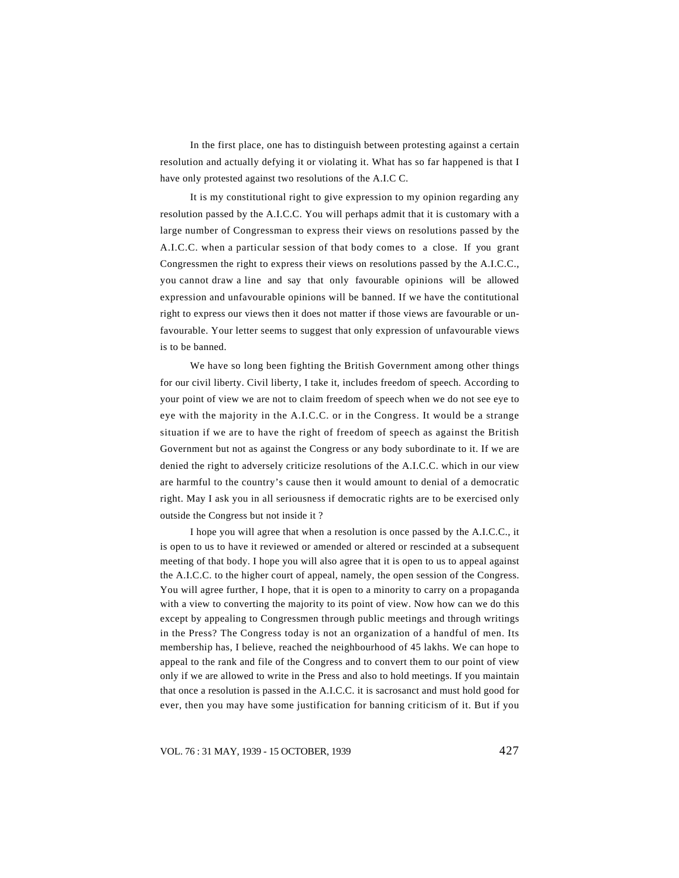In the first place, one has to distinguish between protesting against a certain resolution and actually defying it or violating it. What has so far happened is that I have only protested against two resolutions of the A.I.C C.

It is my constitutional right to give expression to my opinion regarding any resolution passed by the A.I.C.C. You will perhaps admit that it is customary with a large number of Congressman to express their views on resolutions passed by the A.I.C.C. when a particular session of that body comes to a close. If you grant Congressmen the right to express their views on resolutions passed by the A.I.C.C., you cannot draw a line and say that only favourable opinions will be allowed expression and unfavourable opinions will be banned. If we have the contitutional right to express our views then it does not matter if those views are favourable or unfavourable. Your letter seems to suggest that only expression of unfavourable views is to be banned.

We have so long been fighting the British Government among other things for our civil liberty. Civil liberty, I take it, includes freedom of speech. According to your point of view we are not to claim freedom of speech when we do not see eye to eye with the majority in the A.I.C.C. or in the Congress. It would be a strange situation if we are to have the right of freedom of speech as against the British Government but not as against the Congress or any body subordinate to it. If we are denied the right to adversely criticize resolutions of the A.I.C.C. which in our view are harmful to the country's cause then it would amount to denial of a democratic right. May I ask you in all seriousness if democratic rights are to be exercised only outside the Congress but not inside it ?

I hope you will agree that when a resolution is once passed by the A.I.C.C., it is open to us to have it reviewed or amended or altered or rescinded at a subsequent meeting of that body. I hope you will also agree that it is open to us to appeal against the A.I.C.C. to the higher court of appeal, namely, the open session of the Congress. You will agree further, I hope, that it is open to a minority to carry on a propaganda with a view to converting the majority to its point of view. Now how can we do this except by appealing to Congressmen through public meetings and through writings in the Press? The Congress today is not an organization of a handful of men. Its membership has, I believe, reached the neighbourhood of 45 lakhs. We can hope to appeal to the rank and file of the Congress and to convert them to our point of view only if we are allowed to write in the Press and also to hold meetings. If you maintain that once a resolution is passed in the A.I.C.C. it is sacrosanct and must hold good for ever, then you may have some justification for banning criticism of it. But if you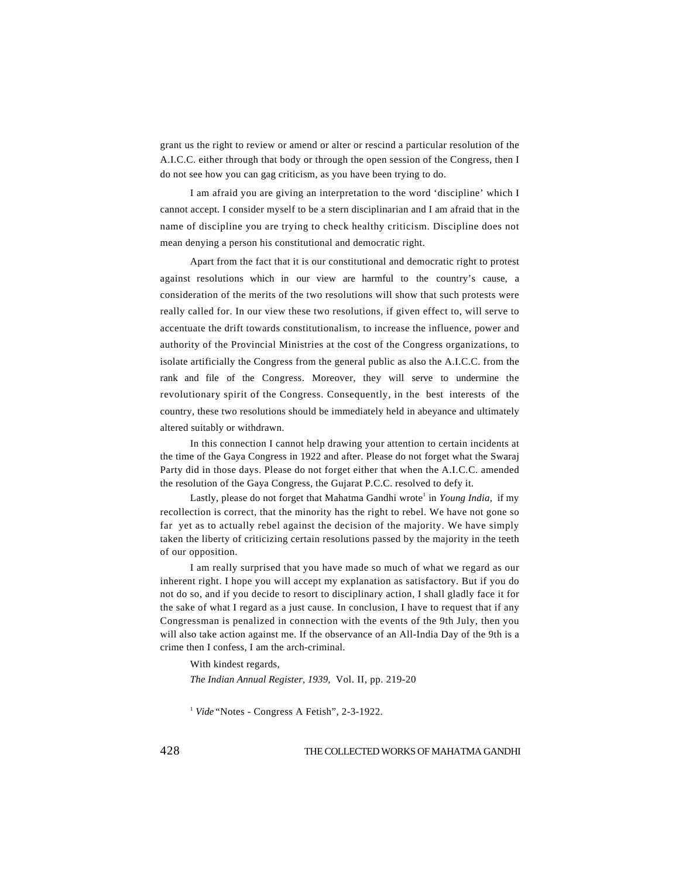grant us the right to review or amend or alter or rescind a particular resolution of the A.I.C.C. either through that body or through the open session of the Congress, then I do not see how you can gag criticism, as you have been trying to do.

I am afraid you are giving an interpretation to the word 'discipline' which I cannot accept. I consider myself to be a stern disciplinarian and I am afraid that in the name of discipline you are trying to check healthy criticism. Discipline does not mean denying a person his constitutional and democratic right.

Apart from the fact that it is our constitutional and democratic right to protest against resolutions which in our view are harmful to the country's cause, a consideration of the merits of the two resolutions will show that such protests were really called for. In our view these two resolutions, if given effect to, will serve to accentuate the drift towards constitutionalism, to increase the influence, power and authority of the Provincial Ministries at the cost of the Congress organizations, to isolate artificially the Congress from the general public as also the A.I.C.C. from the rank and file of the Congress. Moreover, they will serve to undermine the revolutionary spirit of the Congress. Consequently, in the best interests of the country, these two resolutions should be immediately held in abeyance and ultimately altered suitably or withdrawn.

In this connection I cannot help drawing your attention to certain incidents at the time of the Gaya Congress in 1922 and after. Please do not forget what the Swaraj Party did in those days. Please do not forget either that when the A.I.C.C. amended the resolution of the Gaya Congress, the Gujarat P.C.C. resolved to defy it.

Lastly, please do not forget that Mahatma Gandhi wrote<sup>1</sup> in *Young India*, if my recollection is correct, that the minority has the right to rebel. We have not gone so far yet as to actually rebel against the decision of the majority. We have simply taken the liberty of criticizing certain resolutions passed by the majority in the teeth of our opposition.

I am really surprised that you have made so much of what we regard as our inherent right. I hope you will accept my explanation as satisfactory. But if you do not do so, and if you decide to resort to disciplinary action, I shall gladly face it for the sake of what I regard as a just cause. In conclusion, I have to request that if any Congressman is penalized in connection with the events of the 9th July, then you will also take action against me. If the observance of an All-India Day of the 9th is a crime then I confess, I am the arch-criminal.

With kindest regards, *The Indian Annual Register, 1939,* Vol. II, pp. 219-20

<sup>1</sup> *Vide* "Notes - Congress A Fetish", 2-3-1922.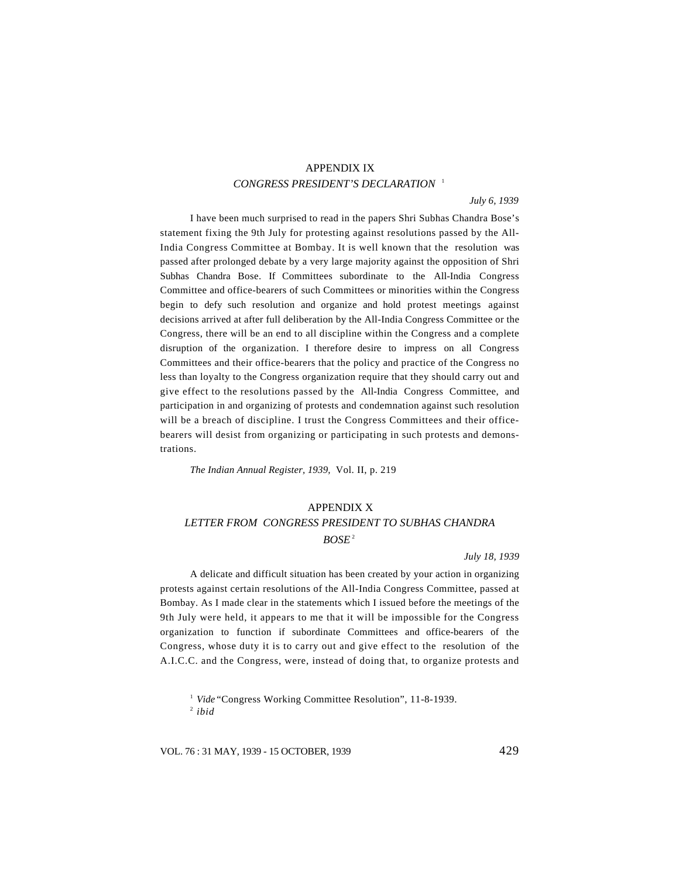# APPENDIX IX *CONGRESS PRESIDENT'S DECLARATION* <sup>1</sup>

*July 6, 1939*

I have been much surprised to read in the papers Shri Subhas Chandra Bose's statement fixing the 9th July for protesting against resolutions passed by the All-India Congress Committee at Bombay. It is well known that the resolution was passed after prolonged debate by a very large majority against the opposition of Shri Subhas Chandra Bose. If Committees subordinate to the All-India Congress Committee and office-bearers of such Committees or minorities within the Congress begin to defy such resolution and organize and hold protest meetings against decisions arrived at after full deliberation by the All-India Congress Committee or the Congress, there will be an end to all discipline within the Congress and a complete disruption of the organization. I therefore desire to impress on all Congress Committees and their office-bearers that the policy and practice of the Congress no less than loyalty to the Congress organization require that they should carry out and give effect to the resolutions passed by the All-India Congress Committee, and participation in and organizing of protests and condemnation against such resolution will be a breach of discipline. I trust the Congress Committees and their officebearers will desist from organizing or participating in such protests and demonstrations.

*The Indian Annual Register, 1939,* Vol. II, p. 219

# APPENDIX X *LETTER FROM CONGRESS PRESIDENT TO SUBHAS CHANDRA*  $ROSE<sup>2</sup>$

*July 18, 1939*

A delicate and difficult situation has been created by your action in organizing protests against certain resolutions of the All-India Congress Committee, passed at Bombay. As I made clear in the statements which I issued before the meetings of the 9th July were held, it appears to me that it will be impossible for the Congress organization to function if subordinate Committees and office-bearers of the Congress, whose duty it is to carry out and give effect to the resolution of the A.I.C.C. and the Congress, were, instead of doing that, to organize protests and

<sup>1</sup> *Vide* "Congress Working Committee Resolution", 11-8-1939. 2 *ibid*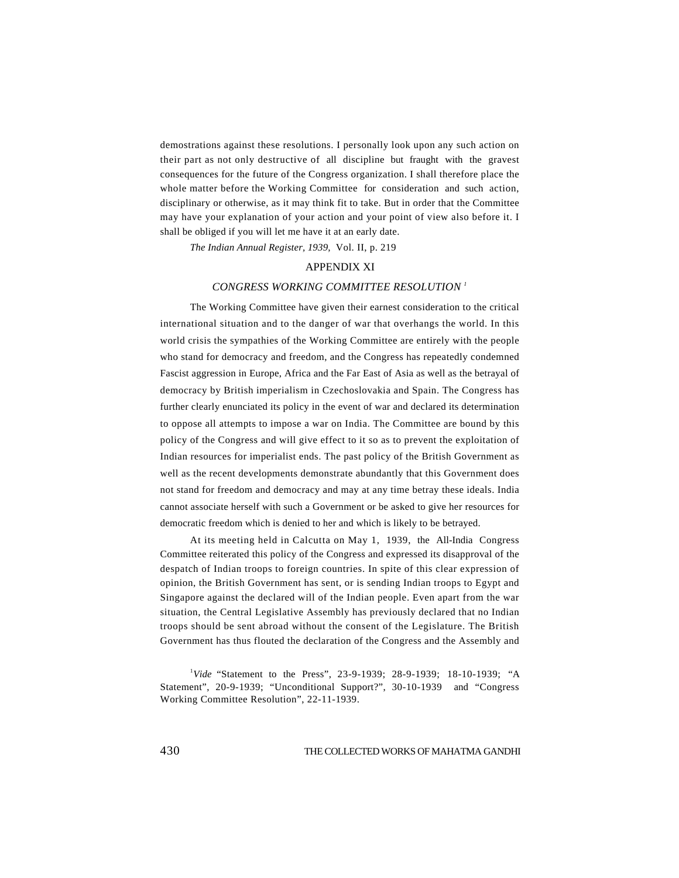demostrations against these resolutions. I personally look upon any such action on their part as not only destructive of all discipline but fraught with the gravest consequences for the future of the Congress organization. I shall therefore place the whole matter before the Working Committee for consideration and such action, disciplinary or otherwise, as it may think fit to take. But in order that the Committee may have your explanation of your action and your point of view also before it. I shall be obliged if you will let me have it at an early date.

*The Indian Annual Register, 1939,* Vol. II, p. 219

### APPENDIX XI

#### *CONGRESS WORKING COMMITTEE RESOLUTION <sup>1</sup>*

The Working Committee have given their earnest consideration to the critical international situation and to the danger of war that overhangs the world. In this world crisis the sympathies of the Working Committee are entirely with the people who stand for democracy and freedom, and the Congress has repeatedly condemned Fascist aggression in Europe, Africa and the Far East of Asia as well as the betrayal of democracy by British imperialism in Czechoslovakia and Spain. The Congress has further clearly enunciated its policy in the event of war and declared its determination to oppose all attempts to impose a war on India. The Committee are bound by this policy of the Congress and will give effect to it so as to prevent the exploitation of Indian resources for imperialist ends. The past policy of the British Government as well as the recent developments demonstrate abundantly that this Government does not stand for freedom and democracy and may at any time betray these ideals. India cannot associate herself with such a Government or be asked to give her resources for democratic freedom which is denied to her and which is likely to be betrayed.

At its meeting held in Calcutta on May 1, 1939, the All-India Congress Committee reiterated this policy of the Congress and expressed its disapproval of the despatch of Indian troops to foreign countries. In spite of this clear expression of opinion, the British Government has sent, or is sending Indian troops to Egypt and Singapore against the declared will of the Indian people. Even apart from the war situation, the Central Legislative Assembly has previously declared that no Indian troops should be sent abroad without the consent of the Legislature. The British Government has thus flouted the declaration of the Congress and the Assembly and

<sup>1</sup>Vide "Statement to the Press", 23-9-1939; 28-9-1939; 18-10-1939; "A Statement", 20-9-1939; "Unconditional Support?", 30-10-1939 and "Congress Working Committee Resolution", 22-11-1939.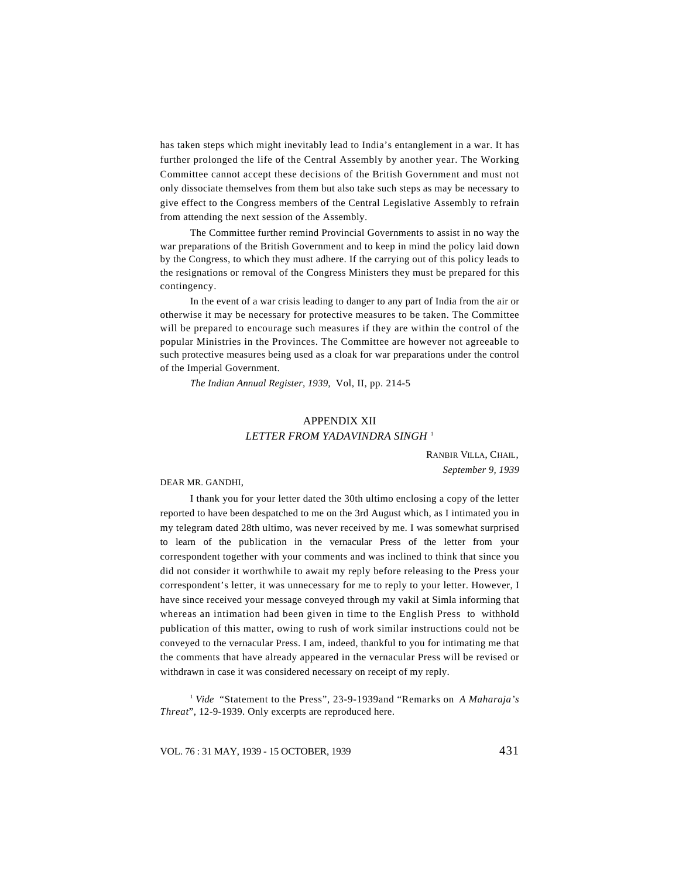has taken steps which might inevitably lead to India's entanglement in a war. It has further prolonged the life of the Central Assembly by another year. The Working Committee cannot accept these decisions of the British Government and must not only dissociate themselves from them but also take such steps as may be necessary to give effect to the Congress members of the Central Legislative Assembly to refrain from attending the next session of the Assembly.

The Committee further remind Provincial Governments to assist in no way the war preparations of the British Government and to keep in mind the policy laid down by the Congress, to which they must adhere. If the carrying out of this policy leads to the resignations or removal of the Congress Ministers they must be prepared for this contingency.

In the event of a war crisis leading to danger to any part of India from the air or otherwise it may be necessary for protective measures to be taken. The Committee will be prepared to encourage such measures if they are within the control of the popular Ministries in the Provinces. The Committee are however not agreeable to such protective measures being used as a cloak for war preparations under the control of the Imperial Government.

*The Indian Annual Register, 1939,* Vol, II, pp. 214-5

# APPENDIX XII *LETTER FROM YADAVINDRA SINGH* <sup>1</sup>

RANBIR VILLA, CHAIL, *September 9, 1939*

#### DEAR MR. GANDHI,

I thank you for your letter dated the 30th ultimo enclosing a copy of the letter reported to have been despatched to me on the 3rd August which, as I intimated you in my telegram dated 28th ultimo, was never received by me. I was somewhat surprised to learn of the publication in the vernacular Press of the letter from your correspondent together with your comments and was inclined to think that since you did not consider it worthwhile to await my reply before releasing to the Press your correspondent's letter, it was unnecessary for me to reply to your letter. However, I have since received your message conveyed through my vakil at Simla informing that whereas an intimation had been given in time to the English Press to withhold publication of this matter, owing to rush of work similar instructions could not be conveyed to the vernacular Press. I am, indeed, thankful to you for intimating me that the comments that have already appeared in the vernacular Press will be revised or withdrawn in case it was considered necessary on receipt of my reply.

<sup>1</sup>*Vide* "Statement to the Press", 23-9-1939and "Remarks on *A Maharaja's Threat*", 12-9-1939. Only excerpts are reproduced here.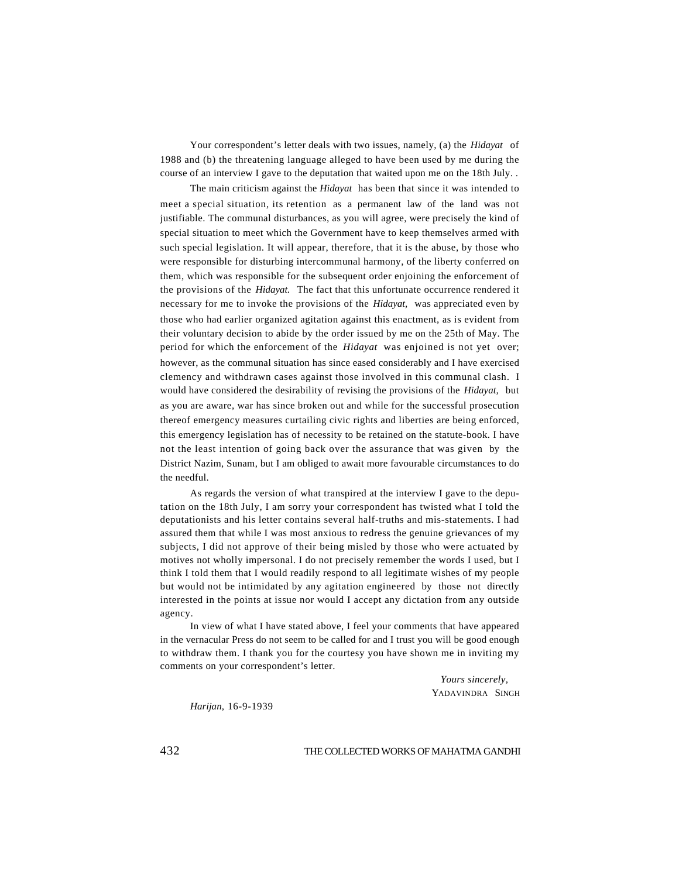Your correspondent's letter deals with two issues, namely, (a) the *Hidayat* of 1988 and (b) the threatening language alleged to have been used by me during the course of an interview I gave to the deputation that waited upon me on the 18th July. .

The main criticism against the *Hidayat* has been that since it was intended to meet a special situation, its retention as a permanent law of the land was not justifiable. The communal disturbances, as you will agree, were precisely the kind of special situation to meet which the Government have to keep themselves armed with such special legislation. It will appear, therefore, that it is the abuse, by those who were responsible for disturbing intercommunal harmony, of the liberty conferred on them, which was responsible for the subsequent order enjoining the enforcement of the provisions of the *Hidayat.* The fact that this unfortunate occurrence rendered it necessary for me to invoke the provisions of the *Hidayat,* was appreciated even by those who had earlier organized agitation against this enactment, as is evident from their voluntary decision to abide by the order issued by me on the 25th of May. The period for which the enforcement of the *Hidayat* was enjoined is not yet over; however, as the communal situation has since eased considerably and I have exercised clemency and withdrawn cases against those involved in this communal clash. I would have considered the desirability of revising the provisions of the *Hidayat,* but as you are aware, war has since broken out and while for the successful prosecution thereof emergency measures curtailing civic rights and liberties are being enforced, this emergency legislation has of necessity to be retained on the statute-book. I have not the least intention of going back over the assurance that was given by the District Nazim, Sunam, but I am obliged to await more favourable circumstances to do the needful.

As regards the version of what transpired at the interview I gave to the deputation on the 18th July, I am sorry your correspondent has twisted what I told the deputationists and his letter contains several half-truths and mis-statements. I had assured them that while I was most anxious to redress the genuine grievances of my subjects, I did not approve of their being misled by those who were actuated by motives not wholly impersonal. I do not precisely remember the words I used, but I think I told them that I would readily respond to all legitimate wishes of my people but would not be intimidated by any agitation engineered by those not directly interested in the points at issue nor would I accept any dictation from any outside agency.

In view of what I have stated above, I feel your comments that have appeared in the vernacular Press do not seem to be called for and I trust you will be good enough to withdraw them. I thank you for the courtesy you have shown me in inviting my comments on your correspondent's letter.

> *Yours sincerely,* YADAVINDRA SINGH

*Harijan,* 16-9-1939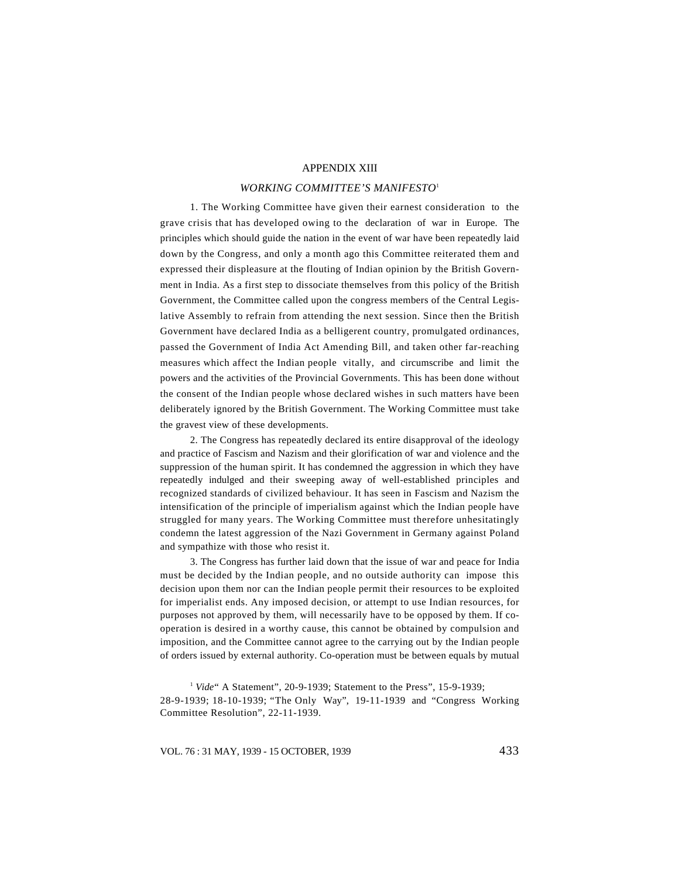## APPENDIX XIII

## *WORKING COMMITTEE'S MANIFESTO*<sup>1</sup>

1. The Working Committee have given their earnest consideration to the grave crisis that has developed owing to the declaration of war in Europe. The principles which should guide the nation in the event of war have been repeatedly laid down by the Congress, and only a month ago this Committee reiterated them and expressed their displeasure at the flouting of Indian opinion by the British Government in India. As a first step to dissociate themselves from this policy of the British Government, the Committee called upon the congress members of the Central Legislative Assembly to refrain from attending the next session. Since then the British Government have declared India as a belligerent country, promulgated ordinances, passed the Government of India Act Amending Bill, and taken other far-reaching measures which affect the Indian people vitally, and circumscribe and limit the powers and the activities of the Provincial Governments. This has been done without the consent of the Indian people whose declared wishes in such matters have been deliberately ignored by the British Government. The Working Committee must take the gravest view of these developments.

2. The Congress has repeatedly declared its entire disapproval of the ideology and practice of Fascism and Nazism and their glorification of war and violence and the suppression of the human spirit. It has condemned the aggression in which they have repeatedly indulged and their sweeping away of well-established principles and recognized standards of civilized behaviour. It has seen in Fascism and Nazism the intensification of the principle of imperialism against which the Indian people have struggled for many years. The Working Committee must therefore unhesitatingly condemn the latest aggression of the Nazi Government in Germany against Poland and sympathize with those who resist it.

3. The Congress has further laid down that the issue of war and peace for India must be decided by the Indian people, and no outside authority can impose this decision upon them nor can the Indian people permit their resources to be exploited for imperialist ends. Any imposed decision, or attempt to use Indian resources, for purposes not approved by them, will necessarily have to be opposed by them. If cooperation is desired in a worthy cause, this cannot be obtained by compulsion and imposition, and the Committee cannot agree to the carrying out by the Indian people of orders issued by external authority. Co-operation must be between equals by mutual

<sup>1</sup> *Vide*" A Statement", 20-9-1939; Statement to the Press", 15-9-1939; 28-9-1939; 18-10-1939; "The Only Way", 19-11-1939 and "Congress Working Committee Resolution", 22-11-1939.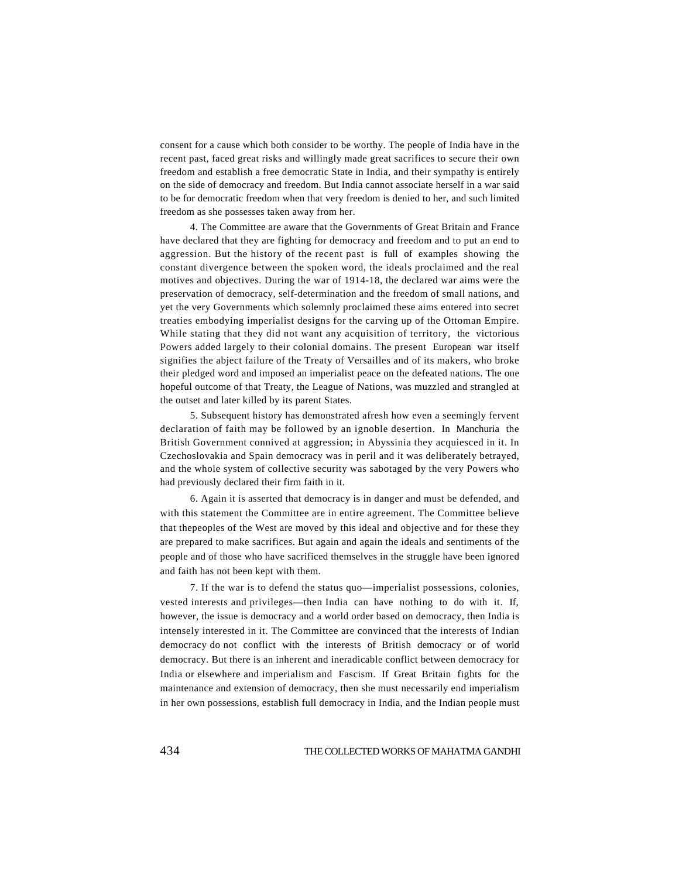consent for a cause which both consider to be worthy. The people of India have in the recent past, faced great risks and willingly made great sacrifices to secure their own freedom and establish a free democratic State in India, and their sympathy is entirely on the side of democracy and freedom. But India cannot associate herself in a war said to be for democratic freedom when that very freedom is denied to her, and such limited freedom as she possesses taken away from her.

4. The Committee are aware that the Governments of Great Britain and France have declared that they are fighting for democracy and freedom and to put an end to aggression. But the history of the recent past is full of examples showing the constant divergence between the spoken word, the ideals proclaimed and the real motives and objectives. During the war of 1914-18, the declared war aims were the preservation of democracy, self-determination and the freedom of small nations, and yet the very Governments which solemnly proclaimed these aims entered into secret treaties embodying imperialist designs for the carving up of the Ottoman Empire. While stating that they did not want any acquisition of territory, the victorious Powers added largely to their colonial domains. The present European war itself signifies the abject failure of the Treaty of Versailles and of its makers, who broke their pledged word and imposed an imperialist peace on the defeated nations. The one hopeful outcome of that Treaty, the League of Nations, was muzzled and strangled at the outset and later killed by its parent States.

5. Subsequent history has demonstrated afresh how even a seemingly fervent declaration of faith may be followed by an ignoble desertion. In Manchuria the British Government connived at aggression; in Abyssinia they acquiesced in it. In Czechoslovakia and Spain democracy was in peril and it was deliberately betrayed, and the whole system of collective security was sabotaged by the very Powers who had previously declared their firm faith in it.

6. Again it is asserted that democracy is in danger and must be defended, and with this statement the Committee are in entire agreement. The Committee believe that thepeoples of the West are moved by this ideal and objective and for these they are prepared to make sacrifices. But again and again the ideals and sentiments of the people and of those who have sacrificed themselves in the struggle have been ignored and faith has not been kept with them.

7. If the war is to defend the status quo—imperialist possessions, colonies, vested interests and privileges—then India can have nothing to do with it. If, however, the issue is democracy and a world order based on democracy, then India is intensely interested in it. The Committee are convinced that the interests of Indian democracy do not conflict with the interests of British democracy or of world democracy. But there is an inherent and ineradicable conflict between democracy for India or elsewhere and imperialism and Fascism. If Great Britain fights for the maintenance and extension of democracy, then she must necessarily end imperialism in her own possessions, establish full democracy in India, and the Indian people must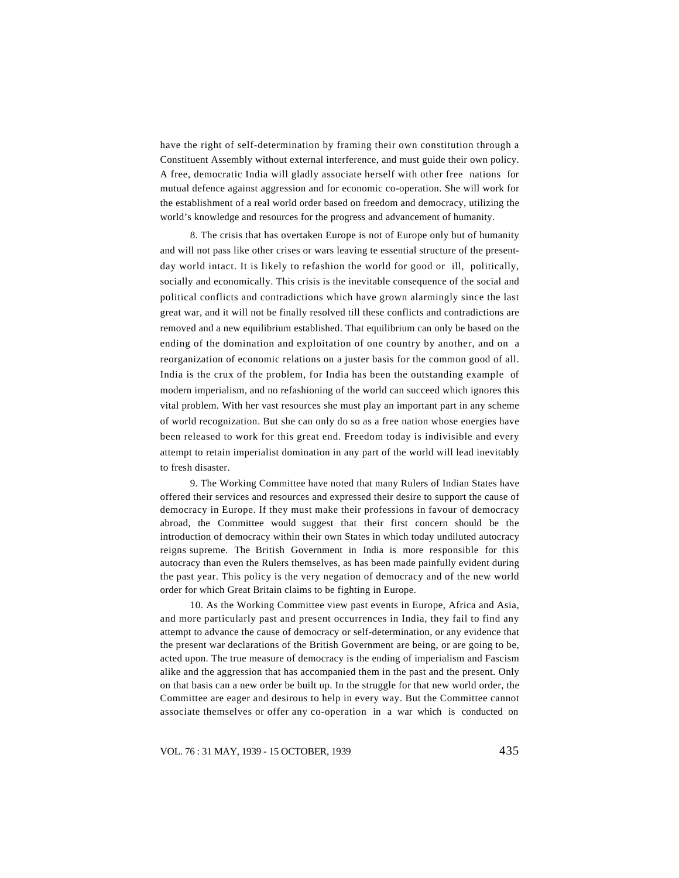have the right of self-determination by framing their own constitution through a Constituent Assembly without external interference, and must guide their own policy. A free, democratic India will gladly associate herself with other free nations for mutual defence against aggression and for economic co-operation. She will work for the establishment of a real world order based on freedom and democracy, utilizing the world's knowledge and resources for the progress and advancement of humanity.

8. The crisis that has overtaken Europe is not of Europe only but of humanity and will not pass like other crises or wars leaving te essential structure of the presentday world intact. It is likely to refashion the world for good or ill, politically, socially and economically. This crisis is the inevitable consequence of the social and political conflicts and contradictions which have grown alarmingly since the last great war, and it will not be finally resolved till these conflicts and contradictions are removed and a new equilibrium established. That equilibrium can only be based on the ending of the domination and exploitation of one country by another, and on a reorganization of economic relations on a juster basis for the common good of all. India is the crux of the problem, for India has been the outstanding example of modern imperialism, and no refashioning of the world can succeed which ignores this vital problem. With her vast resources she must play an important part in any scheme of world recognization. But she can only do so as a free nation whose energies have been released to work for this great end. Freedom today is indivisible and every attempt to retain imperialist domination in any part of the world will lead inevitably to fresh disaster.

9. The Working Committee have noted that many Rulers of Indian States have offered their services and resources and expressed their desire to support the cause of democracy in Europe. If they must make their professions in favour of democracy abroad, the Committee would suggest that their first concern should be the introduction of democracy within their own States in which today undiluted autocracy reigns supreme. The British Government in India is more responsible for this autocracy than even the Rulers themselves, as has been made painfully evident during the past year. This policy is the very negation of democracy and of the new world order for which Great Britain claims to be fighting in Europe.

10. As the Working Committee view past events in Europe, Africa and Asia, and more particularly past and present occurrences in India, they fail to find any attempt to advance the cause of democracy or self-determination, or any evidence that the present war declarations of the British Government are being, or are going to be, acted upon. The true measure of democracy is the ending of imperialism and Fascism alike and the aggression that has accompanied them in the past and the present. Only on that basis can a new order be built up. In the struggle for that new world order, the Committee are eager and desirous to help in every way. But the Committee cannot associate themselves or offer any co-operation in a war which is conducted on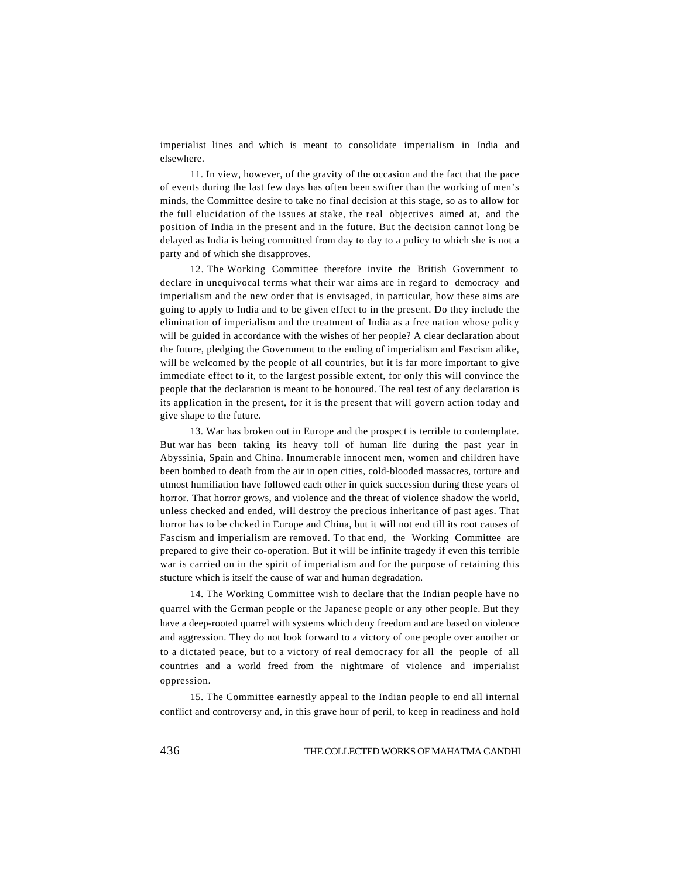imperialist lines and which is meant to consolidate imperialism in India and elsewhere.

11. In view, however, of the gravity of the occasion and the fact that the pace of events during the last few days has often been swifter than the working of men's minds, the Committee desire to take no final decision at this stage, so as to allow for the full elucidation of the issues at stake, the real objectives aimed at, and the position of India in the present and in the future. But the decision cannot long be delayed as India is being committed from day to day to a policy to which she is not a party and of which she disapproves.

12. The Working Committee therefore invite the British Government to declare in unequivocal terms what their war aims are in regard to democracy and imperialism and the new order that is envisaged, in particular, how these aims are going to apply to India and to be given effect to in the present. Do they include the elimination of imperialism and the treatment of India as a free nation whose policy will be guided in accordance with the wishes of her people? A clear declaration about the future, pledging the Government to the ending of imperialism and Fascism alike, will be welcomed by the people of all countries, but it is far more important to give immediate effect to it, to the largest possible extent, for only this will convince the people that the declaration is meant to be honoured. The real test of any declaration is its application in the present, for it is the present that will govern action today and give shape to the future.

13. War has broken out in Europe and the prospect is terrible to contemplate. But war has been taking its heavy toll of human life during the past year in Abyssinia, Spain and China. Innumerable innocent men, women and children have been bombed to death from the air in open cities, cold-blooded massacres, torture and utmost humiliation have followed each other in quick succession during these years of horror. That horror grows, and violence and the threat of violence shadow the world, unless checked and ended, will destroy the precious inheritance of past ages. That horror has to be chcked in Europe and China, but it will not end till its root causes of Fascism and imperialism are removed. To that end, the Working Committee are prepared to give their co-operation. But it will be infinite tragedy if even this terrible war is carried on in the spirit of imperialism and for the purpose of retaining this stucture which is itself the cause of war and human degradation.

14. The Working Committee wish to declare that the Indian people have no quarrel with the German people or the Japanese people or any other people. But they have a deep-rooted quarrel with systems which deny freedom and are based on violence and aggression. They do not look forward to a victory of one people over another or to a dictated peace, but to a victory of real democracy for all the people of all countries and a world freed from the nightmare of violence and imperialist oppression.

15. The Committee earnestly appeal to the Indian people to end all internal conflict and controversy and, in this grave hour of peril, to keep in readiness and hold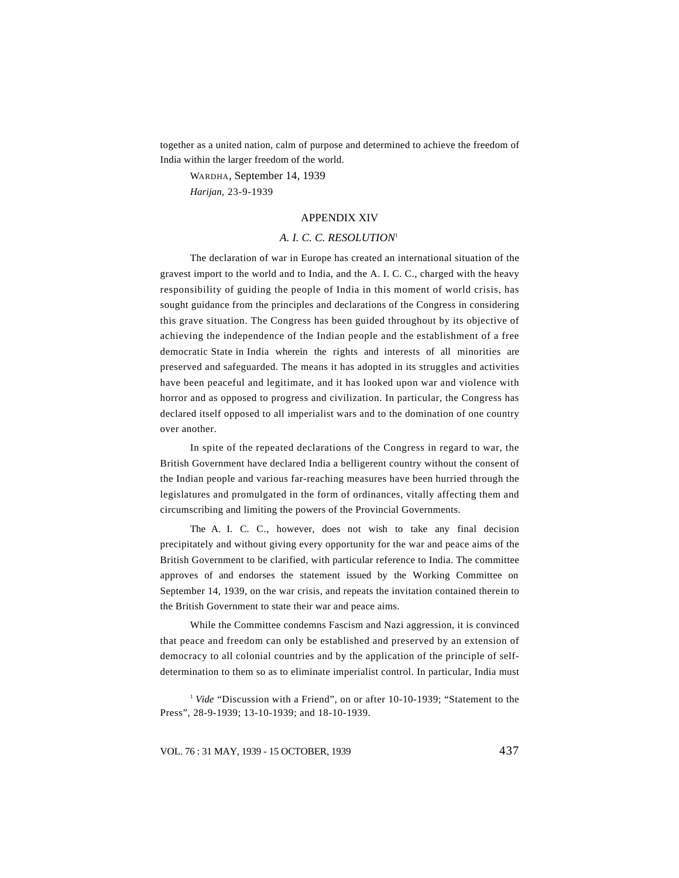together as a united nation, calm of purpose and determined to achieve the freedom of India within the larger freedom of the world.

WARDHA, September 14, 1939 *Harijan,* 23-9-1939

## APPENDIX XIV

## *A. I. C. C. RESOLUTION*<sup>1</sup>

The declaration of war in Europe has created an international situation of the gravest import to the world and to India, and the A. I. C. C., charged with the heavy responsibility of guiding the people of India in this moment of world crisis, has sought guidance from the principles and declarations of the Congress in considering this grave situation. The Congress has been guided throughout by its objective of achieving the independence of the Indian people and the establishment of a free democratic State in India wherein the rights and interests of all minorities are preserved and safeguarded. The means it has adopted in its struggles and activities have been peaceful and legitimate, and it has looked upon war and violence with horror and as opposed to progress and civilization. In particular, the Congress has declared itself opposed to all imperialist wars and to the domination of one country over another.

In spite of the repeated declarations of the Congress in regard to war, the British Government have declared India a belligerent country without the consent of the Indian people and various far-reaching measures have been hurried through the legislatures and promulgated in the form of ordinances, vitally affecting them and circumscribing and limiting the powers of the Provincial Governments.

The A. I. C. C., however, does not wish to take any final decision precipitately and without giving every opportunity for the war and peace aims of the British Government to be clarified, with particular reference to India. The committee approves of and endorses the statement issued by the Working Committee on September 14, 1939, on the war crisis, and repeats the invitation contained therein to the British Government to state their war and peace aims.

While the Committee condemns Fascism and Nazi aggression, it is convinced that peace and freedom can only be established and preserved by an extension of democracy to all colonial countries and by the application of the principle of selfdetermination to them so as to eliminate imperialist control. In particular, India must

<sup>&</sup>lt;sup>1</sup> *Vide* "Discussion with a Friend", on or after 10-10-1939; "Statement to the Press", 28-9-1939; 13-10-1939; and 18-10-1939.